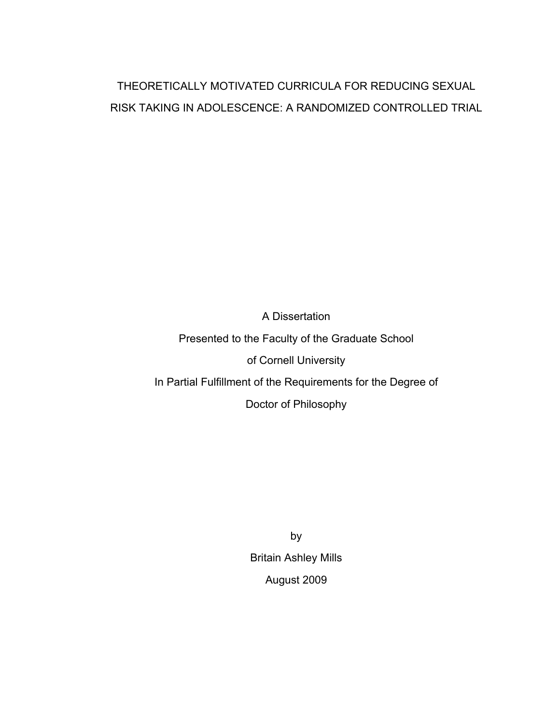## THEORETICALLY MOTIVATED CURRICULA FOR REDUCING SEXUAL RISK TAKING IN ADOLESCENCE: A RANDOMIZED CONTROLLED TRIAL

A Dissertation Presented to the Faculty of the Graduate School of Cornell University In Partial Fulfillment of the Requirements for the Degree of Doctor of Philosophy

> by Britain Ashley Mills August 2009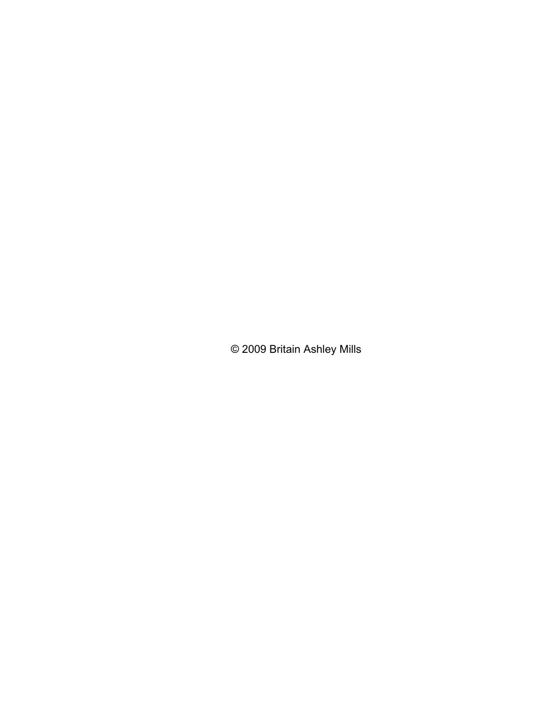© 2009 Britain Ashley Mills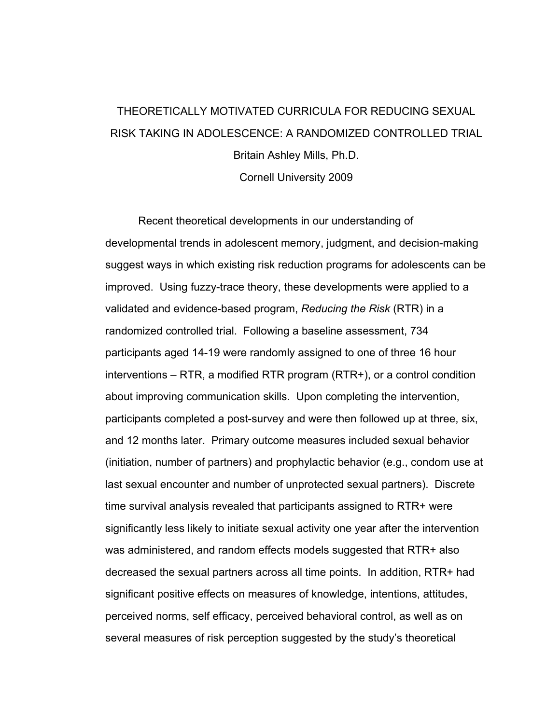# THEORETICALLY MOTIVATED CURRICULA FOR REDUCING SEXUAL RISK TAKING IN ADOLESCENCE: A RANDOMIZED CONTROLLED TRIAL Britain Ashley Mills, Ph.D.

Cornell University 2009

Recent theoretical developments in our understanding of developmental trends in adolescent memory, judgment, and decision-making suggest ways in which existing risk reduction programs for adolescents can be improved. Using fuzzy-trace theory, these developments were applied to a validated and evidence-based program, *Reducing the Risk* (RTR) in a randomized controlled trial. Following a baseline assessment, 734 participants aged 14-19 were randomly assigned to one of three 16 hour interventions – RTR, a modified RTR program (RTR+), or a control condition about improving communication skills. Upon completing the intervention, participants completed a post-survey and were then followed up at three, six, and 12 months later. Primary outcome measures included sexual behavior (initiation, number of partners) and prophylactic behavior (e.g., condom use at last sexual encounter and number of unprotected sexual partners). Discrete time survival analysis revealed that participants assigned to RTR+ were significantly less likely to initiate sexual activity one year after the intervention was administered, and random effects models suggested that RTR+ also decreased the sexual partners across all time points. In addition, RTR+ had significant positive effects on measures of knowledge, intentions, attitudes, perceived norms, self efficacy, perceived behavioral control, as well as on several measures of risk perception suggested by the study's theoretical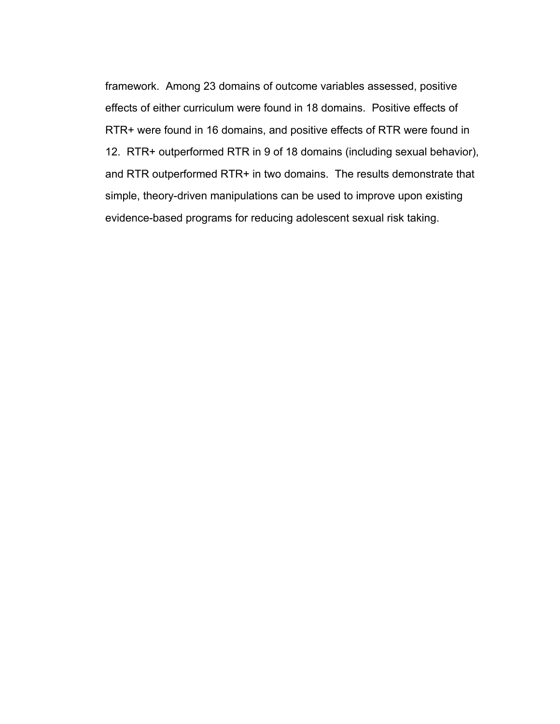framework. Among 23 domains of outcome variables assessed, positive effects of either curriculum were found in 18 domains. Positive effects of RTR+ were found in 16 domains, and positive effects of RTR were found in 12. RTR+ outperformed RTR in 9 of 18 domains (including sexual behavior), and RTR outperformed RTR+ in two domains. The results demonstrate that simple, theory-driven manipulations can be used to improve upon existing evidence-based programs for reducing adolescent sexual risk taking.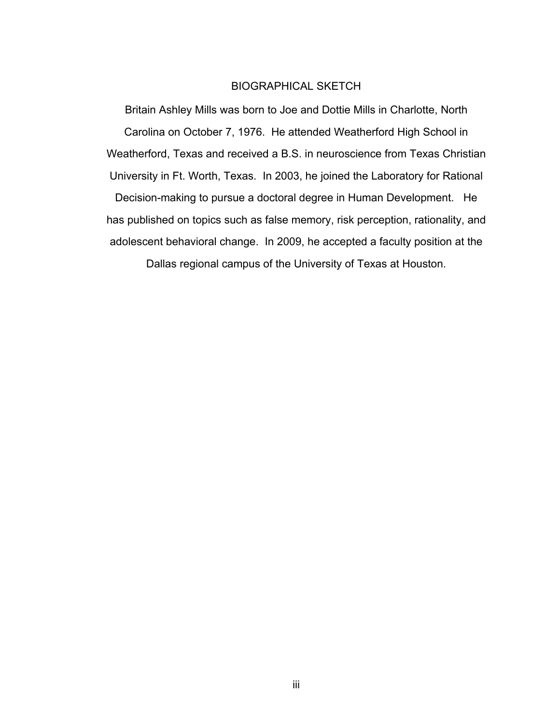### BIOGRAPHICAL SKETCH

Britain Ashley Mills was born to Joe and Dottie Mills in Charlotte, North Carolina on October 7, 1976. He attended Weatherford High School in Weatherford, Texas and received a B.S. in neuroscience from Texas Christian University in Ft. Worth, Texas. In 2003, he joined the Laboratory for Rational Decision-making to pursue a doctoral degree in Human Development. He has published on topics such as false memory, risk perception, rationality, and adolescent behavioral change. In 2009, he accepted a faculty position at the Dallas regional campus of the University of Texas at Houston.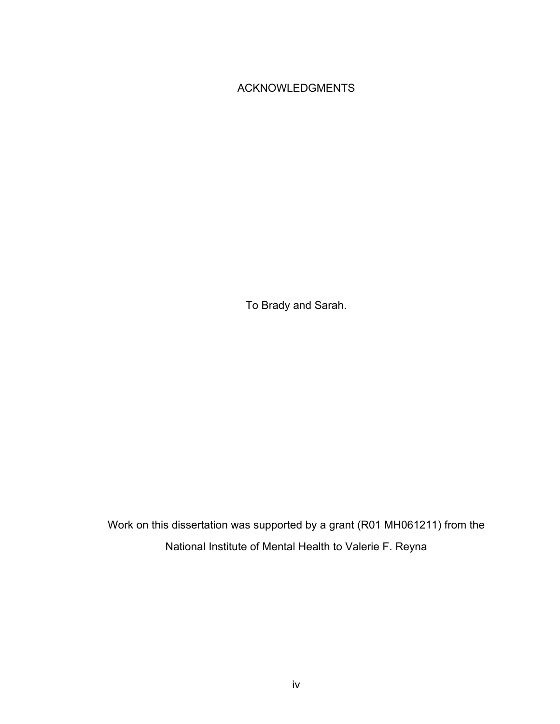### ACKNOWLEDGMENTS

To Brady and Sarah.

Work on this dissertation was supported by a grant (R01 MH061211) from the National Institute of Mental Health to Valerie F. Reyna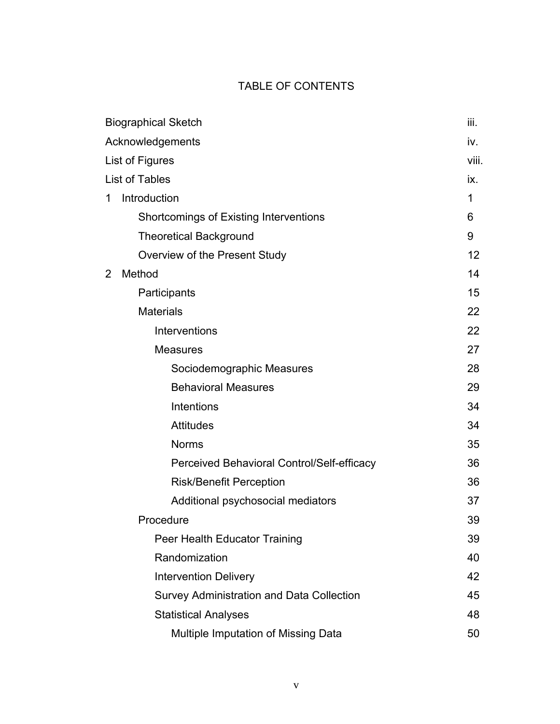## TABLE OF CONTENTS

| <b>Biographical Sketch</b> |                                            | iii.  |
|----------------------------|--------------------------------------------|-------|
| Acknowledgements           |                                            | iv.   |
| List of Figures            |                                            | viii. |
|                            | List of Tables                             | ix.   |
| 1                          | Introduction                               | 1     |
|                            | Shortcomings of Existing Interventions     | 6     |
|                            | <b>Theoretical Background</b>              | 9     |
|                            | Overview of the Present Study              | 12    |
| 2                          | Method                                     | 14    |
|                            | Participants                               | 15    |
|                            | <b>Materials</b>                           | 22    |
|                            | Interventions                              | 22    |
|                            | <b>Measures</b>                            | 27    |
|                            | Sociodemographic Measures                  | 28    |
|                            | <b>Behavioral Measures</b>                 | 29    |
|                            | Intentions                                 | 34    |
|                            | <b>Attitudes</b>                           | 34    |
|                            | <b>Norms</b>                               | 35    |
|                            | Perceived Behavioral Control/Self-efficacy | 36    |
|                            | <b>Risk/Benefit Perception</b>             | 36    |
|                            | Additional psychosocial mediators          | 37    |
|                            | Procedure                                  | 39    |
|                            | Peer Health Educator Training              | 39    |
|                            | Randomization                              | 40    |
|                            | <b>Intervention Delivery</b>               | 42    |
|                            | Survey Administration and Data Collection  | 45    |
|                            | <b>Statistical Analyses</b>                | 48    |
|                            | Multiple Imputation of Missing Data        | 50    |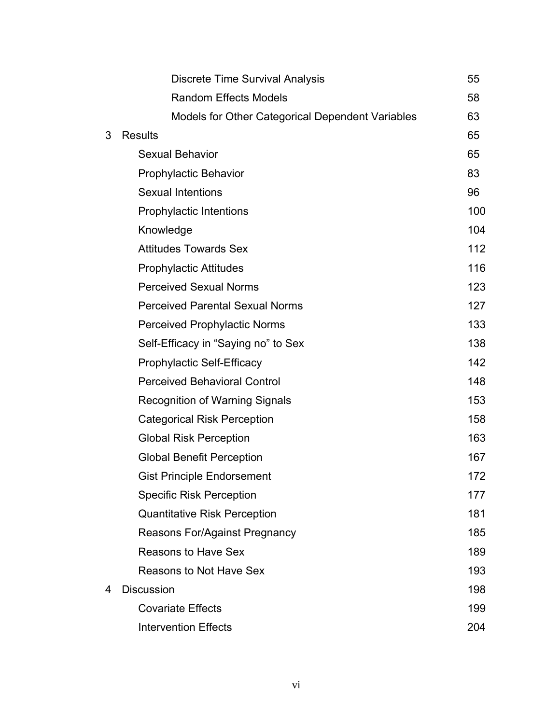|   | <b>Discrete Time Survival Analysis</b>           | 55  |
|---|--------------------------------------------------|-----|
|   | <b>Random Effects Models</b>                     | 58  |
|   | Models for Other Categorical Dependent Variables | 63  |
| 3 | <b>Results</b>                                   | 65  |
|   | <b>Sexual Behavior</b>                           | 65  |
|   | <b>Prophylactic Behavior</b>                     | 83  |
|   | <b>Sexual Intentions</b>                         | 96  |
|   | Prophylactic Intentions                          | 100 |
|   | Knowledge                                        | 104 |
|   | <b>Attitudes Towards Sex</b>                     | 112 |
|   | <b>Prophylactic Attitudes</b>                    | 116 |
|   | <b>Perceived Sexual Norms</b>                    | 123 |
|   | <b>Perceived Parental Sexual Norms</b>           | 127 |
|   | <b>Perceived Prophylactic Norms</b>              | 133 |
|   | Self-Efficacy in "Saying no" to Sex              | 138 |
|   | <b>Prophylactic Self-Efficacy</b>                | 142 |
|   | <b>Perceived Behavioral Control</b>              | 148 |
|   | <b>Recognition of Warning Signals</b>            | 153 |
|   | <b>Categorical Risk Perception</b>               | 158 |
|   | <b>Global Risk Perception</b>                    | 163 |
|   | <b>Global Benefit Perception</b>                 | 167 |
|   | <b>Gist Principle Endorsement</b>                | 172 |
|   | <b>Specific Risk Perception</b>                  | 177 |
|   | <b>Quantitative Risk Perception</b>              | 181 |
|   | <b>Reasons For/Against Pregnancy</b>             | 185 |
|   | <b>Reasons to Have Sex</b>                       | 189 |
|   | <b>Reasons to Not Have Sex</b>                   | 193 |
| 4 | <b>Discussion</b>                                | 198 |
|   | <b>Covariate Effects</b>                         | 199 |
|   | <b>Intervention Effects</b>                      | 204 |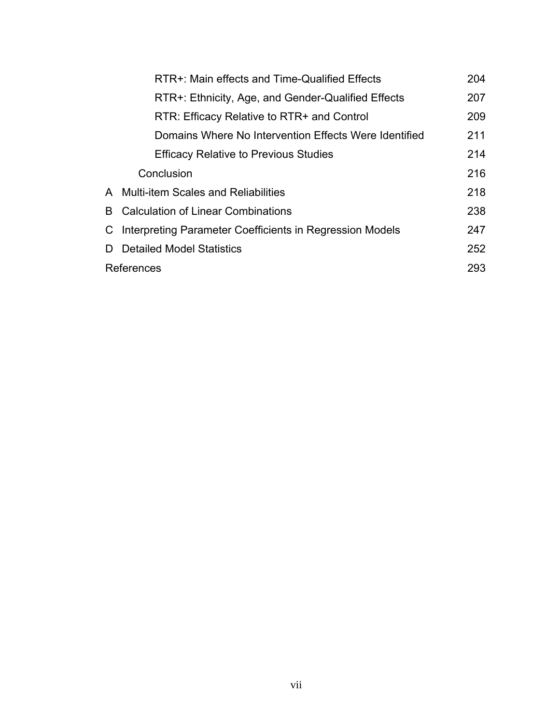|    | RTR+: Main effects and Time-Qualified Effects            | 204 |
|----|----------------------------------------------------------|-----|
|    | RTR+: Ethnicity, Age, and Gender-Qualified Effects       | 207 |
|    | RTR: Efficacy Relative to RTR+ and Control               | 209 |
|    | Domains Where No Intervention Effects Were Identified    | 211 |
|    | <b>Efficacy Relative to Previous Studies</b>             | 214 |
|    | Conclusion                                               | 216 |
|    | A Multi-item Scales and Reliabilities                    | 218 |
| B. | Calculation of Linear Combinations                       | 238 |
|    | Interpreting Parameter Coefficients in Regression Models | 247 |
|    | <b>Detailed Model Statistics</b>                         | 252 |
|    | References                                               | 293 |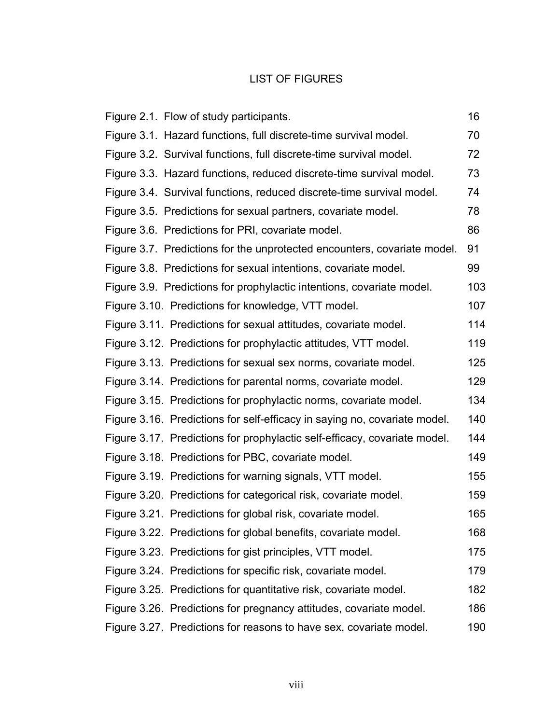### LIST OF FIGURES

| Figure 2.1. Flow of study participants.                                   | 16  |
|---------------------------------------------------------------------------|-----|
| Figure 3.1. Hazard functions, full discrete-time survival model.          | 70  |
| Figure 3.2. Survival functions, full discrete-time survival model.        | 72  |
| Figure 3.3. Hazard functions, reduced discrete-time survival model.       | 73  |
| Figure 3.4. Survival functions, reduced discrete-time survival model.     | 74  |
| Figure 3.5. Predictions for sexual partners, covariate model.             | 78  |
| Figure 3.6. Predictions for PRI, covariate model.                         | 86  |
| Figure 3.7. Predictions for the unprotected encounters, covariate model.  | 91  |
| Figure 3.8. Predictions for sexual intentions, covariate model.           | 99  |
| Figure 3.9. Predictions for prophylactic intentions, covariate model.     | 103 |
| Figure 3.10. Predictions for knowledge, VTT model.                        | 107 |
| Figure 3.11. Predictions for sexual attitudes, covariate model.           | 114 |
| Figure 3.12. Predictions for prophylactic attitudes, VTT model.           | 119 |
| Figure 3.13. Predictions for sexual sex norms, covariate model.           | 125 |
| Figure 3.14. Predictions for parental norms, covariate model.             | 129 |
| Figure 3.15. Predictions for prophylactic norms, covariate model.         | 134 |
| Figure 3.16. Predictions for self-efficacy in saying no, covariate model. | 140 |
| Figure 3.17. Predictions for prophylactic self-efficacy, covariate model. | 144 |
| Figure 3.18. Predictions for PBC, covariate model.                        | 149 |
| Figure 3.19. Predictions for warning signals, VTT model.                  | 155 |
| Figure 3.20. Predictions for categorical risk, covariate model.           | 159 |
| Figure 3.21. Predictions for global risk, covariate model.                | 165 |
| Figure 3.22. Predictions for global benefits, covariate model.            | 168 |
| Figure 3.23. Predictions for gist principles, VTT model.                  | 175 |
| Figure 3.24. Predictions for specific risk, covariate model.              | 179 |
| Figure 3.25. Predictions for quantitative risk, covariate model.          | 182 |
| Figure 3.26. Predictions for pregnancy attitudes, covariate model.        | 186 |
| Figure 3.27. Predictions for reasons to have sex, covariate model.        | 190 |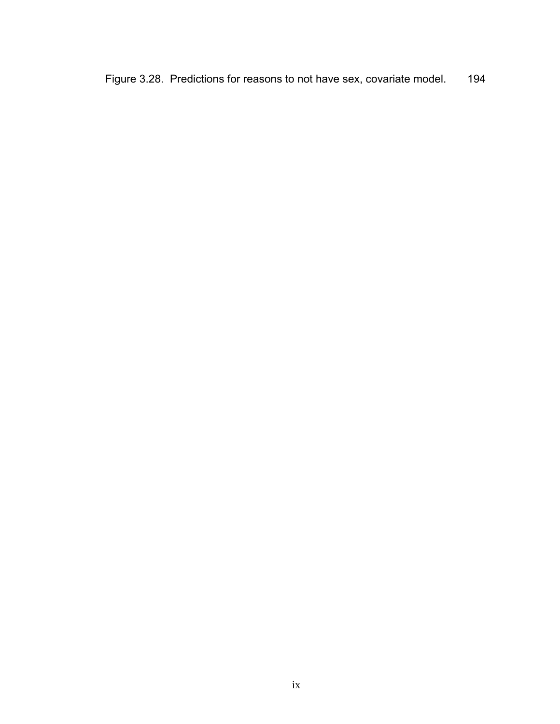Figure 3.28. Predictions for reasons to not have sex, covariate model. 194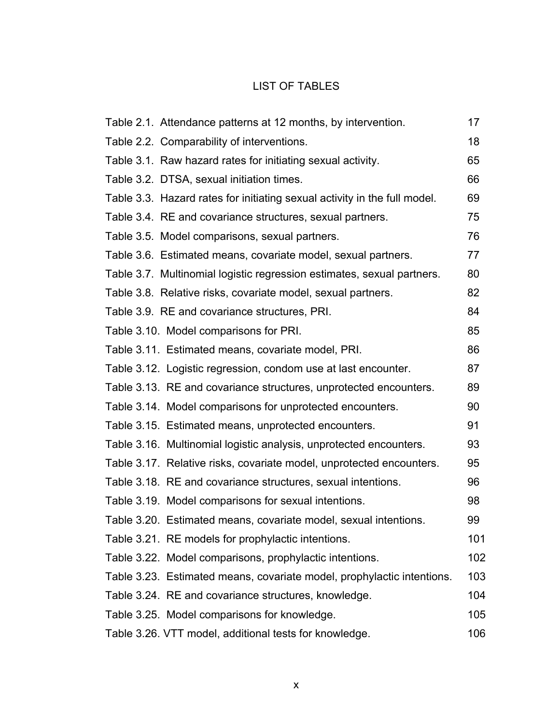## LIST OF TABLES

| Table 2.1. Attendance patterns at 12 months, by intervention.             | 17  |
|---------------------------------------------------------------------------|-----|
| Table 2.2. Comparability of interventions.                                | 18  |
| Table 3.1. Raw hazard rates for initiating sexual activity.               | 65  |
| Table 3.2. DTSA, sexual initiation times.                                 | 66  |
| Table 3.3. Hazard rates for initiating sexual activity in the full model. | 69  |
| Table 3.4. RE and covariance structures, sexual partners.                 | 75  |
| Table 3.5. Model comparisons, sexual partners.                            | 76  |
| Table 3.6. Estimated means, covariate model, sexual partners.             | 77  |
| Table 3.7. Multinomial logistic regression estimates, sexual partners.    | 80  |
| Table 3.8. Relative risks, covariate model, sexual partners.              | 82  |
| Table 3.9. RE and covariance structures, PRI.                             | 84  |
| Table 3.10. Model comparisons for PRI.                                    | 85  |
| Table 3.11. Estimated means, covariate model, PRI.                        | 86  |
| Table 3.12. Logistic regression, condom use at last encounter.            | 87  |
| Table 3.13. RE and covariance structures, unprotected encounters.         | 89  |
| Table 3.14. Model comparisons for unprotected encounters.                 | 90  |
| Table 3.15. Estimated means, unprotected encounters.                      | 91  |
| Table 3.16. Multinomial logistic analysis, unprotected encounters.        | 93  |
| Table 3.17. Relative risks, covariate model, unprotected encounters.      | 95  |
| Table 3.18. RE and covariance structures, sexual intentions.              | 96  |
| Table 3.19. Model comparisons for sexual intentions.                      | 98  |
| Table 3.20. Estimated means, covariate model, sexual intentions.          | 99  |
| Table 3.21. RE models for prophylactic intentions.                        | 101 |
| Table 3.22. Model comparisons, prophylactic intentions.                   | 102 |
| Table 3.23. Estimated means, covariate model, prophylactic intentions.    | 103 |
| Table 3.24. RE and covariance structures, knowledge.                      | 104 |
| Table 3.25. Model comparisons for knowledge.                              | 105 |
| Table 3.26. VTT model, additional tests for knowledge.                    | 106 |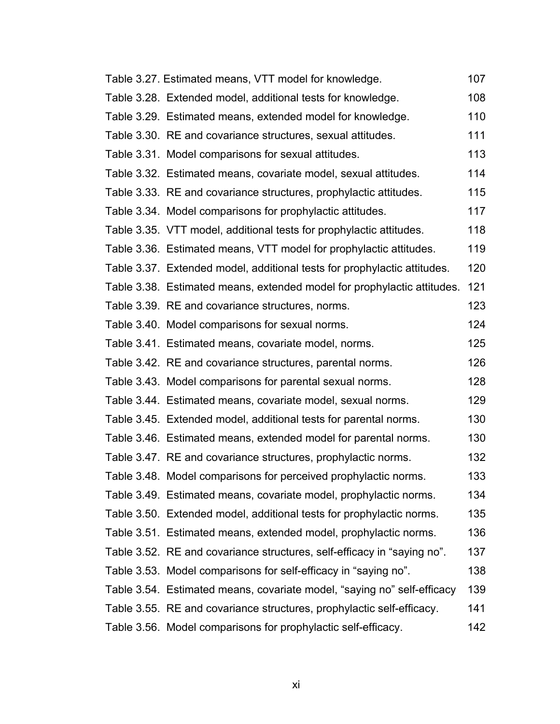| Table 3.27. Estimated means, VTT model for knowledge.                    | 107 |
|--------------------------------------------------------------------------|-----|
| Table 3.28. Extended model, additional tests for knowledge.              | 108 |
| Table 3.29. Estimated means, extended model for knowledge.               | 110 |
| Table 3.30. RE and covariance structures, sexual attitudes.              | 111 |
| Table 3.31. Model comparisons for sexual attitudes.                      | 113 |
| Table 3.32. Estimated means, covariate model, sexual attitudes.          | 114 |
| Table 3.33. RE and covariance structures, prophylactic attitudes.        | 115 |
| Table 3.34. Model comparisons for prophylactic attitudes.                | 117 |
| Table 3.35. VTT model, additional tests for prophylactic attitudes.      | 118 |
| Table 3.36. Estimated means, VTT model for prophylactic attitudes.       | 119 |
| Table 3.37. Extended model, additional tests for prophylactic attitudes. | 120 |
| Table 3.38. Estimated means, extended model for prophylactic attitudes.  | 121 |
| Table 3.39. RE and covariance structures, norms.                         | 123 |
| Table 3.40. Model comparisons for sexual norms.                          | 124 |
| Table 3.41. Estimated means, covariate model, norms.                     | 125 |
| Table 3.42. RE and covariance structures, parental norms.                | 126 |
| Table 3.43. Model comparisons for parental sexual norms.                 | 128 |
| Table 3.44. Estimated means, covariate model, sexual norms.              | 129 |
| Table 3.45. Extended model, additional tests for parental norms.         | 130 |
| Table 3.46. Estimated means, extended model for parental norms.          | 130 |
| Table 3.47. RE and covariance structures, prophylactic norms.            | 132 |
| Table 3.48. Model comparisons for perceived prophylactic norms.          | 133 |
| Table 3.49. Estimated means, covariate model, prophylactic norms.        | 134 |
| Table 3.50. Extended model, additional tests for prophylactic norms.     | 135 |
| Table 3.51. Estimated means, extended model, prophylactic norms.         | 136 |
| Table 3.52. RE and covariance structures, self-efficacy in "saying no".  | 137 |
| Table 3.53. Model comparisons for self-efficacy in "saying no".          | 138 |
| Table 3.54. Estimated means, covariate model, "saying no" self-efficacy  | 139 |
| Table 3.55. RE and covariance structures, prophylactic self-efficacy.    | 141 |
| Table 3.56. Model comparisons for prophylactic self-efficacy.            | 142 |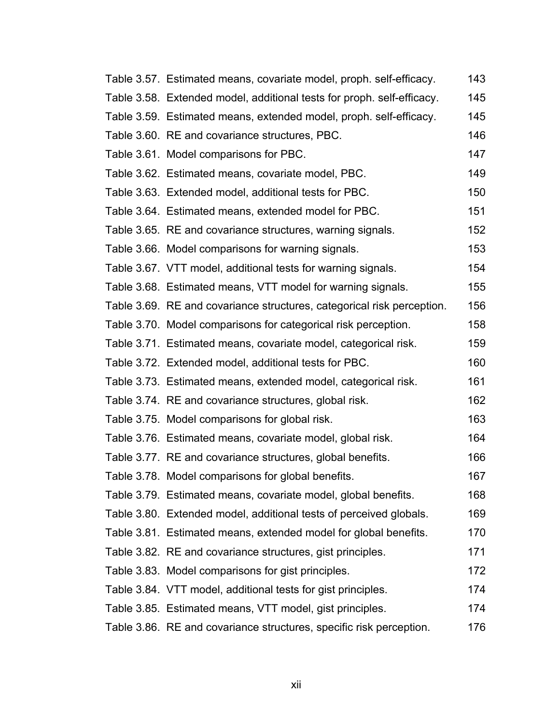| Table 3.57. Estimated means, covariate model, proph. self-efficacy.    | 143 |
|------------------------------------------------------------------------|-----|
| Table 3.58. Extended model, additional tests for proph. self-efficacy. | 145 |
| Table 3.59. Estimated means, extended model, proph. self-efficacy.     | 145 |
| Table 3.60. RE and covariance structures, PBC.                         | 146 |
| Table 3.61. Model comparisons for PBC.                                 | 147 |
| Table 3.62. Estimated means, covariate model, PBC.                     | 149 |
| Table 3.63. Extended model, additional tests for PBC.                  | 150 |
| Table 3.64. Estimated means, extended model for PBC.                   | 151 |
| Table 3.65. RE and covariance structures, warning signals.             | 152 |
| Table 3.66. Model comparisons for warning signals.                     | 153 |
| Table 3.67. VTT model, additional tests for warning signals.           | 154 |
| Table 3.68. Estimated means, VTT model for warning signals.            | 155 |
| Table 3.69. RE and covariance structures, categorical risk perception. | 156 |
| Table 3.70. Model comparisons for categorical risk perception.         | 158 |
| Table 3.71. Estimated means, covariate model, categorical risk.        | 159 |
| Table 3.72. Extended model, additional tests for PBC.                  | 160 |
| Table 3.73. Estimated means, extended model, categorical risk.         | 161 |
| Table 3.74. RE and covariance structures, global risk.                 | 162 |
| Table 3.75. Model comparisons for global risk.                         | 163 |
| Table 3.76. Estimated means, covariate model, global risk.             | 164 |
| Table 3.77. RE and covariance structures, global benefits.             | 166 |
| Table 3.78. Model comparisons for global benefits.                     | 167 |
| Table 3.79. Estimated means, covariate model, global benefits.         | 168 |
| Table 3.80. Extended model, additional tests of perceived globals.     | 169 |
| Table 3.81. Estimated means, extended model for global benefits.       | 170 |
| Table 3.82. RE and covariance structures, gist principles.             | 171 |
| Table 3.83. Model comparisons for gist principles.                     | 172 |
| Table 3.84. VTT model, additional tests for gist principles.           | 174 |
| Table 3.85. Estimated means, VTT model, gist principles.               | 174 |
| Table 3.86. RE and covariance structures, specific risk perception.    | 176 |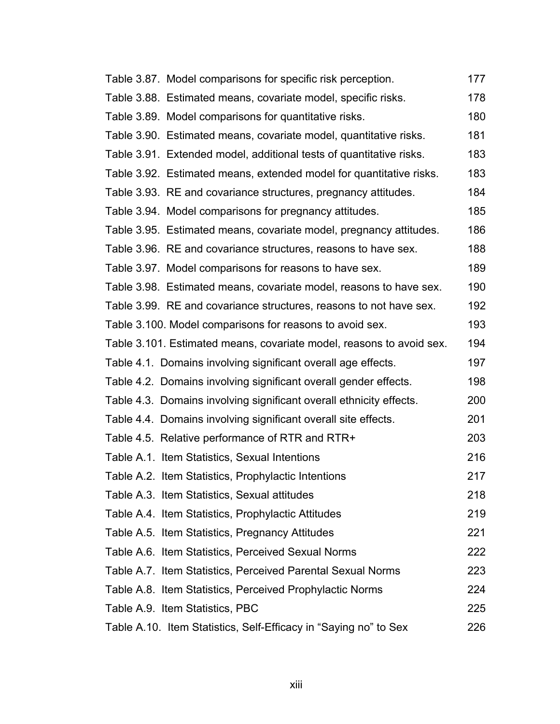| Table 3.87. Model comparisons for specific risk perception.          | 177 |
|----------------------------------------------------------------------|-----|
| Table 3.88. Estimated means, covariate model, specific risks.        | 178 |
| Table 3.89. Model comparisons for quantitative risks.                | 180 |
| Table 3.90. Estimated means, covariate model, quantitative risks.    | 181 |
| Table 3.91. Extended model, additional tests of quantitative risks.  | 183 |
| Table 3.92. Estimated means, extended model for quantitative risks.  | 183 |
| Table 3.93. RE and covariance structures, pregnancy attitudes.       | 184 |
| Table 3.94. Model comparisons for pregnancy attitudes.               | 185 |
| Table 3.95. Estimated means, covariate model, pregnancy attitudes.   | 186 |
| Table 3.96. RE and covariance structures, reasons to have sex.       | 188 |
| Table 3.97. Model comparisons for reasons to have sex.               | 189 |
| Table 3.98. Estimated means, covariate model, reasons to have sex.   | 190 |
| Table 3.99. RE and covariance structures, reasons to not have sex.   | 192 |
| Table 3.100. Model comparisons for reasons to avoid sex.             | 193 |
| Table 3.101. Estimated means, covariate model, reasons to avoid sex. | 194 |
| Table 4.1. Domains involving significant overall age effects.        | 197 |
| Table 4.2. Domains involving significant overall gender effects.     | 198 |
| Table 4.3. Domains involving significant overall ethnicity effects.  | 200 |
| Table 4.4. Domains involving significant overall site effects.       | 201 |
| Table 4.5. Relative performance of RTR and RTR+                      | 203 |
| Table A.1. Item Statistics, Sexual Intentions                        | 216 |
| Table A.2. Item Statistics, Prophylactic Intentions                  | 217 |
| Table A.3. Item Statistics, Sexual attitudes                         | 218 |
| Table A.4. Item Statistics, Prophylactic Attitudes                   | 219 |
| Table A.5. Item Statistics, Pregnancy Attitudes                      | 221 |
| Table A.6. Item Statistics, Perceived Sexual Norms                   | 222 |
| Table A.7. Item Statistics, Perceived Parental Sexual Norms          | 223 |
| Table A.8. Item Statistics, Perceived Prophylactic Norms             | 224 |
| Table A.9. Item Statistics, PBC                                      | 225 |
| Table A.10. Item Statistics, Self-Efficacy in "Saying no" to Sex     | 226 |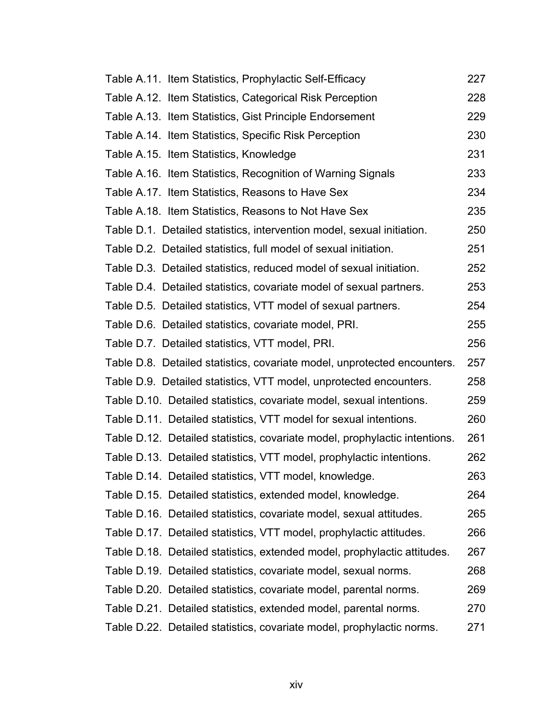| Table A.11. Item Statistics, Prophylactic Self-Efficacy                    | 227 |
|----------------------------------------------------------------------------|-----|
| Table A.12. Item Statistics, Categorical Risk Perception                   | 228 |
| Table A.13. Item Statistics, Gist Principle Endorsement                    | 229 |
| Table A.14. Item Statistics, Specific Risk Perception                      | 230 |
| Table A.15. Item Statistics, Knowledge                                     | 231 |
| Table A.16. Item Statistics, Recognition of Warning Signals                | 233 |
| Table A.17. Item Statistics, Reasons to Have Sex                           | 234 |
| Table A.18. Item Statistics, Reasons to Not Have Sex                       | 235 |
| Table D.1. Detailed statistics, intervention model, sexual initiation.     | 250 |
| Table D.2. Detailed statistics, full model of sexual initiation.           | 251 |
| Table D.3. Detailed statistics, reduced model of sexual initiation.        | 252 |
| Table D.4. Detailed statistics, covariate model of sexual partners.        | 253 |
| Table D.5. Detailed statistics, VTT model of sexual partners.              | 254 |
| Table D.6. Detailed statistics, covariate model, PRI.                      | 255 |
| Table D.7. Detailed statistics, VTT model, PRI.                            | 256 |
| Table D.8. Detailed statistics, covariate model, unprotected encounters.   | 257 |
| Table D.9. Detailed statistics, VTT model, unprotected encounters.         | 258 |
| Table D.10. Detailed statistics, covariate model, sexual intentions.       | 259 |
| Table D.11. Detailed statistics, VTT model for sexual intentions.          | 260 |
| Table D.12. Detailed statistics, covariate model, prophylactic intentions. | 261 |
| Table D.13. Detailed statistics, VTT model, prophylactic intentions.       | 262 |
| Table D.14. Detailed statistics, VTT model, knowledge.                     | 263 |
| Table D.15. Detailed statistics, extended model, knowledge.                | 264 |
| Table D.16. Detailed statistics, covariate model, sexual attitudes.        | 265 |
| Table D.17. Detailed statistics, VTT model, prophylactic attitudes.        | 266 |
| Table D.18. Detailed statistics, extended model, prophylactic attitudes.   | 267 |
| Table D.19. Detailed statistics, covariate model, sexual norms.            | 268 |
| Table D.20. Detailed statistics, covariate model, parental norms.          | 269 |
| Table D.21. Detailed statistics, extended model, parental norms.           | 270 |
| Table D.22. Detailed statistics, covariate model, prophylactic norms.      | 271 |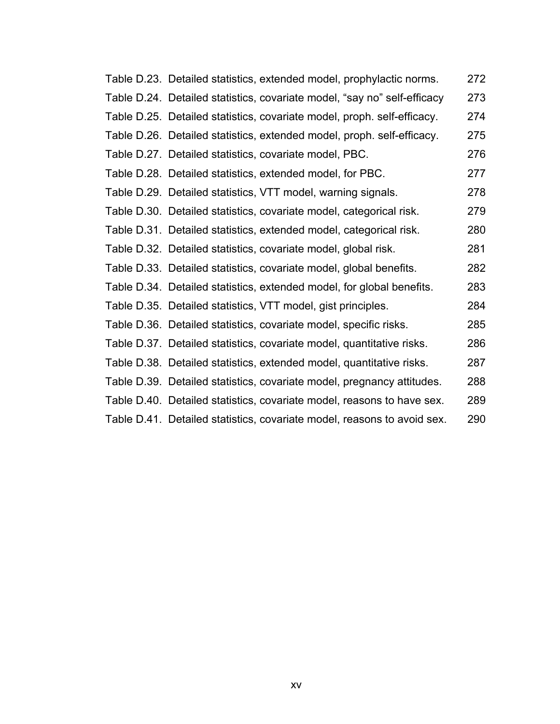| Table D.23. Detailed statistics, extended model, prophylactic norms.     | 272 |
|--------------------------------------------------------------------------|-----|
| Table D.24. Detailed statistics, covariate model, "say no" self-efficacy | 273 |
| Table D.25. Detailed statistics, covariate model, proph. self-efficacy.  | 274 |
| Table D.26. Detailed statistics, extended model, proph. self-efficacy.   | 275 |
| Table D.27. Detailed statistics, covariate model, PBC.                   | 276 |
| Table D.28. Detailed statistics, extended model, for PBC.                | 277 |
| Table D.29. Detailed statistics, VTT model, warning signals.             | 278 |
| Table D.30. Detailed statistics, covariate model, categorical risk.      | 279 |
| Table D.31. Detailed statistics, extended model, categorical risk.       | 280 |
| Table D.32. Detailed statistics, covariate model, global risk.           | 281 |
| Table D.33. Detailed statistics, covariate model, global benefits.       | 282 |
| Table D.34. Detailed statistics, extended model, for global benefits.    | 283 |
| Table D.35. Detailed statistics, VTT model, gist principles.             | 284 |
| Table D.36. Detailed statistics, covariate model, specific risks.        | 285 |
| Table D.37. Detailed statistics, covariate model, quantitative risks.    | 286 |
| Table D.38. Detailed statistics, extended model, quantitative risks.     | 287 |
| Table D.39. Detailed statistics, covariate model, pregnancy attitudes.   | 288 |
| Table D.40. Detailed statistics, covariate model, reasons to have sex.   | 289 |
| Table D.41. Detailed statistics, covariate model, reasons to avoid sex.  | 290 |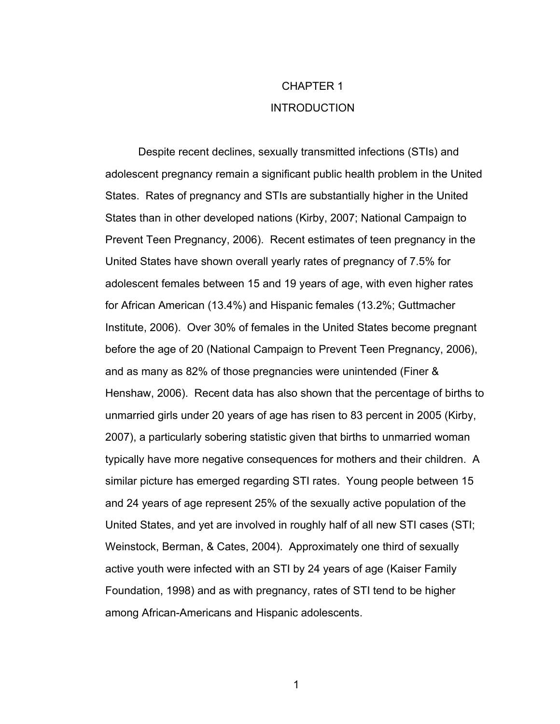## CHAPTER 1 INTRODUCTION

Despite recent declines, sexually transmitted infections (STIs) and adolescent pregnancy remain a significant public health problem in the United States. Rates of pregnancy and STIs are substantially higher in the United States than in other developed nations (Kirby, 2007; National Campaign to Prevent Teen Pregnancy, 2006). Recent estimates of teen pregnancy in the United States have shown overall yearly rates of pregnancy of 7.5% for adolescent females between 15 and 19 years of age, with even higher rates for African American (13.4%) and Hispanic females (13.2%; Guttmacher Institute, 2006). Over 30% of females in the United States become pregnant before the age of 20 (National Campaign to Prevent Teen Pregnancy, 2006), and as many as 82% of those pregnancies were unintended (Finer & Henshaw, 2006). Recent data has also shown that the percentage of births to unmarried girls under 20 years of age has risen to 83 percent in 2005 (Kirby, 2007), a particularly sobering statistic given that births to unmarried woman typically have more negative consequences for mothers and their children. A similar picture has emerged regarding STI rates. Young people between 15 and 24 years of age represent 25% of the sexually active population of the United States, and yet are involved in roughly half of all new STI cases (STI; Weinstock, Berman, & Cates, 2004). Approximately one third of sexually active youth were infected with an STI by 24 years of age (Kaiser Family Foundation, 1998) and as with pregnancy, rates of STI tend to be higher among African-Americans and Hispanic adolescents.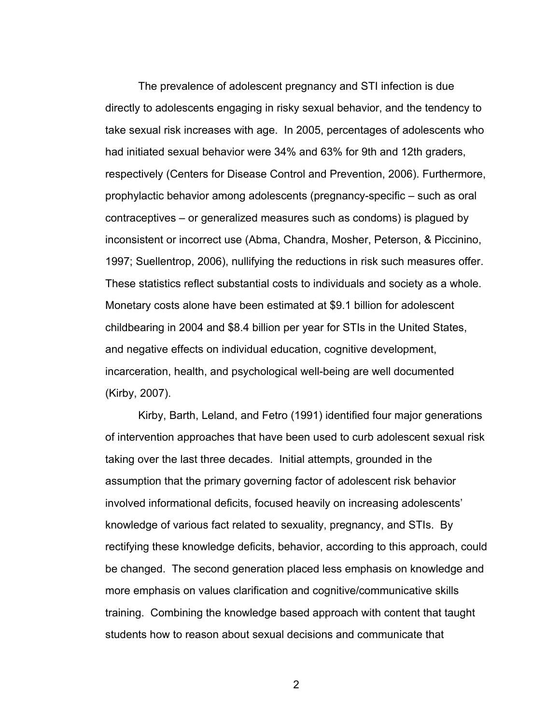The prevalence of adolescent pregnancy and STI infection is due directly to adolescents engaging in risky sexual behavior, and the tendency to take sexual risk increases with age. In 2005, percentages of adolescents who had initiated sexual behavior were 34% and 63% for 9th and 12th graders, respectively (Centers for Disease Control and Prevention, 2006). Furthermore, prophylactic behavior among adolescents (pregnancy-specific – such as oral contraceptives – or generalized measures such as condoms) is plagued by inconsistent or incorrect use (Abma, Chandra, Mosher, Peterson, & Piccinino, 1997; Suellentrop, 2006), nullifying the reductions in risk such measures offer. These statistics reflect substantial costs to individuals and society as a whole. Monetary costs alone have been estimated at \$9.1 billion for adolescent childbearing in 2004 and \$8.4 billion per year for STIs in the United States, and negative effects on individual education, cognitive development, incarceration, health, and psychological well-being are well documented (Kirby, 2007).

Kirby, Barth, Leland, and Fetro (1991) identified four major generations of intervention approaches that have been used to curb adolescent sexual risk taking over the last three decades. Initial attempts, grounded in the assumption that the primary governing factor of adolescent risk behavior involved informational deficits, focused heavily on increasing adolescents' knowledge of various fact related to sexuality, pregnancy, and STIs. By rectifying these knowledge deficits, behavior, according to this approach, could be changed. The second generation placed less emphasis on knowledge and more emphasis on values clarification and cognitive/communicative skills training. Combining the knowledge based approach with content that taught students how to reason about sexual decisions and communicate that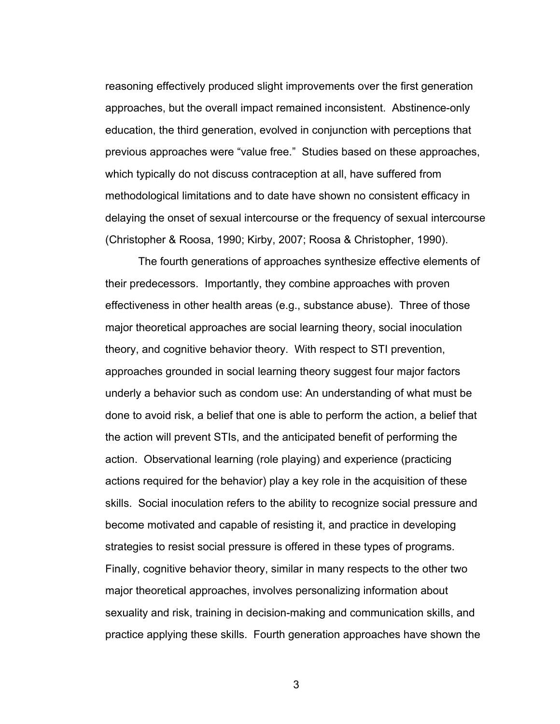reasoning effectively produced slight improvements over the first generation approaches, but the overall impact remained inconsistent. Abstinence-only education, the third generation, evolved in conjunction with perceptions that previous approaches were "value free." Studies based on these approaches, which typically do not discuss contraception at all, have suffered from methodological limitations and to date have shown no consistent efficacy in delaying the onset of sexual intercourse or the frequency of sexual intercourse (Christopher & Roosa, 1990; Kirby, 2007; Roosa & Christopher, 1990).

 The fourth generations of approaches synthesize effective elements of their predecessors. Importantly, they combine approaches with proven effectiveness in other health areas (e.g., substance abuse). Three of those major theoretical approaches are social learning theory, social inoculation theory, and cognitive behavior theory. With respect to STI prevention, approaches grounded in social learning theory suggest four major factors underly a behavior such as condom use: An understanding of what must be done to avoid risk, a belief that one is able to perform the action, a belief that the action will prevent STIs, and the anticipated benefit of performing the action. Observational learning (role playing) and experience (practicing actions required for the behavior) play a key role in the acquisition of these skills. Social inoculation refers to the ability to recognize social pressure and become motivated and capable of resisting it, and practice in developing strategies to resist social pressure is offered in these types of programs. Finally, cognitive behavior theory, similar in many respects to the other two major theoretical approaches, involves personalizing information about sexuality and risk, training in decision-making and communication skills, and practice applying these skills. Fourth generation approaches have shown the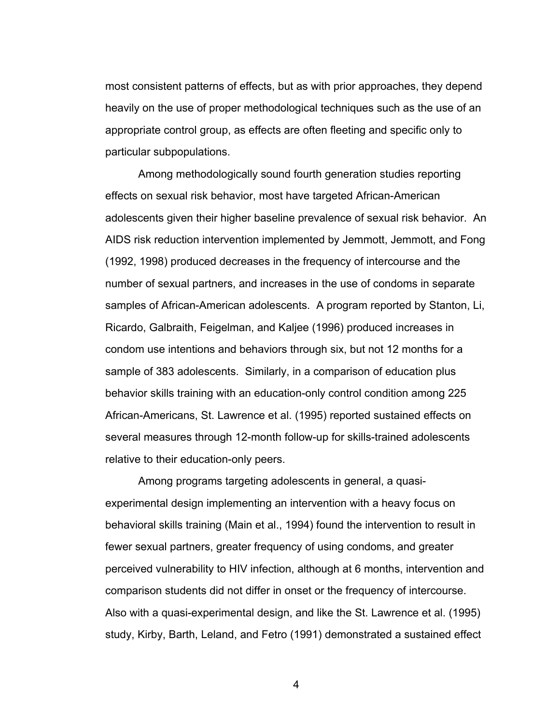most consistent patterns of effects, but as with prior approaches, they depend heavily on the use of proper methodological techniques such as the use of an appropriate control group, as effects are often fleeting and specific only to particular subpopulations.

Among methodologically sound fourth generation studies reporting effects on sexual risk behavior, most have targeted African-American adolescents given their higher baseline prevalence of sexual risk behavior. An AIDS risk reduction intervention implemented by Jemmott, Jemmott, and Fong (1992, 1998) produced decreases in the frequency of intercourse and the number of sexual partners, and increases in the use of condoms in separate samples of African-American adolescents. A program reported by Stanton, Li, Ricardo, Galbraith, Feigelman, and Kaljee (1996) produced increases in condom use intentions and behaviors through six, but not 12 months for a sample of 383 adolescents. Similarly, in a comparison of education plus behavior skills training with an education-only control condition among 225 African-Americans, St. Lawrence et al. (1995) reported sustained effects on several measures through 12-month follow-up for skills-trained adolescents relative to their education-only peers.

Among programs targeting adolescents in general, a quasiexperimental design implementing an intervention with a heavy focus on behavioral skills training (Main et al., 1994) found the intervention to result in fewer sexual partners, greater frequency of using condoms, and greater perceived vulnerability to HIV infection, although at 6 months, intervention and comparison students did not differ in onset or the frequency of intercourse. Also with a quasi-experimental design, and like the St. Lawrence et al. (1995) study, Kirby, Barth, Leland, and Fetro (1991) demonstrated a sustained effect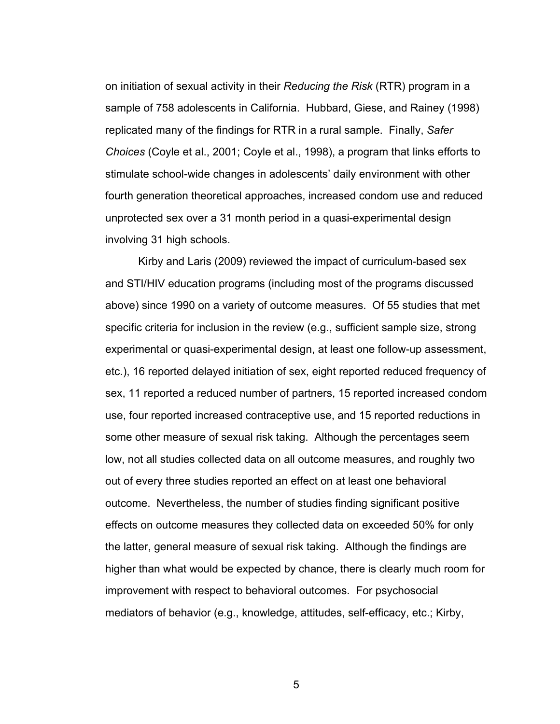on initiation of sexual activity in their *Reducing the Risk* (RTR) program in a sample of 758 adolescents in California. Hubbard, Giese, and Rainey (1998) replicated many of the findings for RTR in a rural sample. Finally, *Safer Choices* (Coyle et al., 2001; Coyle et al., 1998), a program that links efforts to stimulate school-wide changes in adolescents' daily environment with other fourth generation theoretical approaches, increased condom use and reduced unprotected sex over a 31 month period in a quasi-experimental design involving 31 high schools.

 Kirby and Laris (2009) reviewed the impact of curriculum-based sex and STI/HIV education programs (including most of the programs discussed above) since 1990 on a variety of outcome measures. Of 55 studies that met specific criteria for inclusion in the review (e.g., sufficient sample size, strong experimental or quasi-experimental design, at least one follow-up assessment, etc.), 16 reported delayed initiation of sex, eight reported reduced frequency of sex, 11 reported a reduced number of partners, 15 reported increased condom use, four reported increased contraceptive use, and 15 reported reductions in some other measure of sexual risk taking. Although the percentages seem low, not all studies collected data on all outcome measures, and roughly two out of every three studies reported an effect on at least one behavioral outcome. Nevertheless, the number of studies finding significant positive effects on outcome measures they collected data on exceeded 50% for only the latter, general measure of sexual risk taking. Although the findings are higher than what would be expected by chance, there is clearly much room for improvement with respect to behavioral outcomes. For psychosocial mediators of behavior (e.g., knowledge, attitudes, self-efficacy, etc.; Kirby,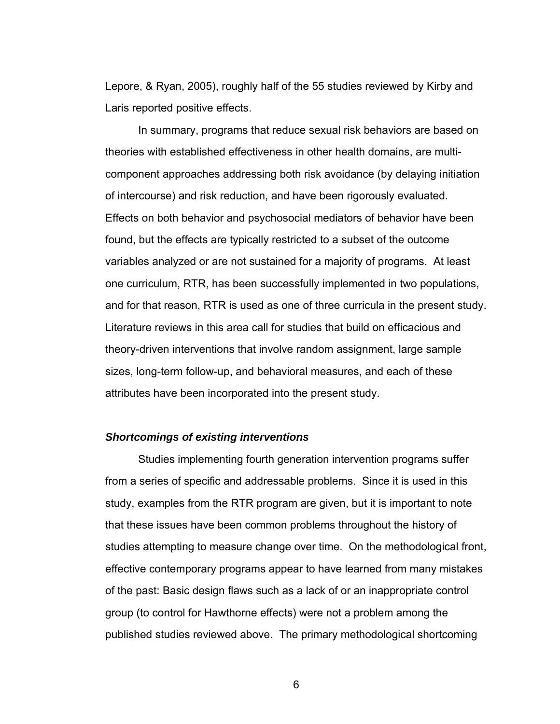Lepore, & Ryan, 2005), roughly half of the 55 studies reviewed by Kirby and Laris reported positive effects.

In summary, programs that reduce sexual risk behaviors are based on theories with established effectiveness in other health domains, are multicomponent approaches addressing both risk avoidance (by delaying initiation of intercourse) and risk reduction, and have been rigorously evaluated. Effects on both behavior and psychosocial mediators of behavior have been found, but the effects are typically restricted to a subset of the outcome variables analyzed or are not sustained for a majority of programs. At least one curriculum, RTR, has been successfully implemented in two populations, and for that reason, RTR is used as one of three curricula in the present study. Literature reviews in this area call for studies that build on efficacious and theory-driven interventions that involve random assignment, large sample sizes, long-term follow-up, and behavioral measures, and each of these attributes have been incorporated into the present study.

#### *Shortcomings of existing interventions*

Studies implementing fourth generation intervention programs suffer from a series of specific and addressable problems. Since it is used in this study, examples from the RTR program are given, but it is important to note that these issues have been common problems throughout the history of studies attempting to measure change over time. On the methodological front, effective contemporary programs appear to have learned from many mistakes of the past: Basic design flaws such as a lack of or an inappropriate control group (to control for Hawthorne effects) were not a problem among the published studies reviewed above. The primary methodological shortcoming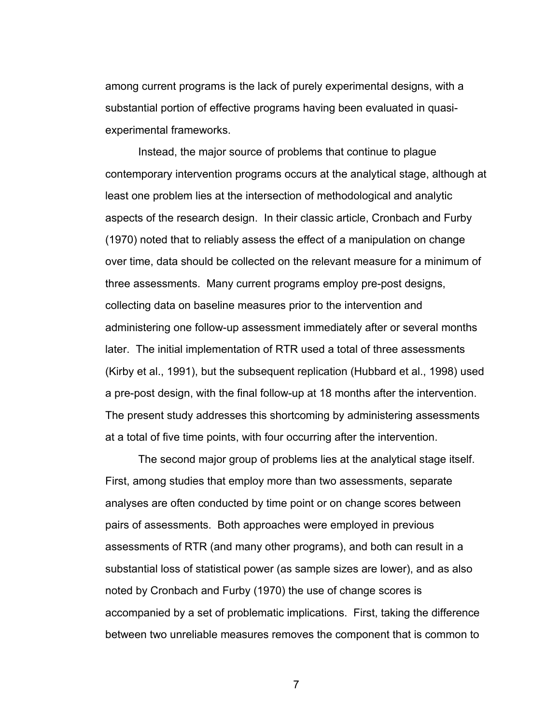among current programs is the lack of purely experimental designs, with a substantial portion of effective programs having been evaluated in quasiexperimental frameworks.

Instead, the major source of problems that continue to plague contemporary intervention programs occurs at the analytical stage, although at least one problem lies at the intersection of methodological and analytic aspects of the research design. In their classic article, Cronbach and Furby (1970) noted that to reliably assess the effect of a manipulation on change over time, data should be collected on the relevant measure for a minimum of three assessments. Many current programs employ pre-post designs, collecting data on baseline measures prior to the intervention and administering one follow-up assessment immediately after or several months later. The initial implementation of RTR used a total of three assessments (Kirby et al., 1991), but the subsequent replication (Hubbard et al., 1998) used a pre-post design, with the final follow-up at 18 months after the intervention. The present study addresses this shortcoming by administering assessments at a total of five time points, with four occurring after the intervention.

The second major group of problems lies at the analytical stage itself. First, among studies that employ more than two assessments, separate analyses are often conducted by time point or on change scores between pairs of assessments. Both approaches were employed in previous assessments of RTR (and many other programs), and both can result in a substantial loss of statistical power (as sample sizes are lower), and as also noted by Cronbach and Furby (1970) the use of change scores is accompanied by a set of problematic implications. First, taking the difference between two unreliable measures removes the component that is common to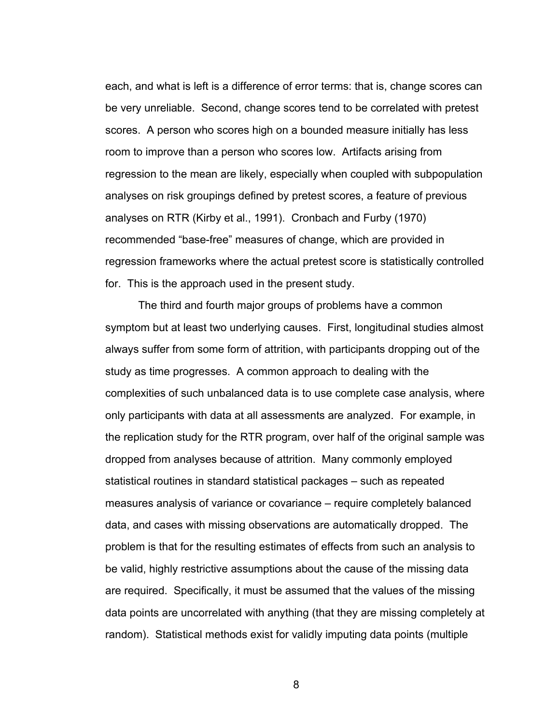each, and what is left is a difference of error terms: that is, change scores can be very unreliable. Second, change scores tend to be correlated with pretest scores. A person who scores high on a bounded measure initially has less room to improve than a person who scores low. Artifacts arising from regression to the mean are likely, especially when coupled with subpopulation analyses on risk groupings defined by pretest scores, a feature of previous analyses on RTR (Kirby et al., 1991). Cronbach and Furby (1970) recommended "base-free" measures of change, which are provided in regression frameworks where the actual pretest score is statistically controlled for. This is the approach used in the present study.

The third and fourth major groups of problems have a common symptom but at least two underlying causes. First, longitudinal studies almost always suffer from some form of attrition, with participants dropping out of the study as time progresses. A common approach to dealing with the complexities of such unbalanced data is to use complete case analysis, where only participants with data at all assessments are analyzed. For example, in the replication study for the RTR program, over half of the original sample was dropped from analyses because of attrition. Many commonly employed statistical routines in standard statistical packages – such as repeated measures analysis of variance or covariance – require completely balanced data, and cases with missing observations are automatically dropped. The problem is that for the resulting estimates of effects from such an analysis to be valid, highly restrictive assumptions about the cause of the missing data are required. Specifically, it must be assumed that the values of the missing data points are uncorrelated with anything (that they are missing completely at random). Statistical methods exist for validly imputing data points (multiple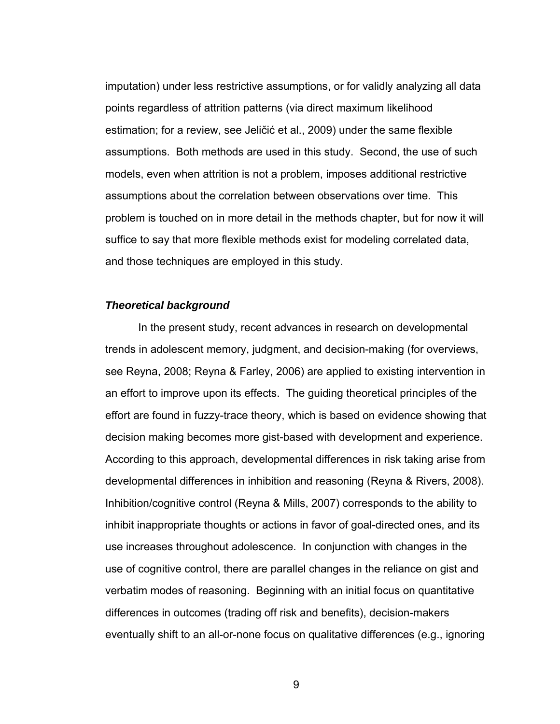imputation) under less restrictive assumptions, or for validly analyzing all data points regardless of attrition patterns (via direct maximum likelihood estimation; for a review, see Jeličić et al., 2009) under the same flexible assumptions. Both methods are used in this study. Second, the use of such models, even when attrition is not a problem, imposes additional restrictive assumptions about the correlation between observations over time. This problem is touched on in more detail in the methods chapter, but for now it will suffice to say that more flexible methods exist for modeling correlated data, and those techniques are employed in this study.

#### *Theoretical background*

In the present study, recent advances in research on developmental trends in adolescent memory, judgment, and decision-making (for overviews, see Reyna, 2008; Reyna & Farley, 2006) are applied to existing intervention in an effort to improve upon its effects. The guiding theoretical principles of the effort are found in fuzzy-trace theory, which is based on evidence showing that decision making becomes more gist-based with development and experience. According to this approach, developmental differences in risk taking arise from developmental differences in inhibition and reasoning (Reyna & Rivers, 2008). Inhibition/cognitive control (Reyna & Mills, 2007) corresponds to the ability to inhibit inappropriate thoughts or actions in favor of goal-directed ones, and its use increases throughout adolescence. In conjunction with changes in the use of cognitive control, there are parallel changes in the reliance on gist and verbatim modes of reasoning. Beginning with an initial focus on quantitative differences in outcomes (trading off risk and benefits), decision-makers eventually shift to an all-or-none focus on qualitative differences (e.g., ignoring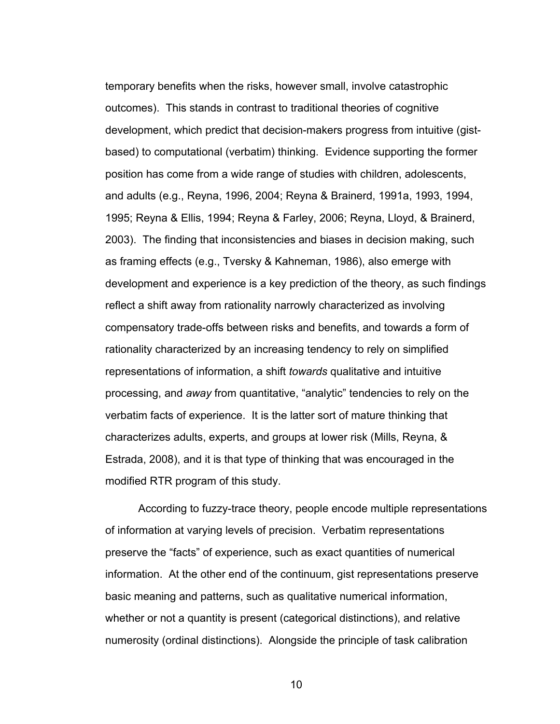temporary benefits when the risks, however small, involve catastrophic outcomes). This stands in contrast to traditional theories of cognitive development, which predict that decision-makers progress from intuitive (gistbased) to computational (verbatim) thinking. Evidence supporting the former position has come from a wide range of studies with children, adolescents, and adults (e.g., Reyna, 1996, 2004; Reyna & Brainerd, 1991a, 1993, 1994, 1995; Reyna & Ellis, 1994; Reyna & Farley, 2006; Reyna, Lloyd, & Brainerd, 2003). The finding that inconsistencies and biases in decision making, such as framing effects (e.g., Tversky & Kahneman, 1986), also emerge with development and experience is a key prediction of the theory, as such findings reflect a shift away from rationality narrowly characterized as involving compensatory trade-offs between risks and benefits, and towards a form of rationality characterized by an increasing tendency to rely on simplified representations of information, a shift *towards* qualitative and intuitive processing, and *away* from quantitative, "analytic" tendencies to rely on the verbatim facts of experience. It is the latter sort of mature thinking that characterizes adults, experts, and groups at lower risk (Mills, Reyna, & Estrada, 2008), and it is that type of thinking that was encouraged in the modified RTR program of this study.

According to fuzzy-trace theory, people encode multiple representations of information at varying levels of precision. Verbatim representations preserve the "facts" of experience, such as exact quantities of numerical information. At the other end of the continuum, gist representations preserve basic meaning and patterns, such as qualitative numerical information, whether or not a quantity is present (categorical distinctions), and relative numerosity (ordinal distinctions). Alongside the principle of task calibration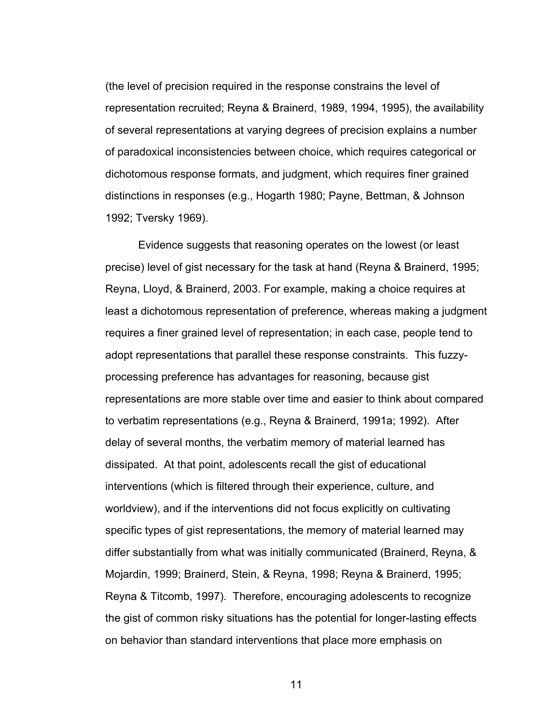(the level of precision required in the response constrains the level of representation recruited; Reyna & Brainerd, 1989, 1994, 1995), the availability of several representations at varying degrees of precision explains a number of paradoxical inconsistencies between choice, which requires categorical or dichotomous response formats, and judgment, which requires finer grained distinctions in responses (e.g., Hogarth 1980; Payne, Bettman, & Johnson 1992; Tversky 1969).

Evidence suggests that reasoning operates on the lowest (or least precise) level of gist necessary for the task at hand (Reyna & Brainerd, 1995; Reyna, Lloyd, & Brainerd, 2003. For example, making a choice requires at least a dichotomous representation of preference, whereas making a judgment requires a finer grained level of representation; in each case, people tend to adopt representations that parallel these response constraints. This fuzzyprocessing preference has advantages for reasoning, because gist representations are more stable over time and easier to think about compared to verbatim representations (e.g., Reyna & Brainerd, 1991a; 1992). After delay of several months, the verbatim memory of material learned has dissipated. At that point, adolescents recall the gist of educational interventions (which is filtered through their experience, culture, and worldview), and if the interventions did not focus explicitly on cultivating specific types of gist representations, the memory of material learned may differ substantially from what was initially communicated (Brainerd, Reyna, & Mojardin, 1999; Brainerd, Stein, & Reyna, 1998; Reyna & Brainerd, 1995; Reyna & Titcomb, 1997). Therefore, encouraging adolescents to recognize the gist of common risky situations has the potential for longer-lasting effects on behavior than standard interventions that place more emphasis on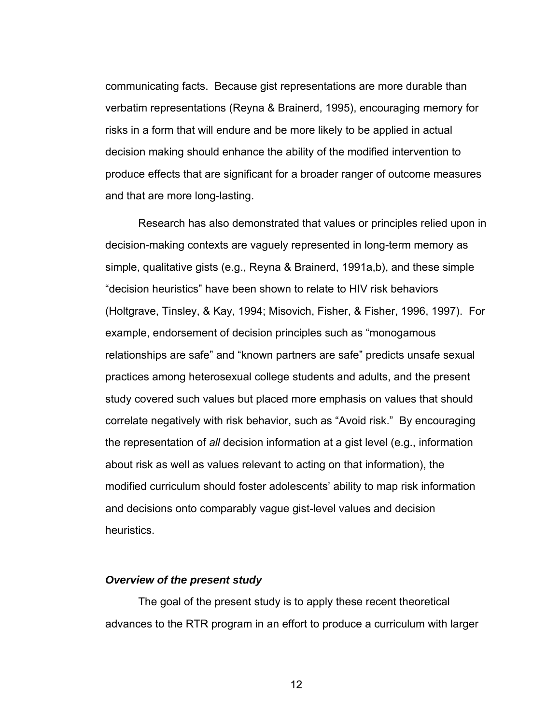communicating facts. Because gist representations are more durable than verbatim representations (Reyna & Brainerd, 1995), encouraging memory for risks in a form that will endure and be more likely to be applied in actual decision making should enhance the ability of the modified intervention to produce effects that are significant for a broader ranger of outcome measures and that are more long-lasting.

Research has also demonstrated that values or principles relied upon in decision-making contexts are vaguely represented in long-term memory as simple, qualitative gists (e.g., Reyna & Brainerd, 1991a,b), and these simple "decision heuristics" have been shown to relate to HIV risk behaviors (Holtgrave, Tinsley, & Kay, 1994; Misovich, Fisher, & Fisher, 1996, 1997). For example, endorsement of decision principles such as "monogamous relationships are safe" and "known partners are safe" predicts unsafe sexual practices among heterosexual college students and adults, and the present study covered such values but placed more emphasis on values that should correlate negatively with risk behavior, such as "Avoid risk." By encouraging the representation of *all* decision information at a gist level (e.g., information about risk as well as values relevant to acting on that information), the modified curriculum should foster adolescents' ability to map risk information and decisions onto comparably vague gist-level values and decision heuristics.

#### *Overview of the present study*

 The goal of the present study is to apply these recent theoretical advances to the RTR program in an effort to produce a curriculum with larger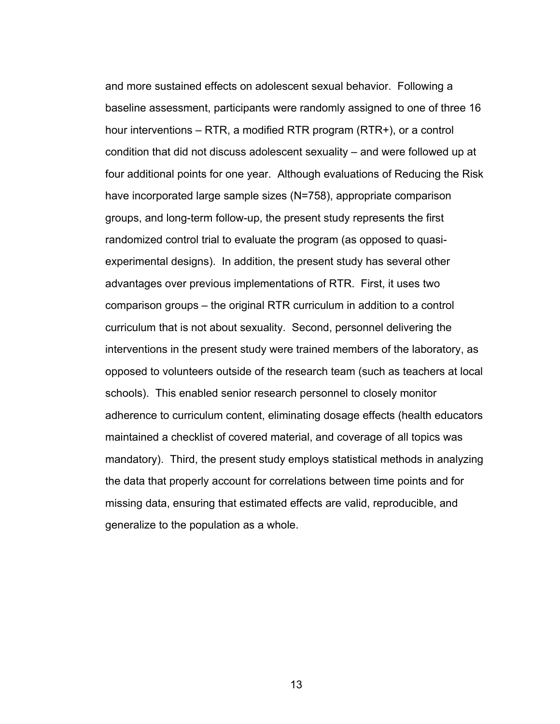and more sustained effects on adolescent sexual behavior. Following a baseline assessment, participants were randomly assigned to one of three 16 hour interventions – RTR, a modified RTR program (RTR+), or a control condition that did not discuss adolescent sexuality – and were followed up at four additional points for one year. Although evaluations of Reducing the Risk have incorporated large sample sizes (N=758), appropriate comparison groups, and long-term follow-up, the present study represents the first randomized control trial to evaluate the program (as opposed to quasiexperimental designs). In addition, the present study has several other advantages over previous implementations of RTR. First, it uses two comparison groups – the original RTR curriculum in addition to a control curriculum that is not about sexuality. Second, personnel delivering the interventions in the present study were trained members of the laboratory, as opposed to volunteers outside of the research team (such as teachers at local schools). This enabled senior research personnel to closely monitor adherence to curriculum content, eliminating dosage effects (health educators maintained a checklist of covered material, and coverage of all topics was mandatory). Third, the present study employs statistical methods in analyzing the data that properly account for correlations between time points and for missing data, ensuring that estimated effects are valid, reproducible, and generalize to the population as a whole.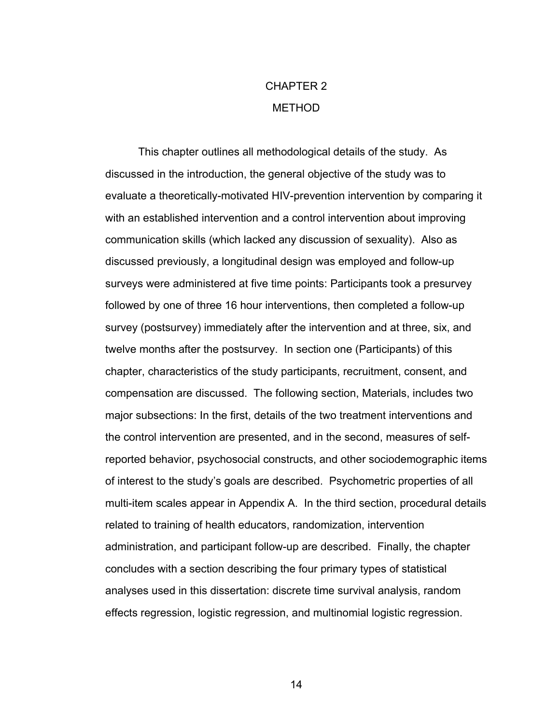## CHAPTER 2 METHOD

This chapter outlines all methodological details of the study. As discussed in the introduction, the general objective of the study was to evaluate a theoretically-motivated HIV-prevention intervention by comparing it with an established intervention and a control intervention about improving communication skills (which lacked any discussion of sexuality). Also as discussed previously, a longitudinal design was employed and follow-up surveys were administered at five time points: Participants took a presurvey followed by one of three 16 hour interventions, then completed a follow-up survey (postsurvey) immediately after the intervention and at three, six, and twelve months after the postsurvey. In section one (Participants) of this chapter, characteristics of the study participants, recruitment, consent, and compensation are discussed. The following section, Materials, includes two major subsections: In the first, details of the two treatment interventions and the control intervention are presented, and in the second, measures of selfreported behavior, psychosocial constructs, and other sociodemographic items of interest to the study's goals are described. Psychometric properties of all multi-item scales appear in Appendix A. In the third section, procedural details related to training of health educators, randomization, intervention administration, and participant follow-up are described. Finally, the chapter concludes with a section describing the four primary types of statistical analyses used in this dissertation: discrete time survival analysis, random effects regression, logistic regression, and multinomial logistic regression.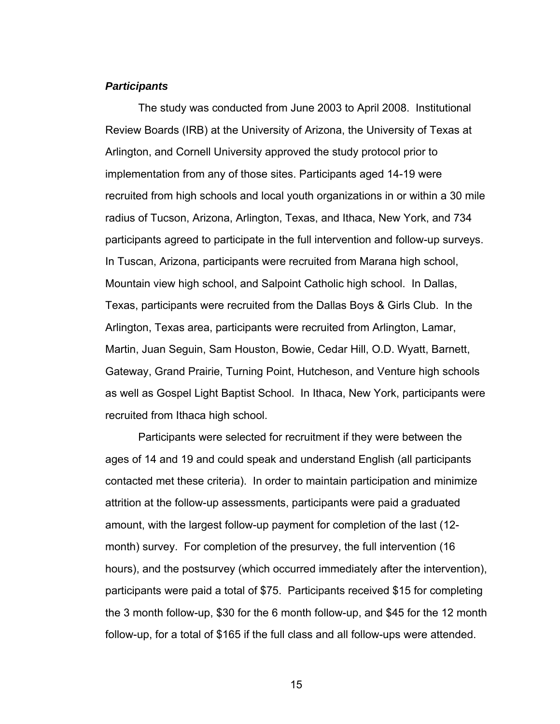### *Participants*

 The study was conducted from June 2003 to April 2008. Institutional Review Boards (IRB) at the University of Arizona, the University of Texas at Arlington, and Cornell University approved the study protocol prior to implementation from any of those sites. Participants aged 14-19 were recruited from high schools and local youth organizations in or within a 30 mile radius of Tucson, Arizona, Arlington, Texas, and Ithaca, New York, and 734 participants agreed to participate in the full intervention and follow-up surveys. In Tuscan, Arizona, participants were recruited from Marana high school, Mountain view high school, and Salpoint Catholic high school. In Dallas, Texas, participants were recruited from the Dallas Boys & Girls Club. In the Arlington, Texas area, participants were recruited from Arlington, Lamar, Martin, Juan Seguin, Sam Houston, Bowie, Cedar Hill, O.D. Wyatt, Barnett, Gateway, Grand Prairie, Turning Point, Hutcheson, and Venture high schools as well as Gospel Light Baptist School. In Ithaca, New York, participants were recruited from Ithaca high school.

Participants were selected for recruitment if they were between the ages of 14 and 19 and could speak and understand English (all participants contacted met these criteria). In order to maintain participation and minimize attrition at the follow-up assessments, participants were paid a graduated amount, with the largest follow-up payment for completion of the last (12 month) survey. For completion of the presurvey, the full intervention (16 hours), and the postsurvey (which occurred immediately after the intervention), participants were paid a total of \$75. Participants received \$15 for completing the 3 month follow-up, \$30 for the 6 month follow-up, and \$45 for the 12 month follow-up, for a total of \$165 if the full class and all follow-ups were attended.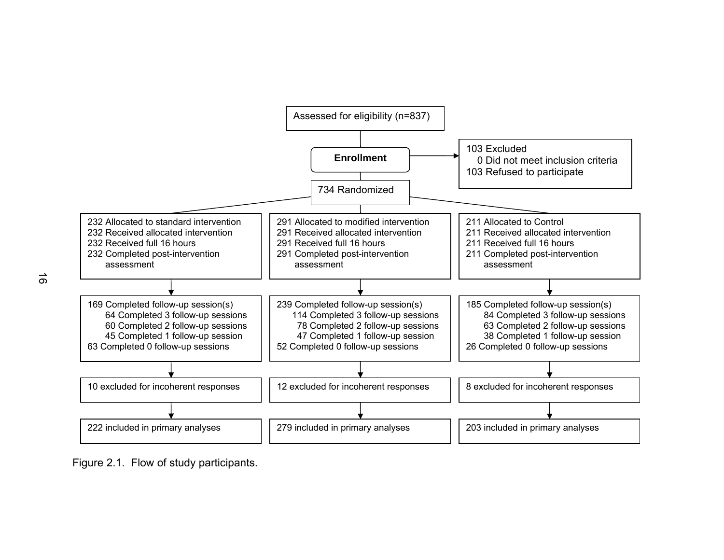

Figure 2.1. Flow of study participants.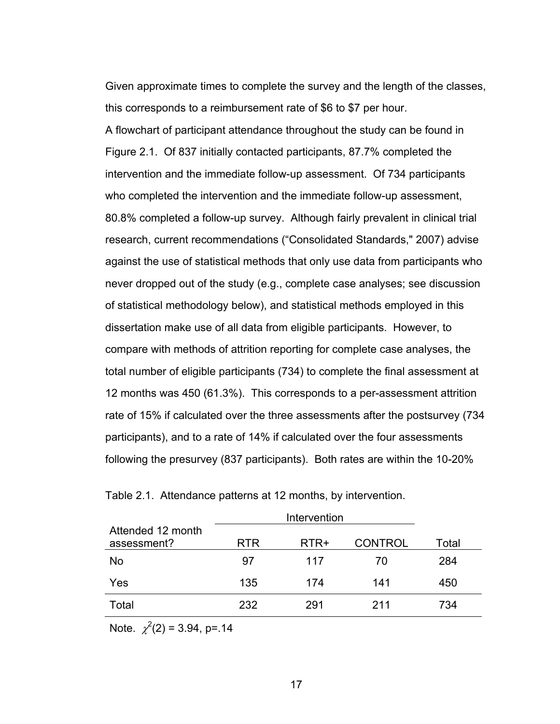Given approximate times to complete the survey and the length of the classes, this corresponds to a reimbursement rate of \$6 to \$7 per hour. A flowchart of participant attendance throughout the study can be found in Figure 2.1. Of 837 initially contacted participants, 87.7% completed the intervention and the immediate follow-up assessment. Of 734 participants who completed the intervention and the immediate follow-up assessment, 80.8% completed a follow-up survey. Although fairly prevalent in clinical trial research, current recommendations ("Consolidated Standards," 2007) advise against the use of statistical methods that only use data from participants who never dropped out of the study (e.g., complete case analyses; see discussion of statistical methodology below), and statistical methods employed in this dissertation make use of all data from eligible participants. However, to compare with methods of attrition reporting for complete case analyses, the total number of eligible participants (734) to complete the final assessment at 12 months was 450 (61.3%). This corresponds to a per-assessment attrition rate of 15% if calculated over the three assessments after the postsurvey (734 participants), and to a rate of 14% if calculated over the four assessments following the presurvey (837 participants). Both rates are within the 10-20%

| Attended 12 month<br>assessment? | <b>RTR</b> | RTR+ | <b>CONTROL</b> | Total |
|----------------------------------|------------|------|----------------|-------|
| No                               | 97         | 117  | 70             | 284   |
| Yes                              | 135        | 174  | 141            | 450   |
| Total                            | 232        | 291  | 211            | 734   |

Table 2.1. Attendance patterns at 12 months, by intervention.

Note.  $\chi^2(2) = 3.94$ , p=.14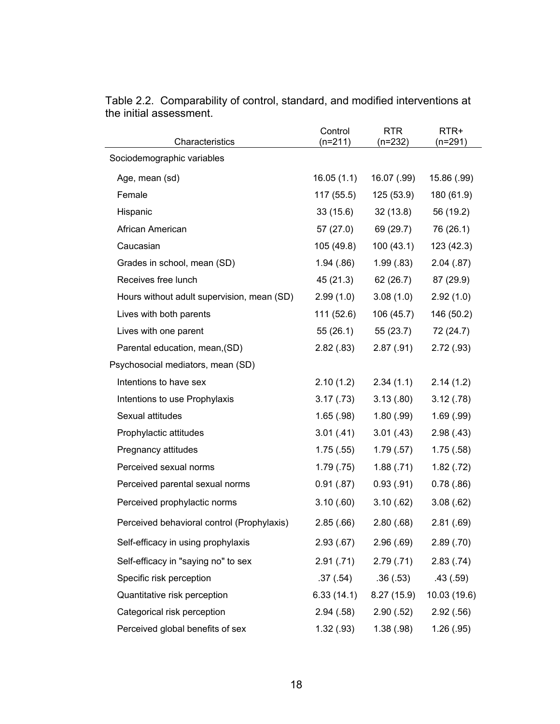| Characteristics                            | Control<br>$(n=211)$ | <b>RTR</b><br>$(n=232)$ | RTR+<br>$(n=291)$ |
|--------------------------------------------|----------------------|-------------------------|-------------------|
| Sociodemographic variables                 |                      |                         |                   |
| Age, mean (sd)                             | 16.05(1.1)           | 16.07 (.99)             | 15.86 (.99)       |
| Female                                     | 117 (55.5)           | 125(53.9)               | 180 (61.9)        |
| Hispanic                                   | 33(15.6)             | 32 (13.8)               | 56 (19.2)         |
| African American                           | 57 (27.0)            | 69 (29.7)               | 76 (26.1)         |
| Caucasian                                  | 105 (49.8)           | 100(43.1)               | 123 (42.3)        |
| Grades in school, mean (SD)                | 1.94(.86)            | 1.99(.83)               | 2.04(.87)         |
| Receives free lunch                        | 45 (21.3)            | 62 (26.7)               | 87 (29.9)         |
| Hours without adult supervision, mean (SD) | 2.99(1.0)            | 3.08(1.0)               | 2.92(1.0)         |
| Lives with both parents                    | 111 (52.6)           | 106 (45.7)              | 146 (50.2)        |
| Lives with one parent                      | 55 (26.1)            | 55 (23.7)               | 72 (24.7)         |
| Parental education, mean, (SD)             | 2.82(.83)            | 2.87(.91)               | 2.72(.93)         |
| Psychosocial mediators, mean (SD)          |                      |                         |                   |
| Intentions to have sex                     | 2.10(1.2)            | 2.34(1.1)               | 2.14(1.2)         |
| Intentions to use Prophylaxis              | 3.17(0.73)           | 3.13(.80)               | 3.12(.78)         |
| Sexual attitudes                           | 1.65(.98)            | 1.80(.99)               | 1.69(.99)         |
| Prophylactic attitudes                     | 3.01(.41)            | 3.01(.43)               | 2.98(.43)         |
| Pregnancy attitudes                        | 1.75(.55)            | 1.79(.57)               | 1.75(.58)         |
| Perceived sexual norms                     | 1.79(.75)            | 1.88(.71)               | 1.82(.72)         |
| Perceived parental sexual norms            | 0.91(.87)            | 0.93(.91)               | 0.78(.86)         |
| Perceived prophylactic norms               | 3.10(.60)            | 3.10(.62)               | 3.08(.62)         |
| Perceived behavioral control (Prophylaxis) | 2.85(.66)            | 2.80(.68)               | 2.81(.69)         |
| Self-efficacy in using prophylaxis         | 2.93(.67)            | 2.96(.69)               | 2.89(.70)         |
| Self-efficacy in "saying no" to sex        | 2.91(.71)            | 2.79(.71)               | 2.83(.74)         |
| Specific risk perception                   | .37(.54)             | .36(.53)                | .43(.59)          |
| Quantitative risk perception               | 6.33(14.1)           | 8.27(15.9)              | 10.03 (19.6)      |
| Categorical risk perception                | 2.94(.58)            | 2.90(.52)               | 2.92(.56)         |
| Perceived global benefits of sex           | 1.32(.93)            | 1.38(.98)               | 1.26(.95)         |

Table 2.2. Comparability of control, standard, and modified interventions at the initial assessment.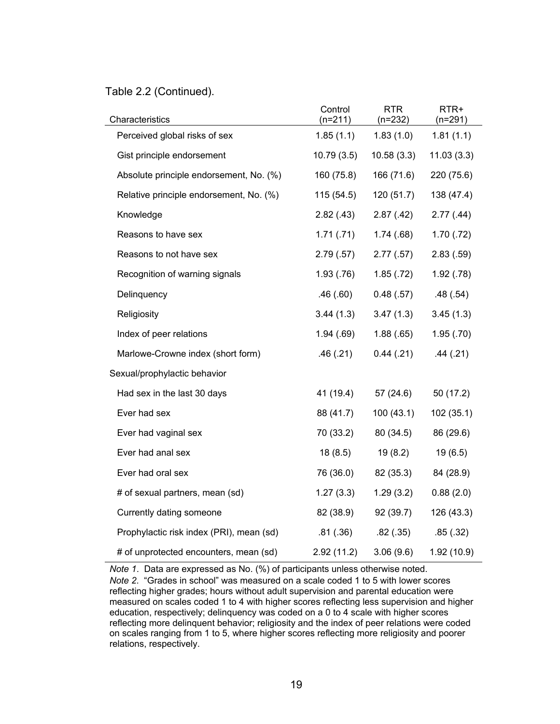### Table 2.2 (Continued).

| Characteristics                          | Control<br>$(n=211)$ | <b>RTR</b><br>$(n=232)$ | RTR+<br>$(n=291)$ |
|------------------------------------------|----------------------|-------------------------|-------------------|
| Perceived global risks of sex            | 1.85(1.1)            | 1.83(1.0)               | 1.81(1.1)         |
| Gist principle endorsement               | 10.79(3.5)           | 10.58(3.3)              | 11.03(3.3)        |
| Absolute principle endorsement, No. (%)  | 160 (75.8)           | 166 (71.6)              | 220 (75.6)        |
| Relative principle endorsement, No. (%)  | 115(54.5)            | 120(51.7)               | 138 (47.4)        |
| Knowledge                                | 2.82(.43)            | 2.87(.42)               | 2.77(.44)         |
| Reasons to have sex                      | 1.71(.71)            | 1.74(.68)               | 1.70(.72)         |
| Reasons to not have sex                  | 2.79(.57)            | 2.77(.57)               | 2.83(.59)         |
| Recognition of warning signals           | 1.93(.76)            | 1.85(.72)               | 1.92(.78)         |
| Delinquency                              | .46(.60)             | 0.48(.57)               | .48(.54)          |
| Religiosity                              | 3.44(1.3)            | 3.47(1.3)               | 3.45(1.3)         |
| Index of peer relations                  | 1.94(.69)            | 1.88(.65)               | 1.95(.70)         |
| Marlowe-Crowne index (short form)        | .46(.21)             | 0.44(.21)               | .44(.21)          |
| Sexual/prophylactic behavior             |                      |                         |                   |
| Had sex in the last 30 days              | 41 (19.4)            | 57(24.6)                | 50 (17.2)         |
| Ever had sex                             | 88 (41.7)            | 100(43.1)               | 102(35.1)         |
| Ever had vaginal sex                     | 70 (33.2)            | 80 (34.5)               | 86 (29.6)         |
| Ever had anal sex                        | 18(8.5)              | 19(8.2)                 | 19(6.5)           |
| Ever had oral sex                        | 76 (36.0)            | 82 (35.3)               | 84 (28.9)         |
| # of sexual partners, mean (sd)          | 1.27(3.3)            | 1.29(3.2)               | 0.88(2.0)         |
| Currently dating someone                 | 82 (38.9)            | 92 (39.7)               | 126 (43.3)        |
| Prophylactic risk index (PRI), mean (sd) | .81(.36)             | .82(.35)                | .85(.32)          |
| # of unprotected encounters, mean (sd)   | 2.92(11.2)           | 3.06(9.6)               | 1.92(10.9)        |

*Note 1*. Data are expressed as No. (%) of participants unless otherwise noted. *Note 2*. "Grades in school" was measured on a scale coded 1 to 5 with lower scores reflecting higher grades; hours without adult supervision and parental education were measured on scales coded 1 to 4 with higher scores reflecting less supervision and higher education, respectively; delinquency was coded on a 0 to 4 scale with higher scores reflecting more delinquent behavior; religiosity and the index of peer relations were coded on scales ranging from 1 to 5, where higher scores reflecting more religiosity and poorer relations, respectively.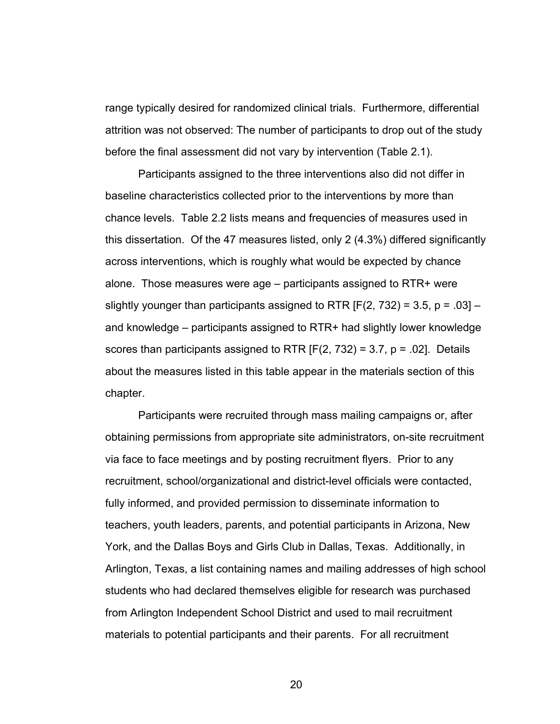range typically desired for randomized clinical trials. Furthermore, differential attrition was not observed: The number of participants to drop out of the study before the final assessment did not vary by intervention (Table 2.1).

Participants assigned to the three interventions also did not differ in baseline characteristics collected prior to the interventions by more than chance levels. Table 2.2 lists means and frequencies of measures used in this dissertation. Of the 47 measures listed, only 2 (4.3%) differed significantly across interventions, which is roughly what would be expected by chance alone. Those measures were age – participants assigned to RTR+ were slightly younger than participants assigned to RTR  $[F(2, 732) = 3.5, p = .03]$  – and knowledge – participants assigned to RTR+ had slightly lower knowledge scores than participants assigned to RTR  $[F(2, 732) = 3.7, p = .02]$ . Details about the measures listed in this table appear in the materials section of this chapter.

Participants were recruited through mass mailing campaigns or, after obtaining permissions from appropriate site administrators, on-site recruitment via face to face meetings and by posting recruitment flyers. Prior to any recruitment, school/organizational and district-level officials were contacted, fully informed, and provided permission to disseminate information to teachers, youth leaders, parents, and potential participants in Arizona, New York, and the Dallas Boys and Girls Club in Dallas, Texas. Additionally, in Arlington, Texas, a list containing names and mailing addresses of high school students who had declared themselves eligible for research was purchased from Arlington Independent School District and used to mail recruitment materials to potential participants and their parents. For all recruitment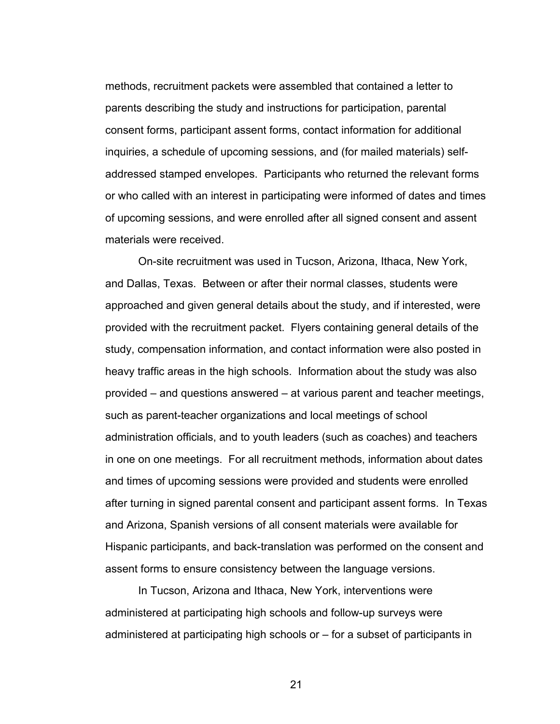methods, recruitment packets were assembled that contained a letter to parents describing the study and instructions for participation, parental consent forms, participant assent forms, contact information for additional inquiries, a schedule of upcoming sessions, and (for mailed materials) selfaddressed stamped envelopes. Participants who returned the relevant forms or who called with an interest in participating were informed of dates and times of upcoming sessions, and were enrolled after all signed consent and assent materials were received.

On-site recruitment was used in Tucson, Arizona, Ithaca, New York, and Dallas, Texas. Between or after their normal classes, students were approached and given general details about the study, and if interested, were provided with the recruitment packet. Flyers containing general details of the study, compensation information, and contact information were also posted in heavy traffic areas in the high schools. Information about the study was also provided – and questions answered – at various parent and teacher meetings, such as parent-teacher organizations and local meetings of school administration officials, and to youth leaders (such as coaches) and teachers in one on one meetings. For all recruitment methods, information about dates and times of upcoming sessions were provided and students were enrolled after turning in signed parental consent and participant assent forms. In Texas and Arizona, Spanish versions of all consent materials were available for Hispanic participants, and back-translation was performed on the consent and assent forms to ensure consistency between the language versions.

In Tucson, Arizona and Ithaca, New York, interventions were administered at participating high schools and follow-up surveys were administered at participating high schools or – for a subset of participants in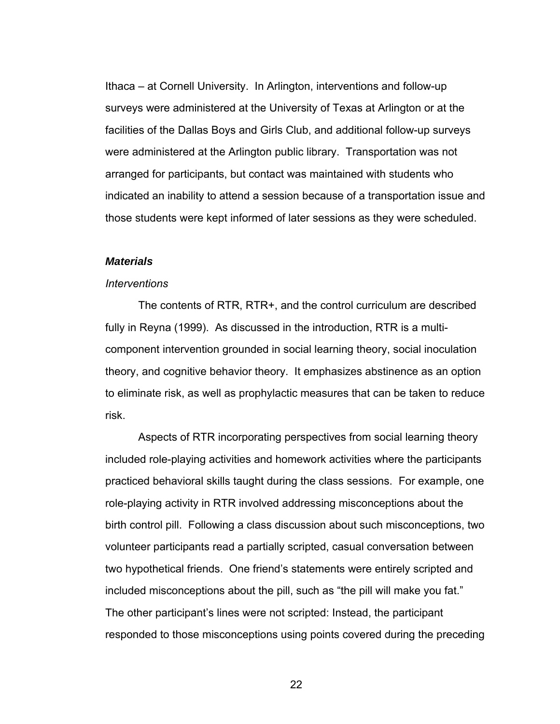Ithaca – at Cornell University. In Arlington, interventions and follow-up surveys were administered at the University of Texas at Arlington or at the facilities of the Dallas Boys and Girls Club, and additional follow-up surveys were administered at the Arlington public library. Transportation was not arranged for participants, but contact was maintained with students who indicated an inability to attend a session because of a transportation issue and those students were kept informed of later sessions as they were scheduled.

# *Materials*

## *Interventions*

 The contents of RTR, RTR+, and the control curriculum are described fully in Reyna (1999). As discussed in the introduction, RTR is a multicomponent intervention grounded in social learning theory, social inoculation theory, and cognitive behavior theory. It emphasizes abstinence as an option to eliminate risk, as well as prophylactic measures that can be taken to reduce risk.

Aspects of RTR incorporating perspectives from social learning theory included role-playing activities and homework activities where the participants practiced behavioral skills taught during the class sessions. For example, one role-playing activity in RTR involved addressing misconceptions about the birth control pill. Following a class discussion about such misconceptions, two volunteer participants read a partially scripted, casual conversation between two hypothetical friends. One friend's statements were entirely scripted and included misconceptions about the pill, such as "the pill will make you fat." The other participant's lines were not scripted: Instead, the participant responded to those misconceptions using points covered during the preceding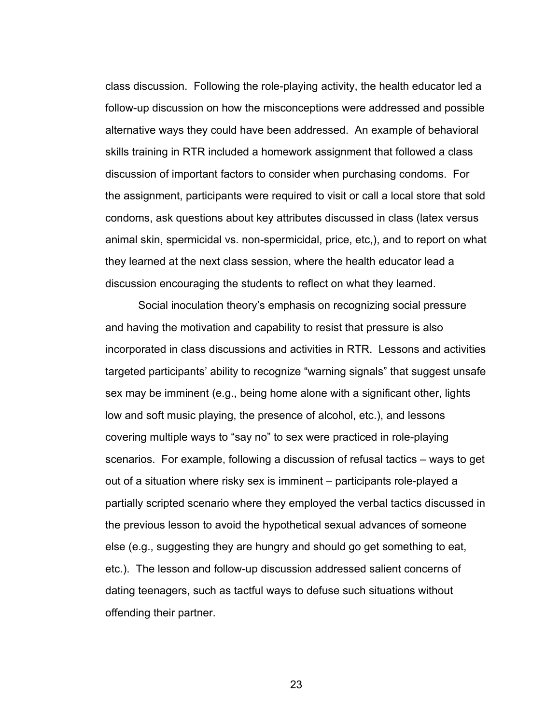class discussion. Following the role-playing activity, the health educator led a follow-up discussion on how the misconceptions were addressed and possible alternative ways they could have been addressed. An example of behavioral skills training in RTR included a homework assignment that followed a class discussion of important factors to consider when purchasing condoms. For the assignment, participants were required to visit or call a local store that sold condoms, ask questions about key attributes discussed in class (latex versus animal skin, spermicidal vs. non-spermicidal, price, etc,), and to report on what they learned at the next class session, where the health educator lead a discussion encouraging the students to reflect on what they learned.

Social inoculation theory's emphasis on recognizing social pressure and having the motivation and capability to resist that pressure is also incorporated in class discussions and activities in RTR. Lessons and activities targeted participants' ability to recognize "warning signals" that suggest unsafe sex may be imminent (e.g., being home alone with a significant other, lights low and soft music playing, the presence of alcohol, etc.), and lessons covering multiple ways to "say no" to sex were practiced in role-playing scenarios. For example, following a discussion of refusal tactics – ways to get out of a situation where risky sex is imminent – participants role-played a partially scripted scenario where they employed the verbal tactics discussed in the previous lesson to avoid the hypothetical sexual advances of someone else (e.g., suggesting they are hungry and should go get something to eat, etc.). The lesson and follow-up discussion addressed salient concerns of dating teenagers, such as tactful ways to defuse such situations without offending their partner.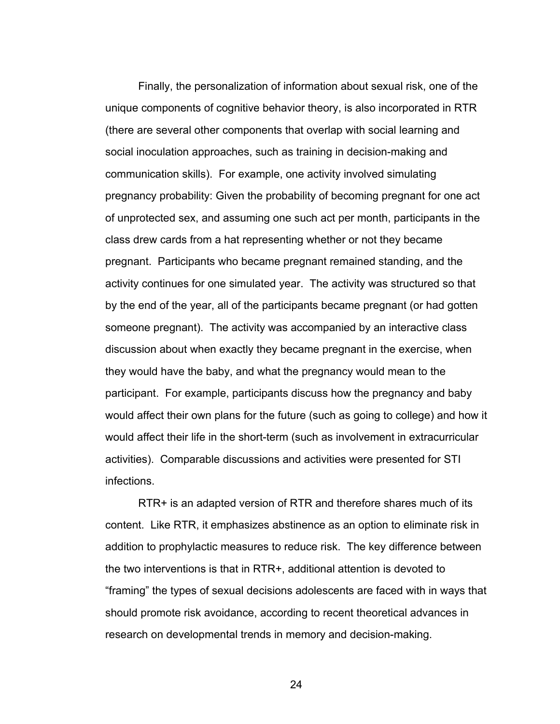Finally, the personalization of information about sexual risk, one of the unique components of cognitive behavior theory, is also incorporated in RTR (there are several other components that overlap with social learning and social inoculation approaches, such as training in decision-making and communication skills). For example, one activity involved simulating pregnancy probability: Given the probability of becoming pregnant for one act of unprotected sex, and assuming one such act per month, participants in the class drew cards from a hat representing whether or not they became pregnant. Participants who became pregnant remained standing, and the activity continues for one simulated year. The activity was structured so that by the end of the year, all of the participants became pregnant (or had gotten someone pregnant). The activity was accompanied by an interactive class discussion about when exactly they became pregnant in the exercise, when they would have the baby, and what the pregnancy would mean to the participant. For example, participants discuss how the pregnancy and baby would affect their own plans for the future (such as going to college) and how it would affect their life in the short-term (such as involvement in extracurricular activities). Comparable discussions and activities were presented for STI infections.

RTR+ is an adapted version of RTR and therefore shares much of its content. Like RTR, it emphasizes abstinence as an option to eliminate risk in addition to prophylactic measures to reduce risk. The key difference between the two interventions is that in RTR+, additional attention is devoted to "framing" the types of sexual decisions adolescents are faced with in ways that should promote risk avoidance, according to recent theoretical advances in research on developmental trends in memory and decision-making.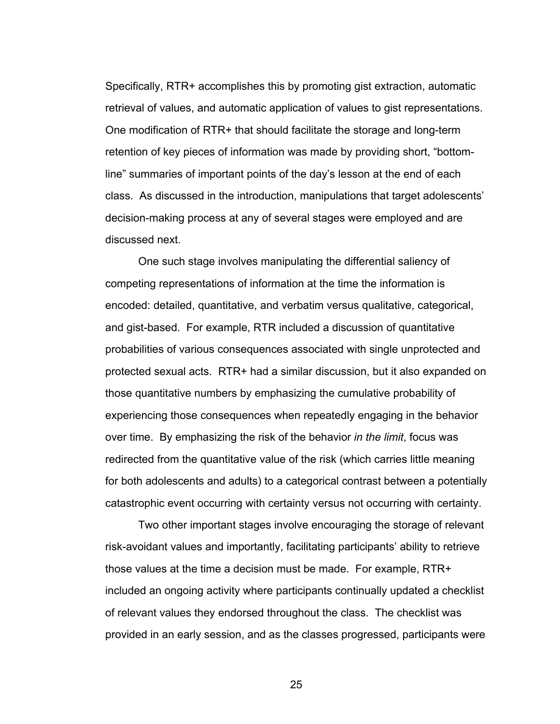Specifically, RTR+ accomplishes this by promoting gist extraction, automatic retrieval of values, and automatic application of values to gist representations. One modification of RTR+ that should facilitate the storage and long-term retention of key pieces of information was made by providing short, "bottomline" summaries of important points of the day's lesson at the end of each class. As discussed in the introduction, manipulations that target adolescents' decision-making process at any of several stages were employed and are discussed next.

One such stage involves manipulating the differential saliency of competing representations of information at the time the information is encoded: detailed, quantitative, and verbatim versus qualitative, categorical, and gist-based. For example, RTR included a discussion of quantitative probabilities of various consequences associated with single unprotected and protected sexual acts. RTR+ had a similar discussion, but it also expanded on those quantitative numbers by emphasizing the cumulative probability of experiencing those consequences when repeatedly engaging in the behavior over time. By emphasizing the risk of the behavior *in the limit*, focus was redirected from the quantitative value of the risk (which carries little meaning for both adolescents and adults) to a categorical contrast between a potentially catastrophic event occurring with certainty versus not occurring with certainty.

Two other important stages involve encouraging the storage of relevant risk-avoidant values and importantly, facilitating participants' ability to retrieve those values at the time a decision must be made. For example, RTR+ included an ongoing activity where participants continually updated a checklist of relevant values they endorsed throughout the class. The checklist was provided in an early session, and as the classes progressed, participants were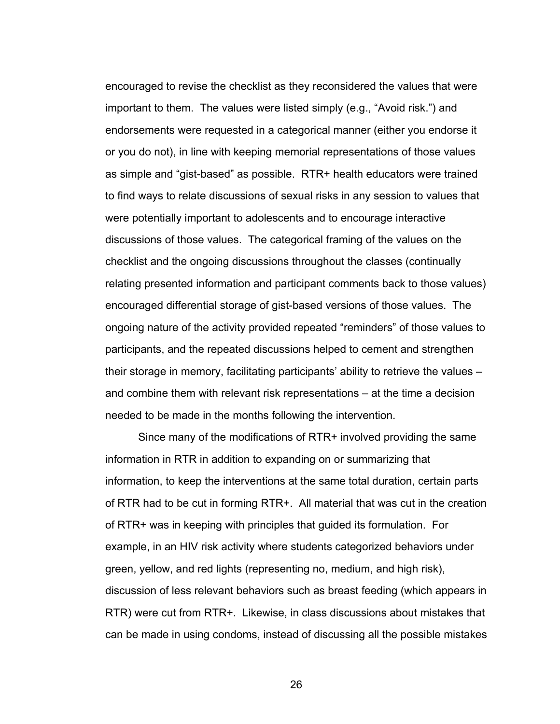encouraged to revise the checklist as they reconsidered the values that were important to them. The values were listed simply (e.g., "Avoid risk.") and endorsements were requested in a categorical manner (either you endorse it or you do not), in line with keeping memorial representations of those values as simple and "gist-based" as possible. RTR+ health educators were trained to find ways to relate discussions of sexual risks in any session to values that were potentially important to adolescents and to encourage interactive discussions of those values. The categorical framing of the values on the checklist and the ongoing discussions throughout the classes (continually relating presented information and participant comments back to those values) encouraged differential storage of gist-based versions of those values. The ongoing nature of the activity provided repeated "reminders" of those values to participants, and the repeated discussions helped to cement and strengthen their storage in memory, facilitating participants' ability to retrieve the values – and combine them with relevant risk representations – at the time a decision needed to be made in the months following the intervention.

Since many of the modifications of RTR+ involved providing the same information in RTR in addition to expanding on or summarizing that information, to keep the interventions at the same total duration, certain parts of RTR had to be cut in forming RTR+. All material that was cut in the creation of RTR+ was in keeping with principles that guided its formulation. For example, in an HIV risk activity where students categorized behaviors under green, yellow, and red lights (representing no, medium, and high risk), discussion of less relevant behaviors such as breast feeding (which appears in RTR) were cut from RTR+. Likewise, in class discussions about mistakes that can be made in using condoms, instead of discussing all the possible mistakes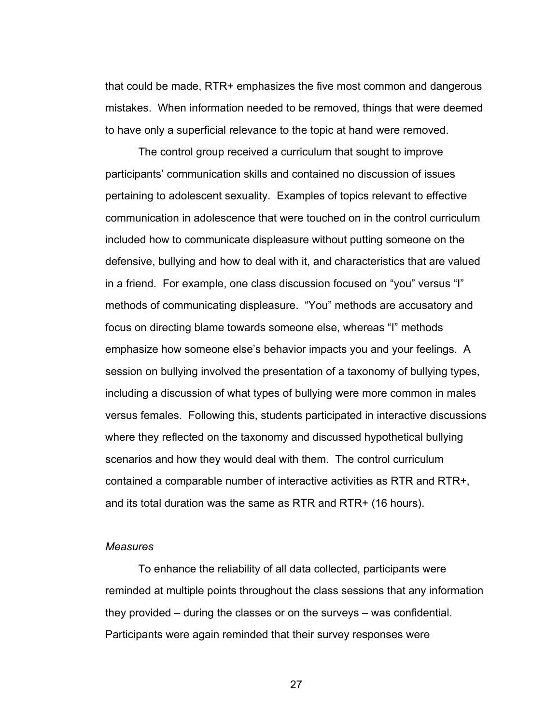that could be made, RTR+ emphasizes the five most common and dangerous mistakes. When information needed to be removed, things that were deemed to have only a superficial relevance to the topic at hand were removed.

The control group received a curriculum that sought to improve participants' communication skills and contained no discussion of issues pertaining to adolescent sexuality. Examples of topics relevant to effective communication in adolescence that were touched on in the control curriculum included how to communicate displeasure without putting someone on the defensive, bullying and how to deal with it, and characteristics that are valued in a friend. For example, one class discussion focused on "you" versus "I" methods of communicating displeasure. "You" methods are accusatory and focus on directing blame towards someone else, whereas "I" methods emphasize how someone else's behavior impacts you and your feelings. A session on bullying involved the presentation of a taxonomy of bullying types, including a discussion of what types of bullying were more common in males versus females. Following this, students participated in interactive discussions where they reflected on the taxonomy and discussed hypothetical bullying scenarios and how they would deal with them. The control curriculum contained a comparable number of interactive activities as RTR and RTR+, and its total duration was the same as RTR and RTR+ (16 hours).

## *Measures*

 To enhance the reliability of all data collected, participants were reminded at multiple points throughout the class sessions that any information they provided – during the classes or on the surveys – was confidential. Participants were again reminded that their survey responses were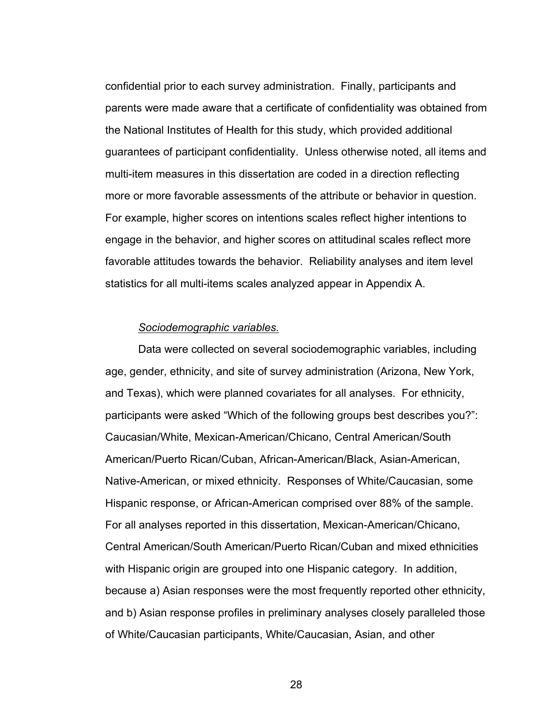confidential prior to each survey administration. Finally, participants and parents were made aware that a certificate of confidentiality was obtained from the National Institutes of Health for this study, which provided additional guarantees of participant confidentiality. Unless otherwise noted, all items and multi-item measures in this dissertation are coded in a direction reflecting more or more favorable assessments of the attribute or behavior in question. For example, higher scores on intentions scales reflect higher intentions to engage in the behavior, and higher scores on attitudinal scales reflect more favorable attitudes towards the behavior. Reliability analyses and item level statistics for all multi-items scales analyzed appear in Appendix A.

## *Sociodemographic variables.*

Data were collected on several sociodemographic variables, including age, gender, ethnicity, and site of survey administration (Arizona, New York, and Texas), which were planned covariates for all analyses. For ethnicity, participants were asked "Which of the following groups best describes you?": Caucasian/White, Mexican-American/Chicano, Central American/South American/Puerto Rican/Cuban, African-American/Black, Asian-American, Native-American, or mixed ethnicity. Responses of White/Caucasian, some Hispanic response, or African-American comprised over 88% of the sample. For all analyses reported in this dissertation, Mexican-American/Chicano, Central American/South American/Puerto Rican/Cuban and mixed ethnicities with Hispanic origin are grouped into one Hispanic category. In addition, because a) Asian responses were the most frequently reported other ethnicity, and b) Asian response profiles in preliminary analyses closely paralleled those of White/Caucasian participants, White/Caucasian, Asian, and other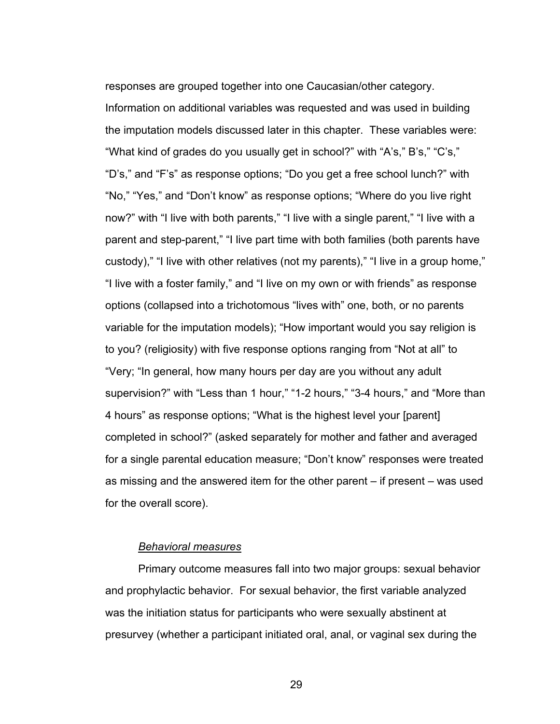responses are grouped together into one Caucasian/other category. Information on additional variables was requested and was used in building the imputation models discussed later in this chapter. These variables were: "What kind of grades do you usually get in school?" with "A's," B's," "C's," "D's," and "F's" as response options; "Do you get a free school lunch?" with "No," "Yes," and "Don't know" as response options; "Where do you live right now?" with "I live with both parents," "I live with a single parent," "I live with a parent and step-parent," "I live part time with both families (both parents have custody)," "I live with other relatives (not my parents)," "I live in a group home," "I live with a foster family," and "I live on my own or with friends" as response options (collapsed into a trichotomous "lives with" one, both, or no parents variable for the imputation models); "How important would you say religion is to you? (religiosity) with five response options ranging from "Not at all" to "Very; "In general, how many hours per day are you without any adult supervision?" with "Less than 1 hour," "1-2 hours," "3-4 hours," and "More than 4 hours" as response options; "What is the highest level your [parent] completed in school?" (asked separately for mother and father and averaged for a single parental education measure; "Don't know" responses were treated as missing and the answered item for the other parent – if present – was used for the overall score).

# *Behavioral measures*

Primary outcome measures fall into two major groups: sexual behavior and prophylactic behavior. For sexual behavior, the first variable analyzed was the initiation status for participants who were sexually abstinent at presurvey (whether a participant initiated oral, anal, or vaginal sex during the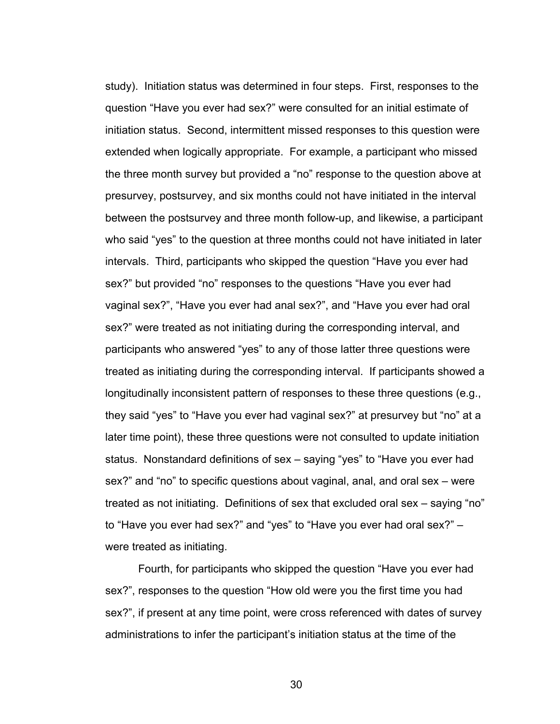study). Initiation status was determined in four steps. First, responses to the question "Have you ever had sex?" were consulted for an initial estimate of initiation status. Second, intermittent missed responses to this question were extended when logically appropriate. For example, a participant who missed the three month survey but provided a "no" response to the question above at presurvey, postsurvey, and six months could not have initiated in the interval between the postsurvey and three month follow-up, and likewise, a participant who said "yes" to the question at three months could not have initiated in later intervals. Third, participants who skipped the question "Have you ever had sex?" but provided "no" responses to the questions "Have you ever had vaginal sex?", "Have you ever had anal sex?", and "Have you ever had oral sex?" were treated as not initiating during the corresponding interval, and participants who answered "yes" to any of those latter three questions were treated as initiating during the corresponding interval. If participants showed a longitudinally inconsistent pattern of responses to these three questions (e.g., they said "yes" to "Have you ever had vaginal sex?" at presurvey but "no" at a later time point), these three questions were not consulted to update initiation status. Nonstandard definitions of sex – saying "yes" to "Have you ever had sex?" and "no" to specific questions about vaginal, anal, and oral sex – were treated as not initiating. Definitions of sex that excluded oral sex – saying "no" to "Have you ever had sex?" and "yes" to "Have you ever had oral sex?" – were treated as initiating.

Fourth, for participants who skipped the question "Have you ever had sex?", responses to the question "How old were you the first time you had sex?", if present at any time point, were cross referenced with dates of survey administrations to infer the participant's initiation status at the time of the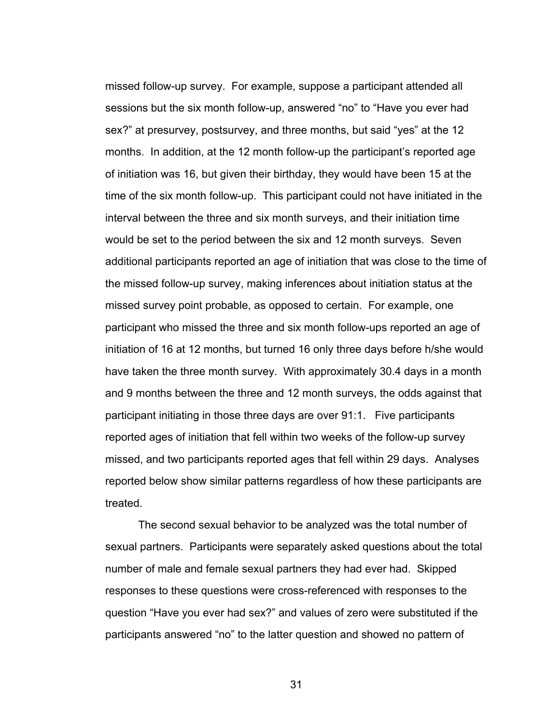missed follow-up survey. For example, suppose a participant attended all sessions but the six month follow-up, answered "no" to "Have you ever had sex?" at presurvey, postsurvey, and three months, but said "yes" at the 12 months. In addition, at the 12 month follow-up the participant's reported age of initiation was 16, but given their birthday, they would have been 15 at the time of the six month follow-up. This participant could not have initiated in the interval between the three and six month surveys, and their initiation time would be set to the period between the six and 12 month surveys. Seven additional participants reported an age of initiation that was close to the time of the missed follow-up survey, making inferences about initiation status at the missed survey point probable, as opposed to certain. For example, one participant who missed the three and six month follow-ups reported an age of initiation of 16 at 12 months, but turned 16 only three days before h/she would have taken the three month survey. With approximately 30.4 days in a month and 9 months between the three and 12 month surveys, the odds against that participant initiating in those three days are over 91:1. Five participants reported ages of initiation that fell within two weeks of the follow-up survey missed, and two participants reported ages that fell within 29 days. Analyses reported below show similar patterns regardless of how these participants are treated.

The second sexual behavior to be analyzed was the total number of sexual partners. Participants were separately asked questions about the total number of male and female sexual partners they had ever had. Skipped responses to these questions were cross-referenced with responses to the question "Have you ever had sex?" and values of zero were substituted if the participants answered "no" to the latter question and showed no pattern of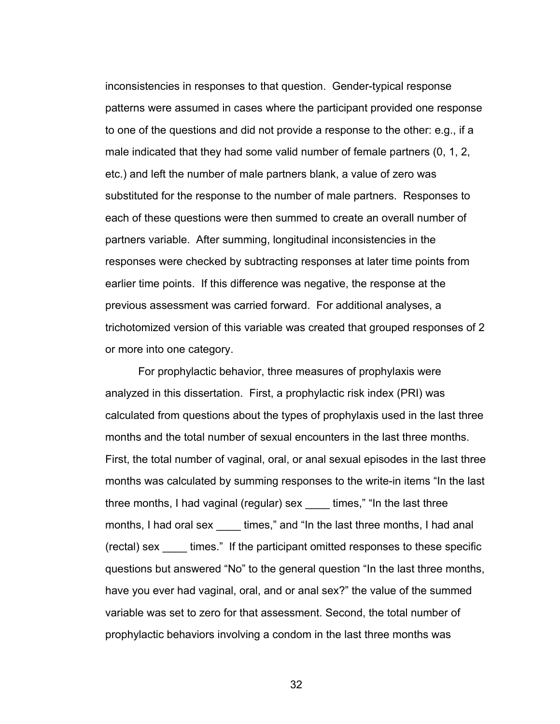inconsistencies in responses to that question. Gender-typical response patterns were assumed in cases where the participant provided one response to one of the questions and did not provide a response to the other: e.g., if a male indicated that they had some valid number of female partners (0, 1, 2, etc.) and left the number of male partners blank, a value of zero was substituted for the response to the number of male partners. Responses to each of these questions were then summed to create an overall number of partners variable. After summing, longitudinal inconsistencies in the responses were checked by subtracting responses at later time points from earlier time points. If this difference was negative, the response at the previous assessment was carried forward. For additional analyses, a trichotomized version of this variable was created that grouped responses of 2 or more into one category.

For prophylactic behavior, three measures of prophylaxis were analyzed in this dissertation. First, a prophylactic risk index (PRI) was calculated from questions about the types of prophylaxis used in the last three months and the total number of sexual encounters in the last three months. First, the total number of vaginal, oral, or anal sexual episodes in the last three months was calculated by summing responses to the write-in items "In the last three months, I had vaginal (regular) sex \_\_\_\_ times," "In the last three months, I had oral sex times," and "In the last three months, I had anal (rectal) sex \_\_\_\_ times." If the participant omitted responses to these specific questions but answered "No" to the general question "In the last three months, have you ever had vaginal, oral, and or anal sex?" the value of the summed variable was set to zero for that assessment. Second, the total number of prophylactic behaviors involving a condom in the last three months was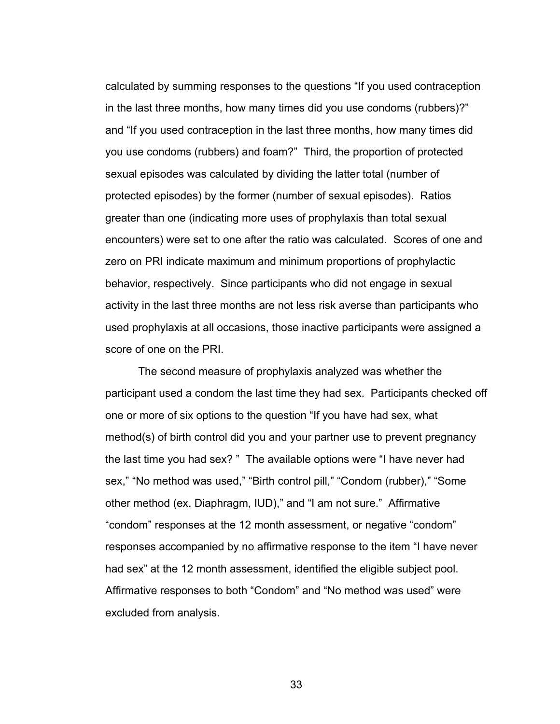calculated by summing responses to the questions "If you used contraception in the last three months, how many times did you use condoms (rubbers)?" and "If you used contraception in the last three months, how many times did you use condoms (rubbers) and foam?" Third, the proportion of protected sexual episodes was calculated by dividing the latter total (number of protected episodes) by the former (number of sexual episodes). Ratios greater than one (indicating more uses of prophylaxis than total sexual encounters) were set to one after the ratio was calculated. Scores of one and zero on PRI indicate maximum and minimum proportions of prophylactic behavior, respectively. Since participants who did not engage in sexual activity in the last three months are not less risk averse than participants who used prophylaxis at all occasions, those inactive participants were assigned a score of one on the PRI.

The second measure of prophylaxis analyzed was whether the participant used a condom the last time they had sex. Participants checked off one or more of six options to the question "If you have had sex, what method(s) of birth control did you and your partner use to prevent pregnancy the last time you had sex? " The available options were "I have never had sex," "No method was used," "Birth control pill," "Condom (rubber)," "Some other method (ex. Diaphragm, IUD)," and "I am not sure." Affirmative "condom" responses at the 12 month assessment, or negative "condom" responses accompanied by no affirmative response to the item "I have never had sex" at the 12 month assessment, identified the eligible subject pool. Affirmative responses to both "Condom" and "No method was used" were excluded from analysis.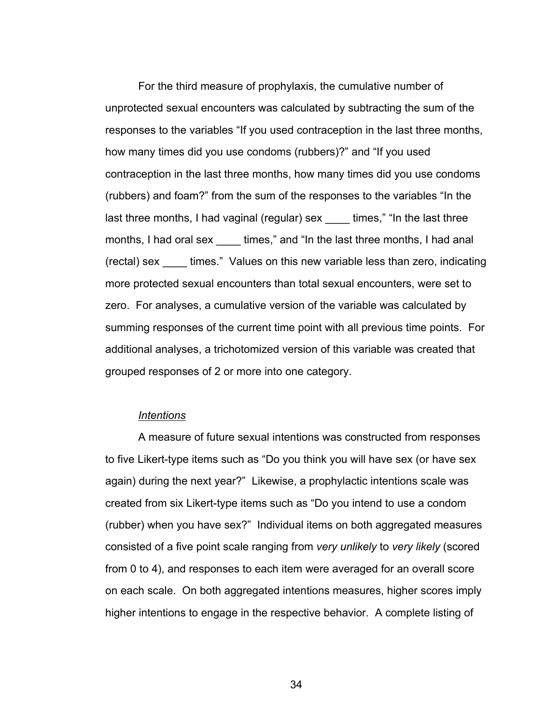For the third measure of prophylaxis, the cumulative number of unprotected sexual encounters was calculated by subtracting the sum of the responses to the variables "If you used contraception in the last three months, how many times did you use condoms (rubbers)?" and "If you used contraception in the last three months, how many times did you use condoms (rubbers) and foam?" from the sum of the responses to the variables "In the last three months, I had vaginal (regular) sex times," "In the last three months, I had oral sex times," and "In the last three months, I had anal (rectal) sex \_\_\_\_ times." Values on this new variable less than zero, indicating more protected sexual encounters than total sexual encounters, were set to zero. For analyses, a cumulative version of the variable was calculated by summing responses of the current time point with all previous time points. For additional analyses, a trichotomized version of this variable was created that grouped responses of 2 or more into one category.

## *Intentions*

 A measure of future sexual intentions was constructed from responses to five Likert-type items such as "Do you think you will have sex (or have sex again) during the next year?" Likewise, a prophylactic intentions scale was created from six Likert-type items such as "Do you intend to use a condom (rubber) when you have sex?" Individual items on both aggregated measures consisted of a five point scale ranging from *very unlikely* to *very likely* (scored from 0 to 4), and responses to each item were averaged for an overall score on each scale. On both aggregated intentions measures, higher scores imply higher intentions to engage in the respective behavior. A complete listing of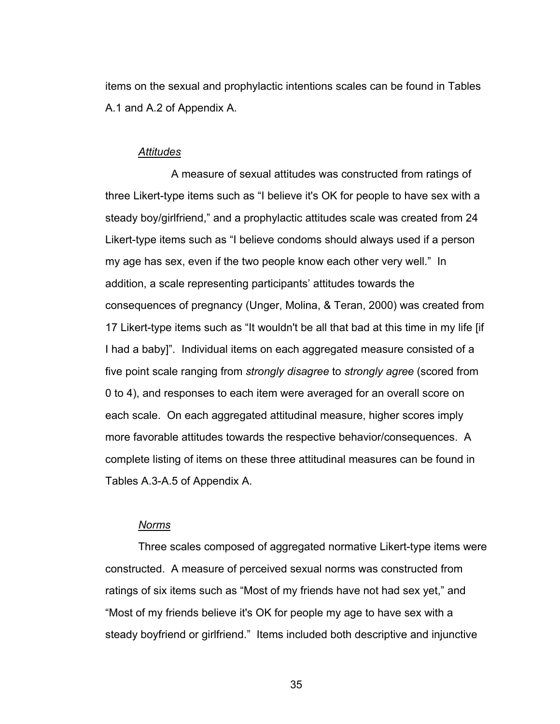items on the sexual and prophylactic intentions scales can be found in Tables A.1 and A.2 of Appendix A.

## *Attitudes*

 A measure of sexual attitudes was constructed from ratings of three Likert-type items such as "I believe it's OK for people to have sex with a steady boy/girlfriend," and a prophylactic attitudes scale was created from 24 Likert-type items such as "I believe condoms should always used if a person my age has sex, even if the two people know each other very well." In addition, a scale representing participants' attitudes towards the consequences of pregnancy (Unger, Molina, & Teran, 2000) was created from 17 Likert-type items such as "It wouldn't be all that bad at this time in my life [if I had a baby]". Individual items on each aggregated measure consisted of a five point scale ranging from *strongly disagree* to *strongly agree* (scored from 0 to 4), and responses to each item were averaged for an overall score on each scale. On each aggregated attitudinal measure, higher scores imply more favorable attitudes towards the respective behavior/consequences. A complete listing of items on these three attitudinal measures can be found in Tables A.3-A.5 of Appendix A.

# *Norms*

Three scales composed of aggregated normative Likert-type items were constructed. A measure of perceived sexual norms was constructed from ratings of six items such as "Most of my friends have not had sex yet," and "Most of my friends believe it's OK for people my age to have sex with a steady boyfriend or girlfriend." Items included both descriptive and injunctive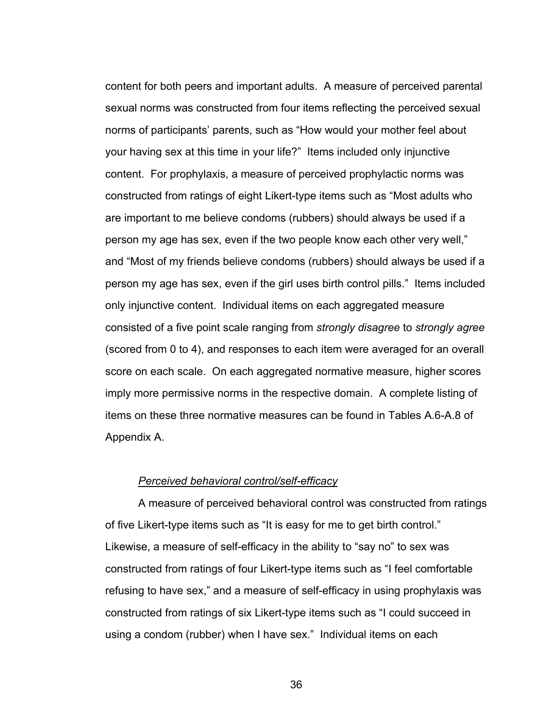content for both peers and important adults. A measure of perceived parental sexual norms was constructed from four items reflecting the perceived sexual norms of participants' parents, such as "How would your mother feel about your having sex at this time in your life?" Items included only injunctive content. For prophylaxis, a measure of perceived prophylactic norms was constructed from ratings of eight Likert-type items such as "Most adults who are important to me believe condoms (rubbers) should always be used if a person my age has sex, even if the two people know each other very well," and "Most of my friends believe condoms (rubbers) should always be used if a person my age has sex, even if the girl uses birth control pills." Items included only injunctive content. Individual items on each aggregated measure consisted of a five point scale ranging from *strongly disagree* to *strongly agree* (scored from 0 to 4), and responses to each item were averaged for an overall score on each scale. On each aggregated normative measure, higher scores imply more permissive norms in the respective domain. A complete listing of items on these three normative measures can be found in Tables A.6-A.8 of Appendix A.

## *Perceived behavioral control/self-efficacy*

A measure of perceived behavioral control was constructed from ratings of five Likert-type items such as "It is easy for me to get birth control." Likewise, a measure of self-efficacy in the ability to "say no" to sex was constructed from ratings of four Likert-type items such as "I feel comfortable refusing to have sex," and a measure of self-efficacy in using prophylaxis was constructed from ratings of six Likert-type items such as "I could succeed in using a condom (rubber) when I have sex." Individual items on each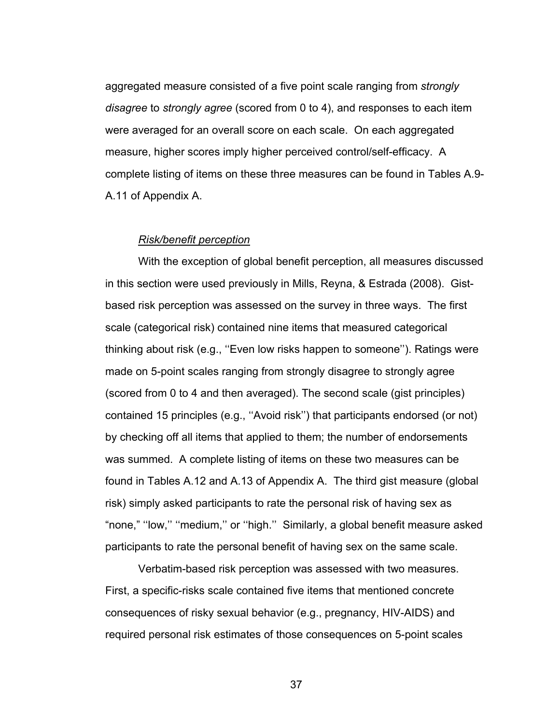aggregated measure consisted of a five point scale ranging from *strongly disagree* to *strongly agree* (scored from 0 to 4), and responses to each item were averaged for an overall score on each scale. On each aggregated measure, higher scores imply higher perceived control/self-efficacy. A complete listing of items on these three measures can be found in Tables A.9- A.11 of Appendix A.

#### *Risk/benefit perception*

 With the exception of global benefit perception, all measures discussed in this section were used previously in Mills, Reyna, & Estrada (2008). Gistbased risk perception was assessed on the survey in three ways. The first scale (categorical risk) contained nine items that measured categorical thinking about risk (e.g., ''Even low risks happen to someone''). Ratings were made on 5-point scales ranging from strongly disagree to strongly agree (scored from 0 to 4 and then averaged). The second scale (gist principles) contained 15 principles (e.g., ''Avoid risk'') that participants endorsed (or not) by checking off all items that applied to them; the number of endorsements was summed. A complete listing of items on these two measures can be found in Tables A.12 and A.13 of Appendix A. The third gist measure (global risk) simply asked participants to rate the personal risk of having sex as "none," ''low,'' ''medium,'' or ''high.'' Similarly, a global benefit measure asked participants to rate the personal benefit of having sex on the same scale.

Verbatim-based risk perception was assessed with two measures. First, a specific-risks scale contained five items that mentioned concrete consequences of risky sexual behavior (e.g., pregnancy, HIV-AIDS) and required personal risk estimates of those consequences on 5-point scales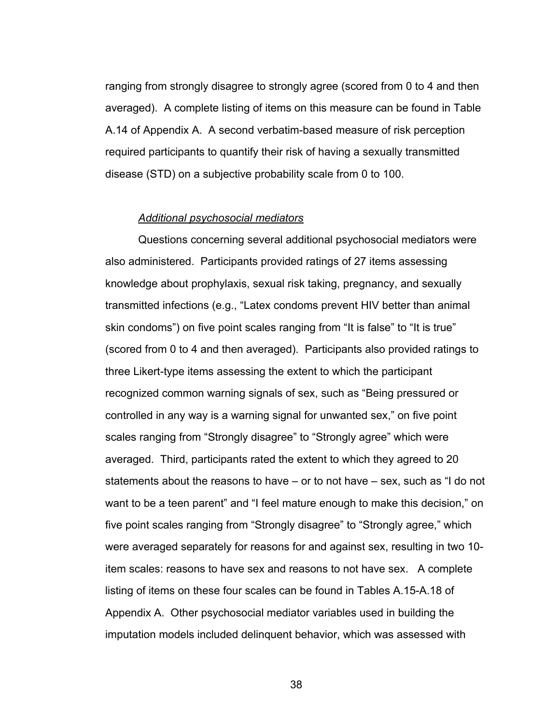ranging from strongly disagree to strongly agree (scored from 0 to 4 and then averaged). A complete listing of items on this measure can be found in Table A.14 of Appendix A. A second verbatim-based measure of risk perception required participants to quantify their risk of having a sexually transmitted disease (STD) on a subjective probability scale from 0 to 100.

### *Additional psychosocial mediators*

Questions concerning several additional psychosocial mediators were also administered. Participants provided ratings of 27 items assessing knowledge about prophylaxis, sexual risk taking, pregnancy, and sexually transmitted infections (e.g., "Latex condoms prevent HIV better than animal skin condoms") on five point scales ranging from "It is false" to "It is true" (scored from 0 to 4 and then averaged). Participants also provided ratings to three Likert-type items assessing the extent to which the participant recognized common warning signals of sex, such as "Being pressured or controlled in any way is a warning signal for unwanted sex," on five point scales ranging from "Strongly disagree" to "Strongly agree" which were averaged. Third, participants rated the extent to which they agreed to 20 statements about the reasons to have – or to not have – sex, such as "I do not want to be a teen parent" and "I feel mature enough to make this decision," on five point scales ranging from "Strongly disagree" to "Strongly agree," which were averaged separately for reasons for and against sex, resulting in two 10 item scales: reasons to have sex and reasons to not have sex. A complete listing of items on these four scales can be found in Tables A.15-A.18 of Appendix A. Other psychosocial mediator variables used in building the imputation models included delinquent behavior, which was assessed with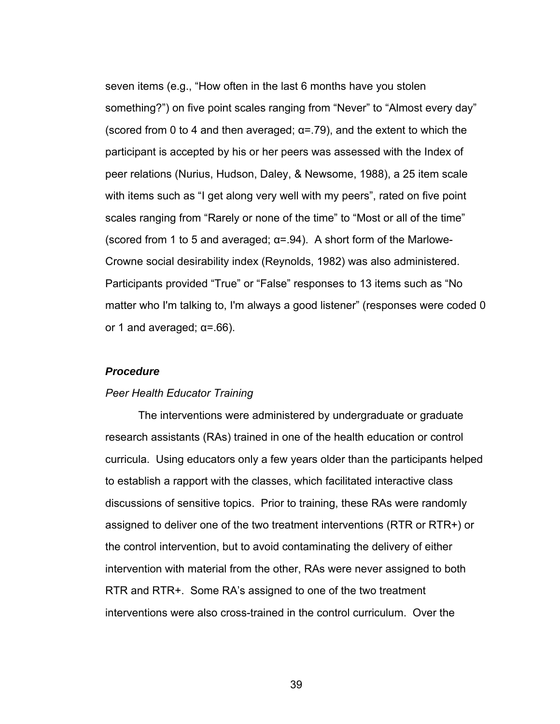seven items (e.g., "How often in the last 6 months have you stolen something?") on five point scales ranging from "Never" to "Almost every day" (scored from 0 to 4 and then averaged;  $\alpha$ =.79), and the extent to which the participant is accepted by his or her peers was assessed with the Index of peer relations (Nurius, Hudson, Daley, & Newsome, 1988), a 25 item scale with items such as "I get along very well with my peers", rated on five point scales ranging from "Rarely or none of the time" to "Most or all of the time" (scored from 1 to 5 and averaged;  $\alpha$ =.94). A short form of the Marlowe-Crowne social desirability index (Reynolds, 1982) was also administered. Participants provided "True" or "False" responses to 13 items such as "No matter who I'm talking to, I'm always a good listener" (responses were coded 0 or 1 and averaged;  $\alpha$ =.66).

## *Procedure*

## *Peer Health Educator Training*

The interventions were administered by undergraduate or graduate research assistants (RAs) trained in one of the health education or control curricula. Using educators only a few years older than the participants helped to establish a rapport with the classes, which facilitated interactive class discussions of sensitive topics. Prior to training, these RAs were randomly assigned to deliver one of the two treatment interventions (RTR or RTR+) or the control intervention, but to avoid contaminating the delivery of either intervention with material from the other, RAs were never assigned to both RTR and RTR+. Some RA's assigned to one of the two treatment interventions were also cross-trained in the control curriculum. Over the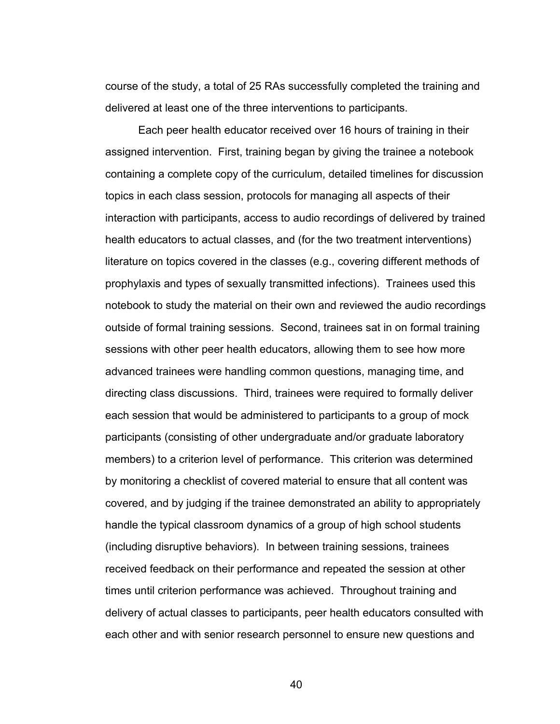course of the study, a total of 25 RAs successfully completed the training and delivered at least one of the three interventions to participants.

 Each peer health educator received over 16 hours of training in their assigned intervention. First, training began by giving the trainee a notebook containing a complete copy of the curriculum, detailed timelines for discussion topics in each class session, protocols for managing all aspects of their interaction with participants, access to audio recordings of delivered by trained health educators to actual classes, and (for the two treatment interventions) literature on topics covered in the classes (e.g., covering different methods of prophylaxis and types of sexually transmitted infections). Trainees used this notebook to study the material on their own and reviewed the audio recordings outside of formal training sessions. Second, trainees sat in on formal training sessions with other peer health educators, allowing them to see how more advanced trainees were handling common questions, managing time, and directing class discussions. Third, trainees were required to formally deliver each session that would be administered to participants to a group of mock participants (consisting of other undergraduate and/or graduate laboratory members) to a criterion level of performance. This criterion was determined by monitoring a checklist of covered material to ensure that all content was covered, and by judging if the trainee demonstrated an ability to appropriately handle the typical classroom dynamics of a group of high school students (including disruptive behaviors). In between training sessions, trainees received feedback on their performance and repeated the session at other times until criterion performance was achieved. Throughout training and delivery of actual classes to participants, peer health educators consulted with each other and with senior research personnel to ensure new questions and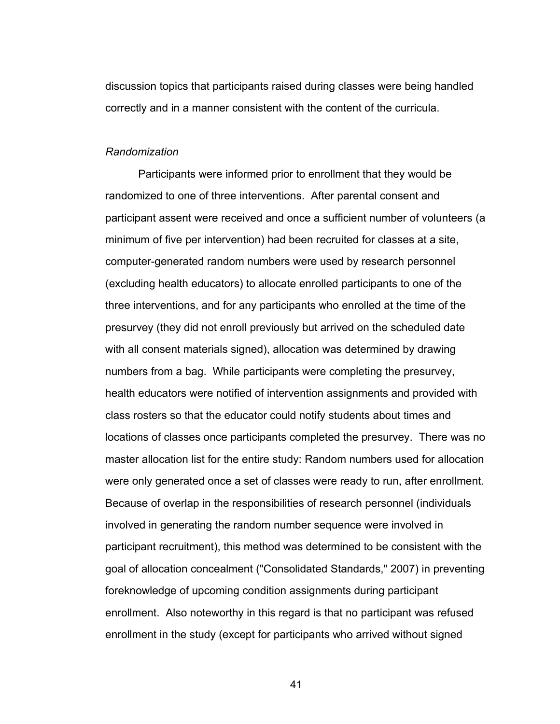discussion topics that participants raised during classes were being handled correctly and in a manner consistent with the content of the curricula.

#### *Randomization*

 Participants were informed prior to enrollment that they would be randomized to one of three interventions. After parental consent and participant assent were received and once a sufficient number of volunteers (a minimum of five per intervention) had been recruited for classes at a site, computer-generated random numbers were used by research personnel (excluding health educators) to allocate enrolled participants to one of the three interventions, and for any participants who enrolled at the time of the presurvey (they did not enroll previously but arrived on the scheduled date with all consent materials signed), allocation was determined by drawing numbers from a bag. While participants were completing the presurvey, health educators were notified of intervention assignments and provided with class rosters so that the educator could notify students about times and locations of classes once participants completed the presurvey. There was no master allocation list for the entire study: Random numbers used for allocation were only generated once a set of classes were ready to run, after enrollment. Because of overlap in the responsibilities of research personnel (individuals involved in generating the random number sequence were involved in participant recruitment), this method was determined to be consistent with the goal of allocation concealment ("Consolidated Standards," 2007) in preventing foreknowledge of upcoming condition assignments during participant enrollment. Also noteworthy in this regard is that no participant was refused enrollment in the study (except for participants who arrived without signed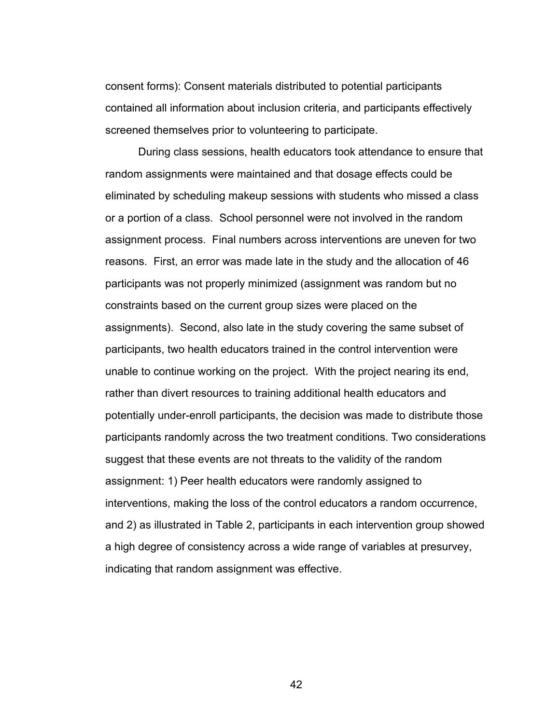consent forms): Consent materials distributed to potential participants contained all information about inclusion criteria, and participants effectively screened themselves prior to volunteering to participate.

During class sessions, health educators took attendance to ensure that random assignments were maintained and that dosage effects could be eliminated by scheduling makeup sessions with students who missed a class or a portion of a class. School personnel were not involved in the random assignment process. Final numbers across interventions are uneven for two reasons. First, an error was made late in the study and the allocation of 46 participants was not properly minimized (assignment was random but no constraints based on the current group sizes were placed on the assignments). Second, also late in the study covering the same subset of participants, two health educators trained in the control intervention were unable to continue working on the project. With the project nearing its end, rather than divert resources to training additional health educators and potentially under-enroll participants, the decision was made to distribute those participants randomly across the two treatment conditions. Two considerations suggest that these events are not threats to the validity of the random assignment: 1) Peer health educators were randomly assigned to interventions, making the loss of the control educators a random occurrence, and 2) as illustrated in Table 2, participants in each intervention group showed a high degree of consistency across a wide range of variables at presurvey, indicating that random assignment was effective.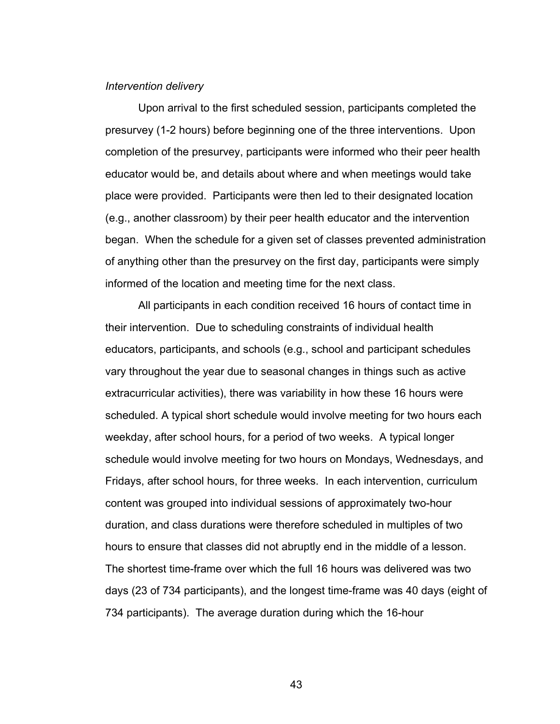## *Intervention delivery*

Upon arrival to the first scheduled session, participants completed the presurvey (1-2 hours) before beginning one of the three interventions. Upon completion of the presurvey, participants were informed who their peer health educator would be, and details about where and when meetings would take place were provided. Participants were then led to their designated location (e.g., another classroom) by their peer health educator and the intervention began. When the schedule for a given set of classes prevented administration of anything other than the presurvey on the first day, participants were simply informed of the location and meeting time for the next class.

All participants in each condition received 16 hours of contact time in their intervention. Due to scheduling constraints of individual health educators, participants, and schools (e.g., school and participant schedules vary throughout the year due to seasonal changes in things such as active extracurricular activities), there was variability in how these 16 hours were scheduled. A typical short schedule would involve meeting for two hours each weekday, after school hours, for a period of two weeks. A typical longer schedule would involve meeting for two hours on Mondays, Wednesdays, and Fridays, after school hours, for three weeks. In each intervention, curriculum content was grouped into individual sessions of approximately two-hour duration, and class durations were therefore scheduled in multiples of two hours to ensure that classes did not abruptly end in the middle of a lesson. The shortest time-frame over which the full 16 hours was delivered was two days (23 of 734 participants), and the longest time-frame was 40 days (eight of 734 participants). The average duration during which the 16-hour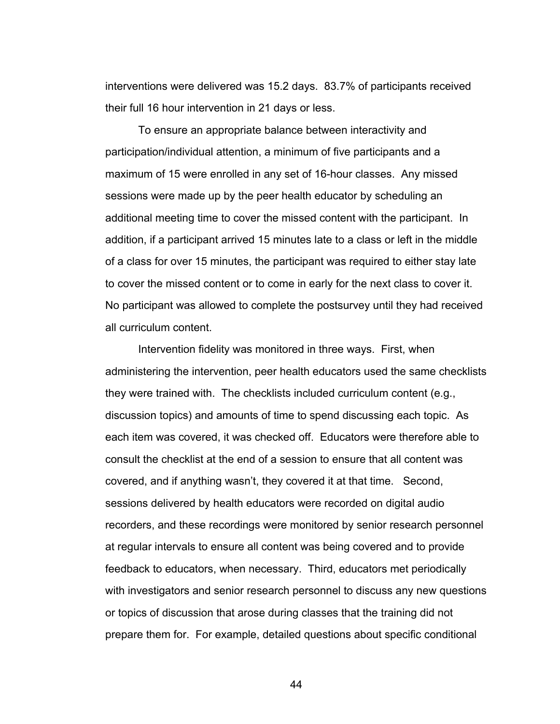interventions were delivered was 15.2 days. 83.7% of participants received their full 16 hour intervention in 21 days or less.

 To ensure an appropriate balance between interactivity and participation/individual attention, a minimum of five participants and a maximum of 15 were enrolled in any set of 16-hour classes. Any missed sessions were made up by the peer health educator by scheduling an additional meeting time to cover the missed content with the participant. In addition, if a participant arrived 15 minutes late to a class or left in the middle of a class for over 15 minutes, the participant was required to either stay late to cover the missed content or to come in early for the next class to cover it. No participant was allowed to complete the postsurvey until they had received all curriculum content.

 Intervention fidelity was monitored in three ways. First, when administering the intervention, peer health educators used the same checklists they were trained with. The checklists included curriculum content (e.g., discussion topics) and amounts of time to spend discussing each topic. As each item was covered, it was checked off. Educators were therefore able to consult the checklist at the end of a session to ensure that all content was covered, and if anything wasn't, they covered it at that time. Second, sessions delivered by health educators were recorded on digital audio recorders, and these recordings were monitored by senior research personnel at regular intervals to ensure all content was being covered and to provide feedback to educators, when necessary. Third, educators met periodically with investigators and senior research personnel to discuss any new questions or topics of discussion that arose during classes that the training did not prepare them for. For example, detailed questions about specific conditional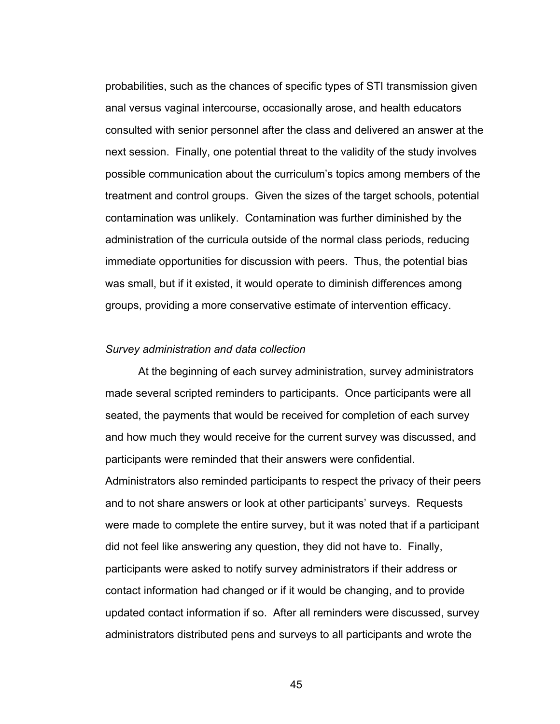probabilities, such as the chances of specific types of STI transmission given anal versus vaginal intercourse, occasionally arose, and health educators consulted with senior personnel after the class and delivered an answer at the next session. Finally, one potential threat to the validity of the study involves possible communication about the curriculum's topics among members of the treatment and control groups. Given the sizes of the target schools, potential contamination was unlikely. Contamination was further diminished by the administration of the curricula outside of the normal class periods, reducing immediate opportunities for discussion with peers. Thus, the potential bias was small, but if it existed, it would operate to diminish differences among groups, providing a more conservative estimate of intervention efficacy.

## *Survey administration and data collection*

At the beginning of each survey administration, survey administrators made several scripted reminders to participants. Once participants were all seated, the payments that would be received for completion of each survey and how much they would receive for the current survey was discussed, and participants were reminded that their answers were confidential.

Administrators also reminded participants to respect the privacy of their peers and to not share answers or look at other participants' surveys. Requests were made to complete the entire survey, but it was noted that if a participant did not feel like answering any question, they did not have to. Finally, participants were asked to notify survey administrators if their address or contact information had changed or if it would be changing, and to provide updated contact information if so. After all reminders were discussed, survey administrators distributed pens and surveys to all participants and wrote the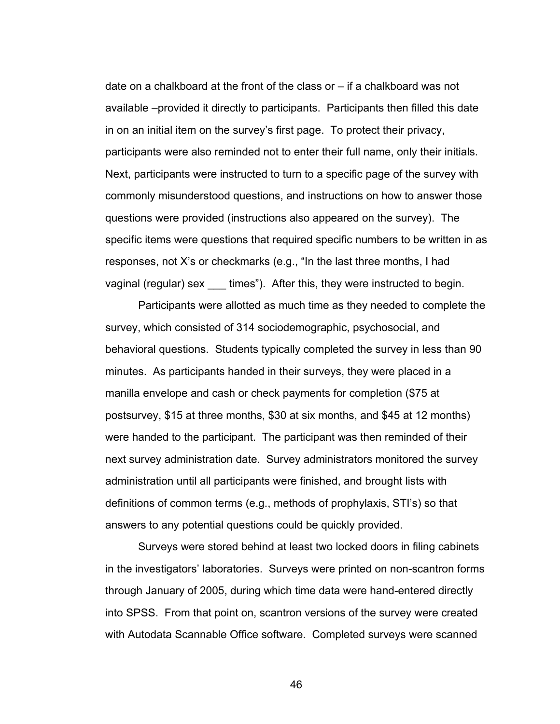date on a chalkboard at the front of the class or – if a chalkboard was not available –provided it directly to participants. Participants then filled this date in on an initial item on the survey's first page. To protect their privacy, participants were also reminded not to enter their full name, only their initials. Next, participants were instructed to turn to a specific page of the survey with commonly misunderstood questions, and instructions on how to answer those questions were provided (instructions also appeared on the survey). The specific items were questions that required specific numbers to be written in as responses, not X's or checkmarks (e.g., "In the last three months, I had vaginal (regular) sex times"). After this, they were instructed to begin.

Participants were allotted as much time as they needed to complete the survey, which consisted of 314 sociodemographic, psychosocial, and behavioral questions. Students typically completed the survey in less than 90 minutes. As participants handed in their surveys, they were placed in a manilla envelope and cash or check payments for completion (\$75 at postsurvey, \$15 at three months, \$30 at six months, and \$45 at 12 months) were handed to the participant. The participant was then reminded of their next survey administration date. Survey administrators monitored the survey administration until all participants were finished, and brought lists with definitions of common terms (e.g., methods of prophylaxis, STI's) so that answers to any potential questions could be quickly provided.

Surveys were stored behind at least two locked doors in filing cabinets in the investigators' laboratories. Surveys were printed on non-scantron forms through January of 2005, during which time data were hand-entered directly into SPSS. From that point on, scantron versions of the survey were created with Autodata Scannable Office software. Completed surveys were scanned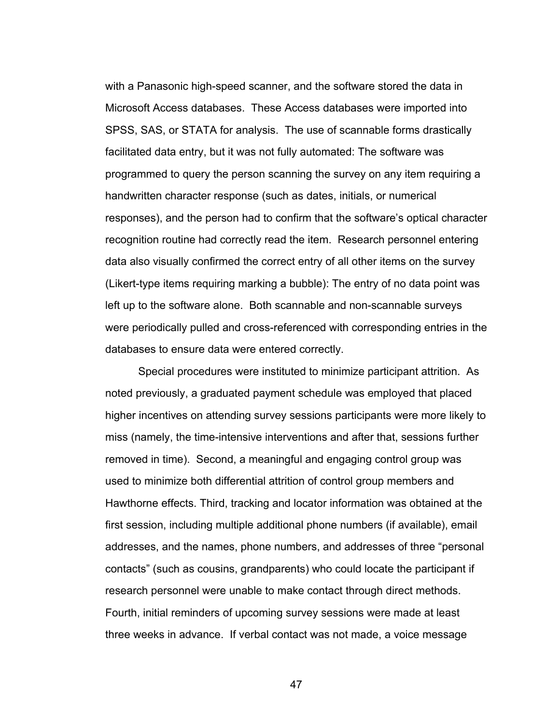with a Panasonic high-speed scanner, and the software stored the data in Microsoft Access databases. These Access databases were imported into SPSS, SAS, or STATA for analysis. The use of scannable forms drastically facilitated data entry, but it was not fully automated: The software was programmed to query the person scanning the survey on any item requiring a handwritten character response (such as dates, initials, or numerical responses), and the person had to confirm that the software's optical character recognition routine had correctly read the item. Research personnel entering data also visually confirmed the correct entry of all other items on the survey (Likert-type items requiring marking a bubble): The entry of no data point was left up to the software alone. Both scannable and non-scannable surveys were periodically pulled and cross-referenced with corresponding entries in the databases to ensure data were entered correctly.

Special procedures were instituted to minimize participant attrition. As noted previously, a graduated payment schedule was employed that placed higher incentives on attending survey sessions participants were more likely to miss (namely, the time-intensive interventions and after that, sessions further removed in time). Second, a meaningful and engaging control group was used to minimize both differential attrition of control group members and Hawthorne effects. Third, tracking and locator information was obtained at the first session, including multiple additional phone numbers (if available), email addresses, and the names, phone numbers, and addresses of three "personal contacts" (such as cousins, grandparents) who could locate the participant if research personnel were unable to make contact through direct methods. Fourth, initial reminders of upcoming survey sessions were made at least three weeks in advance. If verbal contact was not made, a voice message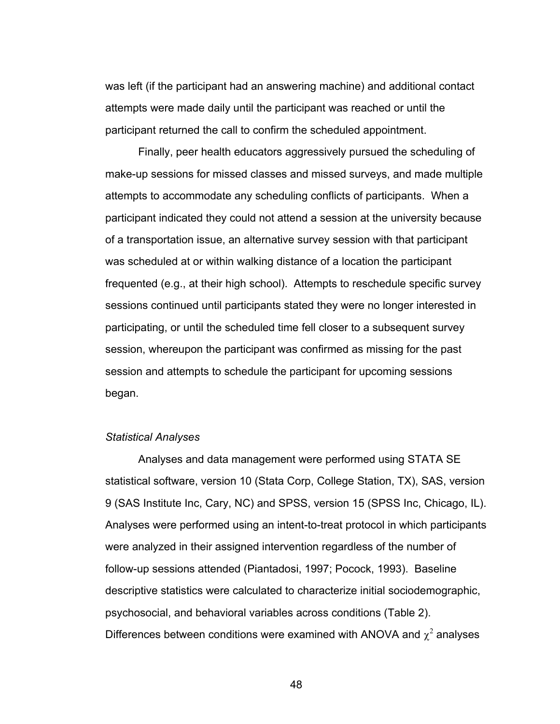was left (if the participant had an answering machine) and additional contact attempts were made daily until the participant was reached or until the participant returned the call to confirm the scheduled appointment.

Finally, peer health educators aggressively pursued the scheduling of make-up sessions for missed classes and missed surveys, and made multiple attempts to accommodate any scheduling conflicts of participants. When a participant indicated they could not attend a session at the university because of a transportation issue, an alternative survey session with that participant was scheduled at or within walking distance of a location the participant frequented (e.g., at their high school). Attempts to reschedule specific survey sessions continued until participants stated they were no longer interested in participating, or until the scheduled time fell closer to a subsequent survey session, whereupon the participant was confirmed as missing for the past session and attempts to schedule the participant for upcoming sessions began.

## *Statistical Analyses*

 Analyses and data management were performed using STATA SE statistical software, version 10 (Stata Corp, College Station, TX), SAS, version 9 (SAS Institute Inc, Cary, NC) and SPSS, version 15 (SPSS Inc, Chicago, IL). Analyses were performed using an intent-to-treat protocol in which participants were analyzed in their assigned intervention regardless of the number of follow-up sessions attended (Piantadosi, 1997; Pocock, 1993). Baseline descriptive statistics were calculated to characterize initial sociodemographic, psychosocial, and behavioral variables across conditions (Table 2). Differences between conditions were examined with ANOVA and  $\chi^2$  analyses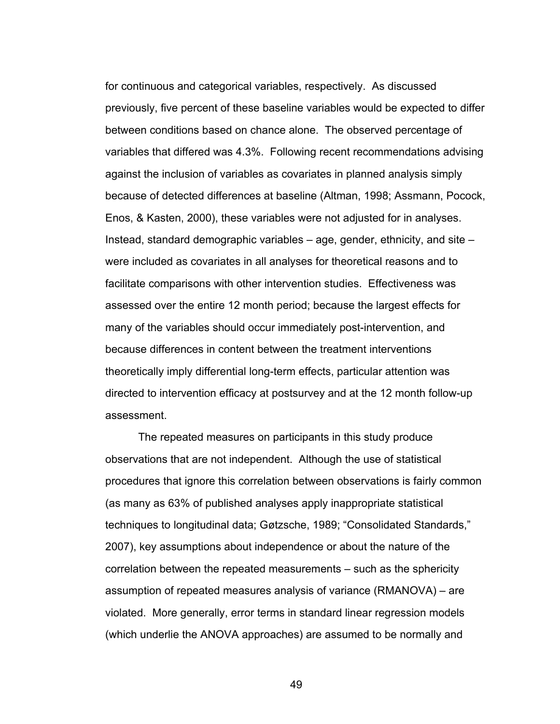for continuous and categorical variables, respectively. As discussed previously, five percent of these baseline variables would be expected to differ between conditions based on chance alone. The observed percentage of variables that differed was 4.3%. Following recent recommendations advising against the inclusion of variables as covariates in planned analysis simply because of detected differences at baseline (Altman, 1998; Assmann, Pocock, Enos, & Kasten, 2000), these variables were not adjusted for in analyses. Instead, standard demographic variables – age, gender, ethnicity, and site – were included as covariates in all analyses for theoretical reasons and to facilitate comparisons with other intervention studies. Effectiveness was assessed over the entire 12 month period; because the largest effects for many of the variables should occur immediately post-intervention, and because differences in content between the treatment interventions theoretically imply differential long-term effects, particular attention was directed to intervention efficacy at postsurvey and at the 12 month follow-up assessment.

The repeated measures on participants in this study produce observations that are not independent. Although the use of statistical procedures that ignore this correlation between observations is fairly common (as many as 63% of published analyses apply inappropriate statistical techniques to longitudinal data; Gøtzsche, 1989; "Consolidated Standards," 2007), key assumptions about independence or about the nature of the correlation between the repeated measurements – such as the sphericity assumption of repeated measures analysis of variance (RMANOVA) – are violated. More generally, error terms in standard linear regression models (which underlie the ANOVA approaches) are assumed to be normally and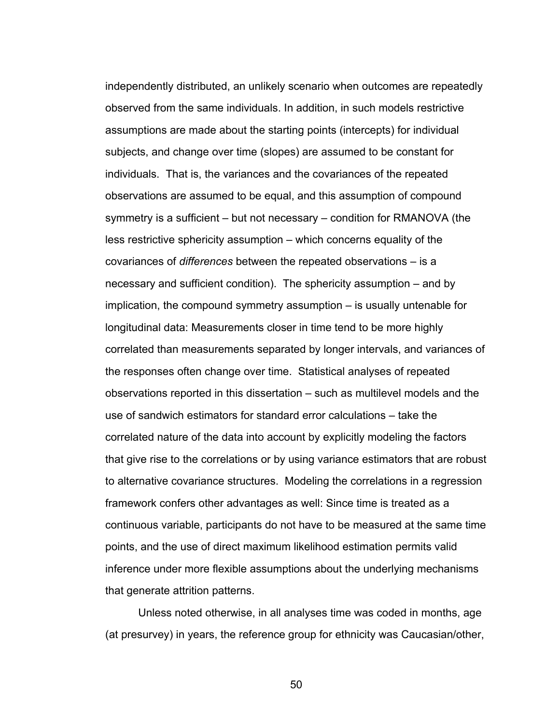independently distributed, an unlikely scenario when outcomes are repeatedly observed from the same individuals. In addition, in such models restrictive assumptions are made about the starting points (intercepts) for individual subjects, and change over time (slopes) are assumed to be constant for individuals. That is, the variances and the covariances of the repeated observations are assumed to be equal, and this assumption of compound symmetry is a sufficient – but not necessary – condition for RMANOVA (the less restrictive sphericity assumption – which concerns equality of the covariances of *differences* between the repeated observations – is a necessary and sufficient condition). The sphericity assumption – and by implication, the compound symmetry assumption – is usually untenable for longitudinal data: Measurements closer in time tend to be more highly correlated than measurements separated by longer intervals, and variances of the responses often change over time. Statistical analyses of repeated observations reported in this dissertation – such as multilevel models and the use of sandwich estimators for standard error calculations – take the correlated nature of the data into account by explicitly modeling the factors that give rise to the correlations or by using variance estimators that are robust to alternative covariance structures. Modeling the correlations in a regression framework confers other advantages as well: Since time is treated as a continuous variable, participants do not have to be measured at the same time points, and the use of direct maximum likelihood estimation permits valid inference under more flexible assumptions about the underlying mechanisms that generate attrition patterns.

Unless noted otherwise, in all analyses time was coded in months, age (at presurvey) in years, the reference group for ethnicity was Caucasian/other,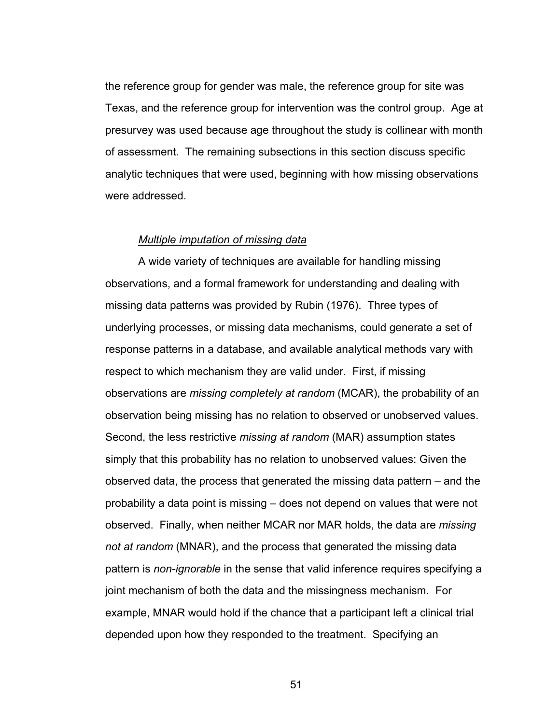the reference group for gender was male, the reference group for site was Texas, and the reference group for intervention was the control group. Age at presurvey was used because age throughout the study is collinear with month of assessment. The remaining subsections in this section discuss specific analytic techniques that were used, beginning with how missing observations were addressed.

#### *Multiple imputation of missing data*

 A wide variety of techniques are available for handling missing observations, and a formal framework for understanding and dealing with missing data patterns was provided by Rubin (1976). Three types of underlying processes, or missing data mechanisms, could generate a set of response patterns in a database, and available analytical methods vary with respect to which mechanism they are valid under. First, if missing observations are *missing completely at random* (MCAR), the probability of an observation being missing has no relation to observed or unobserved values. Second, the less restrictive *missing at random* (MAR) assumption states simply that this probability has no relation to unobserved values: Given the observed data, the process that generated the missing data pattern – and the probability a data point is missing – does not depend on values that were not observed. Finally, when neither MCAR nor MAR holds, the data are *missing not at random* (MNAR), and the process that generated the missing data pattern is *non-ignorable* in the sense that valid inference requires specifying a joint mechanism of both the data and the missingness mechanism. For example, MNAR would hold if the chance that a participant left a clinical trial depended upon how they responded to the treatment. Specifying an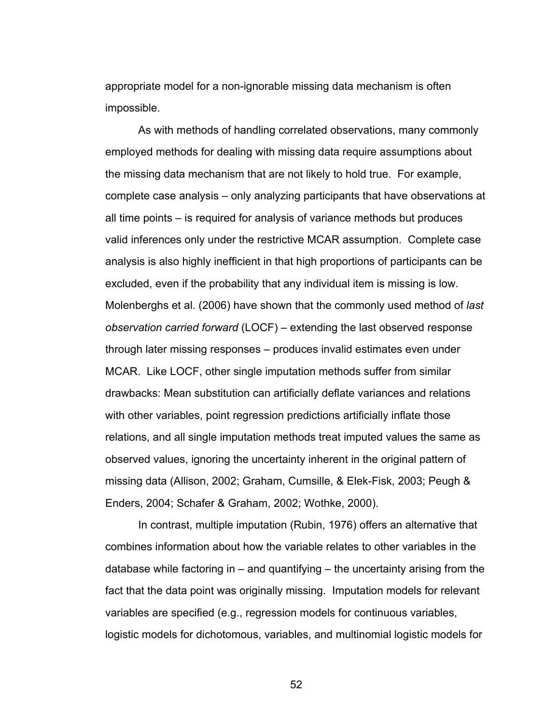appropriate model for a non-ignorable missing data mechanism is often impossible.

As with methods of handling correlated observations, many commonly employed methods for dealing with missing data require assumptions about the missing data mechanism that are not likely to hold true. For example, complete case analysis – only analyzing participants that have observations at all time points – is required for analysis of variance methods but produces valid inferences only under the restrictive MCAR assumption. Complete case analysis is also highly inefficient in that high proportions of participants can be excluded, even if the probability that any individual item is missing is low. Molenberghs et al. (2006) have shown that the commonly used method of *last observation carried forward* (LOCF) – extending the last observed response through later missing responses – produces invalid estimates even under MCAR. Like LOCF, other single imputation methods suffer from similar drawbacks: Mean substitution can artificially deflate variances and relations with other variables, point regression predictions artificially inflate those relations, and all single imputation methods treat imputed values the same as observed values, ignoring the uncertainty inherent in the original pattern of missing data (Allison, 2002; Graham, Cumsille, & Elek-Fisk, 2003; Peugh & Enders, 2004; Schafer & Graham, 2002; Wothke, 2000).

In contrast, multiple imputation (Rubin, 1976) offers an alternative that combines information about how the variable relates to other variables in the database while factoring in  $-$  and quantifying  $-$  the uncertainty arising from the fact that the data point was originally missing. Imputation models for relevant variables are specified (e.g., regression models for continuous variables, logistic models for dichotomous, variables, and multinomial logistic models for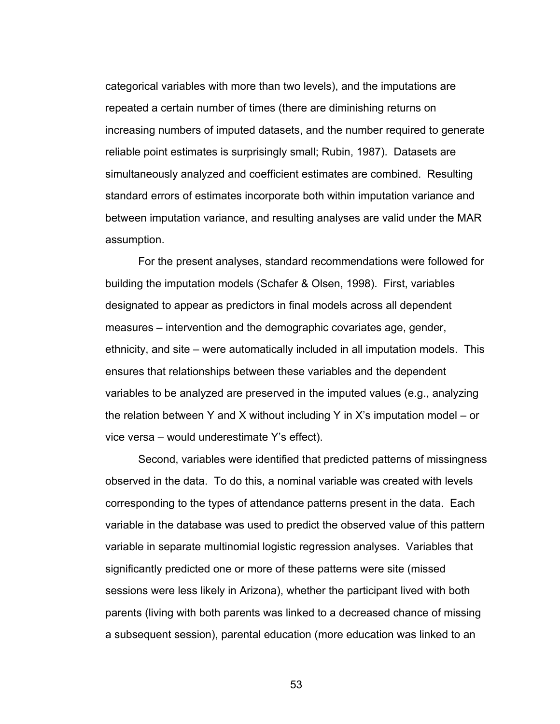categorical variables with more than two levels), and the imputations are repeated a certain number of times (there are diminishing returns on increasing numbers of imputed datasets, and the number required to generate reliable point estimates is surprisingly small; Rubin, 1987). Datasets are simultaneously analyzed and coefficient estimates are combined. Resulting standard errors of estimates incorporate both within imputation variance and between imputation variance, and resulting analyses are valid under the MAR assumption.

For the present analyses, standard recommendations were followed for building the imputation models (Schafer & Olsen, 1998). First, variables designated to appear as predictors in final models across all dependent measures – intervention and the demographic covariates age, gender, ethnicity, and site – were automatically included in all imputation models. This ensures that relationships between these variables and the dependent variables to be analyzed are preserved in the imputed values (e.g., analyzing the relation between Y and X without including Y in X's imputation model – or vice versa – would underestimate Y's effect).

Second, variables were identified that predicted patterns of missingness observed in the data. To do this, a nominal variable was created with levels corresponding to the types of attendance patterns present in the data. Each variable in the database was used to predict the observed value of this pattern variable in separate multinomial logistic regression analyses. Variables that significantly predicted one or more of these patterns were site (missed sessions were less likely in Arizona), whether the participant lived with both parents (living with both parents was linked to a decreased chance of missing a subsequent session), parental education (more education was linked to an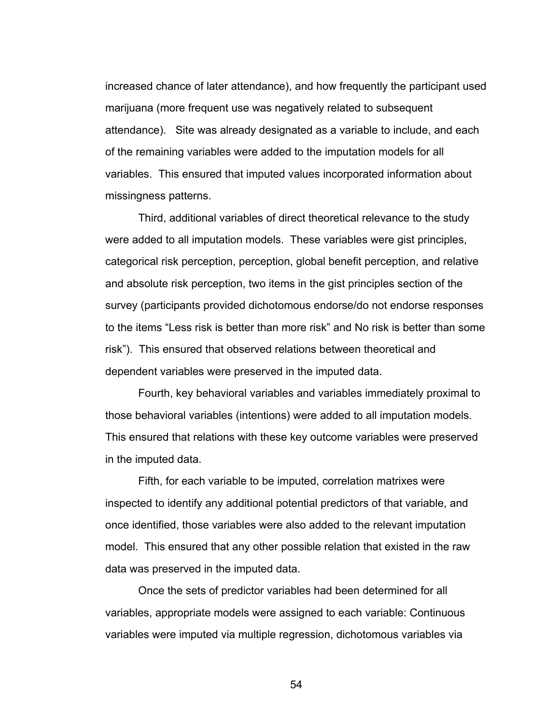increased chance of later attendance), and how frequently the participant used marijuana (more frequent use was negatively related to subsequent attendance). Site was already designated as a variable to include, and each of the remaining variables were added to the imputation models for all variables. This ensured that imputed values incorporated information about missingness patterns.

Third, additional variables of direct theoretical relevance to the study were added to all imputation models. These variables were gist principles, categorical risk perception, perception, global benefit perception, and relative and absolute risk perception, two items in the gist principles section of the survey (participants provided dichotomous endorse/do not endorse responses to the items "Less risk is better than more risk" and No risk is better than some risk"). This ensured that observed relations between theoretical and dependent variables were preserved in the imputed data.

Fourth, key behavioral variables and variables immediately proximal to those behavioral variables (intentions) were added to all imputation models. This ensured that relations with these key outcome variables were preserved in the imputed data.

Fifth, for each variable to be imputed, correlation matrixes were inspected to identify any additional potential predictors of that variable, and once identified, those variables were also added to the relevant imputation model. This ensured that any other possible relation that existed in the raw data was preserved in the imputed data.

Once the sets of predictor variables had been determined for all variables, appropriate models were assigned to each variable: Continuous variables were imputed via multiple regression, dichotomous variables via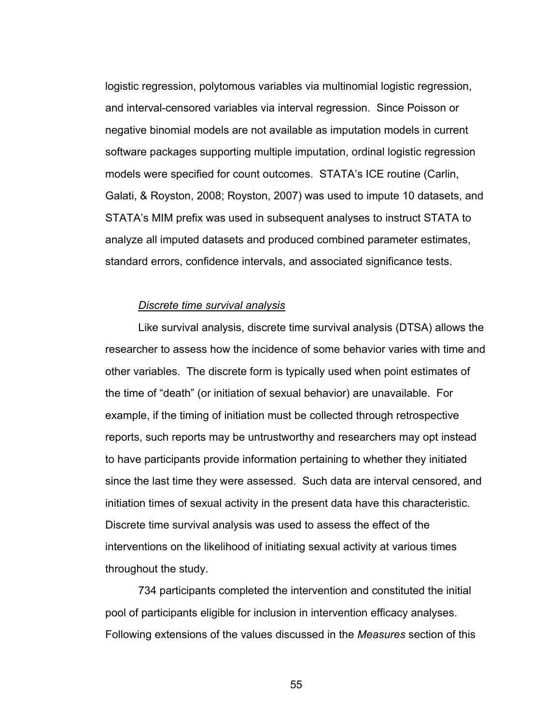logistic regression, polytomous variables via multinomial logistic regression, and interval-censored variables via interval regression. Since Poisson or negative binomial models are not available as imputation models in current software packages supporting multiple imputation, ordinal logistic regression models were specified for count outcomes. STATA's ICE routine (Carlin, Galati, & Royston, 2008; Royston, 2007) was used to impute 10 datasets, and STATA's MIM prefix was used in subsequent analyses to instruct STATA to analyze all imputed datasets and produced combined parameter estimates, standard errors, confidence intervals, and associated significance tests.

## *Discrete time survival analysis*

 Like survival analysis, discrete time survival analysis (DTSA) allows the researcher to assess how the incidence of some behavior varies with time and other variables. The discrete form is typically used when point estimates of the time of "death" (or initiation of sexual behavior) are unavailable. For example, if the timing of initiation must be collected through retrospective reports, such reports may be untrustworthy and researchers may opt instead to have participants provide information pertaining to whether they initiated since the last time they were assessed. Such data are interval censored, and initiation times of sexual activity in the present data have this characteristic. Discrete time survival analysis was used to assess the effect of the interventions on the likelihood of initiating sexual activity at various times throughout the study.

 734 participants completed the intervention and constituted the initial pool of participants eligible for inclusion in intervention efficacy analyses. Following extensions of the values discussed in the *Measures* section of this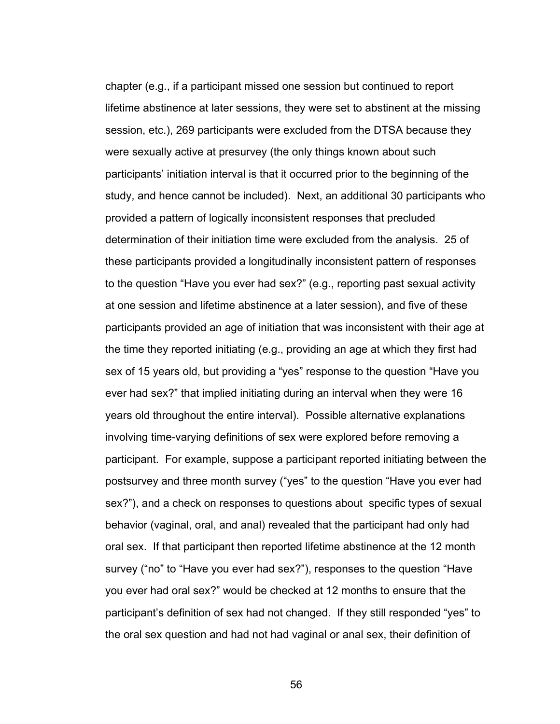chapter (e.g., if a participant missed one session but continued to report lifetime abstinence at later sessions, they were set to abstinent at the missing session, etc.), 269 participants were excluded from the DTSA because they were sexually active at presurvey (the only things known about such participants' initiation interval is that it occurred prior to the beginning of the study, and hence cannot be included). Next, an additional 30 participants who provided a pattern of logically inconsistent responses that precluded determination of their initiation time were excluded from the analysis. 25 of these participants provided a longitudinally inconsistent pattern of responses to the question "Have you ever had sex?" (e.g., reporting past sexual activity at one session and lifetime abstinence at a later session), and five of these participants provided an age of initiation that was inconsistent with their age at the time they reported initiating (e.g., providing an age at which they first had sex of 15 years old, but providing a "yes" response to the question "Have you ever had sex?" that implied initiating during an interval when they were 16 years old throughout the entire interval). Possible alternative explanations involving time-varying definitions of sex were explored before removing a participant. For example, suppose a participant reported initiating between the postsurvey and three month survey ("yes" to the question "Have you ever had sex?"), and a check on responses to questions about specific types of sexual behavior (vaginal, oral, and anal) revealed that the participant had only had oral sex. If that participant then reported lifetime abstinence at the 12 month survey ("no" to "Have you ever had sex?"), responses to the question "Have you ever had oral sex?" would be checked at 12 months to ensure that the participant's definition of sex had not changed. If they still responded "yes" to the oral sex question and had not had vaginal or anal sex, their definition of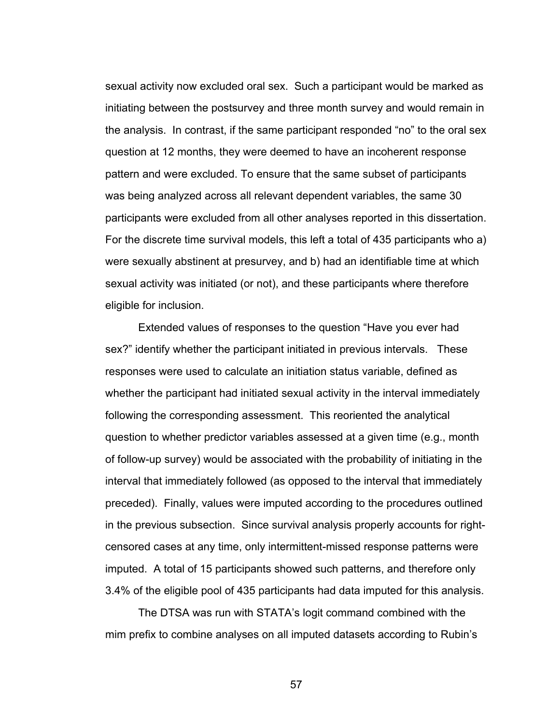sexual activity now excluded oral sex. Such a participant would be marked as initiating between the postsurvey and three month survey and would remain in the analysis. In contrast, if the same participant responded "no" to the oral sex question at 12 months, they were deemed to have an incoherent response pattern and were excluded. To ensure that the same subset of participants was being analyzed across all relevant dependent variables, the same 30 participants were excluded from all other analyses reported in this dissertation. For the discrete time survival models, this left a total of 435 participants who a) were sexually abstinent at presurvey, and b) had an identifiable time at which sexual activity was initiated (or not), and these participants where therefore eligible for inclusion.

 Extended values of responses to the question "Have you ever had sex?" identify whether the participant initiated in previous intervals. These responses were used to calculate an initiation status variable, defined as whether the participant had initiated sexual activity in the interval immediately following the corresponding assessment. This reoriented the analytical question to whether predictor variables assessed at a given time (e.g., month of follow-up survey) would be associated with the probability of initiating in the interval that immediately followed (as opposed to the interval that immediately preceded). Finally, values were imputed according to the procedures outlined in the previous subsection. Since survival analysis properly accounts for rightcensored cases at any time, only intermittent-missed response patterns were imputed. A total of 15 participants showed such patterns, and therefore only 3.4% of the eligible pool of 435 participants had data imputed for this analysis.

 The DTSA was run with STATA's logit command combined with the mim prefix to combine analyses on all imputed datasets according to Rubin's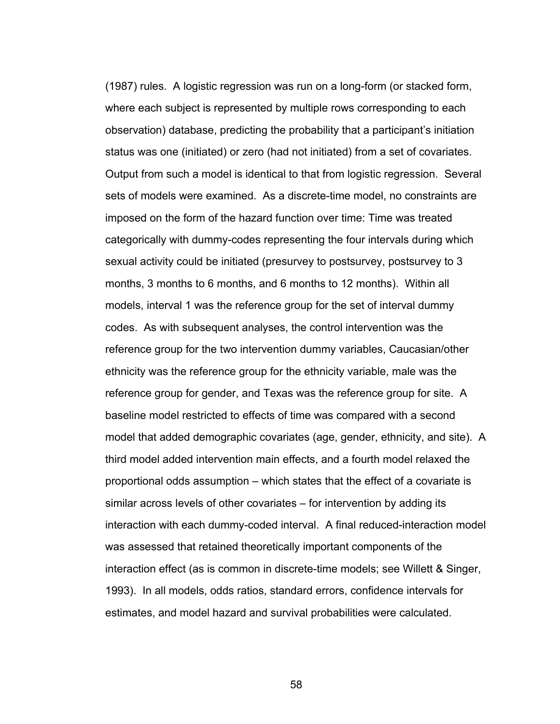(1987) rules. A logistic regression was run on a long-form (or stacked form, where each subject is represented by multiple rows corresponding to each observation) database, predicting the probability that a participant's initiation status was one (initiated) or zero (had not initiated) from a set of covariates. Output from such a model is identical to that from logistic regression. Several sets of models were examined. As a discrete-time model, no constraints are imposed on the form of the hazard function over time: Time was treated categorically with dummy-codes representing the four intervals during which sexual activity could be initiated (presurvey to postsurvey, postsurvey to 3 months, 3 months to 6 months, and 6 months to 12 months). Within all models, interval 1 was the reference group for the set of interval dummy codes. As with subsequent analyses, the control intervention was the reference group for the two intervention dummy variables, Caucasian/other ethnicity was the reference group for the ethnicity variable, male was the reference group for gender, and Texas was the reference group for site. A baseline model restricted to effects of time was compared with a second model that added demographic covariates (age, gender, ethnicity, and site). A third model added intervention main effects, and a fourth model relaxed the proportional odds assumption – which states that the effect of a covariate is similar across levels of other covariates – for intervention by adding its interaction with each dummy-coded interval. A final reduced-interaction model was assessed that retained theoretically important components of the interaction effect (as is common in discrete-time models; see Willett & Singer, 1993). In all models, odds ratios, standard errors, confidence intervals for estimates, and model hazard and survival probabilities were calculated.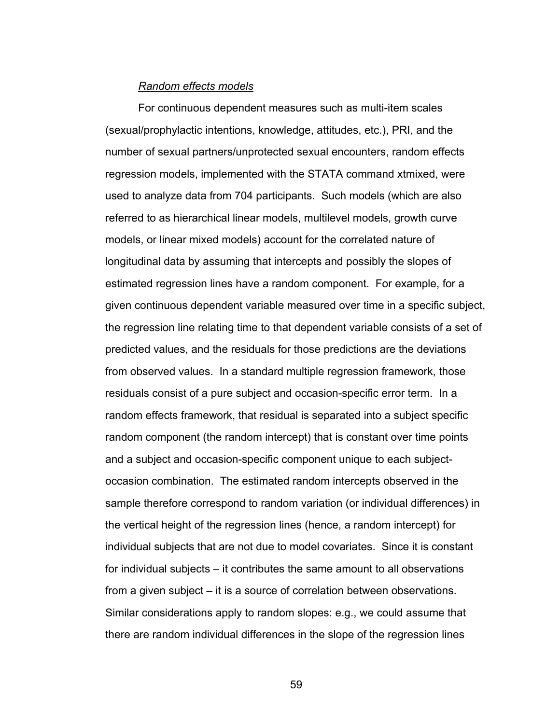### *Random effects models*

 For continuous dependent measures such as multi-item scales (sexual/prophylactic intentions, knowledge, attitudes, etc.), PRI, and the number of sexual partners/unprotected sexual encounters, random effects regression models, implemented with the STATA command xtmixed, were used to analyze data from 704 participants. Such models (which are also referred to as hierarchical linear models, multilevel models, growth curve models, or linear mixed models) account for the correlated nature of longitudinal data by assuming that intercepts and possibly the slopes of estimated regression lines have a random component. For example, for a given continuous dependent variable measured over time in a specific subject, the regression line relating time to that dependent variable consists of a set of predicted values, and the residuals for those predictions are the deviations from observed values. In a standard multiple regression framework, those residuals consist of a pure subject and occasion-specific error term. In a random effects framework, that residual is separated into a subject specific random component (the random intercept) that is constant over time points and a subject and occasion-specific component unique to each subjectoccasion combination. The estimated random intercepts observed in the sample therefore correspond to random variation (or individual differences) in the vertical height of the regression lines (hence, a random intercept) for individual subjects that are not due to model covariates. Since it is constant for individual subjects – it contributes the same amount to all observations from a given subject – it is a source of correlation between observations. Similar considerations apply to random slopes: e.g., we could assume that there are random individual differences in the slope of the regression lines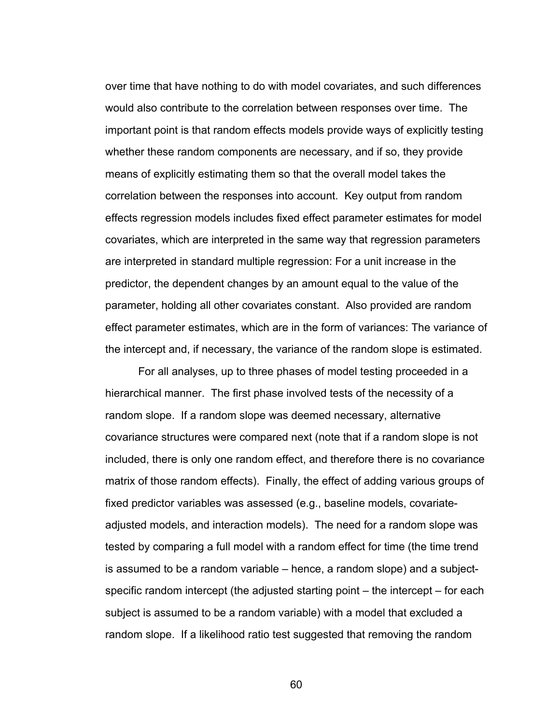over time that have nothing to do with model covariates, and such differences would also contribute to the correlation between responses over time. The important point is that random effects models provide ways of explicitly testing whether these random components are necessary, and if so, they provide means of explicitly estimating them so that the overall model takes the correlation between the responses into account. Key output from random effects regression models includes fixed effect parameter estimates for model covariates, which are interpreted in the same way that regression parameters are interpreted in standard multiple regression: For a unit increase in the predictor, the dependent changes by an amount equal to the value of the parameter, holding all other covariates constant. Also provided are random effect parameter estimates, which are in the form of variances: The variance of the intercept and, if necessary, the variance of the random slope is estimated.

For all analyses, up to three phases of model testing proceeded in a hierarchical manner. The first phase involved tests of the necessity of a random slope. If a random slope was deemed necessary, alternative covariance structures were compared next (note that if a random slope is not included, there is only one random effect, and therefore there is no covariance matrix of those random effects). Finally, the effect of adding various groups of fixed predictor variables was assessed (e.g., baseline models, covariateadjusted models, and interaction models). The need for a random slope was tested by comparing a full model with a random effect for time (the time trend is assumed to be a random variable – hence, a random slope) and a subjectspecific random intercept (the adjusted starting point – the intercept – for each subject is assumed to be a random variable) with a model that excluded a random slope. If a likelihood ratio test suggested that removing the random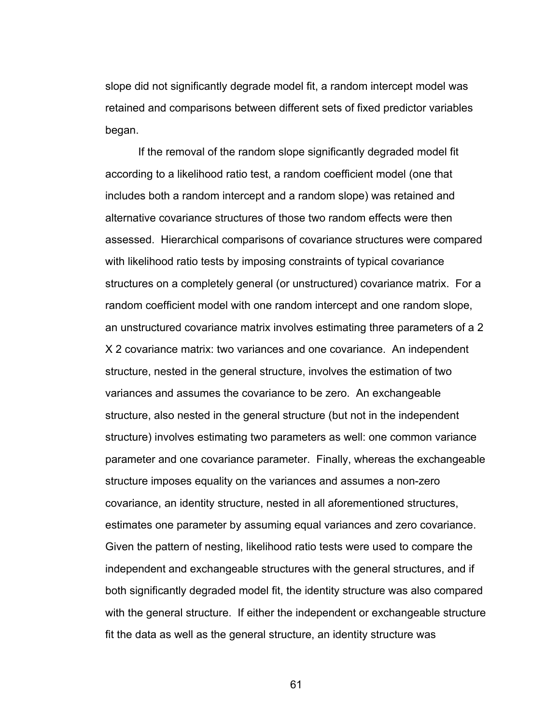slope did not significantly degrade model fit, a random intercept model was retained and comparisons between different sets of fixed predictor variables began.

If the removal of the random slope significantly degraded model fit according to a likelihood ratio test, a random coefficient model (one that includes both a random intercept and a random slope) was retained and alternative covariance structures of those two random effects were then assessed. Hierarchical comparisons of covariance structures were compared with likelihood ratio tests by imposing constraints of typical covariance structures on a completely general (or unstructured) covariance matrix. For a random coefficient model with one random intercept and one random slope, an unstructured covariance matrix involves estimating three parameters of a 2 X 2 covariance matrix: two variances and one covariance. An independent structure, nested in the general structure, involves the estimation of two variances and assumes the covariance to be zero. An exchangeable structure, also nested in the general structure (but not in the independent structure) involves estimating two parameters as well: one common variance parameter and one covariance parameter. Finally, whereas the exchangeable structure imposes equality on the variances and assumes a non-zero covariance, an identity structure, nested in all aforementioned structures, estimates one parameter by assuming equal variances and zero covariance. Given the pattern of nesting, likelihood ratio tests were used to compare the independent and exchangeable structures with the general structures, and if both significantly degraded model fit, the identity structure was also compared with the general structure. If either the independent or exchangeable structure fit the data as well as the general structure, an identity structure was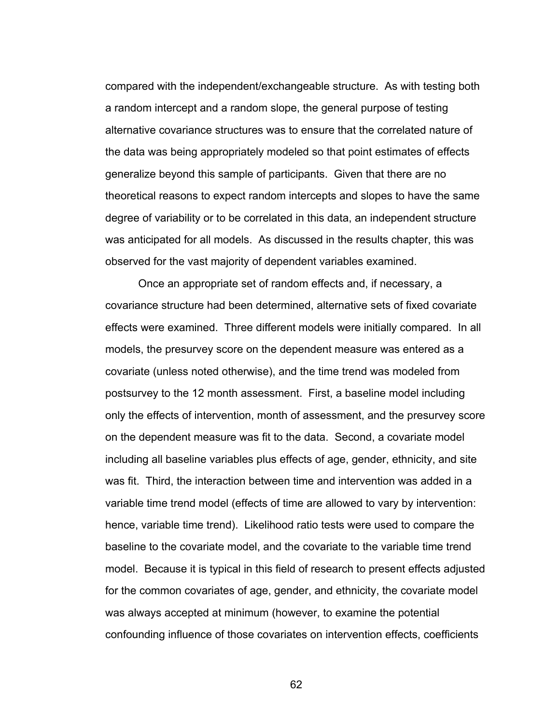compared with the independent/exchangeable structure. As with testing both a random intercept and a random slope, the general purpose of testing alternative covariance structures was to ensure that the correlated nature of the data was being appropriately modeled so that point estimates of effects generalize beyond this sample of participants. Given that there are no theoretical reasons to expect random intercepts and slopes to have the same degree of variability or to be correlated in this data, an independent structure was anticipated for all models. As discussed in the results chapter, this was observed for the vast majority of dependent variables examined.

Once an appropriate set of random effects and, if necessary, a covariance structure had been determined, alternative sets of fixed covariate effects were examined. Three different models were initially compared. In all models, the presurvey score on the dependent measure was entered as a covariate (unless noted otherwise), and the time trend was modeled from postsurvey to the 12 month assessment. First, a baseline model including only the effects of intervention, month of assessment, and the presurvey score on the dependent measure was fit to the data. Second, a covariate model including all baseline variables plus effects of age, gender, ethnicity, and site was fit. Third, the interaction between time and intervention was added in a variable time trend model (effects of time are allowed to vary by intervention: hence, variable time trend). Likelihood ratio tests were used to compare the baseline to the covariate model, and the covariate to the variable time trend model. Because it is typical in this field of research to present effects adjusted for the common covariates of age, gender, and ethnicity, the covariate model was always accepted at minimum (however, to examine the potential confounding influence of those covariates on intervention effects, coefficients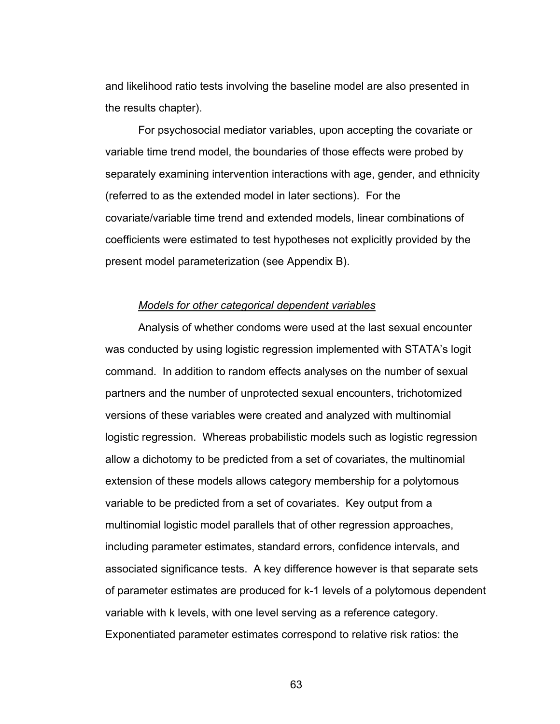and likelihood ratio tests involving the baseline model are also presented in the results chapter).

For psychosocial mediator variables, upon accepting the covariate or variable time trend model, the boundaries of those effects were probed by separately examining intervention interactions with age, gender, and ethnicity (referred to as the extended model in later sections). For the covariate/variable time trend and extended models, linear combinations of coefficients were estimated to test hypotheses not explicitly provided by the present model parameterization (see Appendix B).

#### *Models for other categorical dependent variables*

Analysis of whether condoms were used at the last sexual encounter was conducted by using logistic regression implemented with STATA's logit command. In addition to random effects analyses on the number of sexual partners and the number of unprotected sexual encounters, trichotomized versions of these variables were created and analyzed with multinomial logistic regression. Whereas probabilistic models such as logistic regression allow a dichotomy to be predicted from a set of covariates, the multinomial extension of these models allows category membership for a polytomous variable to be predicted from a set of covariates. Key output from a multinomial logistic model parallels that of other regression approaches, including parameter estimates, standard errors, confidence intervals, and associated significance tests. A key difference however is that separate sets of parameter estimates are produced for k-1 levels of a polytomous dependent variable with k levels, with one level serving as a reference category. Exponentiated parameter estimates correspond to relative risk ratios: the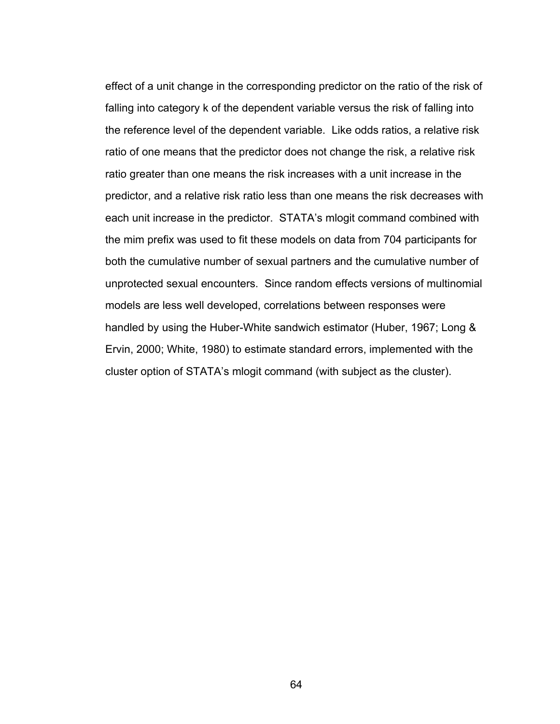effect of a unit change in the corresponding predictor on the ratio of the risk of falling into category k of the dependent variable versus the risk of falling into the reference level of the dependent variable. Like odds ratios, a relative risk ratio of one means that the predictor does not change the risk, a relative risk ratio greater than one means the risk increases with a unit increase in the predictor, and a relative risk ratio less than one means the risk decreases with each unit increase in the predictor. STATA's mlogit command combined with the mim prefix was used to fit these models on data from 704 participants for both the cumulative number of sexual partners and the cumulative number of unprotected sexual encounters. Since random effects versions of multinomial models are less well developed, correlations between responses were handled by using the Huber-White sandwich estimator (Huber, 1967; Long & Ervin, 2000; White, 1980) to estimate standard errors, implemented with the cluster option of STATA's mlogit command (with subject as the cluster).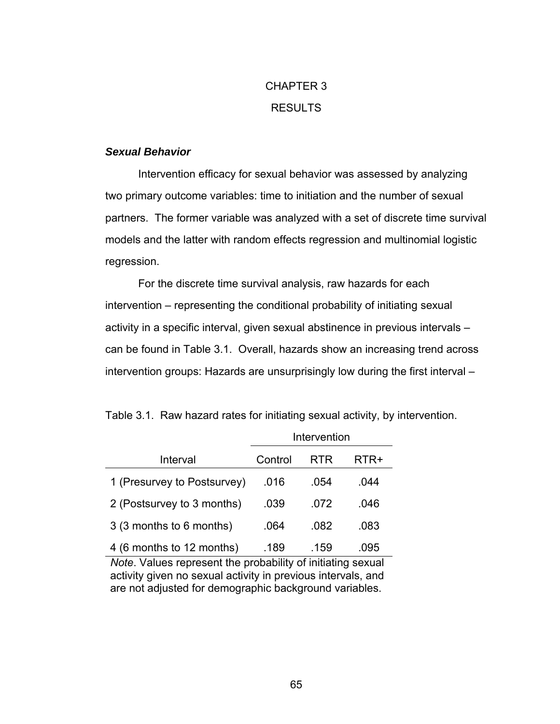# CHAPTER 3 RESULTS

## *Sexual Behavior*

 Intervention efficacy for sexual behavior was assessed by analyzing two primary outcome variables: time to initiation and the number of sexual partners. The former variable was analyzed with a set of discrete time survival models and the latter with random effects regression and multinomial logistic regression.

For the discrete time survival analysis, raw hazards for each intervention – representing the conditional probability of initiating sexual activity in a specific interval, given sexual abstinence in previous intervals – can be found in Table 3.1. Overall, hazards show an increasing trend across intervention groups: Hazards are unsurprisingly low during the first interval –

|  |  |  |  |  |  | Table 3.1. Raw hazard rates for initiating sexual activity, by intervention. |
|--|--|--|--|--|--|------------------------------------------------------------------------------|
|--|--|--|--|--|--|------------------------------------------------------------------------------|

|                             | Intervention |      |      |
|-----------------------------|--------------|------|------|
| Interval                    | Control      | RTR  | RTR+ |
| 1 (Presurvey to Postsurvey) | .016         | .054 | .044 |
| 2 (Postsurvey to 3 months)  | .039         | .072 | .046 |
| 3 (3 months to 6 months)    | .064         | .082 | .083 |
| 4 (6 months to 12 months)   | .189         | .159 | .095 |

*Note*. Values represent the probability of initiating sexual activity given no sexual activity in previous intervals, and are not adjusted for demographic background variables.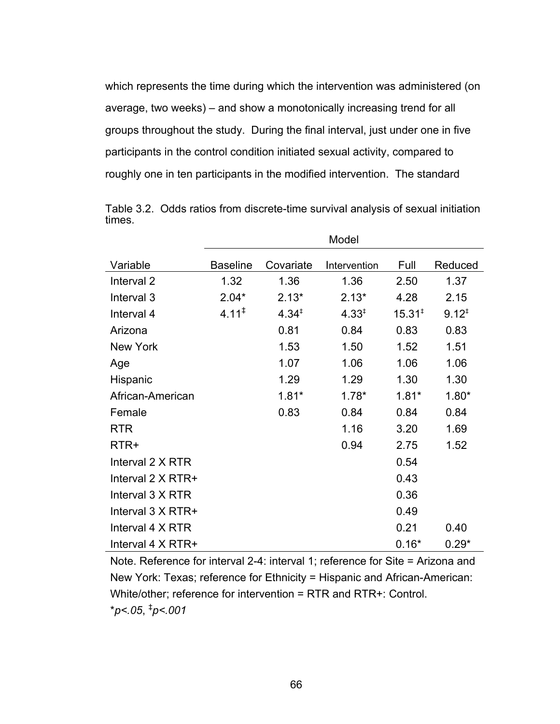which represents the time during which the intervention was administered (on average, two weeks) – and show a monotonically increasing trend for all groups throughout the study. During the final interval, just under one in five participants in the control condition initiated sexual activity, compared to roughly one in ten participants in the modified intervention. The standard

|                          | Model             |            |                   |                    |            |
|--------------------------|-------------------|------------|-------------------|--------------------|------------|
| Variable                 | <b>Baseline</b>   | Covariate  | Intervention      | Full               | Reduced    |
| Interval <sub>2</sub>    | 1.32              | 1.36       | 1.36              | 2.50               | 1.37       |
| Interval 3               | $2.04*$           | $2.13*$    | $2.13*$           | 4.28               | 2.15       |
| Interval 4               | $4.11^{\ddagger}$ | $4.34^{+}$ | $4.33^{\ddagger}$ | 15.31 <sup>‡</sup> | $9.12^{+}$ |
| Arizona                  |                   | 0.81       | 0.84              | 0.83               | 0.83       |
| <b>New York</b>          |                   | 1.53       | 1.50              | 1.52               | 1.51       |
| Age                      |                   | 1.07       | 1.06              | 1.06               | 1.06       |
| Hispanic                 |                   | 1.29       | 1.29              | 1.30               | 1.30       |
| African-American         |                   | $1.81*$    | $1.78*$           | $1.81*$            | $1.80*$    |
| Female                   |                   | 0.83       | 0.84              | 0.84               | 0.84       |
| <b>RTR</b>               |                   |            | 1.16              | 3.20               | 1.69       |
| RTR+                     |                   |            | 0.94              | 2.75               | 1.52       |
| Interval 2 X RTR         |                   |            |                   | 0.54               |            |
| Interval $2 \times RTR+$ |                   |            |                   | 0.43               |            |
| Interval 3 X RTR         |                   |            |                   | 0.36               |            |
| Interval $3 \times RTR+$ |                   |            |                   | 0.49               |            |
| Interval 4 X RTR         |                   |            |                   | 0.21               | 0.40       |
| Interval 4 X RTR+        |                   |            |                   | $0.16*$            | $0.29*$    |

Table 3.2. Odds ratios from discrete-time survival analysis of sexual initiation times.

Note. Reference for interval 2-4: interval 1; reference for Site = Arizona and New York: Texas; reference for Ethnicity = Hispanic and African-American: White/other; reference for intervention = RTR and RTR+: Control. \**p<.05*, ‡ *p<.001*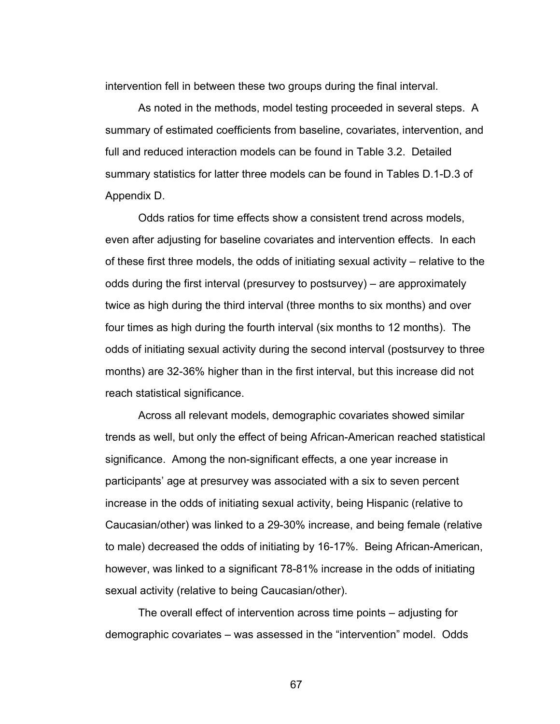intervention fell in between these two groups during the final interval.

 As noted in the methods, model testing proceeded in several steps. A summary of estimated coefficients from baseline, covariates, intervention, and full and reduced interaction models can be found in Table 3.2. Detailed summary statistics for latter three models can be found in Tables D.1-D.3 of Appendix D.

Odds ratios for time effects show a consistent trend across models, even after adjusting for baseline covariates and intervention effects. In each of these first three models, the odds of initiating sexual activity – relative to the odds during the first interval (presurvey to postsurvey) – are approximately twice as high during the third interval (three months to six months) and over four times as high during the fourth interval (six months to 12 months). The odds of initiating sexual activity during the second interval (postsurvey to three months) are 32-36% higher than in the first interval, but this increase did not reach statistical significance.

 Across all relevant models, demographic covariates showed similar trends as well, but only the effect of being African-American reached statistical significance. Among the non-significant effects, a one year increase in participants' age at presurvey was associated with a six to seven percent increase in the odds of initiating sexual activity, being Hispanic (relative to Caucasian/other) was linked to a 29-30% increase, and being female (relative to male) decreased the odds of initiating by 16-17%. Being African-American, however, was linked to a significant 78-81% increase in the odds of initiating sexual activity (relative to being Caucasian/other).

 The overall effect of intervention across time points – adjusting for demographic covariates – was assessed in the "intervention" model. Odds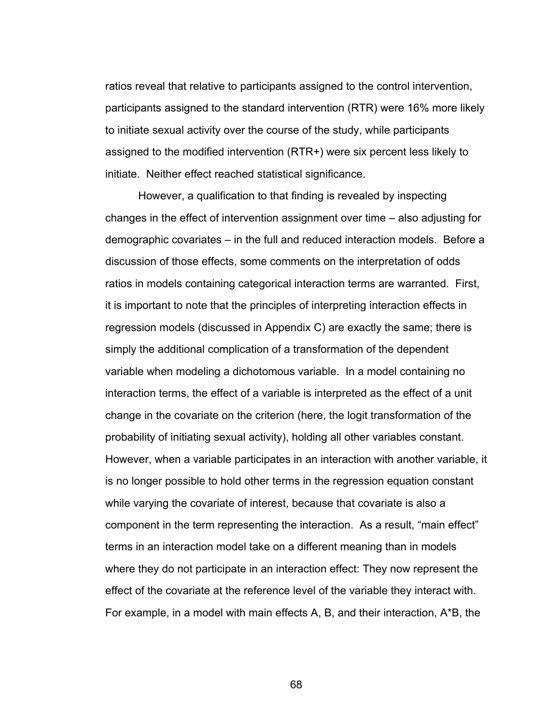ratios reveal that relative to participants assigned to the control intervention, participants assigned to the standard intervention (RTR) were 16% more likely to initiate sexual activity over the course of the study, while participants assigned to the modified intervention (RTR+) were six percent less likely to initiate. Neither effect reached statistical significance.

However, a qualification to that finding is revealed by inspecting changes in the effect of intervention assignment over time – also adjusting for demographic covariates – in the full and reduced interaction models. Before a discussion of those effects, some comments on the interpretation of odds ratios in models containing categorical interaction terms are warranted. First, it is important to note that the principles of interpreting interaction effects in regression models (discussed in Appendix C) are exactly the same; there is simply the additional complication of a transformation of the dependent variable when modeling a dichotomous variable. In a model containing no interaction terms, the effect of a variable is interpreted as the effect of a unit change in the covariate on the criterion (here, the logit transformation of the probability of initiating sexual activity), holding all other variables constant. However, when a variable participates in an interaction with another variable, it is no longer possible to hold other terms in the regression equation constant while varying the covariate of interest, because that covariate is also a component in the term representing the interaction. As a result, "main effect" terms in an interaction model take on a different meaning than in models where they do not participate in an interaction effect: They now represent the effect of the covariate at the reference level of the variable they interact with. For example, in a model with main effects A, B, and their interaction, A\*B, the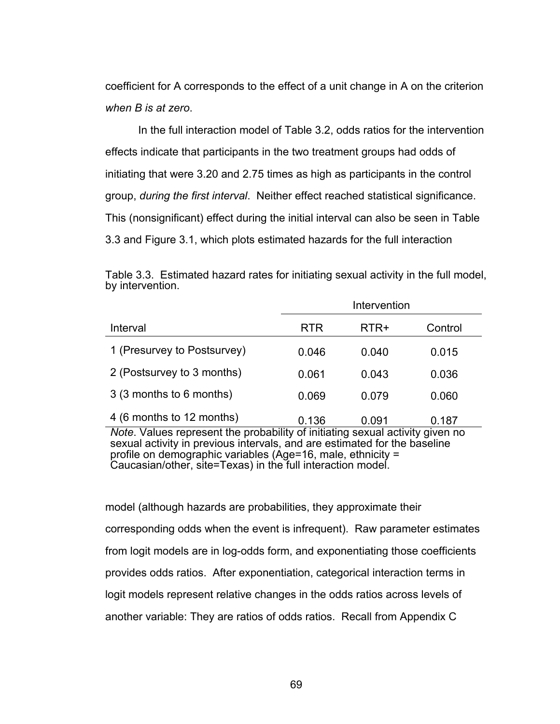coefficient for A corresponds to the effect of a unit change in A on the criterion *when B is at zero*.

In the full interaction model of Table 3.2, odds ratios for the intervention effects indicate that participants in the two treatment groups had odds of initiating that were 3.20 and 2.75 times as high as participants in the control group, *during the first interval*. Neither effect reached statistical significance. This (nonsignificant) effect during the initial interval can also be seen in Table 3.3 and Figure 3.1, which plots estimated hazards for the full interaction

|                             |            | Intervention |         |
|-----------------------------|------------|--------------|---------|
| Interval                    | <b>RTR</b> | RTR+         | Control |
| 1 (Presurvey to Postsurvey) | 0.046      | 0.040        | 0.015   |
| 2 (Postsurvey to 3 months)  | 0.061      | 0.043        | 0.036   |
| 3 (3 months to 6 months)    | 0.069      | 0.079        | 0.060   |
| 4 (6 months to 12 months)   | 0.136      | 0.091        | 0.187   |

Table 3.3. Estimated hazard rates for initiating sexual activity in the full model, by intervention.

*Note*. Values represent the probability of initiating sexual activity given no sexual activity in previous intervals, and are estimated for the baseline profile on demographic variables (Age=16, male, ethnicity = Caucasian/other, site=Texas) in the full interaction model.

model (although hazards are probabilities, they approximate their corresponding odds when the event is infrequent). Raw parameter estimates from logit models are in log-odds form, and exponentiating those coefficients provides odds ratios. After exponentiation, categorical interaction terms in logit models represent relative changes in the odds ratios across levels of another variable: They are ratios of odds ratios. Recall from Appendix C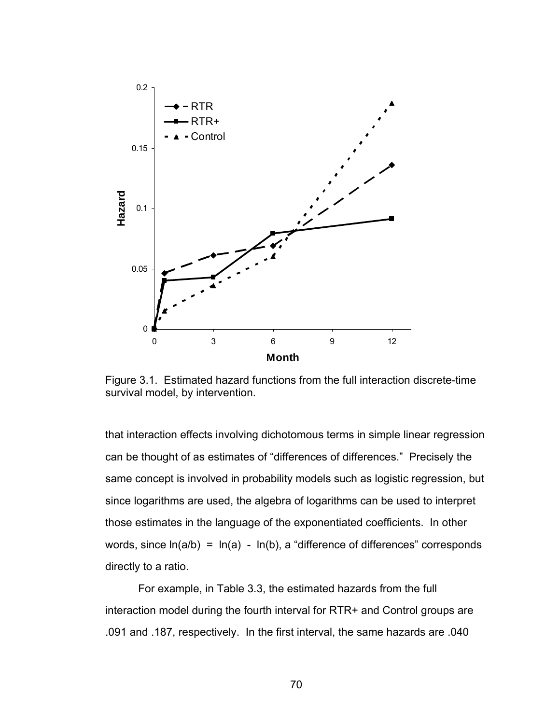

Figure 3.1. Estimated hazard functions from the full interaction discrete-time survival model, by intervention.

that interaction effects involving dichotomous terms in simple linear regression can be thought of as estimates of "differences of differences." Precisely the same concept is involved in probability models such as logistic regression, but since logarithms are used, the algebra of logarithms can be used to interpret those estimates in the language of the exponentiated coefficients. In other words, since  $ln(a/b) = ln(a) - ln(b)$ , a "difference of differences" corresponds directly to a ratio.

For example, in Table 3.3, the estimated hazards from the full interaction model during the fourth interval for RTR+ and Control groups are .091 and .187, respectively. In the first interval, the same hazards are .040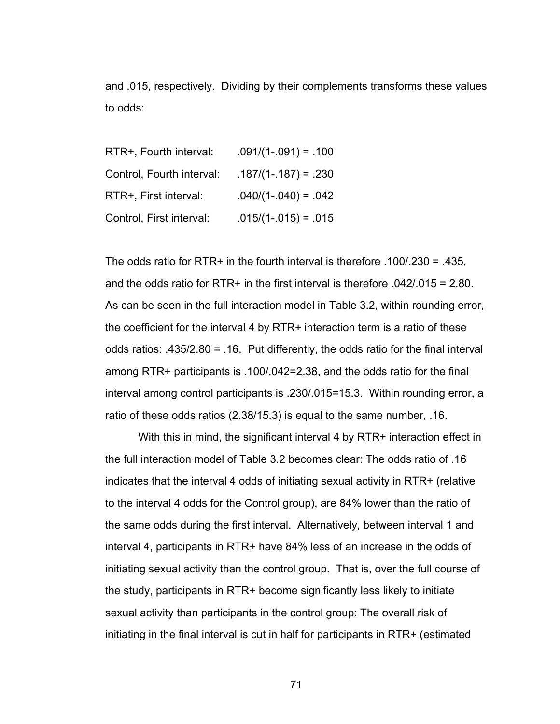and .015, respectively. Dividing by their complements transforms these values to odds:

| RTR+, Fourth interval:    | $.091/(1-.091) = .100$ |
|---------------------------|------------------------|
| Control, Fourth interval: | $.187/(1-.187) = .230$ |
| RTR+, First interval:     | $.040/(1-.040) = .042$ |
| Control, First interval:  | $.015/(1-.015) = .015$ |

The odds ratio for RTR+ in the fourth interval is therefore  $.100/.230 = .435,$ and the odds ratio for RTR+ in the first interval is therefore .042/.015 = 2.80. As can be seen in the full interaction model in Table 3.2, within rounding error, the coefficient for the interval 4 by RTR+ interaction term is a ratio of these odds ratios: .435/2.80 = .16. Put differently, the odds ratio for the final interval among RTR+ participants is .100/.042=2.38, and the odds ratio for the final interval among control participants is .230/.015=15.3. Within rounding error, a ratio of these odds ratios (2.38/15.3) is equal to the same number, .16.

With this in mind, the significant interval 4 by RTR+ interaction effect in the full interaction model of Table 3.2 becomes clear: The odds ratio of .16 indicates that the interval 4 odds of initiating sexual activity in RTR+ (relative to the interval 4 odds for the Control group), are 84% lower than the ratio of the same odds during the first interval. Alternatively, between interval 1 and interval 4, participants in RTR+ have 84% less of an increase in the odds of initiating sexual activity than the control group. That is, over the full course of the study, participants in RTR+ become significantly less likely to initiate sexual activity than participants in the control group: The overall risk of initiating in the final interval is cut in half for participants in RTR+ (estimated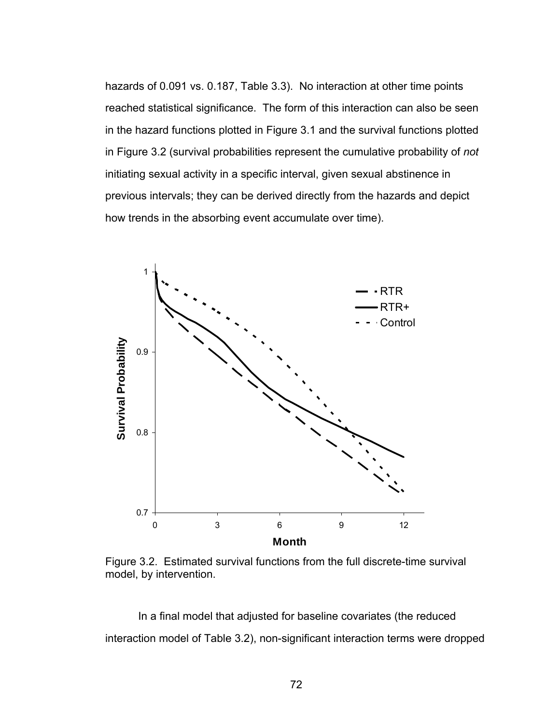hazards of 0.091 vs. 0.187, Table 3.3). No interaction at other time points reached statistical significance. The form of this interaction can also be seen in the hazard functions plotted in Figure 3.1 and the survival functions plotted in Figure 3.2 (survival probabilities represent the cumulative probability of *not* initiating sexual activity in a specific interval, given sexual abstinence in previous intervals; they can be derived directly from the hazards and depict how trends in the absorbing event accumulate over time).



Figure 3.2. Estimated survival functions from the full discrete-time survival model, by intervention.

In a final model that adjusted for baseline covariates (the reduced interaction model of Table 3.2), non-significant interaction terms were dropped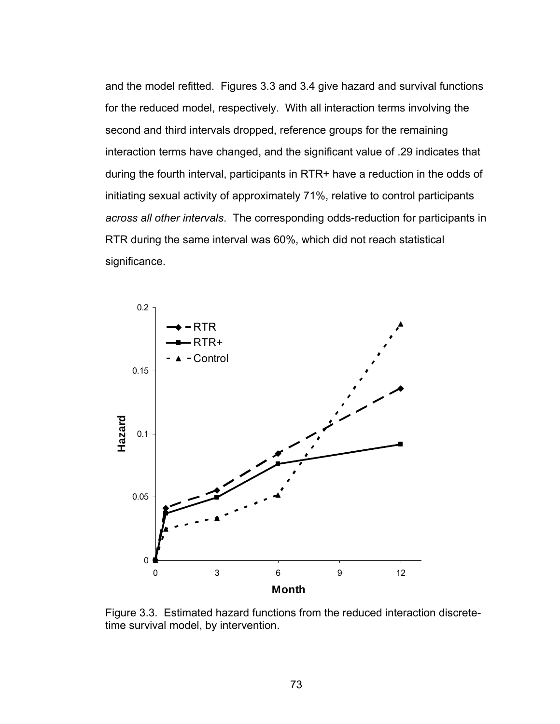and the model refitted. Figures 3.3 and 3.4 give hazard and survival functions for the reduced model, respectively. With all interaction terms involving the second and third intervals dropped, reference groups for the remaining interaction terms have changed, and the significant value of .29 indicates that during the fourth interval, participants in RTR+ have a reduction in the odds of initiating sexual activity of approximately 71%, relative to control participants *across all other intervals*. The corresponding odds-reduction for participants in RTR during the same interval was 60%, which did not reach statistical significance.



Figure 3.3. Estimated hazard functions from the reduced interaction discretetime survival model, by intervention.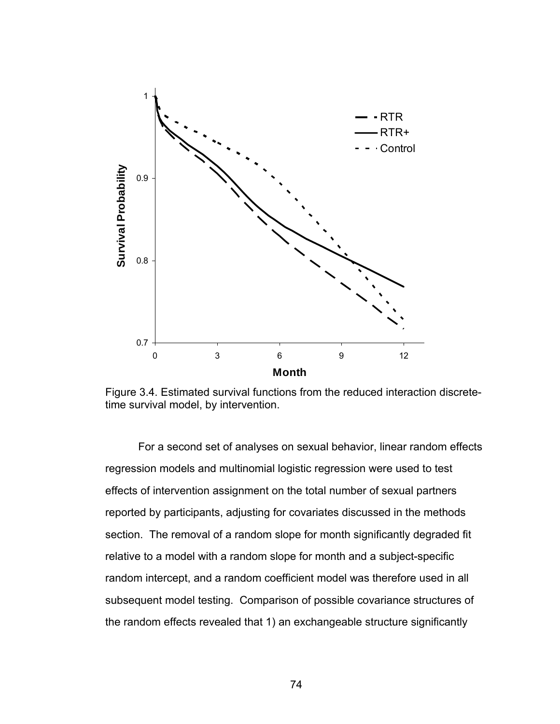

Figure 3.4. Estimated survival functions from the reduced interaction discretetime survival model, by intervention.

 For a second set of analyses on sexual behavior, linear random effects regression models and multinomial logistic regression were used to test effects of intervention assignment on the total number of sexual partners reported by participants, adjusting for covariates discussed in the methods section. The removal of a random slope for month significantly degraded fit relative to a model with a random slope for month and a subject-specific random intercept, and a random coefficient model was therefore used in all subsequent model testing. Comparison of possible covariance structures of the random effects revealed that 1) an exchangeable structure significantly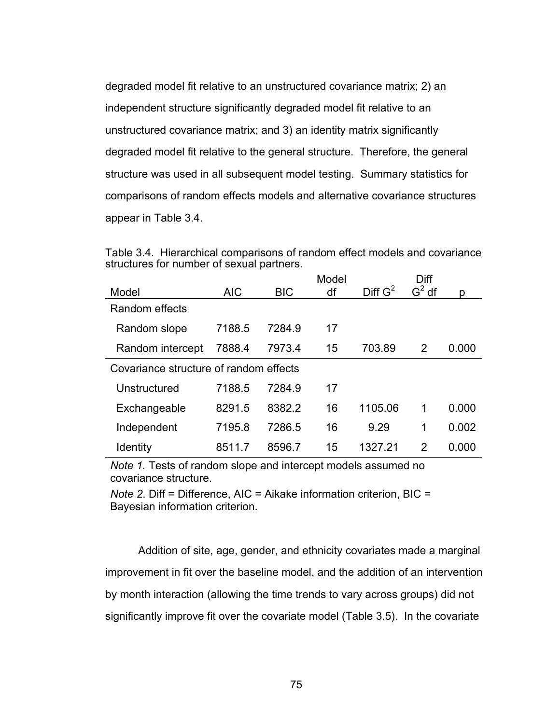degraded model fit relative to an unstructured covariance matrix; 2) an independent structure significantly degraded model fit relative to an unstructured covariance matrix; and 3) an identity matrix significantly degraded model fit relative to the general structure. Therefore, the general structure was used in all subsequent model testing. Summary statistics for comparisons of random effects models and alternative covariance structures appear in Table 3.4.

Table 3.4. Hierarchical comparisons of random effect models and covariance structures for number of sexual partners.

|                                        |            |            | Model |                     | Diff          |       |
|----------------------------------------|------------|------------|-------|---------------------|---------------|-------|
| Model                                  | <b>AIC</b> | <b>BIC</b> | df    | Diff G <sup>2</sup> | $G2$ df       | p     |
| Random effects                         |            |            |       |                     |               |       |
| Random slope                           | 7188.5     | 7284.9     | 17    |                     |               |       |
| Random intercept                       | 7888.4     | 7973.4     | 15    | 703.89              | 2             | 0.000 |
| Covariance structure of random effects |            |            |       |                     |               |       |
| Unstructured                           | 7188.5     | 7284.9     | 17    |                     |               |       |
| Exchangeable                           | 8291.5     | 8382.2     | 16    | 1105.06             | 1             | 0.000 |
| Independent                            | 7195.8     | 7286.5     | 16    | 9.29                | 1             | 0.002 |
| Identity                               | 8511.7     | 8596.7     | 15    | 1327 21             | $\mathcal{P}$ | 0.000 |

*Note 1.* Tests of random slope and intercept models assumed no covariance structure.

*Note 2*. Diff = Difference, AIC = Aikake information criterion, BIC = Bayesian information criterion.

 Addition of site, age, gender, and ethnicity covariates made a marginal improvement in fit over the baseline model, and the addition of an intervention by month interaction (allowing the time trends to vary across groups) did not significantly improve fit over the covariate model (Table 3.5). In the covariate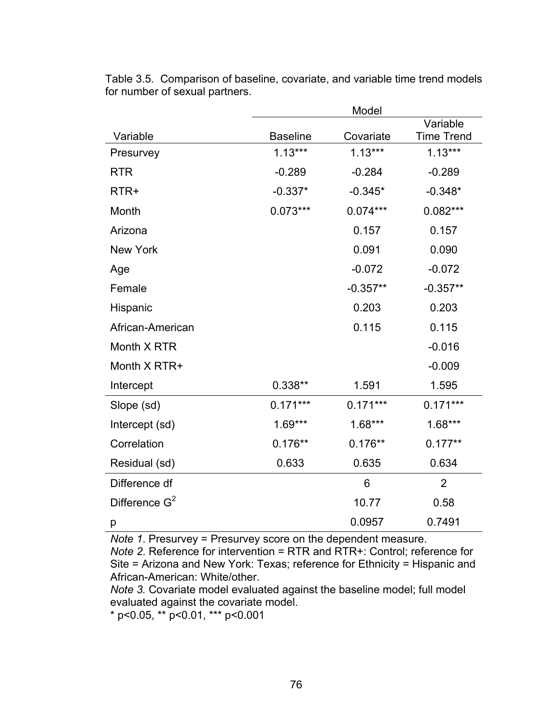|                  |                 | Model      |                   |
|------------------|-----------------|------------|-------------------|
|                  |                 |            | Variable          |
| Variable         | <b>Baseline</b> | Covariate  | <b>Time Trend</b> |
| Presurvey        | $1.13***$       | $1.13***$  | $1.13***$         |
| <b>RTR</b>       | $-0.289$        | $-0.284$   | $-0.289$          |
| RTR+             | $-0.337*$       | $-0.345*$  | $-0.348*$         |
| Month            | $0.073***$      | $0.074***$ | $0.082***$        |
| Arizona          |                 | 0.157      | 0.157             |
| <b>New York</b>  |                 | 0.091      | 0.090             |
| Age              |                 | $-0.072$   | $-0.072$          |
| Female           |                 | $-0.357**$ | $-0.357**$        |
| Hispanic         |                 | 0.203      | 0.203             |
| African-American |                 | 0.115      | 0.115             |
| Month X RTR      |                 |            | $-0.016$          |
| Month X RTR+     |                 |            | $-0.009$          |
| Intercept        | $0.338**$       | 1.591      | 1.595             |
| Slope (sd)       | $0.171***$      | $0.171***$ | $0.171***$        |
| Intercept (sd)   | $1.69***$       | $1.68***$  | $1.68***$         |
| Correlation      | $0.176**$       | $0.176**$  | $0.177**$         |
| Residual (sd)    | 0.633           | 0.635      | 0.634             |
| Difference df    |                 | 6          | $\overline{2}$    |
| Difference $G^2$ |                 | 10.77      | 0.58              |
| р                |                 | 0.0957     | 0.7491            |

Table 3.5. Comparison of baseline, covariate, and variable time trend models for number of sexual partners.

*Note 1*. Presurvey = Presurvey score on the dependent measure.

*Note 2*. Reference for intervention = RTR and RTR+: Control; reference for Site = Arizona and New York: Texas; reference for Ethnicity = Hispanic and African-American: White/other.

*Note 3.* Covariate model evaluated against the baseline model; full model evaluated against the covariate model.

\* p<0.05, \*\* p<0.01, \*\*\* p<0.001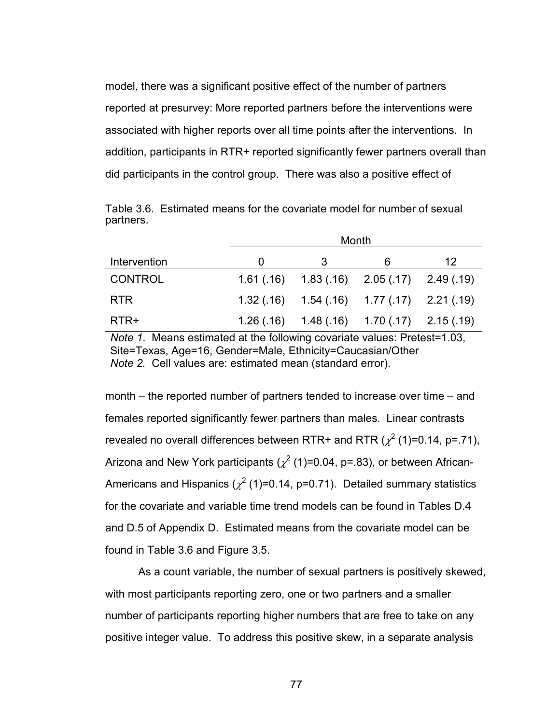model, there was a significant positive effect of the number of partners reported at presurvey: More reported partners before the interventions were associated with higher reports over all time points after the interventions. In addition, participants in RTR+ reported significantly fewer partners overall than did participants in the control group. There was also a positive effect of

Table 3.6. Estimated means for the covariate model for number of sexual partners.

|                | Month |   |                                                 |    |  |  |
|----------------|-------|---|-------------------------------------------------|----|--|--|
| Intervention   |       | 3 | 6                                               | 12 |  |  |
| <b>CONTROL</b> |       |   | $1.61(.16)$ $1.83(.16)$ $2.05(.17)$ $2.49(.19)$ |    |  |  |
| <b>RTR</b>     |       |   | $1.32(.16)$ $1.54(.16)$ $1.77(.17)$ $2.21(.19)$ |    |  |  |
| RTR+           |       |   | $1.26(.16)$ $1.48(.16)$ $1.70(.17)$ $2.15(.19)$ |    |  |  |

*Note 1*. Means estimated at the following covariate values: Pretest=1.03, Site=Texas, Age=16, Gender=Male, Ethnicity=Caucasian/Other *Note 2.* Cell values are: estimated mean (standard error).

month – the reported number of partners tended to increase over time – and females reported significantly fewer partners than males. Linear contrasts revealed no overall differences between RTR+ and RTR ( $\chi^2$  (1)=0.14, p=.71), Arizona and New York participants ( $\chi^2$  (1)=0.04, p=.83), or between African-Americans and Hispanics ( $\chi^2$  (1)=0.14, p=0.71). Detailed summary statistics for the covariate and variable time trend models can be found in Tables D.4 and D.5 of Appendix D. Estimated means from the covariate model can be found in Table 3.6 and Figure 3.5.

As a count variable, the number of sexual partners is positively skewed, with most participants reporting zero, one or two partners and a smaller number of participants reporting higher numbers that are free to take on any positive integer value. To address this positive skew, in a separate analysis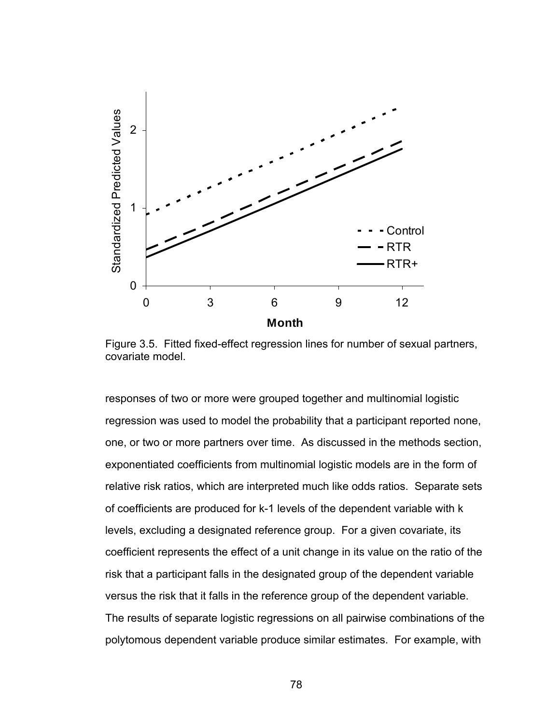

Figure 3.5. Fitted fixed-effect regression lines for number of sexual partners, covariate model.

responses of two or more were grouped together and multinomial logistic regression was used to model the probability that a participant reported none, one, or two or more partners over time. As discussed in the methods section, exponentiated coefficients from multinomial logistic models are in the form of relative risk ratios, which are interpreted much like odds ratios. Separate sets of coefficients are produced for k-1 levels of the dependent variable with k levels, excluding a designated reference group. For a given covariate, its coefficient represents the effect of a unit change in its value on the ratio of the risk that a participant falls in the designated group of the dependent variable versus the risk that it falls in the reference group of the dependent variable. The results of separate logistic regressions on all pairwise combinations of the polytomous dependent variable produce similar estimates. For example, with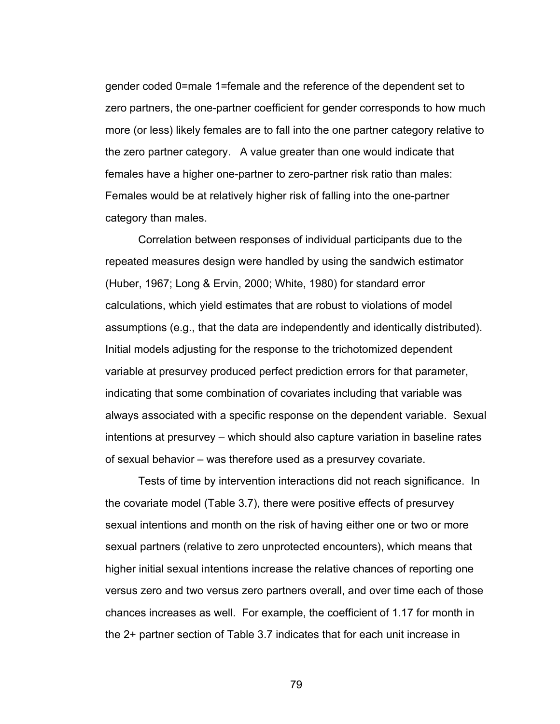gender coded 0=male 1=female and the reference of the dependent set to zero partners, the one-partner coefficient for gender corresponds to how much more (or less) likely females are to fall into the one partner category relative to the zero partner category. A value greater than one would indicate that females have a higher one-partner to zero-partner risk ratio than males: Females would be at relatively higher risk of falling into the one-partner category than males.

Correlation between responses of individual participants due to the repeated measures design were handled by using the sandwich estimator (Huber, 1967; Long & Ervin, 2000; White, 1980) for standard error calculations, which yield estimates that are robust to violations of model assumptions (e.g., that the data are independently and identically distributed). Initial models adjusting for the response to the trichotomized dependent variable at presurvey produced perfect prediction errors for that parameter, indicating that some combination of covariates including that variable was always associated with a specific response on the dependent variable. Sexual intentions at presurvey – which should also capture variation in baseline rates of sexual behavior – was therefore used as a presurvey covariate.

Tests of time by intervention interactions did not reach significance. In the covariate model (Table 3.7), there were positive effects of presurvey sexual intentions and month on the risk of having either one or two or more sexual partners (relative to zero unprotected encounters), which means that higher initial sexual intentions increase the relative chances of reporting one versus zero and two versus zero partners overall, and over time each of those chances increases as well. For example, the coefficient of 1.17 for month in the 2+ partner section of Table 3.7 indicates that for each unit increase in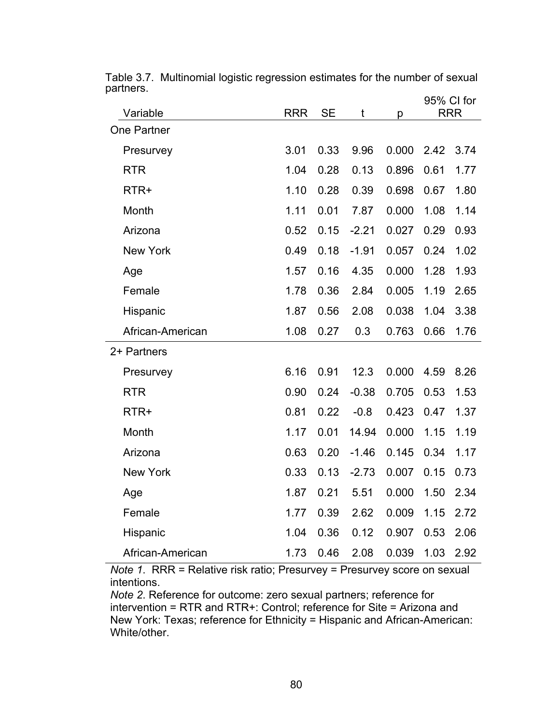|                    |            |           |         |       | 95% CI for |            |
|--------------------|------------|-----------|---------|-------|------------|------------|
| Variable           | <b>RRR</b> | <b>SE</b> | t       | р     |            | <b>RRR</b> |
| <b>One Partner</b> |            |           |         |       |            |            |
| Presurvey          | 3.01       | 0.33      | 9.96    | 0.000 | 2.42       | 3.74       |
| <b>RTR</b>         | 1.04       | 0.28      | 0.13    | 0.896 | 0.61       | 1.77       |
| RTR+               | 1.10       | 0.28      | 0.39    | 0.698 | 0.67       | 1.80       |
| Month              | 1.11       | 0.01      | 7.87    | 0.000 | 1.08       | 1.14       |
| Arizona            | 0.52       | 0.15      | $-2.21$ | 0.027 | 0.29       | 0.93       |
| <b>New York</b>    | 0.49       | 0.18      | $-1.91$ | 0.057 | 0.24       | 1.02       |
| Age                | 1.57       | 0.16      | 4.35    | 0.000 | 1.28       | 1.93       |
| Female             | 1.78       | 0.36      | 2.84    | 0.005 | 1.19       | 2.65       |
| Hispanic           | 1.87       | 0.56      | 2.08    | 0.038 | 1.04       | 3.38       |
| African-American   | 1.08       | 0.27      | 0.3     | 0.763 | 0.66       | 1.76       |
| 2+ Partners        |            |           |         |       |            |            |
| Presurvey          | 6.16       | 0.91      | 12.3    | 0.000 | 4.59       | 8.26       |
| <b>RTR</b>         | 0.90       | 0.24      | $-0.38$ | 0.705 | 0.53       | 1.53       |
| RTR+               | 0.81       | 0.22      | $-0.8$  | 0.423 | 0.47       | 1.37       |
| Month              | 1.17       | 0.01      | 14.94   | 0.000 | 1.15       | 1.19       |
| Arizona            | 0.63       | 0.20      | $-1.46$ | 0.145 | 0.34       | 1.17       |
| <b>New York</b>    | 0.33       | 0.13      | $-2.73$ | 0.007 | 0.15       | 0.73       |
| Age                | 1.87       | 0.21      | 5.51    | 0.000 | 1.50       | 2.34       |
| Female             | 1.77       | 0.39      | 2.62    | 0.009 | 1.15       | 2.72       |
| Hispanic           | 1.04       | 0.36      | 0.12    | 0.907 | 0.53       | 2.06       |
| African-American   | 1.73       | 0.46      | 2.08    | 0.039 | 1.03       | 2.92       |

Table 3.7. Multinomial logistic regression estimates for the number of sexual partners.

*Note 1*. RRR = Relative risk ratio; Presurvey = Presurvey score on sexual intentions.

*Note 2*. Reference for outcome: zero sexual partners; reference for intervention = RTR and RTR+: Control; reference for Site = Arizona and New York: Texas; reference for Ethnicity = Hispanic and African-American: White/other.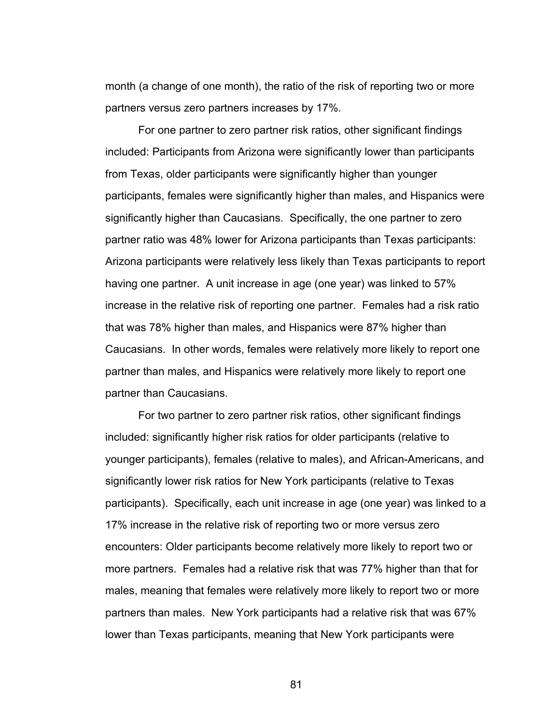month (a change of one month), the ratio of the risk of reporting two or more partners versus zero partners increases by 17%.

For one partner to zero partner risk ratios, other significant findings included: Participants from Arizona were significantly lower than participants from Texas, older participants were significantly higher than younger participants, females were significantly higher than males, and Hispanics were significantly higher than Caucasians. Specifically, the one partner to zero partner ratio was 48% lower for Arizona participants than Texas participants: Arizona participants were relatively less likely than Texas participants to report having one partner. A unit increase in age (one year) was linked to 57% increase in the relative risk of reporting one partner. Females had a risk ratio that was 78% higher than males, and Hispanics were 87% higher than Caucasians. In other words, females were relatively more likely to report one partner than males, and Hispanics were relatively more likely to report one partner than Caucasians.

For two partner to zero partner risk ratios, other significant findings included: significantly higher risk ratios for older participants (relative to younger participants), females (relative to males), and African-Americans, and significantly lower risk ratios for New York participants (relative to Texas participants). Specifically, each unit increase in age (one year) was linked to a 17% increase in the relative risk of reporting two or more versus zero encounters: Older participants become relatively more likely to report two or more partners. Females had a relative risk that was 77% higher than that for males, meaning that females were relatively more likely to report two or more partners than males. New York participants had a relative risk that was 67% lower than Texas participants, meaning that New York participants were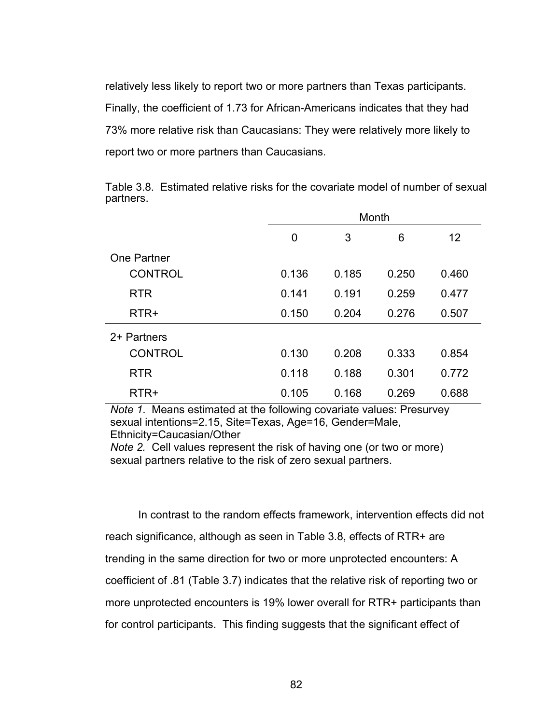relatively less likely to report two or more partners than Texas participants. Finally, the coefficient of 1.73 for African-Americans indicates that they had 73% more relative risk than Caucasians: They were relatively more likely to report two or more partners than Caucasians.

Month 0 3 6 12 One Partner CONTROL 0.136 0.185 0.250 0.460 RTR 0.141 0.191 0.259 0.477 RTR+ 0.150 0.204 0.276 0.507 2+ Partners CONTROL 0.130 0.208 0.333 0.854 RTR 0.118 0.188 0.301 0.772 RTR+ 0.105 0.168 0.269 0.688

Table 3.8. Estimated relative risks for the covariate model of number of sexual partners.

*Note 1*. Means estimated at the following covariate values: Presurvey sexual intentions=2.15, Site=Texas, Age=16, Gender=Male, Ethnicity=Caucasian/Other

*Note 2.* Cell values represent the risk of having one (or two or more) sexual partners relative to the risk of zero sexual partners.

In contrast to the random effects framework, intervention effects did not reach significance, although as seen in Table 3.8, effects of RTR+ are trending in the same direction for two or more unprotected encounters: A coefficient of .81 (Table 3.7) indicates that the relative risk of reporting two or more unprotected encounters is 19% lower overall for RTR+ participants than for control participants. This finding suggests that the significant effect of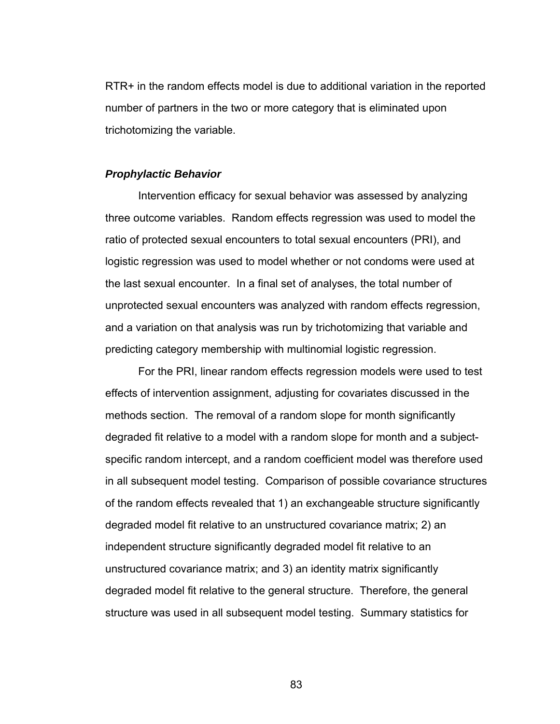RTR+ in the random effects model is due to additional variation in the reported number of partners in the two or more category that is eliminated upon trichotomizing the variable.

### *Prophylactic Behavior*

 Intervention efficacy for sexual behavior was assessed by analyzing three outcome variables. Random effects regression was used to model the ratio of protected sexual encounters to total sexual encounters (PRI), and logistic regression was used to model whether or not condoms were used at the last sexual encounter. In a final set of analyses, the total number of unprotected sexual encounters was analyzed with random effects regression, and a variation on that analysis was run by trichotomizing that variable and predicting category membership with multinomial logistic regression.

For the PRI, linear random effects regression models were used to test effects of intervention assignment, adjusting for covariates discussed in the methods section. The removal of a random slope for month significantly degraded fit relative to a model with a random slope for month and a subjectspecific random intercept, and a random coefficient model was therefore used in all subsequent model testing. Comparison of possible covariance structures of the random effects revealed that 1) an exchangeable structure significantly degraded model fit relative to an unstructured covariance matrix; 2) an independent structure significantly degraded model fit relative to an unstructured covariance matrix; and 3) an identity matrix significantly degraded model fit relative to the general structure. Therefore, the general structure was used in all subsequent model testing. Summary statistics for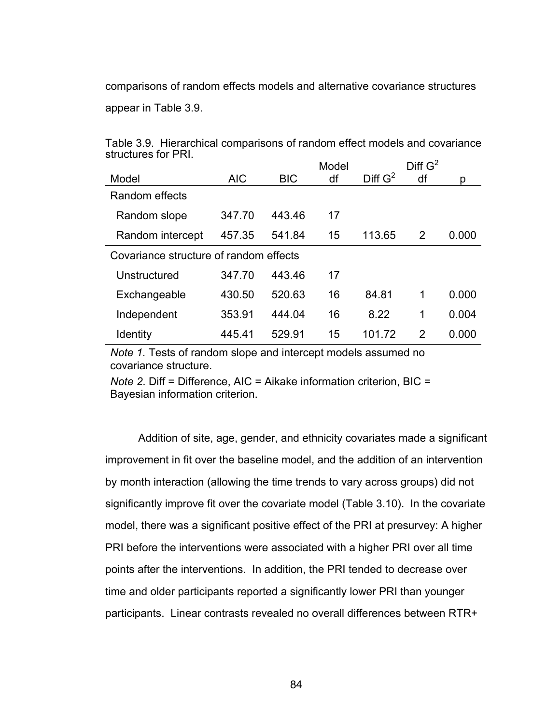comparisons of random effects models and alternative covariance structures

appear in Table 3.9.

| וויו ושו כס ושושטוב.                   |            |            | Model |            | Diff G <sup>2</sup> |       |
|----------------------------------------|------------|------------|-------|------------|---------------------|-------|
| Model                                  | <b>AIC</b> | <b>BIC</b> | df    | Diff $G^2$ | df                  | D     |
| Random effects                         |            |            |       |            |                     |       |
| Random slope                           | 347.70     | 443.46     | 17    |            |                     |       |
| Random intercept                       | 457.35     | 541.84     | 15    | 113.65     | 2                   | 0.000 |
| Covariance structure of random effects |            |            |       |            |                     |       |
| Unstructured                           | 347.70     | 443.46     | 17    |            |                     |       |
| Exchangeable                           | 430.50     | 520.63     | 16    | 84.81      | 1                   | 0.000 |
| Independent                            | 353.91     | 444.04     | 16    | 8.22       | 1                   | 0.004 |
| <b>Identity</b>                        | 445.41     | 529.91     | 15    | 101.72     | 2                   | 0.000 |

Table 3.9. Hierarchical comparisons of random effect models and covariance structures for PRI.

*Note 1.* Tests of random slope and intercept models assumed no covariance structure.

*Note 2*. Diff = Difference, AIC = Aikake information criterion, BIC = Bayesian information criterion.

Addition of site, age, gender, and ethnicity covariates made a significant improvement in fit over the baseline model, and the addition of an intervention by month interaction (allowing the time trends to vary across groups) did not significantly improve fit over the covariate model (Table 3.10). In the covariate model, there was a significant positive effect of the PRI at presurvey: A higher PRI before the interventions were associated with a higher PRI over all time points after the interventions. In addition, the PRI tended to decrease over time and older participants reported a significantly lower PRI than younger participants. Linear contrasts revealed no overall differences between RTR+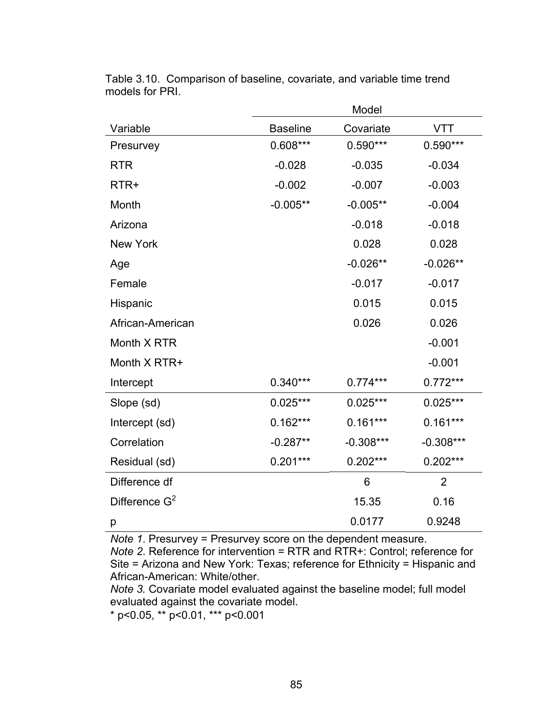|                  |                 | Model       |                |
|------------------|-----------------|-------------|----------------|
| Variable         | <b>Baseline</b> | Covariate   | <b>VTT</b>     |
| Presurvey        | $0.608***$      | $0.590***$  | $0.590***$     |
| <b>RTR</b>       | $-0.028$        | $-0.035$    | $-0.034$       |
| RTR+             | $-0.002$        | $-0.007$    | $-0.003$       |
| Month            | $-0.005**$      | $-0.005**$  | $-0.004$       |
| Arizona          |                 | $-0.018$    | $-0.018$       |
| New York         |                 | 0.028       | 0.028          |
| Age              |                 | $-0.026**$  | $-0.026**$     |
| Female           |                 | $-0.017$    | $-0.017$       |
| Hispanic         |                 | 0.015       | 0.015          |
| African-American |                 | 0.026       | 0.026          |
| Month X RTR      |                 |             | $-0.001$       |
| Month X RTR+     |                 |             | $-0.001$       |
| Intercept        | $0.340***$      | $0.774***$  | $0.772***$     |
| Slope (sd)       | $0.025***$      | $0.025***$  | $0.025***$     |
| Intercept (sd)   | $0.162***$      | $0.161***$  | $0.161***$     |
| Correlation      | $-0.287**$      | $-0.308***$ | $-0.308***$    |
| Residual (sd)    | $0.201***$      | $0.202***$  | $0.202***$     |
| Difference df    |                 | 6           | $\overline{2}$ |
| Difference $G^2$ |                 | 15.35       | 0.16           |
| р                |                 | 0.0177      | 0.9248         |

Table 3.10. Comparison of baseline, covariate, and variable time trend models for PRI.

*Note 1*. Presurvey = Presurvey score on the dependent measure.

*Note 2*. Reference for intervention = RTR and RTR+: Control; reference for Site = Arizona and New York: Texas; reference for Ethnicity = Hispanic and African-American: White/other.

*Note 3.* Covariate model evaluated against the baseline model; full model evaluated against the covariate model.

\* p<0.05, \*\* p<0.01, \*\*\* p<0.001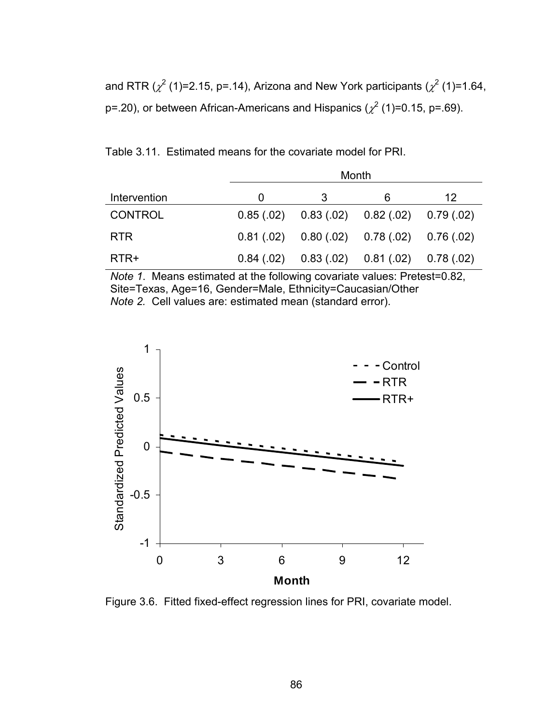and RTR ( $\chi^2$  (1)=2.15, p=.14), Arizona and New York participants ( $\chi^2$  (1)=1.64, p=.20), or between African-Americans and Hispanics ( $\chi^2$  (1)=0.15, p=.69).

Table 3.11. Estimated means for the covariate model for PRI.

|                | Month    |                                                     |   |    |  |  |
|----------------|----------|-----------------------------------------------------|---|----|--|--|
| Intervention   | $\Omega$ | 3                                                   | 6 | 12 |  |  |
| <b>CONTROL</b> |          | $0.85(.02)$ $0.83(.02)$ $0.82(.02)$ $0.79(.02)$     |   |    |  |  |
| <b>RTR</b>     |          | $0.81(0.02)$ $0.80(0.02)$ $0.78(0.02)$ $0.76(0.02)$ |   |    |  |  |
| RTR+           |          | $0.84(02)$ $0.83(02)$ $0.81(02)$ $0.78(02)$         |   |    |  |  |

*Note 1*. Means estimated at the following covariate values: Pretest=0.82, Site=Texas, Age=16, Gender=Male, Ethnicity=Caucasian/Other *Note 2.* Cell values are: estimated mean (standard error).



Figure 3.6. Fitted fixed-effect regression lines for PRI, covariate model.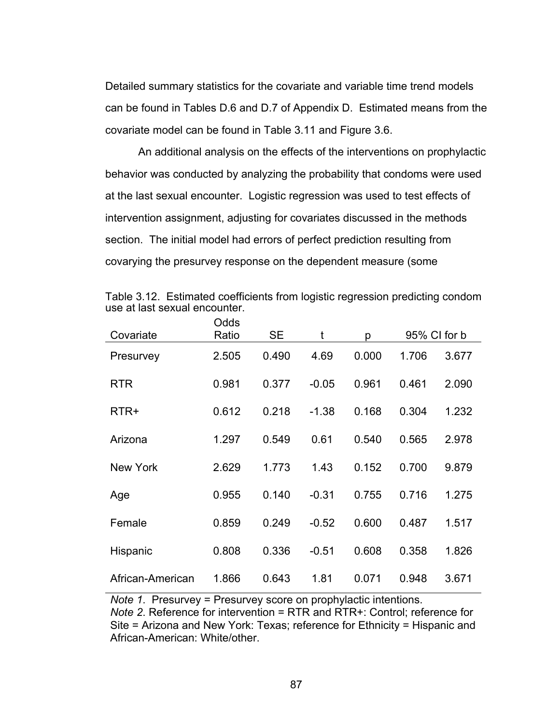Detailed summary statistics for the covariate and variable time trend models can be found in Tables D.6 and D.7 of Appendix D. Estimated means from the covariate model can be found in Table 3.11 and Figure 3.6.

 An additional analysis on the effects of the interventions on prophylactic behavior was conducted by analyzing the probability that condoms were used at the last sexual encounter. Logistic regression was used to test effects of intervention assignment, adjusting for covariates discussed in the methods section. The initial model had errors of perfect prediction resulting from covarying the presurvey response on the dependent measure (some

| Covariate        | vuus<br>Ratio | <b>SE</b> | t       | p     |       | 95% CI for b |
|------------------|---------------|-----------|---------|-------|-------|--------------|
| Presurvey        | 2.505         | 0.490     | 4.69    | 0.000 | 1.706 | 3.677        |
| <b>RTR</b>       | 0.981         | 0.377     | $-0.05$ | 0.961 | 0.461 | 2.090        |
| RTR+             | 0.612         | 0.218     | $-1.38$ | 0.168 | 0.304 | 1.232        |
| Arizona          | 1.297         | 0.549     | 0.61    | 0.540 | 0.565 | 2.978        |
| <b>New York</b>  | 2.629         | 1.773     | 1.43    | 0.152 | 0.700 | 9.879        |
| Age              | 0.955         | 0.140     | $-0.31$ | 0.755 | 0.716 | 1.275        |
| Female           | 0.859         | 0.249     | $-0.52$ | 0.600 | 0.487 | 1.517        |
| Hispanic         | 0.808         | 0.336     | $-0.51$ | 0.608 | 0.358 | 1.826        |
| African-American | 1.866         | 0.643     | 1.81    | 0.071 | 0.948 | 3.671        |

Table 3.12. Estimated coefficients from logistic regression predicting condom use at last sexual encounter. Odds

*Note 1*. Presurvey = Presurvey score on prophylactic intentions. *Note 2*. Reference for intervention = RTR and RTR+: Control; reference for Site = Arizona and New York: Texas; reference for Ethnicity = Hispanic and African-American: White/other.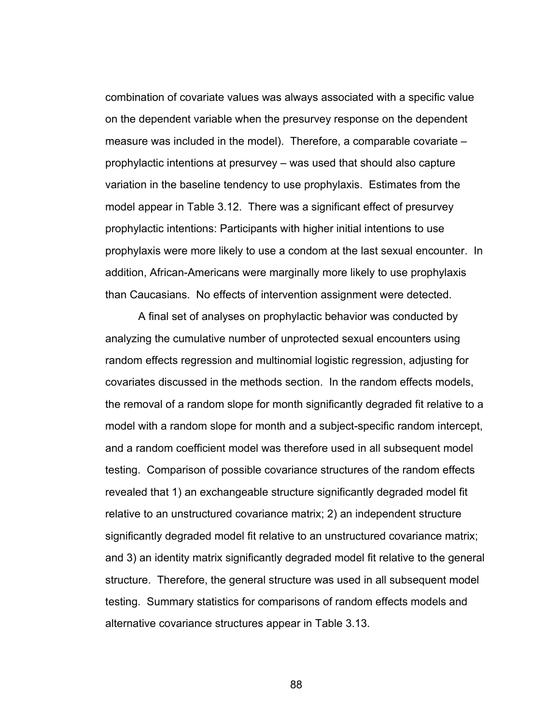combination of covariate values was always associated with a specific value on the dependent variable when the presurvey response on the dependent measure was included in the model). Therefore, a comparable covariate – prophylactic intentions at presurvey – was used that should also capture variation in the baseline tendency to use prophylaxis. Estimates from the model appear in Table 3.12. There was a significant effect of presurvey prophylactic intentions: Participants with higher initial intentions to use prophylaxis were more likely to use a condom at the last sexual encounter. In addition, African-Americans were marginally more likely to use prophylaxis than Caucasians. No effects of intervention assignment were detected.

 A final set of analyses on prophylactic behavior was conducted by analyzing the cumulative number of unprotected sexual encounters using random effects regression and multinomial logistic regression, adjusting for covariates discussed in the methods section. In the random effects models, the removal of a random slope for month significantly degraded fit relative to a model with a random slope for month and a subject-specific random intercept, and a random coefficient model was therefore used in all subsequent model testing. Comparison of possible covariance structures of the random effects revealed that 1) an exchangeable structure significantly degraded model fit relative to an unstructured covariance matrix; 2) an independent structure significantly degraded model fit relative to an unstructured covariance matrix; and 3) an identity matrix significantly degraded model fit relative to the general structure. Therefore, the general structure was used in all subsequent model testing. Summary statistics for comparisons of random effects models and alternative covariance structures appear in Table 3.13.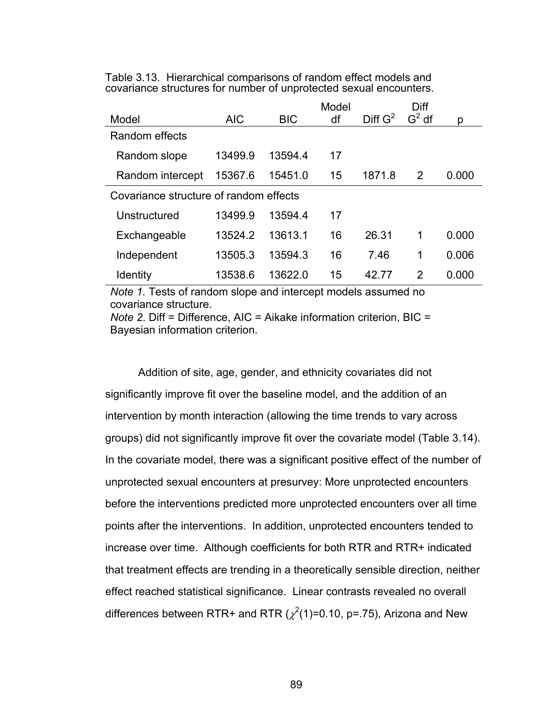|                                        |            |            | Model |            | Diff    |       |
|----------------------------------------|------------|------------|-------|------------|---------|-------|
| Model                                  | <b>AIC</b> | <b>BIC</b> | df    | Diff $G^2$ | $G2$ df | р     |
| Random effects                         |            |            |       |            |         |       |
| Random slope                           | 13499.9    | 13594.4    | 17    |            |         |       |
| Random intercept                       | 15367.6    | 15451.0    | 15    | 1871.8     | 2       | 0.000 |
| Covariance structure of random effects |            |            |       |            |         |       |
| Unstructured                           | 13499.9    | 13594.4    | 17    |            |         |       |
| Exchangeable                           | 13524.2    | 13613.1    | 16    | 26.31      | 1       | 0.000 |
| Independent                            | 13505.3    | 13594.3    | 16    | 7.46       | 1       | 0.006 |
| <b>Identity</b>                        | 13538.6    | 13622.0    | 15    | 42.77      | 2       | 0.000 |

Table 3.13. Hierarchical comparisons of random effect models and covariance structures for number of unprotected sexual encounters.

*Note 1.* Tests of random slope and intercept models assumed no covariance structure.

*Note 2*. Diff = Difference, AIC = Aikake information criterion, BIC = Bayesian information criterion.

Addition of site, age, gender, and ethnicity covariates did not significantly improve fit over the baseline model, and the addition of an intervention by month interaction (allowing the time trends to vary across groups) did not significantly improve fit over the covariate model (Table 3.14). In the covariate model, there was a significant positive effect of the number of unprotected sexual encounters at presurvey: More unprotected encounters before the interventions predicted more unprotected encounters over all time points after the interventions. In addition, unprotected encounters tended to increase over time. Although coefficients for both RTR and RTR+ indicated that treatment effects are trending in a theoretically sensible direction, neither effect reached statistical significance. Linear contrasts revealed no overall differences between RTR+ and RTR ( $\chi^2$ (1)=0.10, p=.75), Arizona and New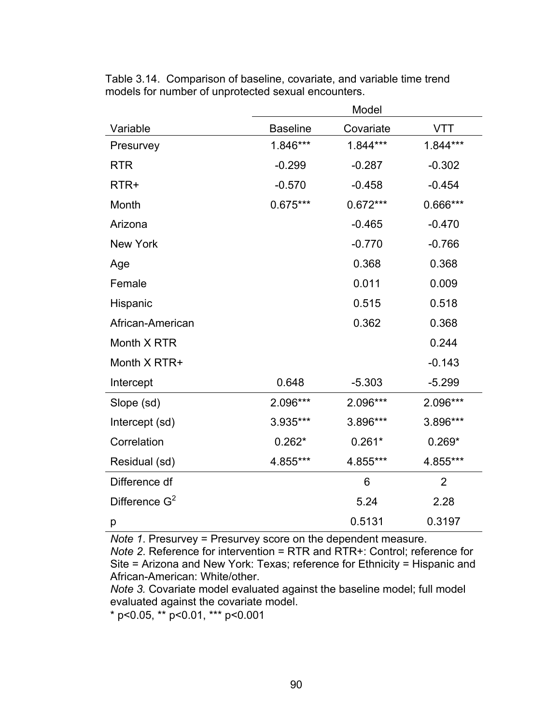|                           | Model           |            |                |  |
|---------------------------|-----------------|------------|----------------|--|
| Variable                  | <b>Baseline</b> | Covariate  | VTT            |  |
| Presurvey                 | 1.846***        | 1.844***   | 1.844***       |  |
| <b>RTR</b>                | $-0.299$        | $-0.287$   | $-0.302$       |  |
| RTR+                      | $-0.570$        | $-0.458$   | $-0.454$       |  |
| Month                     | 0.675***        | $0.672***$ | 0.666***       |  |
| Arizona                   |                 | $-0.465$   | $-0.470$       |  |
| <b>New York</b>           |                 | $-0.770$   | $-0.766$       |  |
| Age                       |                 | 0.368      | 0.368          |  |
| Female                    |                 | 0.011      | 0.009          |  |
| Hispanic                  |                 | 0.515      | 0.518          |  |
| African-American          |                 | 0.362      | 0.368          |  |
| Month X RTR               |                 |            | 0.244          |  |
| Month X RTR+              |                 |            | $-0.143$       |  |
| Intercept                 | 0.648           | $-5.303$   | $-5.299$       |  |
| Slope (sd)                | 2.096***        | 2.096***   | 2.096***       |  |
| Intercept (sd)            | 3.935***        | 3.896***   | 3.896***       |  |
| Correlation               | $0.262*$        | $0.261*$   | $0.269*$       |  |
| Residual (sd)             | 4.855***        | 4.855***   | 4.855***       |  |
| Difference df             |                 | 6          | $\overline{2}$ |  |
| Difference G <sup>2</sup> |                 | 5.24       | 2.28           |  |
| р                         |                 | 0.5131     | 0.3197         |  |

Table 3.14. Comparison of baseline, covariate, and variable time trend models for number of unprotected sexual encounters.

*Note 1*. Presurvey = Presurvey score on the dependent measure.

*Note 2*. Reference for intervention = RTR and RTR+: Control; reference for Site = Arizona and New York: Texas; reference for Ethnicity = Hispanic and African-American: White/other.

*Note 3.* Covariate model evaluated against the baseline model; full model evaluated against the covariate model.

\* p<0.05, \*\* p<0.01, \*\*\* p<0.001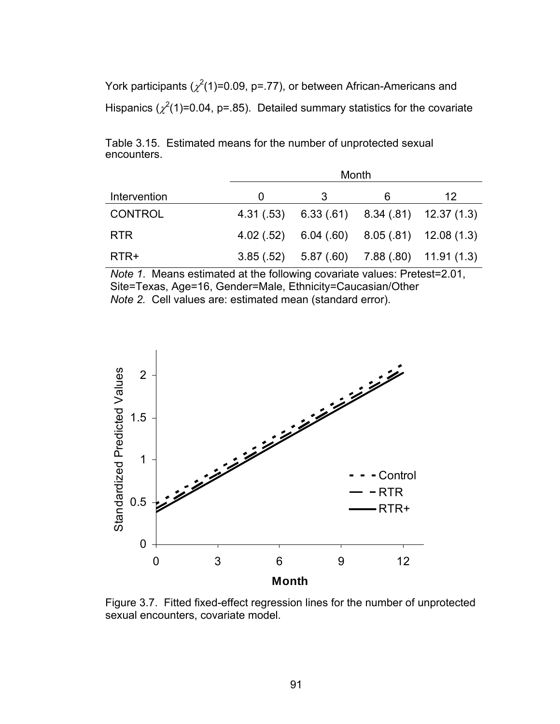York participants ( $\chi^2$ (1)=0.09, p=.77), or between African-Americans and Hispanics ( $\chi^2(1)$ =0.04, p=.85). Detailed summary statistics for the covariate

Table 3.15. Estimated means for the number of unprotected sexual encounters.

|                | Month |                                                  |   |    |  |  |
|----------------|-------|--------------------------------------------------|---|----|--|--|
| Intervention   |       | 3                                                | 6 | 12 |  |  |
| <b>CONTROL</b> |       | 4.31 (.53) 6.33 (.61) 8.34 (.81) 12.37 (1.3)     |   |    |  |  |
| <b>RTR</b>     |       | $4.02(.52)$ 6.04 (.60) 8.05 (.81) 12.08 (1.3)    |   |    |  |  |
| RTR+           |       | $3.85(.52)$ $5.87(.60)$ $7.88(.80)$ $11.91(.13)$ |   |    |  |  |

*Note 1*. Means estimated at the following covariate values: Pretest=2.01, Site=Texas, Age=16, Gender=Male, Ethnicity=Caucasian/Other *Note 2.* Cell values are: estimated mean (standard error).



Figure 3.7. Fitted fixed-effect regression lines for the number of unprotected sexual encounters, covariate model.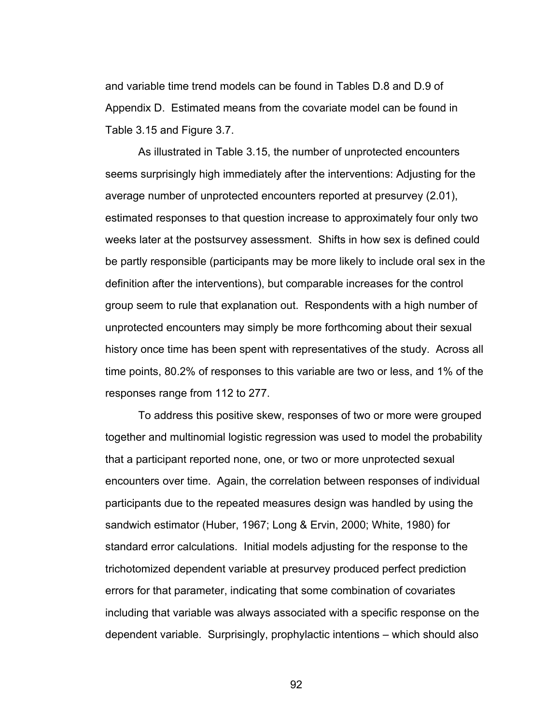and variable time trend models can be found in Tables D.8 and D.9 of Appendix D. Estimated means from the covariate model can be found in Table 3.15 and Figure 3.7.

 As illustrated in Table 3.15, the number of unprotected encounters seems surprisingly high immediately after the interventions: Adjusting for the average number of unprotected encounters reported at presurvey (2.01), estimated responses to that question increase to approximately four only two weeks later at the postsurvey assessment. Shifts in how sex is defined could be partly responsible (participants may be more likely to include oral sex in the definition after the interventions), but comparable increases for the control group seem to rule that explanation out. Respondents with a high number of unprotected encounters may simply be more forthcoming about their sexual history once time has been spent with representatives of the study. Across all time points, 80.2% of responses to this variable are two or less, and 1% of the responses range from 112 to 277.

To address this positive skew, responses of two or more were grouped together and multinomial logistic regression was used to model the probability that a participant reported none, one, or two or more unprotected sexual encounters over time. Again, the correlation between responses of individual participants due to the repeated measures design was handled by using the sandwich estimator (Huber, 1967; Long & Ervin, 2000; White, 1980) for standard error calculations. Initial models adjusting for the response to the trichotomized dependent variable at presurvey produced perfect prediction errors for that parameter, indicating that some combination of covariates including that variable was always associated with a specific response on the dependent variable. Surprisingly, prophylactic intentions – which should also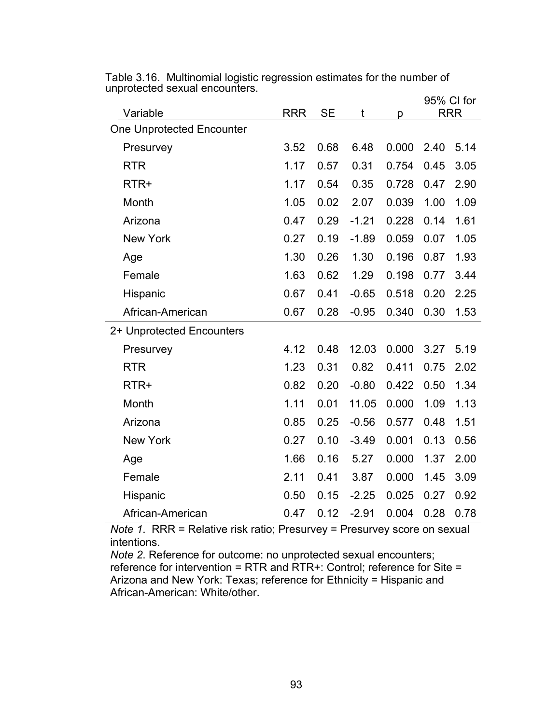| Variable                  | <b>RRR</b> | <b>SE</b> | t       | p     | 95% CI for<br><b>RRR</b> |      |
|---------------------------|------------|-----------|---------|-------|--------------------------|------|
| One Unprotected Encounter |            |           |         |       |                          |      |
| Presurvey                 | 3.52       | 0.68      | 6.48    | 0.000 | 2.40                     | 5.14 |
| <b>RTR</b>                | 1.17       | 0.57      | 0.31    | 0.754 | 0.45                     | 3.05 |
| RTR+                      | 1.17       | 0.54      | 0.35    | 0.728 | 0.47                     | 2.90 |
| Month                     | 1.05       | 0.02      | 2.07    | 0.039 | 1.00                     | 1.09 |
| Arizona                   | 0.47       | 0.29      | $-1.21$ | 0.228 | 0.14                     | 1.61 |
| <b>New York</b>           | 0.27       | 0.19      | $-1.89$ | 0.059 | 0.07                     | 1.05 |
| Age                       | 1.30       | 0.26      | 1.30    | 0.196 | 0.87                     | 1.93 |
| Female                    | 1.63       | 0.62      | 1.29    | 0.198 | 0.77                     | 3.44 |
| Hispanic                  | 0.67       | 0.41      | $-0.65$ | 0.518 | 0.20                     | 2.25 |
| African-American          | 0.67       | 0.28      | $-0.95$ | 0.340 | 0.30                     | 1.53 |
| 2+ Unprotected Encounters |            |           |         |       |                          |      |
| Presurvey                 | 4.12       | 0.48      | 12.03   | 0.000 | 3.27                     | 5.19 |
| <b>RTR</b>                | 1.23       | 0.31      | 0.82    | 0.411 | 0.75                     | 2.02 |
| RTR+                      | 0.82       | 0.20      | $-0.80$ | 0.422 | 0.50                     | 1.34 |
| Month                     | 1.11       | 0.01      | 11.05   | 0.000 | 1.09                     | 1.13 |
| Arizona                   | 0.85       | 0.25      | $-0.56$ | 0.577 | 0.48                     | 1.51 |
| <b>New York</b>           | 0.27       | 0.10      | $-3.49$ | 0.001 | 0.13                     | 0.56 |
| Age                       | 1.66       | 0.16      | 5.27    | 0.000 | 1.37                     | 2.00 |
| Female                    | 2.11       | 0.41      | 3.87    | 0.000 | 1.45                     | 3.09 |
| Hispanic                  | 0.50       | 0.15      | $-2.25$ | 0.025 | 0.27                     | 0.92 |
| African-American          | 0.47       | 0.12      | $-2.91$ | 0.004 | 0.28                     | 0.78 |

Table 3.16. Multinomial logistic regression estimates for the number of unprotected sexual encounters.

*Note 1.* RRR = Relative risk ratio; Presurvey = Presurvey score on sexual intentions.

*Note 2*. Reference for outcome: no unprotected sexual encounters; reference for intervention = RTR and RTR+: Control; reference for Site = Arizona and New York: Texas; reference for Ethnicity = Hispanic and African-American: White/other.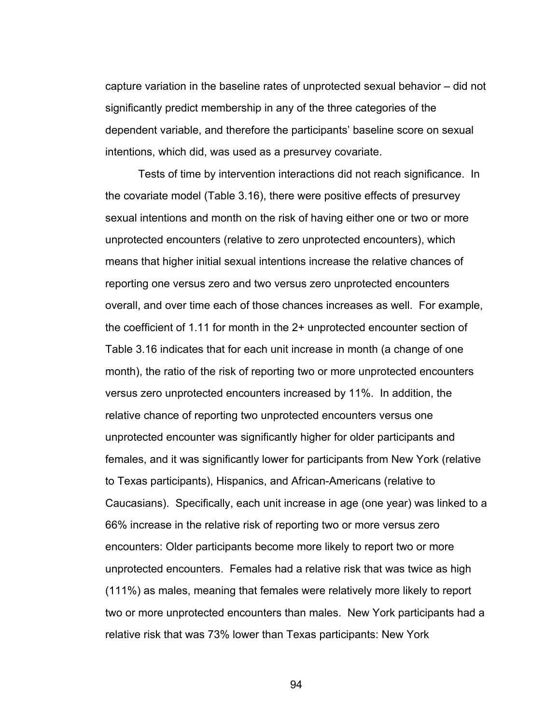capture variation in the baseline rates of unprotected sexual behavior – did not significantly predict membership in any of the three categories of the dependent variable, and therefore the participants' baseline score on sexual intentions, which did, was used as a presurvey covariate.

Tests of time by intervention interactions did not reach significance. In the covariate model (Table 3.16), there were positive effects of presurvey sexual intentions and month on the risk of having either one or two or more unprotected encounters (relative to zero unprotected encounters), which means that higher initial sexual intentions increase the relative chances of reporting one versus zero and two versus zero unprotected encounters overall, and over time each of those chances increases as well. For example, the coefficient of 1.11 for month in the 2+ unprotected encounter section of Table 3.16 indicates that for each unit increase in month (a change of one month), the ratio of the risk of reporting two or more unprotected encounters versus zero unprotected encounters increased by 11%. In addition, the relative chance of reporting two unprotected encounters versus one unprotected encounter was significantly higher for older participants and females, and it was significantly lower for participants from New York (relative to Texas participants), Hispanics, and African-Americans (relative to Caucasians). Specifically, each unit increase in age (one year) was linked to a 66% increase in the relative risk of reporting two or more versus zero encounters: Older participants become more likely to report two or more unprotected encounters. Females had a relative risk that was twice as high (111%) as males, meaning that females were relatively more likely to report two or more unprotected encounters than males. New York participants had a relative risk that was 73% lower than Texas participants: New York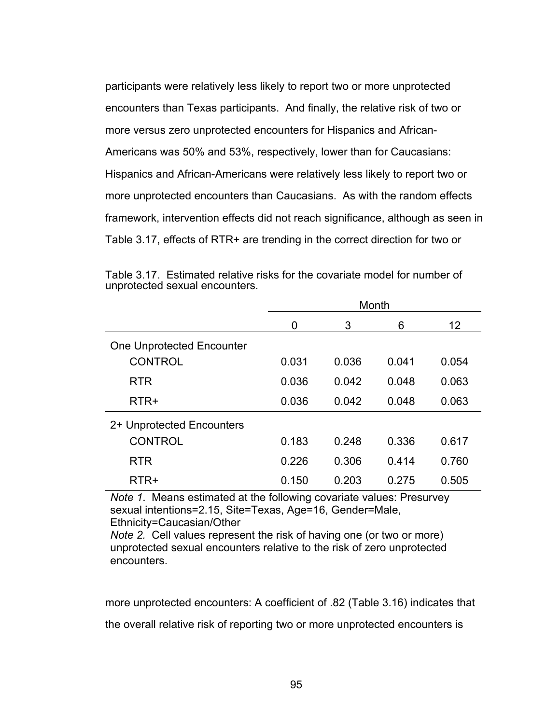participants were relatively less likely to report two or more unprotected encounters than Texas participants. And finally, the relative risk of two or more versus zero unprotected encounters for Hispanics and African-Americans was 50% and 53%, respectively, lower than for Caucasians: Hispanics and African-Americans were relatively less likely to report two or more unprotected encounters than Caucasians. As with the random effects framework, intervention effects did not reach significance, although as seen in Table 3.17, effects of RTR+ are trending in the correct direction for two or

|                                  | Month |       |       |                   |  |
|----------------------------------|-------|-------|-------|-------------------|--|
|                                  | 0     | 3     | 6     | $12 \overline{ }$ |  |
| <b>One Unprotected Encounter</b> |       |       |       |                   |  |
| <b>CONTROL</b>                   | 0.031 | 0.036 | 0.041 | 0.054             |  |
| <b>RTR</b>                       | 0.036 | 0.042 | 0.048 | 0.063             |  |
| $RTR+$                           | 0.036 | 0.042 | 0.048 | 0.063             |  |
| 2+ Unprotected Encounters        |       |       |       |                   |  |
| <b>CONTROL</b>                   | 0.183 | 0.248 | 0.336 | 0.617             |  |
| <b>RTR</b>                       | 0.226 | 0.306 | 0.414 | 0.760             |  |
| RTR+                             | 0.150 | 0.203 | 0.275 | 0.505             |  |

Table 3.17. Estimated relative risks for the covariate model for number of unprotected sexual encounters.

*Note 1*. Means estimated at the following covariate values: Presurvey sexual intentions=2.15, Site=Texas, Age=16, Gender=Male, Ethnicity=Caucasian/Other

*Note 2.* Cell values represent the risk of having one (or two or more) unprotected sexual encounters relative to the risk of zero unprotected encounters.

more unprotected encounters: A coefficient of .82 (Table 3.16) indicates that

the overall relative risk of reporting two or more unprotected encounters is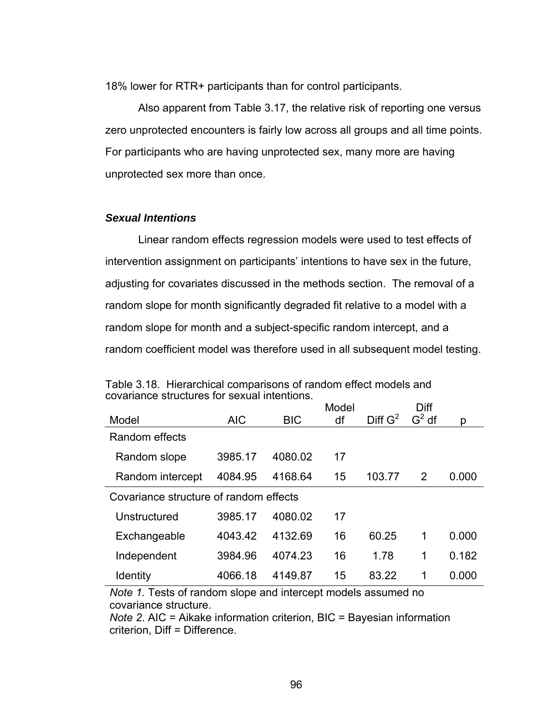18% lower for RTR+ participants than for control participants.

 Also apparent from Table 3.17, the relative risk of reporting one versus zero unprotected encounters is fairly low across all groups and all time points. For participants who are having unprotected sex, many more are having unprotected sex more than once.

### *Sexual Intentions*

 Linear random effects regression models were used to test effects of intervention assignment on participants' intentions to have sex in the future, adjusting for covariates discussed in the methods section. The removal of a random slope for month significantly degraded fit relative to a model with a random slope for month and a subject-specific random intercept, and a random coefficient model was therefore used in all subsequent model testing.

|                                        |            |            | Model |                     | Diff    |       |
|----------------------------------------|------------|------------|-------|---------------------|---------|-------|
| Model                                  | <b>AIC</b> | <b>BIC</b> | df    | Diff G <sup>2</sup> | $G2$ df | p     |
| Random effects                         |            |            |       |                     |         |       |
| Random slope                           | 3985.17    | 4080.02    | 17    |                     |         |       |
| Random intercept                       | 4084.95    | 4168.64    | 15    | 103.77              | 2       | 0.000 |
| Covariance structure of random effects |            |            |       |                     |         |       |
| Unstructured                           | 3985.17    | 4080.02    | 17    |                     |         |       |
| Exchangeable                           | 4043.42    | 4132.69    | 16    | 60.25               | 1       | 0.000 |
| Independent                            | 3984.96    | 4074.23    | 16    | 1.78                | 1       | 0.182 |
| <b>Identity</b>                        | 4066.18    | 4149.87    | 15    | 83.22               | 1       | 0.000 |

Table 3.18. Hierarchical comparisons of random effect models and covariance structures for sexual intentions.

*Note 1.* Tests of random slope and intercept models assumed no covariance structure.

*Note 2*. AIC = Aikake information criterion, BIC = Bayesian information criterion, Diff = Difference.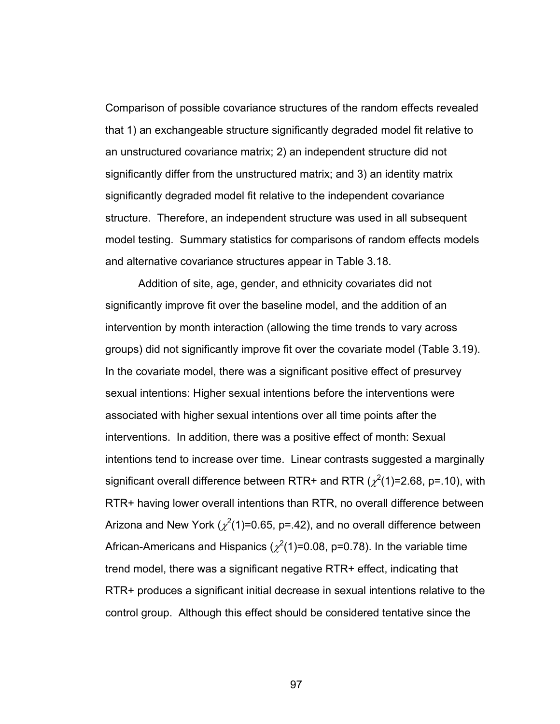Comparison of possible covariance structures of the random effects revealed that 1) an exchangeable structure significantly degraded model fit relative to an unstructured covariance matrix; 2) an independent structure did not significantly differ from the unstructured matrix; and 3) an identity matrix significantly degraded model fit relative to the independent covariance structure. Therefore, an independent structure was used in all subsequent model testing. Summary statistics for comparisons of random effects models and alternative covariance structures appear in Table 3.18.

 Addition of site, age, gender, and ethnicity covariates did not significantly improve fit over the baseline model, and the addition of an intervention by month interaction (allowing the time trends to vary across groups) did not significantly improve fit over the covariate model (Table 3.19). In the covariate model, there was a significant positive effect of presurvey sexual intentions: Higher sexual intentions before the interventions were associated with higher sexual intentions over all time points after the interventions. In addition, there was a positive effect of month: Sexual intentions tend to increase over time. Linear contrasts suggested a marginally significant overall difference between RTR+ and RTR ( $\chi^2$ (1)=2.68, p=.10), with RTR+ having lower overall intentions than RTR, no overall difference between Arizona and New York ( $\chi^2$ (1)=0.65, p=.42), and no overall difference between African-Americans and Hispanics ( $\chi^2$ (1)=0.08, p=0.78). In the variable time trend model, there was a significant negative RTR+ effect, indicating that RTR+ produces a significant initial decrease in sexual intentions relative to the control group. Although this effect should be considered tentative since the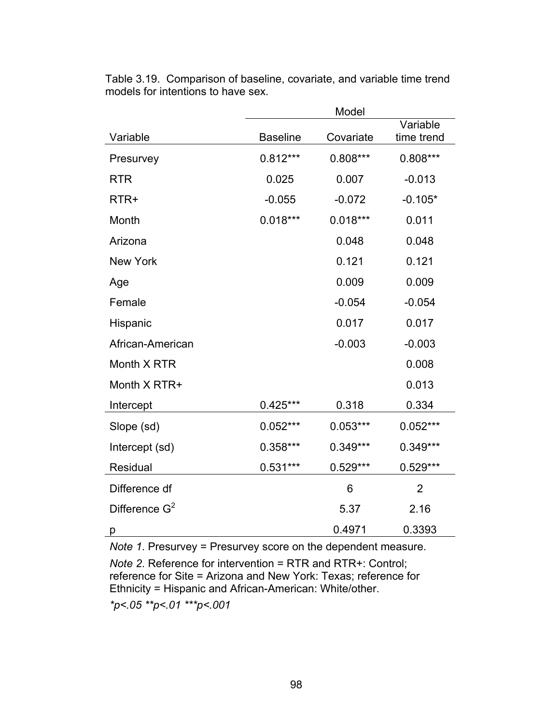|                  | Model           |            |                        |  |  |
|------------------|-----------------|------------|------------------------|--|--|
| Variable         | <b>Baseline</b> | Covariate  | Variable<br>time trend |  |  |
| Presurvey        | $0.812***$      | $0.808***$ | 0.808***               |  |  |
| <b>RTR</b>       | 0.025           | 0.007      | $-0.013$               |  |  |
| RTR+             | $-0.055$        | $-0.072$   | $-0.105*$              |  |  |
| Month            | $0.018***$      | $0.018***$ | 0.011                  |  |  |
| Arizona          |                 | 0.048      | 0.048                  |  |  |
| <b>New York</b>  |                 | 0.121      | 0.121                  |  |  |
| Age              |                 | 0.009      | 0.009                  |  |  |
| Female           |                 | $-0.054$   | $-0.054$               |  |  |
| Hispanic         |                 | 0.017      | 0.017                  |  |  |
| African-American |                 | $-0.003$   | $-0.003$               |  |  |
| Month X RTR      |                 |            | 0.008                  |  |  |
| Month X RTR+     |                 |            | 0.013                  |  |  |
| Intercept        | $0.425***$      | 0.318      | 0.334                  |  |  |
| Slope (sd)       | $0.052***$      | $0.053***$ | $0.052***$             |  |  |
| Intercept (sd)   | 0.358***        | 0.349***   | 0.349***               |  |  |
| Residual         | $0.531***$      | 0.529***   | 0.529***               |  |  |
| Difference df    |                 | 6          | $\overline{2}$         |  |  |
| Difference $G^2$ |                 | 5.37       | 2.16                   |  |  |
| р                |                 | 0.4971     | 0.3393                 |  |  |

Table 3.19. Comparison of baseline, covariate, and variable time trend models for intentions to have sex.

*Note 1*. Presurvey = Presurvey score on the dependent measure.

*Note 2*. Reference for intervention = RTR and RTR+: Control; reference for Site = Arizona and New York: Texas; reference for Ethnicity = Hispanic and African-American: White/other.

*\*p<.05 \*\*p<.01 \*\*\*p<.001*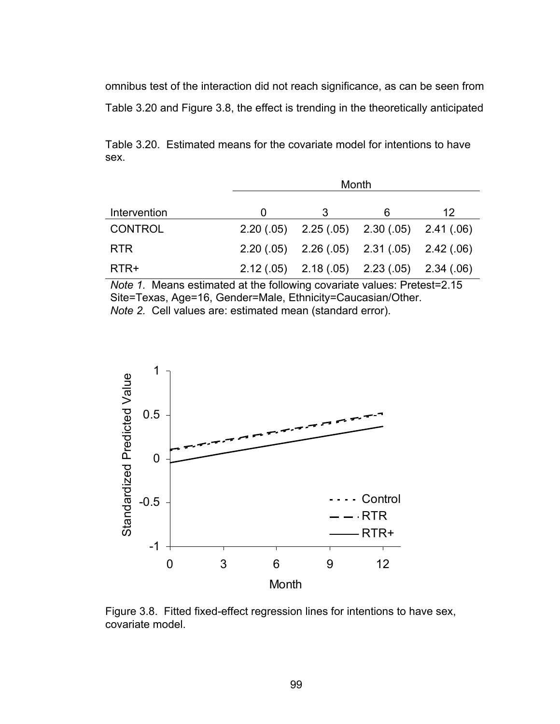omnibus test of the interaction did not reach significance, as can be seen from

Table 3.20 and Figure 3.8, the effect is trending in the theoretically anticipated

Table 3.20. Estimated means for the covariate model for intentions to have sex.

|                | Month |                                                 |   |    |  |  |
|----------------|-------|-------------------------------------------------|---|----|--|--|
| Intervention   |       |                                                 | 6 | 12 |  |  |
| <b>CONTROL</b> |       | $2.20(.05)$ $2.25(.05)$ $2.30(.05)$ $2.41(.06)$ |   |    |  |  |
| <b>RTR</b>     |       | $2.20(.05)$ $2.26(.05)$ $2.31(.05)$ $2.42(.06)$ |   |    |  |  |
| RTR+           |       | $2.12(.05)$ $2.18(.05)$ $2.23(.05)$ $2.34(.06)$ |   |    |  |  |

*Note 1.* Means estimated at the following covariate values: Pretest=2.15 Site=Texas, Age=16, Gender=Male, Ethnicity=Caucasian/Other. *Note 2.* Cell values are: estimated mean (standard error).



Figure 3.8. Fitted fixed-effect regression lines for intentions to have sex, covariate model.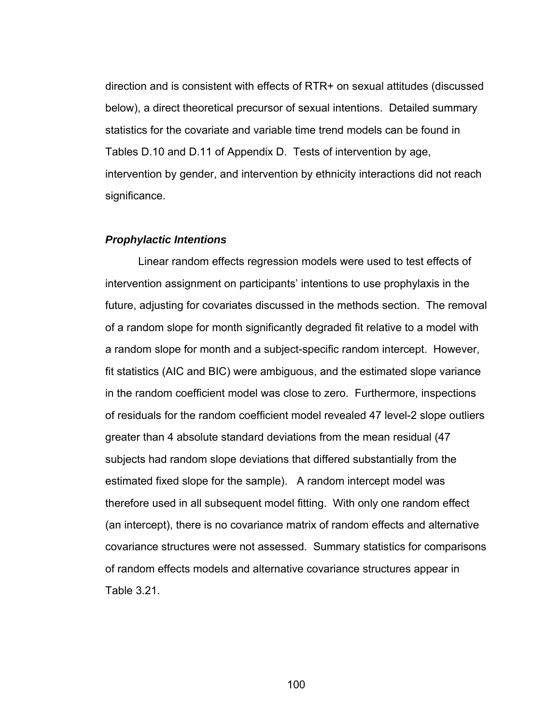direction and is consistent with effects of RTR+ on sexual attitudes (discussed below), a direct theoretical precursor of sexual intentions. Detailed summary statistics for the covariate and variable time trend models can be found in Tables D.10 and D.11 of Appendix D. Tests of intervention by age, intervention by gender, and intervention by ethnicity interactions did not reach significance.

#### *Prophylactic Intentions*

 Linear random effects regression models were used to test effects of intervention assignment on participants' intentions to use prophylaxis in the future, adjusting for covariates discussed in the methods section. The removal of a random slope for month significantly degraded fit relative to a model with a random slope for month and a subject-specific random intercept. However, fit statistics (AIC and BIC) were ambiguous, and the estimated slope variance in the random coefficient model was close to zero. Furthermore, inspections of residuals for the random coefficient model revealed 47 level-2 slope outliers greater than 4 absolute standard deviations from the mean residual (47 subjects had random slope deviations that differed substantially from the estimated fixed slope for the sample). A random intercept model was therefore used in all subsequent model fitting. With only one random effect (an intercept), there is no covariance matrix of random effects and alternative covariance structures were not assessed. Summary statistics for comparisons of random effects models and alternative covariance structures appear in Table 3.21.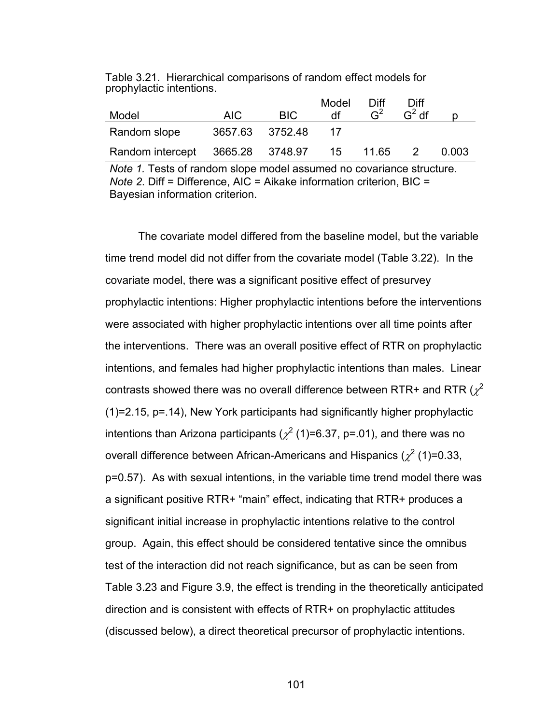Table 3.21. Hierarchical comparisons of random effect models for prophylactic intentions.

|                                           |                 |      | Model | Diff. | <b>Diff</b>    |       |
|-------------------------------------------|-----------------|------|-------|-------|----------------|-------|
| Model                                     | AIC.            | BIC. | df    |       | $G^2$ df       |       |
| Random slope                              | 3657.63 3752.48 |      |       |       |                |       |
| Random intercept 3665.28 3748.97 15 11.65 |                 |      |       |       | $\overline{2}$ | 0.003 |

*Note 1.* Tests of random slope model assumed no covariance structure. *Note 2*. Diff = Difference, AIC = Aikake information criterion, BIC = Bayesian information criterion.

 The covariate model differed from the baseline model, but the variable time trend model did not differ from the covariate model (Table 3.22). In the covariate model, there was a significant positive effect of presurvey prophylactic intentions: Higher prophylactic intentions before the interventions were associated with higher prophylactic intentions over all time points after the interventions. There was an overall positive effect of RTR on prophylactic intentions, and females had higher prophylactic intentions than males. Linear contrasts showed there was no overall difference between RTR+ and RTR ( $\chi^2$ (1)=2.15, p=.14), New York participants had significantly higher prophylactic intentions than Arizona participants ( $\chi^2$  (1)=6.37, p=.01), and there was no overall difference between African-Americans and Hispanics ( $\chi^2$  (1)=0.33, p=0.57). As with sexual intentions, in the variable time trend model there was a significant positive RTR+ "main" effect, indicating that RTR+ produces a significant initial increase in prophylactic intentions relative to the control group. Again, this effect should be considered tentative since the omnibus test of the interaction did not reach significance, but as can be seen from Table 3.23 and Figure 3.9, the effect is trending in the theoretically anticipated direction and is consistent with effects of RTR+ on prophylactic attitudes (discussed below), a direct theoretical precursor of prophylactic intentions.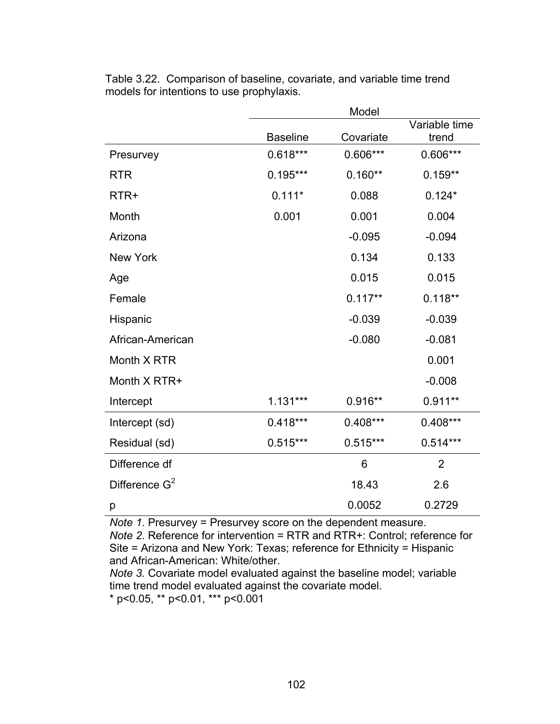|                  |                 | Model      |                        |
|------------------|-----------------|------------|------------------------|
|                  | <b>Baseline</b> | Covariate  | Variable time<br>trend |
| Presurvey        | $0.618***$      | 0.606***   | 0.606***               |
| <b>RTR</b>       | $0.195***$      | $0.160**$  | $0.159**$              |
| RTR+             | $0.111*$        | 0.088      | $0.124*$               |
| Month            | 0.001           | 0.001      | 0.004                  |
| Arizona          |                 | $-0.095$   | $-0.094$               |
| <b>New York</b>  |                 | 0.134      | 0.133                  |
| Age              |                 | 0.015      | 0.015                  |
| Female           |                 | $0.117**$  | $0.118**$              |
| Hispanic         |                 | $-0.039$   | $-0.039$               |
| African-American |                 | $-0.080$   | $-0.081$               |
| Month X RTR      |                 |            | 0.001                  |
| Month X RTR+     |                 |            | $-0.008$               |
| Intercept        | $1.131***$      | $0.916**$  | $0.911**$              |
| Intercept (sd)   | $0.418***$      | $0.408***$ | $0.408***$             |
| Residual (sd)    | $0.515***$      | $0.515***$ | $0.514***$             |
| Difference df    |                 | 6          | $\overline{2}$         |
| Difference $G^2$ |                 | 18.43      | 2.6                    |
| р                |                 | 0.0052     | 0.2729                 |

Table 3.22. Comparison of baseline, covariate, and variable time trend models for intentions to use prophylaxis.

*Note 1*. Presurvey = Presurvey score on the dependent measure.

*Note 2*. Reference for intervention = RTR and RTR+: Control; reference for Site = Arizona and New York: Texas; reference for Ethnicity = Hispanic and African-American: White/other.

*Note 3.* Covariate model evaluated against the baseline model; variable time trend model evaluated against the covariate model.

\* p<0.05, \*\* p<0.01, \*\*\* p<0.001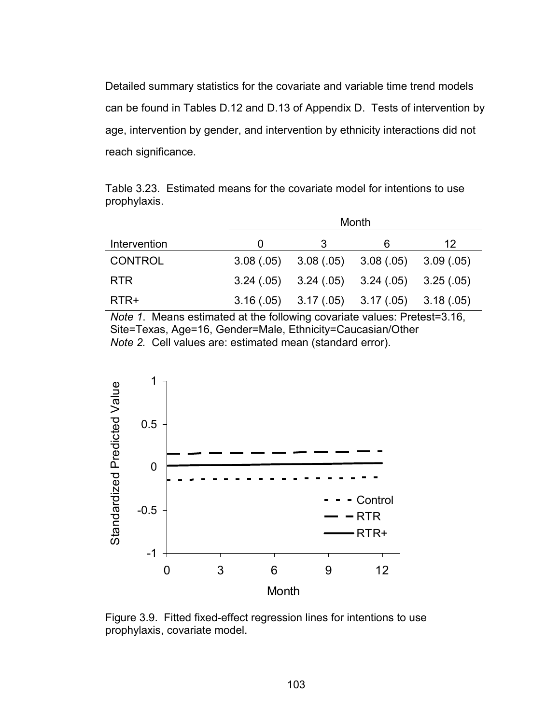Detailed summary statistics for the covariate and variable time trend models can be found in Tables D.12 and D.13 of Appendix D. Tests of intervention by age, intervention by gender, and intervention by ethnicity interactions did not reach significance.

|              | Table 3.23. Estimated means for the covariate model for intentions to use |  |  |
|--------------|---------------------------------------------------------------------------|--|--|
| prophylaxis. |                                                                           |  |  |

|                | Month |   |                                                 |    |  |  |
|----------------|-------|---|-------------------------------------------------|----|--|--|
| Intervention   | O     | 3 | 6                                               | 12 |  |  |
| <b>CONTROL</b> |       |   | $3.08(.05)$ $3.08(.05)$ $3.08(.05)$ $3.09(.05)$ |    |  |  |
| <b>RTR</b>     |       |   | $3.24(.05)$ $3.24(.05)$ $3.24(.05)$ $3.25(.05)$ |    |  |  |
| RTR+           |       |   | $3.16(.05)$ $3.17(.05)$ $3.17(.05)$ $3.18(.05)$ |    |  |  |

*Note 1*. Means estimated at the following covariate values: Pretest=3.16, Site=Texas, Age=16, Gender=Male, Ethnicity=Caucasian/Other *Note 2.* Cell values are: estimated mean (standard error).



Figure 3.9. Fitted fixed-effect regression lines for intentions to use prophylaxis, covariate model.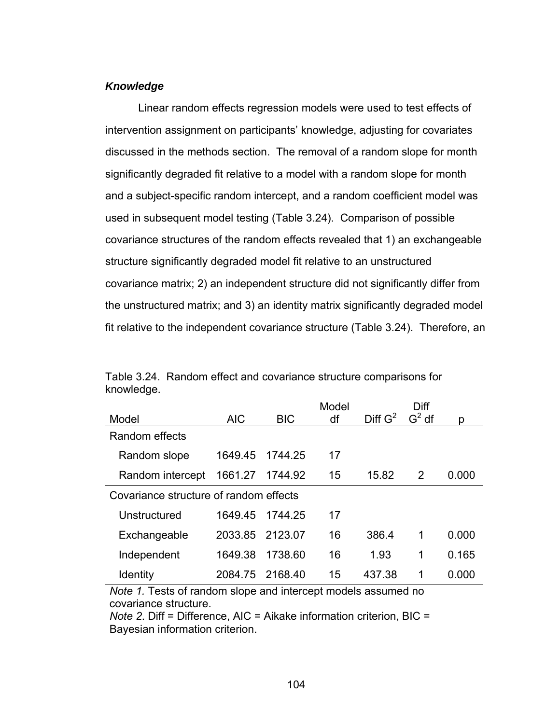## *Knowledge*

 Linear random effects regression models were used to test effects of intervention assignment on participants' knowledge, adjusting for covariates discussed in the methods section. The removal of a random slope for month significantly degraded fit relative to a model with a random slope for month and a subject-specific random intercept, and a random coefficient model was used in subsequent model testing (Table 3.24). Comparison of possible covariance structures of the random effects revealed that 1) an exchangeable structure significantly degraded model fit relative to an unstructured covariance matrix; 2) an independent structure did not significantly differ from the unstructured matrix; and 3) an identity matrix significantly degraded model fit relative to the independent covariance structure (Table 3.24). Therefore, an

|                                        |            |            | Model |                     | Diff     |       |
|----------------------------------------|------------|------------|-------|---------------------|----------|-------|
| Model                                  | <b>AIC</b> | <b>BIC</b> | df    | Diff G <sup>2</sup> | $G^2$ df | р     |
| Random effects                         |            |            |       |                     |          |       |
| Random slope                           | 1649.45    | 1744.25    | 17    |                     |          |       |
| Random intercept                       | 1661.27    | 1744.92    | 15    | 15.82               | 2        | 0.000 |
| Covariance structure of random effects |            |            |       |                     |          |       |
| Unstructured                           | 1649.45    | 1744.25    | 17    |                     |          |       |
| Exchangeable                           | 2033.85    | 2123.07    | 16    | 386.4               | 1        | 0.000 |
| Independent                            | 1649.38    | 1738.60    | 16    | 1.93                | 1        | 0.165 |
| <b>Identity</b>                        | 2084.75    | 2168.40    | 15    | 437.38              | 1        | 0.000 |

|            | Table 3.24. Random effect and covariance structure comparisons for |
|------------|--------------------------------------------------------------------|
| knowledge. |                                                                    |

*Note 1.* Tests of random slope and intercept models assumed no covariance structure.

*Note 2*. Diff = Difference, AIC = Aikake information criterion, BIC = Bayesian information criterion.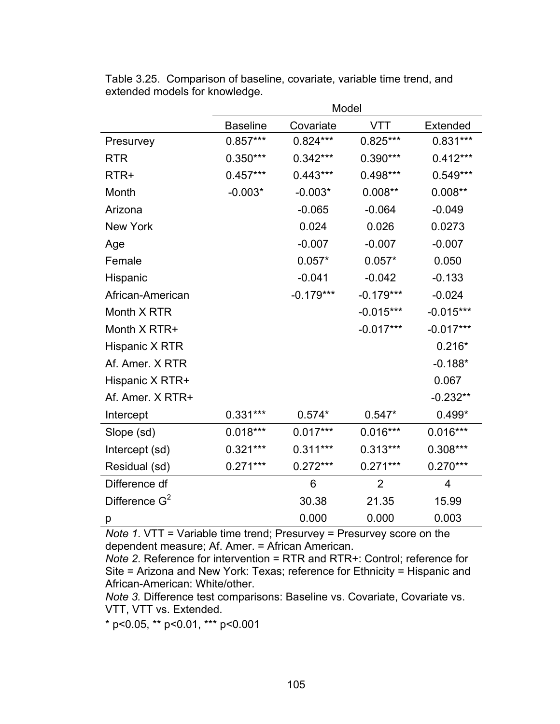|                  | Model           |             |                |                |  |  |  |
|------------------|-----------------|-------------|----------------|----------------|--|--|--|
|                  | <b>Baseline</b> | Covariate   | VTT            | Extended       |  |  |  |
| Presurvey        | $0.857***$      | $0.824***$  | $0.825***$     | 0.831***       |  |  |  |
| <b>RTR</b>       | $0.350***$      | $0.342***$  | 0.390***       | $0.412***$     |  |  |  |
| RTR+             | $0.457***$      | $0.443***$  | 0.498***       | $0.549***$     |  |  |  |
| Month            | $-0.003*$       | $-0.003*$   | $0.008**$      | $0.008**$      |  |  |  |
| Arizona          |                 | $-0.065$    | $-0.064$       | $-0.049$       |  |  |  |
| <b>New York</b>  |                 | 0.024       | 0.026          | 0.0273         |  |  |  |
| Age              |                 | $-0.007$    | $-0.007$       | $-0.007$       |  |  |  |
| Female           |                 | $0.057*$    | $0.057*$       | 0.050          |  |  |  |
| Hispanic         |                 | $-0.041$    | $-0.042$       | $-0.133$       |  |  |  |
| African-American |                 | $-0.179***$ | $-0.179***$    | $-0.024$       |  |  |  |
| Month X RTR      |                 |             | $-0.015***$    | $-0.015***$    |  |  |  |
| Month X RTR+     |                 |             | $-0.017***$    | $-0.017***$    |  |  |  |
| Hispanic X RTR   |                 |             |                | $0.216*$       |  |  |  |
| Af. Amer. X RTR  |                 |             |                | $-0.188*$      |  |  |  |
| Hispanic X RTR+  |                 |             |                | 0.067          |  |  |  |
| Af. Amer. X RTR+ |                 |             |                | $-0.232**$     |  |  |  |
| Intercept        | $0.331***$      | $0.574*$    | $0.547*$       | $0.499*$       |  |  |  |
| Slope (sd)       | $0.018***$      | $0.017***$  | $0.016***$     | $0.016***$     |  |  |  |
| Intercept (sd)   | $0.321***$      | $0.311***$  | $0.313***$     | $0.308***$     |  |  |  |
| Residual (sd)    | $0.271***$      | $0.272***$  | $0.271***$     | $0.270***$     |  |  |  |
| Difference df    |                 | 6           | $\overline{2}$ | $\overline{4}$ |  |  |  |
| Difference $G^2$ |                 | 30.38       | 21.35          | 15.99          |  |  |  |
| р                |                 | 0.000       | 0.000          | 0.003          |  |  |  |

Table 3.25. Comparison of baseline, covariate, variable time trend, and extended models for knowledge.

*Note 1*. VTT = Variable time trend; Presurvey = Presurvey score on the dependent measure; Af. Amer. = African American.

*Note 2*. Reference for intervention = RTR and RTR+: Control; reference for Site = Arizona and New York: Texas; reference for Ethnicity = Hispanic and African-American: White/other.

*Note 3.* Difference test comparisons: Baseline vs. Covariate, Covariate vs. VTT, VTT vs. Extended.

\* p<0.05, \*\* p<0.01, \*\*\* p<0.001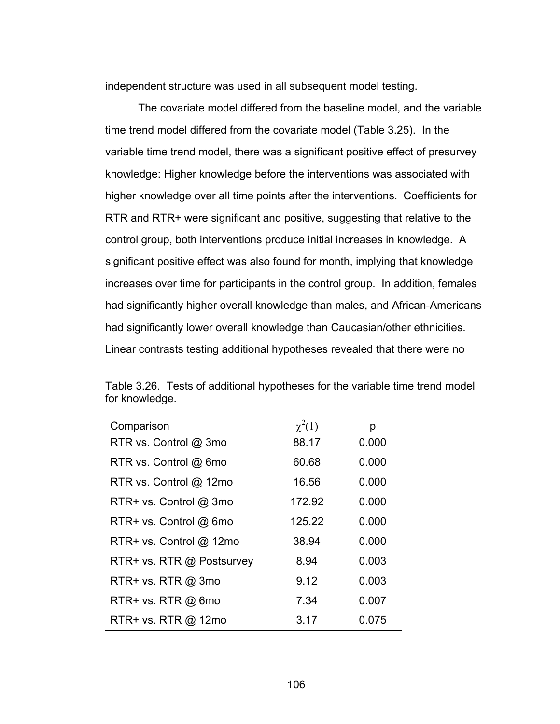independent structure was used in all subsequent model testing.

 The covariate model differed from the baseline model, and the variable time trend model differed from the covariate model (Table 3.25). In the variable time trend model, there was a significant positive effect of presurvey knowledge: Higher knowledge before the interventions was associated with higher knowledge over all time points after the interventions. Coefficients for RTR and RTR+ were significant and positive, suggesting that relative to the control group, both interventions produce initial increases in knowledge. A significant positive effect was also found for month, implying that knowledge increases over time for participants in the control group. In addition, females had significantly higher overall knowledge than males, and African-Americans had significantly lower overall knowledge than Caucasian/other ethnicities. Linear contrasts testing additional hypotheses revealed that there were no

| Comparison                 |        | n     |
|----------------------------|--------|-------|
| RTR vs. Control @ 3mo      | 88.17  | 0.000 |
| RTR vs. Control @ 6mo      | 60.68  | 0.000 |
| RTR vs. Control @ 12mo     | 16.56  | 0.000 |
| RTR+ vs. Control @ 3mo     | 172.92 | 0.000 |
| RTR+ vs. Control @ 6mo     | 125.22 | 0.000 |
| $RTR+vs.$ Control $@$ 12mo | 38.94  | 0.000 |
| RTR+ vs. RTR @ Postsurvey  | 8.94   | 0.003 |
| RTR+ vs. RTR $@$ 3mo       | 9.12   | 0.003 |
| $RTR+vs. RTR @ from$       | 7.34   | 0.007 |
| RTR+ vs. RTR @ 12mo        | 3.17   | 0.075 |

Table 3.26. Tests of additional hypotheses for the variable time trend model for knowledge.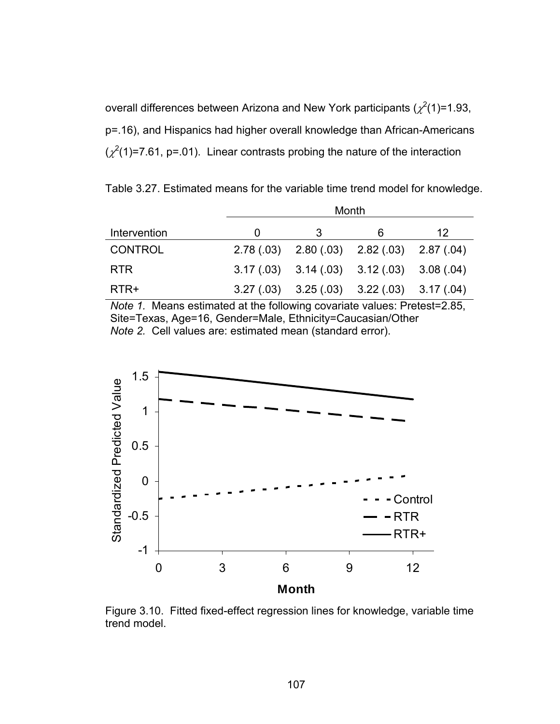overall differences between Arizona and New York participants  $(\chi^2(1)=1.93,$ p=.16), and Hispanics had higher overall knowledge than African-Americans  $(\chi^2(1)=7.61, p=.01)$ . Linear contrasts probing the nature of the interaction

Table 3.27. Estimated means for the variable time trend model for knowledge.

|                |          | Month                                           |   |    |  |  |
|----------------|----------|-------------------------------------------------|---|----|--|--|
| Intervention   | $\Omega$ | 3                                               | 6 | 12 |  |  |
| <b>CONTROL</b> |          | $2.78(.03)$ $2.80(.03)$ $2.82(.03)$ $2.87(.04)$ |   |    |  |  |
| <b>RTR</b>     |          | $3.17(.03)$ $3.14(.03)$ $3.12(.03)$ $3.08(.04)$ |   |    |  |  |
| RTR+           |          | $3.27(.03)$ $3.25(.03)$ $3.22(.03)$ $3.17(.04)$ |   |    |  |  |

*Note 1.* Means estimated at the following covariate values: Pretest=2.85, Site=Texas, Age=16, Gender=Male, Ethnicity=Caucasian/Other *Note 2.* Cell values are: estimated mean (standard error).



Figure 3.10. Fitted fixed-effect regression lines for knowledge, variable time trend model.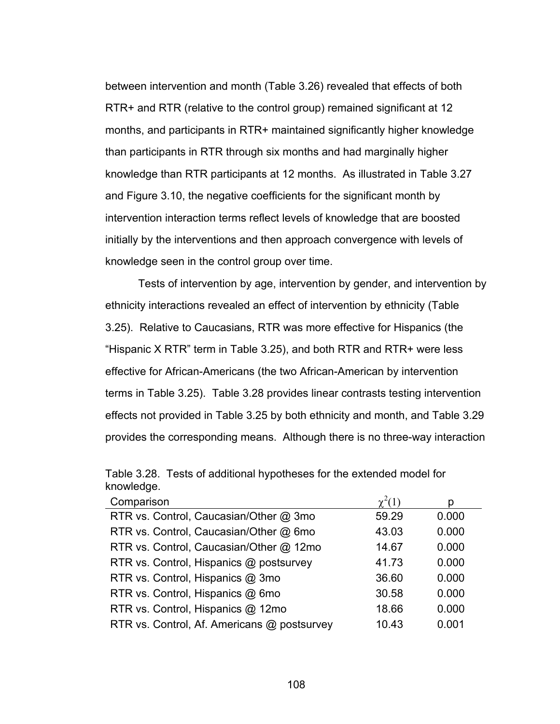between intervention and month (Table 3.26) revealed that effects of both RTR+ and RTR (relative to the control group) remained significant at 12 months, and participants in RTR+ maintained significantly higher knowledge than participants in RTR through six months and had marginally higher knowledge than RTR participants at 12 months. As illustrated in Table 3.27 and Figure 3.10, the negative coefficients for the significant month by intervention interaction terms reflect levels of knowledge that are boosted initially by the interventions and then approach convergence with levels of knowledge seen in the control group over time.

Tests of intervention by age, intervention by gender, and intervention by ethnicity interactions revealed an effect of intervention by ethnicity (Table 3.25). Relative to Caucasians, RTR was more effective for Hispanics (the "Hispanic X RTR" term in Table 3.25), and both RTR and RTR+ were less effective for African-Americans (the two African-American by intervention terms in Table 3.25). Table 3.28 provides linear contrasts testing intervention effects not provided in Table 3.25 by both ethnicity and month, and Table 3.29 provides the corresponding means. Although there is no three-way interaction

| Comparison                                  | $\chi^2(1)$ | D     |
|---------------------------------------------|-------------|-------|
| RTR vs. Control, Caucasian/Other @ 3mo      | 59.29       | 0.000 |
| RTR vs. Control, Caucasian/Other @ 6mo      | 43.03       | 0.000 |
| RTR vs. Control, Caucasian/Other @ 12mo     | 14.67       | 0.000 |
| RTR vs. Control, Hispanics @ postsurvey     | 41.73       | 0.000 |
| RTR vs. Control, Hispanics @ 3mo            | 36.60       | 0.000 |
| RTR vs. Control, Hispanics @ 6mo            | 30.58       | 0.000 |
| RTR vs. Control, Hispanics @ 12mo           | 18.66       | 0.000 |
| RTR vs. Control, Af. Americans @ postsurvey | 10.43       | 0.001 |

Table 3.28. Tests of additional hypotheses for the extended model for knowledge.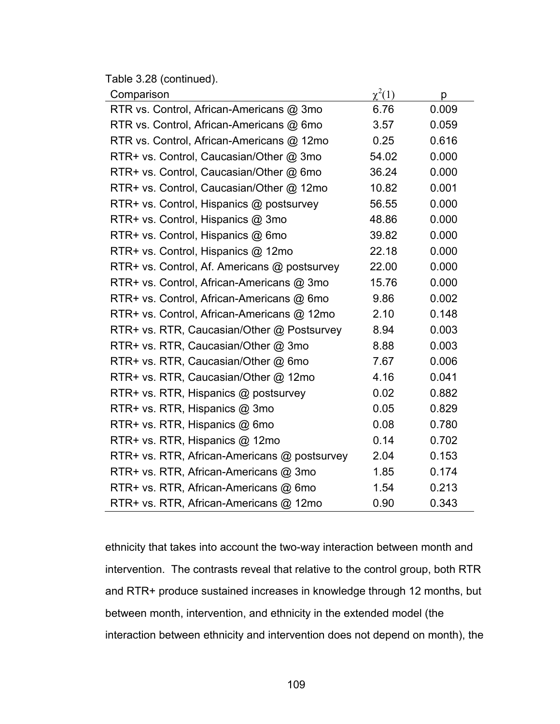Table 3.28 (continued).

| Comparison                                   | $\chi^2(1)$ | p     |
|----------------------------------------------|-------------|-------|
| RTR vs. Control, African-Americans @ 3mo     | 6.76        | 0.009 |
| RTR vs. Control, African-Americans @ 6mo     | 3.57        | 0.059 |
| RTR vs. Control, African-Americans @ 12mo    | 0.25        | 0.616 |
| RTR+ vs. Control, Caucasian/Other @ 3mo      | 54.02       | 0.000 |
| RTR+ vs. Control, Caucasian/Other @ 6mo      | 36.24       | 0.000 |
| RTR+ vs. Control, Caucasian/Other @ 12mo     | 10.82       | 0.001 |
| RTR+ vs. Control, Hispanics @ postsurvey     | 56.55       | 0.000 |
| RTR+ vs. Control, Hispanics @ 3mo            | 48.86       | 0.000 |
| RTR+ vs. Control, Hispanics @ 6mo            | 39.82       | 0.000 |
| RTR+ vs. Control, Hispanics @ 12mo           | 22.18       | 0.000 |
| RTR+ vs. Control, Af. Americans @ postsurvey | 22.00       | 0.000 |
| RTR+ vs. Control, African-Americans @ 3mo    | 15.76       | 0.000 |
| RTR+ vs. Control, African-Americans @ 6mo    | 9.86        | 0.002 |
| RTR+ vs. Control, African-Americans @ 12mo   | 2.10        | 0.148 |
| RTR+ vs. RTR, Caucasian/Other @ Postsurvey   | 8.94        | 0.003 |
| RTR+ vs. RTR, Caucasian/Other @ 3mo          | 8.88        | 0.003 |
| RTR+ vs. RTR, Caucasian/Other @ 6mo          | 7.67        | 0.006 |
| RTR+ vs. RTR, Caucasian/Other @ 12mo         | 4.16        | 0.041 |
| RTR+ vs. RTR, Hispanics @ postsurvey         | 0.02        | 0.882 |
| RTR+ vs. RTR, Hispanics @ 3mo                | 0.05        | 0.829 |
| RTR+ vs. RTR, Hispanics @ 6mo                | 0.08        | 0.780 |
| RTR+ vs. RTR, Hispanics @ 12mo               | 0.14        | 0.702 |
| RTR+ vs. RTR, African-Americans @ postsurvey | 2.04        | 0.153 |
| RTR+ vs. RTR, African-Americans @ 3mo        | 1.85        | 0.174 |
| RTR+ vs. RTR, African-Americans @ 6mo        | 1.54        | 0.213 |
| RTR+ vs. RTR, African-Americans @ 12mo       | 0.90        | 0.343 |

ethnicity that takes into account the two-way interaction between month and intervention. The contrasts reveal that relative to the control group, both RTR and RTR+ produce sustained increases in knowledge through 12 months, but between month, intervention, and ethnicity in the extended model (the interaction between ethnicity and intervention does not depend on month), the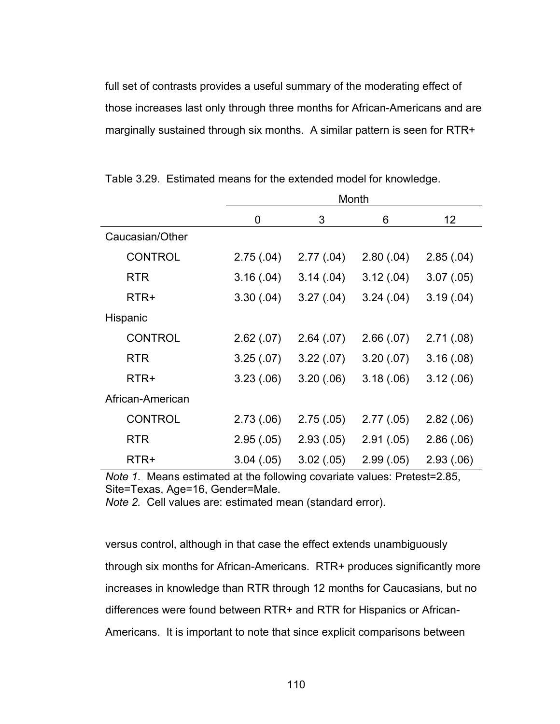full set of contrasts provides a useful summary of the moderating effect of those increases last only through three months for African-Americans and are marginally sustained through six months. A similar pattern is seen for RTR+

|                  |            | Month      |            |            |  |  |
|------------------|------------|------------|------------|------------|--|--|
|                  | 0          | 3          | 6          | 12         |  |  |
| Caucasian/Other  |            |            |            |            |  |  |
| <b>CONTROL</b>   | 2.75(.04)  | 2.77(.04)  | 2.80(.04)  | 2.85(.04)  |  |  |
| <b>RTR</b>       | 3.16(.04)  | 3.14(0.04) | 3.12(.04)  | 3.07(0.05) |  |  |
| RTR+             | 3.30(.04)  | 3.27(.04)  | 3.24(.04)  | 3.19(.04)  |  |  |
| Hispanic         |            |            |            |            |  |  |
| <b>CONTROL</b>   | 2.62(.07)  | 2.64(.07)  | 2.66(0.07) | 2.71(.08)  |  |  |
| <b>RTR</b>       | 3.25(.07)  | 3.22(.07)  | 3.20(0.07) | 3.16(.08)  |  |  |
| RTR+             | 3.23(0.06) | 3.20(.06)  | 3.18(.06)  | 3.12(.06)  |  |  |
| African-American |            |            |            |            |  |  |
| <b>CONTROL</b>   | 2.73(.06)  | 2.75(.05)  | 2.77(.05)  | 2.82(.06)  |  |  |
| <b>RTR</b>       | 2.95(.05)  | 2.93(0.05) | 2.91(.05)  | 2.86(.06)  |  |  |
| RTR+             | 3.04(.05)  | 3.02(.05)  | 2.99(0.05) | 2.93(0.06) |  |  |

Table 3.29. Estimated means for the extended model for knowledge.

*Note 1*. Means estimated at the following covariate values: Pretest=2.85, Site=Texas, Age=16, Gender=Male.

*Note 2.* Cell values are: estimated mean (standard error).

versus control, although in that case the effect extends unambiguously through six months for African-Americans. RTR+ produces significantly more increases in knowledge than RTR through 12 months for Caucasians, but no differences were found between RTR+ and RTR for Hispanics or African-Americans. It is important to note that since explicit comparisons between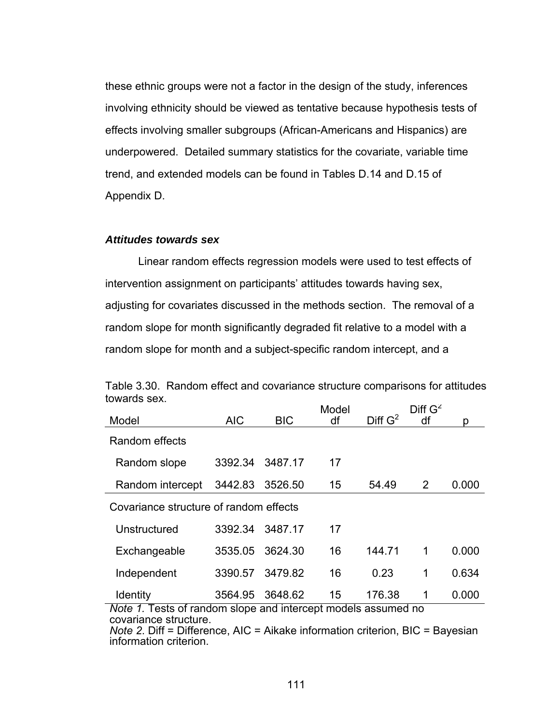these ethnic groups were not a factor in the design of the study, inferences involving ethnicity should be viewed as tentative because hypothesis tests of effects involving smaller subgroups (African-Americans and Hispanics) are underpowered. Detailed summary statistics for the covariate, variable time trend, and extended models can be found in Tables D.14 and D.15 of Appendix D.

#### *Attitudes towards sex*

 Linear random effects regression models were used to test effects of intervention assignment on participants' attitudes towards having sex, adjusting for covariates discussed in the methods section. The removal of a random slope for month significantly degraded fit relative to a model with a random slope for month and a subject-specific random intercept, and a

| luwaius s <del>c</del> a.                                     |                 |                 | Model |            | Diff G <sup>2</sup> |       |
|---------------------------------------------------------------|-----------------|-----------------|-------|------------|---------------------|-------|
| Model                                                         | <b>AIC</b>      | <b>BIC</b>      | df    | Diff $G^2$ |                     | n     |
| Random effects                                                |                 |                 |       |            |                     |       |
| Random slope                                                  | 3392.34 3487.17 |                 | 17    |            |                     |       |
| Random intercept                                              | 3442.83         | 3526.50         | 15    | 54.49      | 2                   | 0.000 |
| Covariance structure of random effects                        |                 |                 |       |            |                     |       |
| Unstructured                                                  |                 | 3392.34 3487.17 | 17    |            |                     |       |
| Exchangeable                                                  | 3535.05         | 3624.30         | 16    | 144.71     | 1                   | 0.000 |
| Independent                                                   | 3390.57         | 3479.82         | 16    | 0.23       | 1                   | 0.634 |
| <b>Identity</b>                                               | 3564.95         | 3648.62         | 15    | 176.38     | 1                   | 0.000 |
| Note 1. Tests of random slope and intercept models assumed no |                 |                 |       |            |                     |       |
| covariance structure.                                         |                 |                 |       |            |                     |       |

Table 3.30. Random effect and covariance structure comparisons for attitudes towards sex.

*Note 2*. Diff = Difference, AIC = Aikake information criterion, BIC = Bayesian information criterion.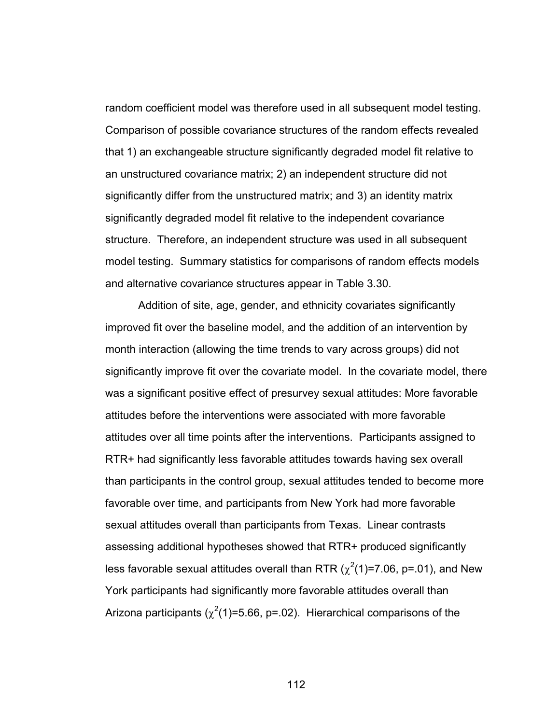random coefficient model was therefore used in all subsequent model testing. Comparison of possible covariance structures of the random effects revealed that 1) an exchangeable structure significantly degraded model fit relative to an unstructured covariance matrix; 2) an independent structure did not significantly differ from the unstructured matrix; and 3) an identity matrix significantly degraded model fit relative to the independent covariance structure. Therefore, an independent structure was used in all subsequent model testing. Summary statistics for comparisons of random effects models and alternative covariance structures appear in Table 3.30.

Addition of site, age, gender, and ethnicity covariates significantly improved fit over the baseline model, and the addition of an intervention by month interaction (allowing the time trends to vary across groups) did not significantly improve fit over the covariate model. In the covariate model, there was a significant positive effect of presurvey sexual attitudes: More favorable attitudes before the interventions were associated with more favorable attitudes over all time points after the interventions. Participants assigned to RTR+ had significantly less favorable attitudes towards having sex overall than participants in the control group, sexual attitudes tended to become more favorable over time, and participants from New York had more favorable sexual attitudes overall than participants from Texas. Linear contrasts assessing additional hypotheses showed that RTR+ produced significantly less favorable sexual attitudes overall than RTR ( $\chi^2$ (1)=7.06, p=.01), and New York participants had significantly more favorable attitudes overall than Arizona participants ( $\chi^2(1)$ =5.66, p=.02). Hierarchical comparisons of the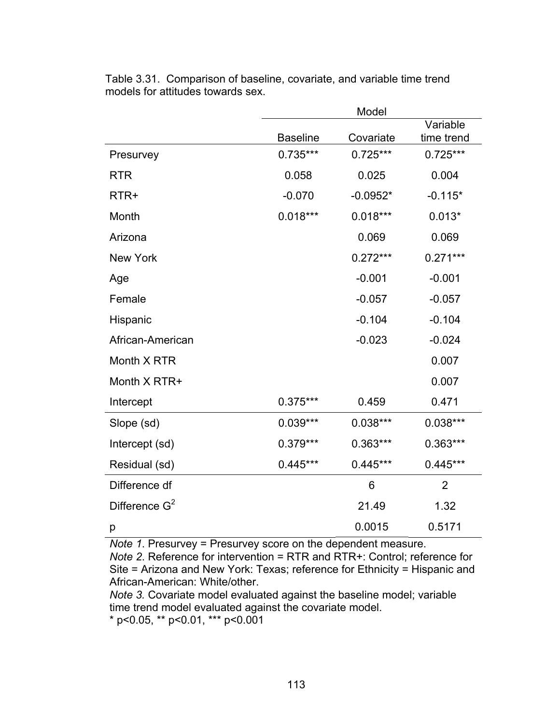|                  | Model           |            |                |  |
|------------------|-----------------|------------|----------------|--|
|                  |                 |            | Variable       |  |
|                  | <b>Baseline</b> | Covariate  | time trend     |  |
| Presurvey        | $0.735***$      | $0.725***$ | $0.725***$     |  |
| <b>RTR</b>       | 0.058           | 0.025      | 0.004          |  |
| RTR+             | $-0.070$        | $-0.0952*$ | $-0.115*$      |  |
| Month            | $0.018***$      | $0.018***$ | $0.013*$       |  |
| Arizona          |                 | 0.069      | 0.069          |  |
| <b>New York</b>  |                 | $0.272***$ | $0.271***$     |  |
| Age              |                 | $-0.001$   | $-0.001$       |  |
| Female           |                 | $-0.057$   | $-0.057$       |  |
| Hispanic         |                 | $-0.104$   | $-0.104$       |  |
| African-American |                 | $-0.023$   | $-0.024$       |  |
| Month X RTR      |                 |            | 0.007          |  |
| Month X RTR+     |                 |            | 0.007          |  |
| Intercept        | 0.375***        | 0.459      | 0.471          |  |
| Slope (sd)       | $0.039***$      | $0.038***$ | $0.038***$     |  |
| Intercept (sd)   | 0.379***        | 0.363***   | $0.363***$     |  |
| Residual (sd)    | $0.445***$      | $0.445***$ | $0.445***$     |  |
| Difference df    |                 | 6          | $\overline{2}$ |  |
| Difference $G^2$ |                 | 21.49      | 1.32           |  |
| р                |                 | 0.0015     | 0.5171         |  |

Table 3.31. Comparison of baseline, covariate, and variable time trend models for attitudes towards sex.

*Note 1*. Presurvey = Presurvey score on the dependent measure.

*Note 2*. Reference for intervention = RTR and RTR+: Control; reference for Site = Arizona and New York: Texas; reference for Ethnicity = Hispanic and African-American: White/other.

*Note 3.* Covariate model evaluated against the baseline model; variable time trend model evaluated against the covariate model.

 $*$  p<0.05,  $*$  p<0.01,  $*$  $*$  p<0.001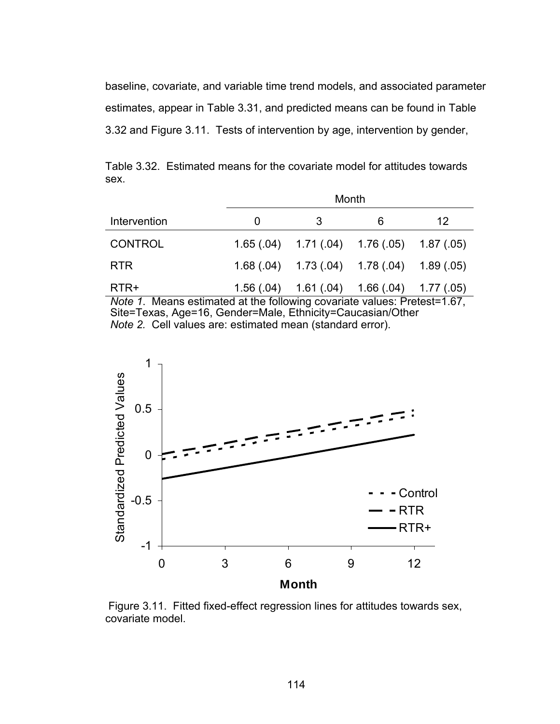baseline, covariate, and variable time trend models, and associated parameter estimates, appear in Table 3.31, and predicted means can be found in Table 3.32 and Figure 3.11. Tests of intervention by age, intervention by gender,

Month Intervention 0 3 6 12 CONTROL 1.65 (.04) 1.71 (.04) 1.76 (.05) 1.87 (.05) RTR 1.68 (.04) 1.73 (.04) 1.78 (.04) 1.89 (.05) RTR+ 1.56 (.04) 1.61 (.04) 1.66 (.04) 1.77 (.05) *Note 1*. Means estimated at the following covariate values: Pretest=1.67,

Table 3.32. Estimated means for the covariate model for attitudes towards sex.

Site=Texas, Age=16, Gender=Male, Ethnicity=Caucasian/Other *Note 2.* Cell values are: estimated mean (standard error).



 Figure 3.11. Fitted fixed-effect regression lines for attitudes towards sex, covariate model.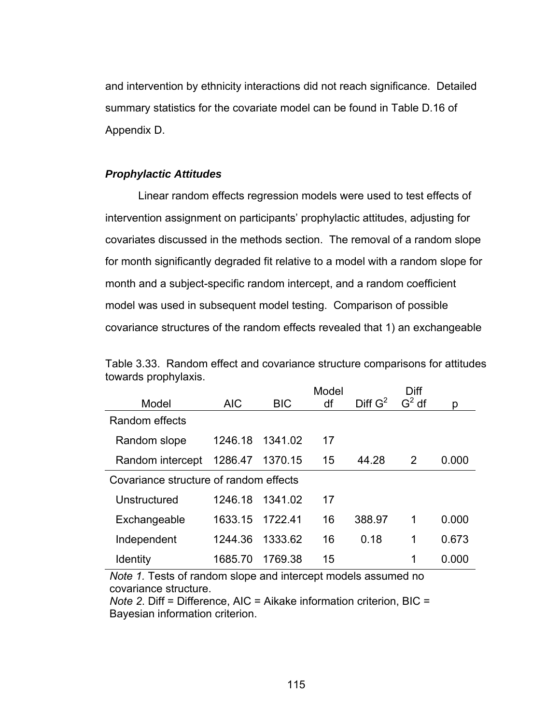and intervention by ethnicity interactions did not reach significance. Detailed summary statistics for the covariate model can be found in Table D.16 of Appendix D.

# *Prophylactic Attitudes*

 Linear random effects regression models were used to test effects of intervention assignment on participants' prophylactic attitudes, adjusting for covariates discussed in the methods section. The removal of a random slope for month significantly degraded fit relative to a model with a random slope for month and a subject-specific random intercept, and a random coefficient model was used in subsequent model testing. Comparison of possible covariance structures of the random effects revealed that 1) an exchangeable

|                                        |            |            | Model |                     | Diff           |       |
|----------------------------------------|------------|------------|-------|---------------------|----------------|-------|
| Model                                  | <b>AIC</b> | <b>BIC</b> | df    | Diff G <sup>2</sup> | $G2$ df        | p     |
| Random effects                         |            |            |       |                     |                |       |
| Random slope                           | 1246.18    | 1341.02    | 17    |                     |                |       |
| Random intercept                       | 1286.47    | 1370.15    | 15    | 44.28               | $\overline{2}$ | 0.000 |
| Covariance structure of random effects |            |            |       |                     |                |       |
| Unstructured                           | 1246.18    | 1341.02    | 17    |                     |                |       |
| Exchangeable                           | 1633.15    | 1722.41    | 16    | 388.97              | 1              | 0.000 |
| Independent                            | 1244.36    | 1333.62    | 16    | 0.18                | 1              | 0.673 |
| <b>Identity</b>                        | 1685.70    | 1769.38    | 15    |                     | 1              | 0.000 |

Table 3.33. Random effect and covariance structure comparisons for attitudes towards prophylaxis.

*Note 1.* Tests of random slope and intercept models assumed no covariance structure.

*Note 2*. Diff = Difference, AIC = Aikake information criterion, BIC = Bayesian information criterion.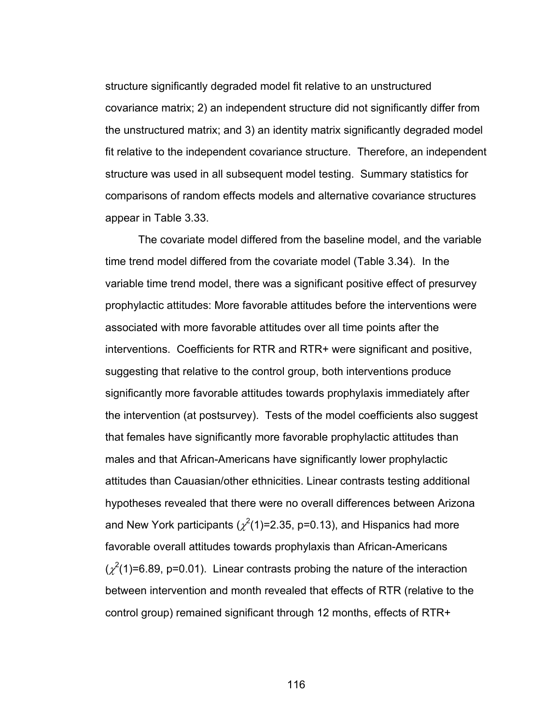structure significantly degraded model fit relative to an unstructured covariance matrix; 2) an independent structure did not significantly differ from the unstructured matrix; and 3) an identity matrix significantly degraded model fit relative to the independent covariance structure. Therefore, an independent structure was used in all subsequent model testing. Summary statistics for comparisons of random effects models and alternative covariance structures appear in Table 3.33.

 The covariate model differed from the baseline model, and the variable time trend model differed from the covariate model (Table 3.34). In the variable time trend model, there was a significant positive effect of presurvey prophylactic attitudes: More favorable attitudes before the interventions were associated with more favorable attitudes over all time points after the interventions. Coefficients for RTR and RTR+ were significant and positive, suggesting that relative to the control group, both interventions produce significantly more favorable attitudes towards prophylaxis immediately after the intervention (at postsurvey). Tests of the model coefficients also suggest that females have significantly more favorable prophylactic attitudes than males and that African-Americans have significantly lower prophylactic attitudes than Cauasian/other ethnicities. Linear contrasts testing additional hypotheses revealed that there were no overall differences between Arizona and New York participants ( $\chi^2$ (1)=2.35, p=0.13), and Hispanics had more favorable overall attitudes towards prophylaxis than African-Americans  $(\chi^2(1)=6.89, p=0.01)$ . Linear contrasts probing the nature of the interaction between intervention and month revealed that effects of RTR (relative to the control group) remained significant through 12 months, effects of RTR+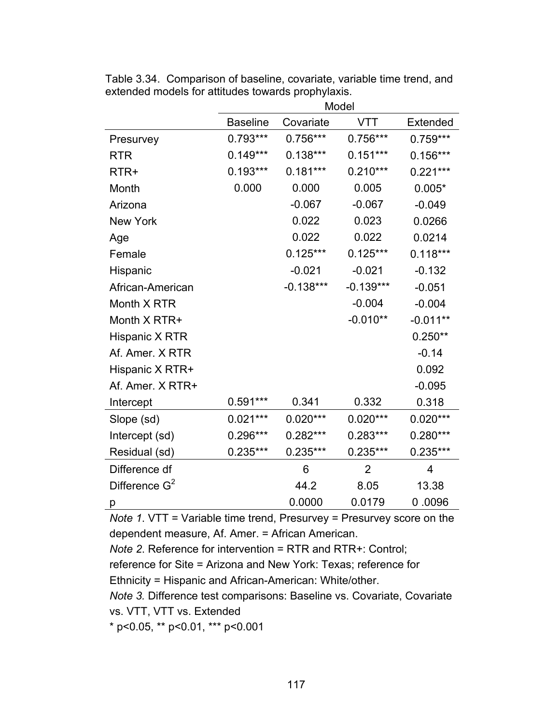|                  | Model           |             |                |            |  |
|------------------|-----------------|-------------|----------------|------------|--|
|                  | <b>Baseline</b> | Covariate   | <b>VTT</b>     | Extended   |  |
| Presurvey        | $0.793***$      | $0.756***$  | $0.756***$     | $0.759***$ |  |
| <b>RTR</b>       | $0.149***$      | $0.138***$  | $0.151***$     | $0.156***$ |  |
| RTR+             | $0.193***$      | $0.181***$  | $0.210***$     | $0.221***$ |  |
| Month            | 0.000           | 0.000       | 0.005          | $0.005*$   |  |
| Arizona          |                 | $-0.067$    | $-0.067$       | $-0.049$   |  |
| <b>New York</b>  |                 | 0.022       | 0.023          | 0.0266     |  |
| Age              |                 | 0.022       | 0.022          | 0.0214     |  |
| Female           |                 | $0.125***$  | $0.125***$     | $0.118***$ |  |
| Hispanic         |                 | $-0.021$    | $-0.021$       | $-0.132$   |  |
| African-American |                 | $-0.138***$ | $-0.139***$    | $-0.051$   |  |
| Month X RTR      |                 |             | $-0.004$       | $-0.004$   |  |
| Month X RTR+     |                 |             | $-0.010**$     | $-0.011**$ |  |
| Hispanic X RTR   |                 |             |                | $0.250**$  |  |
| Af. Amer. X RTR  |                 |             |                | $-0.14$    |  |
| Hispanic X RTR+  |                 |             |                | 0.092      |  |
| Af. Amer. X RTR+ |                 |             |                | $-0.095$   |  |
| Intercept        | $0.591***$      | 0.341       | 0.332          | 0.318      |  |
| Slope (sd)       | $0.021***$      | $0.020***$  | $0.020***$     | $0.020***$ |  |
| Intercept (sd)   | 0.296***        | $0.282***$  | $0.283***$     | $0.280***$ |  |
| Residual (sd)    | $0.235***$      | $0.235***$  | $0.235***$     | $0.235***$ |  |
| Difference df    |                 | 6           | $\overline{2}$ | 4          |  |
| Difference $G^2$ |                 | 44.2        | 8.05           | 13.38      |  |
| р                |                 | 0.0000      | 0.0179         | 0.0096     |  |

Table 3.34. Comparison of baseline, covariate, variable time trend, and extended models for attitudes towards prophylaxis.

*Note 1*. VTT = Variable time trend, Presurvey = Presurvey score on the dependent measure, Af. Amer. = African American.

*Note 2*. Reference for intervention = RTR and RTR+: Control;

reference for Site = Arizona and New York: Texas; reference for

Ethnicity = Hispanic and African-American: White/other.

*Note 3.* Difference test comparisons: Baseline vs. Covariate, Covariate vs. VTT, VTT vs. Extended

\* p<0.05, \*\* p<0.01, \*\*\* p<0.001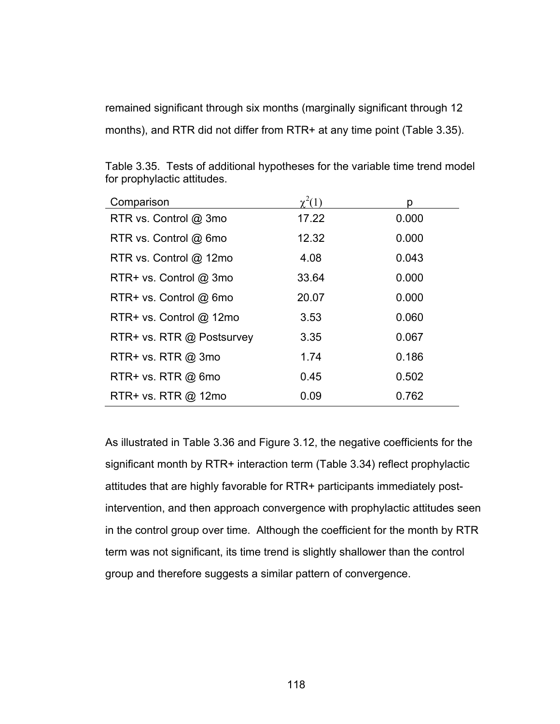remained significant through six months (marginally significant through 12 months), and RTR did not differ from RTR+ at any time point (Table 3.35).

| Comparison                | $\chi^2(1)$ | р     |
|---------------------------|-------------|-------|
| RTR vs. Control @ 3mo     | 17.22       | 0.000 |
| RTR vs. Control @ 6mo     | 12.32       | 0.000 |
| RTR vs. Control @ 12mo    | 4.08        | 0.043 |
| RTR+ vs. Control @ 3mo    | 33.64       | 0.000 |
| RTR+ vs. Control @ 6mo    | 20.07       | 0.000 |
| RTR+ vs. Control @ 12mo   | 3.53        | 0.060 |
| RTR+ vs. RTR @ Postsurvey | 3.35        | 0.067 |
| $RTR+vs. RTR @ 3mo$       | 1.74        | 0.186 |
| $RTR+vs. RTR @ 6mo$       | 0.45        | 0.502 |
| RTR+ vs. RTR @ 12mo       | 0.09        | 0.762 |

Table 3.35. Tests of additional hypotheses for the variable time trend model for prophylactic attitudes.

As illustrated in Table 3.36 and Figure 3.12, the negative coefficients for the significant month by RTR+ interaction term (Table 3.34) reflect prophylactic attitudes that are highly favorable for RTR+ participants immediately postintervention, and then approach convergence with prophylactic attitudes seen in the control group over time. Although the coefficient for the month by RTR term was not significant, its time trend is slightly shallower than the control group and therefore suggests a similar pattern of convergence.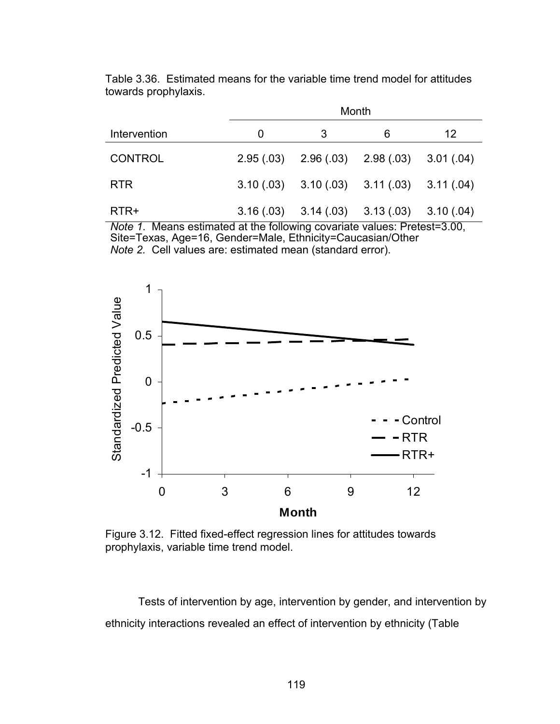|                | Month |   |                                                 |    |  |
|----------------|-------|---|-------------------------------------------------|----|--|
| Intervention   | O     | 3 | 6                                               | 12 |  |
| <b>CONTROL</b> |       |   | $2.95(.03)$ $2.96(.03)$ $2.98(.03)$ $3.01(.04)$ |    |  |
| <b>RTR</b>     |       |   | $3.10(.03)$ $3.10(.03)$ $3.11(.03)$ $3.11(.04)$ |    |  |
| RTR+           |       |   | $3.16(.03)$ $3.14(.03)$ $3.13(.03)$ $3.10(.04)$ |    |  |

Table 3.36. Estimated means for the variable time trend model for attitudes towards prophylaxis.

*Note 1*. Means estimated at the following covariate values: Pretest=3.00, Site=Texas, Age=16, Gender=Male, Ethnicity=Caucasian/Other *Note 2.* Cell values are: estimated mean (standard error).



Figure 3.12. Fitted fixed-effect regression lines for attitudes towards prophylaxis, variable time trend model.

Tests of intervention by age, intervention by gender, and intervention by ethnicity interactions revealed an effect of intervention by ethnicity (Table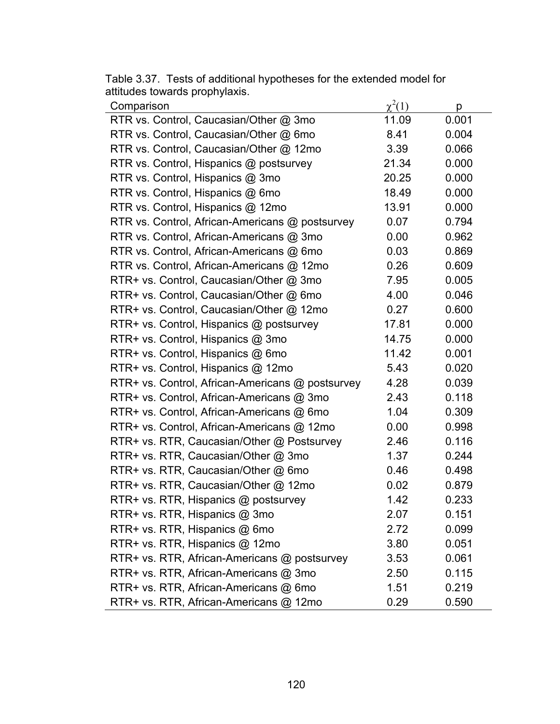| Comparison                                       | $\chi^2(1)$ | р     |
|--------------------------------------------------|-------------|-------|
| RTR vs. Control, Caucasian/Other @ 3mo           | 11.09       | 0.001 |
| RTR vs. Control, Caucasian/Other @ 6mo           | 8.41        | 0.004 |
| RTR vs. Control, Caucasian/Other @ 12mo          | 3.39        | 0.066 |
| RTR vs. Control, Hispanics @ postsurvey          | 21.34       | 0.000 |
| RTR vs. Control, Hispanics @ 3mo                 | 20.25       | 0.000 |
| RTR vs. Control, Hispanics @ 6mo                 | 18.49       | 0.000 |
| RTR vs. Control, Hispanics @ 12mo                | 13.91       | 0.000 |
| RTR vs. Control, African-Americans @ postsurvey  | 0.07        | 0.794 |
| RTR vs. Control, African-Americans @ 3mo         | 0.00        | 0.962 |
| RTR vs. Control, African-Americans @ 6mo         | 0.03        | 0.869 |
| RTR vs. Control, African-Americans @ 12mo        | 0.26        | 0.609 |
| RTR+ vs. Control, Caucasian/Other @ 3mo          | 7.95        | 0.005 |
| RTR+ vs. Control, Caucasian/Other @ 6mo          | 4.00        | 0.046 |
| RTR+ vs. Control, Caucasian/Other @ 12mo         | 0.27        | 0.600 |
| RTR+ vs. Control, Hispanics @ postsurvey         | 17.81       | 0.000 |
| RTR+ vs. Control, Hispanics @ 3mo                | 14.75       | 0.000 |
| RTR+ vs. Control, Hispanics @ 6mo                | 11.42       | 0.001 |
| RTR+ vs. Control, Hispanics @ 12mo               | 5.43        | 0.020 |
| RTR+ vs. Control, African-Americans @ postsurvey | 4.28        | 0.039 |
| RTR+ vs. Control, African-Americans @ 3mo        | 2.43        | 0.118 |
| RTR+ vs. Control, African-Americans @ 6mo        | 1.04        | 0.309 |
| RTR+ vs. Control, African-Americans @ 12mo       | 0.00        | 0.998 |
| RTR+ vs. RTR, Caucasian/Other @ Postsurvey       | 2.46        | 0.116 |
| RTR+ vs. RTR, Caucasian/Other @ 3mo              | 1.37        | 0.244 |
| RTR+ vs. RTR, Caucasian/Other @ 6mo              | 0.46        | 0.498 |
| RTR+ vs. RTR, Caucasian/Other @ 12mo             | 0.02        | 0.879 |
| RTR+ vs. RTR, Hispanics @ postsurvey             | 1.42        | 0.233 |
| RTR+ vs. RTR, Hispanics @ 3mo                    | 2.07        | 0.151 |
| RTR+ vs. RTR, Hispanics @ 6mo                    | 2.72        | 0.099 |
| RTR+ vs. RTR, Hispanics @ 12mo                   | 3.80        | 0.051 |
| RTR+ vs. RTR, African-Americans @ postsurvey     | 3.53        | 0.061 |
| RTR+ vs. RTR, African-Americans @ 3mo            | 2.50        | 0.115 |
| RTR+ vs. RTR, African-Americans @ 6mo            | 1.51        | 0.219 |
| RTR+ vs. RTR, African-Americans @ 12mo           | 0.29        | 0.590 |

Table 3.37. Tests of additional hypotheses for the extended model for attitudes towards prophylaxis.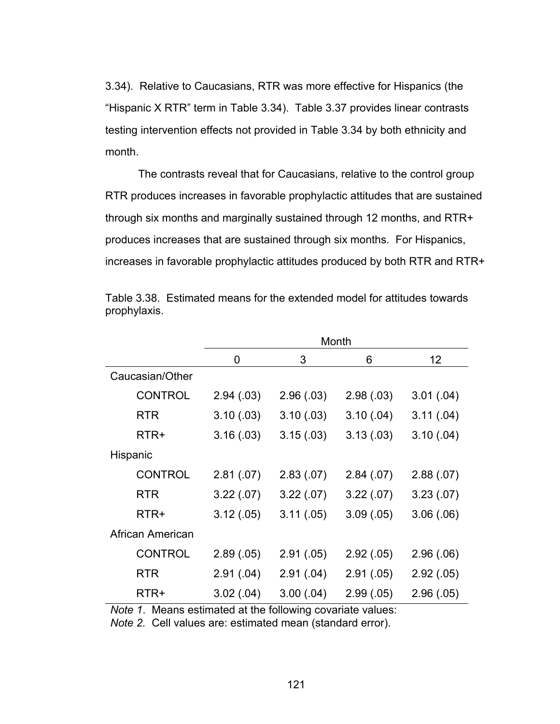3.34). Relative to Caucasians, RTR was more effective for Hispanics (the "Hispanic X RTR" term in Table 3.34). Table 3.37 provides linear contrasts testing intervention effects not provided in Table 3.34 by both ethnicity and month.

The contrasts reveal that for Caucasians, relative to the control group RTR produces increases in favorable prophylactic attitudes that are sustained through six months and marginally sustained through 12 months, and RTR+ produces increases that are sustained through six months. For Hispanics, increases in favorable prophylactic attitudes produced by both RTR and RTR+

|                  | Month      |            |            |            |
|------------------|------------|------------|------------|------------|
|                  | 0          | 3          | 6          | 12         |
| Caucasian/Other  |            |            |            |            |
| <b>CONTROL</b>   | 2.94(0.03) | 2.96(.03)  | 2.98(.03)  | 3.01(.04)  |
| <b>RTR</b>       | 3.10(0.03) | 3.10(0.03) | 3.10(.04)  | 3.11(.04)  |
| RTR+             | 3.16(.03)  | 3.15(.03)  | 3.13(0.03) | 3.10(.04)  |
| Hispanic         |            |            |            |            |
| <b>CONTROL</b>   | 2.81(.07)  | 2.83(.07)  | 2.84(.07)  | 2.88(.07)  |
| <b>RTR</b>       | 3.22(.07)  | 3.22(.07)  | 3.22(.07)  | 3.23(0.07) |
| RTR+             | 3.12(.05)  | 3.11(.05)  | 3.09(.05)  | 3.06(.06)  |
| African American |            |            |            |            |
| <b>CONTROL</b>   | 2.89(.05)  | 2.91(.05)  | 2.92(.05)  | 2.96(0.06) |
| RTR              | 2.91(.04)  | 2.91(.04)  | 2.91(.05)  | 2.92(.05)  |
| RTR+             | 3.02(.04)  | 3.00(.04)  | 2.99(.05)  | 2.96(.05)  |

Table 3.38. Estimated means for the extended model for attitudes towards prophylaxis.

*Note 1*. Means estimated at the following covariate values:

*Note 2.* Cell values are: estimated mean (standard error).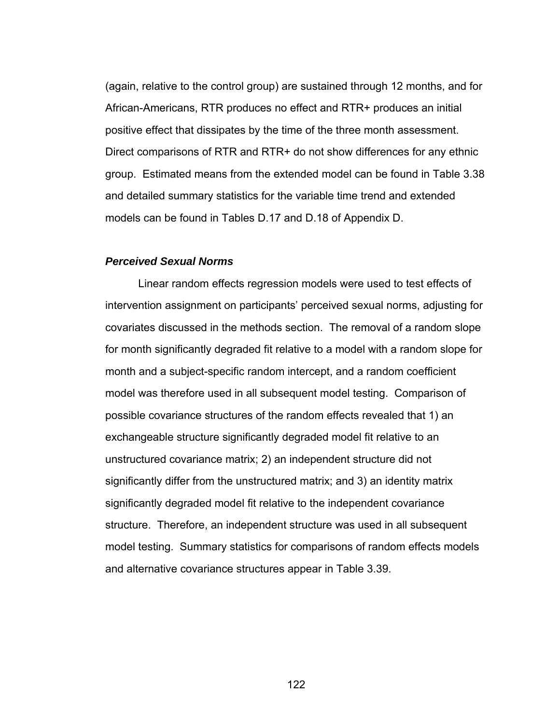(again, relative to the control group) are sustained through 12 months, and for African-Americans, RTR produces no effect and RTR+ produces an initial positive effect that dissipates by the time of the three month assessment. Direct comparisons of RTR and RTR+ do not show differences for any ethnic group. Estimated means from the extended model can be found in Table 3.38 and detailed summary statistics for the variable time trend and extended models can be found in Tables D.17 and D.18 of Appendix D.

#### *Perceived Sexual Norms*

 Linear random effects regression models were used to test effects of intervention assignment on participants' perceived sexual norms, adjusting for covariates discussed in the methods section. The removal of a random slope for month significantly degraded fit relative to a model with a random slope for month and a subject-specific random intercept, and a random coefficient model was therefore used in all subsequent model testing. Comparison of possible covariance structures of the random effects revealed that 1) an exchangeable structure significantly degraded model fit relative to an unstructured covariance matrix; 2) an independent structure did not significantly differ from the unstructured matrix; and 3) an identity matrix significantly degraded model fit relative to the independent covariance structure. Therefore, an independent structure was used in all subsequent model testing. Summary statistics for comparisons of random effects models and alternative covariance structures appear in Table 3.39.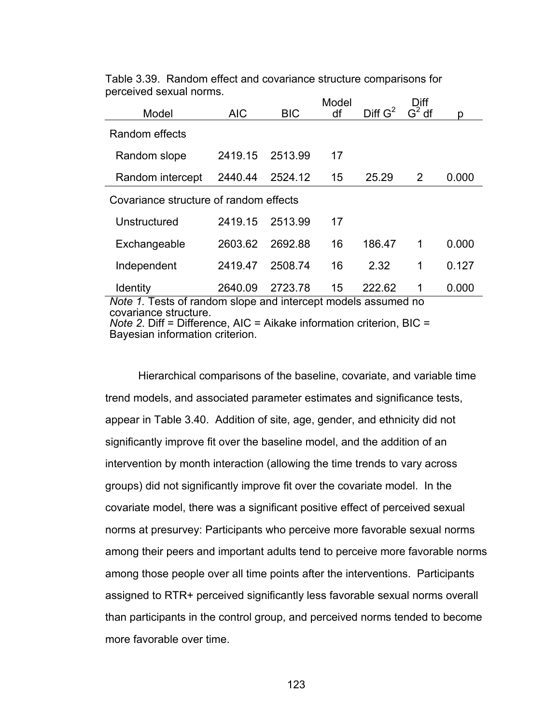|                                                                                        |            |            | Model | Diff G <sup>2</sup> | Diff<br>$\overline{G^2}$ df |       |
|----------------------------------------------------------------------------------------|------------|------------|-------|---------------------|-----------------------------|-------|
| Model                                                                                  | <b>AIC</b> | <b>BIC</b> | df    |                     |                             | р     |
| Random effects                                                                         |            |            |       |                     |                             |       |
| Random slope                                                                           | 2419.15    | 2513.99    | 17    |                     |                             |       |
| Random intercept                                                                       | 2440.44    | 2524.12    | 15    | 25.29               | 2                           | 0.000 |
| Covariance structure of random effects                                                 |            |            |       |                     |                             |       |
| Unstructured                                                                           | 2419.15    | 2513.99    | 17    |                     |                             |       |
| Exchangeable                                                                           | 2603.62    | 2692.88    | 16    | 186.47              | 1                           | 0.000 |
| Independent                                                                            | 2419.47    | 2508.74    | 16    | 2.32                | 1                           | 0.127 |
| <b>Identity</b>                                                                        | 2640.09    | 2723.78    | 15    | 222.62              | 1                           | 0.000 |
| Note 1. Tests of random slope and intercept models assumed no<br>covariance structure. |            |            |       |                     |                             |       |

Table 3.39. Random effect and covariance structure comparisons for perceived sexual norms.

*Note 2*. Diff = Difference, AIC = Aikake information criterion, BIC = Bayesian information criterion.

Hierarchical comparisons of the baseline, covariate, and variable time trend models, and associated parameter estimates and significance tests, appear in Table 3.40. Addition of site, age, gender, and ethnicity did not significantly improve fit over the baseline model, and the addition of an intervention by month interaction (allowing the time trends to vary across groups) did not significantly improve fit over the covariate model. In the covariate model, there was a significant positive effect of perceived sexual norms at presurvey: Participants who perceive more favorable sexual norms among their peers and important adults tend to perceive more favorable norms among those people over all time points after the interventions. Participants assigned to RTR+ perceived significantly less favorable sexual norms overall than participants in the control group, and perceived norms tended to become more favorable over time.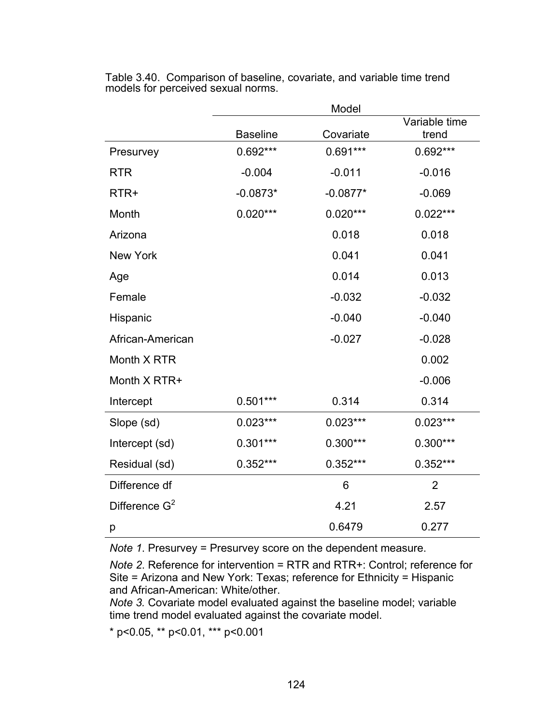|                  | Model           |            |                        |  |  |
|------------------|-----------------|------------|------------------------|--|--|
|                  | <b>Baseline</b> | Covariate  | Variable time<br>trend |  |  |
| Presurvey        | 0.692***        | $0.691***$ | 0.692***               |  |  |
| <b>RTR</b>       | $-0.004$        | $-0.011$   | $-0.016$               |  |  |
| RTR+             | $-0.0873*$      | $-0.0877*$ | $-0.069$               |  |  |
| Month            | $0.020***$      | $0.020***$ | $0.022***$             |  |  |
| Arizona          |                 | 0.018      | 0.018                  |  |  |
| <b>New York</b>  |                 | 0.041      | 0.041                  |  |  |
| Age              |                 | 0.014      | 0.013                  |  |  |
| Female           |                 | $-0.032$   | $-0.032$               |  |  |
| Hispanic         |                 | $-0.040$   | $-0.040$               |  |  |
| African-American |                 | $-0.027$   | $-0.028$               |  |  |
| Month X RTR      |                 |            | 0.002                  |  |  |
| Month X RTR+     |                 |            | $-0.006$               |  |  |
| Intercept        | $0.501***$      | 0.314      | 0.314                  |  |  |
| Slope (sd)       | $0.023***$      | $0.023***$ | $0.023***$             |  |  |
| Intercept (sd)   | $0.301***$      | $0.300***$ | 0.300***               |  |  |
| Residual (sd)    | $0.352***$      | $0.352***$ | $0.352***$             |  |  |
| Difference df    |                 | 6          | $\overline{2}$         |  |  |
| Difference $G^2$ |                 | 4.21       | 2.57                   |  |  |
| р                |                 | 0.6479     | 0.277                  |  |  |

Table 3.40. Comparison of baseline, covariate, and variable time trend models for perceived sexual norms.

*Note 1*. Presurvey = Presurvey score on the dependent measure.

*Note 2*. Reference for intervention = RTR and RTR+: Control; reference for Site = Arizona and New York: Texas; reference for Ethnicity = Hispanic and African-American: White/other.

*Note 3.* Covariate model evaluated against the baseline model; variable time trend model evaluated against the covariate model.

\* p<0.05, \*\* p<0.01, \*\*\* p<0.001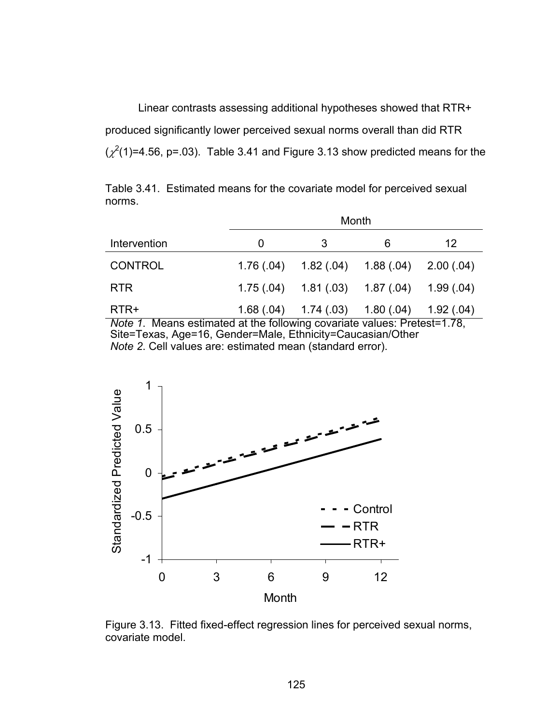Linear contrasts assessing additional hypotheses showed that RTR+ produced significantly lower perceived sexual norms overall than did RTR  $(\chi^2(1)=4.56, p=.03)$ . Table 3.41 and Figure 3.13 show predicted means for the

Table 3.41. Estimated means for the covariate model for perceived sexual norms.

|                  |           | Month                               |                 |            |  |  |
|------------------|-----------|-------------------------------------|-----------------|------------|--|--|
| Intervention     | 0         | 3                                   | 6               | 12         |  |  |
| <b>CONTROL</b>   | 1.76(.04) | $1.82(.04)$ $1.88(.04)$             |                 | 2.00(0.04) |  |  |
| <b>RTR</b>       |           | $1.75(.04)$ $1.81(.03)$ $1.87(.04)$ |                 | 1.99(.04)  |  |  |
| RTR+<br>.<br>. . | .         | $1.68(.04)$ $1.74(.03)$             | 1.80(0.04)<br>- | 1.92(.04)  |  |  |

*Note 1*. Means estimated at the following covariate values: Pretest=1.78, Site=Texas, Age=16, Gender=Male, Ethnicity=Caucasian/Other *Note 2*. Cell values are: estimated mean (standard error).



Figure 3.13. Fitted fixed-effect regression lines for perceived sexual norms, covariate model.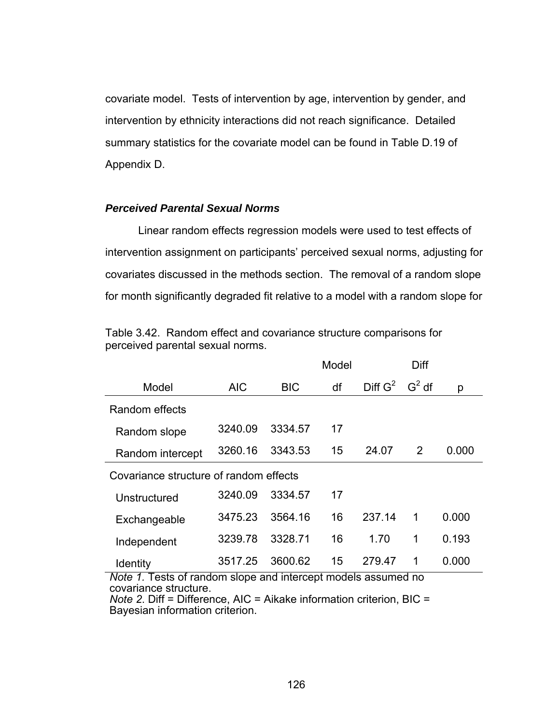covariate model. Tests of intervention by age, intervention by gender, and intervention by ethnicity interactions did not reach significance. Detailed summary statistics for the covariate model can be found in Table D.19 of Appendix D.

### *Perceived Parental Sexual Norms*

 Linear random effects regression models were used to test effects of intervention assignment on participants' perceived sexual norms, adjusting for covariates discussed in the methods section. The removal of a random slope for month significantly degraded fit relative to a model with a random slope for

|                                        |            |            | Model |                     | Diff     |       |
|----------------------------------------|------------|------------|-------|---------------------|----------|-------|
| Model                                  | <b>AIC</b> | <b>BIC</b> | df    | Diff G <sup>2</sup> | $G^2$ df | р     |
| Random effects                         |            |            |       |                     |          |       |
| Random slope                           | 3240.09    | 3334.57    | 17    |                     |          |       |
| Random intercept                       | 3260.16    | 3343.53    | 15    | 24.07               | 2        | 0.000 |
| Covariance structure of random effects |            |            |       |                     |          |       |
| Unstructured                           | 3240.09    | 3334.57    | 17    |                     |          |       |
| Exchangeable                           | 3475.23    | 3564.16    | 16    | 237.14              | 1        | 0.000 |
| Independent                            | 3239.78    | 3328.71    | 16    | 1.70                | 1        | 0.193 |
| Identity                               | 3517.25    | 3600.62    | 15    | 279.47              | 1        | 0.000 |

Table 3.42. Random effect and covariance structure comparisons for perceived parental sexual norms.

*Note 1.* Tests of random slope and intercept models assumed no covariance structure.

*Note 2*. Diff = Difference, AIC = Aikake information criterion, BIC = Bayesian information criterion.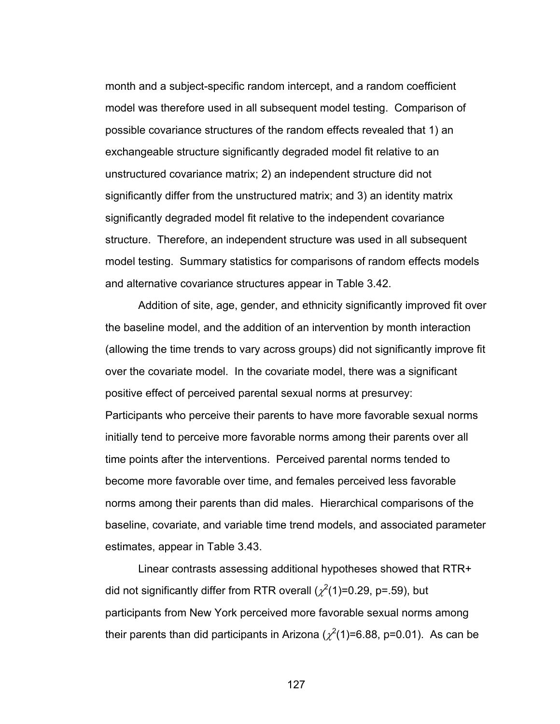month and a subject-specific random intercept, and a random coefficient model was therefore used in all subsequent model testing. Comparison of possible covariance structures of the random effects revealed that 1) an exchangeable structure significantly degraded model fit relative to an unstructured covariance matrix; 2) an independent structure did not significantly differ from the unstructured matrix; and 3) an identity matrix significantly degraded model fit relative to the independent covariance structure. Therefore, an independent structure was used in all subsequent model testing. Summary statistics for comparisons of random effects models and alternative covariance structures appear in Table 3.42.

Addition of site, age, gender, and ethnicity significantly improved fit over the baseline model, and the addition of an intervention by month interaction (allowing the time trends to vary across groups) did not significantly improve fit over the covariate model. In the covariate model, there was a significant positive effect of perceived parental sexual norms at presurvey: Participants who perceive their parents to have more favorable sexual norms initially tend to perceive more favorable norms among their parents over all time points after the interventions. Perceived parental norms tended to become more favorable over time, and females perceived less favorable norms among their parents than did males. Hierarchical comparisons of the baseline, covariate, and variable time trend models, and associated parameter estimates, appear in Table 3.43.

Linear contrasts assessing additional hypotheses showed that RTR+ did not significantly differ from RTR overall ( $\chi^2$ (1)=0.29, p=.59), but participants from New York perceived more favorable sexual norms among their parents than did participants in Arizona ( $\chi^2$ (1)=6.88, p=0.01). As can be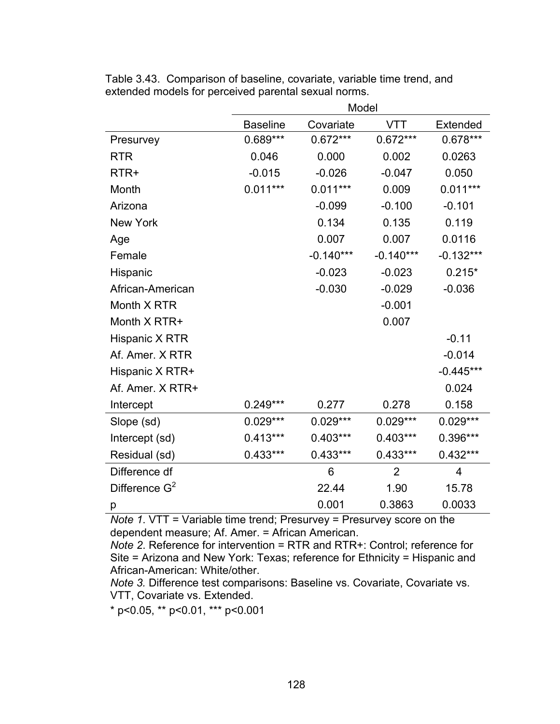|                  | Model           |             |                |             |  |  |
|------------------|-----------------|-------------|----------------|-------------|--|--|
|                  | <b>Baseline</b> | Covariate   | <b>VTT</b>     | Extended    |  |  |
| Presurvey        | 0.689***        | $0.672***$  | $0.672***$     | 0.678***    |  |  |
| <b>RTR</b>       | 0.046           | 0.000       | 0.002          | 0.0263      |  |  |
| RTR+             | $-0.015$        | $-0.026$    | $-0.047$       | 0.050       |  |  |
| Month            | $0.011***$      | $0.011***$  | 0.009          | $0.011***$  |  |  |
| Arizona          |                 | $-0.099$    | $-0.100$       | $-0.101$    |  |  |
| <b>New York</b>  |                 | 0.134       | 0.135          | 0.119       |  |  |
| Age              |                 | 0.007       | 0.007          | 0.0116      |  |  |
| Female           |                 | $-0.140***$ | $-0.140***$    | $-0.132***$ |  |  |
| Hispanic         |                 | $-0.023$    | $-0.023$       | $0.215*$    |  |  |
| African-American |                 | $-0.030$    | $-0.029$       | $-0.036$    |  |  |
| Month X RTR      |                 |             | $-0.001$       |             |  |  |
| Month X RTR+     |                 |             | 0.007          |             |  |  |
| Hispanic X RTR   |                 |             |                | $-0.11$     |  |  |
| Af. Amer. X RTR  |                 |             |                | $-0.014$    |  |  |
| Hispanic X RTR+  |                 |             |                | $-0.445***$ |  |  |
| Af. Amer. X RTR+ |                 |             |                | 0.024       |  |  |
| Intercept        | $0.249***$      | 0.277       | 0.278          | 0.158       |  |  |
| Slope (sd)       | $0.029***$      | $0.029***$  | $0.029***$     | $0.029***$  |  |  |
| Intercept (sd)   | $0.413***$      | $0.403***$  | $0.403***$     | 0.396***    |  |  |
| Residual (sd)    | $0.433***$      | $0.433***$  | $0.433***$     | $0.432***$  |  |  |
| Difference df    |                 | 6           | $\overline{2}$ | 4           |  |  |
| Difference $G^2$ |                 | 22.44       | 1.90           | 15.78       |  |  |
| р                |                 | 0.001       | 0.3863         | 0.0033      |  |  |

Table 3.43. Comparison of baseline, covariate, variable time trend, and extended models for perceived parental sexual norms.

*Note 1*. VTT = Variable time trend; Presurvey = Presurvey score on the dependent measure; Af. Amer. = African American.

*Note 2*. Reference for intervention = RTR and RTR+: Control; reference for Site = Arizona and New York: Texas; reference for Ethnicity = Hispanic and African-American: White/other.

*Note 3.* Difference test comparisons: Baseline vs. Covariate, Covariate vs. VTT, Covariate vs. Extended.

\* p<0.05, \*\* p<0.01, \*\*\* p<0.001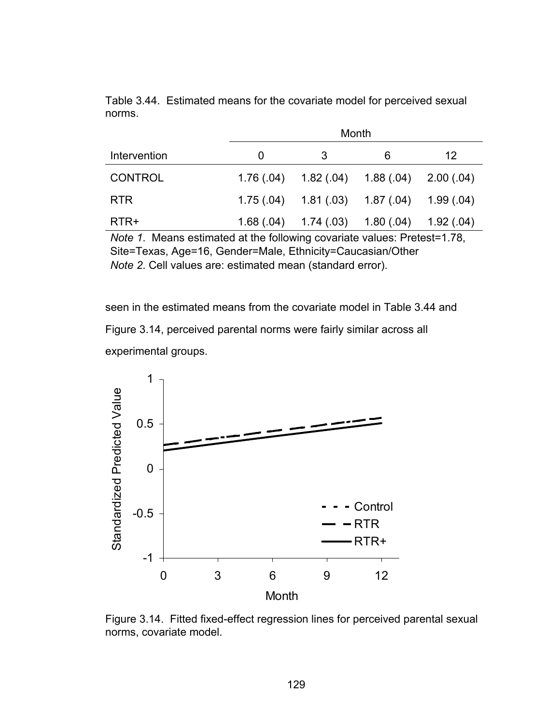|                | Month |                                                 |            |           |  |
|----------------|-------|-------------------------------------------------|------------|-----------|--|
| Intervention   | 0     | 3                                               | 6          | 12        |  |
| <b>CONTROL</b> |       | $1.76(.04)$ $1.82(.04)$ $1.88(.04)$ $2.00(.04)$ |            |           |  |
| <b>RTR</b>     |       | $1.75(0.04)$ $1.81(0.03)$ $1.87(0.04)$          |            | 1.99(.04) |  |
| RTR+           |       | $1.68(.04)$ $1.74(.03)$                         | 1.80(0.04) | 1.92(.04) |  |

Table 3.44. Estimated means for the covariate model for perceived sexual norms.

*Note 1*. Means estimated at the following covariate values: Pretest=1.78, Site=Texas, Age=16, Gender=Male, Ethnicity=Caucasian/Other *Note 2*. Cell values are: estimated mean (standard error).

seen in the estimated means from the covariate model in Table 3.44 and Figure 3.14, perceived parental norms were fairly similar across all experimental groups.



Figure 3.14. Fitted fixed-effect regression lines for perceived parental sexual norms, covariate model.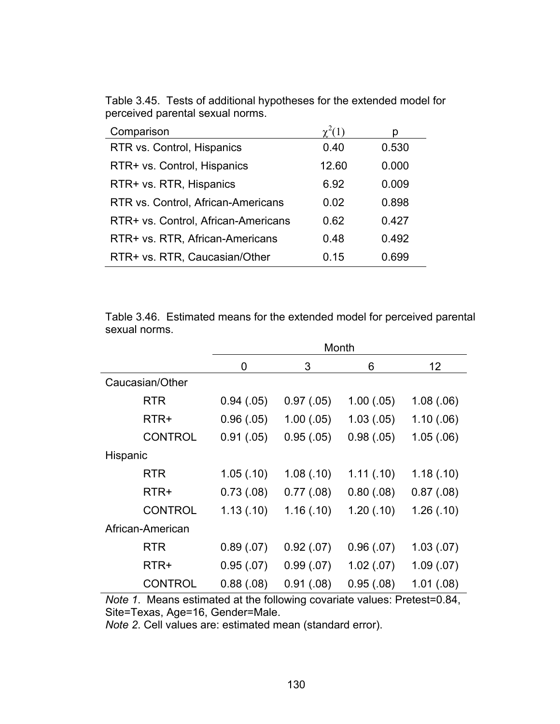| Comparison                          |       | n     |
|-------------------------------------|-------|-------|
| RTR vs. Control, Hispanics          | 0.40  | 0.530 |
| RTR+ vs. Control, Hispanics         | 12.60 | 0.000 |
| RTR+ vs. RTR, Hispanics             | 6.92  | 0.009 |
| RTR vs. Control, African-Americans  | 0.02  | 0.898 |
| RTR+ vs. Control, African-Americans | 0.62  | 0.427 |
| RTR+ vs. RTR, African-Americans     | 0.48  | 0.492 |
| RTR+ vs. RTR, Caucasian/Other       | 0.15  | 0.699 |

Table 3.45. Tests of additional hypotheses for the extended model for perceived parental sexual norms.

Table 3.46. Estimated means for the extended model for perceived parental sexual norms.

|                  |            |            | Month      |            |
|------------------|------------|------------|------------|------------|
|                  | 0          | 3          | 6          | 12         |
| Caucasian/Other  |            |            |            |            |
| <b>RTR</b>       | 0.94(0.05) | 0.97(.05)  | 1.00(0.05) | 1.08(.06)  |
| RTR+             | 0.96(0.05) | 1.00(.05)  | 1.03(.05)  | 1.10(0.06) |
| <b>CONTROL</b>   | 0.91(.05)  | 0.95(.05)  | 0.98(.05)  | 1.05(.06)  |
| Hispanic         |            |            |            |            |
| <b>RTR</b>       | 1.05(0.10) | 1.08(.10)  | 1.11(0)    | 1.18(0.10) |
| RTR+             | 0.73(0.08) | 0.77(0.8)  | 0.80(0.08) | 0.87(0.08) |
| <b>CONTROL</b>   | 1.13(0.10) | 1.16(.10)  | 1.20(.10)  | 1.26(.10)  |
| African-American |            |            |            |            |
| <b>RTR</b>       | 0.89(0.07) | 0.92(.07)  | 0.96(0.07) | 1.03(0.07) |
| RTR+             | 0.95(0.07) | 0.99(0.07) | 1.02(.07)  | 1.09(0.07) |
| <b>CONTROL</b>   | 0.88(.08)  | 0.91(.08)  | 0.95(.08)  | 1.01(.08)  |

*Note 1*. Means estimated at the following covariate values: Pretest=0.84, Site=Texas, Age=16, Gender=Male.

*Note 2*. Cell values are: estimated mean (standard error).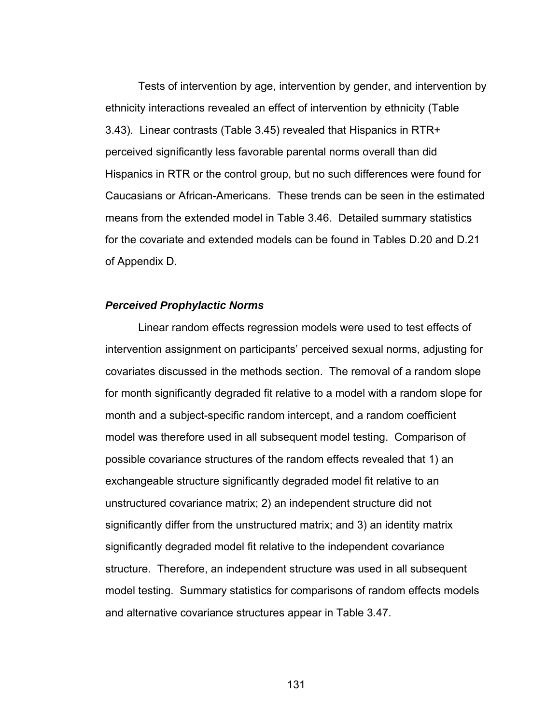Tests of intervention by age, intervention by gender, and intervention by ethnicity interactions revealed an effect of intervention by ethnicity (Table 3.43). Linear contrasts (Table 3.45) revealed that Hispanics in RTR+ perceived significantly less favorable parental norms overall than did Hispanics in RTR or the control group, but no such differences were found for Caucasians or African-Americans. These trends can be seen in the estimated means from the extended model in Table 3.46. Detailed summary statistics for the covariate and extended models can be found in Tables D.20 and D.21 of Appendix D.

#### *Perceived Prophylactic Norms*

 Linear random effects regression models were used to test effects of intervention assignment on participants' perceived sexual norms, adjusting for covariates discussed in the methods section. The removal of a random slope for month significantly degraded fit relative to a model with a random slope for month and a subject-specific random intercept, and a random coefficient model was therefore used in all subsequent model testing. Comparison of possible covariance structures of the random effects revealed that 1) an exchangeable structure significantly degraded model fit relative to an unstructured covariance matrix; 2) an independent structure did not significantly differ from the unstructured matrix; and 3) an identity matrix significantly degraded model fit relative to the independent covariance structure. Therefore, an independent structure was used in all subsequent model testing. Summary statistics for comparisons of random effects models and alternative covariance structures appear in Table 3.47.

131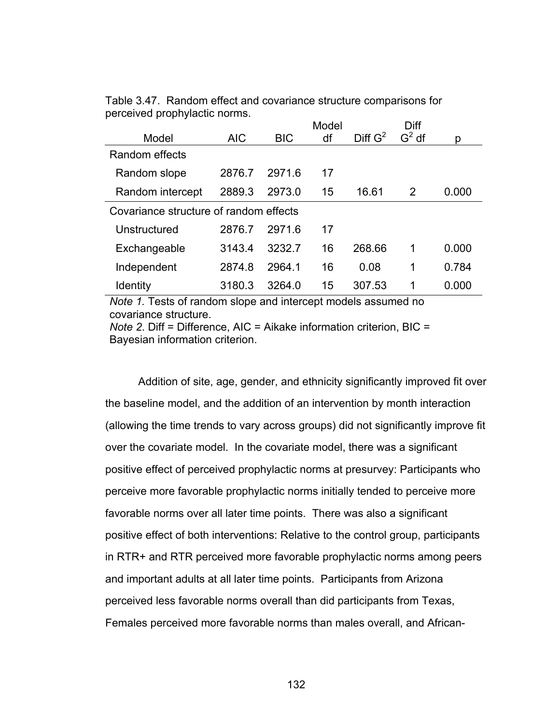|                                        |            |            | Model |            | Diff     |       |
|----------------------------------------|------------|------------|-------|------------|----------|-------|
| Model                                  | <b>AIC</b> | <b>BIC</b> | df    | Diff $G^2$ | $G^2$ df | р     |
| Random effects                         |            |            |       |            |          |       |
| Random slope                           | 2876.7     | 2971.6     | 17    |            |          |       |
| Random intercept                       | 2889.3     | 2973.0     | 15    | 16.61      | 2        | 0.000 |
| Covariance structure of random effects |            |            |       |            |          |       |
| Unstructured                           | 2876.7     | 2971.6     | 17    |            |          |       |
| Exchangeable                           | 3143.4     | 3232.7     | 16    | 268.66     | 1        | 0.000 |
| Independent                            | 2874.8     | 2964.1     | 16    | 0.08       | 1        | 0.784 |
| <b>Identity</b>                        | 3180.3     | 3264.0     | 15    | 307.53     | 1        | 0.000 |

Table 3.47. Random effect and covariance structure comparisons for perceived prophylactic norms.

*Note 1.* Tests of random slope and intercept models assumed no covariance structure.

*Note 2*. Diff = Difference, AIC = Aikake information criterion, BIC = Bayesian information criterion.

Addition of site, age, gender, and ethnicity significantly improved fit over the baseline model, and the addition of an intervention by month interaction (allowing the time trends to vary across groups) did not significantly improve fit over the covariate model. In the covariate model, there was a significant positive effect of perceived prophylactic norms at presurvey: Participants who perceive more favorable prophylactic norms initially tended to perceive more favorable norms over all later time points. There was also a significant positive effect of both interventions: Relative to the control group, participants in RTR+ and RTR perceived more favorable prophylactic norms among peers and important adults at all later time points. Participants from Arizona perceived less favorable norms overall than did participants from Texas, Females perceived more favorable norms than males overall, and African-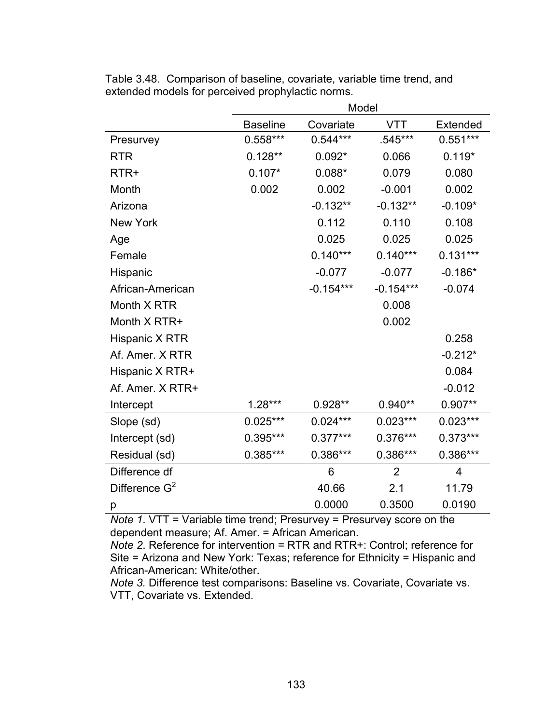|                  | Model           |             |                |                         |  |  |
|------------------|-----------------|-------------|----------------|-------------------------|--|--|
|                  | <b>Baseline</b> | Covariate   | <b>VTT</b>     | Extended                |  |  |
| Presurvey        | $0.558***$      | $0.544***$  | .545***        | $0.551***$              |  |  |
| <b>RTR</b>       | $0.128**$       | $0.092*$    | 0.066          | $0.119*$                |  |  |
| RTR+             | $0.107*$        | $0.088*$    | 0.079          | 0.080                   |  |  |
| Month            | 0.002           | 0.002       | $-0.001$       | 0.002                   |  |  |
| Arizona          |                 | $-0.132**$  | $-0.132**$     | $-0.109*$               |  |  |
| New York         |                 | 0.112       | 0.110          | 0.108                   |  |  |
| Age              |                 | 0.025       | 0.025          | 0.025                   |  |  |
| Female           |                 | $0.140***$  | $0.140***$     | $0.131***$              |  |  |
| Hispanic         |                 | $-0.077$    | $-0.077$       | $-0.186*$               |  |  |
| African-American |                 | $-0.154***$ | $-0.154***$    | $-0.074$                |  |  |
| Month X RTR      |                 |             | 0.008          |                         |  |  |
| Month X RTR+     |                 |             | 0.002          |                         |  |  |
| Hispanic X RTR   |                 |             |                | 0.258                   |  |  |
| Af. Amer. X RTR  |                 |             |                | $-0.212*$               |  |  |
| Hispanic X RTR+  |                 |             |                | 0.084                   |  |  |
| Af. Amer. X RTR+ |                 |             |                | $-0.012$                |  |  |
| Intercept        | $1.28***$       | 0.928**     | $0.940**$      | $0.907**$               |  |  |
| Slope (sd)       | $0.025***$      | $0.024***$  | $0.023***$     | $0.023***$              |  |  |
| Intercept (sd)   | 0.395***        | $0.377***$  | 0.376***       | $0.373***$              |  |  |
| Residual (sd)    | 0.385***        | 0.386***    | 0.386***       | 0.386***                |  |  |
| Difference df    |                 | 6           | $\overline{2}$ | $\overline{\mathbf{4}}$ |  |  |
| Difference $G^2$ |                 | 40.66       | 2.1            | 11.79                   |  |  |
| р                |                 | 0.0000      | 0.3500         | 0.0190                  |  |  |

Table 3.48. Comparison of baseline, covariate, variable time trend, and extended models for perceived prophylactic norms.

*Note 1*. VTT = Variable time trend; Presurvey = Presurvey score on the dependent measure; Af. Amer. = African American.

*Note 2*. Reference for intervention = RTR and RTR+: Control; reference for Site = Arizona and New York: Texas; reference for Ethnicity = Hispanic and African-American: White/other.

*Note 3.* Difference test comparisons: Baseline vs. Covariate, Covariate vs. VTT, Covariate vs. Extended.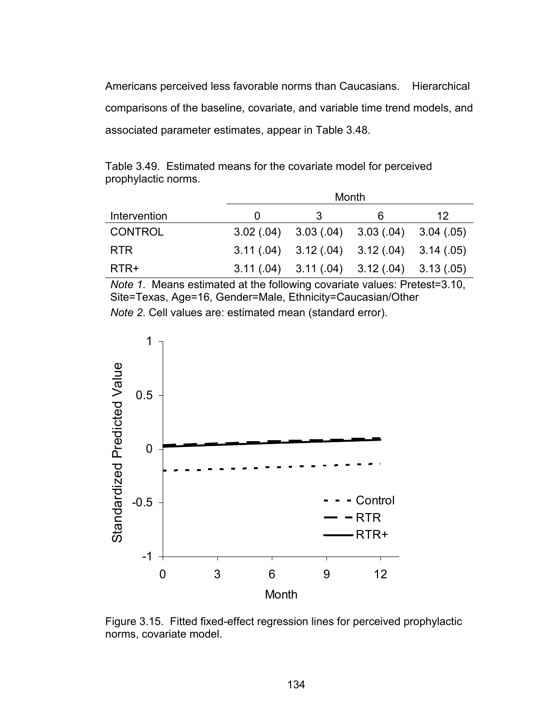Americans perceived less favorable norms than Caucasians. Hierarchical comparisons of the baseline, covariate, and variable time trend models, and associated parameter estimates, appear in Table 3.48.

|              | Month |                                                 |   |    |  |
|--------------|-------|-------------------------------------------------|---|----|--|
| Intervention |       |                                                 | h | 12 |  |
| CONTROL      |       | $3.02(.04)$ $3.03(.04)$ $3.03(.04)$ $3.04(.05)$ |   |    |  |
| <b>RTR</b>   |       | $3.11(.04)$ $3.12(.04)$ $3.12(.04)$ $3.14(.05)$ |   |    |  |
| RTR+         |       | $3.11(.04)$ $3.11(.04)$ $3.12(.04)$ $3.13(.05)$ |   |    |  |

Table 3.49. Estimated means for the covariate model for perceived prophylactic norms.

*Note 1*. Means estimated at the following covariate values: Pretest=3.10, Site=Texas, Age=16, Gender=Male, Ethnicity=Caucasian/Other *Note 2*. Cell values are: estimated mean (standard error).



Figure 3.15. Fitted fixed-effect regression lines for perceived prophylactic norms, covariate model.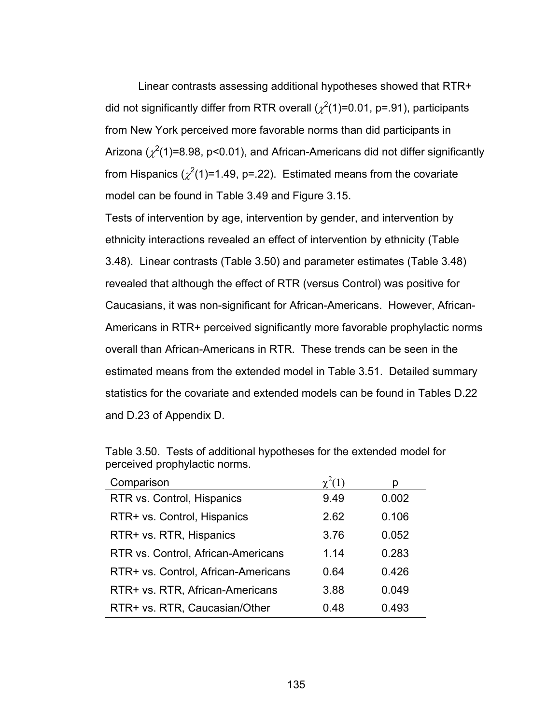Linear contrasts assessing additional hypotheses showed that RTR+ did not significantly differ from RTR overall ( $\chi^2(1)$ =0.01, p=.91), participants from New York perceived more favorable norms than did participants in Arizona ( $\chi^2$ (1)=8.98, p<0.01), and African-Americans did not differ significantly from Hispanics ( $\chi^2(1)$ =1.49, p=.22). Estimated means from the covariate model can be found in Table 3.49 and Figure 3.15.

Tests of intervention by age, intervention by gender, and intervention by ethnicity interactions revealed an effect of intervention by ethnicity (Table 3.48). Linear contrasts (Table 3.50) and parameter estimates (Table 3.48) revealed that although the effect of RTR (versus Control) was positive for Caucasians, it was non-significant for African-Americans. However, African-Americans in RTR+ perceived significantly more favorable prophylactic norms overall than African-Americans in RTR. These trends can be seen in the estimated means from the extended model in Table 3.51. Detailed summary statistics for the covariate and extended models can be found in Tables D.22 and D.23 of Appendix D.

| Comparison                          |      |       |
|-------------------------------------|------|-------|
| RTR vs. Control, Hispanics          | 9.49 | 0.002 |
| RTR+ vs. Control, Hispanics         | 2.62 | 0.106 |
| RTR+ vs. RTR, Hispanics             | 3.76 | 0.052 |
| RTR vs. Control, African-Americans  | 1.14 | 0.283 |
| RTR+ vs. Control, African-Americans | 0.64 | 0.426 |
| RTR+ vs. RTR, African-Americans     | 3.88 | 0.049 |
| RTR+ vs. RTR, Caucasian/Other       | 0.48 | 0.493 |

Table 3.50. Tests of additional hypotheses for the extended model for perceived prophylactic norms.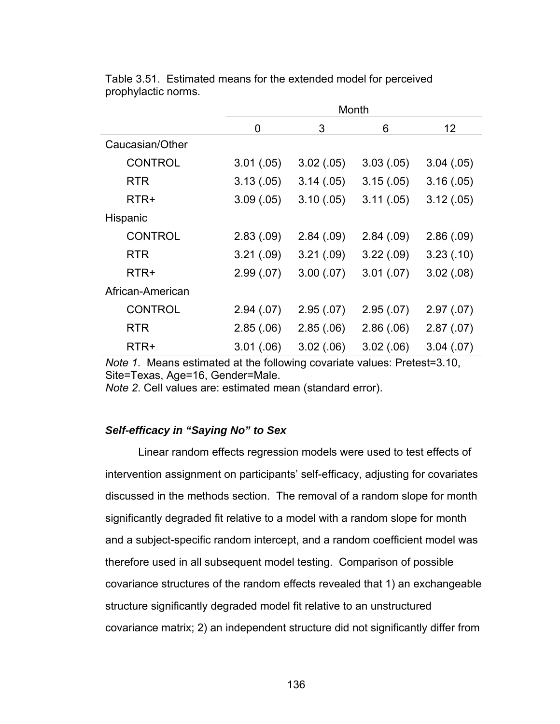|                  | Month      |            |            |            |  |
|------------------|------------|------------|------------|------------|--|
|                  | 0          | 3          | 6          | 12         |  |
| Caucasian/Other  |            |            |            |            |  |
| <b>CONTROL</b>   | 3.01(.05)  | 3.02(.05)  | 3.03(0.05) | 3.04(05)   |  |
| <b>RTR</b>       | 3.13(.05)  | 3.14(0.05) | 3.15(.05)  | 3.16(.05)  |  |
| RTR+             | 3.09(.05)  | 3.10(.05)  | 3.11(.05)  | 3.12(.05)  |  |
| Hispanic         |            |            |            |            |  |
| <b>CONTROL</b>   | 2.83(0.09) | 2.84(.09)  | 2.84(.09)  | 2.86(.09)  |  |
| <b>RTR</b>       | 3.21(.09)  | 3.21(.09)  | 3.22(.09)  | 3.23(0.10) |  |
| RTR+             | 2.99(0.07) | 3.00(.07)  | 3.01(.07)  | 3.02(.08)  |  |
| African-American |            |            |            |            |  |
| <b>CONTROL</b>   | 2.94(07)   | 2.95(.07)  | 2.95(.07)  | 2.97(0.07) |  |
| <b>RTR</b>       | 2.85(.06)  | 2.85(.06)  | 2.86(.06)  | 2.87(.07)  |  |
| RTR+             | 3.01(.06)  | 3.02(.06)  | 3.02(.06)  | 3.04(0.07) |  |

Table 3.51. Estimated means for the extended model for perceived prophylactic norms.

*Note 1*. Means estimated at the following covariate values: Pretest=3.10, Site=Texas, Age=16, Gender=Male.

*Note 2*. Cell values are: estimated mean (standard error).

# *Self-efficacy in "Saying No" to Sex*

 Linear random effects regression models were used to test effects of intervention assignment on participants' self-efficacy, adjusting for covariates discussed in the methods section. The removal of a random slope for month significantly degraded fit relative to a model with a random slope for month and a subject-specific random intercept, and a random coefficient model was therefore used in all subsequent model testing. Comparison of possible covariance structures of the random effects revealed that 1) an exchangeable structure significantly degraded model fit relative to an unstructured covariance matrix; 2) an independent structure did not significantly differ from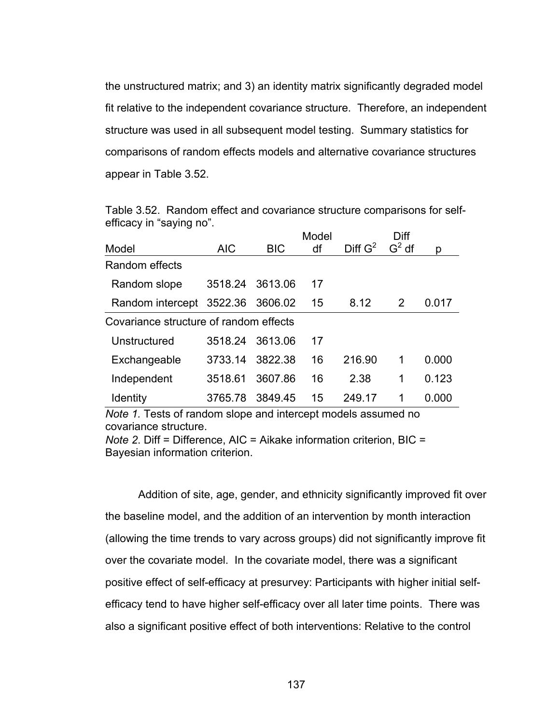the unstructured matrix; and 3) an identity matrix significantly degraded model fit relative to the independent covariance structure. Therefore, an independent structure was used in all subsequent model testing. Summary statistics for comparisons of random effects models and alternative covariance structures appear in Table 3.52.

|                          |  |  | Table 3.52. Random effect and covariance structure comparisons for self- |  |
|--------------------------|--|--|--------------------------------------------------------------------------|--|
| efficacy in "saying no". |  |  |                                                                          |  |

|                                        |                 |            | Model |                     | Diff     |       |
|----------------------------------------|-----------------|------------|-------|---------------------|----------|-------|
| Model                                  | <b>AIC</b>      | <b>BIC</b> | df    | Diff G <sup>2</sup> | $G^2$ df | р     |
| Random effects                         |                 |            |       |                     |          |       |
| Random slope                           | 3518.24 3613.06 |            | 17    |                     |          |       |
| Random intercept 3522.36               |                 | 3606.02    | 15    | 8.12                | 2        | 0.017 |
| Covariance structure of random effects |                 |            |       |                     |          |       |
| Unstructured                           | 3518.24         | 3613.06    | 17    |                     |          |       |
| Exchangeable                           | 3733.14         | 3822.38    | 16    | 216.90              | 1        | 0.000 |
| Independent                            | 3518.61         | 3607.86    | 16    | 2.38                | 1        | 0.123 |
| <b>Identity</b>                        | 3765.78         | 3849.45    | 15    | 249.17              | 1        | 0.000 |

*Note 1.* Tests of random slope and intercept models assumed no covariance structure.

*Note 2*. Diff = Difference, AIC = Aikake information criterion, BIC = Bayesian information criterion.

Addition of site, age, gender, and ethnicity significantly improved fit over the baseline model, and the addition of an intervention by month interaction (allowing the time trends to vary across groups) did not significantly improve fit over the covariate model. In the covariate model, there was a significant positive effect of self-efficacy at presurvey: Participants with higher initial selfefficacy tend to have higher self-efficacy over all later time points. There was also a significant positive effect of both interventions: Relative to the control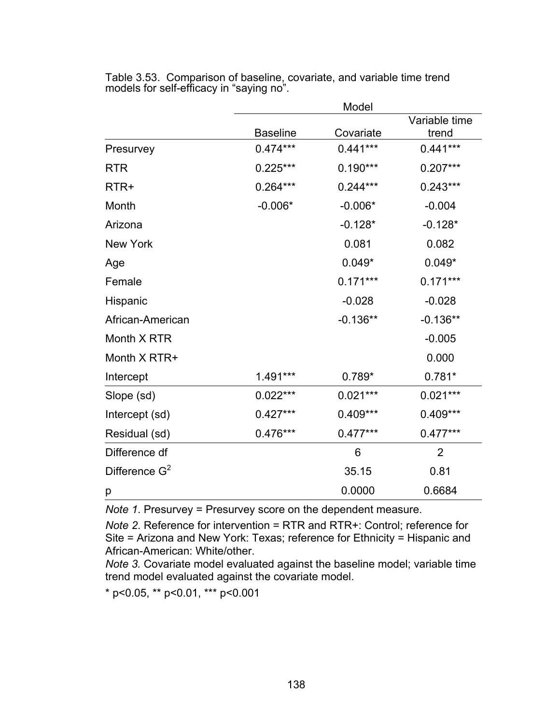|                  |                 | Model      |                        |
|------------------|-----------------|------------|------------------------|
|                  | <b>Baseline</b> | Covariate  | Variable time<br>trend |
| Presurvey        | $0.474***$      | $0.441***$ | $0.441***$             |
| <b>RTR</b>       | $0.225***$      | $0.190***$ | $0.207***$             |
| RTR+             | $0.264***$      | $0.244***$ | $0.243***$             |
| Month            | $-0.006*$       | $-0.006*$  | $-0.004$               |
| Arizona          |                 | $-0.128*$  | $-0.128*$              |
| <b>New York</b>  |                 | 0.081      | 0.082                  |
| Age              |                 | $0.049*$   | $0.049*$               |
| Female           |                 | $0.171***$ | $0.171***$             |
| Hispanic         |                 | $-0.028$   | $-0.028$               |
| African-American |                 | $-0.136**$ | $-0.136**$             |
| Month X RTR      |                 |            | $-0.005$               |
| Month X RTR+     |                 |            | 0.000                  |
| Intercept        | 1.491***        | $0.789*$   | $0.781*$               |
| Slope (sd)       | $0.022***$      | $0.021***$ | $0.021***$             |
| Intercept (sd)   | $0.427***$      | $0.409***$ | 0.409***               |
| Residual (sd)    | $0.476***$      | $0.477***$ | $0.477***$             |
| Difference df    |                 | 6          | $\overline{2}$         |
| Difference $G^2$ |                 | 35.15      | 0.81                   |
| р                |                 | 0.0000     | 0.6684                 |

Table 3.53. Comparison of baseline, covariate, and variable time trend models for self-efficacy in "saying no".

*Note 1*. Presurvey = Presurvey score on the dependent measure.

*Note 2*. Reference for intervention = RTR and RTR+: Control; reference for Site = Arizona and New York: Texas; reference for Ethnicity = Hispanic and African-American: White/other.

*Note 3.* Covariate model evaluated against the baseline model; variable time trend model evaluated against the covariate model.

\* p<0.05, \*\* p<0.01, \*\*\* p<0.001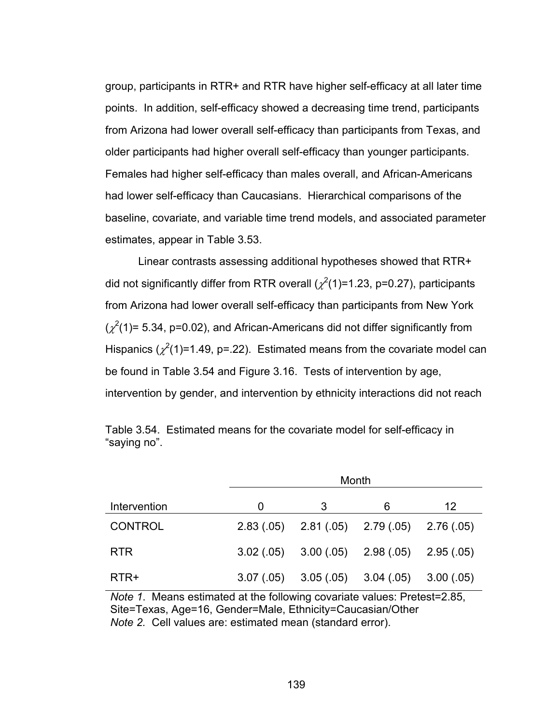group, participants in RTR+ and RTR have higher self-efficacy at all later time points. In addition, self-efficacy showed a decreasing time trend, participants from Arizona had lower overall self-efficacy than participants from Texas, and older participants had higher overall self-efficacy than younger participants. Females had higher self-efficacy than males overall, and African-Americans had lower self-efficacy than Caucasians. Hierarchical comparisons of the baseline, covariate, and variable time trend models, and associated parameter estimates, appear in Table 3.53.

Linear contrasts assessing additional hypotheses showed that RTR+ did not significantly differ from RTR overall ( $\chi^2$ (1)=1.23, p=0.27), participants from Arizona had lower overall self-efficacy than participants from New York  $(\chi^2(1)$ = 5.34, p=0.02), and African-Americans did not differ significantly from Hispanics ( $\chi^2(1)$ =1.49, p=.22). Estimated means from the covariate model can be found in Table 3.54 and Figure 3.16. Tests of intervention by age, intervention by gender, and intervention by ethnicity interactions did not reach

|                | Month      |   |                                                     |    |  |  |
|----------------|------------|---|-----------------------------------------------------|----|--|--|
| Intervention   | O          | 3 | 6                                                   | 12 |  |  |
| <b>CONTROL</b> |            |   | $2.83(0.05)$ $2.81(0.05)$ $2.79(0.05)$ $2.76(0.05)$ |    |  |  |
| <b>RTR</b>     |            |   | $3.02(05)$ $3.00(05)$ $2.98(05)$ $2.95(05)$         |    |  |  |
| RTR+           | 3.07(0.05) |   | $3.05(.05)$ $3.04(.05)$ $3.00(.05)$                 |    |  |  |

Table 3.54. Estimated means for the covariate model for self-efficacy in "saying no".

*Note 1*. Means estimated at the following covariate values: Pretest=2.85, Site=Texas, Age=16, Gender=Male, Ethnicity=Caucasian/Other *Note 2.* Cell values are: estimated mean (standard error).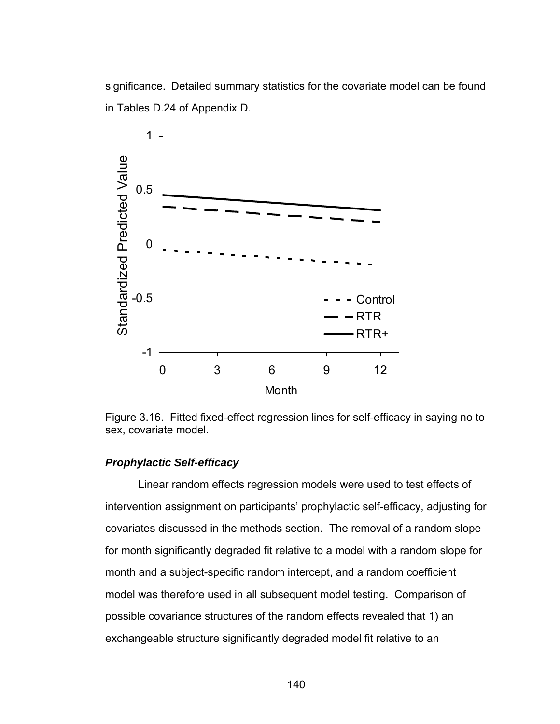significance. Detailed summary statistics for the covariate model can be found in Tables D.24 of Appendix D.



Figure 3.16. Fitted fixed-effect regression lines for self-efficacy in saying no to sex, covariate model.

# *Prophylactic Self-efficacy*

 Linear random effects regression models were used to test effects of intervention assignment on participants' prophylactic self-efficacy, adjusting for covariates discussed in the methods section. The removal of a random slope for month significantly degraded fit relative to a model with a random slope for month and a subject-specific random intercept, and a random coefficient model was therefore used in all subsequent model testing. Comparison of possible covariance structures of the random effects revealed that 1) an exchangeable structure significantly degraded model fit relative to an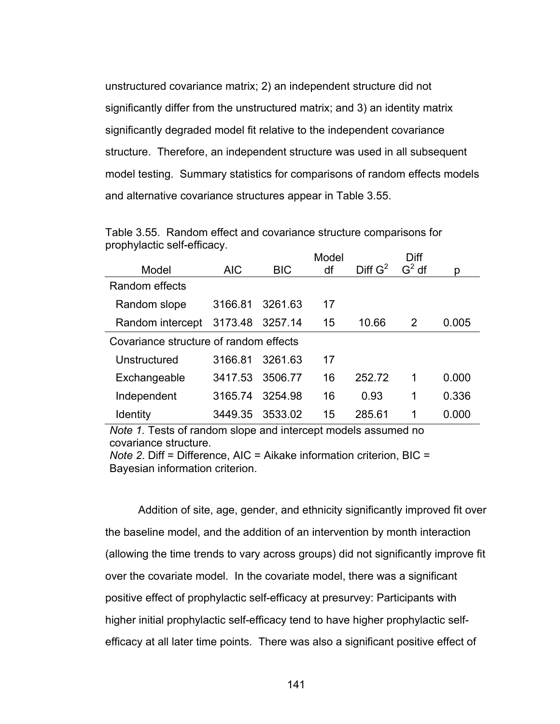unstructured covariance matrix; 2) an independent structure did not significantly differ from the unstructured matrix; and 3) an identity matrix significantly degraded model fit relative to the independent covariance structure. Therefore, an independent structure was used in all subsequent model testing. Summary statistics for comparisons of random effects models and alternative covariance structures appear in Table 3.55.

|                                        |            |            | Model |                     | Diff    |       |
|----------------------------------------|------------|------------|-------|---------------------|---------|-------|
| Model                                  | <b>AIC</b> | <b>BIC</b> | df    | Diff G <sup>2</sup> | $G2$ df | р     |
| Random effects                         |            |            |       |                     |         |       |
| Random slope                           | 3166.81    | 3261.63    | 17    |                     |         |       |
| Random intercept                       | 3173.48    | 3257.14    | 15    | 10.66               | 2       | 0.005 |
| Covariance structure of random effects |            |            |       |                     |         |       |
| Unstructured                           | 3166.81    | 3261.63    | 17    |                     |         |       |
| Exchangeable                           | 3417.53    | 3506.77    | 16    | 252.72              | 1       | 0.000 |
| Independent                            | 3165.74    | 3254.98    | 16    | 0.93                | 1       | 0.336 |
| <b>Identity</b>                        | 3449.35    | 3533.02    | 15    | 285.61              | 1       | 0.000 |

Table 3.55. Random effect and covariance structure comparisons for prophylactic self-efficacy.

*Note 1.* Tests of random slope and intercept models assumed no covariance structure.

*Note 2*. Diff = Difference, AIC = Aikake information criterion, BIC = Bayesian information criterion.

Addition of site, age, gender, and ethnicity significantly improved fit over the baseline model, and the addition of an intervention by month interaction (allowing the time trends to vary across groups) did not significantly improve fit over the covariate model. In the covariate model, there was a significant positive effect of prophylactic self-efficacy at presurvey: Participants with higher initial prophylactic self-efficacy tend to have higher prophylactic selfefficacy at all later time points. There was also a significant positive effect of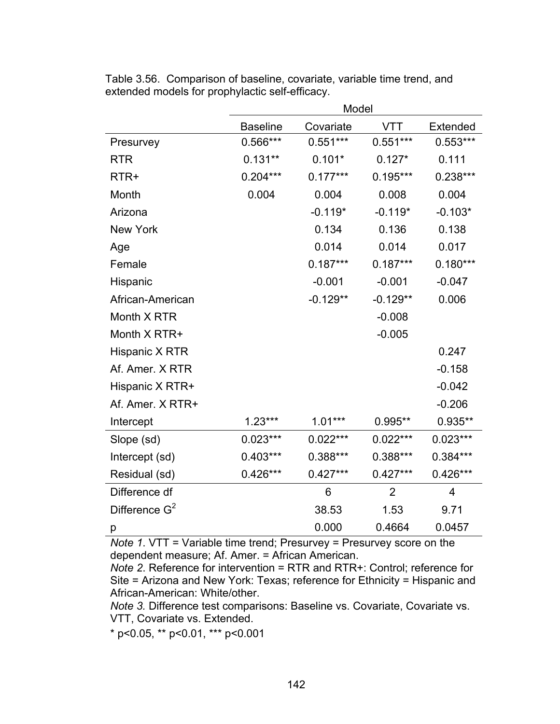|                  | Model           |            |                |                 |  |
|------------------|-----------------|------------|----------------|-----------------|--|
|                  | <b>Baseline</b> | Covariate  | VTT            | <b>Extended</b> |  |
| Presurvey        | 0.566***        | $0.551***$ | $0.551***$     | $0.553***$      |  |
| <b>RTR</b>       | $0.131**$       | $0.101*$   | $0.127*$       | 0.111           |  |
| RTR+             | $0.204***$      | $0.177***$ | $0.195***$     | 0.238***        |  |
| Month            | 0.004           | 0.004      | 0.008          | 0.004           |  |
| Arizona          |                 | $-0.119*$  | $-0.119*$      | $-0.103*$       |  |
| New York         |                 | 0.134      | 0.136          | 0.138           |  |
| Age              |                 | 0.014      | 0.014          | 0.017           |  |
| Female           |                 | $0.187***$ | $0.187***$     | $0.180***$      |  |
| Hispanic         |                 | $-0.001$   | $-0.001$       | $-0.047$        |  |
| African-American |                 | $-0.129**$ | $-0.129**$     | 0.006           |  |
| Month X RTR      |                 |            | $-0.008$       |                 |  |
| Month X RTR+     |                 |            | $-0.005$       |                 |  |
| Hispanic X RTR   |                 |            |                | 0.247           |  |
| Af. Amer. X RTR  |                 |            |                | $-0.158$        |  |
| Hispanic X RTR+  |                 |            |                | $-0.042$        |  |
| Af. Amer. X RTR+ |                 |            |                | $-0.206$        |  |
| Intercept        | $1.23***$       | $1.01***$  | $0.995**$      | 0.935**         |  |
| Slope (sd)       | $0.023***$      | $0.022***$ | $0.022***$     | $0.023***$      |  |
| Intercept (sd)   | $0.403***$      | 0.388***   | 0.388***       | 0.384***        |  |
| Residual (sd)    | $0.426***$      | $0.427***$ | $0.427***$     | $0.426***$      |  |
| Difference df    |                 | 6          | $\overline{2}$ | 4               |  |
| Difference $G^2$ |                 | 38.53      | 1.53           | 9.71            |  |
| р                |                 | 0.000      | 0.4664         | 0.0457          |  |

Table 3.56. Comparison of baseline, covariate, variable time trend, and extended models for prophylactic self-efficacy.

*Note 1*. VTT = Variable time trend; Presurvey = Presurvey score on the dependent measure; Af. Amer. = African American.

*Note 2*. Reference for intervention = RTR and RTR+: Control; reference for Site = Arizona and New York: Texas; reference for Ethnicity = Hispanic and African-American: White/other.

*Note 3.* Difference test comparisons: Baseline vs. Covariate, Covariate vs. VTT, Covariate vs. Extended.

\* p<0.05, \*\* p<0.01, \*\*\* p<0.001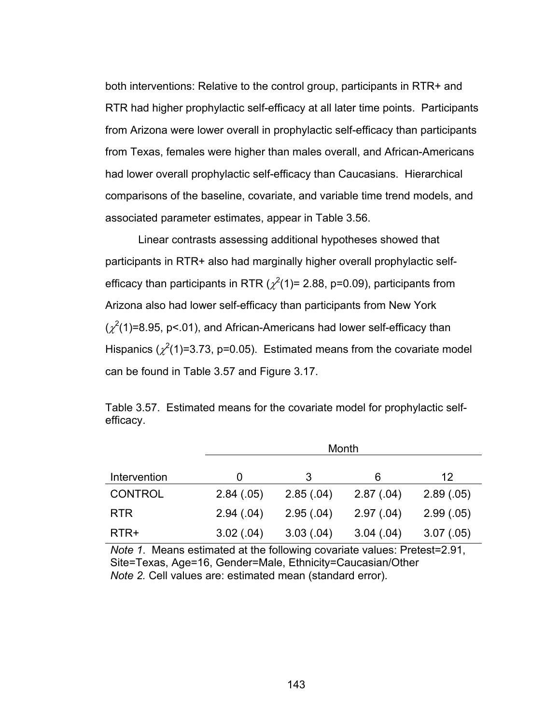both interventions: Relative to the control group, participants in RTR+ and RTR had higher prophylactic self-efficacy at all later time points. Participants from Arizona were lower overall in prophylactic self-efficacy than participants from Texas, females were higher than males overall, and African-Americans had lower overall prophylactic self-efficacy than Caucasians. Hierarchical comparisons of the baseline, covariate, and variable time trend models, and associated parameter estimates, appear in Table 3.56.

Linear contrasts assessing additional hypotheses showed that participants in RTR+ also had marginally higher overall prophylactic selfefficacy than participants in RTR ( $\chi^2$ (1)= 2.88, p=0.09), participants from Arizona also had lower self-efficacy than participants from New York  $(\chi^2(1)=8.95, p<0.1)$ , and African-Americans had lower self-efficacy than Hispanics ( $\chi^2(1)$ =3.73, p=0.05). Estimated means from the covariate model can be found in Table 3.57 and Figure 3.17.

Table 3.57. Estimated means for the covariate model for prophylactic selfefficacy.

|                | Month     |           |           |           |  |  |
|----------------|-----------|-----------|-----------|-----------|--|--|
| Intervention   | O         | 3         | 6         | 12        |  |  |
| <b>CONTROL</b> | 2.84(.05) | 2.85(.04) | 2.87(.04) | 2.89(.05) |  |  |
| <b>RTR</b>     | 2.94(.04) | 2.95(.04) | 2.97(.04) | 2.99(.05) |  |  |
| RTR+           | 3.02(.04) | 3.03(.04) | 3.04(.04) | 3.07(.05) |  |  |

*Note 1*. Means estimated at the following covariate values: Pretest=2.91, Site=Texas, Age=16, Gender=Male, Ethnicity=Caucasian/Other *Note 2.* Cell values are: estimated mean (standard error).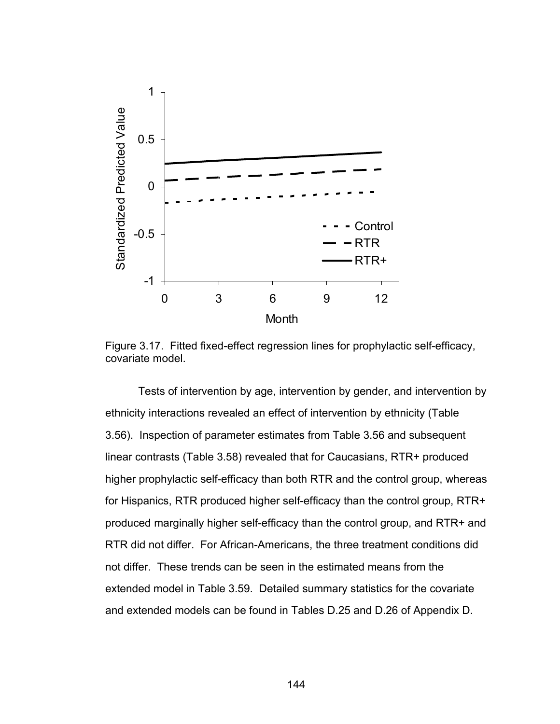

Figure 3.17. Fitted fixed-effect regression lines for prophylactic self-efficacy, covariate model.

Tests of intervention by age, intervention by gender, and intervention by ethnicity interactions revealed an effect of intervention by ethnicity (Table 3.56). Inspection of parameter estimates from Table 3.56 and subsequent linear contrasts (Table 3.58) revealed that for Caucasians, RTR+ produced higher prophylactic self-efficacy than both RTR and the control group, whereas for Hispanics, RTR produced higher self-efficacy than the control group, RTR+ produced marginally higher self-efficacy than the control group, and RTR+ and RTR did not differ. For African-Americans, the three treatment conditions did not differ. These trends can be seen in the estimated means from the extended model in Table 3.59. Detailed summary statistics for the covariate and extended models can be found in Tables D.25 and D.26 of Appendix D.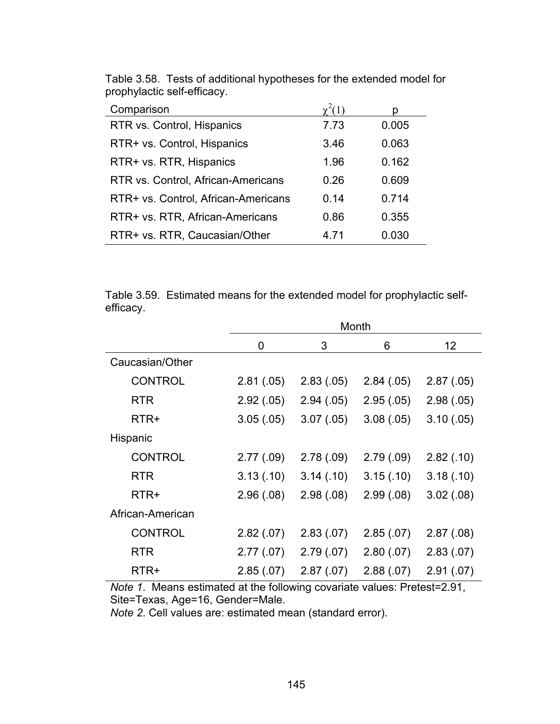| Comparison                          |      |       |
|-------------------------------------|------|-------|
| RTR vs. Control, Hispanics          | 7.73 | 0.005 |
| RTR+ vs. Control, Hispanics         | 3.46 | 0.063 |
| RTR+ vs. RTR, Hispanics             | 1.96 | 0.162 |
| RTR vs. Control, African-Americans  | 0.26 | 0.609 |
| RTR+ vs. Control, African-Americans | 0.14 | 0.714 |
| RTR+ vs. RTR, African-Americans     | 0.86 | 0.355 |
| RTR+ vs. RTR, Caucasian/Other       | 4.71 | 0.030 |

Table 3.58. Tests of additional hypotheses for the extended model for prophylactic self-efficacy.

Table 3.59. Estimated means for the extended model for prophylactic selfefficacy.

|                  | Month      |            |            |            |
|------------------|------------|------------|------------|------------|
|                  | 0          | 3          | 6          | 12         |
| Caucasian/Other  |            |            |            |            |
| <b>CONTROL</b>   | 2.81(.05)  | 2.83(.05)  | 2.84(.05)  | 2.87(.05)  |
| <b>RTR</b>       | 2.92(.05)  | 2.94(.05)  | 2.95(.05)  | 2.98(.05)  |
| RTR+             | 3.05(.05)  | 3.07(0.05) | 3.08(.05)  | 3.10(.05)  |
| Hispanic         |            |            |            |            |
| <b>CONTROL</b>   | 2.77(.09)  | 2.78(.09)  | 2.79(.09)  | 2.82(.10)  |
| <b>RTR</b>       | 3.13(0.10) | 3.14(0)    | 3.15(.10)  | 3.18(.10)  |
| RTR+             | 2.96(.08)  | 2.98(.08)  | 2.99(0.08) | 3.02(.08)  |
| African-American |            |            |            |            |
| <b>CONTROL</b>   | 2.82(.07)  | 2.83(0.07) | 2.85(.07)  | 2.87(.08)  |
| <b>RTR</b>       | 2.77(.07)  | 2.79(0.07) | 2.80(.07)  | 2.83(0.07) |
| RTR+             | 2.85(.07)  | 2.87(.07)  | 2.88(.07)  | 2.91(.07)  |

*Note 1*. Means estimated at the following covariate values: Pretest=2.91, Site=Texas, Age=16, Gender=Male.

*Note 2*. Cell values are: estimated mean (standard error).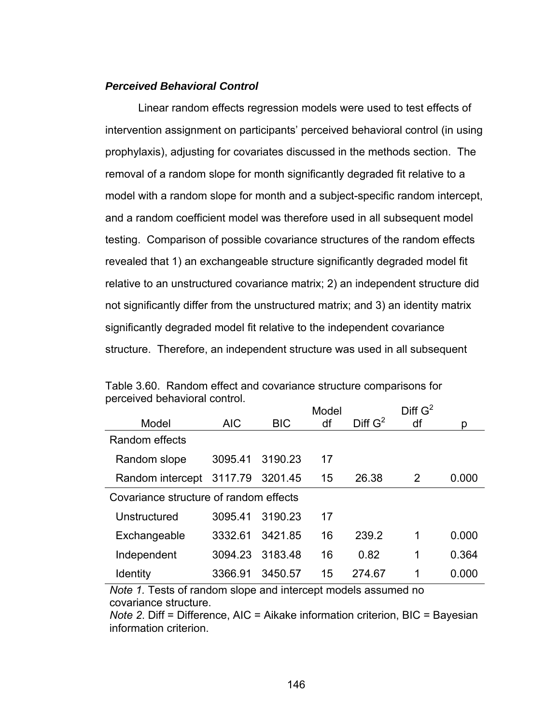#### *Perceived Behavioral Control*

 Linear random effects regression models were used to test effects of intervention assignment on participants' perceived behavioral control (in using prophylaxis), adjusting for covariates discussed in the methods section. The removal of a random slope for month significantly degraded fit relative to a model with a random slope for month and a subject-specific random intercept, and a random coefficient model was therefore used in all subsequent model testing. Comparison of possible covariance structures of the random effects revealed that 1) an exchangeable structure significantly degraded model fit relative to an unstructured covariance matrix; 2) an independent structure did not significantly differ from the unstructured matrix; and 3) an identity matrix significantly degraded model fit relative to the independent covariance structure. Therefore, an independent structure was used in all subsequent

|                                        |            |            | Model |            | Diff $G^2$ |       |
|----------------------------------------|------------|------------|-------|------------|------------|-------|
| Model                                  | <b>AIC</b> | <b>BIC</b> | df    | Diff $G^2$ | df         | p     |
| Random effects                         |            |            |       |            |            |       |
| Random slope                           | 3095.41    | 3190.23    | 17    |            |            |       |
| Random intercept                       | 3117.79    | 3201.45    | 15    | 26.38      | 2          | 0.000 |
| Covariance structure of random effects |            |            |       |            |            |       |
| Unstructured                           | 3095.41    | 3190.23    | 17    |            |            |       |
| Exchangeable                           | 3332.61    | 3421.85    | 16    | 239.2      | 1          | 0.000 |
| Independent                            | 3094.23    | 3183.48    | 16    | 0.82       | 1          | 0.364 |
| <b>Identity</b>                        | 3366.91    | 3450.57    | 15    | 274.67     | 1          | 0.000 |

Table 3.60. Random effect and covariance structure comparisons for perceived behavioral control.

*Note 1.* Tests of random slope and intercept models assumed no covariance structure.

*Note 2*. Diff = Difference, AIC = Aikake information criterion, BIC = Bayesian information criterion.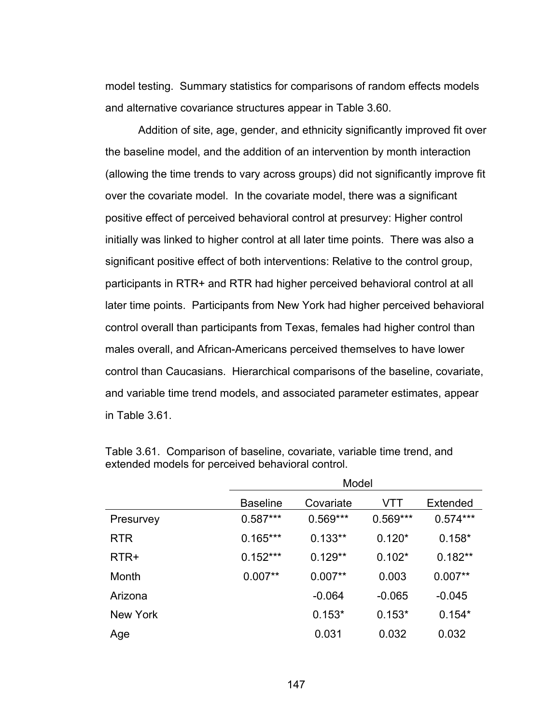model testing. Summary statistics for comparisons of random effects models and alternative covariance structures appear in Table 3.60.

Addition of site, age, gender, and ethnicity significantly improved fit over the baseline model, and the addition of an intervention by month interaction (allowing the time trends to vary across groups) did not significantly improve fit over the covariate model. In the covariate model, there was a significant positive effect of perceived behavioral control at presurvey: Higher control initially was linked to higher control at all later time points. There was also a significant positive effect of both interventions: Relative to the control group, participants in RTR+ and RTR had higher perceived behavioral control at all later time points. Participants from New York had higher perceived behavioral control overall than participants from Texas, females had higher control than males overall, and African-Americans perceived themselves to have lower control than Caucasians. Hierarchical comparisons of the baseline, covariate, and variable time trend models, and associated parameter estimates, appear in Table 3.61.

|            | Model           |            |            |            |
|------------|-----------------|------------|------------|------------|
|            | <b>Baseline</b> | Covariate  | VTT        | Extended   |
| Presurvey  | $0.587***$      | $0.569***$ | $0.569***$ | $0.574***$ |
| <b>RTR</b> | $0.165***$      | $0.133**$  | $0.120*$   | $0.158*$   |
| RTR+       | $0.152***$      | $0.129**$  | $0.102*$   | $0.182**$  |
| Month      | $0.007**$       | $0.007**$  | 0.003      | $0.007**$  |
| Arizona    |                 | $-0.064$   | $-0.065$   | $-0.045$   |
| New York   |                 | $0.153*$   | $0.153*$   | $0.154*$   |
| Age        |                 | 0.031      | 0.032      | 0.032      |

Table 3.61. Comparison of baseline, covariate, variable time trend, and extended models for perceived behavioral control.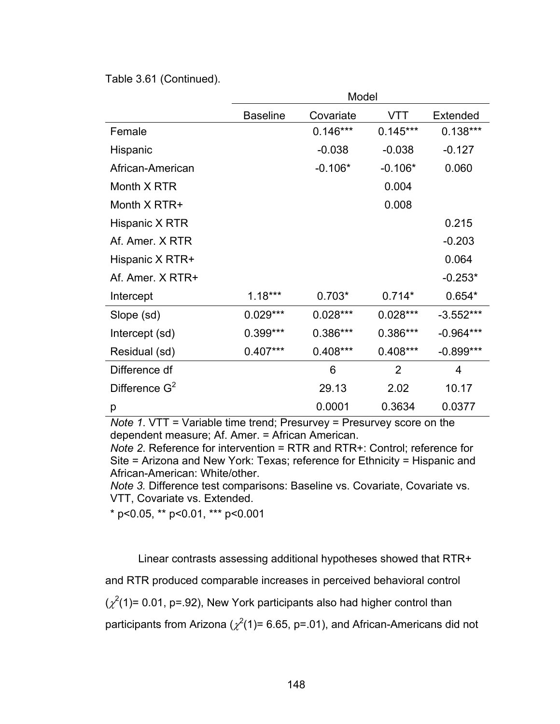Table 3.61 (Continued).

|                  | Model           |            |                |             |
|------------------|-----------------|------------|----------------|-------------|
|                  | <b>Baseline</b> | Covariate  | VTT            | Extended    |
| Female           |                 | $0.146***$ | $0.145***$     | $0.138***$  |
| Hispanic         |                 | $-0.038$   | $-0.038$       | $-0.127$    |
| African-American |                 | $-0.106*$  | $-0.106*$      | 0.060       |
| Month X RTR      |                 |            | 0.004          |             |
| Month X RTR+     |                 |            | 0.008          |             |
| Hispanic X RTR   |                 |            |                | 0.215       |
| Af. Amer. X RTR  |                 |            |                | $-0.203$    |
| Hispanic X RTR+  |                 |            |                | 0.064       |
| Af Amer X RTR+   |                 |            |                | $-0.253*$   |
| Intercept        | $1.18***$       | $0.703*$   | $0.714*$       | $0.654*$    |
| Slope (sd)       | $0.029***$      | $0.028***$ | $0.028***$     | $-3.552***$ |
| Intercept (sd)   | 0.399***        | 0.386***   | 0.386***       | $-0.964***$ |
| Residual (sd)    | $0.407***$      | $0.408***$ | $0.408***$     | $-0.899***$ |
| Difference df    |                 | 6          | $\overline{2}$ | 4           |
| Difference $G^2$ |                 | 29.13      | 2.02           | 10.17       |
| р                |                 | 0.0001     | 0.3634         | 0.0377      |

*Note 1*. VTT = Variable time trend; Presurvey = Presurvey score on the dependent measure; Af. Amer. = African American.

*Note 2*. Reference for intervention = RTR and RTR+: Control; reference for Site = Arizona and New York: Texas; reference for Ethnicity = Hispanic and African-American: White/other.

*Note 3.* Difference test comparisons: Baseline vs. Covariate, Covariate vs. VTT, Covariate vs. Extended.

\* p<0.05, \*\* p<0.01, \*\*\* p<0.001

Linear contrasts assessing additional hypotheses showed that RTR+

and RTR produced comparable increases in perceived behavioral control

 $(\chi^2(1)$ = 0.01, p=.92), New York participants also had higher control than

participants from Arizona ( $\chi^2(1)$ = 6.65, p=.01), and African-Americans did not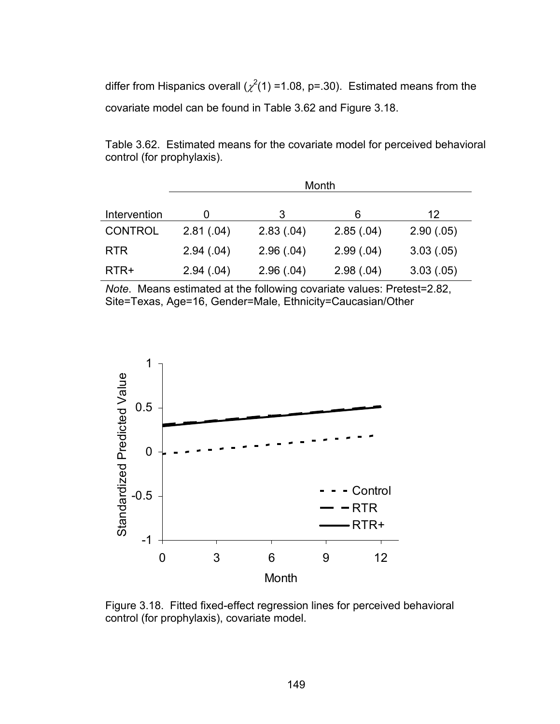differ from Hispanics overall ( $\chi^2(1)$  =1.08, p=.30). Estimated means from the covariate model can be found in Table 3.62 and Figure 3.18.

Table 3.62. Estimated means for the covariate model for perceived behavioral control (for prophylaxis).

|                | Month     |           |           |           |
|----------------|-----------|-----------|-----------|-----------|
| Intervention   |           | 3         | 6         | 12        |
| <b>CONTROL</b> | 2.81(.04) | 2.83(.04) | 2.85(.04) | 2.90(.05) |
| <b>RTR</b>     | 2.94(.04) | 2.96(.04) | 2.99(.04) | 3.03(.05) |
| RTR+           | 2.94(.04) | 2.96(.04) | 2.98(.04) | 3.03(.05) |

*Note*. Means estimated at the following covariate values: Pretest=2.82, Site=Texas, Age=16, Gender=Male, Ethnicity=Caucasian/Other



Figure 3.18. Fitted fixed-effect regression lines for perceived behavioral control (for prophylaxis), covariate model.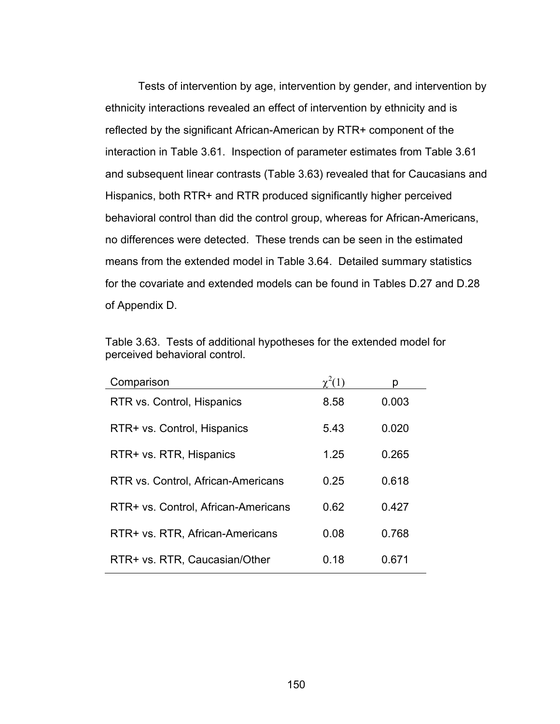Tests of intervention by age, intervention by gender, and intervention by ethnicity interactions revealed an effect of intervention by ethnicity and is reflected by the significant African-American by RTR+ component of the interaction in Table 3.61. Inspection of parameter estimates from Table 3.61 and subsequent linear contrasts (Table 3.63) revealed that for Caucasians and Hispanics, both RTR+ and RTR produced significantly higher perceived behavioral control than did the control group, whereas for African-Americans, no differences were detected. These trends can be seen in the estimated means from the extended model in Table 3.64. Detailed summary statistics for the covariate and extended models can be found in Tables D.27 and D.28 of Appendix D.

| Table 3.63. Tests of additional hypotheses for the extended model for |
|-----------------------------------------------------------------------|
| perceived behavioral control.                                         |

| Comparison                          |      |       |
|-------------------------------------|------|-------|
| RTR vs. Control, Hispanics          | 8.58 | 0.003 |
| RTR+ vs. Control, Hispanics         | 5.43 | 0.020 |
| RTR+ vs. RTR, Hispanics             | 1.25 | 0.265 |
| RTR vs. Control, African-Americans  | 0.25 | 0.618 |
| RTR+ vs. Control, African-Americans | 0.62 | 0.427 |
| RTR+ vs. RTR, African-Americans     | 0.08 | 0.768 |
| RTR+ vs. RTR, Caucasian/Other       | 0.18 | 0.671 |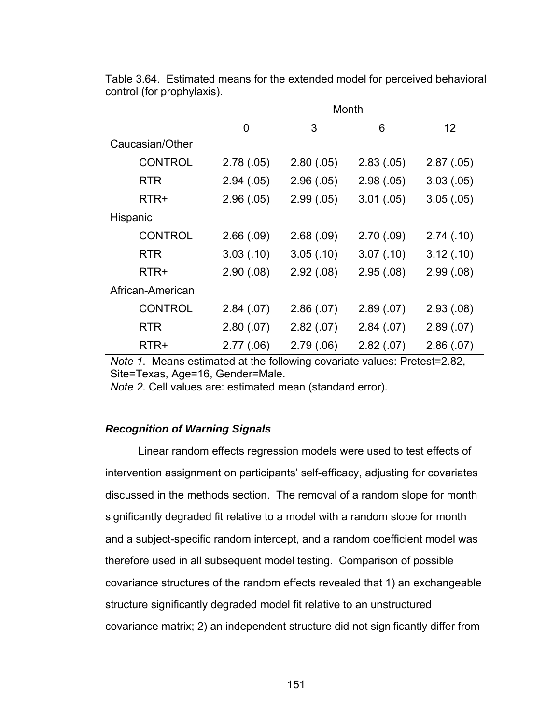|                  |            |           | Month      |            |
|------------------|------------|-----------|------------|------------|
|                  | 0          | 3         | 6          | 12         |
| Caucasian/Other  |            |           |            |            |
| <b>CONTROL</b>   | 2.78(.05)  | 2.80(.05) | 2.83(0.05) | 2.87(.05)  |
| <b>RTR</b>       | 2.94(.05)  | 2.96(.05) | 2.98(.05)  | 3.03(0.05) |
| RTR+             | 2.96(.05)  | 2.99(.05) | 3.01(.05)  | 3.05(.05)  |
| Hispanic         |            |           |            |            |
| <b>CONTROL</b>   | 2.66(.09)  | 2.68(.09) | 2.70(.09)  | 2.74(0)    |
| <b>RTR</b>       | 3.03(0.10) | 3.05(.10) | 3.07(0.10) | 3.12(.10)  |
| RTR+             | 2.90(.08)  | 2.92(.08) | 2.95(.08)  | 2.99(0.08) |
| African-American |            |           |            |            |
| <b>CONTROL</b>   | 2.84(.07)  | 2.86(.07) | 2.89(0.07) | 2.93(0.08) |
| <b>RTR</b>       | 2.80(0.07) | 2.82(.07) | 2.84(.07)  | 2.89(.07)  |
| RTR+             | 2.77(.06)  | 2.79(.06) | 2.82(.07)  | 2.86(.07)  |

Table 3.64. Estimated means for the extended model for perceived behavioral control (for prophylaxis).

*Note 1*. Means estimated at the following covariate values: Pretest=2.82, Site=Texas, Age=16, Gender=Male.

*Note 2*. Cell values are: estimated mean (standard error).

# *Recognition of Warning Signals*

 Linear random effects regression models were used to test effects of intervention assignment on participants' self-efficacy, adjusting for covariates discussed in the methods section. The removal of a random slope for month significantly degraded fit relative to a model with a random slope for month and a subject-specific random intercept, and a random coefficient model was therefore used in all subsequent model testing. Comparison of possible covariance structures of the random effects revealed that 1) an exchangeable structure significantly degraded model fit relative to an unstructured covariance matrix; 2) an independent structure did not significantly differ from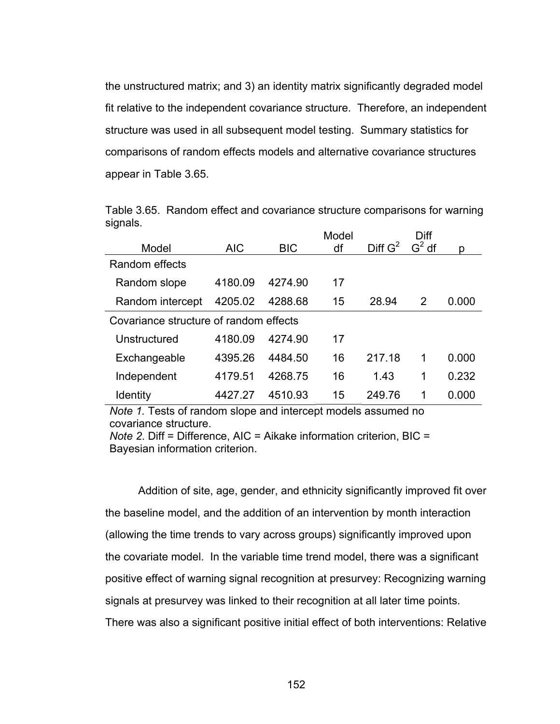the unstructured matrix; and 3) an identity matrix significantly degraded model fit relative to the independent covariance structure. Therefore, an independent structure was used in all subsequent model testing. Summary statistics for comparisons of random effects models and alternative covariance structures appear in Table 3.65.

|          | Table 3.65. Random effect and covariance structure comparisons for warning |  |  |
|----------|----------------------------------------------------------------------------|--|--|
| signals. |                                                                            |  |  |

|                                        |            |            | Model |                     | Diff     |       |
|----------------------------------------|------------|------------|-------|---------------------|----------|-------|
| Model                                  | <b>AIC</b> | <b>BIC</b> | df    | Diff G <sup>2</sup> | $G^2$ df | p     |
| Random effects                         |            |            |       |                     |          |       |
| Random slope                           | 4180.09    | 4274.90    | 17    |                     |          |       |
| Random intercept                       | 4205.02    | 4288.68    | 15    | 28.94               | 2        | 0.000 |
| Covariance structure of random effects |            |            |       |                     |          |       |
| Unstructured                           | 4180.09    | 4274.90    | 17    |                     |          |       |
| Exchangeable                           | 4395.26    | 4484.50    | 16    | 217.18              | 1        | 0.000 |
| Independent                            | 4179.51    | 4268.75    | 16    | 1.43                | 1        | 0.232 |
| Identity                               | 4427 27    | 4510.93    | 15    | 249.76              | 1        | 0.000 |

*Note 1.* Tests of random slope and intercept models assumed no covariance structure.

*Note 2*. Diff = Difference, AIC = Aikake information criterion, BIC = Bayesian information criterion.

Addition of site, age, gender, and ethnicity significantly improved fit over the baseline model, and the addition of an intervention by month interaction (allowing the time trends to vary across groups) significantly improved upon the covariate model. In the variable time trend model, there was a significant positive effect of warning signal recognition at presurvey: Recognizing warning signals at presurvey was linked to their recognition at all later time points. There was also a significant positive initial effect of both interventions: Relative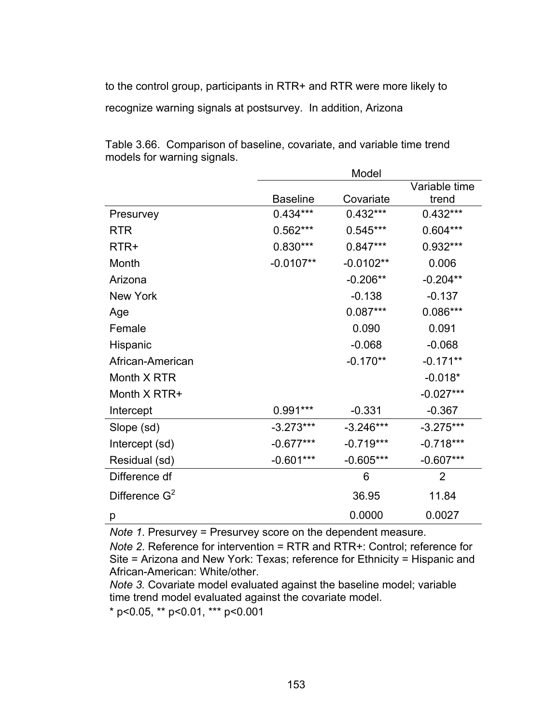to the control group, participants in RTR+ and RTR were more likely to recognize warning signals at postsurvey. In addition, Arizona

|                  |                 | Model       |                |
|------------------|-----------------|-------------|----------------|
|                  |                 |             | Variable time  |
|                  | <b>Baseline</b> | Covariate   | trend          |
| Presurvey        | $0.434***$      | $0.432***$  | $0.432***$     |
| <b>RTR</b>       | $0.562***$      | $0.545***$  | $0.604***$     |
| RTR+             | $0.830***$      | $0.847***$  | $0.932***$     |
| Month            | $-0.0107**$     | $-0.0102**$ | 0.006          |
| Arizona          |                 | $-0.206**$  | $-0.204**$     |
| New York         |                 | $-0.138$    | $-0.137$       |
| Age              |                 | $0.087***$  | $0.086***$     |
| Female           |                 | 0.090       | 0.091          |
| Hispanic         |                 | $-0.068$    | $-0.068$       |
| African-American |                 | $-0.170**$  | $-0.171**$     |
| Month X RTR      |                 |             | $-0.018*$      |
| Month X RTR+     |                 |             | $-0.027***$    |
| Intercept        | 0.991 ***       | $-0.331$    | $-0.367$       |
| Slope (sd)       | $-3.273***$     | $-3.246***$ | $-3.275***$    |
| Intercept (sd)   | $-0.677***$     | $-0.719***$ | $-0.718***$    |
| Residual (sd)    | $-0.601***$     | $-0.605***$ | $-0.607***$    |
| Difference df    |                 | 6           | $\overline{2}$ |
| Difference $G^2$ |                 | 36.95       | 11.84          |
| р                |                 | 0.0000      | 0.0027         |

Table 3.66. Comparison of baseline, covariate, and variable time trend models for warning signals.

*Note 1*. Presurvey = Presurvey score on the dependent measure.

*Note 2*. Reference for intervention = RTR and RTR+: Control; reference for Site = Arizona and New York: Texas; reference for Ethnicity = Hispanic and African-American: White/other.

*Note 3.* Covariate model evaluated against the baseline model; variable time trend model evaluated against the covariate model.

\* p<0.05, \*\* p<0.01, \*\*\* p<0.001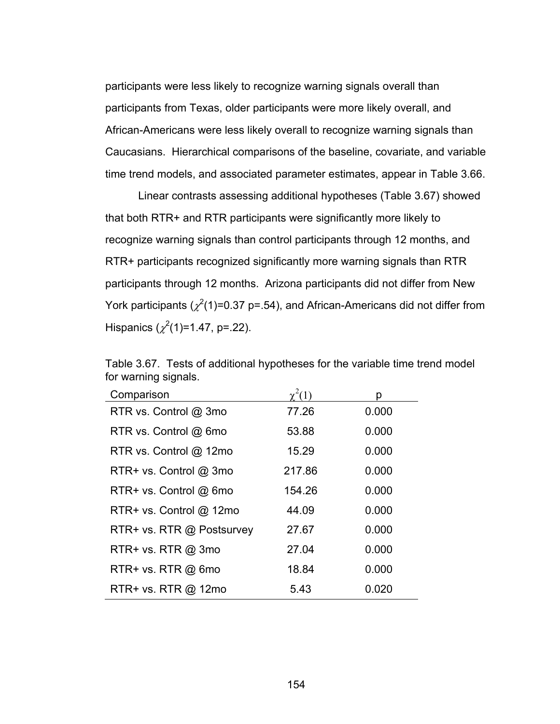participants were less likely to recognize warning signals overall than participants from Texas, older participants were more likely overall, and African-Americans were less likely overall to recognize warning signals than Caucasians. Hierarchical comparisons of the baseline, covariate, and variable time trend models, and associated parameter estimates, appear in Table 3.66.

Linear contrasts assessing additional hypotheses (Table 3.67) showed that both RTR+ and RTR participants were significantly more likely to recognize warning signals than control participants through 12 months, and RTR+ participants recognized significantly more warning signals than RTR participants through 12 months. Arizona participants did not differ from New York participants ( $\chi^2$ (1)=0.37 p=.54), and African-Americans did not differ from Hispanics  $(\chi^2(1)=1.47, p=.22)$ .

| Comparison                 |        | n     |
|----------------------------|--------|-------|
| RTR vs. Control @ 3mo      | 77.26  | 0.000 |
| RTR vs. Control @ 6mo      | 53.88  | 0.000 |
| RTR vs. Control @ 12mo     | 15.29  | 0.000 |
| RTR+ vs. Control @ 3mo     | 217.86 | 0.000 |
| RTR+ vs. Control @ 6mo     | 154.26 | 0.000 |
| $RTR+vs.$ Control $@$ 12mo | 44.09  | 0.000 |
| RTR+ vs. RTR @ Postsurvey  | 27.67  | 0.000 |
| $RTR+vs. RTR @ 3mo$        | 27.04  | 0.000 |
| RTR+ vs. RTR @ 6mo         | 18.84  | 0.000 |
| RTR+ vs. RTR @ 12mo        | 5.43   | 0.020 |

Table 3.67. Tests of additional hypotheses for the variable time trend model for warning signals.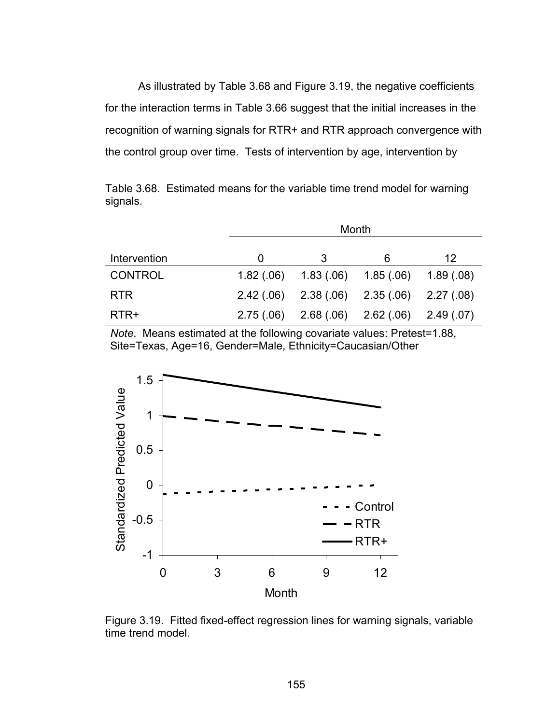As illustrated by Table 3.68 and Figure 3.19, the negative coefficients for the interaction terms in Table 3.66 suggest that the initial increases in the recognition of warning signals for RTR+ and RTR approach convergence with the control group over time. Tests of intervention by age, intervention by

Table 3.68. Estimated means for the variable time trend model for warning signals.

|                |           | Month                 |                                                 |            |
|----------------|-----------|-----------------------|-------------------------------------------------|------------|
| Intervention   | O         | 3                     | 6                                               | 12         |
| <b>CONTROL</b> | 1.82(.06) | $1.83(06)$ $1.85(06)$ |                                                 | 1.89(0.08) |
| <b>RTR</b>     |           |                       | $2.42(.06)$ $2.38(.06)$ $2.35(.06)$ $2.27(.08)$ |            |
| RTR+           | 2.75(.06) |                       | $2.68(.06)$ $2.62(.06)$ $2.49(.07)$             |            |

*Note*. Means estimated at the following covariate values: Pretest=1.88, Site=Texas, Age=16, Gender=Male, Ethnicity=Caucasian/Other



Figure 3.19. Fitted fixed-effect regression lines for warning signals, variable time trend model.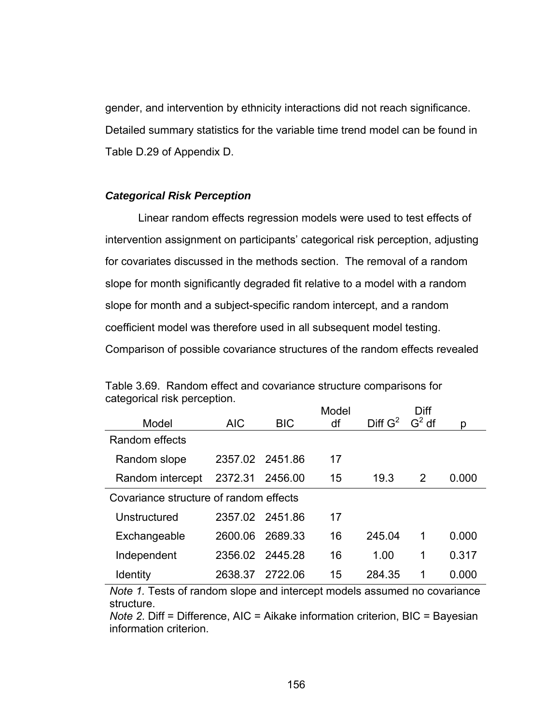gender, and intervention by ethnicity interactions did not reach significance. Detailed summary statistics for the variable time trend model can be found in Table D.29 of Appendix D.

### *Categorical Risk Perception*

 Linear random effects regression models were used to test effects of intervention assignment on participants' categorical risk perception, adjusting for covariates discussed in the methods section. The removal of a random slope for month significantly degraded fit relative to a model with a random slope for month and a subject-specific random intercept, and a random coefficient model was therefore used in all subsequent model testing. Comparison of possible covariance structures of the random effects revealed

|            |            | Model                                                                                           |                     | Diff     |       |
|------------|------------|-------------------------------------------------------------------------------------------------|---------------------|----------|-------|
| <b>AIC</b> | <b>BIC</b> | df                                                                                              | Diff G <sup>2</sup> | $G^2$ df | р     |
|            |            |                                                                                                 |                     |          |       |
|            |            | 17                                                                                              |                     |          |       |
| 2372.31    | 2456.00    | 15                                                                                              | 19.3                | 2        | 0.000 |
|            |            |                                                                                                 |                     |          |       |
|            |            | 17                                                                                              |                     |          |       |
| 2600.06    | 2689.33    | 16                                                                                              | 245.04              | 1        | 0.000 |
|            |            | 16                                                                                              | 1.00                | 1        | 0.317 |
| 2638.37    | 2722.06    | 15                                                                                              | 284.35              | 1        | 0.000 |
|            |            | 2357.02 2451.86<br>Covariance structure of random effects<br>2357.02 2451.86<br>2356.02 2445.28 |                     |          |       |

Table 3.69. Random effect and covariance structure comparisons for categorical risk perception.

*Note 1.* Tests of random slope and intercept models assumed no covariance structure.

*Note 2*. Diff = Difference, AIC = Aikake information criterion, BIC = Bayesian information criterion.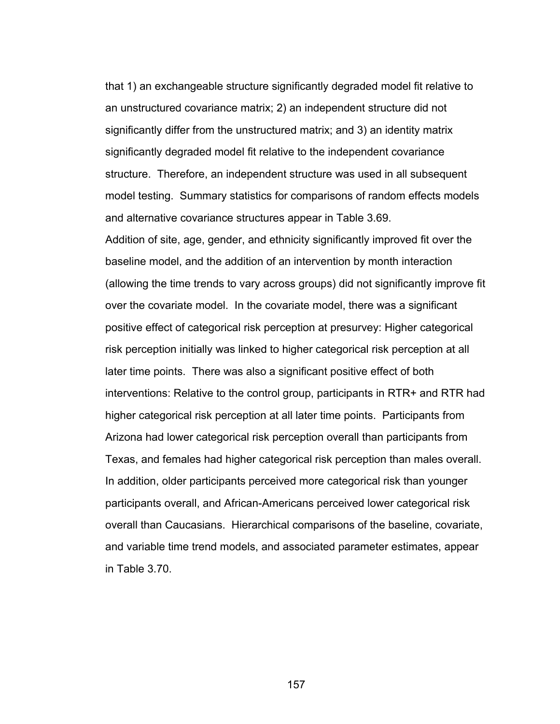that 1) an exchangeable structure significantly degraded model fit relative to an unstructured covariance matrix; 2) an independent structure did not significantly differ from the unstructured matrix; and 3) an identity matrix significantly degraded model fit relative to the independent covariance structure. Therefore, an independent structure was used in all subsequent model testing. Summary statistics for comparisons of random effects models and alternative covariance structures appear in Table 3.69.

Addition of site, age, gender, and ethnicity significantly improved fit over the baseline model, and the addition of an intervention by month interaction (allowing the time trends to vary across groups) did not significantly improve fit over the covariate model. In the covariate model, there was a significant positive effect of categorical risk perception at presurvey: Higher categorical risk perception initially was linked to higher categorical risk perception at all later time points. There was also a significant positive effect of both interventions: Relative to the control group, participants in RTR+ and RTR had higher categorical risk perception at all later time points. Participants from Arizona had lower categorical risk perception overall than participants from Texas, and females had higher categorical risk perception than males overall. In addition, older participants perceived more categorical risk than younger participants overall, and African-Americans perceived lower categorical risk overall than Caucasians. Hierarchical comparisons of the baseline, covariate, and variable time trend models, and associated parameter estimates, appear in Table 3.70.

157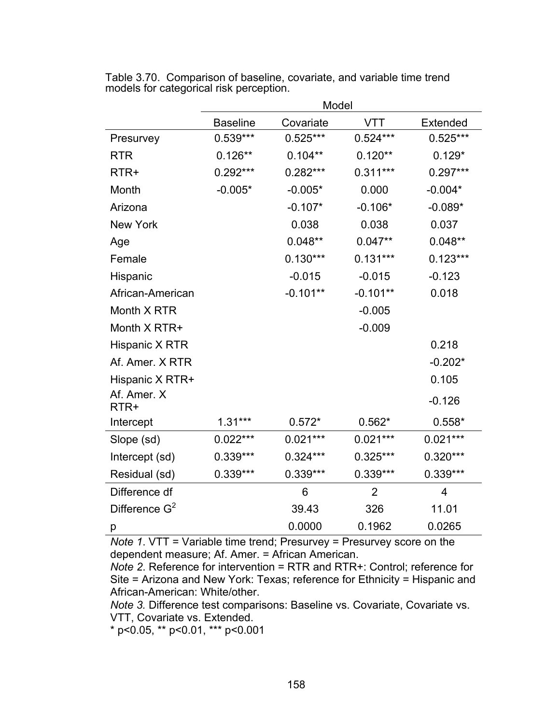|                     | Model           |            |                |                 |  |  |
|---------------------|-----------------|------------|----------------|-----------------|--|--|
|                     | <b>Baseline</b> | Covariate  | <b>VTT</b>     | <b>Extended</b> |  |  |
| Presurvey           | $0.539***$      | $0.525***$ | $0.524***$     | $0.525***$      |  |  |
| <b>RTR</b>          | $0.126**$       | $0.104**$  | $0.120**$      | $0.129*$        |  |  |
| RTR+                | $0.292***$      | $0.282***$ | $0.311***$     | $0.297***$      |  |  |
| Month               | $-0.005*$       | $-0.005*$  | 0.000          | $-0.004*$       |  |  |
| Arizona             |                 | $-0.107*$  | $-0.106*$      | $-0.089*$       |  |  |
| New York            |                 | 0.038      | 0.038          | 0.037           |  |  |
| Age                 |                 | $0.048**$  | $0.047**$      | $0.048**$       |  |  |
| Female              |                 | $0.130***$ | $0.131***$     | $0.123***$      |  |  |
| Hispanic            |                 | $-0.015$   | $-0.015$       | $-0.123$        |  |  |
| African-American    |                 | $-0.101**$ | $-0.101**$     | 0.018           |  |  |
| Month X RTR         |                 |            | $-0.005$       |                 |  |  |
| Month X RTR+        |                 |            | $-0.009$       |                 |  |  |
| Hispanic X RTR      |                 |            |                | 0.218           |  |  |
| Af. Amer. X RTR     |                 |            |                | $-0.202*$       |  |  |
| Hispanic X RTR+     |                 |            |                | 0.105           |  |  |
| Af. Amer. X<br>RTR+ |                 |            |                | $-0.126$        |  |  |
| Intercept           | $1.31***$       | $0.572*$   | $0.562*$       | $0.558*$        |  |  |
| Slope (sd)          | $0.022***$      | $0.021***$ | $0.021***$     | $0.021***$      |  |  |
| Intercept (sd)      | 0.339***        | $0.324***$ | $0.325***$     | $0.320***$      |  |  |
| Residual (sd)       | $0.339***$      | $0.339***$ | $0.339***$     | $0.339***$      |  |  |
| Difference df       |                 | 6          | $\overline{2}$ | $\overline{4}$  |  |  |
| Difference $G^2$    |                 | 39.43      | 326            | 11.01           |  |  |
| р                   |                 | 0.0000     | 0.1962         | 0.0265          |  |  |

Table 3.70. Comparison of baseline, covariate, and variable time trend models for categorical risk perception.

*Note 1*. VTT = Variable time trend; Presurvey = Presurvey score on the dependent measure; Af. Amer. = African American.

*Note 2*. Reference for intervention = RTR and RTR+: Control; reference for Site = Arizona and New York: Texas; reference for Ethnicity = Hispanic and African-American: White/other.

*Note 3.* Difference test comparisons: Baseline vs. Covariate, Covariate vs. VTT, Covariate vs. Extended.

\* p<0.05, \*\* p<0.01, \*\*\* p<0.001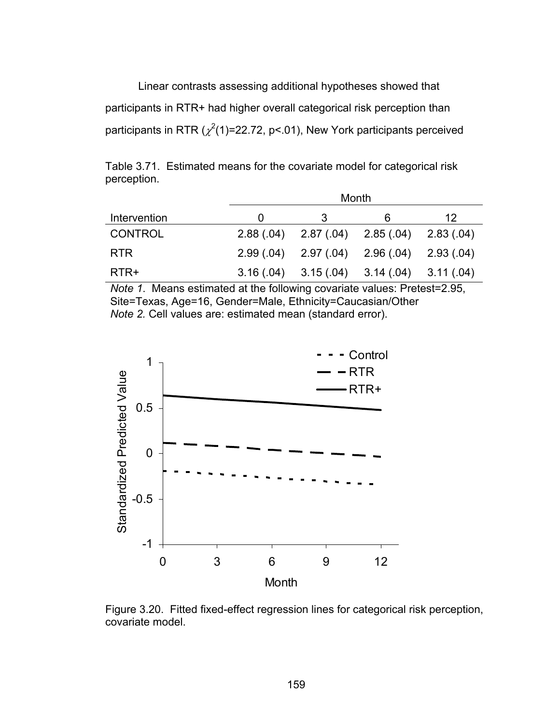Linear contrasts assessing additional hypotheses showed that participants in RTR+ had higher overall categorical risk perception than participants in RTR ( $\chi^2$ (1)=22.72, p<.01), New York participants perceived

Table 3.71. Estimated means for the covariate model for categorical risk perception.

|                |   |                                                 | Month |    |
|----------------|---|-------------------------------------------------|-------|----|
| Intervention   | O |                                                 | 6     | 12 |
| <b>CONTROL</b> |   | $2.88(.04)$ $2.87(.04)$ $2.85(.04)$ $2.83(.04)$ |       |    |
| <b>RTR</b>     |   | $2.99(.04)$ $2.97(.04)$ $2.96(.04)$ $2.93(.04)$ |       |    |
| RTR+           |   | $3.16(.04)$ $3.15(.04)$ $3.14(.04)$ $3.11(.04)$ |       |    |

*Note 1*. Means estimated at the following covariate values: Pretest=2.95, Site=Texas, Age=16, Gender=Male, Ethnicity=Caucasian/Other *Note 2.* Cell values are: estimated mean (standard error).



Figure 3.20. Fitted fixed-effect regression lines for categorical risk perception, covariate model.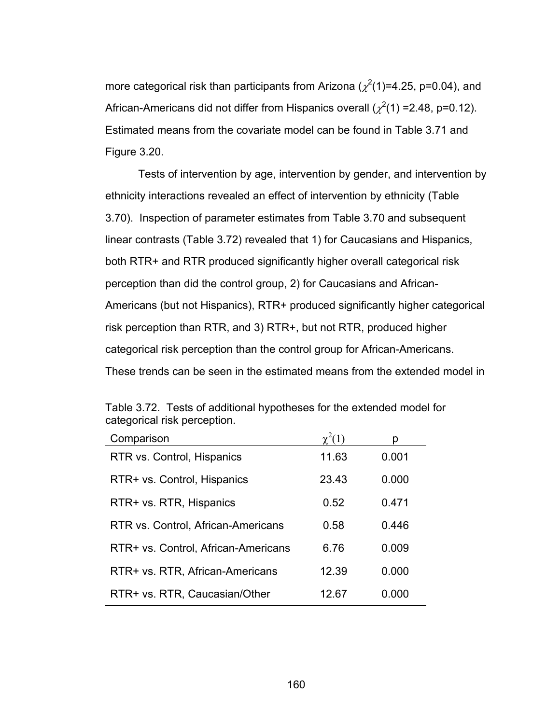more categorical risk than participants from Arizona ( $\chi^2$ (1)=4.25, p=0.04), and African-Americans did not differ from Hispanics overall ( $\chi^2(1)$  =2.48, p=0.12). Estimated means from the covariate model can be found in Table 3.71 and Figure 3.20.

Tests of intervention by age, intervention by gender, and intervention by ethnicity interactions revealed an effect of intervention by ethnicity (Table 3.70). Inspection of parameter estimates from Table 3.70 and subsequent linear contrasts (Table 3.72) revealed that 1) for Caucasians and Hispanics, both RTR+ and RTR produced significantly higher overall categorical risk perception than did the control group, 2) for Caucasians and African-Americans (but not Hispanics), RTR+ produced significantly higher categorical risk perception than RTR, and 3) RTR+, but not RTR, produced higher categorical risk perception than the control group for African-Americans. These trends can be seen in the estimated means from the extended model in

| Comparison                          |       | D     |
|-------------------------------------|-------|-------|
| RTR vs. Control, Hispanics          | 11.63 | 0.001 |
| RTR+ vs. Control, Hispanics         | 23.43 | 0.000 |
| RTR+ vs. RTR, Hispanics             | 0.52  | 0.471 |
| RTR vs. Control, African-Americans  | 0.58  | 0.446 |
| RTR+ vs. Control, African-Americans | 6.76  | 0.009 |
| RTR+ vs. RTR, African-Americans     | 12.39 | 0.000 |
| RTR+ vs. RTR, Caucasian/Other       | 12.67 | 0.000 |

Table 3.72. Tests of additional hypotheses for the extended model for categorical risk perception.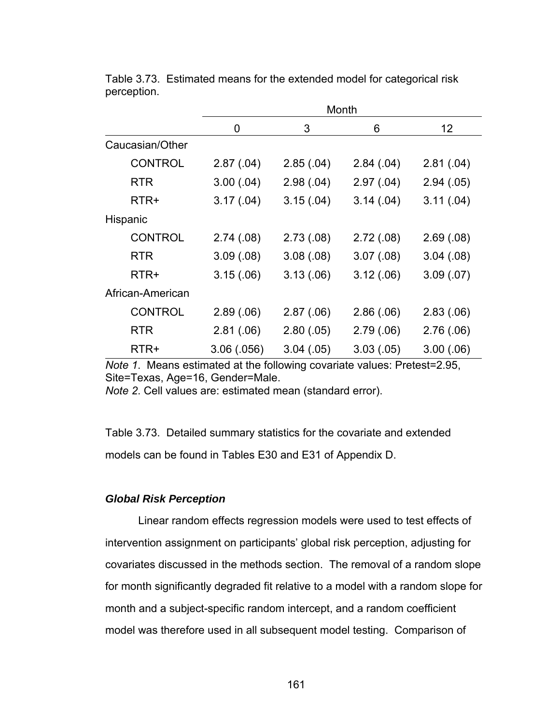|                  |            |           | Month      |            |
|------------------|------------|-----------|------------|------------|
|                  | 0          | 3         | 6          | 12         |
| Caucasian/Other  |            |           |            |            |
| <b>CONTROL</b>   | 2.87(.04)  | 2.85(.04) | 2.84(.04)  | 2.81(.04)  |
| <b>RTR</b>       | 3.00(.04)  | 2.98(.04) | 2.97(.04)  | 2.94(.05)  |
| RTR+             | 3.17(.04)  | 3.15(.04) | 3.14(04)   | 3.11(.04)  |
| Hispanic         |            |           |            |            |
| <b>CONTROL</b>   | 2.74(.08)  | 2.73(.08) | 2.72(.08)  | 2.69(.08)  |
| <b>RTR</b>       | 3.09(.08)  | 3.08(.08) | 3.07(0.08) | 3.04(0.08) |
| RTR+             | 3.15(.06)  | 3.13(.06) | 3.12(.06)  | 3.09(0.07) |
| African-American |            |           |            |            |
| <b>CONTROL</b>   | 2.89(.06)  | 2.87(.06) | 2.86(.06)  | 2.83(0.06) |
| <b>RTR</b>       | 2.81(.06)  | 2.80(.05) | 2.79(.06)  | 2.76(.06)  |
| RTR+             | 3.06(.056) | 3.04(.05) | 3.03(0.05) | 3.00(0.06) |

Table 3.73. Estimated means for the extended model for categorical risk perception.

*Note 1*. Means estimated at the following covariate values: Pretest=2.95, Site=Texas, Age=16, Gender=Male.

*Note 2*. Cell values are: estimated mean (standard error).

Table 3.73. Detailed summary statistics for the covariate and extended models can be found in Tables E30 and E31 of Appendix D.

#### *Global Risk Perception*

 Linear random effects regression models were used to test effects of intervention assignment on participants' global risk perception, adjusting for covariates discussed in the methods section. The removal of a random slope for month significantly degraded fit relative to a model with a random slope for month and a subject-specific random intercept, and a random coefficient model was therefore used in all subsequent model testing. Comparison of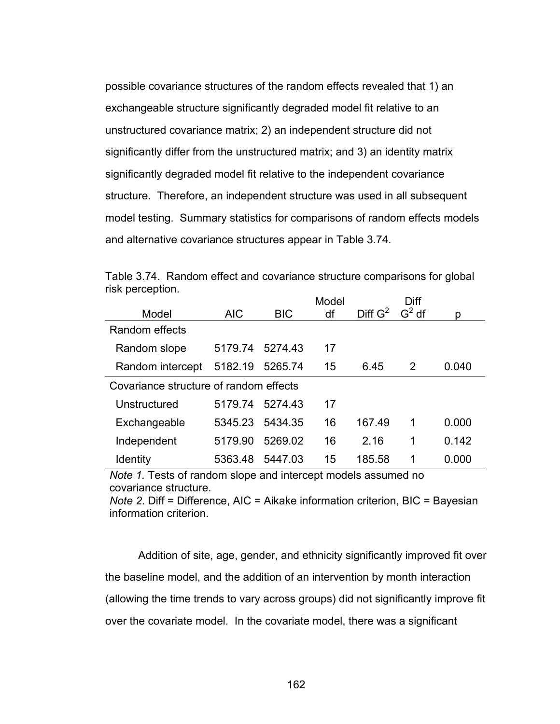possible covariance structures of the random effects revealed that 1) an exchangeable structure significantly degraded model fit relative to an unstructured covariance matrix; 2) an independent structure did not significantly differ from the unstructured matrix; and 3) an identity matrix significantly degraded model fit relative to the independent covariance structure. Therefore, an independent structure was used in all subsequent model testing. Summary statistics for comparisons of random effects models and alternative covariance structures appear in Table 3.74.

| <b>HOR POLOGRUPH.</b>                  |            |            | Model |                     | Diff |       |
|----------------------------------------|------------|------------|-------|---------------------|------|-------|
| Model                                  | <b>AIC</b> | <b>BIC</b> | df    | Diff $G^2$ $G^2$ df |      | p     |
| Random effects                         |            |            |       |                     |      |       |
| Random slope                           | 5179.74    | 5274.43    | 17    |                     |      |       |
| Random intercept                       | 5182.19    | 5265.74    | 15    | 6.45                | 2    | 0.040 |
| Covariance structure of random effects |            |            |       |                     |      |       |
| Unstructured                           | 5179.74    | 5274.43    | 17    |                     |      |       |
| Exchangeable                           | 5345.23    | 5434.35    | 16    | 167.49              | 1    | 0.000 |
| Independent                            | 5179.90    | 5269.02    | 16    | 2.16                | 1    | 0.142 |
| <b>Identity</b>                        | 5363.48    | 5447.03    | 15    | 185.58              | 1    | 0.000 |

Table 3.74. Random effect and covariance structure comparisons for global risk perception.

*Note 1.* Tests of random slope and intercept models assumed no covariance structure.

*Note 2*. Diff = Difference, AIC = Aikake information criterion, BIC = Bayesian information criterion.

Addition of site, age, gender, and ethnicity significantly improved fit over the baseline model, and the addition of an intervention by month interaction (allowing the time trends to vary across groups) did not significantly improve fit over the covariate model. In the covariate model, there was a significant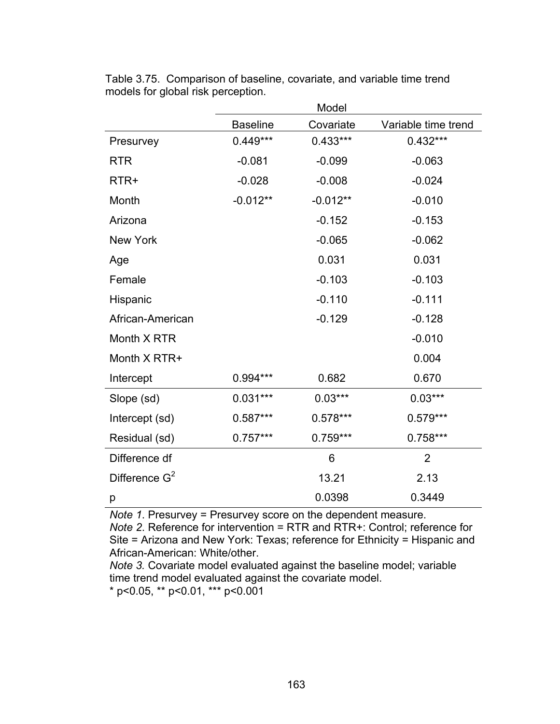|                  | Model           |            |                     |
|------------------|-----------------|------------|---------------------|
|                  | <b>Baseline</b> | Covariate  | Variable time trend |
| Presurvey        | $0.449***$      | $0.433***$ | $0.432***$          |
| <b>RTR</b>       | $-0.081$        | $-0.099$   | $-0.063$            |
| RTR+             | $-0.028$        | $-0.008$   | $-0.024$            |
| Month            | $-0.012**$      | $-0.012**$ | $-0.010$            |
| Arizona          |                 | $-0.152$   | $-0.153$            |
| <b>New York</b>  |                 | $-0.065$   | $-0.062$            |
| Age              |                 | 0.031      | 0.031               |
| Female           |                 | $-0.103$   | $-0.103$            |
| Hispanic         |                 | $-0.110$   | $-0.111$            |
| African-American |                 | $-0.129$   | $-0.128$            |
| Month X RTR      |                 |            | $-0.010$            |
| Month X RTR+     |                 |            | 0.004               |
| Intercept        | 0.994 ***       | 0.682      | 0.670               |
| Slope (sd)       | $0.031***$      | $0.03***$  | $0.03***$           |
| Intercept (sd)   | $0.587***$      | $0.578***$ | $0.579***$          |
| Residual (sd)    | $0.757***$      | $0.759***$ | $0.758***$          |
| Difference df    |                 | 6          | $\overline{2}$      |
| Difference $G^2$ |                 | 13.21      | 2.13                |
| р                |                 | 0.0398     | 0.3449              |

Table 3.75. Comparison of baseline, covariate, and variable time trend models for global risk perception.

*Note 1*. Presurvey = Presurvey score on the dependent measure.

*Note 2*. Reference for intervention = RTR and RTR+: Control; reference for Site = Arizona and New York: Texas; reference for Ethnicity = Hispanic and African-American: White/other.

*Note 3.* Covariate model evaluated against the baseline model; variable time trend model evaluated against the covariate model.

\* p<0.05, \*\* p<0.01, \*\*\* p<0.001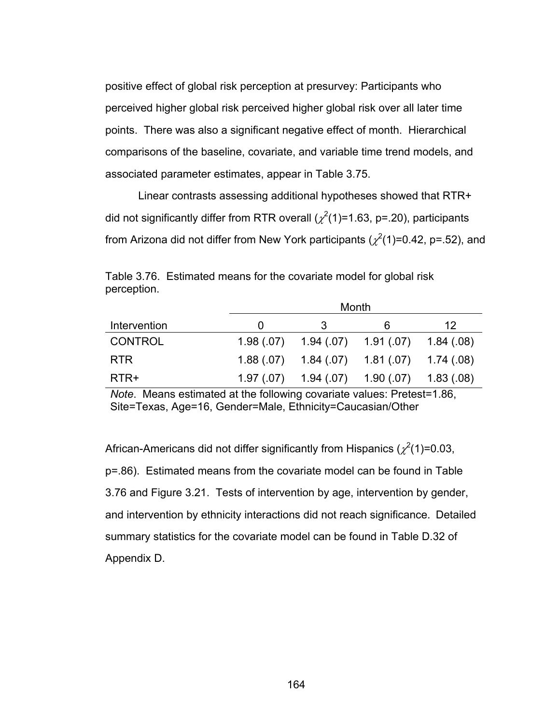positive effect of global risk perception at presurvey: Participants who perceived higher global risk perceived higher global risk over all later time points. There was also a significant negative effect of month. Hierarchical comparisons of the baseline, covariate, and variable time trend models, and associated parameter estimates, appear in Table 3.75.

Linear contrasts assessing additional hypotheses showed that RTR+ did not significantly differ from RTR overall ( $\chi^2$ (1)=1.63, p=.20), participants from Arizona did not differ from New York participants ( $\chi^2$ (1)=0.42, p=.52), and

|                |              |   | Month                                           |    |
|----------------|--------------|---|-------------------------------------------------|----|
| Intervention   | $\mathbf{0}$ | 3 | 6                                               | 12 |
| <b>CONTROL</b> | 1.98 (.07)   |   | $1.94(07)$ $1.91(07)$ $1.84(08)$                |    |
| <b>RTR</b>     |              |   | $1.88(.07)$ $1.84(.07)$ $1.81(.07)$ $1.74(.08)$ |    |
| RTR+           | 1.97(0.07)   |   | $1.94(07)$ $1.90(07)$ $1.83(08)$                |    |

Table 3.76. Estimated means for the covariate model for global risk perception.

*Note*. Means estimated at the following covariate values: Pretest=1.86, Site=Texas, Age=16, Gender=Male, Ethnicity=Caucasian/Other

African-Americans did not differ significantly from Hispanics ( $\chi^2(1)$ =0.03, p=.86). Estimated means from the covariate model can be found in Table 3.76 and Figure 3.21. Tests of intervention by age, intervention by gender, and intervention by ethnicity interactions did not reach significance. Detailed summary statistics for the covariate model can be found in Table D.32 of Appendix D.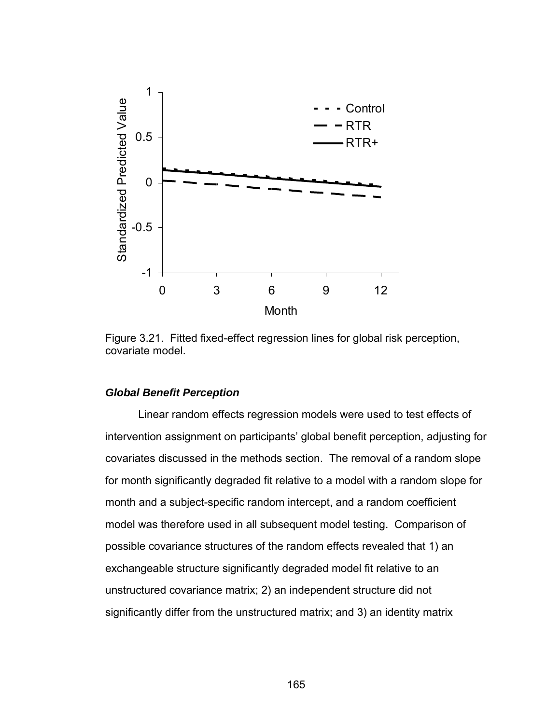

Figure 3.21. Fitted fixed-effect regression lines for global risk perception, covariate model.

#### *Global Benefit Perception*

 Linear random effects regression models were used to test effects of intervention assignment on participants' global benefit perception, adjusting for covariates discussed in the methods section. The removal of a random slope for month significantly degraded fit relative to a model with a random slope for month and a subject-specific random intercept, and a random coefficient model was therefore used in all subsequent model testing. Comparison of possible covariance structures of the random effects revealed that 1) an exchangeable structure significantly degraded model fit relative to an unstructured covariance matrix; 2) an independent structure did not significantly differ from the unstructured matrix; and 3) an identity matrix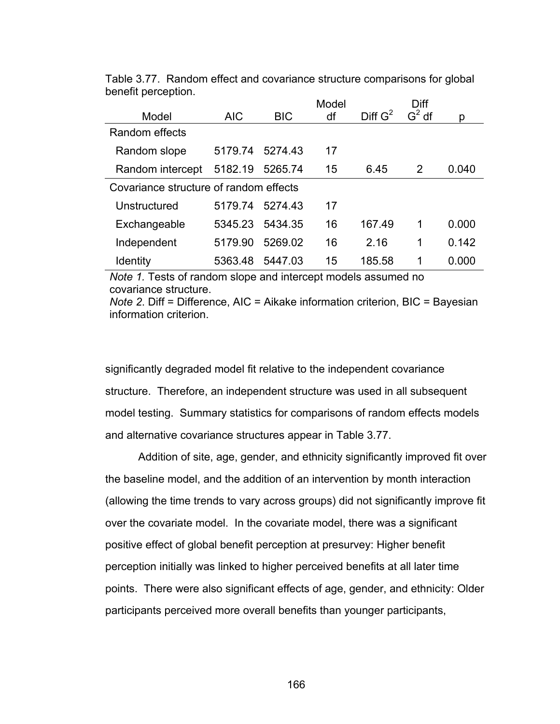|                                        |                 |            | Model |            | Diff    |       |
|----------------------------------------|-----------------|------------|-------|------------|---------|-------|
| Model                                  | <b>AIC</b>      | <b>BIC</b> | df    | Diff $G^2$ | $G2$ df | p     |
| Random effects                         |                 |            |       |            |         |       |
| Random slope                           | 5179.74         | 5274.43    | 17    |            |         |       |
| Random intercept                       | 5182.19         | 5265.74    | 15    | 6.45       | 2       | 0.040 |
| Covariance structure of random effects |                 |            |       |            |         |       |
| Unstructured                           | 5179.74         | 5274.43    | 17    |            |         |       |
| Exchangeable                           | 5345.23 5434.35 |            | 16    | 167.49     | 1       | 0.000 |
| Independent                            | 5179.90         | 5269.02    | 16    | 2.16       | 1       | 0.142 |
| <b>Identity</b>                        | 5363.48         | 5447.03    | 15    | 185.58     | 1       | 0.000 |

Table 3.77. Random effect and covariance structure comparisons for global benefit perception.

*Note 1.* Tests of random slope and intercept models assumed no covariance structure.

*Note 2*. Diff = Difference, AIC = Aikake information criterion, BIC = Bayesian information criterion.

significantly degraded model fit relative to the independent covariance structure. Therefore, an independent structure was used in all subsequent model testing. Summary statistics for comparisons of random effects models and alternative covariance structures appear in Table 3.77.

Addition of site, age, gender, and ethnicity significantly improved fit over the baseline model, and the addition of an intervention by month interaction (allowing the time trends to vary across groups) did not significantly improve fit over the covariate model. In the covariate model, there was a significant positive effect of global benefit perception at presurvey: Higher benefit perception initially was linked to higher perceived benefits at all later time points. There were also significant effects of age, gender, and ethnicity: Older participants perceived more overall benefits than younger participants,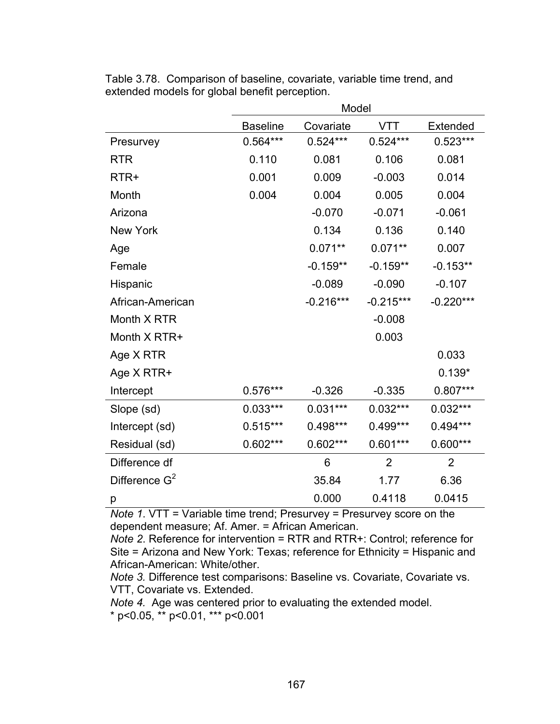|                  | Model           |             |                |                |  |
|------------------|-----------------|-------------|----------------|----------------|--|
|                  | <b>Baseline</b> | Covariate   | <b>VTT</b>     | Extended       |  |
| Presurvey        | $0.564***$      | $0.524***$  | $0.524***$     | $0.523***$     |  |
| <b>RTR</b>       | 0.110           | 0.081       | 0.106          | 0.081          |  |
| RTR+             | 0.001           | 0.009       | $-0.003$       | 0.014          |  |
| Month            | 0.004           | 0.004       | 0.005          | 0.004          |  |
| Arizona          |                 | $-0.070$    | $-0.071$       | $-0.061$       |  |
| <b>New York</b>  |                 | 0.134       | 0.136          | 0.140          |  |
| Age              |                 | $0.071**$   | $0.071**$      | 0.007          |  |
| Female           |                 | $-0.159**$  | $-0.159**$     | $-0.153**$     |  |
| Hispanic         |                 | $-0.089$    | $-0.090$       | $-0.107$       |  |
| African-American |                 | $-0.216***$ | $-0.215***$    | $-0.220***$    |  |
| Month X RTR      |                 |             | $-0.008$       |                |  |
| Month X RTR+     |                 |             | 0.003          |                |  |
| Age X RTR        |                 |             |                | 0.033          |  |
| Age X RTR+       |                 |             |                | $0.139*$       |  |
| Intercept        | $0.576***$      | $-0.326$    | $-0.335$       | $0.807***$     |  |
| Slope (sd)       | $0.033***$      | $0.031***$  | $0.032***$     | $0.032***$     |  |
| Intercept (sd)   | $0.515***$      | $0.498***$  | 0.499***       | 0.494***       |  |
| Residual (sd)    | $0.602***$      | $0.602***$  | $0.601***$     | $0.600***$     |  |
| Difference df    |                 | 6           | $\overline{2}$ | $\overline{2}$ |  |
| Difference $G^2$ |                 | 35.84       | 1.77           | 6.36           |  |
| р                |                 | 0.000       | 0.4118         | 0.0415         |  |

Table 3.78. Comparison of baseline, covariate, variable time trend, and extended models for global benefit perception.

*Note 1*. VTT = Variable time trend; Presurvey = Presurvey score on the dependent measure; Af. Amer. = African American.

*Note 2*. Reference for intervention = RTR and RTR+: Control; reference for Site = Arizona and New York: Texas; reference for Ethnicity = Hispanic and African-American: White/other.

*Note 3.* Difference test comparisons: Baseline vs. Covariate, Covariate vs. VTT, Covariate vs. Extended.

*Note 4.* Age was centered prior to evaluating the extended model. \* p<0.05, \*\* p<0.01, \*\*\* p<0.001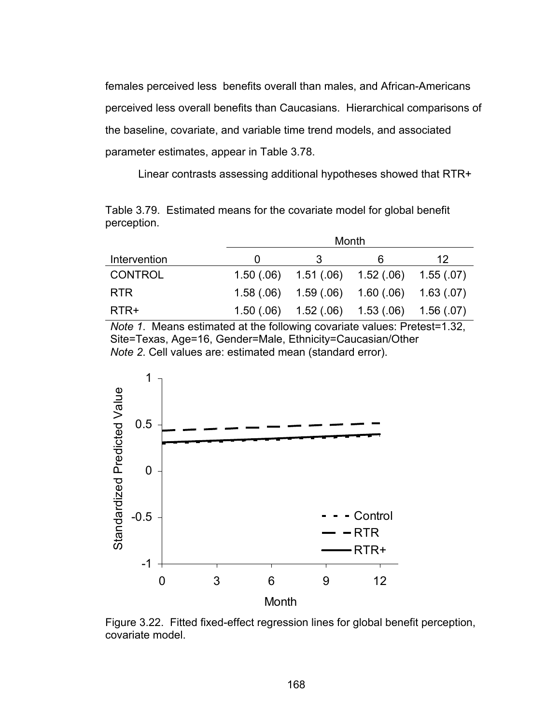females perceived less benefits overall than males, and African-Americans perceived less overall benefits than Caucasians. Hierarchical comparisons of the baseline, covariate, and variable time trend models, and associated parameter estimates, appear in Table 3.78.

Linear contrasts assessing additional hypotheses showed that RTR+

Table 3.79. Estimated means for the covariate model for global benefit perception.

|              |            | Month      |            |            |
|--------------|------------|------------|------------|------------|
| Intervention |            |            | 6          | 12         |
| CONTROL      | 1.50(0.06) | 1.51(.06)  | 1.52(.06)  | 1.55(.07)  |
| <b>RTR</b>   | 1.58(.06)  | 1.59(0.06) | 1.60 (.06) | 1.63(0.07) |
| RTR+         | 1.50(.06)  | 1.52(0.06) | 1.53(0.06) | 1.56(.07)  |

*Note 1*. Means estimated at the following covariate values: Pretest=1.32, Site=Texas, Age=16, Gender=Male, Ethnicity=Caucasian/Other *Note 2*. Cell values are: estimated mean (standard error).



Figure 3.22. Fitted fixed-effect regression lines for global benefit perception, covariate model.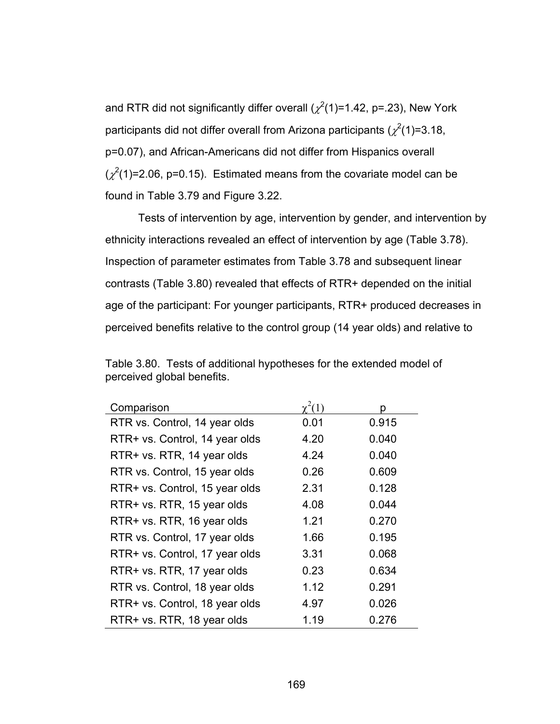and RTR did not significantly differ overall ( $\chi^2$ (1)=1.42, p=.23), New York participants did not differ overall from Arizona participants ( $\chi^2$ (1)=3.18, p=0.07), and African-Americans did not differ from Hispanics overall  $(\chi^2(1)=2.06, p=0.15)$ . Estimated means from the covariate model can be found in Table 3.79 and Figure 3.22.

Tests of intervention by age, intervention by gender, and intervention by ethnicity interactions revealed an effect of intervention by age (Table 3.78). Inspection of parameter estimates from Table 3.78 and subsequent linear contrasts (Table 3.80) revealed that effects of RTR+ depended on the initial age of the participant: For younger participants, RTR+ produced decreases in perceived benefits relative to the control group (14 year olds) and relative to

| Comparison                     | $v^2(1)$ | n     |
|--------------------------------|----------|-------|
| RTR vs. Control, 14 year olds  | 0.01     | 0.915 |
| RTR+ vs. Control, 14 year olds | 4.20     | 0.040 |
| RTR+ vs. RTR, 14 year olds     | 4.24     | 0.040 |
| RTR vs. Control, 15 year olds  | 0.26     | 0.609 |
| RTR+ vs. Control, 15 year olds | 2.31     | 0.128 |
| RTR+ vs. RTR, 15 year olds     | 4.08     | 0.044 |
| RTR+ vs. RTR, 16 year olds     | 1.21     | 0.270 |
| RTR vs. Control, 17 year olds  | 1.66     | 0.195 |
| RTR+ vs. Control, 17 year olds | 3.31     | 0.068 |
| RTR+ vs. RTR, 17 year olds     | 0.23     | 0.634 |
| RTR vs. Control, 18 year olds  | 1.12     | 0.291 |
| RTR+ vs. Control, 18 year olds | 4.97     | 0.026 |
| RTR+ vs. RTR, 18 year olds     | 1.19     | 0.276 |

Table 3.80. Tests of additional hypotheses for the extended model of perceived global benefits.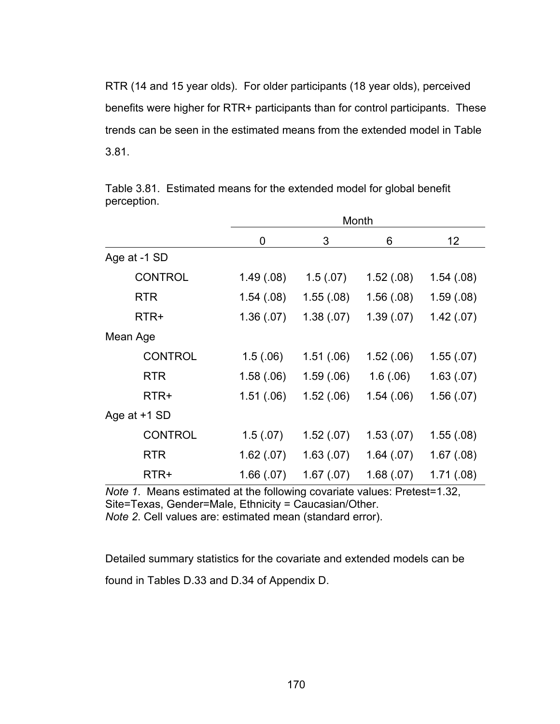RTR (14 and 15 year olds). For older participants (18 year olds), perceived benefits were higher for RTR+ participants than for control participants. These trends can be seen in the estimated means from the extended model in Table 3.81.

|                |            | Month      |            |            |  |  |  |
|----------------|------------|------------|------------|------------|--|--|--|
|                | 0          | 3          | 6          | 12         |  |  |  |
| Age at -1 SD   |            |            |            |            |  |  |  |
| <b>CONTROL</b> | 1.49(0.08) | 1.5(0.07)  | 1.52(.08)  | 1.54(0.08) |  |  |  |
| <b>RTR</b>     | 1.54(0.08) | 1.55(0.08) | 1.56(0.08) | 1.59(0.08) |  |  |  |
| RTR+           | 1.36(.07)  | 1.38(.07)  | 1.39(07)   | 1.42(.07)  |  |  |  |
| Mean Age       |            |            |            |            |  |  |  |
| <b>CONTROL</b> | 1.5(.06)   | 1.51(.06)  | 1.52(.06)  | 1.55(07)   |  |  |  |
| <b>RTR</b>     | 1.58(.06)  | 1.59(0.06) | 1.6(0.06)  | 1.63(0.07) |  |  |  |
| RTR+           | 1.51(.06)  | 1.52(.06)  | 1.54(06)   | 1.56(07)   |  |  |  |
| Age at +1 SD   |            |            |            |            |  |  |  |
| <b>CONTROL</b> | 1.5(0.07)  | 1.52(.07)  | 1.53(0.07) | 1.55(0.08) |  |  |  |
| <b>RTR</b>     | 1.62(.07)  | 1.63(0.07) | 1.64(07)   | 1.67(0.08) |  |  |  |
| RTR+           | 1.66(.07)  | 1.67(07)   | 1.68(.07)  | 1.71(.08)  |  |  |  |

Table 3.81. Estimated means for the extended model for global benefit perception.

*Note 1*. Means estimated at the following covariate values: Pretest=1.32, Site=Texas, Gender=Male, Ethnicity = Caucasian/Other.

*Note 2*. Cell values are: estimated mean (standard error).

Detailed summary statistics for the covariate and extended models can be found in Tables D.33 and D.34 of Appendix D.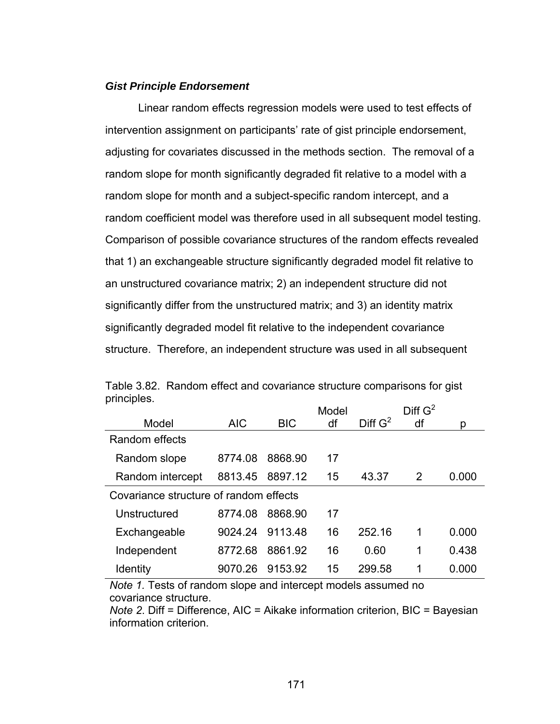## *Gist Principle Endorsement*

 Linear random effects regression models were used to test effects of intervention assignment on participants' rate of gist principle endorsement, adjusting for covariates discussed in the methods section. The removal of a random slope for month significantly degraded fit relative to a model with a random slope for month and a subject-specific random intercept, and a random coefficient model was therefore used in all subsequent model testing. Comparison of possible covariance structures of the random effects revealed that 1) an exchangeable structure significantly degraded model fit relative to an unstructured covariance matrix; 2) an independent structure did not significantly differ from the unstructured matrix; and 3) an identity matrix significantly degraded model fit relative to the independent covariance structure. Therefore, an independent structure was used in all subsequent

| pp.00.                                 |            |            | Model |                     | Diff G <sup>2</sup> |       |
|----------------------------------------|------------|------------|-------|---------------------|---------------------|-------|
| Model                                  | <b>AIC</b> | <b>BIC</b> | df    | Diff G <sup>2</sup> | df                  | р     |
| Random effects                         |            |            |       |                     |                     |       |
| Random slope                           | 8774.08    | 8868.90    | 17    |                     |                     |       |
| Random intercept                       | 8813.45    | 8897.12    | 15    | 43.37               | 2                   | 0.000 |
| Covariance structure of random effects |            |            |       |                     |                     |       |
| Unstructured                           | 8774.08    | 8868.90    | 17    |                     |                     |       |
| Exchangeable                           | 9024.24    | 9113.48    | 16    | 252.16              | 1                   | 0.000 |
| Independent                            | 8772.68    | 8861.92    | 16    | 0.60                | 1                   | 0.438 |
| Identity                               | 9070.26    | 9153.92    | 15    | 299.58              | 1                   | 0.000 |

Table 3.82. Random effect and covariance structure comparisons for gist principles.

*Note 1.* Tests of random slope and intercept models assumed no covariance structure.

*Note 2*. Diff = Difference, AIC = Aikake information criterion, BIC = Bayesian information criterion.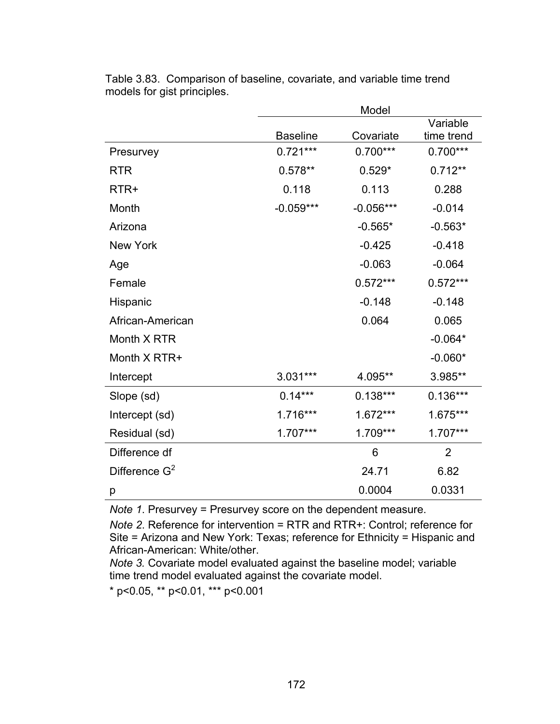|                  |                 | Model       |                |
|------------------|-----------------|-------------|----------------|
|                  |                 |             | Variable       |
|                  | <b>Baseline</b> | Covariate   | time trend     |
| Presurvey        | $0.721***$      | $0.700***$  | $0.700***$     |
| <b>RTR</b>       | $0.578**$       | $0.529*$    | $0.712**$      |
| RTR+             | 0.118           | 0.113       | 0.288          |
| Month            | $-0.059***$     | $-0.056***$ | $-0.014$       |
| Arizona          |                 | $-0.565*$   | $-0.563*$      |
| <b>New York</b>  |                 | $-0.425$    | $-0.418$       |
| Age              |                 | $-0.063$    | $-0.064$       |
| Female           |                 | $0.572***$  | $0.572***$     |
| Hispanic         |                 | $-0.148$    | $-0.148$       |
| African-American |                 | 0.064       | 0.065          |
| Month X RTR      |                 |             | $-0.064*$      |
| Month X RTR+     |                 |             | $-0.060*$      |
| Intercept        | 3.031***        | 4.095**     | 3.985**        |
| Slope (sd)       | $0.14***$       | $0.138***$  | $0.136***$     |
| Intercept (sd)   | 1.716***        | 1.672***    | 1.675***       |
| Residual (sd)    | $1.707***$      | 1.709***    | 1.707***       |
| Difference df    |                 | 6           | $\overline{2}$ |
| Difference $G^2$ |                 | 24.71       | 6.82           |
| р                |                 | 0.0004      | 0.0331         |

Table 3.83. Comparison of baseline, covariate, and variable time trend models for gist principles.

*Note 1*. Presurvey = Presurvey score on the dependent measure.

*Note 2*. Reference for intervention = RTR and RTR+: Control; reference for Site = Arizona and New York: Texas; reference for Ethnicity = Hispanic and African-American: White/other.

*Note 3.* Covariate model evaluated against the baseline model; variable time trend model evaluated against the covariate model.

\* p<0.05, \*\* p<0.01, \*\*\* p<0.001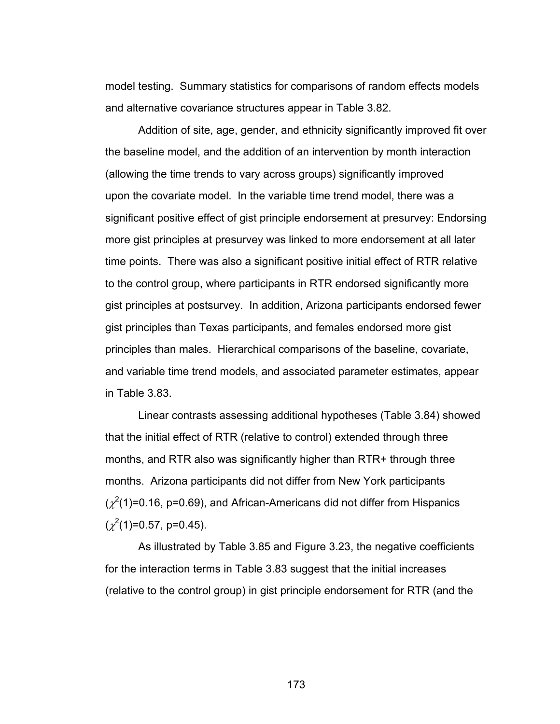model testing. Summary statistics for comparisons of random effects models and alternative covariance structures appear in Table 3.82.

Addition of site, age, gender, and ethnicity significantly improved fit over the baseline model, and the addition of an intervention by month interaction (allowing the time trends to vary across groups) significantly improved upon the covariate model. In the variable time trend model, there was a significant positive effect of gist principle endorsement at presurvey: Endorsing more gist principles at presurvey was linked to more endorsement at all later time points. There was also a significant positive initial effect of RTR relative to the control group, where participants in RTR endorsed significantly more gist principles at postsurvey. In addition, Arizona participants endorsed fewer gist principles than Texas participants, and females endorsed more gist principles than males. Hierarchical comparisons of the baseline, covariate, and variable time trend models, and associated parameter estimates, appear in Table 3.83.

Linear contrasts assessing additional hypotheses (Table 3.84) showed that the initial effect of RTR (relative to control) extended through three months, and RTR also was significantly higher than RTR+ through three months. Arizona participants did not differ from New York participants  $(\chi^2(1)=0.16, p=0.69)$ , and African-Americans did not differ from Hispanics  $(\chi^2(1)=0.57, p=0.45).$ 

As illustrated by Table 3.85 and Figure 3.23, the negative coefficients for the interaction terms in Table 3.83 suggest that the initial increases (relative to the control group) in gist principle endorsement for RTR (and the

173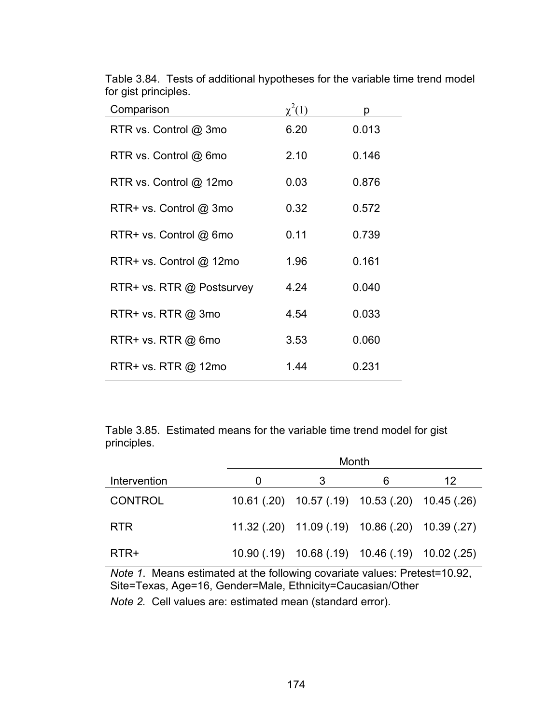| Comparison                | $\gamma^2(1)$ | n     |
|---------------------------|---------------|-------|
| RTR vs. Control @ 3mo     | 6.20          | 0.013 |
| RTR vs. Control @ 6mo     | 2.10          | 0.146 |
| RTR vs. Control @ 12mo    | 0.03          | 0.876 |
| RTR+ vs. Control @ 3mo    | 0.32          | 0.572 |
| RTR+ vs. Control @ 6mo    | 0.11          | 0.739 |
| RTR+ vs. Control @ 12mo   | 1.96          | 0.161 |
| RTR+ vs. RTR @ Postsurvey | 4.24          | 0.040 |
| RTR+ vs. RTR @ 3mo        | 4.54          | 0.033 |
| RTR+ vs. RTR @ 6mo        | 3.53          | 0.060 |
| RTR+ vs. RTR @ 12mo       | 1.44          | 0.231 |

Table 3.84. Tests of additional hypotheses for the variable time trend model for gist principles.

Table 3.85. Estimated means for the variable time trend model for gist principles.

|                | Month |                                                 |   |    |  |
|----------------|-------|-------------------------------------------------|---|----|--|
| Intervention   | O     | З                                               | 6 | 12 |  |
| <b>CONTROL</b> |       | 10.61 (.20) 10.57 (.19) 10.53 (.20) 10.45 (.26) |   |    |  |
| <b>RTR</b>     |       | 11.32 (.20) 11.09 (.19) 10.86 (.20) 10.39 (.27) |   |    |  |
| RTR+           |       | 10.90 (.19) 10.68 (.19) 10.46 (.19) 10.02 (.25) |   |    |  |
|                |       |                                                 |   |    |  |

*Note 1*. Means estimated at the following covariate values: Pretest=10.92, Site=Texas, Age=16, Gender=Male, Ethnicity=Caucasian/Other

*Note 2.* Cell values are: estimated mean (standard error).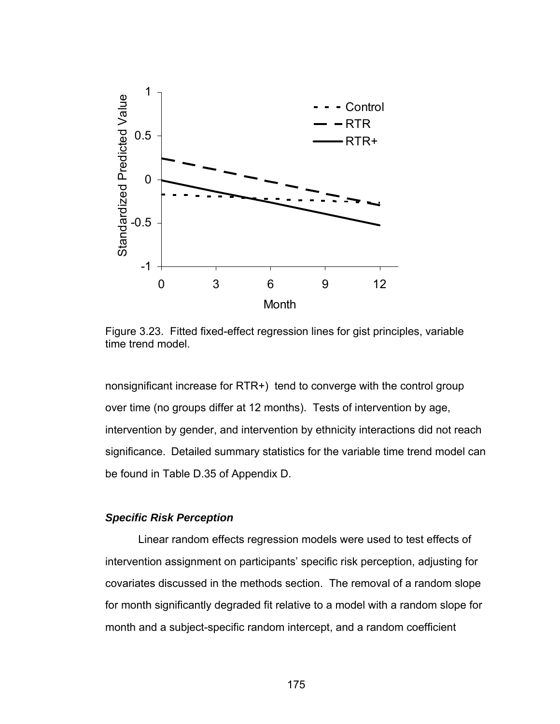

Figure 3.23. Fitted fixed-effect regression lines for gist principles, variable time trend model.

nonsignificant increase for RTR+) tend to converge with the control group over time (no groups differ at 12 months). Tests of intervention by age, intervention by gender, and intervention by ethnicity interactions did not reach significance. Detailed summary statistics for the variable time trend model can be found in Table D.35 of Appendix D.

#### *Specific Risk Perception*

 Linear random effects regression models were used to test effects of intervention assignment on participants' specific risk perception, adjusting for covariates discussed in the methods section. The removal of a random slope for month significantly degraded fit relative to a model with a random slope for month and a subject-specific random intercept, and a random coefficient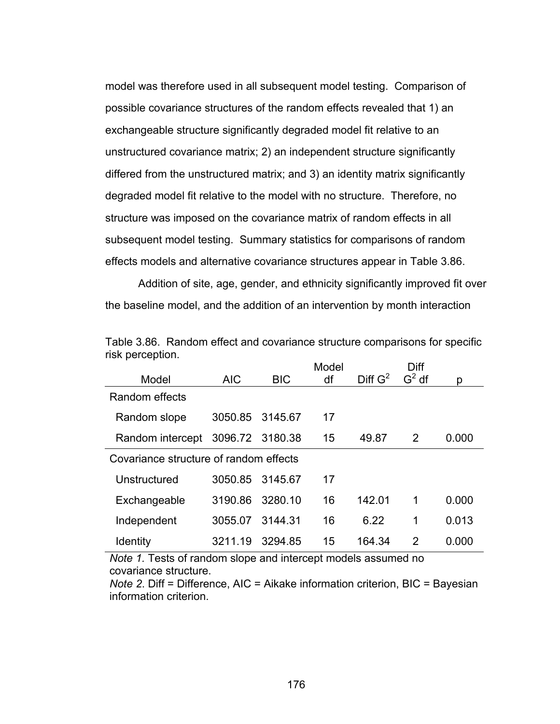model was therefore used in all subsequent model testing. Comparison of possible covariance structures of the random effects revealed that 1) an exchangeable structure significantly degraded model fit relative to an unstructured covariance matrix; 2) an independent structure significantly differed from the unstructured matrix; and 3) an identity matrix significantly degraded model fit relative to the model with no structure. Therefore, no structure was imposed on the covariance matrix of random effects in all subsequent model testing. Summary statistics for comparisons of random effects models and alternative covariance structures appear in Table 3.86.

Addition of site, age, gender, and ethnicity significantly improved fit over the baseline model, and the addition of an intervention by month interaction

|                                        |                 |            | Model |                     | Diff     |       |
|----------------------------------------|-----------------|------------|-------|---------------------|----------|-------|
| Model                                  | <b>AIC</b>      | <b>BIC</b> | df    | Diff G <sup>2</sup> | $G^2$ df | p     |
| Random effects                         |                 |            |       |                     |          |       |
| Random slope                           | 3050.85 3145.67 |            | 17    |                     |          |       |
| Random intercept                       | 3096.72 3180.38 |            | 15    | 49.87               | 2        | 0.000 |
| Covariance structure of random effects |                 |            |       |                     |          |       |
| Unstructured                           | 3050.85         | 3145.67    | 17    |                     |          |       |
| Exchangeable                           | 3190.86         | 3280.10    | 16    | 142.01              | 1        | 0.000 |
| Independent                            | 3055.07         | 3144.31    | 16    | 6.22                | 1        | 0.013 |
| Identity                               | 3211.19         | 3294.85    | 15    | 164.34              | 2        | 0.000 |

Table 3.86. Random effect and covariance structure comparisons for specific risk perception.

*Note 1.* Tests of random slope and intercept models assumed no covariance structure.

*Note 2*. Diff = Difference, AIC = Aikake information criterion, BIC = Bayesian information criterion.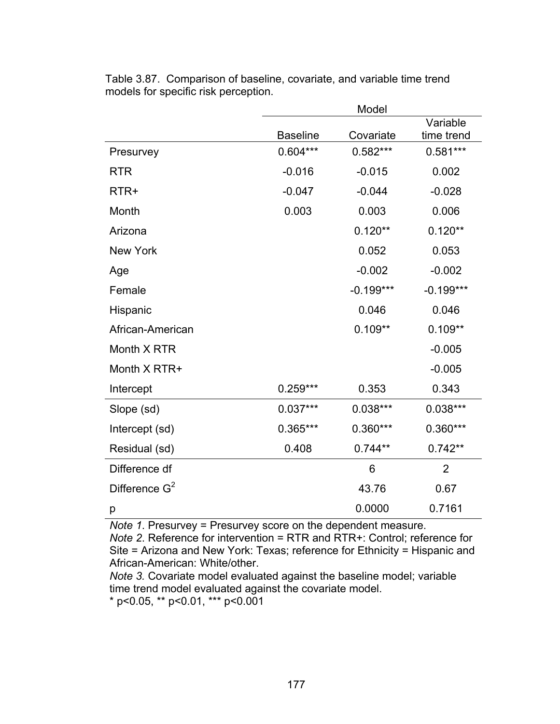|                  |                 | Model       |                |
|------------------|-----------------|-------------|----------------|
|                  |                 |             | Variable       |
|                  | <b>Baseline</b> | Covariate   | time trend     |
| Presurvey        | $0.604***$      | $0.582***$  | $0.581***$     |
| <b>RTR</b>       | $-0.016$        | $-0.015$    | 0.002          |
| RTR+             | $-0.047$        | $-0.044$    | $-0.028$       |
| Month            | 0.003           | 0.003       | 0.006          |
| Arizona          |                 | $0.120**$   | $0.120**$      |
| <b>New York</b>  |                 | 0.052       | 0.053          |
| Age              |                 | $-0.002$    | $-0.002$       |
| Female           |                 | $-0.199***$ | $-0.199***$    |
| Hispanic         |                 | 0.046       | 0.046          |
| African-American |                 | $0.109**$   | $0.109**$      |
| Month X RTR      |                 |             | $-0.005$       |
| Month X RTR+     |                 |             | $-0.005$       |
| Intercept        | $0.259***$      | 0.353       | 0.343          |
| Slope (sd)       | $0.037***$      | $0.038***$  | $0.038***$     |
| Intercept (sd)   | 0.365***        | $0.360***$  | $0.360***$     |
| Residual (sd)    | 0.408           | $0.744**$   | $0.742**$      |
| Difference df    |                 | 6           | $\overline{2}$ |
| Difference $G^2$ |                 | 43.76       | 0.67           |
| p                |                 | 0.0000      | 0.7161         |

Table 3.87. Comparison of baseline, covariate, and variable time trend models for specific risk perception.

*Note 1*. Presurvey = Presurvey score on the dependent measure.

*Note 2*. Reference for intervention = RTR and RTR+: Control; reference for Site = Arizona and New York: Texas; reference for Ethnicity = Hispanic and African-American: White/other.

*Note 3.* Covariate model evaluated against the baseline model; variable time trend model evaluated against the covariate model.

 $*$  p<0.05,  $*$  p<0.01,  $*$  $*$  p<0.001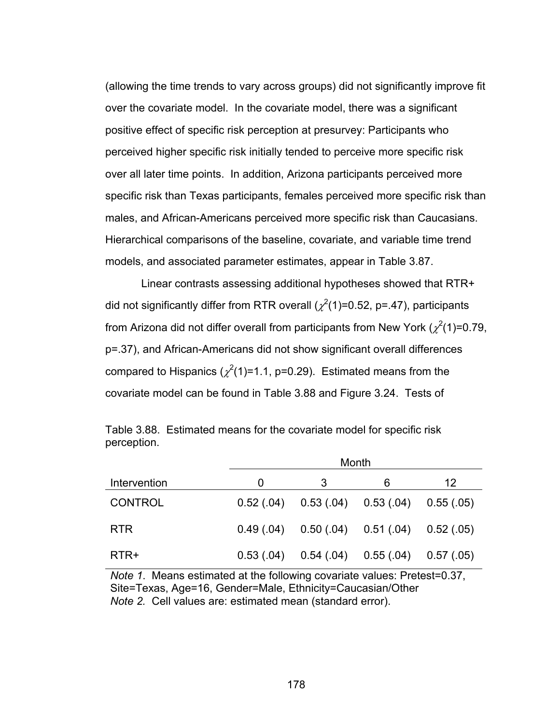(allowing the time trends to vary across groups) did not significantly improve fit over the covariate model. In the covariate model, there was a significant positive effect of specific risk perception at presurvey: Participants who perceived higher specific risk initially tended to perceive more specific risk over all later time points. In addition, Arizona participants perceived more specific risk than Texas participants, females perceived more specific risk than males, and African-Americans perceived more specific risk than Caucasians. Hierarchical comparisons of the baseline, covariate, and variable time trend models, and associated parameter estimates, appear in Table 3.87.

 Linear contrasts assessing additional hypotheses showed that RTR+ did not significantly differ from RTR overall ( $\chi^2(1)$ =0.52, p=.47), participants from Arizona did not differ overall from participants from New York ( $\chi^2$ (1)=0.79, p=.37), and African-Americans did not show significant overall differences compared to Hispanics  $(\chi^2(1)=1.1, p=0.29)$ . Estimated means from the covariate model can be found in Table 3.88 and Figure 3.24. Tests of

|                | Month |  |                                                     |    |  |  |
|----------------|-------|--|-----------------------------------------------------|----|--|--|
| Intervention   | O     |  | 6                                                   | 12 |  |  |
| <b>CONTROL</b> |       |  | $0.52(0.04)$ $0.53(0.04)$ $0.53(0.04)$ $0.55(0.05)$ |    |  |  |
| <b>RTR</b>     |       |  | $0.49(0.04)$ $0.50(0.04)$ $0.51(0.04)$ $0.52(0.05)$ |    |  |  |
| RTR+           |       |  | $0.53(0.04)$ $0.54(0.04)$ $0.55(0.04)$ $0.57(0.05)$ |    |  |  |

Table 3.88. Estimated means for the covariate model for specific risk perception.

*Note 1*. Means estimated at the following covariate values: Pretest=0.37, Site=Texas, Age=16, Gender=Male, Ethnicity=Caucasian/Other *Note 2.* Cell values are: estimated mean (standard error).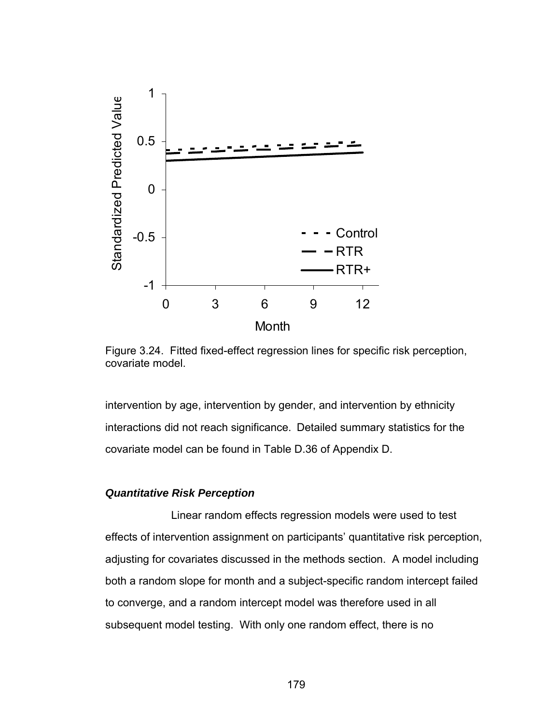

Figure 3.24. Fitted fixed-effect regression lines for specific risk perception, covariate model.

intervention by age, intervention by gender, and intervention by ethnicity interactions did not reach significance. Detailed summary statistics for the covariate model can be found in Table D.36 of Appendix D.

## *Quantitative Risk Perception*

 Linear random effects regression models were used to test effects of intervention assignment on participants' quantitative risk perception, adjusting for covariates discussed in the methods section. A model including both a random slope for month and a subject-specific random intercept failed to converge, and a random intercept model was therefore used in all subsequent model testing. With only one random effect, there is no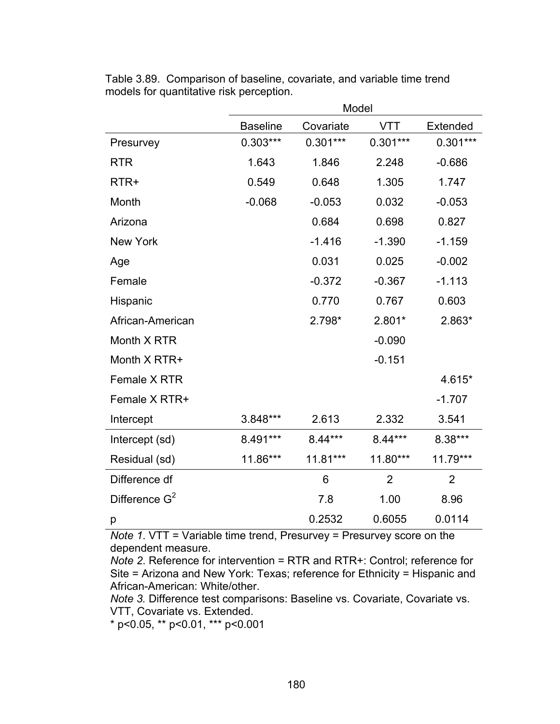|                  | Model           |            |                |                |
|------------------|-----------------|------------|----------------|----------------|
|                  | <b>Baseline</b> | Covariate  | <b>VTT</b>     | Extended       |
| Presurvey        | $0.303***$      | $0.301***$ | $0.301***$     | $0.301***$     |
| <b>RTR</b>       | 1.643           | 1.846      | 2.248          | $-0.686$       |
| RTR+             | 0.549           | 0.648      | 1.305          | 1.747          |
| Month            | $-0.068$        | $-0.053$   | 0.032          | $-0.053$       |
| Arizona          |                 | 0.684      | 0.698          | 0.827          |
| <b>New York</b>  |                 | $-1.416$   | $-1.390$       | $-1.159$       |
| Age              |                 | 0.031      | 0.025          | $-0.002$       |
| Female           |                 | $-0.372$   | $-0.367$       | $-1.113$       |
| Hispanic         |                 | 0.770      | 0.767          | 0.603          |
| African-American |                 | 2.798*     | 2.801*         | 2.863*         |
| Month X RTR      |                 |            | $-0.090$       |                |
| Month X RTR+     |                 |            | $-0.151$       |                |
| Female X RTR     |                 |            |                | 4.615*         |
| Female X RTR+    |                 |            |                | $-1.707$       |
| Intercept        | 3.848***        | 2.613      | 2.332          | 3.541          |
| Intercept (sd)   | 8.491***        | 8.44***    | 8.44***        | 8.38***        |
| Residual (sd)    | 11.86***        | 11.81***   | 11.80***       | 11.79***       |
| Difference df    |                 | 6          | $\overline{2}$ | $\overline{2}$ |
| Difference $G^2$ |                 | 7.8        | 1.00           | 8.96           |
| р                |                 | 0.2532     | 0.6055         | 0.0114         |

Table 3.89. Comparison of baseline, covariate, and variable time trend models for quantitative risk perception.

*Note 1*. VTT = Variable time trend, Presurvey = Presurvey score on the dependent measure.

*Note 2*. Reference for intervention = RTR and RTR+: Control; reference for Site = Arizona and New York: Texas; reference for Ethnicity = Hispanic and African-American: White/other.

*Note 3.* Difference test comparisons: Baseline vs. Covariate, Covariate vs. VTT, Covariate vs. Extended.

\* p<0.05, \*\* p<0.01, \*\*\* p<0.001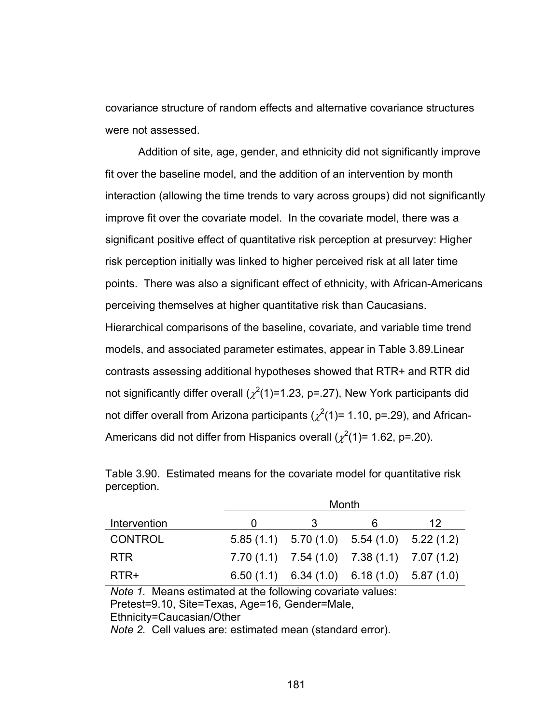covariance structure of random effects and alternative covariance structures were not assessed.

Addition of site, age, gender, and ethnicity did not significantly improve fit over the baseline model, and the addition of an intervention by month interaction (allowing the time trends to vary across groups) did not significantly improve fit over the covariate model. In the covariate model, there was a significant positive effect of quantitative risk perception at presurvey: Higher risk perception initially was linked to higher perceived risk at all later time points. There was also a significant effect of ethnicity, with African-Americans perceiving themselves at higher quantitative risk than Caucasians. Hierarchical comparisons of the baseline, covariate, and variable time trend models, and associated parameter estimates, appear in Table 3.89.Linear contrasts assessing additional hypotheses showed that RTR+ and RTR did not significantly differ overall ( $\chi^2$ (1)=1.23, p=.27), New York participants did not differ overall from Arizona participants ( $\chi^2$ (1)= 1.10, p=.29), and African-Americans did not differ from Hispanics overall  $(\chi^2(1)=1.62, p=.20)$ .

|                | Month |                                                 |    |  |  |
|----------------|-------|-------------------------------------------------|----|--|--|
| Intervention   | 3     | 6                                               | 12 |  |  |
| <b>CONTROL</b> |       | $5.85(1.1)$ $5.70(1.0)$ $5.54(1.0)$ $5.22(1.2)$ |    |  |  |
| <b>RTR</b>     |       | $7.70(1.1)$ $7.54(1.0)$ $7.38(1.1)$ $7.07(1.2)$ |    |  |  |
| RTR+           |       | $6.50(1.1)$ $6.34(1.0)$ $6.18(1.0)$ $5.87(1.0)$ |    |  |  |

Table 3.90. Estimated means for the covariate model for quantitative risk perception.

*Note 1.* Means estimated at the following covariate values: Pretest=9.10, Site=Texas, Age=16, Gender=Male, Ethnicity=Caucasian/Other

*Note 2.* Cell values are: estimated mean (standard error).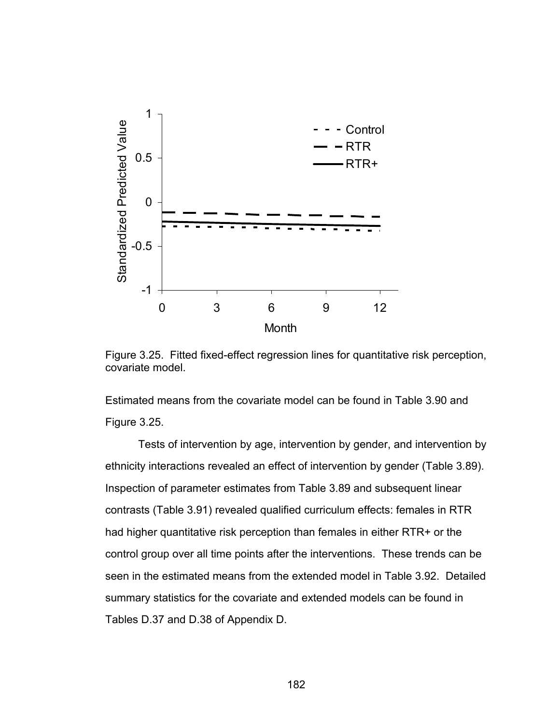

Figure 3.25. Fitted fixed-effect regression lines for quantitative risk perception, covariate model.

Estimated means from the covariate model can be found in Table 3.90 and Figure 3.25.

Tests of intervention by age, intervention by gender, and intervention by ethnicity interactions revealed an effect of intervention by gender (Table 3.89). Inspection of parameter estimates from Table 3.89 and subsequent linear contrasts (Table 3.91) revealed qualified curriculum effects: females in RTR had higher quantitative risk perception than females in either RTR+ or the control group over all time points after the interventions. These trends can be seen in the estimated means from the extended model in Table 3.92. Detailed summary statistics for the covariate and extended models can be found in Tables D.37 and D.38 of Appendix D.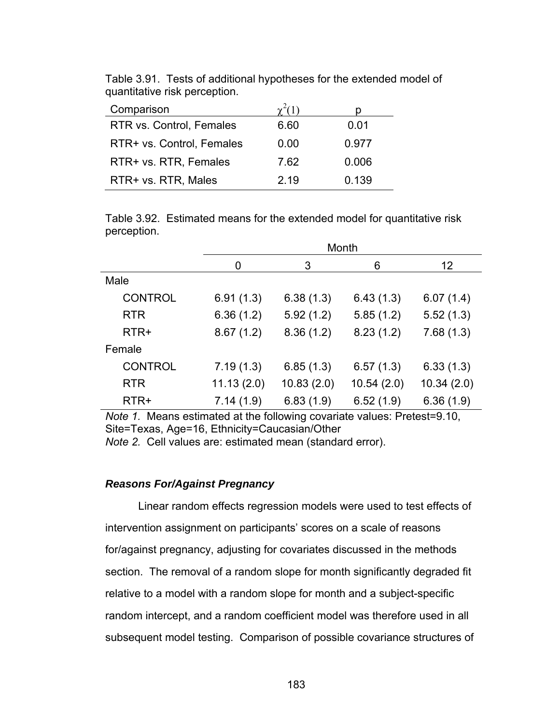| Comparison                |      |       |
|---------------------------|------|-------|
| RTR vs. Control, Females  | 6.60 | 0.01  |
| RTR+ vs. Control, Females | 0.00 | 0.977 |
| RTR+ vs. RTR, Females     | 7.62 | 0.006 |
| RTR+ vs. RTR, Males       | 2.19 | 0.139 |

Table 3.91. Tests of additional hypotheses for the extended model of quantitative risk perception.

Table 3.92. Estimated means for the extended model for quantitative risk perception.

|                | Month      |            |            |            |  |  |
|----------------|------------|------------|------------|------------|--|--|
|                | 0          | 3          | 6          | 12         |  |  |
| Male           |            |            |            |            |  |  |
| <b>CONTROL</b> | 6.91(1.3)  | 6.38(1.3)  | 6.43(1.3)  | 6.07(1.4)  |  |  |
| <b>RTR</b>     | 6.36(1.2)  | 5.92(1.2)  | 5.85(1.2)  | 5.52(1.3)  |  |  |
| RTR+           | 8.67(1.2)  | 8.36(1.2)  | 8.23(1.2)  | 7.68(1.3)  |  |  |
| Female         |            |            |            |            |  |  |
| <b>CONTROL</b> | 7.19(1.3)  | 6.85(1.3)  | 6.57(1.3)  | 6.33(1.3)  |  |  |
| <b>RTR</b>     | 11.13(2.0) | 10.83(2.0) | 10.54(2.0) | 10.34(2.0) |  |  |
| RTR+           | 7.14(1.9)  | 6.83(1.9)  | 6.52(1.9)  | 6.36(1.9)  |  |  |

*Note 1.* Means estimated at the following covariate values: Pretest=9.10, Site=Texas, Age=16, Ethnicity=Caucasian/Other

*Note 2.* Cell values are: estimated mean (standard error).

## *Reasons For/Against Pregnancy*

 Linear random effects regression models were used to test effects of intervention assignment on participants' scores on a scale of reasons for/against pregnancy, adjusting for covariates discussed in the methods section. The removal of a random slope for month significantly degraded fit relative to a model with a random slope for month and a subject-specific random intercept, and a random coefficient model was therefore used in all subsequent model testing. Comparison of possible covariance structures of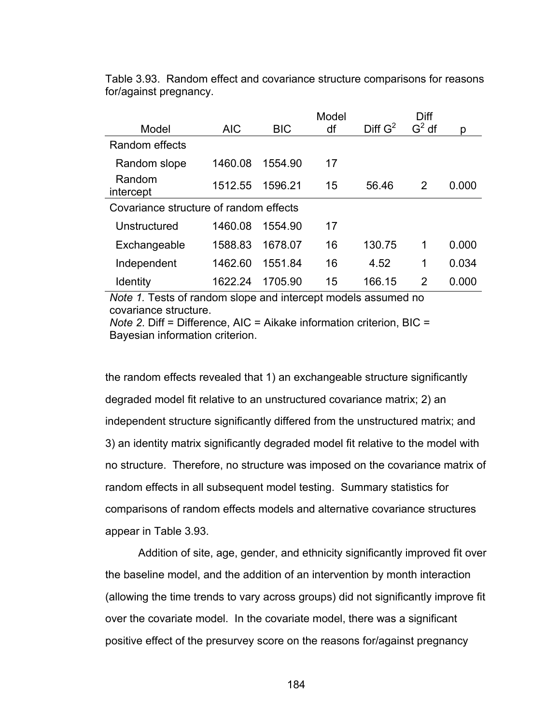| Model                                  | <b>AIC</b> | <b>BIC</b> | Model<br>df | Diff $G^2$ | Diff<br>$G2$ df | D     |
|----------------------------------------|------------|------------|-------------|------------|-----------------|-------|
| Random effects                         |            |            |             |            |                 |       |
| Random slope                           | 1460.08    | 1554.90    | 17          |            |                 |       |
| Random<br>intercept                    | 1512.55    | 1596.21    | 15          | 56.46      | 2               | 0.000 |
| Covariance structure of random effects |            |            |             |            |                 |       |
| Unstructured                           | 1460.08    | 1554.90    | 17          |            |                 |       |
| Exchangeable                           | 1588.83    | 1678.07    | 16          | 130.75     | 1               | 0.000 |
| Independent                            | 1462.60    | 1551.84    | 16          | 4.52       | 1               | 0.034 |
| <b>Identity</b>                        | 1622.24    | 1705.90    | 15          | 166.15     | 2               | 0.000 |

Table 3.93. Random effect and covariance structure comparisons for reasons for/against pregnancy.

*Note 1.* Tests of random slope and intercept models assumed no covariance structure.

*Note 2*. Diff = Difference, AIC = Aikake information criterion, BIC = Bayesian information criterion.

the random effects revealed that 1) an exchangeable structure significantly degraded model fit relative to an unstructured covariance matrix; 2) an independent structure significantly differed from the unstructured matrix; and 3) an identity matrix significantly degraded model fit relative to the model with no structure. Therefore, no structure was imposed on the covariance matrix of random effects in all subsequent model testing. Summary statistics for comparisons of random effects models and alternative covariance structures appear in Table 3.93.

Addition of site, age, gender, and ethnicity significantly improved fit over the baseline model, and the addition of an intervention by month interaction (allowing the time trends to vary across groups) did not significantly improve fit over the covariate model. In the covariate model, there was a significant positive effect of the presurvey score on the reasons for/against pregnancy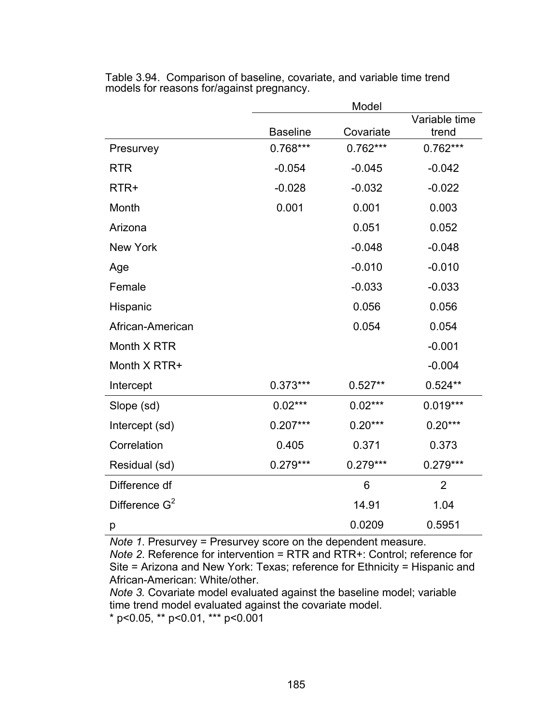|                  |                 | Model      |                        |
|------------------|-----------------|------------|------------------------|
|                  | <b>Baseline</b> | Covariate  | Variable time<br>trend |
| Presurvey        | $0.768***$      | $0.762***$ | $0.762***$             |
| <b>RTR</b>       | $-0.054$        | $-0.045$   | $-0.042$               |
| RTR+             | $-0.028$        | $-0.032$   | $-0.022$               |
| Month            | 0.001           | 0.001      | 0.003                  |
| Arizona          |                 | 0.051      | 0.052                  |
| <b>New York</b>  |                 | $-0.048$   | $-0.048$               |
| Age              |                 | $-0.010$   | $-0.010$               |
| Female           |                 | $-0.033$   | $-0.033$               |
| Hispanic         |                 | 0.056      | 0.056                  |
| African-American |                 | 0.054      | 0.054                  |
| Month X RTR      |                 |            | $-0.001$               |
| Month X RTR+     |                 |            | $-0.004$               |
| Intercept        | $0.373***$      | $0.527**$  | $0.524**$              |
| Slope (sd)       | $0.02***$       | $0.02***$  | $0.019***$             |
| Intercept (sd)   | $0.207***$      | $0.20***$  | $0.20***$              |
| Correlation      | 0.405           | 0.371      | 0.373                  |
| Residual (sd)    | $0.279***$      | $0.279***$ | $0.279***$             |
| Difference df    |                 | 6          | $\overline{2}$         |
| Difference $G^2$ |                 | 14.91      | 1.04                   |
| р                |                 | 0.0209     | 0.5951                 |

Table 3.94. Comparison of baseline, covariate, and variable time trend models for reasons for/against pregnancy.

*Note 1*. Presurvey = Presurvey score on the dependent measure.

*Note 2*. Reference for intervention = RTR and RTR+: Control; reference for Site = Arizona and New York: Texas; reference for Ethnicity = Hispanic and African-American: White/other.

*Note 3.* Covariate model evaluated against the baseline model; variable time trend model evaluated against the covariate model.

 $*$  p<0.05,  $*$  p<0.01,  $*$  $*$  p<0.001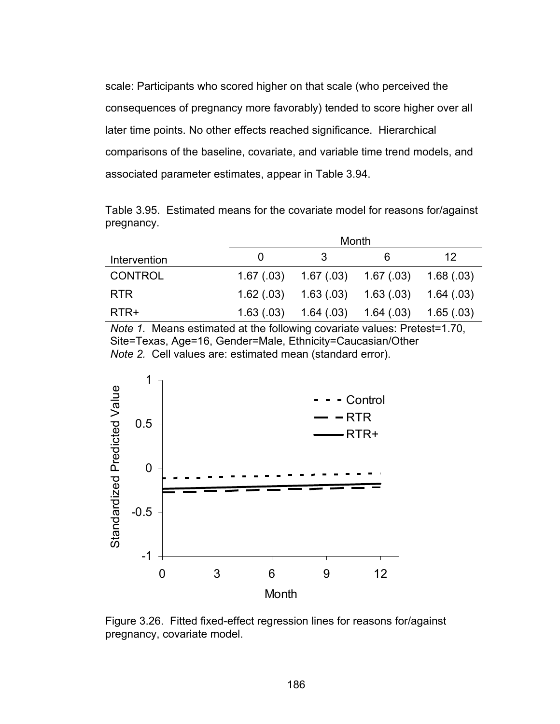scale: Participants who scored higher on that scale (who perceived the consequences of pregnancy more favorably) tended to score higher over all later time points. No other effects reached significance. Hierarchical comparisons of the baseline, covariate, and variable time trend models, and associated parameter estimates, appear in Table 3.94.

Table 3.95. Estimated means for the covariate model for reasons for/against pregnancy.

|                |            | Month                 |                           |           |
|----------------|------------|-----------------------|---------------------------|-----------|
| Intervention   |            | -3                    | 6                         | 12        |
| <b>CONTROL</b> | 1.67 (.03) | $1.67(03)$ $1.67(03)$ |                           | 1.68(.03) |
| <b>RTR</b>     | 1.62(.03)  |                       | $1.63(0.03)$ $1.63(0.03)$ | 1.64(.03) |
| RTR+           | 1.63(0.03) | 1.64(0.03)            | 1.64(0.03)                | 1.65(.03) |

*Note 1.* Means estimated at the following covariate values: Pretest=1.70, Site=Texas, Age=16, Gender=Male, Ethnicity=Caucasian/Other *Note 2.* Cell values are: estimated mean (standard error).



Figure 3.26. Fitted fixed-effect regression lines for reasons for/against pregnancy, covariate model.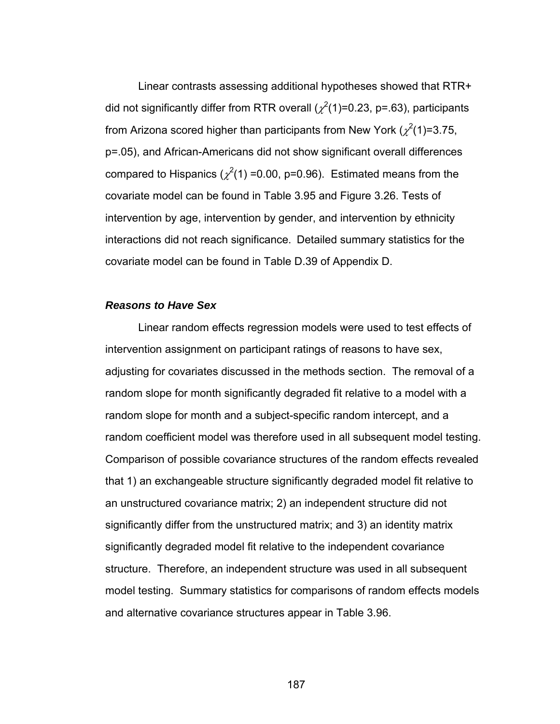Linear contrasts assessing additional hypotheses showed that RTR+ did not significantly differ from RTR overall ( $\chi^2$ (1)=0.23, p=.63), participants from Arizona scored higher than participants from New York ( $\chi^2$ (1)=3.75, p=.05), and African-Americans did not show significant overall differences compared to Hispanics ( $\chi^2(1)$  =0.00, p=0.96). Estimated means from the covariate model can be found in Table 3.95 and Figure 3.26. Tests of intervention by age, intervention by gender, and intervention by ethnicity interactions did not reach significance. Detailed summary statistics for the covariate model can be found in Table D.39 of Appendix D.

#### *Reasons to Have Sex*

 Linear random effects regression models were used to test effects of intervention assignment on participant ratings of reasons to have sex, adjusting for covariates discussed in the methods section. The removal of a random slope for month significantly degraded fit relative to a model with a random slope for month and a subject-specific random intercept, and a random coefficient model was therefore used in all subsequent model testing. Comparison of possible covariance structures of the random effects revealed that 1) an exchangeable structure significantly degraded model fit relative to an unstructured covariance matrix; 2) an independent structure did not significantly differ from the unstructured matrix; and 3) an identity matrix significantly degraded model fit relative to the independent covariance structure. Therefore, an independent structure was used in all subsequent model testing. Summary statistics for comparisons of random effects models and alternative covariance structures appear in Table 3.96.

187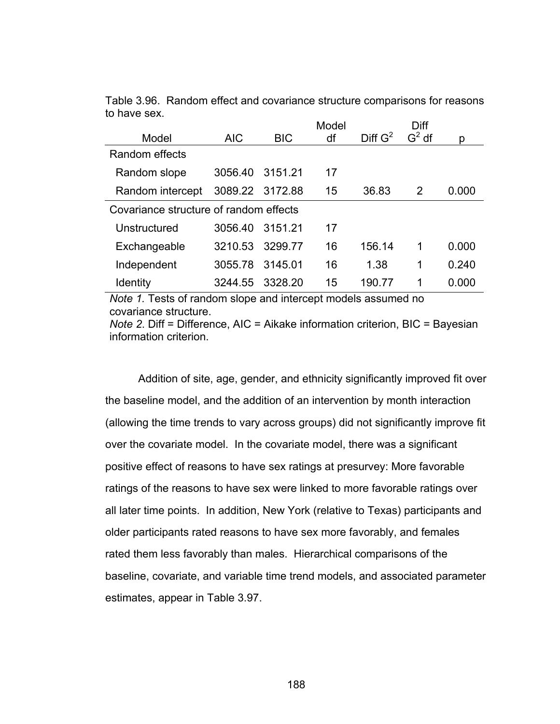|                                        |                 |            | Model |            | Diff    |       |
|----------------------------------------|-----------------|------------|-------|------------|---------|-------|
| Model                                  | <b>AIC</b>      | <b>BIC</b> | df    | Diff $G^2$ | $G2$ df | p     |
| Random effects                         |                 |            |       |            |         |       |
| Random slope                           | 3056.40         | 3151.21    | 17    |            |         |       |
| Random intercept                       | 3089.22 3172.88 |            | 15    | 36.83      | 2       | 0.000 |
| Covariance structure of random effects |                 |            |       |            |         |       |
| Unstructured                           | 3056.40         | 3151.21    | 17    |            |         |       |
| Exchangeable                           | 3210.53         | 3299.77    | 16    | 156.14     | 1       | 0.000 |
| Independent                            | 3055.78         | 3145.01    | 16    | 1.38       | 1       | 0.240 |
| <b>Identity</b>                        | 3244.55         | 3328.20    | 15    | 190.77     | 1       | 0.000 |

Table 3.96. Random effect and covariance structure comparisons for reasons to have sex.

*Note 1.* Tests of random slope and intercept models assumed no covariance structure.

*Note 2*. Diff = Difference, AIC = Aikake information criterion, BIC = Bayesian information criterion.

Addition of site, age, gender, and ethnicity significantly improved fit over the baseline model, and the addition of an intervention by month interaction (allowing the time trends to vary across groups) did not significantly improve fit over the covariate model. In the covariate model, there was a significant positive effect of reasons to have sex ratings at presurvey: More favorable ratings of the reasons to have sex were linked to more favorable ratings over all later time points. In addition, New York (relative to Texas) participants and older participants rated reasons to have sex more favorably, and females rated them less favorably than males. Hierarchical comparisons of the baseline, covariate, and variable time trend models, and associated parameter estimates, appear in Table 3.97.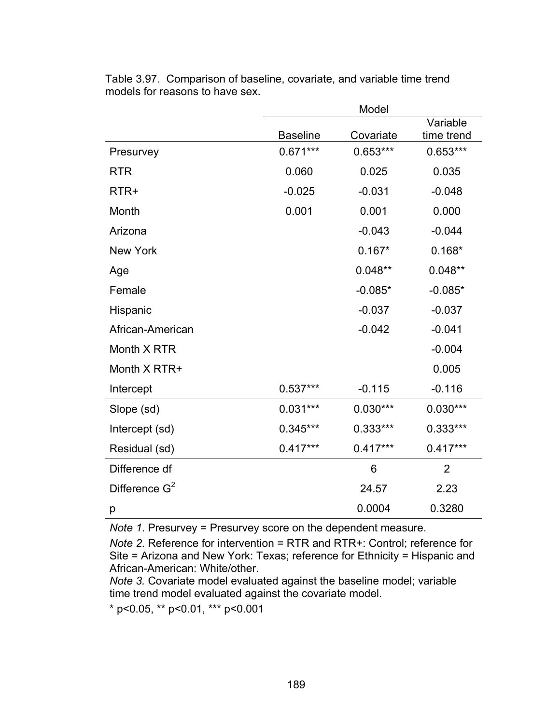|                  |                 | Model      |                |
|------------------|-----------------|------------|----------------|
|                  |                 |            | Variable       |
|                  | <b>Baseline</b> | Covariate  | time trend     |
| Presurvey        | $0.671***$      | $0.653***$ | $0.653***$     |
| <b>RTR</b>       | 0.060           | 0.025      | 0.035          |
| RTR+             | $-0.025$        | $-0.031$   | $-0.048$       |
| Month            | 0.001           | 0.001      | 0.000          |
| Arizona          |                 | $-0.043$   | $-0.044$       |
| <b>New York</b>  |                 | $0.167*$   | $0.168*$       |
| Age              |                 | $0.048**$  | $0.048**$      |
| Female           |                 | $-0.085*$  | $-0.085*$      |
| Hispanic         |                 | $-0.037$   | $-0.037$       |
| African-American |                 | $-0.042$   | $-0.041$       |
| Month X RTR      |                 |            | $-0.004$       |
| Month X RTR+     |                 |            | 0.005          |
| Intercept        | $0.537***$      | $-0.115$   | $-0.116$       |
| Slope (sd)       | $0.031***$      | $0.030***$ | $0.030***$     |
| Intercept (sd)   | $0.345***$      | $0.333***$ | 0.333***       |
| Residual (sd)    | $0.417***$      | $0.417***$ | $0.417***$     |
| Difference df    |                 | 6          | $\overline{2}$ |
| Difference $G^2$ |                 | 24.57      | 2.23           |
| р                |                 | 0.0004     | 0.3280         |

Table 3.97. Comparison of baseline, covariate, and variable time trend models for reasons to have sex.

*Note 1*. Presurvey = Presurvey score on the dependent measure.

*Note 2*. Reference for intervention = RTR and RTR+: Control; reference for Site = Arizona and New York: Texas; reference for Ethnicity = Hispanic and African-American: White/other.

*Note 3.* Covariate model evaluated against the baseline model; variable time trend model evaluated against the covariate model.

\* p<0.05, \*\* p<0.01, \*\*\* p<0.001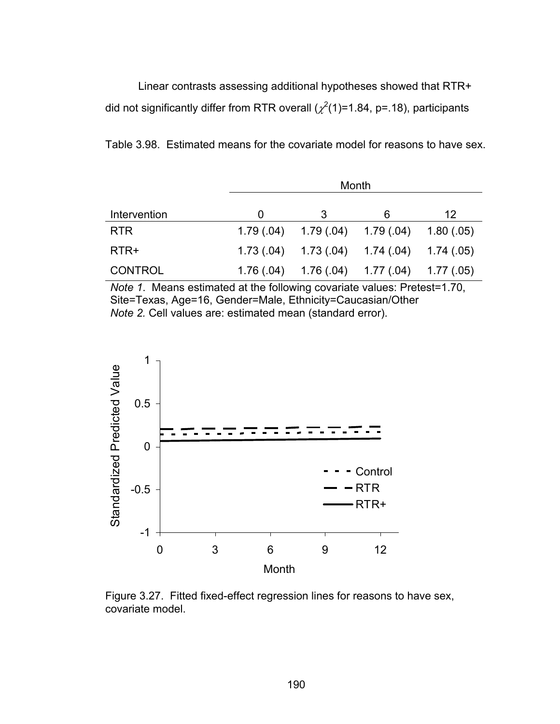Linear contrasts assessing additional hypotheses showed that RTR+ did not significantly differ from RTR overall ( $\chi^2(1)$ =1.84, p=.18), participants

Table 3.98. Estimated means for the covariate model for reasons to have sex.

|                | Month      |                                     |                                                     |            |  |  |
|----------------|------------|-------------------------------------|-----------------------------------------------------|------------|--|--|
| Intervention   | $\Omega$   | 3                                   | 6                                                   | 12         |  |  |
| <b>RTR</b>     |            | $1.79(.04)$ $1.79(.04)$ $1.79(.04)$ |                                                     | 1.80(0.05) |  |  |
| RTR+           |            |                                     | $1.73(0.04)$ $1.73(0.04)$ $1.74(0.04)$ $1.74(0.05)$ |            |  |  |
| <b>CONTROL</b> | 1.76 (.04) |                                     | $1.76(04)$ $1.77(04)$ $1.77(05)$                    |            |  |  |

*Note 1*. Means estimated at the following covariate values: Pretest=1.70, Site=Texas, Age=16, Gender=Male, Ethnicity=Caucasian/Other *Note 2.* Cell values are: estimated mean (standard error).



Figure 3.27. Fitted fixed-effect regression lines for reasons to have sex, covariate model.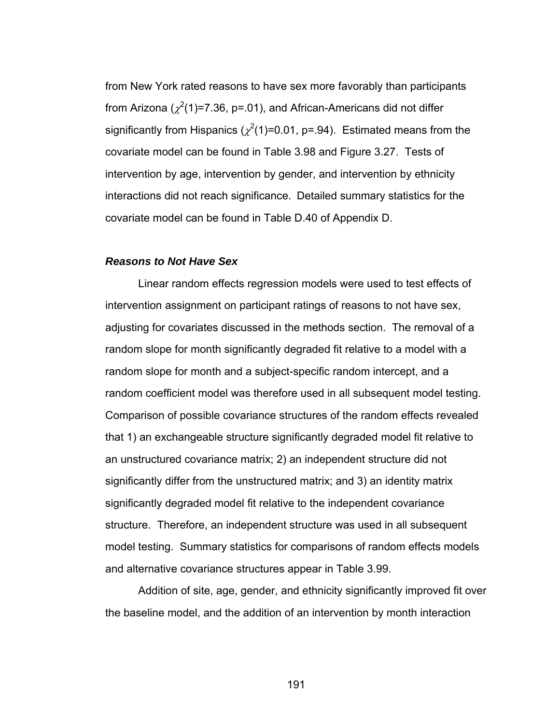from New York rated reasons to have sex more favorably than participants from Arizona ( $\chi^2$ (1)=7.36, p=.01), and African-Americans did not differ significantly from Hispanics ( $\chi^2(1)$ =0.01, p=.94). Estimated means from the covariate model can be found in Table 3.98 and Figure 3.27. Tests of intervention by age, intervention by gender, and intervention by ethnicity interactions did not reach significance. Detailed summary statistics for the covariate model can be found in Table D.40 of Appendix D.

#### *Reasons to Not Have Sex*

 Linear random effects regression models were used to test effects of intervention assignment on participant ratings of reasons to not have sex, adjusting for covariates discussed in the methods section. The removal of a random slope for month significantly degraded fit relative to a model with a random slope for month and a subject-specific random intercept, and a random coefficient model was therefore used in all subsequent model testing. Comparison of possible covariance structures of the random effects revealed that 1) an exchangeable structure significantly degraded model fit relative to an unstructured covariance matrix; 2) an independent structure did not significantly differ from the unstructured matrix; and 3) an identity matrix significantly degraded model fit relative to the independent covariance structure. Therefore, an independent structure was used in all subsequent model testing. Summary statistics for comparisons of random effects models and alternative covariance structures appear in Table 3.99.

Addition of site, age, gender, and ethnicity significantly improved fit over the baseline model, and the addition of an intervention by month interaction

191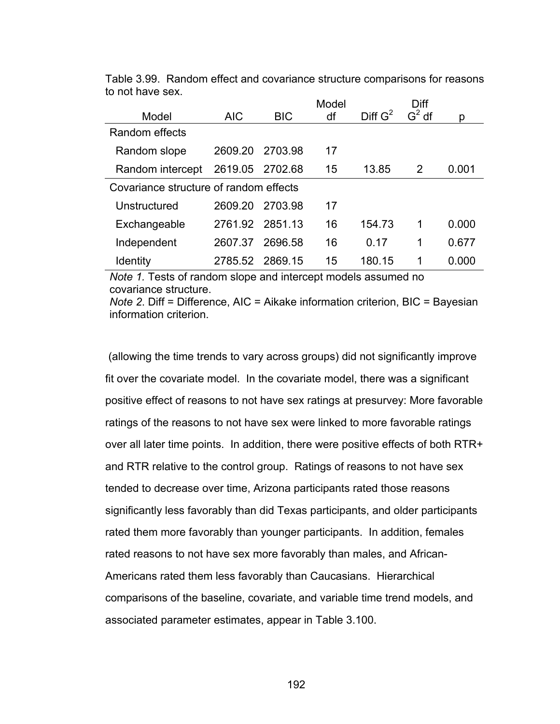|                                        |                 |            | Model |                     | Diff     |       |
|----------------------------------------|-----------------|------------|-------|---------------------|----------|-------|
| Model                                  | <b>AIC</b>      | <b>BIC</b> | df    | Diff G <sup>2</sup> | $G^2$ df | p     |
| Random effects                         |                 |            |       |                     |          |       |
| Random slope                           | 2609.20         | 2703.98    | 17    |                     |          |       |
| Random intercept                       | 2619.05 2702.68 |            | 15    | 13.85               | 2        | 0.001 |
| Covariance structure of random effects |                 |            |       |                     |          |       |
| Unstructured                           | 2609.20         | 2703.98    | 17    |                     |          |       |
| Exchangeable                           | 2761.92 2851.13 |            | 16    | 154.73              | 1        | 0.000 |
| Independent                            | 2607.37         | 2696.58    | 16    | 0.17                | 1        | 0.677 |
| <b>Identity</b>                        | 2785.52 2869.15 |            | 15    | 180.15              | 1        | 0.000 |

Table 3.99. Random effect and covariance structure comparisons for reasons to not have sex.

*Note 1.* Tests of random slope and intercept models assumed no covariance structure.

*Note 2*. Diff = Difference, AIC = Aikake information criterion, BIC = Bayesian information criterion.

 (allowing the time trends to vary across groups) did not significantly improve fit over the covariate model. In the covariate model, there was a significant positive effect of reasons to not have sex ratings at presurvey: More favorable ratings of the reasons to not have sex were linked to more favorable ratings over all later time points. In addition, there were positive effects of both RTR+ and RTR relative to the control group. Ratings of reasons to not have sex tended to decrease over time, Arizona participants rated those reasons significantly less favorably than did Texas participants, and older participants rated them more favorably than younger participants. In addition, females rated reasons to not have sex more favorably than males, and African-Americans rated them less favorably than Caucasians. Hierarchical comparisons of the baseline, covariate, and variable time trend models, and associated parameter estimates, appear in Table 3.100.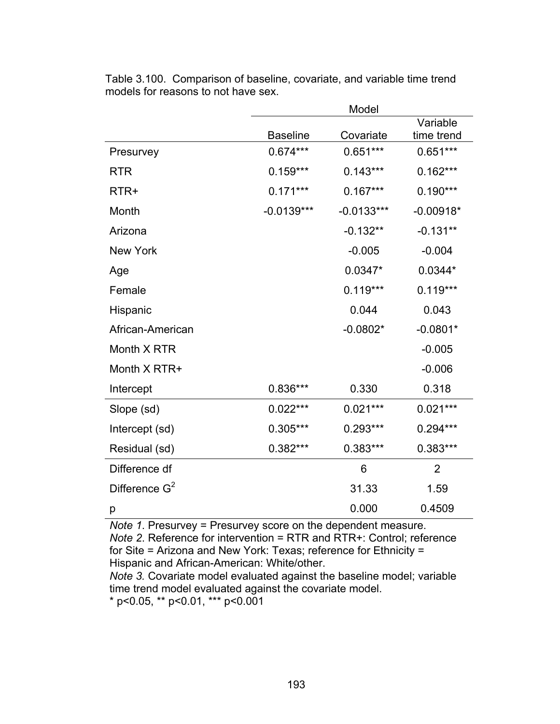|                  |                 | Model        |                        |
|------------------|-----------------|--------------|------------------------|
|                  | <b>Baseline</b> | Covariate    | Variable<br>time trend |
| Presurvey        | $0.674***$      | $0.651***$   | $0.651***$             |
| <b>RTR</b>       | $0.159***$      | $0.143***$   | $0.162***$             |
| RTR+             | $0.171***$      | $0.167***$   | $0.190***$             |
| Month            | $-0.0139***$    | $-0.0133***$ | $-0.00918*$            |
| Arizona          |                 | $-0.132**$   | $-0.131**$             |
| <b>New York</b>  |                 | $-0.005$     | $-0.004$               |
| Age              |                 | $0.0347*$    | $0.0344*$              |
| Female           |                 | $0.119***$   | $0.119***$             |
| Hispanic         |                 | 0.044        | 0.043                  |
| African-American |                 | $-0.0802*$   | $-0.0801*$             |
| Month X RTR      |                 |              | $-0.005$               |
| Month X RTR+     |                 |              | $-0.006$               |
| Intercept        | 0.836***        | 0.330        | 0.318                  |
| Slope (sd)       | $0.022***$      | $0.021***$   | $0.021***$             |
| Intercept (sd)   | 0.305***        | $0.293***$   | $0.294***$             |
| Residual (sd)    | $0.382***$      | 0.383***     | 0.383***               |
| Difference df    |                 | 6            | $\overline{2}$         |
| Difference $G^2$ |                 | 31.33        | 1.59                   |
| p                |                 | 0.000        | 0.4509                 |

Table 3.100. Comparison of baseline, covariate, and variable time trend models for reasons to not have sex.

*Note 1*. Presurvey = Presurvey score on the dependent measure. *Note 2*. Reference for intervention = RTR and RTR+: Control; reference for Site = Arizona and New York: Texas; reference for Ethnicity = Hispanic and African-American: White/other.

*Note 3.* Covariate model evaluated against the baseline model; variable time trend model evaluated against the covariate model.

 $*$  p<0.05,  $*$  p<0.01,  $**$  p<0.001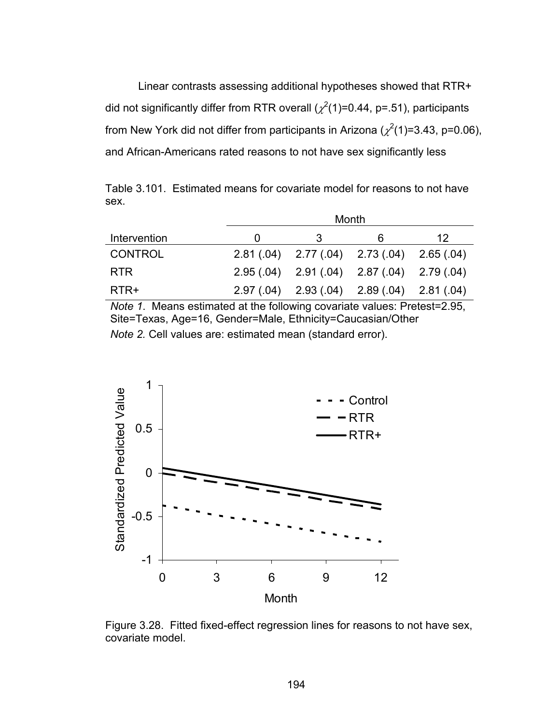Linear contrasts assessing additional hypotheses showed that RTR+ did not significantly differ from RTR overall ( $\chi^2$ (1)=0.44, p=.51), participants from New York did not differ from participants in Arizona ( $\chi^2(1)$ =3.43, p=0.06), and African-Americans rated reasons to not have sex significantly less

Table 3.101. Estimated means for covariate model for reasons to not have sex.

|                | Month                                           |   |    |  |  |
|----------------|-------------------------------------------------|---|----|--|--|
| Intervention   |                                                 | 6 | 12 |  |  |
| <b>CONTROL</b> | $2.81(.04)$ $2.77(.04)$ $2.73(.04)$ $2.65(.04)$ |   |    |  |  |
| <b>RTR</b>     | $2.95(.04)$ $2.91(.04)$ $2.87(.04)$ $2.79(.04)$ |   |    |  |  |
| RTR+           | $2.97(.04)$ $2.93(.04)$ $2.89(.04)$ $2.81(.04)$ |   |    |  |  |

*Note 1*. Means estimated at the following covariate values: Pretest=2.95, Site=Texas, Age=16, Gender=Male, Ethnicity=Caucasian/Other *Note 2.* Cell values are: estimated mean (standard error).



Figure 3.28. Fitted fixed-effect regression lines for reasons to not have sex, covariate model.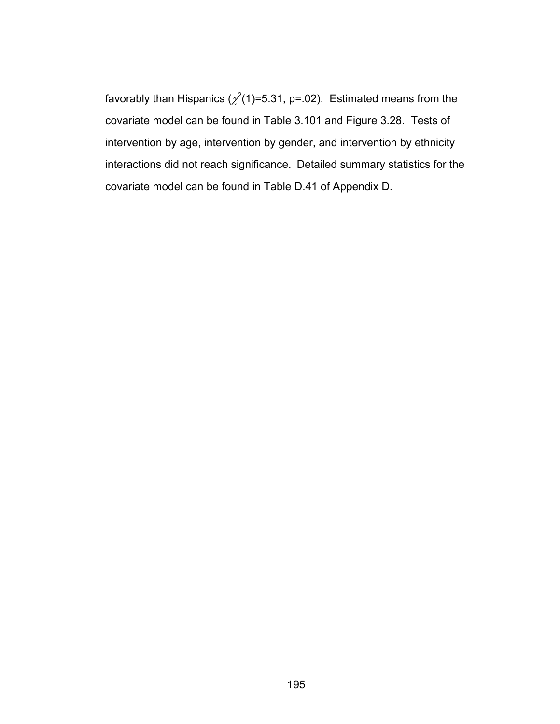favorably than Hispanics ( $\chi^2$ (1)=5.31, p=.02). Estimated means from the covariate model can be found in Table 3.101 and Figure 3.28. Tests of intervention by age, intervention by gender, and intervention by ethnicity interactions did not reach significance. Detailed summary statistics for the covariate model can be found in Table D.41 of Appendix D.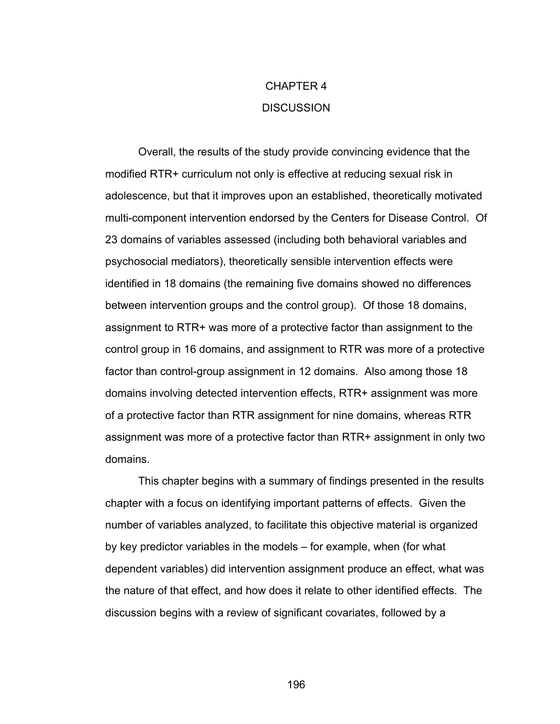# CHAPTER 4 **DISCUSSION**

Overall, the results of the study provide convincing evidence that the modified RTR+ curriculum not only is effective at reducing sexual risk in adolescence, but that it improves upon an established, theoretically motivated multi-component intervention endorsed by the Centers for Disease Control. Of 23 domains of variables assessed (including both behavioral variables and psychosocial mediators), theoretically sensible intervention effects were identified in 18 domains (the remaining five domains showed no differences between intervention groups and the control group). Of those 18 domains, assignment to RTR+ was more of a protective factor than assignment to the control group in 16 domains, and assignment to RTR was more of a protective factor than control-group assignment in 12 domains. Also among those 18 domains involving detected intervention effects, RTR+ assignment was more of a protective factor than RTR assignment for nine domains, whereas RTR assignment was more of a protective factor than RTR+ assignment in only two domains.

This chapter begins with a summary of findings presented in the results chapter with a focus on identifying important patterns of effects. Given the number of variables analyzed, to facilitate this objective material is organized by key predictor variables in the models – for example, when (for what dependent variables) did intervention assignment produce an effect, what was the nature of that effect, and how does it relate to other identified effects. The discussion begins with a review of significant covariates, followed by a

196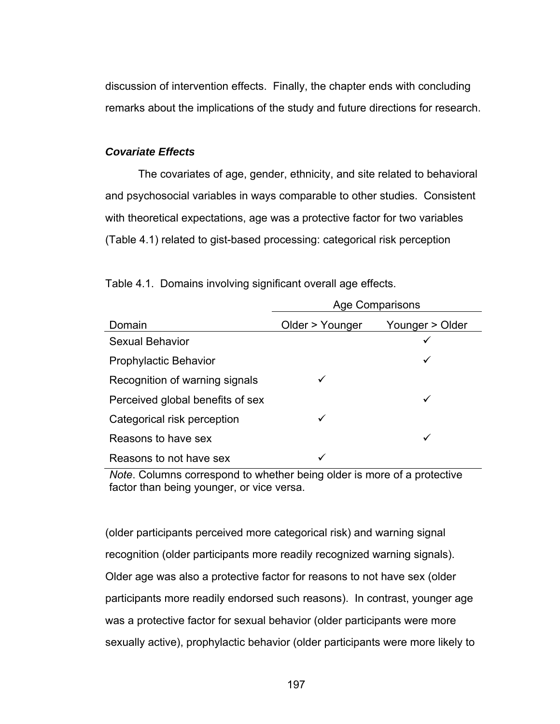discussion of intervention effects. Finally, the chapter ends with concluding remarks about the implications of the study and future directions for research.

## *Covariate Effects*

The covariates of age, gender, ethnicity, and site related to behavioral and psychosocial variables in ways comparable to other studies. Consistent with theoretical expectations, age was a protective factor for two variables (Table 4.1) related to gist-based processing: categorical risk perception

|                                  | <b>Age Comparisons</b> |                 |  |
|----------------------------------|------------------------|-----------------|--|
| Domain                           | Older > Younger        | Younger > Older |  |
| <b>Sexual Behavior</b>           |                        |                 |  |
| <b>Prophylactic Behavior</b>     |                        | ✓               |  |
| Recognition of warning signals   |                        |                 |  |
| Perceived global benefits of sex |                        |                 |  |
| Categorical risk perception      | ✓                      |                 |  |
| Reasons to have sex              |                        |                 |  |
| Reasons to not have sex          |                        |                 |  |

Table 4.1. Domains involving significant overall age effects.

*Note*. Columns correspond to whether being older is more of a protective factor than being younger, or vice versa.

(older participants perceived more categorical risk) and warning signal recognition (older participants more readily recognized warning signals). Older age was also a protective factor for reasons to not have sex (older participants more readily endorsed such reasons). In contrast, younger age was a protective factor for sexual behavior (older participants were more sexually active), prophylactic behavior (older participants were more likely to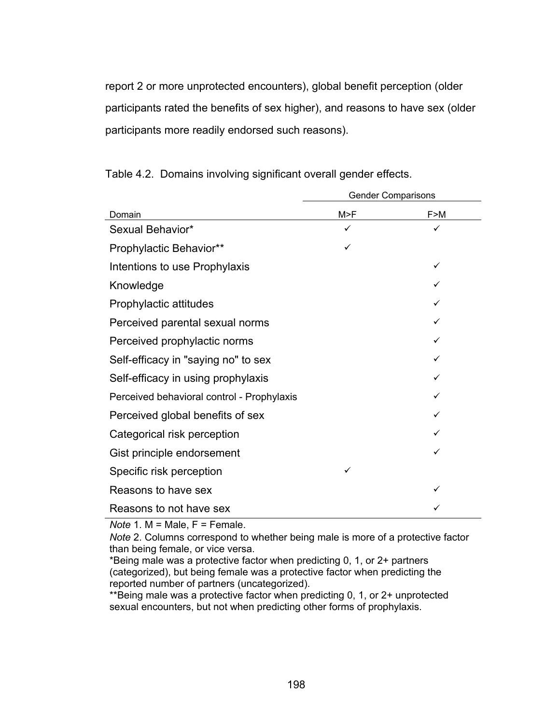report 2 or more unprotected encounters), global benefit perception (older participants rated the benefits of sex higher), and reasons to have sex (older participants more readily endorsed such reasons).

|                                            | <b>Gender Comparisons</b> |     |
|--------------------------------------------|---------------------------|-----|
| Domain                                     | M>F                       | F>M |
| Sexual Behavior*                           |                           |     |
| Prophylactic Behavior**                    |                           |     |
| Intentions to use Prophylaxis              |                           |     |
| Knowledge                                  |                           |     |
| Prophylactic attitudes                     |                           |     |
| Perceived parental sexual norms            |                           |     |
| Perceived prophylactic norms               |                           | ✓   |
| Self-efficacy in "saying no" to sex        |                           | ✓   |
| Self-efficacy in using prophylaxis         |                           |     |
| Perceived behavioral control - Prophylaxis |                           |     |
| Perceived global benefits of sex           |                           |     |
| Categorical risk perception                |                           |     |
| Gist principle endorsement                 |                           |     |
| Specific risk perception                   | ✓                         |     |
| Reasons to have sex                        |                           |     |
| Reasons to not have sex                    |                           |     |

Table 4.2. Domains involving significant overall gender effects.

*Note* 1. M = Male, F = Female.

*Note* 2. Columns correspond to whether being male is more of a protective factor than being female, or vice versa.

\*Being male was a protective factor when predicting 0, 1, or 2+ partners (categorized), but being female was a protective factor when predicting the reported number of partners (uncategorized).

\*\*Being male was a protective factor when predicting 0, 1, or 2+ unprotected sexual encounters, but not when predicting other forms of prophylaxis.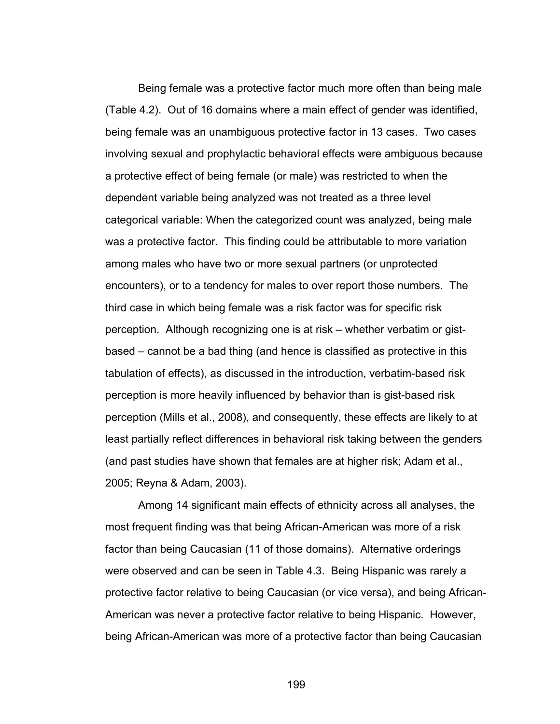Being female was a protective factor much more often than being male (Table 4.2). Out of 16 domains where a main effect of gender was identified, being female was an unambiguous protective factor in 13 cases. Two cases involving sexual and prophylactic behavioral effects were ambiguous because a protective effect of being female (or male) was restricted to when the dependent variable being analyzed was not treated as a three level categorical variable: When the categorized count was analyzed, being male was a protective factor. This finding could be attributable to more variation among males who have two or more sexual partners (or unprotected encounters), or to a tendency for males to over report those numbers. The third case in which being female was a risk factor was for specific risk perception. Although recognizing one is at risk – whether verbatim or gistbased – cannot be a bad thing (and hence is classified as protective in this tabulation of effects), as discussed in the introduction, verbatim-based risk perception is more heavily influenced by behavior than is gist-based risk perception (Mills et al., 2008), and consequently, these effects are likely to at least partially reflect differences in behavioral risk taking between the genders (and past studies have shown that females are at higher risk; Adam et al., 2005; Reyna & Adam, 2003).

 Among 14 significant main effects of ethnicity across all analyses, the most frequent finding was that being African-American was more of a risk factor than being Caucasian (11 of those domains). Alternative orderings were observed and can be seen in Table 4.3. Being Hispanic was rarely a protective factor relative to being Caucasian (or vice versa), and being African-American was never a protective factor relative to being Hispanic. However, being African-American was more of a protective factor than being Caucasian

199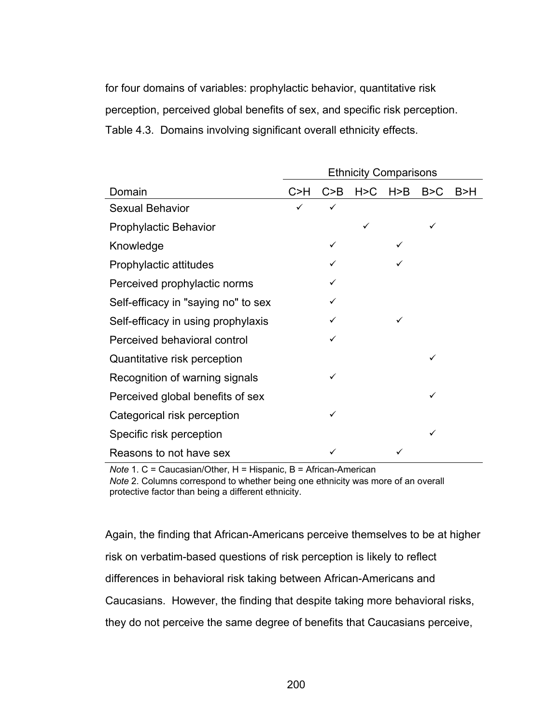for four domains of variables: prophylactic behavior, quantitative risk perception, perceived global benefits of sex, and specific risk perception. Table 4.3. Domains involving significant overall ethnicity effects.

|                                     | <b>Ethnicity Comparisons</b> |              |       |       |       |       |
|-------------------------------------|------------------------------|--------------|-------|-------|-------|-------|
| Domain                              | C > H                        | C > B        | H > C | H > B | B > C | B > H |
| <b>Sexual Behavior</b>              | ✓                            | $\checkmark$ |       |       |       |       |
| <b>Prophylactic Behavior</b>        |                              |              | ✓     |       | ✓     |       |
| Knowledge                           |                              | ✓            |       |       |       |       |
| Prophylactic attitudes              |                              | ✓            |       |       |       |       |
| Perceived prophylactic norms        |                              | ✓            |       |       |       |       |
| Self-efficacy in "saying no" to sex |                              | ✓            |       |       |       |       |
| Self-efficacy in using prophylaxis  |                              |              |       |       |       |       |
| Perceived behavioral control        |                              | ✓            |       |       |       |       |
| Quantitative risk perception        |                              |              |       |       | ✓     |       |
| Recognition of warning signals      |                              | ✓            |       |       |       |       |
| Perceived global benefits of sex    |                              |              |       |       | ✓     |       |
| Categorical risk perception         |                              | ✓            |       |       |       |       |
| Specific risk perception            |                              |              |       |       | ✓     |       |
| Reasons to not have sex             |                              |              |       |       |       |       |

*Note* 1. C = Caucasian/Other, H = Hispanic, B = African-American *Note* 2. Columns correspond to whether being one ethnicity was more of an overall protective factor than being a different ethnicity.

Again, the finding that African-Americans perceive themselves to be at higher risk on verbatim-based questions of risk perception is likely to reflect differences in behavioral risk taking between African-Americans and Caucasians. However, the finding that despite taking more behavioral risks, they do not perceive the same degree of benefits that Caucasians perceive,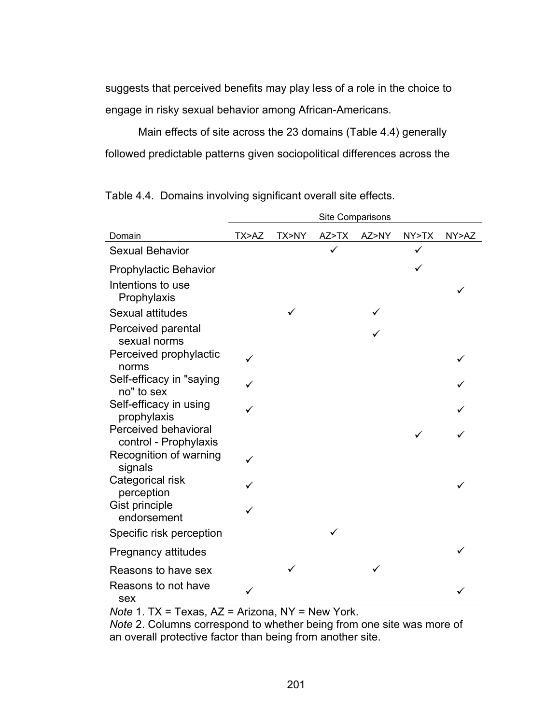suggests that perceived benefits may play less of a role in the choice to engage in risky sexual behavior among African-Americans.

 Main effects of site across the 23 domains (Table 4.4) generally followed predictable patterns given sociopolitical differences across the

Table 4.4. Domains involving significant overall site effects.

|                                               | Site Comparisons |       |       |       |       |       |
|-----------------------------------------------|------------------|-------|-------|-------|-------|-------|
| Domain                                        | TX>AZ            | TX>NY | AZ>TX | AZ>NY | NY>TX | NY>AZ |
| <b>Sexual Behavior</b>                        |                  |       |       |       |       |       |
| <b>Prophylactic Behavior</b>                  |                  |       |       |       |       |       |
| Intentions to use<br>Prophylaxis              |                  |       |       |       |       |       |
| Sexual attitudes                              |                  |       |       |       |       |       |
| Perceived parental<br>sexual norms            |                  |       |       |       |       |       |
| Perceived prophylactic<br>norms               |                  |       |       |       |       |       |
| Self-efficacy in "saying<br>no" to sex        |                  |       |       |       |       |       |
| Self-efficacy in using<br>prophylaxis         |                  |       |       |       |       |       |
| Perceived behavioral<br>control - Prophylaxis |                  |       |       |       |       |       |
| Recognition of warning<br>signals             |                  |       |       |       |       |       |
| Categorical risk<br>perception                |                  |       |       |       |       |       |
| Gist principle<br>endorsement                 |                  |       |       |       |       |       |
| Specific risk perception                      |                  |       |       |       |       |       |
| <b>Pregnancy attitudes</b>                    |                  |       |       |       |       |       |
| Reasons to have sex                           |                  |       |       |       |       |       |
| Reasons to not have<br>sex                    |                  |       |       |       |       |       |

*Note* 1. TX = Texas, AZ = Arizona, NY = New York.

*Note* 2. Columns correspond to whether being from one site was more of an overall protective factor than being from another site.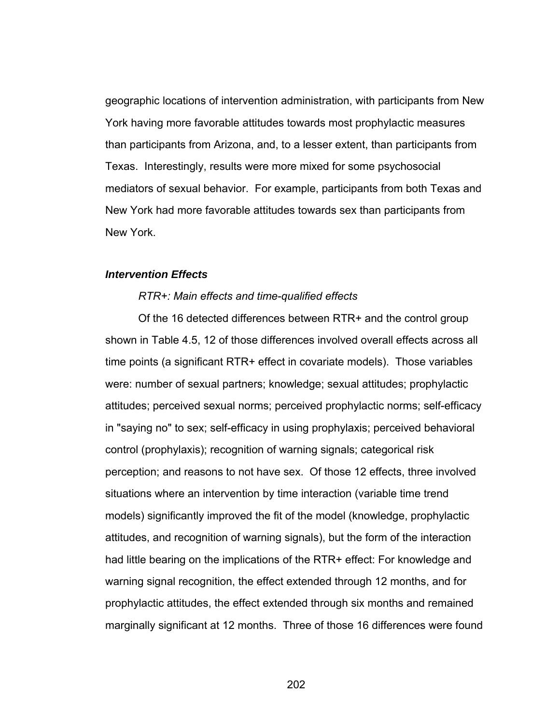geographic locations of intervention administration, with participants from New York having more favorable attitudes towards most prophylactic measures than participants from Arizona, and, to a lesser extent, than participants from Texas. Interestingly, results were more mixed for some psychosocial mediators of sexual behavior. For example, participants from both Texas and New York had more favorable attitudes towards sex than participants from New York.

## *Intervention Effects*

## *RTR+: Main effects and time-qualified effects*

 Of the 16 detected differences between RTR+ and the control group shown in Table 4.5, 12 of those differences involved overall effects across all time points (a significant RTR+ effect in covariate models). Those variables were: number of sexual partners; knowledge; sexual attitudes; prophylactic attitudes; perceived sexual norms; perceived prophylactic norms; self-efficacy in "saying no" to sex; self-efficacy in using prophylaxis; perceived behavioral control (prophylaxis); recognition of warning signals; categorical risk perception; and reasons to not have sex. Of those 12 effects, three involved situations where an intervention by time interaction (variable time trend models) significantly improved the fit of the model (knowledge, prophylactic attitudes, and recognition of warning signals), but the form of the interaction had little bearing on the implications of the RTR+ effect: For knowledge and warning signal recognition, the effect extended through 12 months, and for prophylactic attitudes, the effect extended through six months and remained marginally significant at 12 months. Three of those 16 differences were found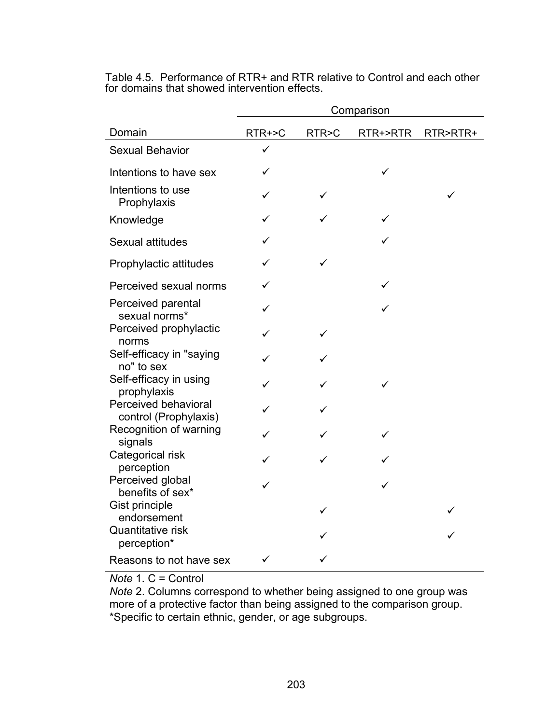|                                               | Comparison |       |          |          |  |  |  |
|-----------------------------------------------|------------|-------|----------|----------|--|--|--|
| Domain                                        | RTR+>C     | RTR>C | RTR+>RTR | RTR>RTR+ |  |  |  |
| <b>Sexual Behavior</b>                        |            |       |          |          |  |  |  |
| Intentions to have sex                        |            |       | ✓        |          |  |  |  |
| Intentions to use<br>Prophylaxis              |            | ✓     |          | ✓        |  |  |  |
| Knowledge                                     |            |       | ✓        |          |  |  |  |
| Sexual attitudes                              |            |       | ✓        |          |  |  |  |
| Prophylactic attitudes                        |            |       |          |          |  |  |  |
| Perceived sexual norms                        |            |       |          |          |  |  |  |
| Perceived parental<br>sexual norms*           |            |       | ✓        |          |  |  |  |
| Perceived prophylactic<br>norms               | ✓          | ✓     |          |          |  |  |  |
| Self-efficacy in "saying<br>no" to sex        |            |       |          |          |  |  |  |
| Self-efficacy in using<br>prophylaxis         |            |       |          |          |  |  |  |
| Perceived behavioral<br>control (Prophylaxis) | ✓          |       |          |          |  |  |  |
| Recognition of warning<br>signals             |            |       |          |          |  |  |  |
| Categorical risk<br>perception                |            |       |          |          |  |  |  |
| Perceived global<br>benefits of sex*          |            |       |          |          |  |  |  |
| Gist principle<br>endorsement                 |            |       |          |          |  |  |  |
| Quantitative risk<br>perception*              |            |       |          |          |  |  |  |
| Reasons to not have sex                       |            |       |          |          |  |  |  |

Table 4.5. Performance of RTR+ and RTR relative to Control and each other for domains that showed intervention effects.

*Note* 1. C = Control

*Note* 2. Columns correspond to whether being assigned to one group was more of a protective factor than being assigned to the comparison group. \*Specific to certain ethnic, gender, or age subgroups.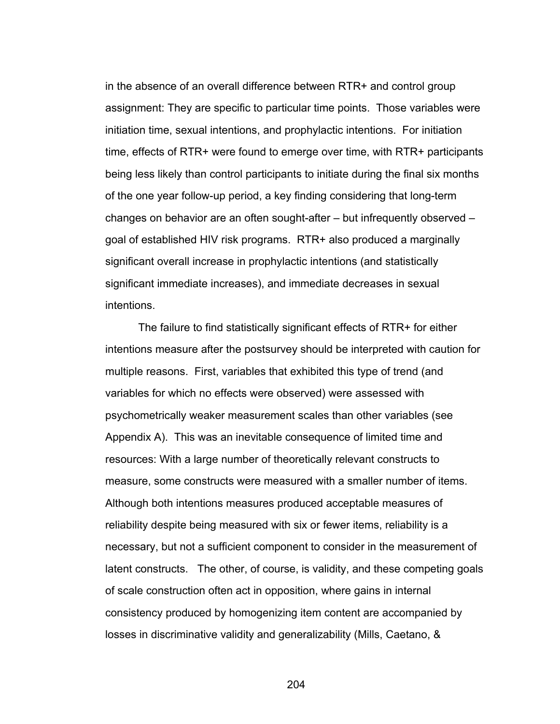in the absence of an overall difference between RTR+ and control group assignment: They are specific to particular time points. Those variables were initiation time, sexual intentions, and prophylactic intentions. For initiation time, effects of RTR+ were found to emerge over time, with RTR+ participants being less likely than control participants to initiate during the final six months of the one year follow-up period, a key finding considering that long-term changes on behavior are an often sought-after – but infrequently observed – goal of established HIV risk programs. RTR+ also produced a marginally significant overall increase in prophylactic intentions (and statistically significant immediate increases), and immediate decreases in sexual intentions.

The failure to find statistically significant effects of RTR+ for either intentions measure after the postsurvey should be interpreted with caution for multiple reasons. First, variables that exhibited this type of trend (and variables for which no effects were observed) were assessed with psychometrically weaker measurement scales than other variables (see Appendix A). This was an inevitable consequence of limited time and resources: With a large number of theoretically relevant constructs to measure, some constructs were measured with a smaller number of items. Although both intentions measures produced acceptable measures of reliability despite being measured with six or fewer items, reliability is a necessary, but not a sufficient component to consider in the measurement of latent constructs. The other, of course, is validity, and these competing goals of scale construction often act in opposition, where gains in internal consistency produced by homogenizing item content are accompanied by losses in discriminative validity and generalizability (Mills, Caetano, &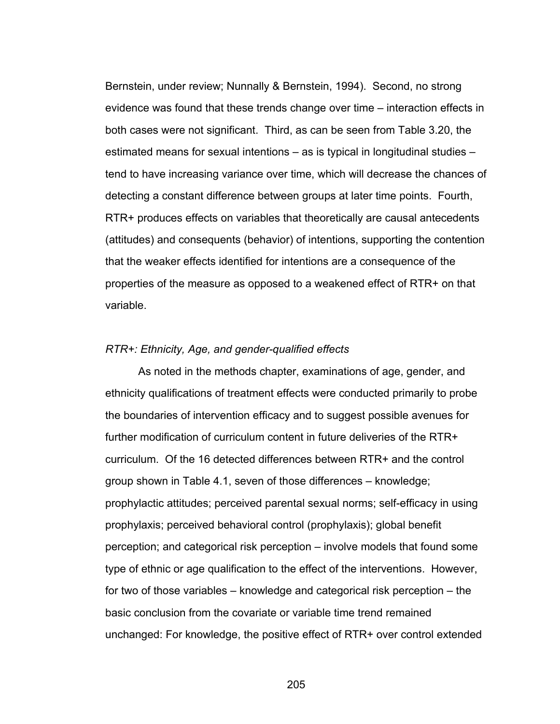Bernstein, under review; Nunnally & Bernstein, 1994). Second, no strong evidence was found that these trends change over time – interaction effects in both cases were not significant. Third, as can be seen from Table 3.20, the estimated means for sexual intentions – as is typical in longitudinal studies – tend to have increasing variance over time, which will decrease the chances of detecting a constant difference between groups at later time points. Fourth, RTR+ produces effects on variables that theoretically are causal antecedents (attitudes) and consequents (behavior) of intentions, supporting the contention that the weaker effects identified for intentions are a consequence of the properties of the measure as opposed to a weakened effect of RTR+ on that variable.

## *RTR+: Ethnicity, Age, and gender-qualified effects*

As noted in the methods chapter, examinations of age, gender, and ethnicity qualifications of treatment effects were conducted primarily to probe the boundaries of intervention efficacy and to suggest possible avenues for further modification of curriculum content in future deliveries of the RTR+ curriculum. Of the 16 detected differences between RTR+ and the control group shown in Table 4.1, seven of those differences – knowledge; prophylactic attitudes; perceived parental sexual norms; self-efficacy in using prophylaxis; perceived behavioral control (prophylaxis); global benefit perception; and categorical risk perception – involve models that found some type of ethnic or age qualification to the effect of the interventions. However, for two of those variables – knowledge and categorical risk perception – the basic conclusion from the covariate or variable time trend remained unchanged: For knowledge, the positive effect of RTR+ over control extended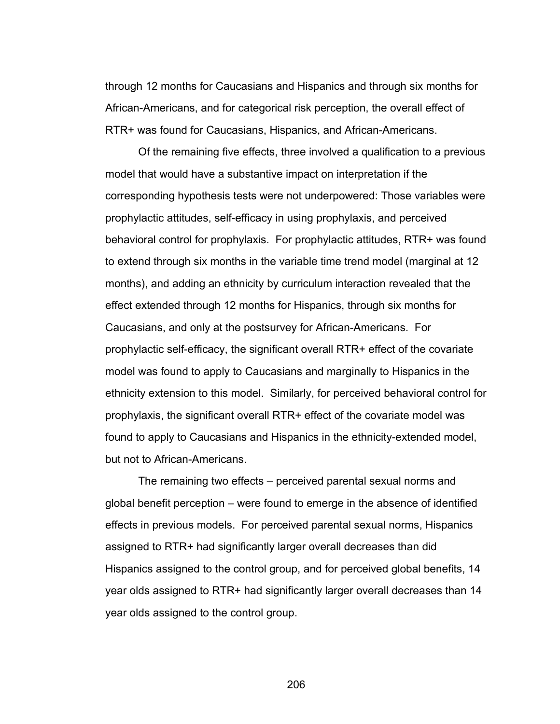through 12 months for Caucasians and Hispanics and through six months for African-Americans, and for categorical risk perception, the overall effect of RTR+ was found for Caucasians, Hispanics, and African-Americans.

Of the remaining five effects, three involved a qualification to a previous model that would have a substantive impact on interpretation if the corresponding hypothesis tests were not underpowered: Those variables were prophylactic attitudes, self-efficacy in using prophylaxis, and perceived behavioral control for prophylaxis. For prophylactic attitudes, RTR+ was found to extend through six months in the variable time trend model (marginal at 12 months), and adding an ethnicity by curriculum interaction revealed that the effect extended through 12 months for Hispanics, through six months for Caucasians, and only at the postsurvey for African-Americans. For prophylactic self-efficacy, the significant overall RTR+ effect of the covariate model was found to apply to Caucasians and marginally to Hispanics in the ethnicity extension to this model. Similarly, for perceived behavioral control for prophylaxis, the significant overall RTR+ effect of the covariate model was found to apply to Caucasians and Hispanics in the ethnicity-extended model, but not to African-Americans.

The remaining two effects – perceived parental sexual norms and global benefit perception – were found to emerge in the absence of identified effects in previous models. For perceived parental sexual norms, Hispanics assigned to RTR+ had significantly larger overall decreases than did Hispanics assigned to the control group, and for perceived global benefits, 14 year olds assigned to RTR+ had significantly larger overall decreases than 14 year olds assigned to the control group.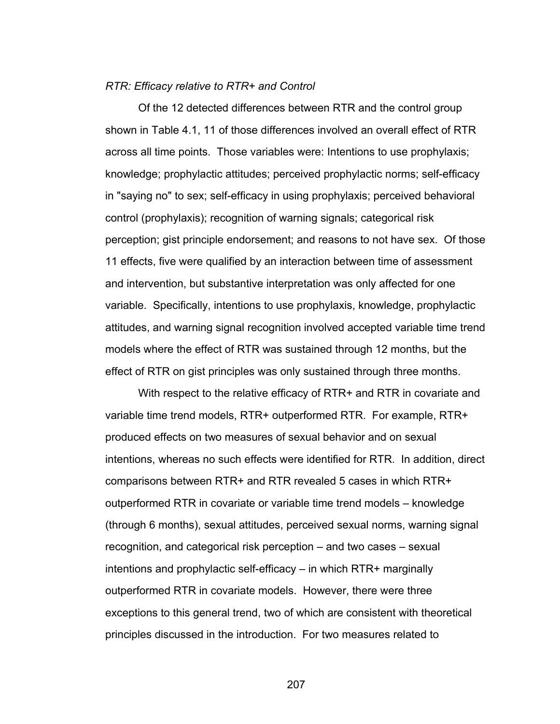## *RTR: Efficacy relative to RTR+ and Control*

Of the 12 detected differences between RTR and the control group shown in Table 4.1, 11 of those differences involved an overall effect of RTR across all time points. Those variables were: Intentions to use prophylaxis; knowledge; prophylactic attitudes; perceived prophylactic norms; self-efficacy in "saying no" to sex; self-efficacy in using prophylaxis; perceived behavioral control (prophylaxis); recognition of warning signals; categorical risk perception; gist principle endorsement; and reasons to not have sex. Of those 11 effects, five were qualified by an interaction between time of assessment and intervention, but substantive interpretation was only affected for one variable. Specifically, intentions to use prophylaxis, knowledge, prophylactic attitudes, and warning signal recognition involved accepted variable time trend models where the effect of RTR was sustained through 12 months, but the effect of RTR on gist principles was only sustained through three months.

With respect to the relative efficacy of RTR+ and RTR in covariate and variable time trend models, RTR+ outperformed RTR. For example, RTR+ produced effects on two measures of sexual behavior and on sexual intentions, whereas no such effects were identified for RTR. In addition, direct comparisons between RTR+ and RTR revealed 5 cases in which RTR+ outperformed RTR in covariate or variable time trend models – knowledge (through 6 months), sexual attitudes, perceived sexual norms, warning signal recognition, and categorical risk perception – and two cases – sexual intentions and prophylactic self-efficacy – in which RTR+ marginally outperformed RTR in covariate models. However, there were three exceptions to this general trend, two of which are consistent with theoretical principles discussed in the introduction. For two measures related to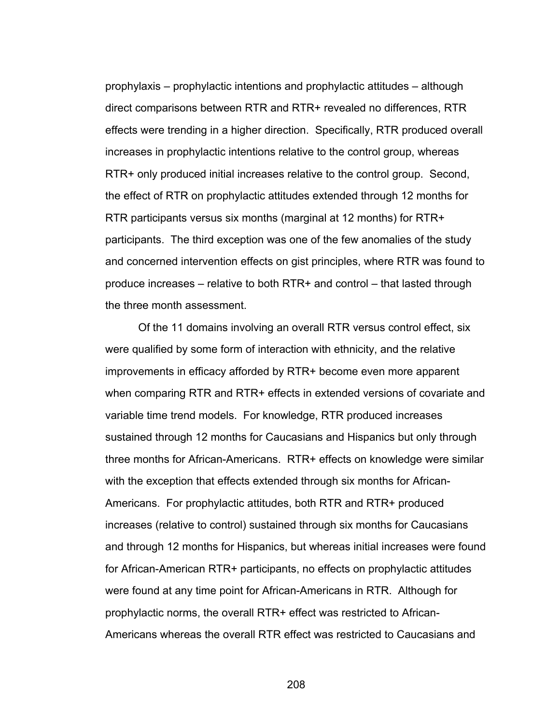prophylaxis – prophylactic intentions and prophylactic attitudes – although direct comparisons between RTR and RTR+ revealed no differences, RTR effects were trending in a higher direction. Specifically, RTR produced overall increases in prophylactic intentions relative to the control group, whereas RTR+ only produced initial increases relative to the control group. Second, the effect of RTR on prophylactic attitudes extended through 12 months for RTR participants versus six months (marginal at 12 months) for RTR+ participants. The third exception was one of the few anomalies of the study and concerned intervention effects on gist principles, where RTR was found to produce increases – relative to both RTR+ and control – that lasted through the three month assessment.

Of the 11 domains involving an overall RTR versus control effect, six were qualified by some form of interaction with ethnicity, and the relative improvements in efficacy afforded by RTR+ become even more apparent when comparing RTR and RTR+ effects in extended versions of covariate and variable time trend models. For knowledge, RTR produced increases sustained through 12 months for Caucasians and Hispanics but only through three months for African-Americans. RTR+ effects on knowledge were similar with the exception that effects extended through six months for African-Americans. For prophylactic attitudes, both RTR and RTR+ produced increases (relative to control) sustained through six months for Caucasians and through 12 months for Hispanics, but whereas initial increases were found for African-American RTR+ participants, no effects on prophylactic attitudes were found at any time point for African-Americans in RTR. Although for prophylactic norms, the overall RTR+ effect was restricted to African-Americans whereas the overall RTR effect was restricted to Caucasians and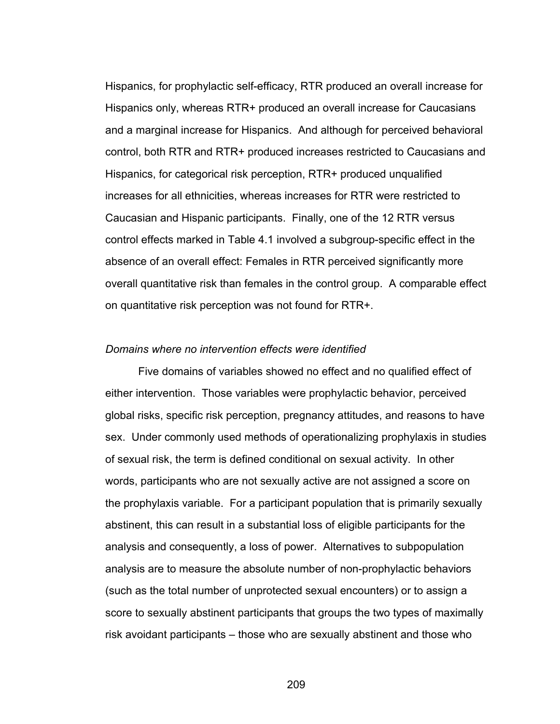Hispanics, for prophylactic self-efficacy, RTR produced an overall increase for Hispanics only, whereas RTR+ produced an overall increase for Caucasians and a marginal increase for Hispanics. And although for perceived behavioral control, both RTR and RTR+ produced increases restricted to Caucasians and Hispanics, for categorical risk perception, RTR+ produced unqualified increases for all ethnicities, whereas increases for RTR were restricted to Caucasian and Hispanic participants. Finally, one of the 12 RTR versus control effects marked in Table 4.1 involved a subgroup-specific effect in the absence of an overall effect: Females in RTR perceived significantly more overall quantitative risk than females in the control group. A comparable effect on quantitative risk perception was not found for RTR+.

#### *Domains where no intervention effects were identified*

 Five domains of variables showed no effect and no qualified effect of either intervention. Those variables were prophylactic behavior, perceived global risks, specific risk perception, pregnancy attitudes, and reasons to have sex. Under commonly used methods of operationalizing prophylaxis in studies of sexual risk, the term is defined conditional on sexual activity. In other words, participants who are not sexually active are not assigned a score on the prophylaxis variable. For a participant population that is primarily sexually abstinent, this can result in a substantial loss of eligible participants for the analysis and consequently, a loss of power. Alternatives to subpopulation analysis are to measure the absolute number of non-prophylactic behaviors (such as the total number of unprotected sexual encounters) or to assign a score to sexually abstinent participants that groups the two types of maximally risk avoidant participants – those who are sexually abstinent and those who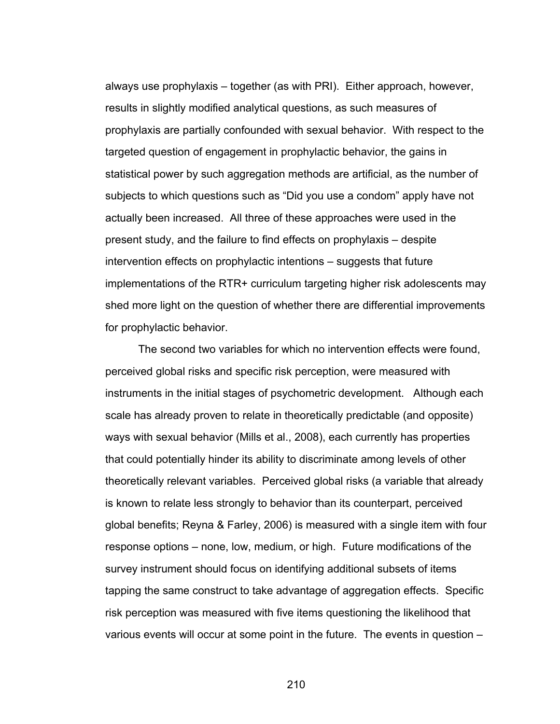always use prophylaxis – together (as with PRI). Either approach, however, results in slightly modified analytical questions, as such measures of prophylaxis are partially confounded with sexual behavior. With respect to the targeted question of engagement in prophylactic behavior, the gains in statistical power by such aggregation methods are artificial, as the number of subjects to which questions such as "Did you use a condom" apply have not actually been increased. All three of these approaches were used in the present study, and the failure to find effects on prophylaxis – despite intervention effects on prophylactic intentions – suggests that future implementations of the RTR+ curriculum targeting higher risk adolescents may shed more light on the question of whether there are differential improvements for prophylactic behavior.

 The second two variables for which no intervention effects were found, perceived global risks and specific risk perception, were measured with instruments in the initial stages of psychometric development. Although each scale has already proven to relate in theoretically predictable (and opposite) ways with sexual behavior (Mills et al., 2008), each currently has properties that could potentially hinder its ability to discriminate among levels of other theoretically relevant variables. Perceived global risks (a variable that already is known to relate less strongly to behavior than its counterpart, perceived global benefits; Reyna & Farley, 2006) is measured with a single item with four response options – none, low, medium, or high. Future modifications of the survey instrument should focus on identifying additional subsets of items tapping the same construct to take advantage of aggregation effects. Specific risk perception was measured with five items questioning the likelihood that various events will occur at some point in the future. The events in question –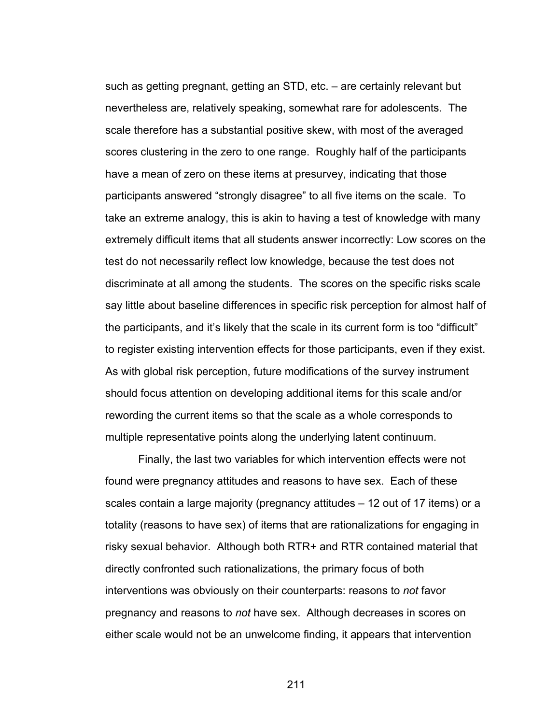such as getting pregnant, getting an STD, etc. – are certainly relevant but nevertheless are, relatively speaking, somewhat rare for adolescents. The scale therefore has a substantial positive skew, with most of the averaged scores clustering in the zero to one range. Roughly half of the participants have a mean of zero on these items at presurvey, indicating that those participants answered "strongly disagree" to all five items on the scale. To take an extreme analogy, this is akin to having a test of knowledge with many extremely difficult items that all students answer incorrectly: Low scores on the test do not necessarily reflect low knowledge, because the test does not discriminate at all among the students. The scores on the specific risks scale say little about baseline differences in specific risk perception for almost half of the participants, and it's likely that the scale in its current form is too "difficult" to register existing intervention effects for those participants, even if they exist. As with global risk perception, future modifications of the survey instrument should focus attention on developing additional items for this scale and/or rewording the current items so that the scale as a whole corresponds to multiple representative points along the underlying latent continuum.

 Finally, the last two variables for which intervention effects were not found were pregnancy attitudes and reasons to have sex. Each of these scales contain a large majority (pregnancy attitudes – 12 out of 17 items) or a totality (reasons to have sex) of items that are rationalizations for engaging in risky sexual behavior. Although both RTR+ and RTR contained material that directly confronted such rationalizations, the primary focus of both interventions was obviously on their counterparts: reasons to *not* favor pregnancy and reasons to *not* have sex. Although decreases in scores on either scale would not be an unwelcome finding, it appears that intervention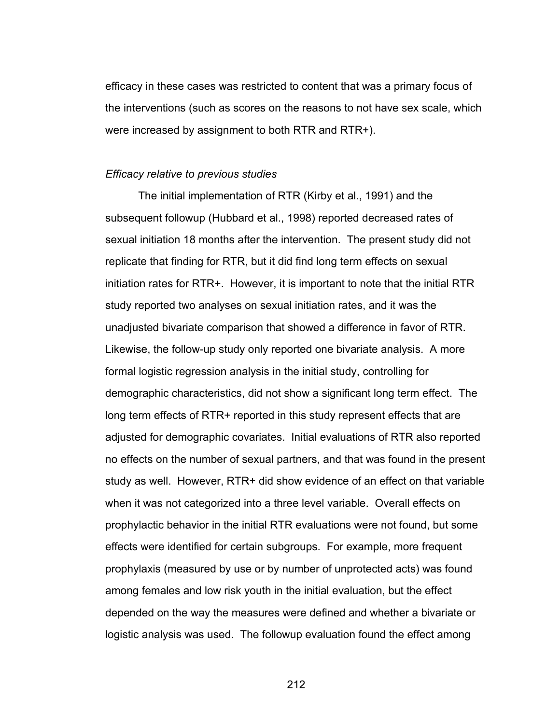efficacy in these cases was restricted to content that was a primary focus of the interventions (such as scores on the reasons to not have sex scale, which were increased by assignment to both RTR and RTR+).

#### *Efficacy relative to previous studies*

The initial implementation of RTR (Kirby et al., 1991) and the subsequent followup (Hubbard et al., 1998) reported decreased rates of sexual initiation 18 months after the intervention. The present study did not replicate that finding for RTR, but it did find long term effects on sexual initiation rates for RTR+. However, it is important to note that the initial RTR study reported two analyses on sexual initiation rates, and it was the unadjusted bivariate comparison that showed a difference in favor of RTR. Likewise, the follow-up study only reported one bivariate analysis. A more formal logistic regression analysis in the initial study, controlling for demographic characteristics, did not show a significant long term effect. The long term effects of RTR+ reported in this study represent effects that are adjusted for demographic covariates. Initial evaluations of RTR also reported no effects on the number of sexual partners, and that was found in the present study as well. However, RTR+ did show evidence of an effect on that variable when it was not categorized into a three level variable. Overall effects on prophylactic behavior in the initial RTR evaluations were not found, but some effects were identified for certain subgroups. For example, more frequent prophylaxis (measured by use or by number of unprotected acts) was found among females and low risk youth in the initial evaluation, but the effect depended on the way the measures were defined and whether a bivariate or logistic analysis was used. The followup evaluation found the effect among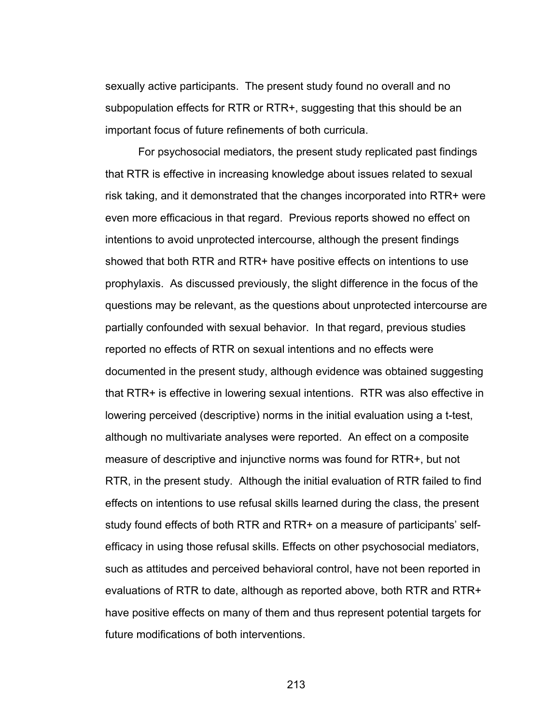sexually active participants. The present study found no overall and no subpopulation effects for RTR or RTR+, suggesting that this should be an important focus of future refinements of both curricula.

For psychosocial mediators, the present study replicated past findings that RTR is effective in increasing knowledge about issues related to sexual risk taking, and it demonstrated that the changes incorporated into RTR+ were even more efficacious in that regard. Previous reports showed no effect on intentions to avoid unprotected intercourse, although the present findings showed that both RTR and RTR+ have positive effects on intentions to use prophylaxis. As discussed previously, the slight difference in the focus of the questions may be relevant, as the questions about unprotected intercourse are partially confounded with sexual behavior. In that regard, previous studies reported no effects of RTR on sexual intentions and no effects were documented in the present study, although evidence was obtained suggesting that RTR+ is effective in lowering sexual intentions. RTR was also effective in lowering perceived (descriptive) norms in the initial evaluation using a t-test, although no multivariate analyses were reported. An effect on a composite measure of descriptive and injunctive norms was found for RTR+, but not RTR, in the present study. Although the initial evaluation of RTR failed to find effects on intentions to use refusal skills learned during the class, the present study found effects of both RTR and RTR+ on a measure of participants' selfefficacy in using those refusal skills. Effects on other psychosocial mediators, such as attitudes and perceived behavioral control, have not been reported in evaluations of RTR to date, although as reported above, both RTR and RTR+ have positive effects on many of them and thus represent potential targets for future modifications of both interventions.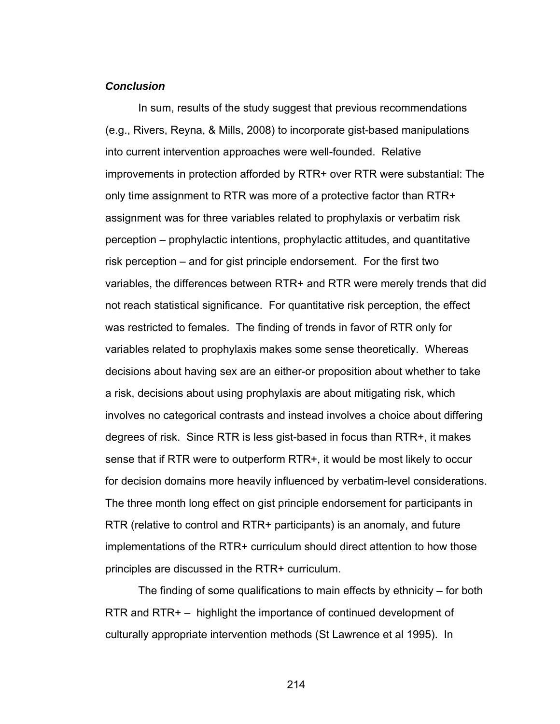## *Conclusion*

In sum, results of the study suggest that previous recommendations (e.g., Rivers, Reyna, & Mills, 2008) to incorporate gist-based manipulations into current intervention approaches were well-founded. Relative improvements in protection afforded by RTR+ over RTR were substantial: The only time assignment to RTR was more of a protective factor than RTR+ assignment was for three variables related to prophylaxis or verbatim risk perception – prophylactic intentions, prophylactic attitudes, and quantitative risk perception – and for gist principle endorsement. For the first two variables, the differences between RTR+ and RTR were merely trends that did not reach statistical significance. For quantitative risk perception, the effect was restricted to females. The finding of trends in favor of RTR only for variables related to prophylaxis makes some sense theoretically. Whereas decisions about having sex are an either-or proposition about whether to take a risk, decisions about using prophylaxis are about mitigating risk, which involves no categorical contrasts and instead involves a choice about differing degrees of risk. Since RTR is less gist-based in focus than RTR+, it makes sense that if RTR were to outperform RTR+, it would be most likely to occur for decision domains more heavily influenced by verbatim-level considerations. The three month long effect on gist principle endorsement for participants in RTR (relative to control and RTR+ participants) is an anomaly, and future implementations of the RTR+ curriculum should direct attention to how those principles are discussed in the RTR+ curriculum.

The finding of some qualifications to main effects by ethnicity – for both RTR and RTR+ – highlight the importance of continued development of culturally appropriate intervention methods (St Lawrence et al 1995). In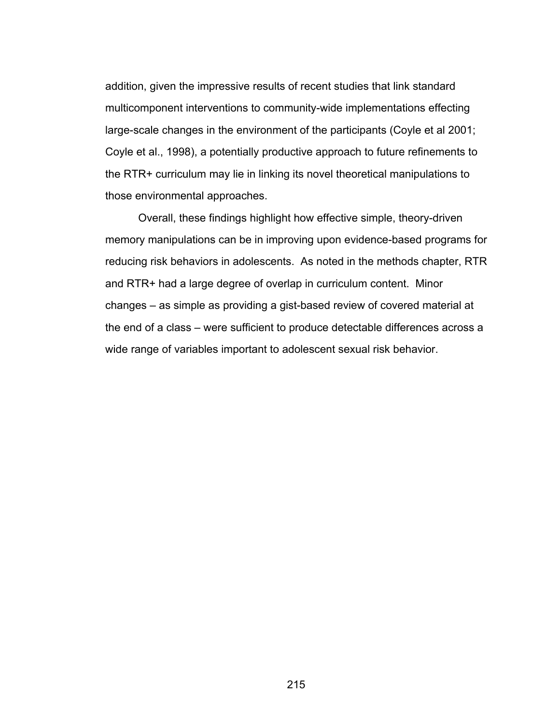addition, given the impressive results of recent studies that link standard multicomponent interventions to community-wide implementations effecting large-scale changes in the environment of the participants (Coyle et al 2001; Coyle et al., 1998), a potentially productive approach to future refinements to the RTR+ curriculum may lie in linking its novel theoretical manipulations to those environmental approaches.

 Overall, these findings highlight how effective simple, theory-driven memory manipulations can be in improving upon evidence-based programs for reducing risk behaviors in adolescents. As noted in the methods chapter, RTR and RTR+ had a large degree of overlap in curriculum content. Minor changes – as simple as providing a gist-based review of covered material at the end of a class – were sufficient to produce detectable differences across a wide range of variables important to adolescent sexual risk behavior.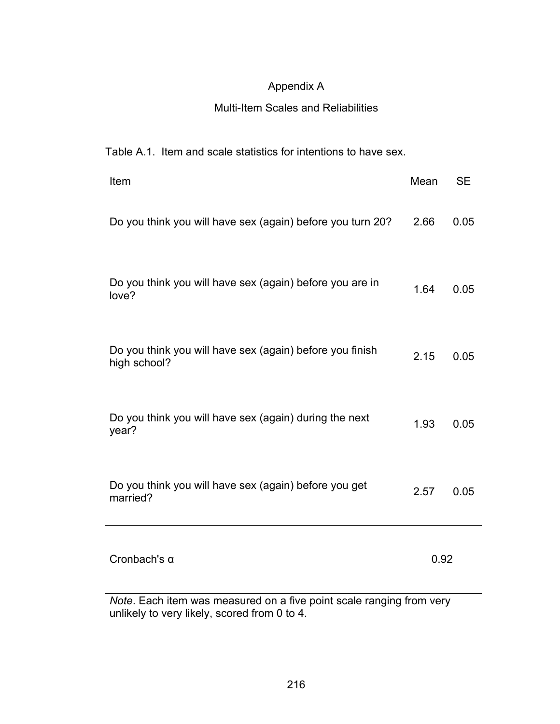# Appendix A

# Multi-Item Scales and Reliabilities

## Table A.1. Item and scale statistics for intentions to have sex.

| Item                                                                     | Mean | <b>SE</b> |
|--------------------------------------------------------------------------|------|-----------|
| Do you think you will have sex (again) before you turn 20?               | 2.66 | 0.05      |
| Do you think you will have sex (again) before you are in<br>love?        | 1.64 | 0.05      |
| Do you think you will have sex (again) before you finish<br>high school? | 2.15 | 0.05      |
| Do you think you will have sex (again) during the next<br>year?          | 1.93 | 0.05      |
| Do you think you will have sex (again) before you get<br>married?        | 2.57 | 0.05      |
| Cronbach's $\alpha$                                                      | 0.92 |           |

*Note*. Each item was measured on a five point scale ranging from very unlikely to very likely, scored from 0 to 4.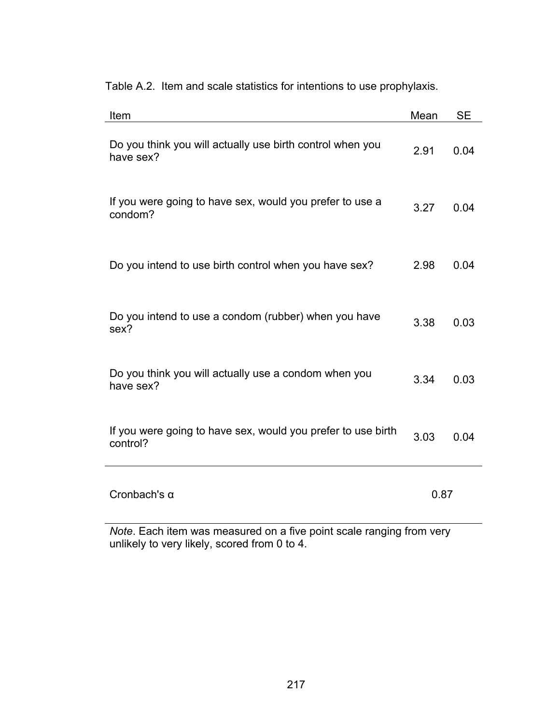Table A.2. Item and scale statistics for intentions to use prophylaxis.

| Item                                                                     | Mean | <b>SE</b> |
|--------------------------------------------------------------------------|------|-----------|
| Do you think you will actually use birth control when you<br>have sex?   | 2.91 | 0.04      |
| If you were going to have sex, would you prefer to use a<br>condom?      | 3.27 | 0.04      |
| Do you intend to use birth control when you have sex?                    | 2.98 | 0.04      |
| Do you intend to use a condom (rubber) when you have<br>sex?             | 3.38 | 0.03      |
| Do you think you will actually use a condom when you<br>have sex?        | 3.34 | 0.03      |
| If you were going to have sex, would you prefer to use birth<br>control? | 3.03 | 0.04      |
| Cronbach's $\alpha$                                                      | 0.87 |           |

*Note*. Each item was measured on a five point scale ranging from very unlikely to very likely, scored from 0 to 4.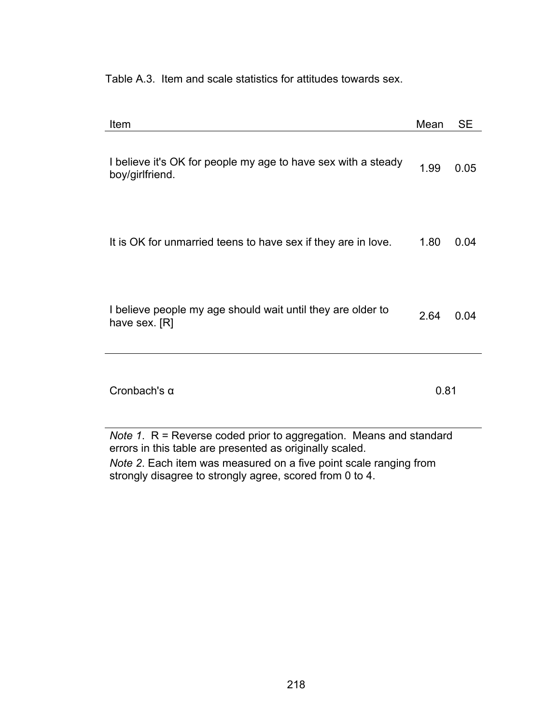Table A.3. Item and scale statistics for attitudes towards sex.

| Item                                                                             | Mean | <b>SE</b> |  |  |
|----------------------------------------------------------------------------------|------|-----------|--|--|
| I believe it's OK for people my age to have sex with a steady<br>boy/girlfriend. | 1.99 | 0.05      |  |  |
| It is OK for unmarried teens to have sex if they are in love.                    | 1.80 | 0.04      |  |  |
| I believe people my age should wait until they are older to<br>have sex. [R]     | 2.64 | 0.04      |  |  |
| Cronbach's $\alpha$                                                              | 0.81 |           |  |  |
| Note 1. R = Reverse coded prior to aggregation. Means and standard               |      |           |  |  |

errors in this table are presented as originally scaled.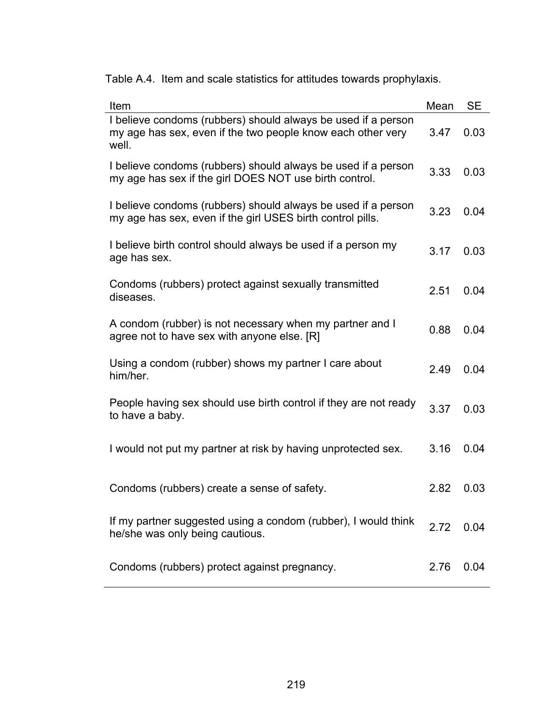Table A.4. Item and scale statistics for attitudes towards prophylaxis.

| Item                                                                                                                                  | Mean | <b>SE</b> |
|---------------------------------------------------------------------------------------------------------------------------------------|------|-----------|
| I believe condoms (rubbers) should always be used if a person<br>my age has sex, even if the two people know each other very<br>well. | 3.47 | 0.03      |
| I believe condoms (rubbers) should always be used if a person<br>my age has sex if the girl DOES NOT use birth control.               | 3.33 | 0.03      |
| I believe condoms (rubbers) should always be used if a person<br>my age has sex, even if the girl USES birth control pills.           | 3.23 | 0.04      |
| I believe birth control should always be used if a person my<br>age has sex.                                                          | 3.17 | 0.03      |
| Condoms (rubbers) protect against sexually transmitted<br>diseases.                                                                   | 2.51 | 0.04      |
| A condom (rubber) is not necessary when my partner and I<br>agree not to have sex with anyone else. [R]                               | 0.88 | 0.04      |
| Using a condom (rubber) shows my partner I care about<br>him/her.                                                                     | 2.49 | 0.04      |
| People having sex should use birth control if they are not ready<br>to have a baby.                                                   | 3.37 | 0.03      |
| I would not put my partner at risk by having unprotected sex.                                                                         | 3.16 | 0.04      |
| Condoms (rubbers) create a sense of safety.                                                                                           | 2.82 | 0.03      |
| If my partner suggested using a condom (rubber), I would think<br>he/she was only being cautious.                                     | 2.72 | 0.04      |
| Condoms (rubbers) protect against pregnancy.                                                                                          | 2.76 | 0.04      |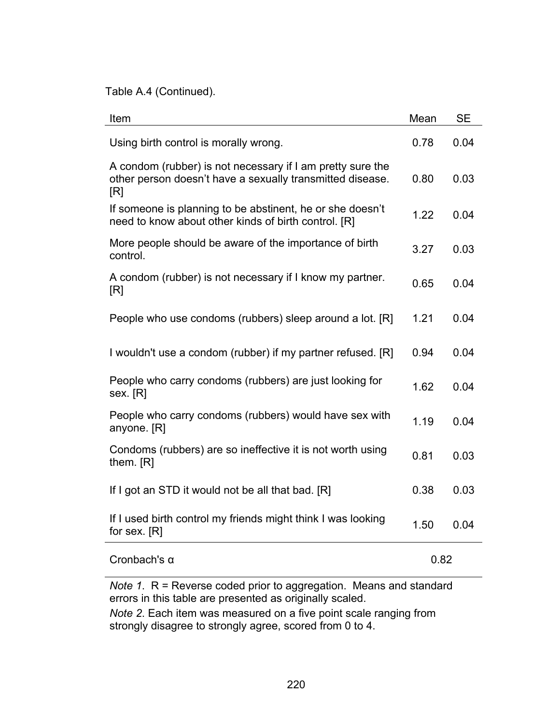Table A.4 (Continued).

| Item                                                                                                                           | Mean | <b>SE</b> |
|--------------------------------------------------------------------------------------------------------------------------------|------|-----------|
| Using birth control is morally wrong.                                                                                          | 0.78 | 0.04      |
| A condom (rubber) is not necessary if I am pretty sure the<br>other person doesn't have a sexually transmitted disease.<br>[R] | 0.80 | 0.03      |
| If someone is planning to be abstinent, he or she doesn't<br>need to know about other kinds of birth control. [R]              | 1.22 | 0.04      |
| More people should be aware of the importance of birth<br>control.                                                             | 3.27 | 0.03      |
| A condom (rubber) is not necessary if I know my partner.<br>[R]                                                                | 0.65 | 0.04      |
| People who use condoms (rubbers) sleep around a lot. [R]                                                                       | 1.21 | 0.04      |
| I wouldn't use a condom (rubber) if my partner refused. [R]                                                                    | 0.94 | 0.04      |
| People who carry condoms (rubbers) are just looking for<br>sex. [R]                                                            | 1.62 | 0.04      |
| People who carry condoms (rubbers) would have sex with<br>anyone. [R]                                                          | 1.19 | 0.04      |
| Condoms (rubbers) are so ineffective it is not worth using<br>them. [R]                                                        | 0.81 | 0.03      |
| If I got an STD it would not be all that bad. [R]                                                                              | 0.38 | 0.03      |
| If I used birth control my friends might think I was looking<br>for sex. $[R]$                                                 | 1.50 | 0.04      |
| Cronbach's $\alpha$                                                                                                            | 0.82 |           |

*Note 1*. R = Reverse coded prior to aggregation. Means and standard errors in this table are presented as originally scaled.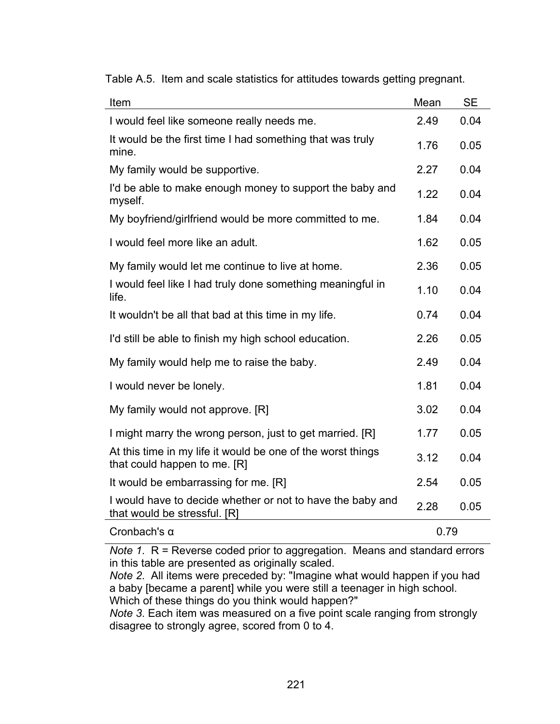| Item                                                                                        | Mean | <b>SE</b> |
|---------------------------------------------------------------------------------------------|------|-----------|
| I would feel like someone really needs me.                                                  | 2.49 | 0.04      |
| It would be the first time I had something that was truly<br>mine.                          | 1.76 | 0.05      |
| My family would be supportive.                                                              | 2.27 | 0.04      |
| I'd be able to make enough money to support the baby and<br>myself.                         | 1.22 | 0.04      |
| My boyfriend/girlfriend would be more committed to me.                                      | 1.84 | 0.04      |
| I would feel more like an adult.                                                            | 1.62 | 0.05      |
| My family would let me continue to live at home.                                            | 2.36 | 0.05      |
| I would feel like I had truly done something meaningful in<br>life.                         | 1.10 | 0.04      |
| It wouldn't be all that bad at this time in my life.                                        | 0.74 | 0.04      |
| I'd still be able to finish my high school education.                                       | 2.26 | 0.05      |
| My family would help me to raise the baby.                                                  | 2.49 | 0.04      |
| I would never be lonely.                                                                    | 1.81 | 0.04      |
| My family would not approve. [R]                                                            | 3.02 | 0.04      |
| I might marry the wrong person, just to get married. [R]                                    | 1.77 | 0.05      |
| At this time in my life it would be one of the worst things<br>that could happen to me. [R] | 3.12 | 0.04      |
| It would be embarrassing for me. [R]                                                        | 2.54 | 0.05      |
| I would have to decide whether or not to have the baby and<br>that would be stressful. [R]  | 2.28 | 0.05      |
| Cronbach's $\alpha$                                                                         | 0.79 |           |

Table A.5. Item and scale statistics for attitudes towards getting pregnant.

*Note 1*. R = Reverse coded prior to aggregation. Means and standard errors in this table are presented as originally scaled.

*Note 2*. All items were preceded by: "Imagine what would happen if you had a baby [became a parent] while you were still a teenager in high school. Which of these things do you think would happen?"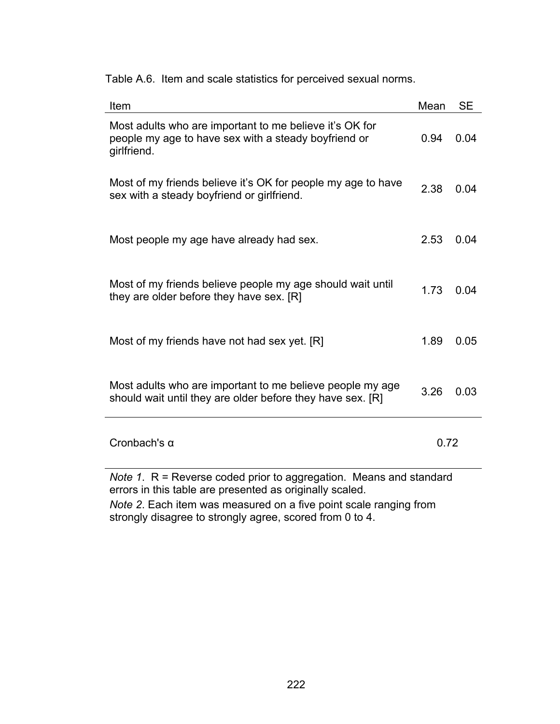| Item                                                                                                                                                                                                                                                                                                                                                                         | Mean | <b>SE</b> |
|------------------------------------------------------------------------------------------------------------------------------------------------------------------------------------------------------------------------------------------------------------------------------------------------------------------------------------------------------------------------------|------|-----------|
| Most adults who are important to me believe it's OK for<br>people my age to have sex with a steady boyfriend or<br>girlfriend.                                                                                                                                                                                                                                               | 0.94 | 0.04      |
| Most of my friends believe it's OK for people my age to have<br>sex with a steady boyfriend or girlfriend.                                                                                                                                                                                                                                                                   | 2.38 | 0.04      |
| Most people my age have already had sex.                                                                                                                                                                                                                                                                                                                                     | 2.53 | 0.04      |
| Most of my friends believe people my age should wait until<br>they are older before they have sex. [R]                                                                                                                                                                                                                                                                       | 1.73 | 0.04      |
| Most of my friends have not had sex yet. [R]                                                                                                                                                                                                                                                                                                                                 | 1.89 | 0.05      |
| Most adults who are important to me believe people my age<br>should wait until they are older before they have sex. [R]                                                                                                                                                                                                                                                      | 3.26 | 0.03      |
| Cronbach's $\alpha$                                                                                                                                                                                                                                                                                                                                                          | 0.72 |           |
| <i>Note 1.</i> $R$ = Reverse coded prior to aggregation. Means and standard<br>errors in this table are presented as originally scaled.<br>$\mathbf{r}$ , and the contract of the contract of the contract of the contract of the contract of the contract of the contract of the contract of the contract of the contract of the contract of the contract of the contract o |      |           |

Table A.6. Item and scale statistics for perceived sexual norms.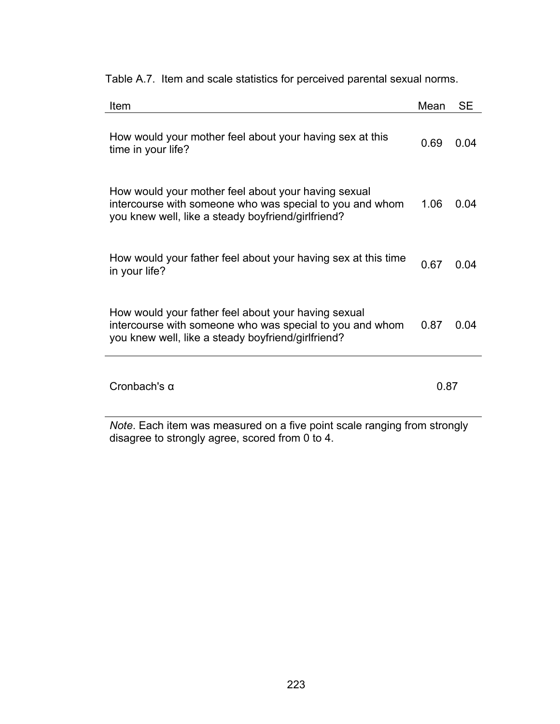|  | Table A.7. Item and scale statistics for perceived parental sexual norms. |  |  |
|--|---------------------------------------------------------------------------|--|--|

| Item                                                                                                                                                                  | Mean | SЕ   |
|-----------------------------------------------------------------------------------------------------------------------------------------------------------------------|------|------|
| How would your mother feel about your having sex at this<br>time in your life?                                                                                        | 0.69 | 0 04 |
| How would your mother feel about your having sexual<br>intercourse with someone who was special to you and whom<br>you knew well, like a steady boyfriend/girlfriend? | 1.06 | 0.04 |
| How would your father feel about your having sex at this time<br>in your life?                                                                                        | 0.67 | 0.04 |
| How would your father feel about your having sexual<br>intercourse with someone who was special to you and whom<br>you knew well, like a steady boyfriend/girlfriend? | 0.87 | 0 Q4 |
| Cronbach's $\alpha$                                                                                                                                                   | 0.87 |      |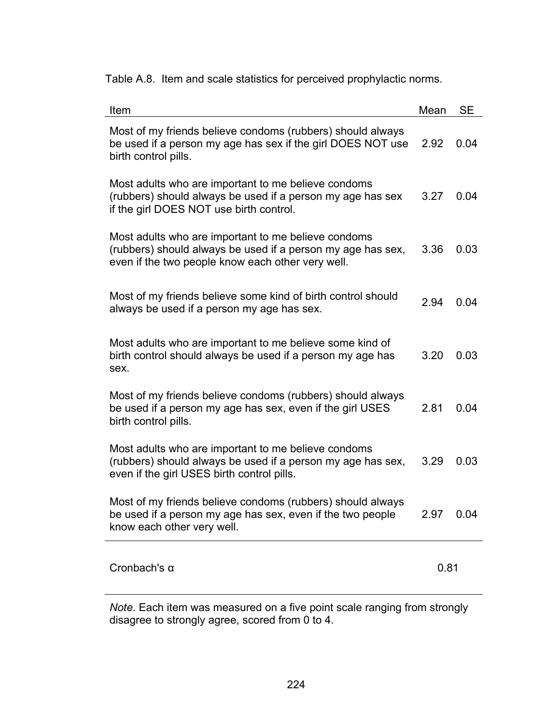Table A.8. Item and scale statistics for perceived prophylactic norms.

| Item                                                                                                                                                                    | Mean | <b>SE</b> |
|-------------------------------------------------------------------------------------------------------------------------------------------------------------------------|------|-----------|
| Most of my friends believe condoms (rubbers) should always<br>be used if a person my age has sex if the girl DOES NOT use<br>birth control pills.                       | 2.92 | 0.04      |
| Most adults who are important to me believe condoms<br>(rubbers) should always be used if a person my age has sex<br>if the girl DOES NOT use birth control.            | 3.27 | 0.04      |
| Most adults who are important to me believe condoms<br>(rubbers) should always be used if a person my age has sex,<br>even if the two people know each other very well. | 3.36 | 0.03      |
| Most of my friends believe some kind of birth control should<br>always be used if a person my age has sex.                                                              | 2.94 | 0.04      |
| Most adults who are important to me believe some kind of<br>birth control should always be used if a person my age has<br>sex.                                          | 3.20 | 0.03      |
| Most of my friends believe condoms (rubbers) should always<br>be used if a person my age has sex, even if the girl USES<br>birth control pills.                         | 2.81 | 0.04      |
| Most adults who are important to me believe condoms<br>(rubbers) should always be used if a person my age has sex,<br>even if the girl USES birth control pills.        | 3.29 | 0.03      |
| Most of my friends believe condoms (rubbers) should always<br>be used if a person my age has sex, even if the two people<br>know each other very well.                  | 2.97 | 0.04      |
| Cronbach's $\alpha$                                                                                                                                                     | 0.81 |           |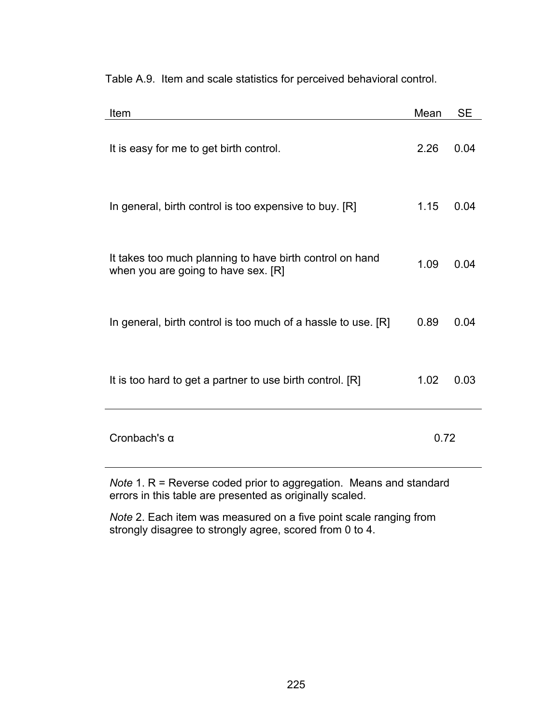Table A.9. Item and scale statistics for perceived behavioral control.

| Item                                                                                            | Mean | SЕ   |
|-------------------------------------------------------------------------------------------------|------|------|
| It is easy for me to get birth control.                                                         | 2.26 | 0.04 |
| In general, birth control is too expensive to buy. [R]                                          | 1.15 | 0.04 |
| It takes too much planning to have birth control on hand<br>when you are going to have sex. [R] | 1.09 | 0.04 |
| In general, birth control is too much of a hassle to use. [R]                                   | 0.89 | 0.04 |
| It is too hard to get a partner to use birth control. [R]                                       | 1.02 | 0.03 |
| Cronbach's $\alpha$                                                                             | 0.72 |      |
|                                                                                                 |      |      |

*Note* 1. R = Reverse coded prior to aggregation. Means and standard errors in this table are presented as originally scaled.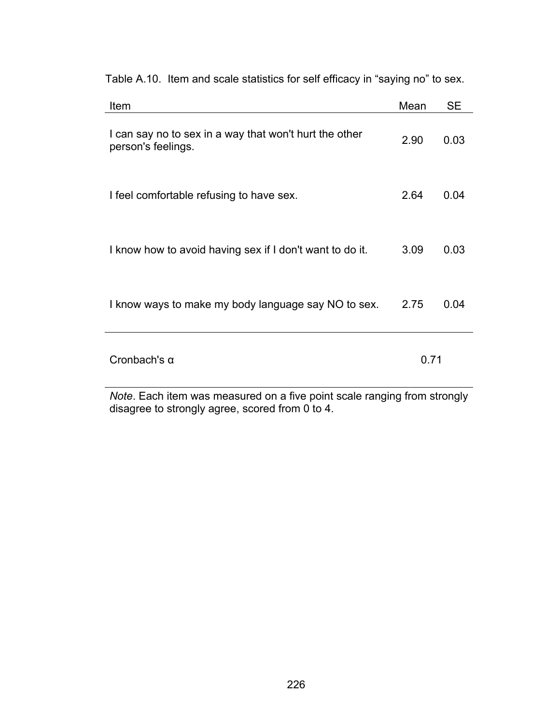| Item                                                                         | Mean | SE   |
|------------------------------------------------------------------------------|------|------|
| I can say no to sex in a way that won't hurt the other<br>person's feelings. | 2.90 | 0.03 |
| I feel comfortable refusing to have sex.                                     | 2.64 | 0.04 |
| I know how to avoid having sex if I don't want to do it.                     | 3.09 | 0.03 |
| I know ways to make my body language say NO to sex.                          | 2.75 | 0.04 |
| Cronbach's $\alpha$                                                          | 0.71 |      |

Table A.10. Item and scale statistics for self efficacy in "saying no" to sex.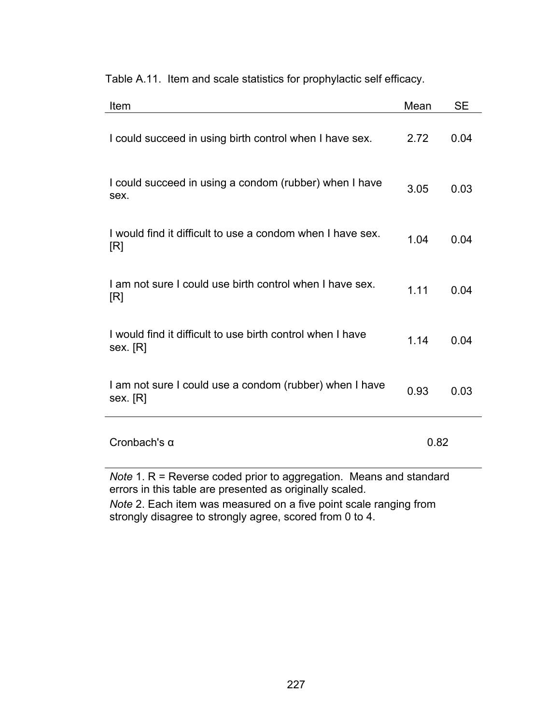Table A.11. Item and scale statistics for prophylactic self efficacy.

| Item                                                                                                                                    | Mean | <b>SE</b> |
|-----------------------------------------------------------------------------------------------------------------------------------------|------|-----------|
| I could succeed in using birth control when I have sex.                                                                                 | 2.72 | 0.04      |
| I could succeed in using a condom (rubber) when I have<br>sex.                                                                          | 3.05 | 0.03      |
| I would find it difficult to use a condom when I have sex.<br>[R]                                                                       | 1.04 | 0.04      |
| I am not sure I could use birth control when I have sex.<br>[R]                                                                         | 1.11 | 0.04      |
| I would find it difficult to use birth control when I have<br>sex. [R]                                                                  | 1.14 | 0.04      |
| I am not sure I could use a condom (rubber) when I have<br>sex. [R]                                                                     | 0.93 | 0.03      |
| Cronbach's $\alpha$                                                                                                                     | 0.82 |           |
| <i>Note</i> 1. $R$ = Reverse coded prior to aggregation. Means and standard<br>errors in this table are presented as originally scaled. |      |           |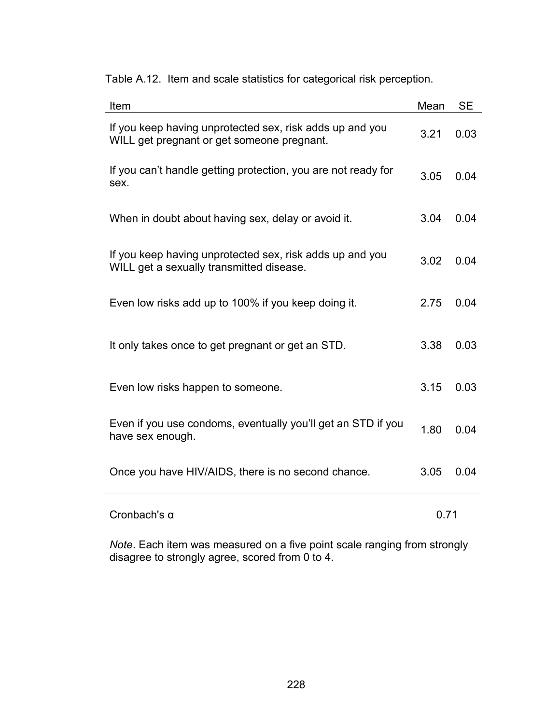| Item                                                                                                   | Mean | <b>SE</b> |
|--------------------------------------------------------------------------------------------------------|------|-----------|
| If you keep having unprotected sex, risk adds up and you<br>WILL get pregnant or get someone pregnant. | 3.21 | 0.03      |
| If you can't handle getting protection, you are not ready for<br>sex.                                  | 3.05 | 0.04      |
| When in doubt about having sex, delay or avoid it.                                                     | 3.04 | 0.04      |
| If you keep having unprotected sex, risk adds up and you<br>WILL get a sexually transmitted disease.   | 3.02 | 0.04      |
| Even low risks add up to 100% if you keep doing it.                                                    | 2.75 | 0.04      |
| It only takes once to get pregnant or get an STD.                                                      | 3.38 | 0.03      |
| Even low risks happen to someone.                                                                      | 3.15 | 0.03      |
| Even if you use condoms, eventually you'll get an STD if you<br>have sex enough.                       | 1.80 | 0.04      |
| Once you have HIV/AIDS, there is no second chance.                                                     | 3.05 | 0.04      |
| Cronbach's $\alpha$                                                                                    | 0.71 |           |

Table A.12. Item and scale statistics for categorical risk perception.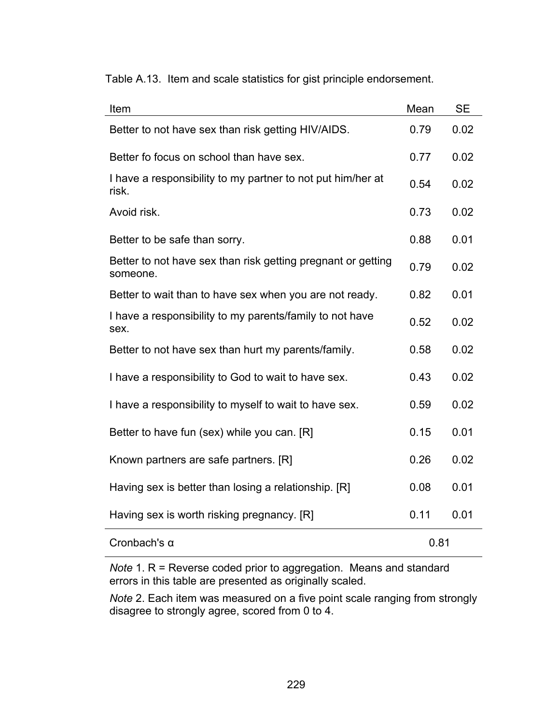Table A.13. Item and scale statistics for gist principle endorsement.

| Item                                                                     | Mean | <b>SE</b> |
|--------------------------------------------------------------------------|------|-----------|
| Better to not have sex than risk getting HIV/AIDS.                       | 0.79 | 0.02      |
| Better fo focus on school than have sex.                                 | 0.77 | 0.02      |
| I have a responsibility to my partner to not put him/her at<br>risk.     | 0.54 | 0.02      |
| Avoid risk.                                                              | 0.73 | 0.02      |
| Better to be safe than sorry.                                            | 0.88 | 0.01      |
| Better to not have sex than risk getting pregnant or getting<br>someone. | 0.79 | 0.02      |
| Better to wait than to have sex when you are not ready.                  | 0.82 | 0.01      |
| I have a responsibility to my parents/family to not have<br>sex.         | 0.52 | 0.02      |
| Better to not have sex than hurt my parents/family.                      | 0.58 | 0.02      |
| I have a responsibility to God to wait to have sex.                      | 0.43 | 0.02      |
| I have a responsibility to myself to wait to have sex.                   | 0.59 | 0.02      |
| Better to have fun (sex) while you can. [R]                              | 0.15 | 0.01      |
| Known partners are safe partners. [R]                                    | 0.26 | 0.02      |
| Having sex is better than losing a relationship. [R]                     | 0.08 | 0.01      |
| Having sex is worth risking pregnancy. [R]                               | 0.11 | 0.01      |
| Cronbach's $\alpha$                                                      | 0.81 |           |

*Note* 1. R = Reverse coded prior to aggregation. Means and standard errors in this table are presented as originally scaled.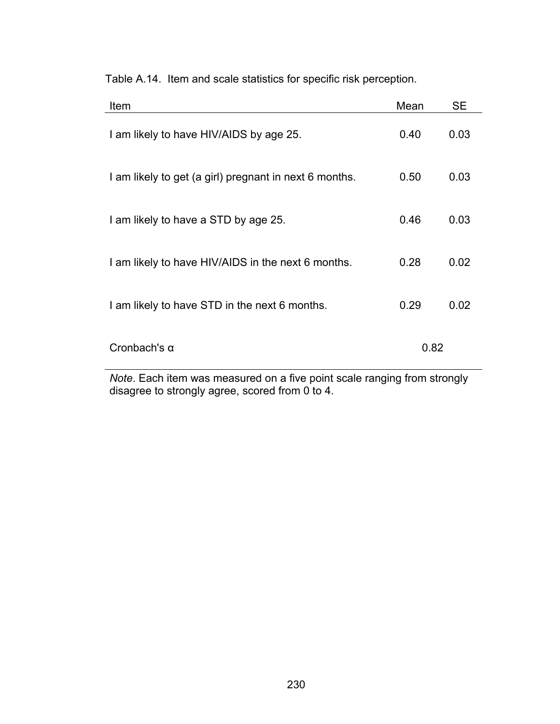| Item                                                   | Mean | <b>SE</b> |
|--------------------------------------------------------|------|-----------|
| I am likely to have HIV/AIDS by age 25.                | 0.40 | 0.03      |
| I am likely to get (a girl) pregnant in next 6 months. | 0.50 | 0.03      |
| I am likely to have a STD by age 25.                   | 0.46 | 0.03      |
| I am likely to have HIV/AIDS in the next 6 months.     | 0.28 | 0.02      |
| I am likely to have STD in the next 6 months.          | 0.29 | 0.02      |
| Cronbach's $\alpha$                                    | 0.82 |           |

Table A.14. Item and scale statistics for specific risk perception.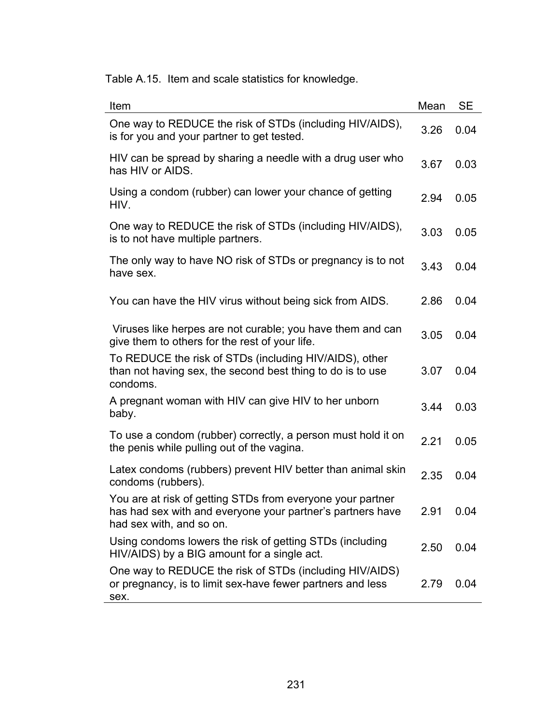Table A.15. Item and scale statistics for knowledge.

| Item                                                                                                                                                 | Mean | <b>SE</b> |
|------------------------------------------------------------------------------------------------------------------------------------------------------|------|-----------|
| One way to REDUCE the risk of STDs (including HIV/AIDS),<br>is for you and your partner to get tested.                                               | 3.26 | 0.04      |
| HIV can be spread by sharing a needle with a drug user who<br>has HIV or AIDS.                                                                       | 3.67 | 0.03      |
| Using a condom (rubber) can lower your chance of getting<br>HIV.                                                                                     | 2.94 | 0.05      |
| One way to REDUCE the risk of STDs (including HIV/AIDS),<br>is to not have multiple partners.                                                        | 3.03 | 0.05      |
| The only way to have NO risk of STDs or pregnancy is to not<br>have sex.                                                                             | 3.43 | 0.04      |
| You can have the HIV virus without being sick from AIDS.                                                                                             | 2.86 | 0.04      |
| Viruses like herpes are not curable; you have them and can<br>give them to others for the rest of your life.                                         | 3.05 | 0.04      |
| To REDUCE the risk of STDs (including HIV/AIDS), other<br>than not having sex, the second best thing to do is to use<br>condoms.                     | 3.07 | 0.04      |
| A pregnant woman with HIV can give HIV to her unborn<br>baby.                                                                                        | 3.44 | 0.03      |
| To use a condom (rubber) correctly, a person must hold it on<br>the penis while pulling out of the vagina.                                           | 2.21 | 0.05      |
| Latex condoms (rubbers) prevent HIV better than animal skin<br>condoms (rubbers).                                                                    | 2.35 | 0.04      |
| You are at risk of getting STDs from everyone your partner<br>has had sex with and everyone your partner's partners have<br>had sex with, and so on. | 2.91 | 0.04      |
| Using condoms lowers the risk of getting STDs (including<br>HIV/AIDS) by a BIG amount for a single act.                                              | 2.50 | 0.04      |
| One way to REDUCE the risk of STDs (including HIV/AIDS)<br>or pregnancy, is to limit sex-have fewer partners and less<br>sex.                        | 2.79 | 0.04      |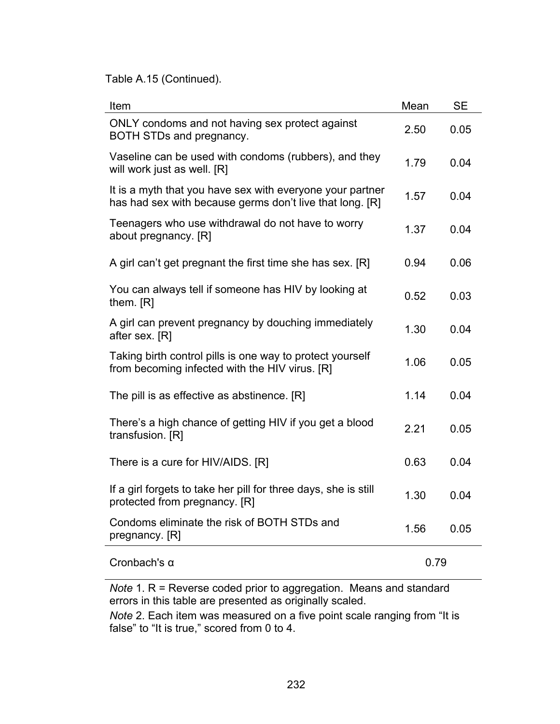Table A.15 (Continued).

| Item                                                                                                                  | Mean | <b>SE</b> |
|-----------------------------------------------------------------------------------------------------------------------|------|-----------|
| ONLY condoms and not having sex protect against<br>BOTH STDs and pregnancy.                                           | 2.50 | 0.05      |
| Vaseline can be used with condoms (rubbers), and they<br>will work just as well. [R]                                  | 1.79 | 0.04      |
| It is a myth that you have sex with everyone your partner<br>has had sex with because germs don't live that long. [R] | 1.57 | 0.04      |
| Teenagers who use withdrawal do not have to worry<br>about pregnancy. [R]                                             | 1.37 | 0.04      |
| A girl can't get pregnant the first time she has sex. [R]                                                             | 0.94 | 0.06      |
| You can always tell if someone has HIV by looking at<br>them. [R]                                                     | 0.52 | 0.03      |
| A girl can prevent pregnancy by douching immediately<br>after sex. [R]                                                | 1.30 | 0.04      |
| Taking birth control pills is one way to protect yourself<br>from becoming infected with the HIV virus. [R]           | 1.06 | 0.05      |
| The pill is as effective as abstinence. [R]                                                                           | 1.14 | 0.04      |
| There's a high chance of getting HIV if you get a blood<br>transfusion. [R]                                           | 2.21 | 0.05      |
| There is a cure for HIV/AIDS. [R]                                                                                     | 0.63 | 0.04      |
| If a girl forgets to take her pill for three days, she is still<br>protected from pregnancy. [R]                      | 1.30 | 0.04      |
| Condoms eliminate the risk of BOTH STDs and<br>pregnancy. [R]                                                         | 1.56 | 0.05      |
| Cronbach's $\alpha$                                                                                                   | 0.79 |           |
| Note 1 $R =$ Reverse coded prior to aggregation Means and standard                                                    |      |           |

*Note* 1. R = Reverse coded prior to aggregation. Means and standard errors in this table are presented as originally scaled.

*Note* 2. Each item was measured on a five point scale ranging from "It is false" to "It is true," scored from 0 to 4.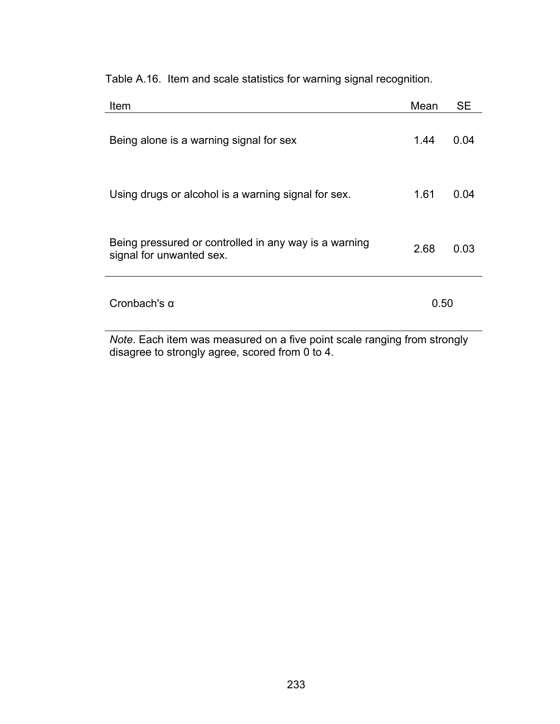Table A.16. Item and scale statistics for warning signal recognition.

| Item                                                                              | Mean | <b>SE</b> |
|-----------------------------------------------------------------------------------|------|-----------|
| Being alone is a warning signal for sex                                           | 1.44 | 0.04      |
| Using drugs or alcohol is a warning signal for sex.                               | 1.61 | 0.04      |
| Being pressured or controlled in any way is a warning<br>signal for unwanted sex. | 2.68 | 0.03      |
| Cronbach's $\alpha$                                                               | 0.50 |           |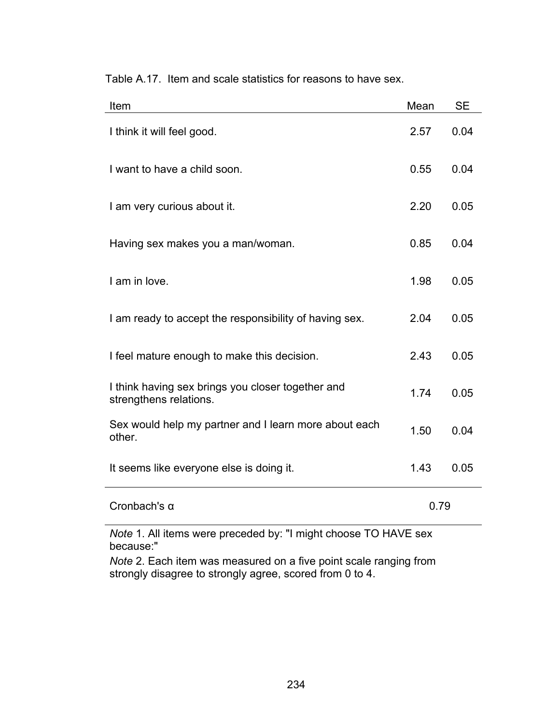| Item                                                                        | Mean | <b>SE</b> |
|-----------------------------------------------------------------------------|------|-----------|
| I think it will feel good.                                                  | 2.57 | 0.04      |
| I want to have a child soon.                                                | 0.55 | 0.04      |
| I am very curious about it.                                                 | 2.20 | 0.05      |
| Having sex makes you a man/woman.                                           | 0.85 | 0.04      |
| I am in love.                                                               | 1.98 | 0.05      |
| I am ready to accept the responsibility of having sex.                      | 2.04 | 0.05      |
| I feel mature enough to make this decision.                                 | 2.43 | 0.05      |
| I think having sex brings you closer together and<br>strengthens relations. | 1.74 | 0.05      |
| Sex would help my partner and I learn more about each<br>other.             | 1.50 | 0.04      |
| It seems like everyone else is doing it.                                    | 1.43 | 0.05      |
| Cronbach's $\alpha$                                                         | 0.79 |           |
| Note 1. All items were preceded by: "I might choose TO HAVE sex             |      |           |

Table A.17. Item and scale statistics for reasons to have sex.

because:"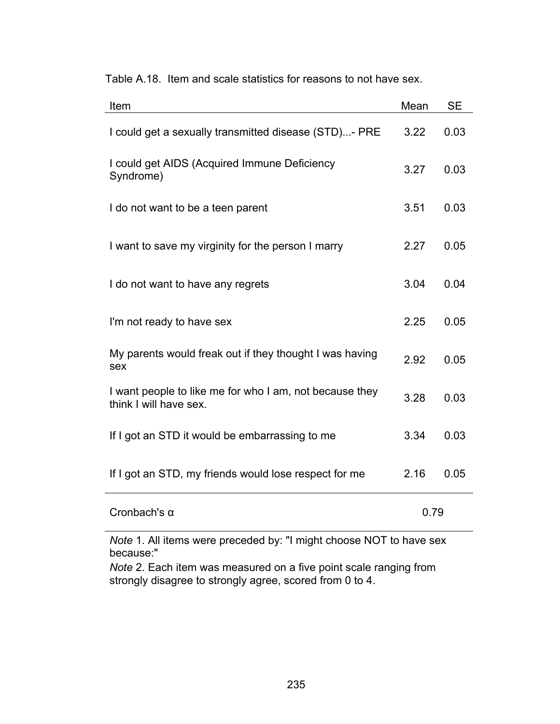| Item                                                                              | Mean | <b>SE</b> |
|-----------------------------------------------------------------------------------|------|-----------|
| I could get a sexually transmitted disease (STD)- PRE                             | 3.22 | 0.03      |
| I could get AIDS (Acquired Immune Deficiency<br>Syndrome)                         | 3.27 | 0.03      |
| I do not want to be a teen parent                                                 | 3.51 | 0.03      |
| I want to save my virginity for the person I marry                                | 2.27 | 0.05      |
| I do not want to have any regrets                                                 | 3.04 | 0.04      |
| I'm not ready to have sex                                                         | 2.25 | 0.05      |
| My parents would freak out if they thought I was having<br>sex                    | 2.92 | 0.05      |
| I want people to like me for who I am, not because they<br>think I will have sex. | 3.28 | 0.03      |
| If I got an STD it would be embarrassing to me                                    | 3.34 | 0.03      |
| If I got an STD, my friends would lose respect for me                             | 2.16 | 0.05      |
| Cronbach's $\alpha$                                                               | 0.79 |           |
| $M$ oto 1. All itamo ware preseded by: "I might ebecas $MOT$ to beye sex          |      |           |

Table A.18. Item and scale statistics for reasons to not have sex.

*Note* 1. All items were preceded by: "I might choose NOT to have sex because:"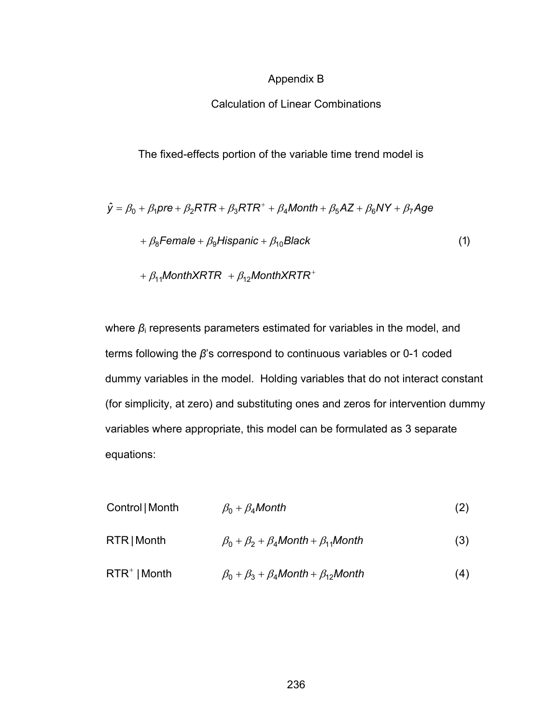# Appendix B

# Calculation of Linear Combinations

The fixed-effects portion of the variable time trend model is

$$
\hat{y} = \beta_0 + \beta_1 \text{pre} + \beta_2 \text{RTR} + \beta_3 \text{RTR}^+ + \beta_4 \text{Month} + \beta_5 \text{AZ} + \beta_6 \text{NY} + \beta_7 \text{Age}
$$
  
+  $\beta_8 \text{Female} + \beta_9 \text{Hispanic} + \beta_{10} \text{Black}$  (1)  
+  $\beta_{11} \text{MonthXRTR} + \beta_{12} \text{MonthXRTR}^+$ 

where  $β<sub>i</sub>$  represents parameters estimated for variables in the model, and terms following the *β*'s correspond to continuous variables or 0-1 coded dummy variables in the model. Holding variables that do not interact constant (for simplicity, at zero) and substituting ones and zeros for intervention dummy variables where appropriate, this model can be formulated as 3 separate equations:

| Control   Month | $\beta_0 + \beta_4$ Month                                | (2) |
|-----------------|----------------------------------------------------------|-----|
| RTR   Month     | $\beta_0 + \beta_2 + \beta_4$ Month + $\beta_{11}$ Month | (3) |
| $RTR+$   Month  | $\beta_0 + \beta_3 + \beta_4$ Month + $\beta_{12}$ Month | (4) |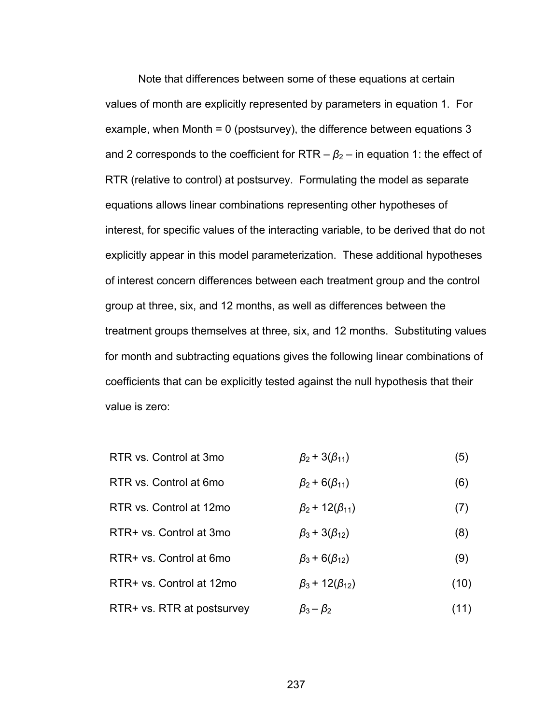Note that differences between some of these equations at certain values of month are explicitly represented by parameters in equation 1. For example, when Month = 0 (postsurvey), the difference between equations 3 and 2 corresponds to the coefficient for RTR  $-\beta_2$  – in equation 1: the effect of RTR (relative to control) at postsurvey. Formulating the model as separate equations allows linear combinations representing other hypotheses of interest, for specific values of the interacting variable, to be derived that do not explicitly appear in this model parameterization. These additional hypotheses of interest concern differences between each treatment group and the control group at three, six, and 12 months, as well as differences between the treatment groups themselves at three, six, and 12 months. Substituting values for month and subtracting equations gives the following linear combinations of coefficients that can be explicitly tested against the null hypothesis that their value is zero:

- RTR vs. Control at 3mo  $\beta_2 + 3(\beta_{11})$  (5)
- RTR vs. Control at 6mo  $\beta_2$  + 6( $\beta_{11}$ ) (6)
- RTR vs. Control at 12mo  $\beta_2$  + 12( $\beta_{11}$ ) (7) RTR+ vs. Control at 3mo  $\beta_3 + 3(\beta_{12})$  (8)
- RTR+ vs. Control at 6mo  $\beta_3$  + 6( $\beta_{12}$ ) (9)
- RTR+ vs. Control at 12mo  $\beta_3 + 12(\beta_{12})$  (10)
- RTR+ vs. RTR at postsurvey  $\beta_3 \beta_2$  (11)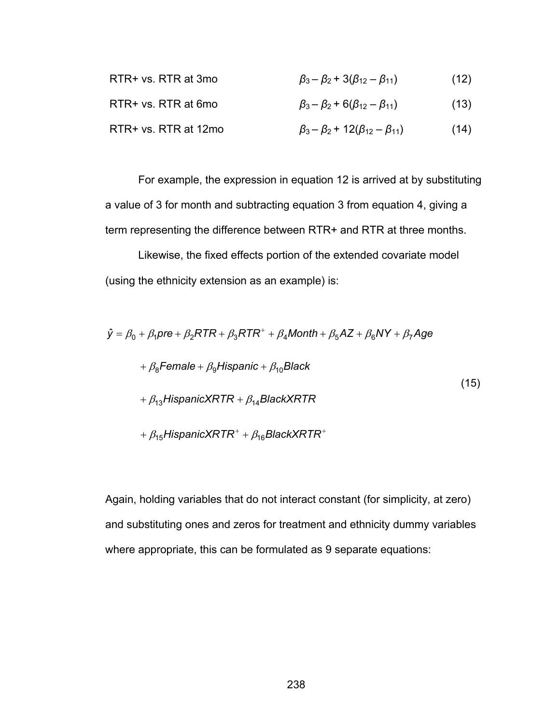| RTR+ vs. RTR at 3mo  | $\beta_3 - \beta_2$ + 3( $\beta_{12} - \beta_{11}$ )  | (12) |
|----------------------|-------------------------------------------------------|------|
| RTR+ vs. RTR at 6mo  | $\beta_3 - \beta_2$ + 6( $\beta_{12} - \beta_{11}$ )  | (13) |
| RTR+ vs. RTR at 12mo | $\beta_3 - \beta_2$ + 12( $\beta_{12} - \beta_{11}$ ) | (14) |

For example, the expression in equation 12 is arrived at by substituting a value of 3 for month and subtracting equation 3 from equation 4, giving a term representing the difference between RTR+ and RTR at three months.

Likewise, the fixed effects portion of the extended covariate model (using the ethnicity extension as an example) is:

$$
\hat{y} = \beta_0 + \beta_1 \text{pre} + \beta_2 \text{RTR} + \beta_3 \text{RTR}^+ + \beta_4 \text{Month} + \beta_5 \text{AZ} + \beta_6 \text{NY} + \beta_7 \text{Age}
$$
  
+  $\beta_8$ Female +  $\beta_9$ Hispanic +  $\beta_{10}$ Black  
+  $\beta_{13}$ HispanicXRTR +  $\beta_{14}$ BlackXRTR  
+  $\beta_{15}$ HispanicXRTR<sup>+</sup> +  $\beta_{16}$ BlackXRTR<sup>+</sup>

Again, holding variables that do not interact constant (for simplicity, at zero) and substituting ones and zeros for treatment and ethnicity dummy variables where appropriate, this can be formulated as 9 separate equations: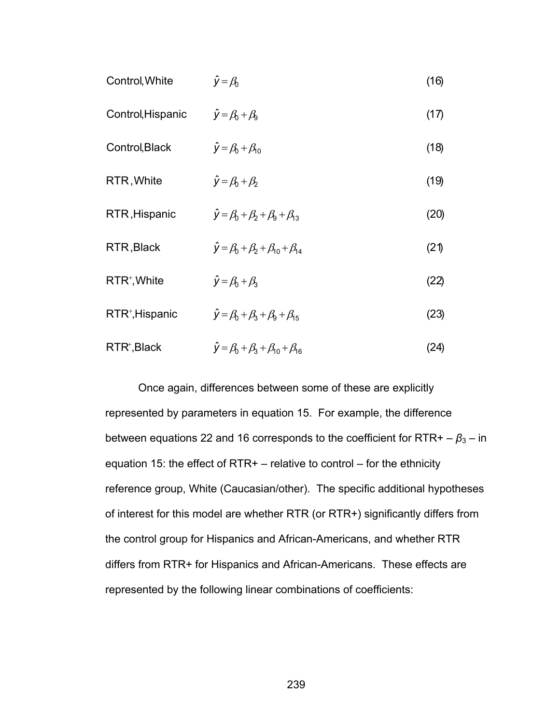| Control, White              | $\hat{y} = \beta_0$                                     | (16) |
|-----------------------------|---------------------------------------------------------|------|
| Control, Hispanic           | $\hat{y} = \beta_0 + \beta_9$                           | (17) |
| Control, Black              | $\hat{y} = \beta_0 + \beta_{10}$                        | (18) |
| RTR, White                  | $\hat{y} = \beta_0 + \beta_2$                           | (19) |
| RTR, Hispanic               | $\hat{y} = \beta_0 + \beta_2 + \beta_3 + \beta_{13}$    | (20) |
| RTR, Black                  | $\hat{y} = \beta_0 + \beta_2 + \beta_{10} + \beta_{14}$ | (21) |
| $RTR^+$ , White             | $\hat{y} = \beta_0 + \beta_3$                           | (22) |
| RTR <sup>+</sup> , Hispanic | $\hat{V} = \beta_0 + \beta_3 + \beta_9 + \beta_{15}$    | (23) |
| RTR <sup>+</sup> , Black    | $\hat{y} = \beta_0 + \beta_3 + \beta_{10} + \beta_{16}$ | (24) |

Once again, differences between some of these are explicitly represented by parameters in equation 15. For example, the difference between equations 22 and 16 corresponds to the coefficient for  $RTR + -\beta_3 - in$ equation 15: the effect of RTR+ – relative to control – for the ethnicity reference group, White (Caucasian/other). The specific additional hypotheses of interest for this model are whether RTR (or RTR+) significantly differs from the control group for Hispanics and African-Americans, and whether RTR differs from RTR+ for Hispanics and African-Americans. These effects are represented by the following linear combinations of coefficients: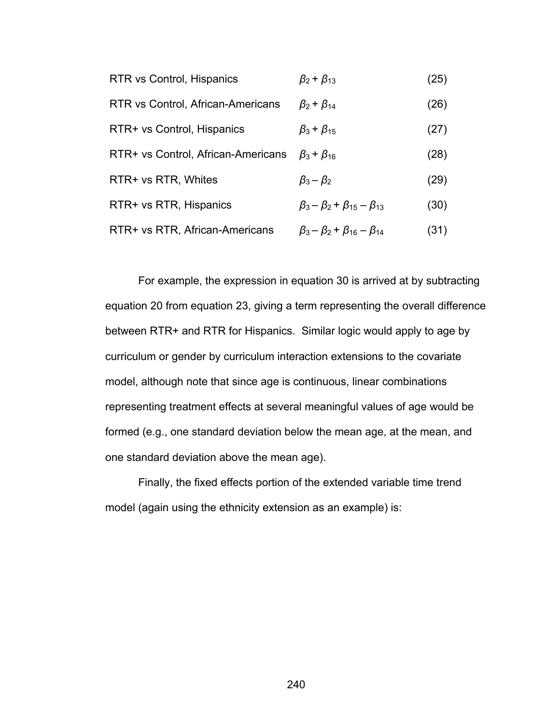| RTR vs Control, Hispanics          | $\beta_2 + \beta_{13}$                        | (25) |
|------------------------------------|-----------------------------------------------|------|
| RTR vs Control, African-Americans  | $\beta_2 + \beta_{14}$                        | (26) |
| RTR+ vs Control, Hispanics         | $\beta_3$ + $\beta_{15}$                      | (27) |
| RTR+ vs Control, African-Americans | $\beta_3 + \beta_{16}$                        | (28) |
| RTR+ vs RTR, Whites                | $\beta_3 - \beta_2$                           | (29) |
| RTR+ vs RTR, Hispanics             | $\beta_3 - \beta_2 + \beta_{15} - \beta_{13}$ | (30) |
| RTR+ vs RTR, African-Americans     | $\beta_3 - \beta_2 + \beta_{16} - \beta_{14}$ | (31) |

For example, the expression in equation 30 is arrived at by subtracting equation 20 from equation 23, giving a term representing the overall difference between RTR+ and RTR for Hispanics. Similar logic would apply to age by curriculum or gender by curriculum interaction extensions to the covariate model, although note that since age is continuous, linear combinations representing treatment effects at several meaningful values of age would be formed (e.g., one standard deviation below the mean age, at the mean, and one standard deviation above the mean age).

Finally, the fixed effects portion of the extended variable time trend model (again using the ethnicity extension as an example) is:

240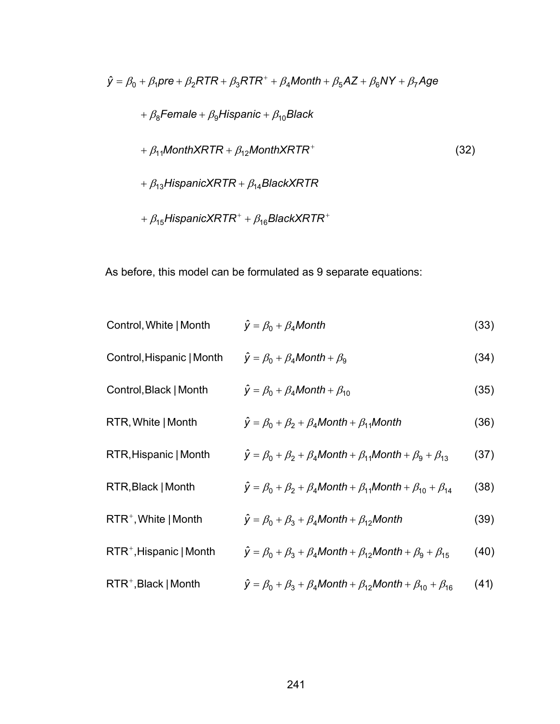$$
\hat{y} = \beta_0 + \beta_1 pre + \beta_2 RTR + \beta_3 RTR^+ + \beta_4 \text{Month} + \beta_5 AZ + \beta_6 NY + \beta_7 Age
$$
\n
$$
+ \beta_8 Female + \beta_9 Hispanic + \beta_{10} Black
$$
\n
$$
+ \beta_{11} MonthXRTR + \beta_{12} MonthXRTR^+
$$
\n
$$
+ \beta_{13} HispanicXRTR + \beta_{14} BlackXRTR
$$
\n
$$
+ \beta_{15} HispanicXRTR^+ + \beta_{16} BlackXRTR^+
$$
\n(32)

As before, this model can be formulated as 9 separate equations:

| Control, White   Month              | $\hat{y} = \beta_0 + \beta_4$ Month                                                            | (33) |
|-------------------------------------|------------------------------------------------------------------------------------------------|------|
| Control, Hispanic   Month           | $\hat{y} = \beta_0 + \beta_4$ Month + $\beta_9$                                                | (34) |
| Control, Black   Month              | $\hat{y} = \beta_0 + \beta_4$ Month + $\beta_{10}$                                             | (35) |
| RTR, White   Month                  | $\hat{y} = \beta_0 + \beta_2 + \beta_4$ Month + $\beta_{11}$ Month                             | (36) |
| RTR, Hispanic   Month               | $\hat{y} = \beta_0 + \beta_2 + \beta_4$ Month + $\beta_{11}$ Month + $\beta_9 + \beta_{13}$    | (37) |
| RTR, Black   Month                  | $\hat{y} = \beta_0 + \beta_2 + \beta_4$ Month + $\beta_{11}$ Month + $\beta_{10} + \beta_{14}$ | (38) |
| $RTR^+$ , White   Month             | $\hat{y} = \beta_0 + \beta_3 + \beta_4$ Month + $\beta_{12}$ Month                             | (39) |
| RTR <sup>+</sup> , Hispanic   Month | $\hat{y} = \beta_0 + \beta_3 + \beta_4$ Month + $\beta_{12}$ Month + $\beta_9 + \beta_{15}$    | (40) |
| $RTR^+$ , Black   Month             | $\hat{y} = \beta_0 + \beta_3 + \beta_4$ Month + $\beta_{12}$ Month + $\beta_{10} + \beta_{16}$ | (41) |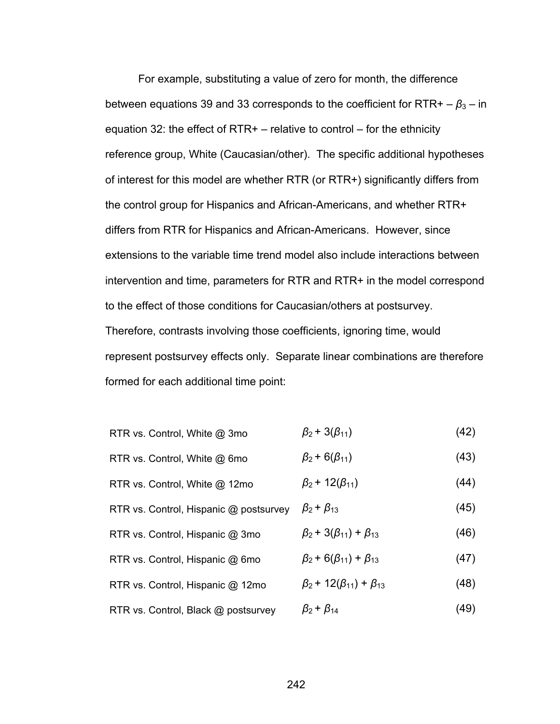For example, substituting a value of zero for month, the difference between equations 39 and 33 corresponds to the coefficient for  $RTR + -\beta_3 - in$ equation 32: the effect of RTR+  $-$  relative to control  $-$  for the ethnicity reference group, White (Caucasian/other). The specific additional hypotheses of interest for this model are whether RTR (or RTR+) significantly differs from the control group for Hispanics and African-Americans, and whether RTR+ differs from RTR for Hispanics and African-Americans. However, since extensions to the variable time trend model also include interactions between intervention and time, parameters for RTR and RTR+ in the model correspond to the effect of those conditions for Caucasian/others at postsurvey. Therefore, contrasts involving those coefficients, ignoring time, would represent postsurvey effects only. Separate linear combinations are therefore formed for each additional time point:

| RTR vs. Control, White @ 3mo | $\beta_2$ + 3( $\beta_{11}$ ) | (42) |
|------------------------------|-------------------------------|------|
|------------------------------|-------------------------------|------|

RTR vs. Control, White @ 6mo  $\beta_2$  + 6( $\beta_{11}$ ) (43)

RTR vs. Control, White @ 12mo  $\beta_2$  + 12( $\beta_{11}$ ) (44)

- RTR vs. Control, Hispanic @ postsurvey  $\beta_2 + \beta_{13}$  (45)
- RTR vs. Control, Hispanic @ 3mo  $\beta_2 + 3(\beta_{11}) + \beta_{13}$  (46)
- RTR vs. Control, Hispanic @ 6mo  $\beta_2$  +  $6(\beta_{11})$  +  $\beta_{13}$  (47)
- RTR vs. Control, Hispanic @ 12mo  $\beta_2$  + 12( $\beta_{11}$ ) +  $\beta_{13}$  (48)
- RTR vs. Control, Black @ postsurvey  $\beta_2 + \beta_{14}$  (49)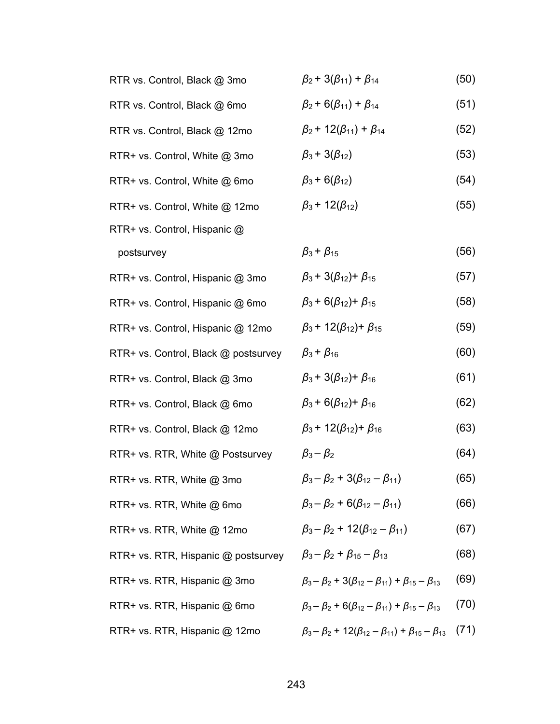| RTR vs. Control, Black @ 3mo         | $\beta_2$ + 3( $\beta_{11}$ ) + $\beta_{14}$                                      | (50) |
|--------------------------------------|-----------------------------------------------------------------------------------|------|
| RTR vs. Control, Black @ 6mo         | $\beta_2$ + 6( $\beta_{11}$ ) + $\beta_{14}$                                      | (51) |
| RTR vs. Control, Black @ 12mo        | $\beta_2$ + 12( $\beta_{11}$ ) + $\beta_{14}$                                     | (52) |
| RTR+ vs. Control, White @ 3mo        | $\beta_3$ + 3( $\beta_{12}$ )                                                     | (53) |
| RTR+ vs. Control, White @ 6mo        | $\beta_3$ + 6( $\beta_{12}$ )                                                     | (54) |
| RTR+ vs. Control, White @ 12mo       | $\beta_3$ + 12( $\beta_{12}$ )                                                    | (55) |
| RTR+ vs. Control, Hispanic @         |                                                                                   |      |
| postsurvey                           | $\beta_3 + \beta_{15}$                                                            | (56) |
| RTR+ vs. Control, Hispanic @ 3mo     | $\beta_3$ + 3( $\beta_{12}$ ) + $\beta_{15}$                                      | (57) |
| RTR+ vs. Control, Hispanic @ 6mo     | $\beta_3$ + 6( $\beta_{12}$ ) + $\beta_{15}$                                      | (58) |
| RTR+ vs. Control, Hispanic @ 12mo    | $\beta_3$ + 12( $\beta_{12}$ ) + $\beta_{15}$                                     | (59) |
| RTR+ vs. Control, Black @ postsurvey | $\beta_3 + \beta_{16}$                                                            | (60) |
| RTR+ vs. Control, Black @ 3mo        | $\beta_3$ + 3( $\beta_{12}$ ) + $\beta_{16}$                                      | (61) |
| RTR+ vs. Control, Black @ 6mo        | $\beta_3$ + 6( $\beta_{12}$ ) + $\beta_{16}$                                      | (62) |
| RTR+ vs. Control, Black @ 12mo       | $\beta_3$ + 12( $\beta_{12}$ ) + $\beta_{16}$                                     | (63) |
| RTR+ vs. RTR, White @ Postsurvey     | $\beta_3 - \beta_2$                                                               | (64) |
| RTR+ vs. RTR, White @ 3mo            | $\beta_3 - \beta_2 + 3(\beta_{12} - \beta_{11})$                                  | (65) |
| RTR+ vs. RTR, White @ 6mo            | $\beta_3 - \beta_2 + 6(\beta_{12} - \beta_{11})$                                  | (66) |
| RTR+ vs. RTR, White @ 12mo           | $\beta_3 - \beta_2 + 12(\beta_{12} - \beta_{11})$                                 | (67) |
| RTR+ vs. RTR, Hispanic @ postsurvey  | $\beta_3 - \beta_2 + \beta_{15} - \beta_{13}$                                     | (68) |
| RTR+ vs. RTR, Hispanic @ 3mo         | $\beta_3 - \beta_2$ + 3( $\beta_{12} - \beta_{11}$ ) + $\beta_{15} - \beta_{13}$  | (69) |
| RTR+ vs. RTR, Hispanic @ 6mo         | $\beta_3 - \beta_2 + 6(\beta_{12} - \beta_{11}) + \beta_{15} - \beta_{13}$        | (70) |
| RTR+ vs. RTR, Hispanic @ 12mo        | $\beta_3 - \beta_2$ + 12( $\beta_{12} - \beta_{11}$ ) + $\beta_{15} - \beta_{13}$ | (71) |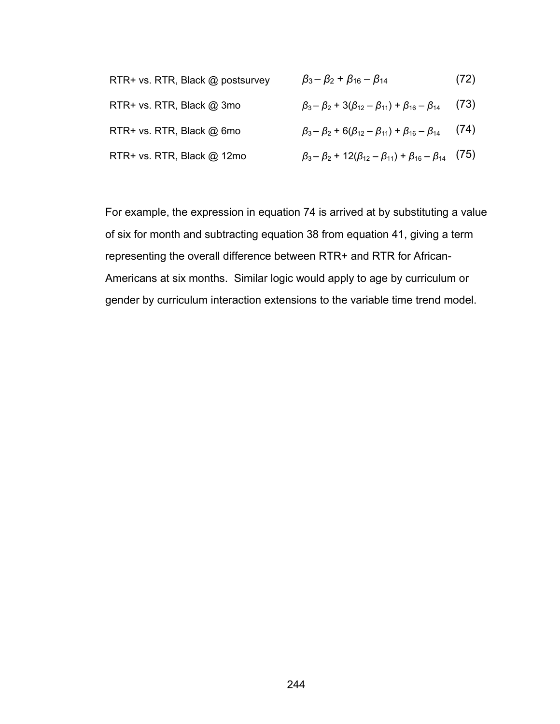| RTR+ vs. RTR, Black @ postsurvey | $\beta_3 - \beta_2 + \beta_{16} - \beta_{14}$                                     | (72) |
|----------------------------------|-----------------------------------------------------------------------------------|------|
| RTR+ vs. RTR, Black @ 3mo        | $\beta_3 - \beta_2$ + 3( $\beta_{12} - \beta_{11}$ ) + $\beta_{16} - \beta_{14}$  | (73) |
| RTR+ vs. RTR, Black @ 6mo        | $\beta_3 - \beta_2 + 6(\beta_{12} - \beta_{11}) + \beta_{16} - \beta_{14}$        | (74) |
| RTR+ vs. RTR, Black @ 12mo       | $\beta_3 - \beta_2$ + 12( $\beta_{12} - \beta_{11}$ ) + $\beta_{16} - \beta_{14}$ | (75) |

For example, the expression in equation 74 is arrived at by substituting a value of six for month and subtracting equation 38 from equation 41, giving a term representing the overall difference between RTR+ and RTR for African-Americans at six months. Similar logic would apply to age by curriculum or gender by curriculum interaction extensions to the variable time trend model.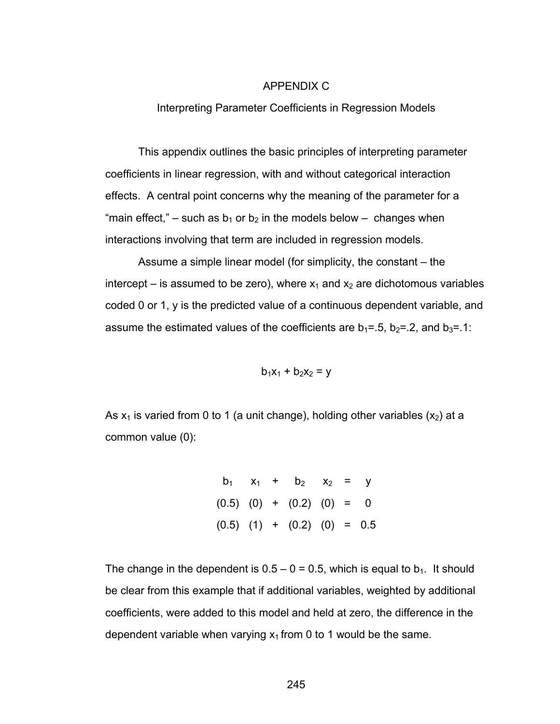#### APPENDIX C

Interpreting Parameter Coefficients in Regression Models

This appendix outlines the basic principles of interpreting parameter coefficients in linear regression, with and without categorical interaction effects. A central point concerns why the meaning of the parameter for a "main effect," – such as  $b_1$  or  $b_2$  in the models below – changes when interactions involving that term are included in regression models.

Assume a simple linear model (for simplicity, the constant – the intercept – is assumed to be zero), where  $x_1$  and  $x_2$  are dichotomous variables coded 0 or 1, y is the predicted value of a continuous dependent variable, and assume the estimated values of the coefficients are  $b_1 = .5$ ,  $b_2 = .2$ , and  $b_3 = .1$ :

$$
b_1x_1 + b_2x_2 = y
$$

As  $x_1$  is varied from 0 to 1 (a unit change), holding other variables  $(x_2)$  at a common value (0):

$$
b_1 \quad x_1 \quad + \quad b_2 \quad x_2 \quad = \quad y
$$
  
(0.5) (0) + (0.2) (0) = 0  
(0.5) (1) + (0.2) (0) = 0.5

The change in the dependent is  $0.5 - 0 = 0.5$ , which is equal to  $b_1$ . It should be clear from this example that if additional variables, weighted by additional coefficients, were added to this model and held at zero, the difference in the dependent variable when varying  $x_1$  from 0 to 1 would be the same.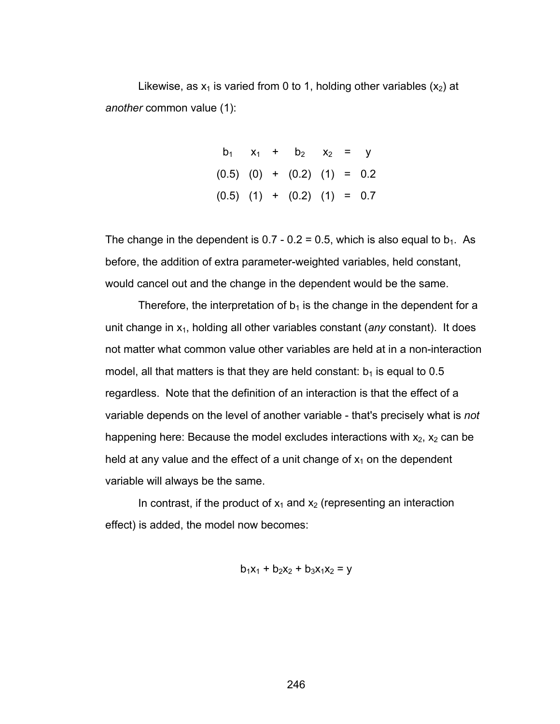Likewise, as  $x_1$  is varied from 0 to 1, holding other variables  $(x_2)$  at *another* common value (1):

> $b_1$   $x_1$  +  $b_2$   $x_2$  = y  $(0.5)$   $(0)$  +  $(0.2)$   $(1)$  = 0.2  $(0.5)$   $(1)$  +  $(0.2)$   $(1)$  = 0.7

The change in the dependent is 0.7 - 0.2 = 0.5, which is also equal to  $b_1$ . As before, the addition of extra parameter-weighted variables, held constant, would cancel out and the change in the dependent would be the same.

Therefore, the interpretation of  $b_1$  is the change in the dependent for a unit change in x1, holding all other variables constant (*any* constant). It does not matter what common value other variables are held at in a non-interaction model, all that matters is that they are held constant:  $b_1$  is equal to 0.5 regardless. Note that the definition of an interaction is that the effect of a variable depends on the level of another variable - that's precisely what is *not* happening here: Because the model excludes interactions with  $x_2$ ,  $x_2$  can be held at any value and the effect of a unit change of  $x_1$  on the dependent variable will always be the same.

In contrast, if the product of  $x_1$  and  $x_2$  (representing an interaction effect) is added, the model now becomes:

 $b_1x_1 + b_2x_2 + b_3x_1x_2 = y$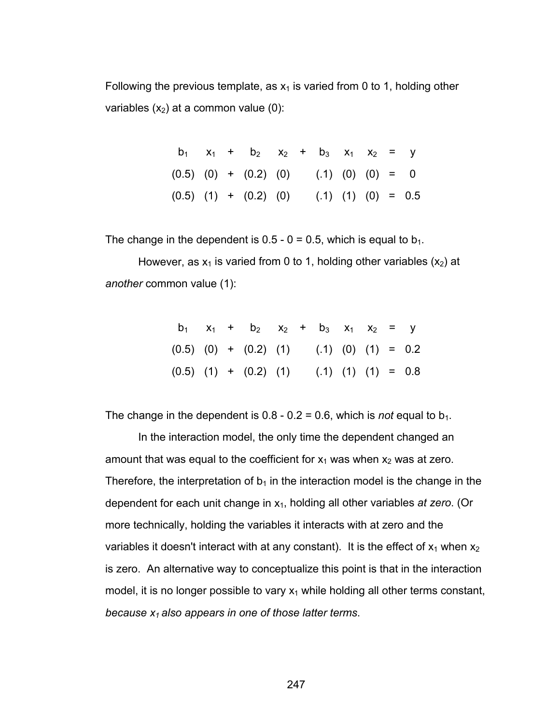Following the previous template, as  $x_1$  is varied from 0 to 1, holding other variables  $(x_2)$  at a common value (0):

|  | $b_1$ $x_1$ + $b_2$ $x_2$ + $b_3$ $x_1$ $x_2$ = y      |  |  |  |  |
|--|--------------------------------------------------------|--|--|--|--|
|  | $(0.5)$ $(0)$ + $(0.2)$ $(0)$ $(.1)$ $(0)$ $(0)$ = 0   |  |  |  |  |
|  | $(0.5)$ $(1)$ + $(0.2)$ $(0)$ $(.1)$ $(1)$ $(0)$ = 0.5 |  |  |  |  |

The change in the dependent is  $0.5 - 0 = 0.5$ , which is equal to  $b_1$ .

However, as  $x_1$  is varied from 0 to 1, holding other variables  $(x_2)$  at *another* common value (1):

|  | $b_1$ $x_1$ + $b_2$ $x_2$ + $b_3$ $x_1$ $x_2$ = y      |  |  |  |  |
|--|--------------------------------------------------------|--|--|--|--|
|  | $(0.5)$ $(0)$ + $(0.2)$ $(1)$ $(.1)$ $(0)$ $(1)$ = 0.2 |  |  |  |  |
|  | $(0.5)$ $(1)$ + $(0.2)$ $(1)$ $(1)$ $(1)$ $(1)$ = 0.8  |  |  |  |  |

The change in the dependent is  $0.8 - 0.2 = 0.6$ , which is *not* equal to  $b_1$ .

In the interaction model, the only time the dependent changed an amount that was equal to the coefficient for  $x_1$  was when  $x_2$  was at zero. Therefore, the interpretation of  $b_1$  in the interaction model is the change in the dependent for each unit change in x1, holding all other variables *at zero*. (Or more technically, holding the variables it interacts with at zero and the variables it doesn't interact with at any constant). It is the effect of  $x_1$  when  $x_2$ is zero. An alternative way to conceptualize this point is that in the interaction model, it is no longer possible to vary  $x_1$  while holding all other terms constant, *because x1 also appears in one of those latter terms*.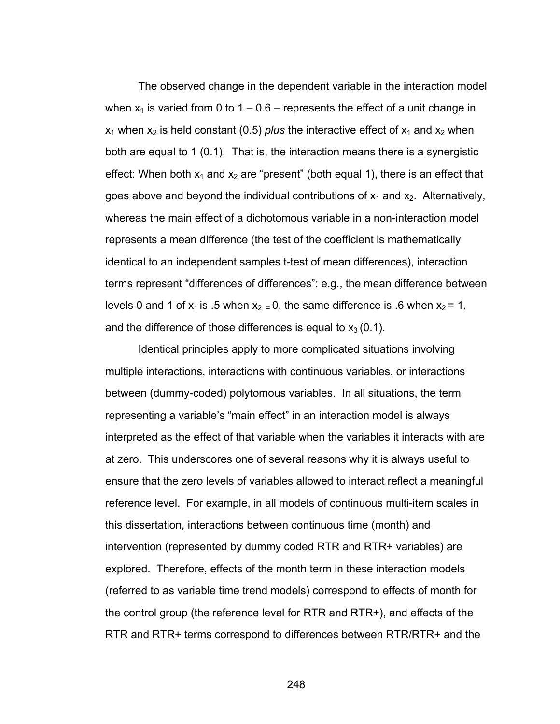The observed change in the dependent variable in the interaction model when  $x_1$  is varied from 0 to 1 – 0.6 – represents the effect of a unit change in  $x_1$  when  $x_2$  is held constant (0.5) *plus* the interactive effect of  $x_1$  and  $x_2$  when both are equal to 1 (0.1). That is, the interaction means there is a synergistic effect: When both  $x_1$  and  $x_2$  are "present" (both equal 1), there is an effect that goes above and beyond the individual contributions of  $x_1$  and  $x_2$ . Alternatively, whereas the main effect of a dichotomous variable in a non-interaction model represents a mean difference (the test of the coefficient is mathematically identical to an independent samples t-test of mean differences), interaction terms represent "differences of differences": e.g., the mean difference between levels 0 and 1 of  $x_1$  is .5 when  $x_2 = 0$ , the same difference is .6 when  $x_2 = 1$ , and the difference of those differences is equal to  $x_3 (0.1)$ .

Identical principles apply to more complicated situations involving multiple interactions, interactions with continuous variables, or interactions between (dummy-coded) polytomous variables. In all situations, the term representing a variable's "main effect" in an interaction model is always interpreted as the effect of that variable when the variables it interacts with are at zero. This underscores one of several reasons why it is always useful to ensure that the zero levels of variables allowed to interact reflect a meaningful reference level. For example, in all models of continuous multi-item scales in this dissertation, interactions between continuous time (month) and intervention (represented by dummy coded RTR and RTR+ variables) are explored. Therefore, effects of the month term in these interaction models (referred to as variable time trend models) correspond to effects of month for the control group (the reference level for RTR and RTR+), and effects of the RTR and RTR+ terms correspond to differences between RTR/RTR+ and the

248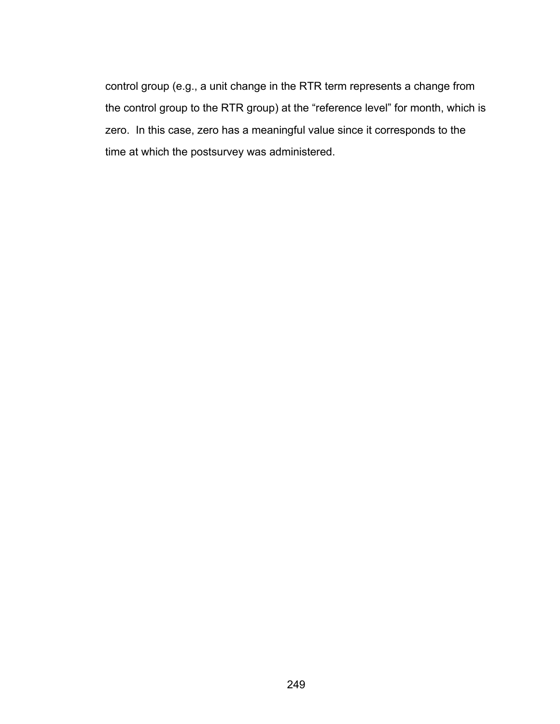control group (e.g., a unit change in the RTR term represents a change from the control group to the RTR group) at the "reference level" for month, which is zero. In this case, zero has a meaningful value since it corresponds to the time at which the postsurvey was administered.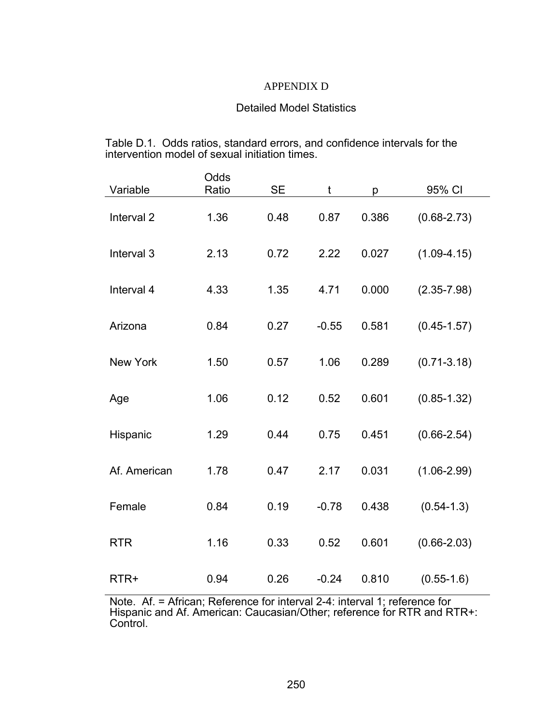# APPENDIX D

# Detailed Model Statistics

Table D.1. Odds ratios, standard errors, and confidence intervals for the intervention model of sexual initiation times.

| Variable              | Odds<br>Ratio | <b>SE</b> | t       | p     | 95% CI          |
|-----------------------|---------------|-----------|---------|-------|-----------------|
| Interval <sub>2</sub> | 1.36          | 0.48      | 0.87    | 0.386 | $(0.68 - 2.73)$ |
| Interval 3            | 2.13          | 0.72      | 2.22    | 0.027 | $(1.09 - 4.15)$ |
| Interval 4            | 4.33          | 1.35      | 4.71    | 0.000 | $(2.35 - 7.98)$ |
| Arizona               | 0.84          | 0.27      | $-0.55$ | 0.581 | $(0.45 - 1.57)$ |
| <b>New York</b>       | 1.50          | 0.57      | 1.06    | 0.289 | $(0.71 - 3.18)$ |
| Age                   | 1.06          | 0.12      | 0.52    | 0.601 | $(0.85 - 1.32)$ |
| Hispanic              | 1.29          | 0.44      | 0.75    | 0.451 | $(0.66 - 2.54)$ |
| Af. American          | 1.78          | 0.47      | 2.17    | 0.031 | $(1.06 - 2.99)$ |
| Female                | 0.84          | 0.19      | $-0.78$ | 0.438 | $(0.54 - 1.3)$  |
| <b>RTR</b>            | 1.16          | 0.33      | 0.52    | 0.601 | $(0.66 - 2.03)$ |
| RTR+                  | 0.94          | 0.26      | $-0.24$ | 0.810 | $(0.55-1.6)$    |

Note. Af. = African; Reference for interval 2-4: interval 1; reference for Hispanic and Af. American: Caucasian/Other; reference for RTR and RTR+: Control.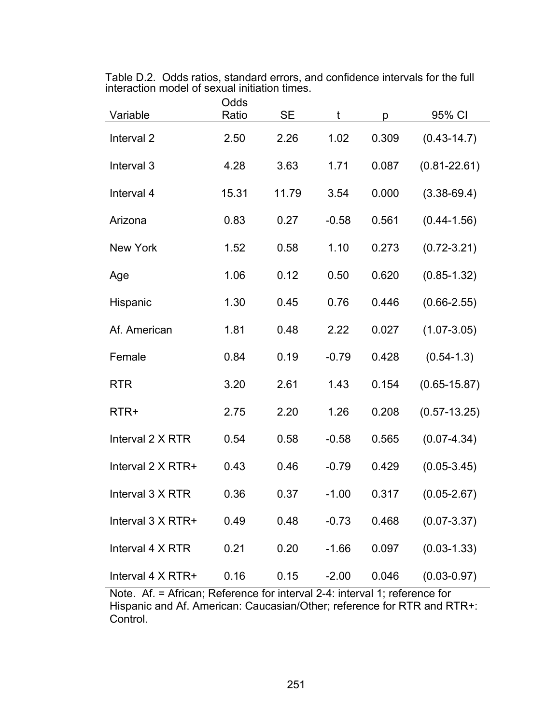|  | Table D.2. Odds ratios, standard errors, and confidence intervals for the full |  |  |
|--|--------------------------------------------------------------------------------|--|--|
|  | interaction model of sexual initiation times.                                  |  |  |

| Variable                 | Odds<br>Ratio | <b>SE</b> | t       | p     | 95% CI           |
|--------------------------|---------------|-----------|---------|-------|------------------|
| Interval <sub>2</sub>    | 2.50          | 2.26      | 1.02    | 0.309 | $(0.43 - 14.7)$  |
| Interval 3               | 4.28          | 3.63      | 1.71    | 0.087 | $(0.81 - 22.61)$ |
| Interval 4               | 15.31         | 11.79     | 3.54    | 0.000 | $(3.38 - 69.4)$  |
| Arizona                  | 0.83          | 0.27      | $-0.58$ | 0.561 | $(0.44 - 1.56)$  |
| <b>New York</b>          | 1.52          | 0.58      | 1.10    | 0.273 | $(0.72 - 3.21)$  |
| Age                      | 1.06          | 0.12      | 0.50    | 0.620 | $(0.85 - 1.32)$  |
| Hispanic                 | 1.30          | 0.45      | 0.76    | 0.446 | $(0.66 - 2.55)$  |
| Af. American             | 1.81          | 0.48      | 2.22    | 0.027 | $(1.07 - 3.05)$  |
| Female                   | 0.84          | 0.19      | $-0.79$ | 0.428 | $(0.54 - 1.3)$   |
| <b>RTR</b>               | 3.20          | 2.61      | 1.43    | 0.154 | $(0.65 - 15.87)$ |
| RTR+                     | 2.75          | 2.20      | 1.26    | 0.208 | $(0.57 - 13.25)$ |
| Interval 2 X RTR         | 0.54          | 0.58      | $-0.58$ | 0.565 | $(0.07 - 4.34)$  |
| Interval $2 \times RTR+$ | 0.43          | 0.46      | $-0.79$ | 0.429 | $(0.05 - 3.45)$  |
| Interval 3 X RTR         | 0.36          | 0.37      | $-1.00$ | 0.317 | $(0.05 - 2.67)$  |
| Interval 3 X RTR+        | 0.49          | 0.48      | $-0.73$ | 0.468 | $(0.07 - 3.37)$  |
| Interval 4 X RTR         | 0.21          | 0.20      | $-1.66$ | 0.097 | $(0.03 - 1.33)$  |
| Interval 4 X RTR+        | 0.16          | 0.15      | $-2.00$ | 0.046 | $(0.03 - 0.97)$  |

Note. Af. = African; Reference for interval 2-4: interval 1; reference for Hispanic and Af. American: Caucasian/Other; reference for RTR and RTR+: Control.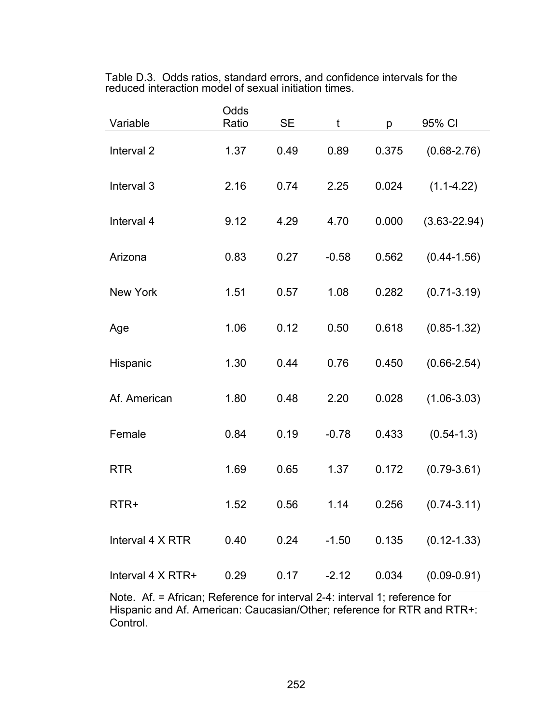Table D.3. Odds ratios, standard errors, and confidence intervals for the reduced interaction model of sexual initiation times.

| Variable              | Odds<br>Ratio | <b>SE</b> | t       | p     | 95% CI           |
|-----------------------|---------------|-----------|---------|-------|------------------|
| Interval <sub>2</sub> | 1.37          | 0.49      | 0.89    | 0.375 | $(0.68 - 2.76)$  |
| Interval <sub>3</sub> | 2.16          | 0.74      | 2.25    | 0.024 | $(1.1 - 4.22)$   |
| Interval 4            | 9.12          | 4.29      | 4.70    | 0.000 | $(3.63 - 22.94)$ |
| Arizona               | 0.83          | 0.27      | $-0.58$ | 0.562 | $(0.44 - 1.56)$  |
| <b>New York</b>       | 1.51          | 0.57      | 1.08    | 0.282 | $(0.71 - 3.19)$  |
| Age                   | 1.06          | 0.12      | 0.50    | 0.618 | $(0.85 - 1.32)$  |
| Hispanic              | 1.30          | 0.44      | 0.76    | 0.450 | $(0.66 - 2.54)$  |
| Af. American          | 1.80          | 0.48      | 2.20    | 0.028 | $(1.06 - 3.03)$  |
| Female                | 0.84          | 0.19      | $-0.78$ | 0.433 | $(0.54 - 1.3)$   |
| <b>RTR</b>            | 1.69          | 0.65      | 1.37    | 0.172 | $(0.79 - 3.61)$  |
| RTR+                  | 1.52          | 0.56      | 1.14    | 0.256 | $(0.74 - 3.11)$  |
| Interval 4 X RTR      | 0.40          | 0.24      | $-1.50$ | 0.135 | $(0.12 - 1.33)$  |
| Interval 4 X RTR+     | 0.29          | 0.17      | $-2.12$ | 0.034 | $(0.09 - 0.91)$  |

Note. Af. = African; Reference for interval 2-4: interval 1; reference for Hispanic and Af. American: Caucasian/Other; reference for RTR and RTR+: Control.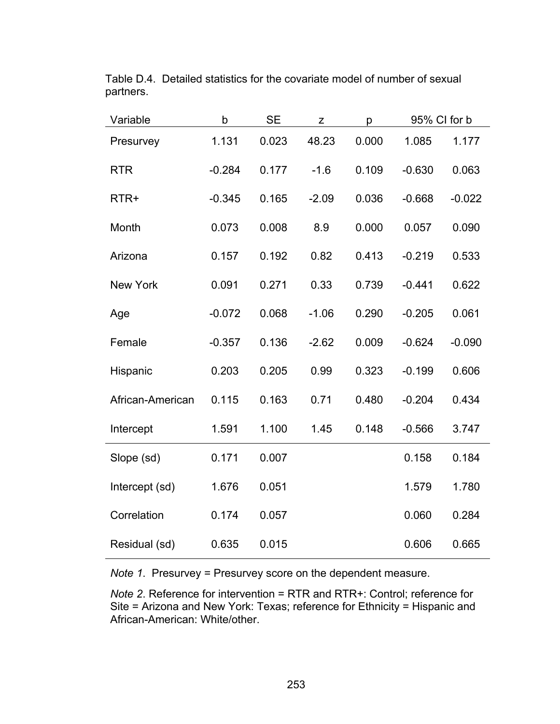| Variable         | b        | <b>SE</b> | Z       | p     | 95% CI for b |          |
|------------------|----------|-----------|---------|-------|--------------|----------|
| Presurvey        | 1.131    | 0.023     | 48.23   | 0.000 | 1.085        | 1.177    |
| <b>RTR</b>       | $-0.284$ | 0.177     | $-1.6$  | 0.109 | $-0.630$     | 0.063    |
| RTR+             | $-0.345$ | 0.165     | $-2.09$ | 0.036 | $-0.668$     | $-0.022$ |
| Month            | 0.073    | 0.008     | 8.9     | 0.000 | 0.057        | 0.090    |
| Arizona          | 0.157    | 0.192     | 0.82    | 0.413 | $-0.219$     | 0.533    |
| New York         | 0.091    | 0.271     | 0.33    | 0.739 | $-0.441$     | 0.622    |
| Age              | $-0.072$ | 0.068     | $-1.06$ | 0.290 | $-0.205$     | 0.061    |
| Female           | $-0.357$ | 0.136     | $-2.62$ | 0.009 | $-0.624$     | $-0.090$ |
| Hispanic         | 0.203    | 0.205     | 0.99    | 0.323 | $-0.199$     | 0.606    |
| African-American | 0.115    | 0.163     | 0.71    | 0.480 | $-0.204$     | 0.434    |
| Intercept        | 1.591    | 1.100     | 1.45    | 0.148 | $-0.566$     | 3.747    |
| Slope (sd)       | 0.171    | 0.007     |         |       | 0.158        | 0.184    |
| Intercept (sd)   | 1.676    | 0.051     |         |       | 1.579        | 1.780    |
| Correlation      | 0.174    | 0.057     |         |       | 0.060        | 0.284    |
| Residual (sd)    | 0.635    | 0.015     |         |       | 0.606        | 0.665    |

Table D.4. Detailed statistics for the covariate model of number of sexual partners.

*Note 1*. Presurvey = Presurvey score on the dependent measure.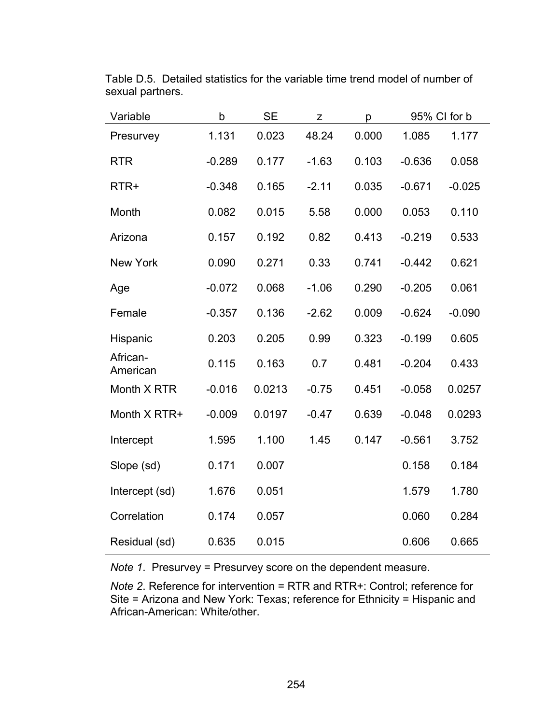| Variable             | b        | <b>SE</b> | Z       | p     |          | 95% CI for b |
|----------------------|----------|-----------|---------|-------|----------|--------------|
| Presurvey            | 1.131    | 0.023     | 48.24   | 0.000 | 1.085    | 1.177        |
| <b>RTR</b>           | $-0.289$ | 0.177     | $-1.63$ | 0.103 | $-0.636$ | 0.058        |
| RTR+                 | $-0.348$ | 0.165     | $-2.11$ | 0.035 | $-0.671$ | $-0.025$     |
| Month                | 0.082    | 0.015     | 5.58    | 0.000 | 0.053    | 0.110        |
| Arizona              | 0.157    | 0.192     | 0.82    | 0.413 | $-0.219$ | 0.533        |
| <b>New York</b>      | 0.090    | 0.271     | 0.33    | 0.741 | $-0.442$ | 0.621        |
| Age                  | $-0.072$ | 0.068     | $-1.06$ | 0.290 | $-0.205$ | 0.061        |
| Female               | $-0.357$ | 0.136     | $-2.62$ | 0.009 | $-0.624$ | $-0.090$     |
| Hispanic             | 0.203    | 0.205     | 0.99    | 0.323 | $-0.199$ | 0.605        |
| African-<br>American | 0.115    | 0.163     | 0.7     | 0.481 | $-0.204$ | 0.433        |
| Month X RTR          | $-0.016$ | 0.0213    | $-0.75$ | 0.451 | $-0.058$ | 0.0257       |
| Month X RTR+         | $-0.009$ | 0.0197    | $-0.47$ | 0.639 | $-0.048$ | 0.0293       |
| Intercept            | 1.595    | 1.100     | 1.45    | 0.147 | $-0.561$ | 3.752        |
| Slope (sd)           | 0.171    | 0.007     |         |       | 0.158    | 0.184        |
| Intercept (sd)       | 1.676    | 0.051     |         |       | 1.579    | 1.780        |
| Correlation          | 0.174    | 0.057     |         |       | 0.060    | 0.284        |
| Residual (sd)        | 0.635    | 0.015     |         |       | 0.606    | 0.665        |

Table D.5. Detailed statistics for the variable time trend model of number of sexual partners.

*Note 1*. Presurvey = Presurvey score on the dependent measure.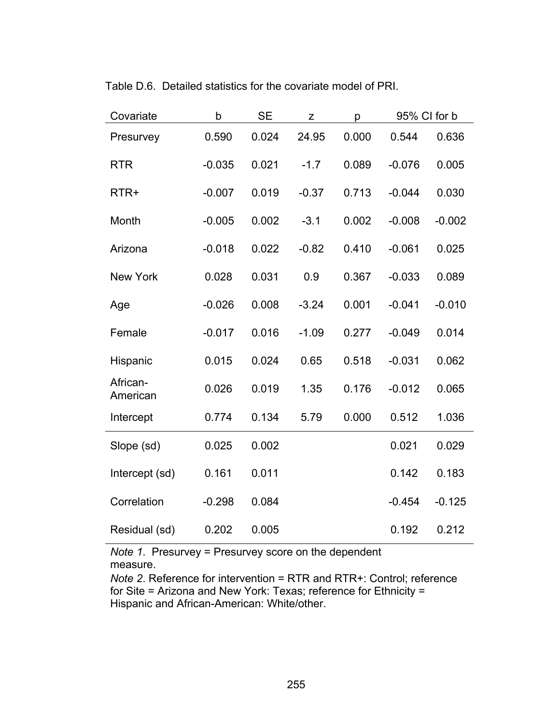| Covariate            | $\mathsf b$ | <b>SE</b> | Z       | p     | 95% CI for b |          |
|----------------------|-------------|-----------|---------|-------|--------------|----------|
| Presurvey            | 0.590       | 0.024     | 24.95   | 0.000 | 0.544        | 0.636    |
| <b>RTR</b>           | $-0.035$    | 0.021     | $-1.7$  | 0.089 | $-0.076$     | 0.005    |
| RTR+                 | $-0.007$    | 0.019     | $-0.37$ | 0.713 | $-0.044$     | 0.030    |
| Month                | $-0.005$    | 0.002     | $-3.1$  | 0.002 | $-0.008$     | $-0.002$ |
| Arizona              | $-0.018$    | 0.022     | $-0.82$ | 0.410 | $-0.061$     | 0.025    |
| <b>New York</b>      | 0.028       | 0.031     | 0.9     | 0.367 | $-0.033$     | 0.089    |
| Age                  | $-0.026$    | 0.008     | $-3.24$ | 0.001 | $-0.041$     | $-0.010$ |
| Female               | $-0.017$    | 0.016     | $-1.09$ | 0.277 | $-0.049$     | 0.014    |
| Hispanic             | 0.015       | 0.024     | 0.65    | 0.518 | $-0.031$     | 0.062    |
| African-<br>American | 0.026       | 0.019     | 1.35    | 0.176 | $-0.012$     | 0.065    |
| Intercept            | 0.774       | 0.134     | 5.79    | 0.000 | 0.512        | 1.036    |
| Slope (sd)           | 0.025       | 0.002     |         |       | 0.021        | 0.029    |
| Intercept (sd)       | 0.161       | 0.011     |         |       | 0.142        | 0.183    |
| Correlation          | $-0.298$    | 0.084     |         |       | $-0.454$     | $-0.125$ |
| Residual (sd)        | 0.202       | 0.005     |         |       | 0.192        | 0.212    |

Table D.6. Detailed statistics for the covariate model of PRI.

*Note 1*. Presurvey = Presurvey score on the dependent measure.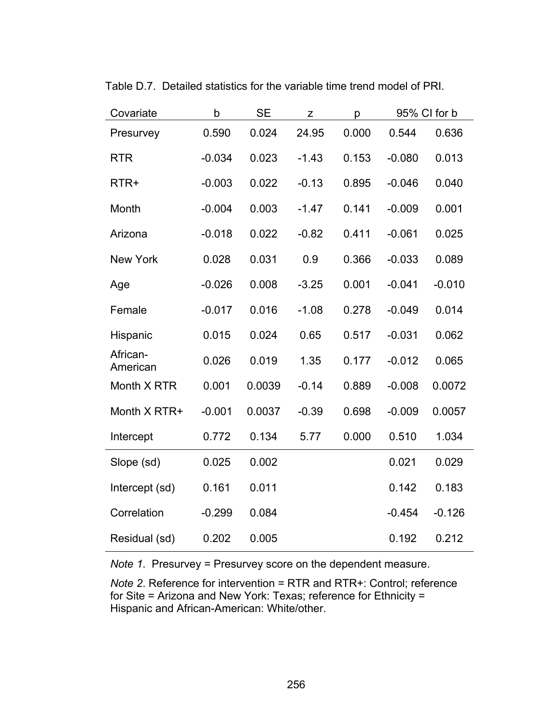| Covariate            | $\mathsf b$ | <b>SE</b> | Z       | p     |          | 95% CI for b |
|----------------------|-------------|-----------|---------|-------|----------|--------------|
| Presurvey            | 0.590       | 0.024     | 24.95   | 0.000 | 0.544    | 0.636        |
| <b>RTR</b>           | $-0.034$    | 0.023     | $-1.43$ | 0.153 | $-0.080$ | 0.013        |
| RTR+                 | $-0.003$    | 0.022     | $-0.13$ | 0.895 | $-0.046$ | 0.040        |
| Month                | $-0.004$    | 0.003     | $-1.47$ | 0.141 | $-0.009$ | 0.001        |
| Arizona              | $-0.018$    | 0.022     | $-0.82$ | 0.411 | $-0.061$ | 0.025        |
| <b>New York</b>      | 0.028       | 0.031     | 0.9     | 0.366 | $-0.033$ | 0.089        |
| Age                  | $-0.026$    | 0.008     | $-3.25$ | 0.001 | $-0.041$ | $-0.010$     |
| Female               | $-0.017$    | 0.016     | $-1.08$ | 0.278 | $-0.049$ | 0.014        |
| Hispanic             | 0.015       | 0.024     | 0.65    | 0.517 | $-0.031$ | 0.062        |
| African-<br>American | 0.026       | 0.019     | 1.35    | 0.177 | $-0.012$ | 0.065        |
| Month X RTR          | 0.001       | 0.0039    | $-0.14$ | 0.889 | $-0.008$ | 0.0072       |
| Month X RTR+         | $-0.001$    | 0.0037    | $-0.39$ | 0.698 | $-0.009$ | 0.0057       |
| Intercept            | 0.772       | 0.134     | 5.77    | 0.000 | 0.510    | 1.034        |
| Slope (sd)           | 0.025       | 0.002     |         |       | 0.021    | 0.029        |
| Intercept (sd)       | 0.161       | 0.011     |         |       | 0.142    | 0.183        |
| Correlation          | $-0.299$    | 0.084     |         |       | $-0.454$ | $-0.126$     |
| Residual (sd)        | 0.202       | 0.005     |         |       | 0.192    | 0.212        |

Table D.7. Detailed statistics for the variable time trend model of PRI.

*Note 1*. Presurvey = Presurvey score on the dependent measure.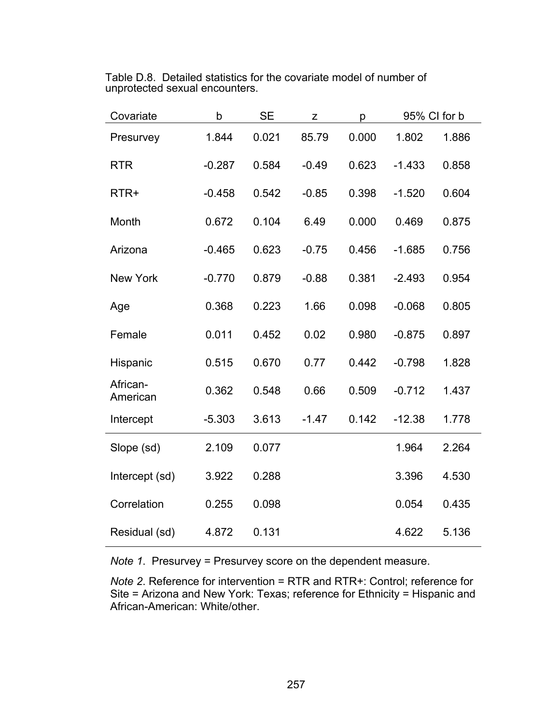| Table D.8. Detailed statistics for the covariate model of number of |
|---------------------------------------------------------------------|
| unprotected sexual encounters.                                      |

| Covariate            | $\mathsf b$ | <b>SE</b> | Z       | p     | 95% CI for b |       |
|----------------------|-------------|-----------|---------|-------|--------------|-------|
| Presurvey            | 1.844       | 0.021     | 85.79   | 0.000 | 1.802        | 1.886 |
| <b>RTR</b>           | $-0.287$    | 0.584     | $-0.49$ | 0.623 | $-1.433$     | 0.858 |
| RTR+                 | $-0.458$    | 0.542     | $-0.85$ | 0.398 | $-1.520$     | 0.604 |
| Month                | 0.672       | 0.104     | 6.49    | 0.000 | 0.469        | 0.875 |
| Arizona              | $-0.465$    | 0.623     | $-0.75$ | 0.456 | $-1.685$     | 0.756 |
| <b>New York</b>      | $-0.770$    | 0.879     | $-0.88$ | 0.381 | $-2.493$     | 0.954 |
| Age                  | 0.368       | 0.223     | 1.66    | 0.098 | $-0.068$     | 0.805 |
| Female               | 0.011       | 0.452     | 0.02    | 0.980 | $-0.875$     | 0.897 |
| Hispanic             | 0.515       | 0.670     | 0.77    | 0.442 | $-0.798$     | 1.828 |
| African-<br>American | 0.362       | 0.548     | 0.66    | 0.509 | $-0.712$     | 1.437 |
| Intercept            | $-5.303$    | 3.613     | $-1.47$ | 0.142 | $-12.38$     | 1.778 |
| Slope (sd)           | 2.109       | 0.077     |         |       | 1.964        | 2.264 |
| Intercept (sd)       | 3.922       | 0.288     |         |       | 3.396        | 4.530 |
| Correlation          | 0.255       | 0.098     |         |       | 0.054        | 0.435 |
| Residual (sd)        | 4.872       | 0.131     |         |       | 4.622        | 5.136 |

*Note 1*. Presurvey = Presurvey score on the dependent measure.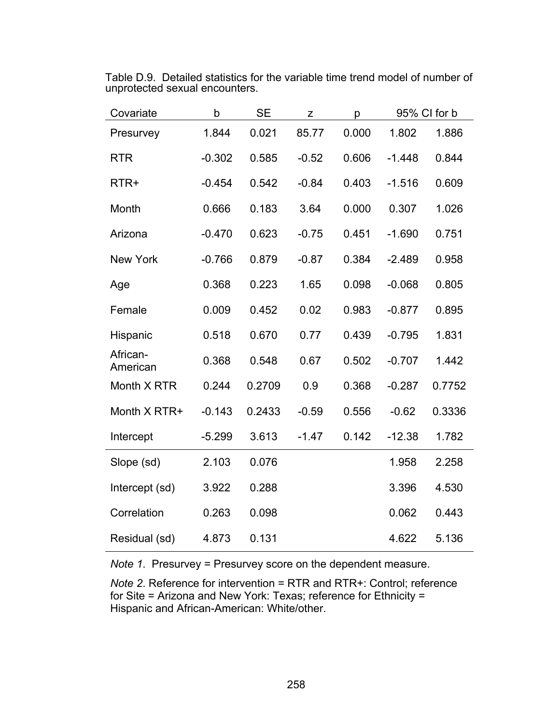| Covariate            | b        | <b>SE</b> | Z       | p     |          | 95% CI for b |
|----------------------|----------|-----------|---------|-------|----------|--------------|
| Presurvey            | 1.844    | 0.021     | 85.77   | 0.000 | 1.802    | 1.886        |
| <b>RTR</b>           | $-0.302$ | 0.585     | $-0.52$ | 0.606 | $-1.448$ | 0.844        |
| RTR+                 | $-0.454$ | 0.542     | $-0.84$ | 0.403 | $-1.516$ | 0.609        |
| Month                | 0.666    | 0.183     | 3.64    | 0.000 | 0.307    | 1.026        |
| Arizona              | $-0.470$ | 0.623     | $-0.75$ | 0.451 | $-1.690$ | 0.751        |
| <b>New York</b>      | $-0.766$ | 0.879     | $-0.87$ | 0.384 | $-2.489$ | 0.958        |
| Age                  | 0.368    | 0.223     | 1.65    | 0.098 | $-0.068$ | 0.805        |
| Female               | 0.009    | 0.452     | 0.02    | 0.983 | $-0.877$ | 0.895        |
| Hispanic             | 0.518    | 0.670     | 0.77    | 0.439 | $-0.795$ | 1.831        |
| African-<br>American | 0.368    | 0.548     | 0.67    | 0.502 | $-0.707$ | 1.442        |
| Month X RTR          | 0.244    | 0.2709    | 0.9     | 0.368 | $-0.287$ | 0.7752       |
| Month X RTR+         | $-0.143$ | 0.2433    | $-0.59$ | 0.556 | $-0.62$  | 0.3336       |
| Intercept            | $-5.299$ | 3.613     | $-1.47$ | 0.142 | $-12.38$ | 1.782        |
| Slope (sd)           | 2.103    | 0.076     |         |       | 1.958    | 2.258        |
| Intercept (sd)       | 3.922    | 0.288     |         |       | 3.396    | 4.530        |
| Correlation          | 0.263    | 0.098     |         |       | 0.062    | 0.443        |
| Residual (sd)        | 4.873    | 0.131     |         |       | 4.622    | 5.136        |

Table D.9. Detailed statistics for the variable time trend model of number of unprotected sexual encounters.

*Note 1*. Presurvey = Presurvey score on the dependent measure.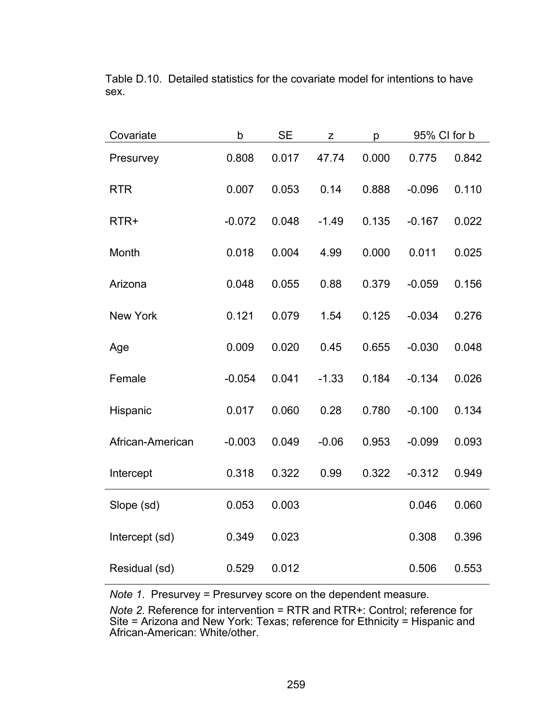| Covariate        | $\mathsf b$ | <b>SE</b> | Z       | р     | 95% CI for b |       |
|------------------|-------------|-----------|---------|-------|--------------|-------|
| Presurvey        | 0.808       | 0.017     | 47.74   | 0.000 | 0.775        | 0.842 |
| <b>RTR</b>       | 0.007       | 0.053     | 0.14    | 0.888 | $-0.096$     | 0.110 |
| RTR+             | $-0.072$    | 0.048     | $-1.49$ | 0.135 | $-0.167$     | 0.022 |
| Month            | 0.018       | 0.004     | 4.99    | 0.000 | 0.011        | 0.025 |
| Arizona          | 0.048       | 0.055     | 0.88    | 0.379 | $-0.059$     | 0.156 |
| <b>New York</b>  | 0.121       | 0.079     | 1.54    | 0.125 | $-0.034$     | 0.276 |
| Age              | 0.009       | 0.020     | 0.45    | 0.655 | $-0.030$     | 0.048 |
| Female           | $-0.054$    | 0.041     | $-1.33$ | 0.184 | $-0.134$     | 0.026 |
| Hispanic         | 0.017       | 0.060     | 0.28    | 0.780 | $-0.100$     | 0.134 |
| African-American | $-0.003$    | 0.049     | $-0.06$ | 0.953 | $-0.099$     | 0.093 |
| Intercept        | 0.318       | 0.322     | 0.99    | 0.322 | $-0.312$     | 0.949 |
| Slope (sd)       | 0.053       | 0.003     |         |       | 0.046        | 0.060 |
| Intercept (sd)   | 0.349       | 0.023     |         |       | 0.308        | 0.396 |
| Residual (sd)    | 0.529       | 0.012     |         |       | 0.506        | 0.553 |

Table D.10. Detailed statistics for the covariate model for intentions to have sex.

*Note 1*. Presurvey = Presurvey score on the dependent measure.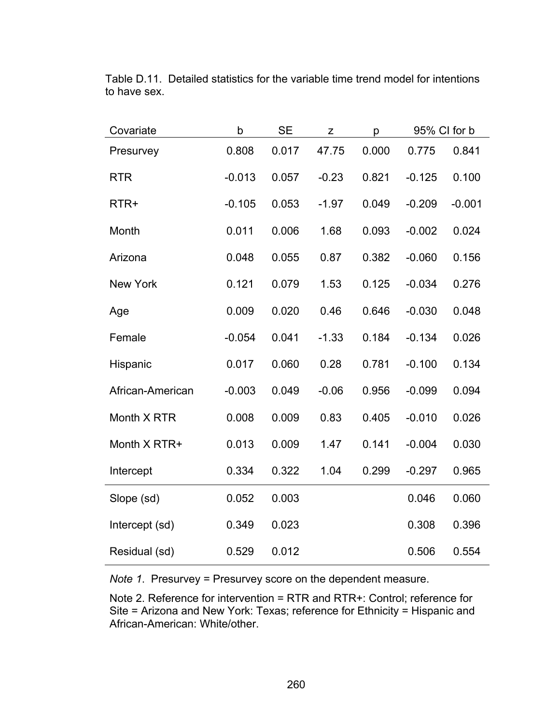| Covariate        | b        | <b>SE</b> | Z       | p     | 95% CI for b |          |
|------------------|----------|-----------|---------|-------|--------------|----------|
| Presurvey        | 0.808    | 0.017     | 47.75   | 0.000 | 0.775        | 0.841    |
| <b>RTR</b>       | $-0.013$ | 0.057     | $-0.23$ | 0.821 | $-0.125$     | 0.100    |
| RTR+             | $-0.105$ | 0.053     | $-1.97$ | 0.049 | $-0.209$     | $-0.001$ |
| Month            | 0.011    | 0.006     | 1.68    | 0.093 | $-0.002$     | 0.024    |
| Arizona          | 0.048    | 0.055     | 0.87    | 0.382 | $-0.060$     | 0.156    |
| <b>New York</b>  | 0.121    | 0.079     | 1.53    | 0.125 | $-0.034$     | 0.276    |
| Age              | 0.009    | 0.020     | 0.46    | 0.646 | $-0.030$     | 0.048    |
| Female           | $-0.054$ | 0.041     | $-1.33$ | 0.184 | $-0.134$     | 0.026    |
| Hispanic         | 0.017    | 0.060     | 0.28    | 0.781 | $-0.100$     | 0.134    |
| African-American | $-0.003$ | 0.049     | $-0.06$ | 0.956 | $-0.099$     | 0.094    |
| Month X RTR      | 0.008    | 0.009     | 0.83    | 0.405 | $-0.010$     | 0.026    |
| Month X RTR+     | 0.013    | 0.009     | 1.47    | 0.141 | $-0.004$     | 0.030    |
| Intercept        | 0.334    | 0.322     | 1.04    | 0.299 | $-0.297$     | 0.965    |
| Slope (sd)       | 0.052    | 0.003     |         |       | 0.046        | 0.060    |
| Intercept (sd)   | 0.349    | 0.023     |         |       | 0.308        | 0.396    |
| Residual (sd)    | 0.529    | 0.012     |         |       | 0.506        | 0.554    |

Table D.11. Detailed statistics for the variable time trend model for intentions to have sex.

*Note 1*. Presurvey = Presurvey score on the dependent measure.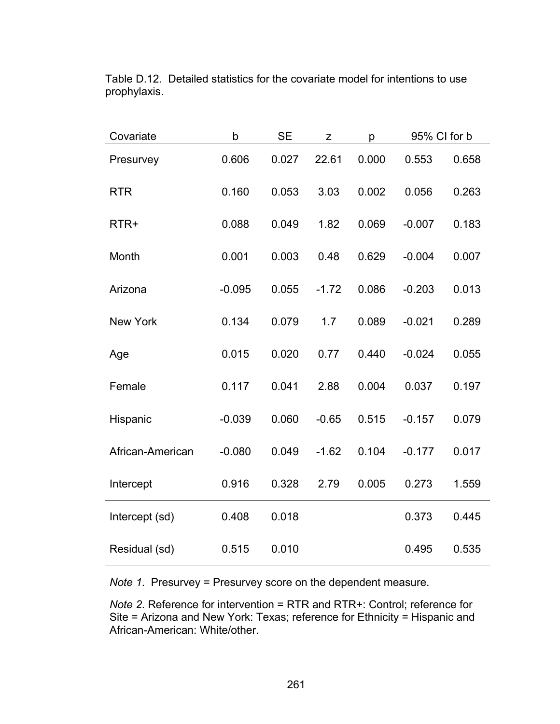| Covariate        | b        | <b>SE</b> | Z       | р     | 95% CI for b |       |
|------------------|----------|-----------|---------|-------|--------------|-------|
| Presurvey        | 0.606    | 0.027     | 22.61   | 0.000 | 0.553        | 0.658 |
| <b>RTR</b>       | 0.160    | 0.053     | 3.03    | 0.002 | 0.056        | 0.263 |
| RTR+             | 0.088    | 0.049     | 1.82    | 0.069 | $-0.007$     | 0.183 |
| Month            | 0.001    | 0.003     | 0.48    | 0.629 | $-0.004$     | 0.007 |
| Arizona          | $-0.095$ | 0.055     | $-1.72$ | 0.086 | $-0.203$     | 0.013 |
| <b>New York</b>  | 0.134    | 0.079     | 1.7     | 0.089 | $-0.021$     | 0.289 |
| Age              | 0.015    | 0.020     | 0.77    | 0.440 | $-0.024$     | 0.055 |
| Female           | 0.117    | 0.041     | 2.88    | 0.004 | 0.037        | 0.197 |
| Hispanic         | $-0.039$ | 0.060     | $-0.65$ | 0.515 | $-0.157$     | 0.079 |
| African-American | $-0.080$ | 0.049     | $-1.62$ | 0.104 | $-0.177$     | 0.017 |
| Intercept        | 0.916    | 0.328     | 2.79    | 0.005 | 0.273        | 1.559 |
| Intercept (sd)   | 0.408    | 0.018     |         |       | 0.373        | 0.445 |
| Residual (sd)    | 0.515    | 0.010     |         |       | 0.495        | 0.535 |

Table D.12. Detailed statistics for the covariate model for intentions to use prophylaxis.

*Note 1*. Presurvey = Presurvey score on the dependent measure.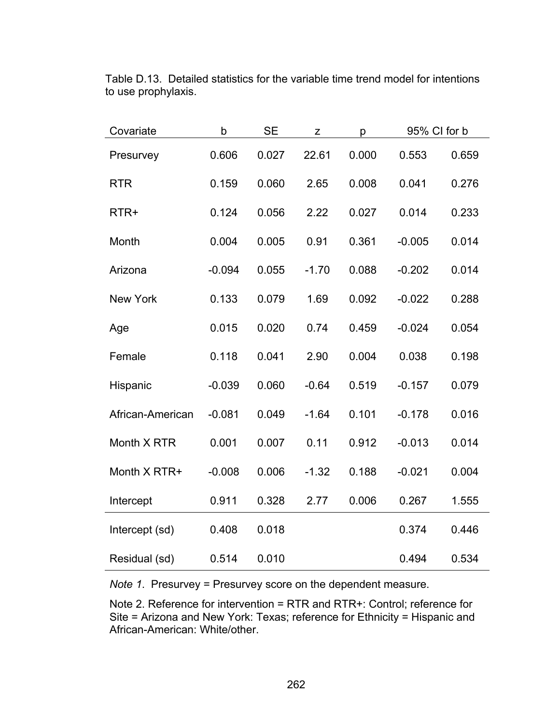| Covariate        | $\mathsf b$ | <b>SE</b> | Z       | р     | 95% CI for b |       |
|------------------|-------------|-----------|---------|-------|--------------|-------|
| Presurvey        | 0.606       | 0.027     | 22.61   | 0.000 | 0.553        | 0.659 |
| <b>RTR</b>       | 0.159       | 0.060     | 2.65    | 0.008 | 0.041        | 0.276 |
| RTR+             | 0.124       | 0.056     | 2.22    | 0.027 | 0.014        | 0.233 |
| Month            | 0.004       | 0.005     | 0.91    | 0.361 | $-0.005$     | 0.014 |
| Arizona          | $-0.094$    | 0.055     | $-1.70$ | 0.088 | $-0.202$     | 0.014 |
| <b>New York</b>  | 0.133       | 0.079     | 1.69    | 0.092 | $-0.022$     | 0.288 |
| Age              | 0.015       | 0.020     | 0.74    | 0.459 | $-0.024$     | 0.054 |
| Female           | 0.118       | 0.041     | 2.90    | 0.004 | 0.038        | 0.198 |
| Hispanic         | $-0.039$    | 0.060     | $-0.64$ | 0.519 | $-0.157$     | 0.079 |
| African-American | $-0.081$    | 0.049     | $-1.64$ | 0.101 | $-0.178$     | 0.016 |
| Month X RTR      | 0.001       | 0.007     | 0.11    | 0.912 | $-0.013$     | 0.014 |
| Month X RTR+     | $-0.008$    | 0.006     | $-1.32$ | 0.188 | $-0.021$     | 0.004 |
| Intercept        | 0.911       | 0.328     | 2.77    | 0.006 | 0.267        | 1.555 |
| Intercept (sd)   | 0.408       | 0.018     |         |       | 0.374        | 0.446 |
| Residual (sd)    | 0.514       | 0.010     |         |       | 0.494        | 0.534 |

Table D.13. Detailed statistics for the variable time trend model for intentions to use prophylaxis.

*Note 1*. Presurvey = Presurvey score on the dependent measure.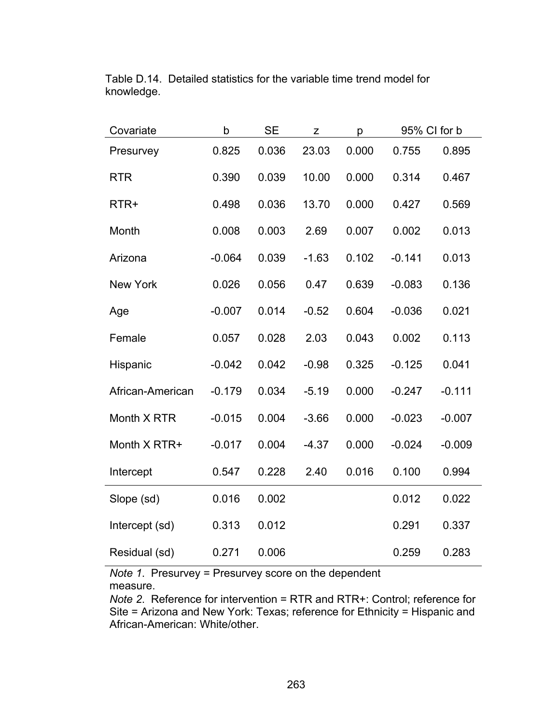| Covariate        | b        | <b>SE</b> | Z       | p     | 95% CI for b |          |
|------------------|----------|-----------|---------|-------|--------------|----------|
| Presurvey        | 0.825    | 0.036     | 23.03   | 0.000 | 0.755        | 0.895    |
| <b>RTR</b>       | 0.390    | 0.039     | 10.00   | 0.000 | 0.314        | 0.467    |
| RTR+             | 0.498    | 0.036     | 13.70   | 0.000 | 0.427        | 0.569    |
| Month            | 0.008    | 0.003     | 2.69    | 0.007 | 0.002        | 0.013    |
| Arizona          | $-0.064$ | 0.039     | $-1.63$ | 0.102 | $-0.141$     | 0.013    |
| <b>New York</b>  | 0.026    | 0.056     | 0.47    | 0.639 | $-0.083$     | 0.136    |
| Age              | $-0.007$ | 0.014     | $-0.52$ | 0.604 | $-0.036$     | 0.021    |
| Female           | 0.057    | 0.028     | 2.03    | 0.043 | 0.002        | 0.113    |
| Hispanic         | $-0.042$ | 0.042     | $-0.98$ | 0.325 | $-0.125$     | 0.041    |
| African-American | $-0.179$ | 0.034     | $-5.19$ | 0.000 | $-0.247$     | $-0.111$ |
| Month X RTR      | $-0.015$ | 0.004     | $-3.66$ | 0.000 | $-0.023$     | $-0.007$ |
| Month X RTR+     | $-0.017$ | 0.004     | $-4.37$ | 0.000 | $-0.024$     | $-0.009$ |
| Intercept        | 0.547    | 0.228     | 2.40    | 0.016 | 0.100        | 0.994    |
| Slope (sd)       | 0.016    | 0.002     |         |       | 0.012        | 0.022    |
| Intercept (sd)   | 0.313    | 0.012     |         |       | 0.291        | 0.337    |
| Residual (sd)    | 0.271    | 0.006     |         |       | 0.259        | 0.283    |

Table D.14. Detailed statistics for the variable time trend model for knowledge.

*Note 1*. Presurvey = Presurvey score on the dependent measure.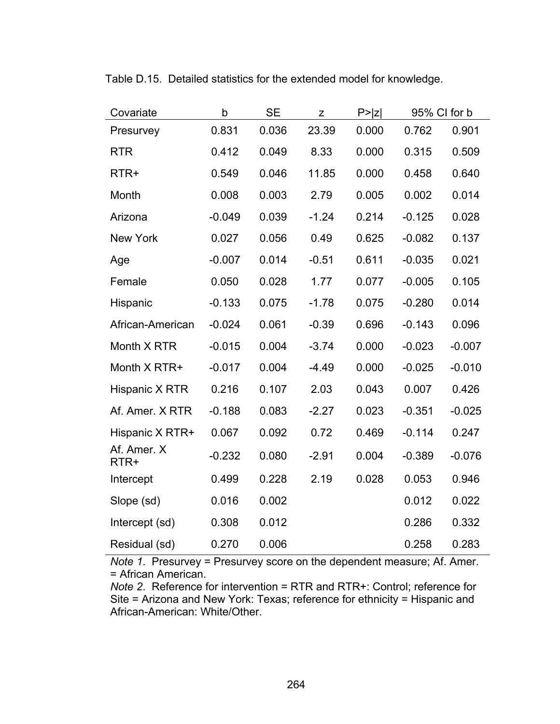| Covariate           | $\mathsf b$ | <b>SE</b> | Z       | P >  Z | 95% CI for b |          |
|---------------------|-------------|-----------|---------|--------|--------------|----------|
| Presurvey           | 0.831       | 0.036     | 23.39   | 0.000  | 0.762        | 0.901    |
| <b>RTR</b>          | 0.412       | 0.049     | 8.33    | 0.000  | 0.315        | 0.509    |
| RTR+                | 0.549       | 0.046     | 11.85   | 0.000  | 0.458        | 0.640    |
| Month               | 0.008       | 0.003     | 2.79    | 0.005  | 0.002        | 0.014    |
| Arizona             | $-0.049$    | 0.039     | $-1.24$ | 0.214  | $-0.125$     | 0.028    |
| <b>New York</b>     | 0.027       | 0.056     | 0.49    | 0.625  | $-0.082$     | 0.137    |
| Age                 | $-0.007$    | 0.014     | $-0.51$ | 0.611  | $-0.035$     | 0.021    |
| Female              | 0.050       | 0.028     | 1.77    | 0.077  | $-0.005$     | 0.105    |
| Hispanic            | $-0.133$    | 0.075     | $-1.78$ | 0.075  | $-0.280$     | 0.014    |
| African-American    | $-0.024$    | 0.061     | $-0.39$ | 0.696  | $-0.143$     | 0.096    |
| Month X RTR         | $-0.015$    | 0.004     | $-3.74$ | 0.000  | $-0.023$     | $-0.007$ |
| Month X RTR+        | $-0.017$    | 0.004     | $-4.49$ | 0.000  | $-0.025$     | $-0.010$ |
| Hispanic X RTR      | 0.216       | 0.107     | 2.03    | 0.043  | 0.007        | 0.426    |
| Af. Amer. X RTR     | $-0.188$    | 0.083     | $-2.27$ | 0.023  | $-0.351$     | $-0.025$ |
| Hispanic X RTR+     | 0.067       | 0.092     | 0.72    | 0.469  | $-0.114$     | 0.247    |
| Af. Amer. X<br>RTR+ | $-0.232$    | 0.080     | $-2.91$ | 0.004  | $-0.389$     | $-0.076$ |
| Intercept           | 0.499       | 0.228     | 2.19    | 0.028  | 0.053        | 0.946    |
| Slope (sd)          | 0.016       | 0.002     |         |        | 0.012        | 0.022    |
| Intercept (sd)      | 0.308       | 0.012     |         |        | 0.286        | 0.332    |
| Residual (sd)       | 0.270       | 0.006     |         |        | 0.258        | 0.283    |

Table D.15. Detailed statistics for the extended model for knowledge.

*Note 1*. Presurvey = Presurvey score on the dependent measure; Af. Amer. = African American.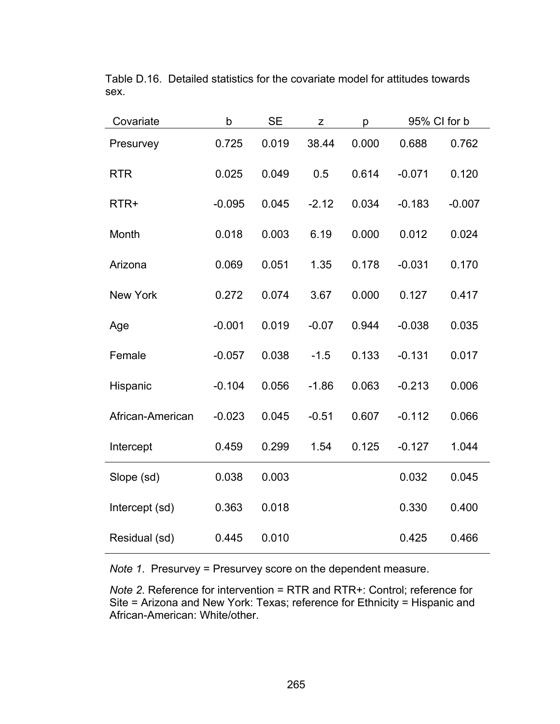| Covariate        | b        | <b>SE</b> | Z       | р     | 95% CI for b |          |
|------------------|----------|-----------|---------|-------|--------------|----------|
| Presurvey        | 0.725    | 0.019     | 38.44   | 0.000 | 0.688        | 0.762    |
| <b>RTR</b>       | 0.025    | 0.049     | 0.5     | 0.614 | $-0.071$     | 0.120    |
| RTR+             | $-0.095$ | 0.045     | $-2.12$ | 0.034 | $-0.183$     | $-0.007$ |
| Month            | 0.018    | 0.003     | 6.19    | 0.000 | 0.012        | 0.024    |
| Arizona          | 0.069    | 0.051     | 1.35    | 0.178 | $-0.031$     | 0.170    |
| <b>New York</b>  | 0.272    | 0.074     | 3.67    | 0.000 | 0.127        | 0.417    |
| Age              | $-0.001$ | 0.019     | $-0.07$ | 0.944 | $-0.038$     | 0.035    |
| Female           | $-0.057$ | 0.038     | $-1.5$  | 0.133 | $-0.131$     | 0.017    |
| Hispanic         | $-0.104$ | 0.056     | $-1.86$ | 0.063 | $-0.213$     | 0.006    |
| African-American | $-0.023$ | 0.045     | $-0.51$ | 0.607 | $-0.112$     | 0.066    |
| Intercept        | 0.459    | 0.299     | 1.54    | 0.125 | $-0.127$     | 1.044    |
| Slope (sd)       | 0.038    | 0.003     |         |       | 0.032        | 0.045    |
| Intercept (sd)   | 0.363    | 0.018     |         |       | 0.330        | 0.400    |
| Residual (sd)    | 0.445    | 0.010     |         |       | 0.425        | 0.466    |

Table D.16. Detailed statistics for the covariate model for attitudes towards sex.

*Note 1*. Presurvey = Presurvey score on the dependent measure.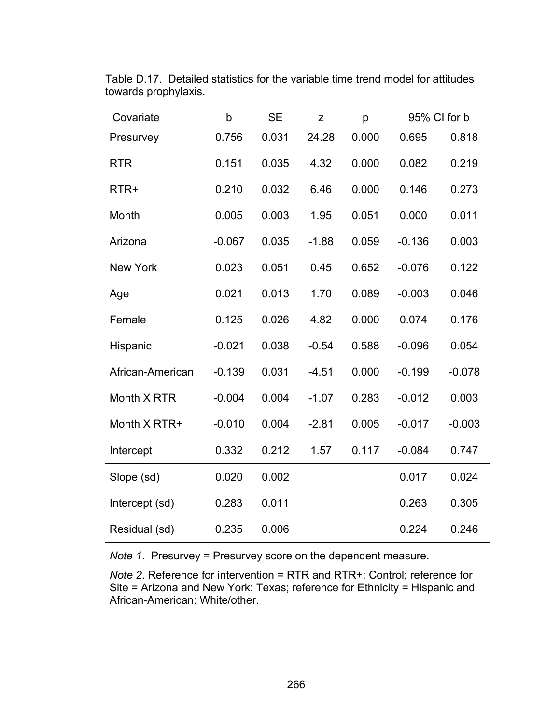| Covariate        | b        | SE    | Z       | p     |          | 95% CI for b |
|------------------|----------|-------|---------|-------|----------|--------------|
| Presurvey        | 0.756    | 0.031 | 24.28   | 0.000 | 0.695    | 0.818        |
| <b>RTR</b>       | 0.151    | 0.035 | 4.32    | 0.000 | 0.082    | 0.219        |
| RTR+             | 0.210    | 0.032 | 6.46    | 0.000 | 0.146    | 0.273        |
| Month            | 0.005    | 0.003 | 1.95    | 0.051 | 0.000    | 0.011        |
| Arizona          | $-0.067$ | 0.035 | $-1.88$ | 0.059 | $-0.136$ | 0.003        |
| New York         | 0.023    | 0.051 | 0.45    | 0.652 | $-0.076$ | 0.122        |
| Age              | 0.021    | 0.013 | 1.70    | 0.089 | $-0.003$ | 0.046        |
| Female           | 0.125    | 0.026 | 4.82    | 0.000 | 0.074    | 0.176        |
| Hispanic         | $-0.021$ | 0.038 | $-0.54$ | 0.588 | $-0.096$ | 0.054        |
| African-American | $-0.139$ | 0.031 | $-4.51$ | 0.000 | $-0.199$ | $-0.078$     |
| Month X RTR      | $-0.004$ | 0.004 | $-1.07$ | 0.283 | $-0.012$ | 0.003        |
| Month X RTR+     | $-0.010$ | 0.004 | $-2.81$ | 0.005 | $-0.017$ | $-0.003$     |
| Intercept        | 0.332    | 0.212 | 1.57    | 0.117 | $-0.084$ | 0.747        |
| Slope (sd)       | 0.020    | 0.002 |         |       | 0.017    | 0.024        |
| Intercept (sd)   | 0.283    | 0.011 |         |       | 0.263    | 0.305        |
| Residual (sd)    | 0.235    | 0.006 |         |       | 0.224    | 0.246        |

Table D.17. Detailed statistics for the variable time trend model for attitudes towards prophylaxis.

*Note 1*. Presurvey = Presurvey score on the dependent measure.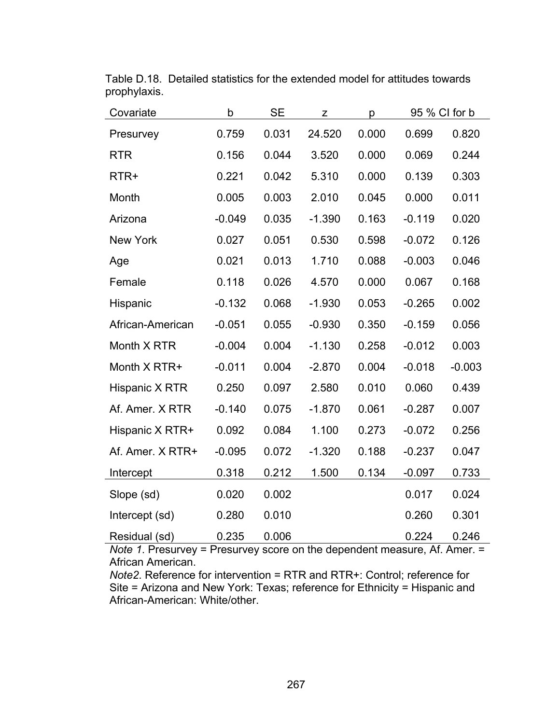| Covariate        | b        | <b>SE</b> | z        | р     |          | 95 % CI for b |
|------------------|----------|-----------|----------|-------|----------|---------------|
| Presurvey        | 0.759    | 0.031     | 24.520   | 0.000 | 0.699    | 0.820         |
| <b>RTR</b>       | 0.156    | 0.044     | 3.520    | 0.000 | 0.069    | 0.244         |
| RTR+             | 0.221    | 0.042     | 5.310    | 0.000 | 0.139    | 0.303         |
| Month            | 0.005    | 0.003     | 2.010    | 0.045 | 0.000    | 0.011         |
| Arizona          | $-0.049$ | 0.035     | $-1.390$ | 0.163 | $-0.119$ | 0.020         |
| <b>New York</b>  | 0.027    | 0.051     | 0.530    | 0.598 | $-0.072$ | 0.126         |
| Age              | 0.021    | 0.013     | 1.710    | 0.088 | $-0.003$ | 0.046         |
| Female           | 0.118    | 0.026     | 4.570    | 0.000 | 0.067    | 0.168         |
| Hispanic         | $-0.132$ | 0.068     | $-1.930$ | 0.053 | $-0.265$ | 0.002         |
| African-American | $-0.051$ | 0.055     | $-0.930$ | 0.350 | $-0.159$ | 0.056         |
| Month X RTR      | $-0.004$ | 0.004     | $-1.130$ | 0.258 | $-0.012$ | 0.003         |
| Month X RTR+     | $-0.011$ | 0.004     | $-2.870$ | 0.004 | $-0.018$ | $-0.003$      |
| Hispanic X RTR   | 0.250    | 0.097     | 2.580    | 0.010 | 0.060    | 0.439         |
| Af. Amer. X RTR  | $-0.140$ | 0.075     | $-1.870$ | 0.061 | $-0.287$ | 0.007         |
| Hispanic X RTR+  | 0.092    | 0.084     | 1.100    | 0.273 | $-0.072$ | 0.256         |
| Af. Amer. X RTR+ | $-0.095$ | 0.072     | $-1.320$ | 0.188 | $-0.237$ | 0.047         |
| Intercept        | 0.318    | 0.212     | 1.500    | 0.134 | $-0.097$ | 0.733         |
| Slope (sd)       | 0.020    | 0.002     |          |       | 0.017    | 0.024         |
| Intercept (sd)   | 0.280    | 0.010     |          |       | 0.260    | 0.301         |
| Residual (sd)    | 0.235    | 0.006     |          |       | 0.224    | 0.246         |

Table D.18. Detailed statistics for the extended model for attitudes towards prophylaxis.

*Note 1*. Presurvey = Presurvey score on the dependent measure, Af. Amer. = African American.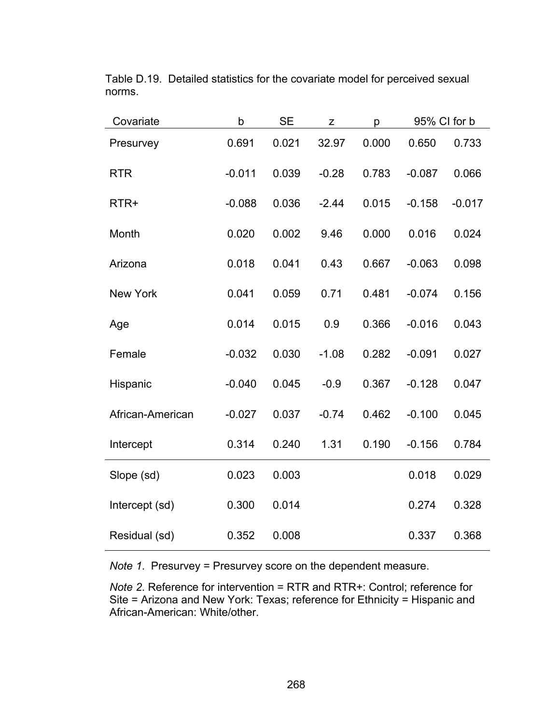| Covariate        | b        | <b>SE</b> | Z       | р     | 95% CI for b |          |
|------------------|----------|-----------|---------|-------|--------------|----------|
| Presurvey        | 0.691    | 0.021     | 32.97   | 0.000 | 0.650        | 0.733    |
| <b>RTR</b>       | $-0.011$ | 0.039     | $-0.28$ | 0.783 | $-0.087$     | 0.066    |
| RTR+             | $-0.088$ | 0.036     | $-2.44$ | 0.015 | $-0.158$     | $-0.017$ |
| Month            | 0.020    | 0.002     | 9.46    | 0.000 | 0.016        | 0.024    |
| Arizona          | 0.018    | 0.041     | 0.43    | 0.667 | $-0.063$     | 0.098    |
| <b>New York</b>  | 0.041    | 0.059     | 0.71    | 0.481 | $-0.074$     | 0.156    |
| Age              | 0.014    | 0.015     | 0.9     | 0.366 | $-0.016$     | 0.043    |
| Female           | $-0.032$ | 0.030     | $-1.08$ | 0.282 | $-0.091$     | 0.027    |
| Hispanic         | $-0.040$ | 0.045     | $-0.9$  | 0.367 | $-0.128$     | 0.047    |
| African-American | $-0.027$ | 0.037     | $-0.74$ | 0.462 | $-0.100$     | 0.045    |
| Intercept        | 0.314    | 0.240     | 1.31    | 0.190 | $-0.156$     | 0.784    |
| Slope (sd)       | 0.023    | 0.003     |         |       | 0.018        | 0.029    |
| Intercept (sd)   | 0.300    | 0.014     |         |       | 0.274        | 0.328    |
| Residual (sd)    | 0.352    | 0.008     |         |       | 0.337        | 0.368    |

Table D.19. Detailed statistics for the covariate model for perceived sexual norms.

*Note 1*. Presurvey = Presurvey score on the dependent measure.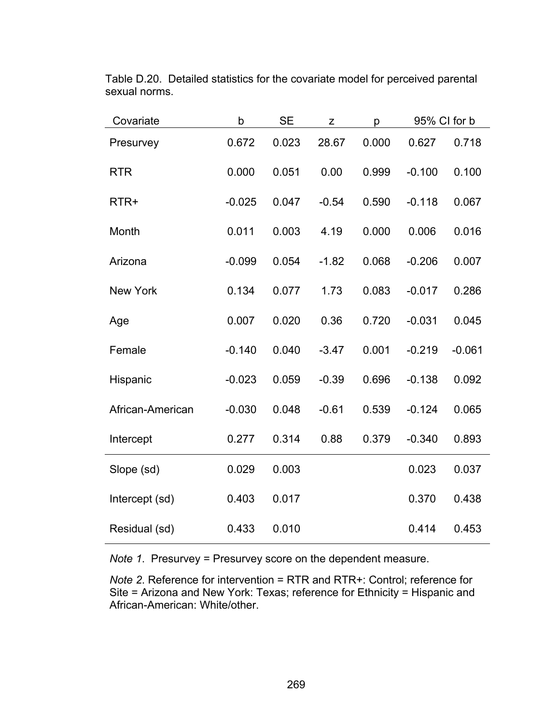| Covariate        | b        | <b>SE</b> | Z       | р     | 95% CI for b |          |
|------------------|----------|-----------|---------|-------|--------------|----------|
| Presurvey        | 0.672    | 0.023     | 28.67   | 0.000 | 0.627        | 0.718    |
| <b>RTR</b>       | 0.000    | 0.051     | 0.00    | 0.999 | $-0.100$     | 0.100    |
| RTR+             | $-0.025$ | 0.047     | $-0.54$ | 0.590 | $-0.118$     | 0.067    |
| Month            | 0.011    | 0.003     | 4.19    | 0.000 | 0.006        | 0.016    |
| Arizona          | $-0.099$ | 0.054     | $-1.82$ | 0.068 | $-0.206$     | 0.007    |
| <b>New York</b>  | 0.134    | 0.077     | 1.73    | 0.083 | $-0.017$     | 0.286    |
| Age              | 0.007    | 0.020     | 0.36    | 0.720 | $-0.031$     | 0.045    |
| Female           | $-0.140$ | 0.040     | $-3.47$ | 0.001 | $-0.219$     | $-0.061$ |
| Hispanic         | $-0.023$ | 0.059     | $-0.39$ | 0.696 | $-0.138$     | 0.092    |
| African-American | $-0.030$ | 0.048     | $-0.61$ | 0.539 | $-0.124$     | 0.065    |
| Intercept        | 0.277    | 0.314     | 0.88    | 0.379 | $-0.340$     | 0.893    |
| Slope (sd)       | 0.029    | 0.003     |         |       | 0.023        | 0.037    |
| Intercept (sd)   | 0.403    | 0.017     |         |       | 0.370        | 0.438    |
| Residual (sd)    | 0.433    | 0.010     |         |       | 0.414        | 0.453    |

Table D.20. Detailed statistics for the covariate model for perceived parental sexual norms.

*Note 1*. Presurvey = Presurvey score on the dependent measure.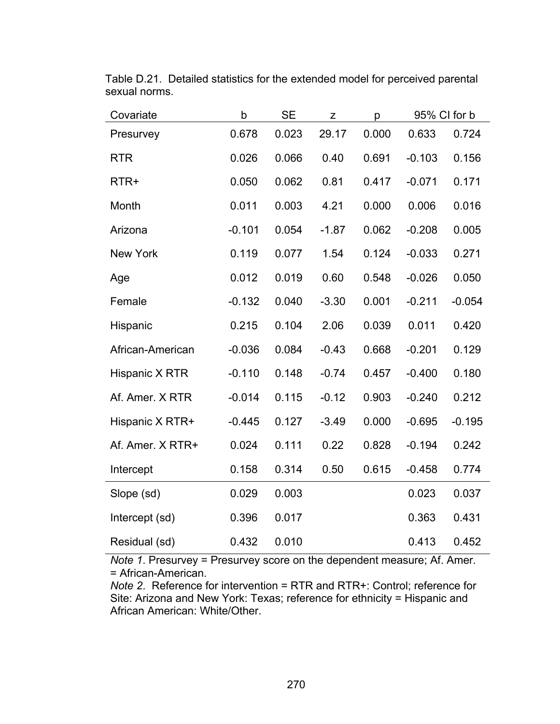| Covariate        | b        | <b>SE</b> | $\mathsf Z$ | р     |          | 95% CI for b |
|------------------|----------|-----------|-------------|-------|----------|--------------|
| Presurvey        | 0.678    | 0.023     | 29.17       | 0.000 | 0.633    | 0.724        |
| <b>RTR</b>       | 0.026    | 0.066     | 0.40        | 0.691 | $-0.103$ | 0.156        |
| RTR+             | 0.050    | 0.062     | 0.81        | 0.417 | $-0.071$ | 0.171        |
| Month            | 0.011    | 0.003     | 4.21        | 0.000 | 0.006    | 0.016        |
| Arizona          | $-0.101$ | 0.054     | $-1.87$     | 0.062 | $-0.208$ | 0.005        |
| <b>New York</b>  | 0.119    | 0.077     | 1.54        | 0.124 | $-0.033$ | 0.271        |
| Age              | 0.012    | 0.019     | 0.60        | 0.548 | $-0.026$ | 0.050        |
| Female           | $-0.132$ | 0.040     | $-3.30$     | 0.001 | $-0.211$ | $-0.054$     |
| Hispanic         | 0.215    | 0.104     | 2.06        | 0.039 | 0.011    | 0.420        |
| African-American | $-0.036$ | 0.084     | $-0.43$     | 0.668 | $-0.201$ | 0.129        |
| Hispanic X RTR   | $-0.110$ | 0.148     | $-0.74$     | 0.457 | $-0.400$ | 0.180        |
| Af. Amer. X RTR  | $-0.014$ | 0.115     | $-0.12$     | 0.903 | $-0.240$ | 0.212        |
| Hispanic X RTR+  | $-0.445$ | 0.127     | $-3.49$     | 0.000 | $-0.695$ | $-0.195$     |
| Af. Amer. X RTR+ | 0.024    | 0.111     | 0.22        | 0.828 | $-0.194$ | 0.242        |
| Intercept        | 0.158    | 0.314     | 0.50        | 0.615 | $-0.458$ | 0.774        |
| Slope (sd)       | 0.029    | 0.003     |             |       | 0.023    | 0.037        |
| Intercept (sd)   | 0.396    | 0.017     |             |       | 0.363    | 0.431        |
| Residual (sd)    | 0.432    | 0.010     |             |       | 0.413    | 0.452        |

Table D.21. Detailed statistics for the extended model for perceived parental sexual norms.

*Note 1*. Presurvey = Presurvey score on the dependent measure; Af. Amer. = African-American.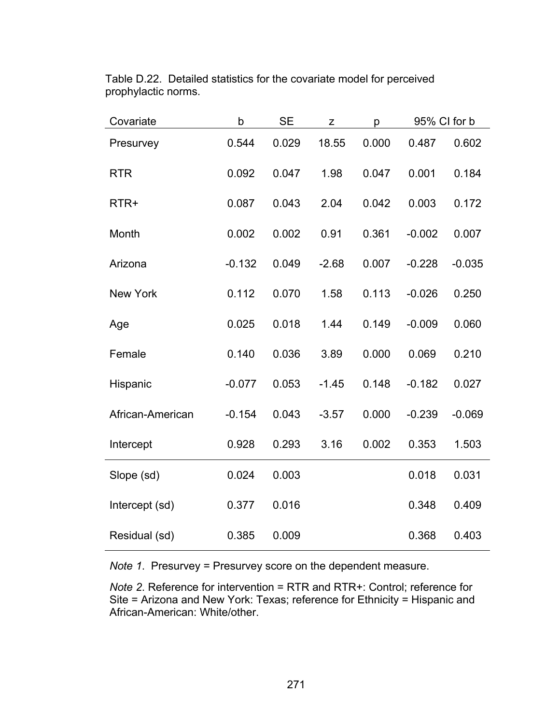| Covariate        | b        | <b>SE</b> | Z       | р     | 95% CI for b |          |
|------------------|----------|-----------|---------|-------|--------------|----------|
| Presurvey        | 0.544    | 0.029     | 18.55   | 0.000 | 0.487        | 0.602    |
| <b>RTR</b>       | 0.092    | 0.047     | 1.98    | 0.047 | 0.001        | 0.184    |
| RTR+             | 0.087    | 0.043     | 2.04    | 0.042 | 0.003        | 0.172    |
| Month            | 0.002    | 0.002     | 0.91    | 0.361 | $-0.002$     | 0.007    |
| Arizona          | $-0.132$ | 0.049     | $-2.68$ | 0.007 | $-0.228$     | $-0.035$ |
| <b>New York</b>  | 0.112    | 0.070     | 1.58    | 0.113 | $-0.026$     | 0.250    |
| Age              | 0.025    | 0.018     | 1.44    | 0.149 | $-0.009$     | 0.060    |
| Female           | 0.140    | 0.036     | 3.89    | 0.000 | 0.069        | 0.210    |
| Hispanic         | $-0.077$ | 0.053     | $-1.45$ | 0.148 | $-0.182$     | 0.027    |
| African-American | $-0.154$ | 0.043     | $-3.57$ | 0.000 | $-0.239$     | $-0.069$ |
| Intercept        | 0.928    | 0.293     | 3.16    | 0.002 | 0.353        | 1.503    |
| Slope (sd)       | 0.024    | 0.003     |         |       | 0.018        | 0.031    |
| Intercept (sd)   | 0.377    | 0.016     |         |       | 0.348        | 0.409    |
| Residual (sd)    | 0.385    | 0.009     |         |       | 0.368        | 0.403    |

Table D.22. Detailed statistics for the covariate model for perceived prophylactic norms.

*Note 1*. Presurvey = Presurvey score on the dependent measure.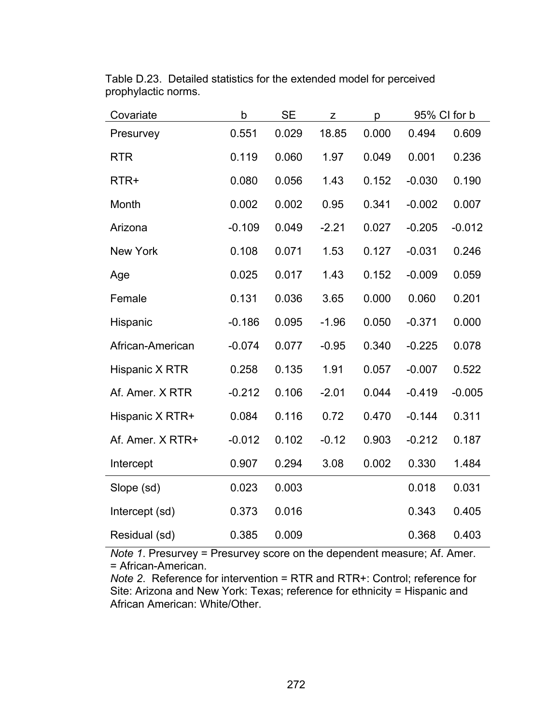| Covariate        | b        | <b>SE</b> | Z       | p     | 95% CI for b |          |
|------------------|----------|-----------|---------|-------|--------------|----------|
| Presurvey        | 0.551    | 0.029     | 18.85   | 0.000 | 0.494        | 0.609    |
| <b>RTR</b>       | 0.119    | 0.060     | 1.97    | 0.049 | 0.001        | 0.236    |
| RTR+             | 0.080    | 0.056     | 1.43    | 0.152 | $-0.030$     | 0.190    |
| Month            | 0.002    | 0.002     | 0.95    | 0.341 | $-0.002$     | 0.007    |
| Arizona          | $-0.109$ | 0.049     | $-2.21$ | 0.027 | $-0.205$     | $-0.012$ |
| <b>New York</b>  | 0.108    | 0.071     | 1.53    | 0.127 | $-0.031$     | 0.246    |
| Age              | 0.025    | 0.017     | 1.43    | 0.152 | $-0.009$     | 0.059    |
| Female           | 0.131    | 0.036     | 3.65    | 0.000 | 0.060        | 0.201    |
| Hispanic         | $-0.186$ | 0.095     | $-1.96$ | 0.050 | $-0.371$     | 0.000    |
| African-American | $-0.074$ | 0.077     | $-0.95$ | 0.340 | $-0.225$     | 0.078    |
| Hispanic X RTR   | 0.258    | 0.135     | 1.91    | 0.057 | $-0.007$     | 0.522    |
| Af. Amer. X RTR  | $-0.212$ | 0.106     | $-2.01$ | 0.044 | $-0.419$     | $-0.005$ |
| Hispanic X RTR+  | 0.084    | 0.116     | 0.72    | 0.470 | $-0.144$     | 0.311    |
| Af. Amer. X RTR+ | $-0.012$ | 0.102     | $-0.12$ | 0.903 | $-0.212$     | 0.187    |
| Intercept        | 0.907    | 0.294     | 3.08    | 0.002 | 0.330        | 1.484    |
| Slope (sd)       | 0.023    | 0.003     |         |       | 0.018        | 0.031    |
| Intercept (sd)   | 0.373    | 0.016     |         |       | 0.343        | 0.405    |
| Residual (sd)    | 0.385    | 0.009     |         |       | 0.368        | 0.403    |

Table D.23. Detailed statistics for the extended model for perceived prophylactic norms.

*Note 1*. Presurvey = Presurvey score on the dependent measure; Af. Amer. = African-American.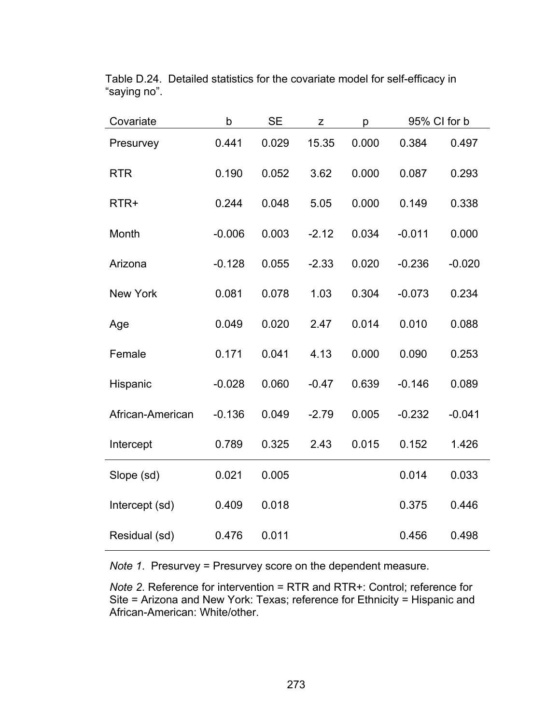| Covariate        | b        | <b>SE</b> | Z       | р     | 95% CI for b |          |
|------------------|----------|-----------|---------|-------|--------------|----------|
| Presurvey        | 0.441    | 0.029     | 15.35   | 0.000 | 0.384        | 0.497    |
| <b>RTR</b>       | 0.190    | 0.052     | 3.62    | 0.000 | 0.087        | 0.293    |
| RTR+             | 0.244    | 0.048     | 5.05    | 0.000 | 0.149        | 0.338    |
| Month            | $-0.006$ | 0.003     | $-2.12$ | 0.034 | $-0.011$     | 0.000    |
| Arizona          | $-0.128$ | 0.055     | $-2.33$ | 0.020 | $-0.236$     | $-0.020$ |
| <b>New York</b>  | 0.081    | 0.078     | 1.03    | 0.304 | $-0.073$     | 0.234    |
| Age              | 0.049    | 0.020     | 2.47    | 0.014 | 0.010        | 0.088    |
| Female           | 0.171    | 0.041     | 4.13    | 0.000 | 0.090        | 0.253    |
| Hispanic         | $-0.028$ | 0.060     | $-0.47$ | 0.639 | $-0.146$     | 0.089    |
| African-American | $-0.136$ | 0.049     | $-2.79$ | 0.005 | $-0.232$     | $-0.041$ |
| Intercept        | 0.789    | 0.325     | 2.43    | 0.015 | 0.152        | 1.426    |
| Slope (sd)       | 0.021    | 0.005     |         |       | 0.014        | 0.033    |
| Intercept (sd)   | 0.409    | 0.018     |         |       | 0.375        | 0.446    |
| Residual (sd)    | 0.476    | 0.011     |         |       | 0.456        | 0.498    |

Table D.24. Detailed statistics for the covariate model for self-efficacy in "saying no".

*Note 1*. Presurvey = Presurvey score on the dependent measure.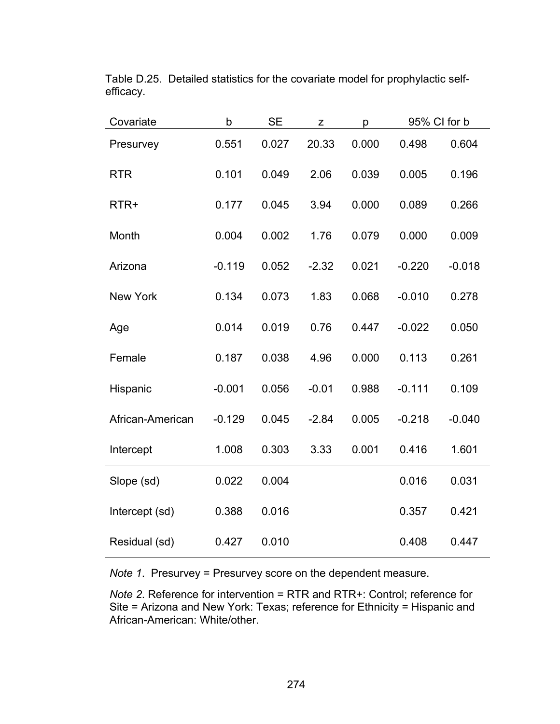| Covariate        | b        | <b>SE</b> | Z       | р     | 95% CI for b |          |
|------------------|----------|-----------|---------|-------|--------------|----------|
| Presurvey        | 0.551    | 0.027     | 20.33   | 0.000 | 0.498        | 0.604    |
| <b>RTR</b>       | 0.101    | 0.049     | 2.06    | 0.039 | 0.005        | 0.196    |
| RTR+             | 0.177    | 0.045     | 3.94    | 0.000 | 0.089        | 0.266    |
| Month            | 0.004    | 0.002     | 1.76    | 0.079 | 0.000        | 0.009    |
| Arizona          | $-0.119$ | 0.052     | $-2.32$ | 0.021 | $-0.220$     | $-0.018$ |
| <b>New York</b>  | 0.134    | 0.073     | 1.83    | 0.068 | $-0.010$     | 0.278    |
| Age              | 0.014    | 0.019     | 0.76    | 0.447 | $-0.022$     | 0.050    |
| Female           | 0.187    | 0.038     | 4.96    | 0.000 | 0.113        | 0.261    |
| Hispanic         | $-0.001$ | 0.056     | $-0.01$ | 0.988 | $-0.111$     | 0.109    |
| African-American | $-0.129$ | 0.045     | $-2.84$ | 0.005 | $-0.218$     | $-0.040$ |
| Intercept        | 1.008    | 0.303     | 3.33    | 0.001 | 0.416        | 1.601    |
| Slope (sd)       | 0.022    | 0.004     |         |       | 0.016        | 0.031    |
| Intercept (sd)   | 0.388    | 0.016     |         |       | 0.357        | 0.421    |
| Residual (sd)    | 0.427    | 0.010     |         |       | 0.408        | 0.447    |

Table D.25. Detailed statistics for the covariate model for prophylactic selfefficacy.

*Note 1*. Presurvey = Presurvey score on the dependent measure.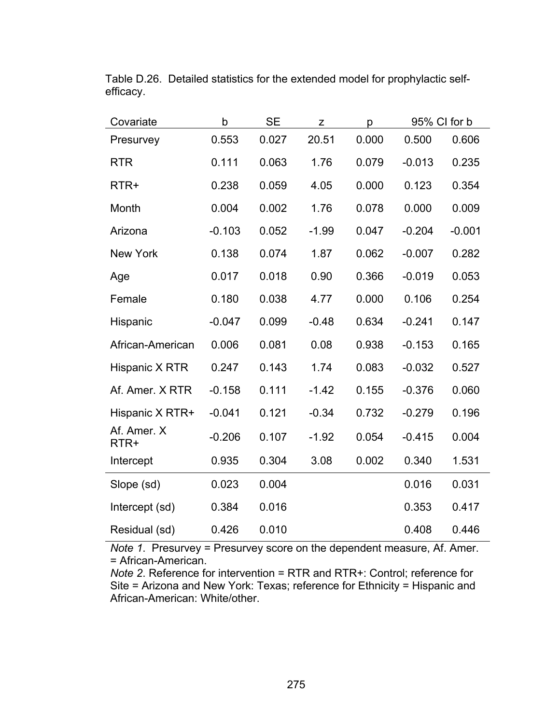| Covariate           | b        | <b>SE</b> | Z       | р     |          | 95% CI for b |  |
|---------------------|----------|-----------|---------|-------|----------|--------------|--|
| Presurvey           | 0.553    | 0.027     | 20.51   | 0.000 | 0.500    | 0.606        |  |
| <b>RTR</b>          | 0.111    | 0.063     | 1.76    | 0.079 | $-0.013$ | 0.235        |  |
| RTR+                | 0.238    | 0.059     | 4.05    | 0.000 | 0.123    | 0.354        |  |
| Month               | 0.004    | 0.002     | 1.76    | 0.078 | 0.000    | 0.009        |  |
| Arizona             | $-0.103$ | 0.052     | $-1.99$ | 0.047 | $-0.204$ | $-0.001$     |  |
| <b>New York</b>     | 0.138    | 0.074     | 1.87    | 0.062 | $-0.007$ | 0.282        |  |
| Age                 | 0.017    | 0.018     | 0.90    | 0.366 | $-0.019$ | 0.053        |  |
| Female              | 0.180    | 0.038     | 4.77    | 0.000 | 0.106    | 0.254        |  |
| Hispanic            | $-0.047$ | 0.099     | $-0.48$ | 0.634 | $-0.241$ | 0.147        |  |
| African-American    | 0.006    | 0.081     | 0.08    | 0.938 | $-0.153$ | 0.165        |  |
| Hispanic X RTR      | 0.247    | 0.143     | 1.74    | 0.083 | $-0.032$ | 0.527        |  |
| Af. Amer. X RTR     | $-0.158$ | 0.111     | $-1.42$ | 0.155 | $-0.376$ | 0.060        |  |
| Hispanic X RTR+     | $-0.041$ | 0.121     | $-0.34$ | 0.732 | $-0.279$ | 0.196        |  |
| Af. Amer. X<br>RTR+ | $-0.206$ | 0.107     | $-1.92$ | 0.054 | $-0.415$ | 0.004        |  |
| Intercept           | 0.935    | 0.304     | 3.08    | 0.002 | 0.340    | 1.531        |  |
| Slope (sd)          | 0.023    | 0.004     |         |       | 0.016    | 0.031        |  |
| Intercept (sd)      | 0.384    | 0.016     |         |       | 0.353    | 0.417        |  |
| Residual (sd)       | 0.426    | 0.010     |         |       | 0.408    | 0.446        |  |

Table D.26. Detailed statistics for the extended model for prophylactic selfefficacy.

*Note 1*. Presurvey = Presurvey score on the dependent measure, Af. Amer. = African-American.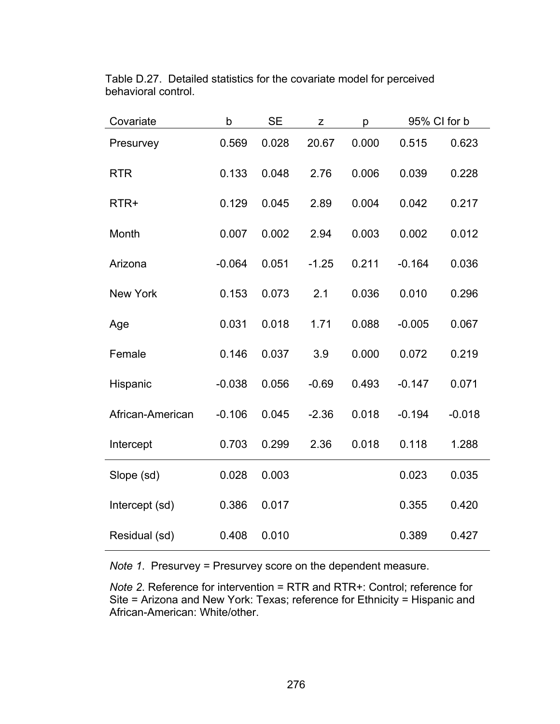| Covariate        | b        | SE    | Z       | p     | 95% CI for b |          |
|------------------|----------|-------|---------|-------|--------------|----------|
| Presurvey        | 0.569    | 0.028 | 20.67   | 0.000 | 0.515        | 0.623    |
| <b>RTR</b>       | 0.133    | 0.048 | 2.76    | 0.006 | 0.039        | 0.228    |
| RTR+             | 0.129    | 0.045 | 2.89    | 0.004 | 0.042        | 0.217    |
| Month            | 0.007    | 0.002 | 2.94    | 0.003 | 0.002        | 0.012    |
| Arizona          | $-0.064$ | 0.051 | $-1.25$ | 0.211 | $-0.164$     | 0.036    |
| <b>New York</b>  | 0.153    | 0.073 | 2.1     | 0.036 | 0.010        | 0.296    |
| Age              | 0.031    | 0.018 | 1.71    | 0.088 | $-0.005$     | 0.067    |
| Female           | 0.146    | 0.037 | 3.9     | 0.000 | 0.072        | 0.219    |
| Hispanic         | $-0.038$ | 0.056 | $-0.69$ | 0.493 | $-0.147$     | 0.071    |
| African-American | $-0.106$ | 0.045 | $-2.36$ | 0.018 | $-0.194$     | $-0.018$ |
| Intercept        | 0.703    | 0.299 | 2.36    | 0.018 | 0.118        | 1.288    |
| Slope (sd)       | 0.028    | 0.003 |         |       | 0.023        | 0.035    |
| Intercept (sd)   | 0.386    | 0.017 |         |       | 0.355        | 0.420    |
| Residual (sd)    | 0.408    | 0.010 |         |       | 0.389        | 0.427    |

Table D.27. Detailed statistics for the covariate model for perceived behavioral control.

*Note 1*. Presurvey = Presurvey score on the dependent measure.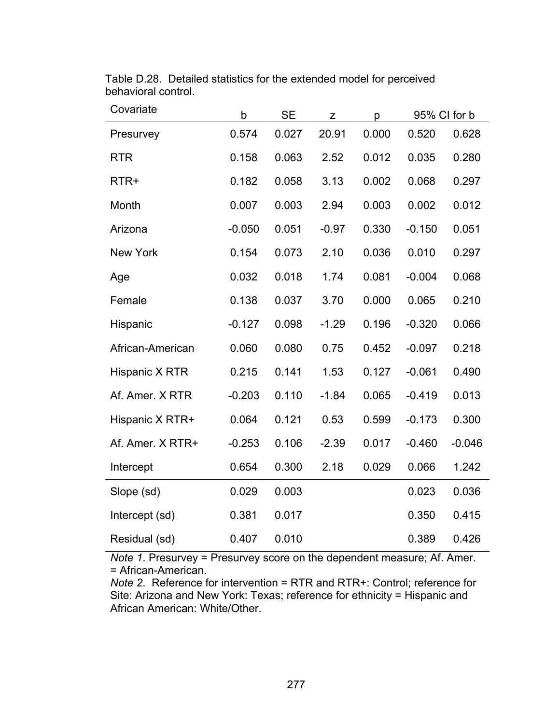| Covariate        | $\mathsf b$ | <b>SE</b> | Z       | p     | 95% CI for b |          |
|------------------|-------------|-----------|---------|-------|--------------|----------|
| Presurvey        | 0.574       | 0.027     | 20.91   | 0.000 | 0.520        | 0.628    |
| <b>RTR</b>       | 0.158       | 0.063     | 2.52    | 0.012 | 0.035        | 0.280    |
| RTR+             | 0.182       | 0.058     | 3.13    | 0.002 | 0.068        | 0.297    |
| Month            | 0.007       | 0.003     | 2.94    | 0.003 | 0.002        | 0.012    |
| Arizona          | $-0.050$    | 0.051     | $-0.97$ | 0.330 | $-0.150$     | 0.051    |
| <b>New York</b>  | 0.154       | 0.073     | 2.10    | 0.036 | 0.010        | 0.297    |
| Age              | 0.032       | 0.018     | 1.74    | 0.081 | $-0.004$     | 0.068    |
| Female           | 0.138       | 0.037     | 3.70    | 0.000 | 0.065        | 0.210    |
| Hispanic         | $-0.127$    | 0.098     | $-1.29$ | 0.196 | $-0.320$     | 0.066    |
| African-American | 0.060       | 0.080     | 0.75    | 0.452 | $-0.097$     | 0.218    |
| Hispanic X RTR   | 0.215       | 0.141     | 1.53    | 0.127 | $-0.061$     | 0.490    |
| Af. Amer. X RTR  | $-0.203$    | 0.110     | $-1.84$ | 0.065 | $-0.419$     | 0.013    |
| Hispanic X RTR+  | 0.064       | 0.121     | 0.53    | 0.599 | $-0.173$     | 0.300    |
| Af. Amer. X RTR+ | $-0.253$    | 0.106     | $-2.39$ | 0.017 | $-0.460$     | $-0.046$ |
| Intercept        | 0.654       | 0.300     | 2.18    | 0.029 | 0.066        | 1.242    |
| Slope (sd)       | 0.029       | 0.003     |         |       | 0.023        | 0.036    |
| Intercept (sd)   | 0.381       | 0.017     |         |       | 0.350        | 0.415    |
| Residual (sd)    | 0.407       | 0.010     |         |       | 0.389        | 0.426    |

Table D.28. Detailed statistics for the extended model for perceived behavioral control.

*Note 1*. Presurvey = Presurvey score on the dependent measure; Af. Amer. = African-American.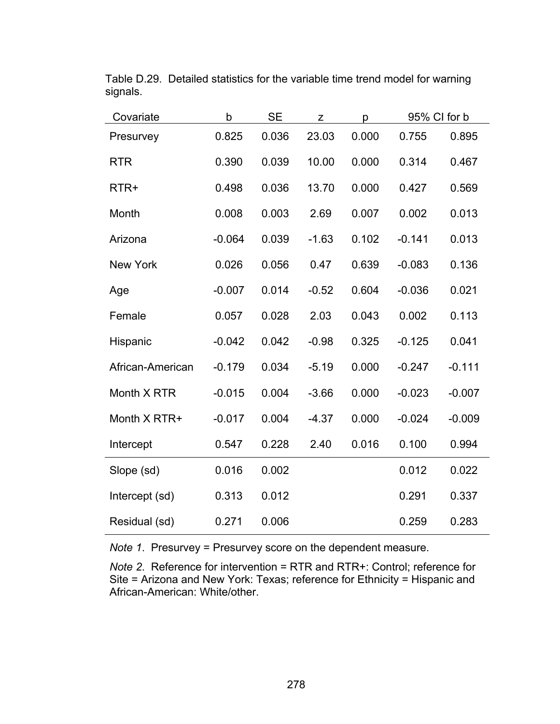| Covariate        | b        | <b>SE</b> | Z       | р     | 95% CI for b |          |
|------------------|----------|-----------|---------|-------|--------------|----------|
| Presurvey        | 0.825    | 0.036     | 23.03   | 0.000 | 0.755        | 0.895    |
| <b>RTR</b>       | 0.390    | 0.039     | 10.00   | 0.000 | 0.314        | 0.467    |
| RTR+             | 0.498    | 0.036     | 13.70   | 0.000 | 0.427        | 0.569    |
| Month            | 0.008    | 0.003     | 2.69    | 0.007 | 0.002        | 0.013    |
| Arizona          | $-0.064$ | 0.039     | $-1.63$ | 0.102 | $-0.141$     | 0.013    |
| <b>New York</b>  | 0.026    | 0.056     | 0.47    | 0.639 | $-0.083$     | 0.136    |
| Age              | $-0.007$ | 0.014     | $-0.52$ | 0.604 | $-0.036$     | 0.021    |
| Female           | 0.057    | 0.028     | 2.03    | 0.043 | 0.002        | 0.113    |
| Hispanic         | $-0.042$ | 0.042     | $-0.98$ | 0.325 | $-0.125$     | 0.041    |
| African-American | $-0.179$ | 0.034     | $-5.19$ | 0.000 | $-0.247$     | $-0.111$ |
| Month X RTR      | $-0.015$ | 0.004     | $-3.66$ | 0.000 | $-0.023$     | $-0.007$ |
| Month X RTR+     | $-0.017$ | 0.004     | $-4.37$ | 0.000 | $-0.024$     | $-0.009$ |
| Intercept        | 0.547    | 0.228     | 2.40    | 0.016 | 0.100        | 0.994    |
| Slope (sd)       | 0.016    | 0.002     |         |       | 0.012        | 0.022    |
| Intercept (sd)   | 0.313    | 0.012     |         |       | 0.291        | 0.337    |
| Residual (sd)    | 0.271    | 0.006     |         |       | 0.259        | 0.283    |

Table D.29. Detailed statistics for the variable time trend model for warning signals.

*Note 1*. Presurvey = Presurvey score on the dependent measure.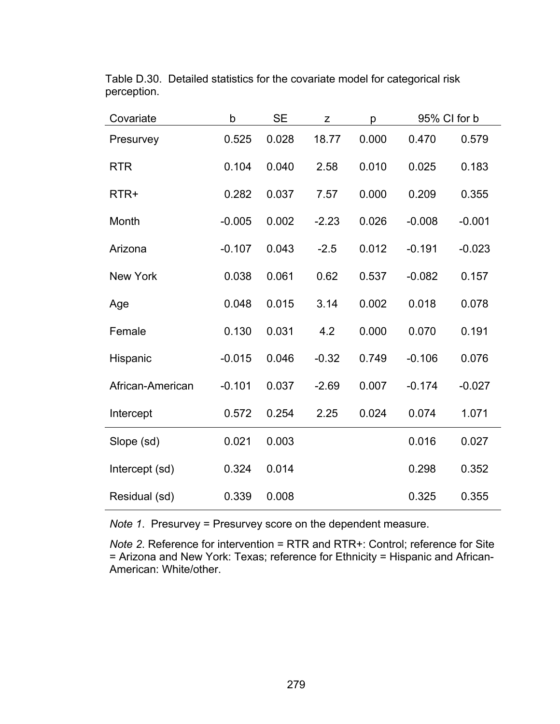| Covariate        | b        | <b>SE</b> | z       | p     |          | 95% CI for b |
|------------------|----------|-----------|---------|-------|----------|--------------|
| Presurvey        | 0.525    | 0.028     | 18.77   | 0.000 | 0.470    | 0.579        |
| <b>RTR</b>       | 0.104    | 0.040     | 2.58    | 0.010 | 0.025    | 0.183        |
| RTR+             | 0.282    | 0.037     | 7.57    | 0.000 | 0.209    | 0.355        |
| Month            | $-0.005$ | 0.002     | $-2.23$ | 0.026 | $-0.008$ | $-0.001$     |
| Arizona          | $-0.107$ | 0.043     | $-2.5$  | 0.012 | $-0.191$ | $-0.023$     |
| <b>New York</b>  | 0.038    | 0.061     | 0.62    | 0.537 | $-0.082$ | 0.157        |
| Age              | 0.048    | 0.015     | 3.14    | 0.002 | 0.018    | 0.078        |
| Female           | 0.130    | 0.031     | 4.2     | 0.000 | 0.070    | 0.191        |
| Hispanic         | $-0.015$ | 0.046     | $-0.32$ | 0.749 | $-0.106$ | 0.076        |
| African-American | $-0.101$ | 0.037     | $-2.69$ | 0.007 | $-0.174$ | $-0.027$     |
| Intercept        | 0.572    | 0.254     | 2.25    | 0.024 | 0.074    | 1.071        |
| Slope (sd)       | 0.021    | 0.003     |         |       | 0.016    | 0.027        |
| Intercept (sd)   | 0.324    | 0.014     |         |       | 0.298    | 0.352        |
| Residual (sd)    | 0.339    | 0.008     |         |       | 0.325    | 0.355        |

Table D.30. Detailed statistics for the covariate model for categorical risk perception.

*Note 1*. Presurvey = Presurvey score on the dependent measure.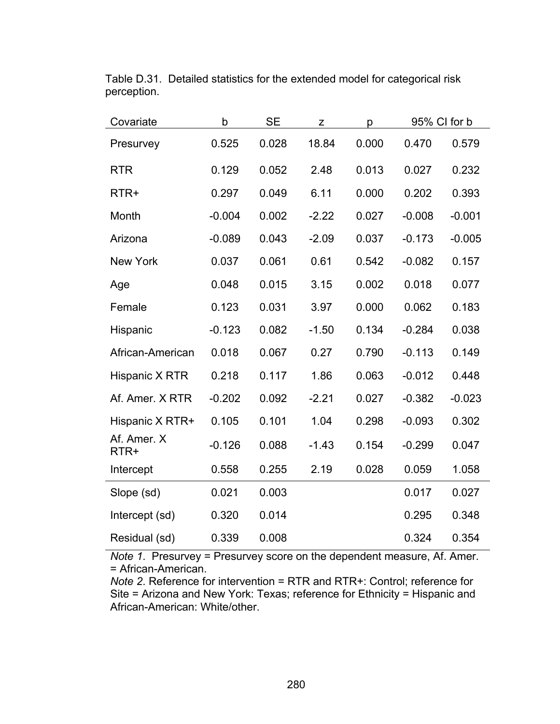| Covariate           | b        | <b>SE</b> | Z       | р     | 95% CI for b |          |
|---------------------|----------|-----------|---------|-------|--------------|----------|
| Presurvey           | 0.525    | 0.028     | 18.84   | 0.000 | 0.470        | 0.579    |
| <b>RTR</b>          | 0.129    | 0.052     | 2.48    | 0.013 | 0.027        | 0.232    |
| RTR+                | 0.297    | 0.049     | 6.11    | 0.000 | 0.202        | 0.393    |
| Month               | $-0.004$ | 0.002     | $-2.22$ | 0.027 | $-0.008$     | $-0.001$ |
| Arizona             | $-0.089$ | 0.043     | $-2.09$ | 0.037 | $-0.173$     | $-0.005$ |
| <b>New York</b>     | 0.037    | 0.061     | 0.61    | 0.542 | $-0.082$     | 0.157    |
| Age                 | 0.048    | 0.015     | 3.15    | 0.002 | 0.018        | 0.077    |
| Female              | 0.123    | 0.031     | 3.97    | 0.000 | 0.062        | 0.183    |
| Hispanic            | $-0.123$ | 0.082     | $-1.50$ | 0.134 | $-0.284$     | 0.038    |
| African-American    | 0.018    | 0.067     | 0.27    | 0.790 | $-0.113$     | 0.149    |
| Hispanic X RTR      | 0.218    | 0.117     | 1.86    | 0.063 | $-0.012$     | 0.448    |
| Af. Amer. X RTR     | $-0.202$ | 0.092     | $-2.21$ | 0.027 | $-0.382$     | $-0.023$ |
| Hispanic X RTR+     | 0.105    | 0.101     | 1.04    | 0.298 | $-0.093$     | 0.302    |
| Af. Amer. X<br>RTR+ | $-0.126$ | 0.088     | $-1.43$ | 0.154 | $-0.299$     | 0.047    |
| Intercept           | 0.558    | 0.255     | 2.19    | 0.028 | 0.059        | 1.058    |
| Slope (sd)          | 0.021    | 0.003     |         |       | 0.017        | 0.027    |
| Intercept (sd)      | 0.320    | 0.014     |         |       | 0.295        | 0.348    |
| Residual (sd)       | 0.339    | 0.008     |         |       | 0.324        | 0.354    |

Table D.31. Detailed statistics for the extended model for categorical risk perception.

*Note 1*. Presurvey = Presurvey score on the dependent measure, Af. Amer. = African-American.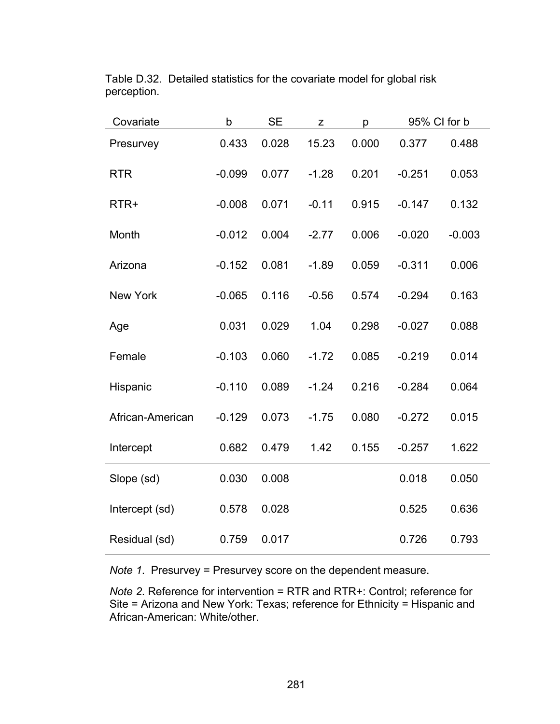| Covariate        | b        | <b>SE</b> | Z       | р     |          | 95% CI for b |
|------------------|----------|-----------|---------|-------|----------|--------------|
| Presurvey        | 0.433    | 0.028     | 15.23   | 0.000 | 0.377    | 0.488        |
| <b>RTR</b>       | $-0.099$ | 0.077     | $-1.28$ | 0.201 | $-0.251$ | 0.053        |
| RTR+             | $-0.008$ | 0.071     | $-0.11$ | 0.915 | $-0.147$ | 0.132        |
| Month            | $-0.012$ | 0.004     | $-2.77$ | 0.006 | $-0.020$ | $-0.003$     |
| Arizona          | $-0.152$ | 0.081     | $-1.89$ | 0.059 | $-0.311$ | 0.006        |
| <b>New York</b>  | $-0.065$ | 0.116     | $-0.56$ | 0.574 | $-0.294$ | 0.163        |
| Age              | 0.031    | 0.029     | 1.04    | 0.298 | $-0.027$ | 0.088        |
| Female           | $-0.103$ | 0.060     | $-1.72$ | 0.085 | $-0.219$ | 0.014        |
| Hispanic         | $-0.110$ | 0.089     | $-1.24$ | 0.216 | $-0.284$ | 0.064        |
| African-American | $-0.129$ | 0.073     | $-1.75$ | 0.080 | $-0.272$ | 0.015        |
| Intercept        | 0.682    | 0.479     | 1.42    | 0.155 | $-0.257$ | 1.622        |
| Slope (sd)       | 0.030    | 0.008     |         |       | 0.018    | 0.050        |
| Intercept (sd)   | 0.578    | 0.028     |         |       | 0.525    | 0.636        |
| Residual (sd)    | 0.759    | 0.017     |         |       | 0.726    | 0.793        |

Table D.32. Detailed statistics for the covariate model for global risk perception.

*Note 1*. Presurvey = Presurvey score on the dependent measure.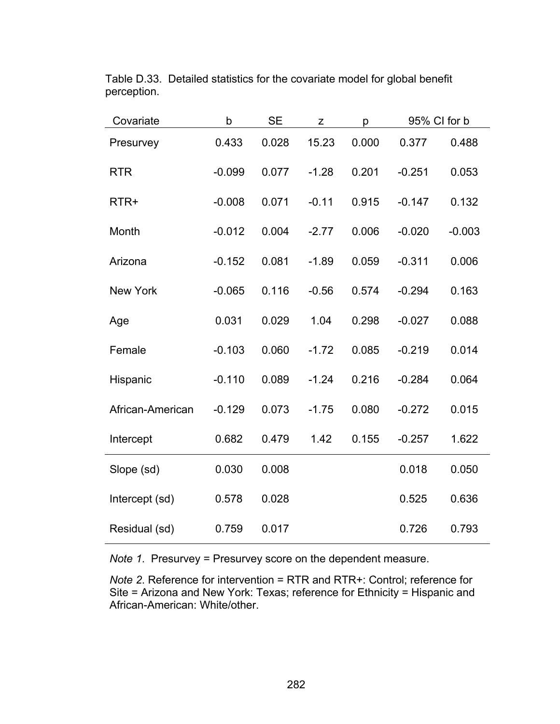| Covariate        | b        | <b>SE</b> | Z       | p     | 95% CI for b |          |
|------------------|----------|-----------|---------|-------|--------------|----------|
| Presurvey        | 0.433    | 0.028     | 15.23   | 0.000 | 0.377        | 0.488    |
| <b>RTR</b>       | $-0.099$ | 0.077     | $-1.28$ | 0.201 | $-0.251$     | 0.053    |
| RTR+             | $-0.008$ | 0.071     | $-0.11$ | 0.915 | $-0.147$     | 0.132    |
| Month            | $-0.012$ | 0.004     | $-2.77$ | 0.006 | $-0.020$     | $-0.003$ |
| Arizona          | $-0.152$ | 0.081     | $-1.89$ | 0.059 | $-0.311$     | 0.006    |
| <b>New York</b>  | $-0.065$ | 0.116     | $-0.56$ | 0.574 | $-0.294$     | 0.163    |
| Age              | 0.031    | 0.029     | 1.04    | 0.298 | $-0.027$     | 0.088    |
| Female           | $-0.103$ | 0.060     | $-1.72$ | 0.085 | $-0.219$     | 0.014    |
| Hispanic         | $-0.110$ | 0.089     | $-1.24$ | 0.216 | $-0.284$     | 0.064    |
| African-American | $-0.129$ | 0.073     | $-1.75$ | 0.080 | $-0.272$     | 0.015    |
| Intercept        | 0.682    | 0.479     | 1.42    | 0.155 | $-0.257$     | 1.622    |
| Slope (sd)       | 0.030    | 0.008     |         |       | 0.018        | 0.050    |
| Intercept (sd)   | 0.578    | 0.028     |         |       | 0.525        | 0.636    |
| Residual (sd)    | 0.759    | 0.017     |         |       | 0.726        | 0.793    |

Table D.33. Detailed statistics for the covariate model for global benefit perception.

*Note 1*. Presurvey = Presurvey score on the dependent measure.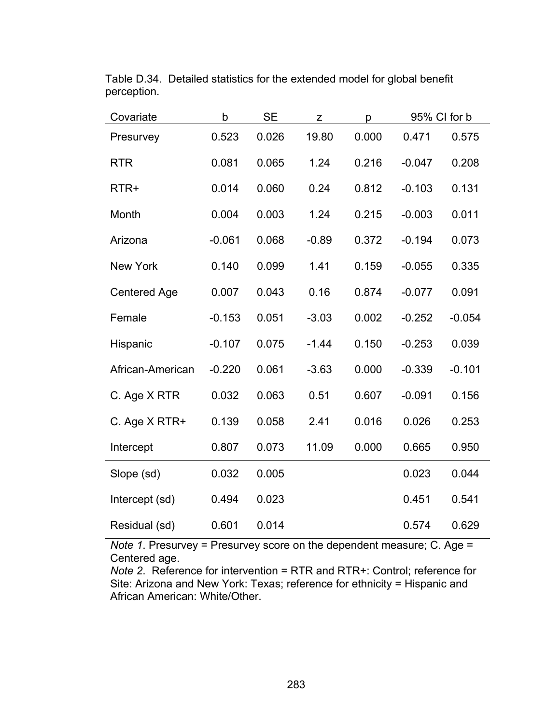| Covariate           | b        | <b>SE</b> | Z       | р     |          | 95% CI for b |
|---------------------|----------|-----------|---------|-------|----------|--------------|
| Presurvey           | 0.523    | 0.026     | 19.80   | 0.000 | 0.471    | 0.575        |
| <b>RTR</b>          | 0.081    | 0.065     | 1.24    | 0.216 | $-0.047$ | 0.208        |
| RTR+                | 0.014    | 0.060     | 0.24    | 0.812 | $-0.103$ | 0.131        |
| Month               | 0.004    | 0.003     | 1.24    | 0.215 | $-0.003$ | 0.011        |
| Arizona             | $-0.061$ | 0.068     | $-0.89$ | 0.372 | $-0.194$ | 0.073        |
| New York            | 0.140    | 0.099     | 1.41    | 0.159 | $-0.055$ | 0.335        |
| <b>Centered Age</b> | 0.007    | 0.043     | 0.16    | 0.874 | $-0.077$ | 0.091        |
| Female              | $-0.153$ | 0.051     | $-3.03$ | 0.002 | $-0.252$ | $-0.054$     |
| Hispanic            | $-0.107$ | 0.075     | $-1.44$ | 0.150 | $-0.253$ | 0.039        |
| African-American    | $-0.220$ | 0.061     | $-3.63$ | 0.000 | $-0.339$ | $-0.101$     |
| C. Age X RTR        | 0.032    | 0.063     | 0.51    | 0.607 | $-0.091$ | 0.156        |
| C. Age X RTR+       | 0.139    | 0.058     | 2.41    | 0.016 | 0.026    | 0.253        |
| Intercept           | 0.807    | 0.073     | 11.09   | 0.000 | 0.665    | 0.950        |
| Slope (sd)          | 0.032    | 0.005     |         |       | 0.023    | 0.044        |
| Intercept (sd)      | 0.494    | 0.023     |         |       | 0.451    | 0.541        |
| Residual (sd)       | 0.601    | 0.014     |         |       | 0.574    | 0.629        |

Table D.34. Detailed statistics for the extended model for global benefit perception.

*Note 1*. Presurvey = Presurvey score on the dependent measure; C. Age = Centered age.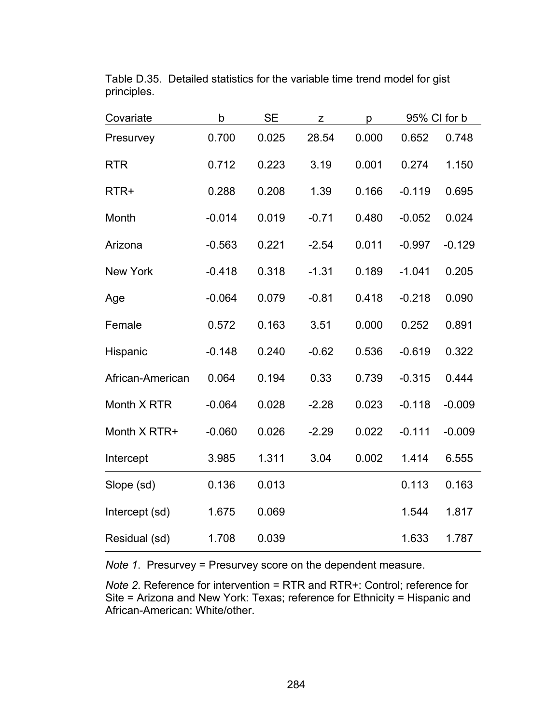| Covariate        | b        | <b>SE</b> | Z       | p     | 95% CI for b |          |
|------------------|----------|-----------|---------|-------|--------------|----------|
| Presurvey        | 0.700    | 0.025     | 28.54   | 0.000 | 0.652        | 0.748    |
| <b>RTR</b>       | 0.712    | 0.223     | 3.19    | 0.001 | 0.274        | 1.150    |
| RTR+             | 0.288    | 0.208     | 1.39    | 0.166 | $-0.119$     | 0.695    |
| Month            | $-0.014$ | 0.019     | $-0.71$ | 0.480 | $-0.052$     | 0.024    |
| Arizona          | $-0.563$ | 0.221     | $-2.54$ | 0.011 | $-0.997$     | $-0.129$ |
| <b>New York</b>  | $-0.418$ | 0.318     | $-1.31$ | 0.189 | $-1.041$     | 0.205    |
| Age              | $-0.064$ | 0.079     | $-0.81$ | 0.418 | $-0.218$     | 0.090    |
| Female           | 0.572    | 0.163     | 3.51    | 0.000 | 0.252        | 0.891    |
| Hispanic         | $-0.148$ | 0.240     | $-0.62$ | 0.536 | $-0.619$     | 0.322    |
| African-American | 0.064    | 0.194     | 0.33    | 0.739 | $-0.315$     | 0.444    |
| Month X RTR      | $-0.064$ | 0.028     | $-2.28$ | 0.023 | $-0.118$     | $-0.009$ |
| Month X RTR+     | $-0.060$ | 0.026     | $-2.29$ | 0.022 | $-0.111$     | $-0.009$ |
| Intercept        | 3.985    | 1.311     | 3.04    | 0.002 | 1.414        | 6.555    |
| Slope (sd)       | 0.136    | 0.013     |         |       | 0.113        | 0.163    |
| Intercept (sd)   | 1.675    | 0.069     |         |       | 1.544        | 1.817    |
| Residual (sd)    | 1.708    | 0.039     |         |       | 1.633        | 1.787    |

Table D.35. Detailed statistics for the variable time trend model for gist principles.

*Note 1*. Presurvey = Presurvey score on the dependent measure.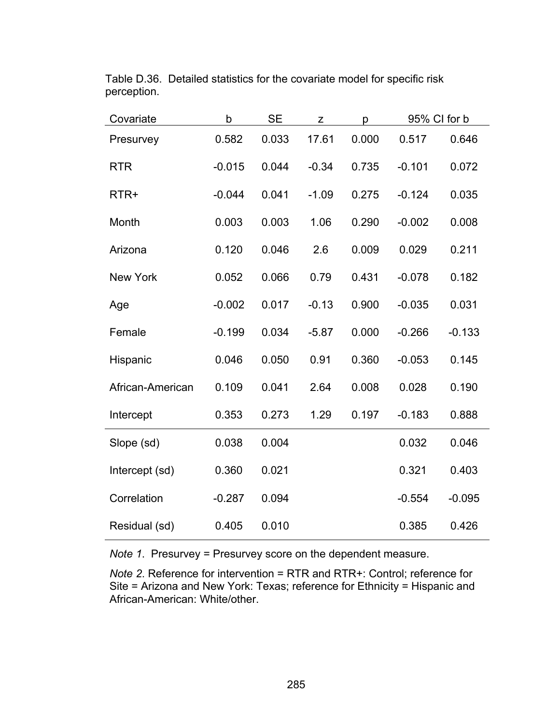| Covariate        | b        | <b>SE</b> | Z       | р     | 95% CI for b |          |
|------------------|----------|-----------|---------|-------|--------------|----------|
| Presurvey        | 0.582    | 0.033     | 17.61   | 0.000 | 0.517        | 0.646    |
| <b>RTR</b>       | $-0.015$ | 0.044     | $-0.34$ | 0.735 | $-0.101$     | 0.072    |
| RTR+             | $-0.044$ | 0.041     | $-1.09$ | 0.275 | $-0.124$     | 0.035    |
| Month            | 0.003    | 0.003     | 1.06    | 0.290 | $-0.002$     | 0.008    |
| Arizona          | 0.120    | 0.046     | 2.6     | 0.009 | 0.029        | 0.211    |
| <b>New York</b>  | 0.052    | 0.066     | 0.79    | 0.431 | $-0.078$     | 0.182    |
| Age              | $-0.002$ | 0.017     | $-0.13$ | 0.900 | $-0.035$     | 0.031    |
| Female           | $-0.199$ | 0.034     | $-5.87$ | 0.000 | $-0.266$     | $-0.133$ |
| Hispanic         | 0.046    | 0.050     | 0.91    | 0.360 | $-0.053$     | 0.145    |
| African-American | 0.109    | 0.041     | 2.64    | 0.008 | 0.028        | 0.190    |
| Intercept        | 0.353    | 0.273     | 1.29    | 0.197 | $-0.183$     | 0.888    |
| Slope (sd)       | 0.038    | 0.004     |         |       | 0.032        | 0.046    |
| Intercept (sd)   | 0.360    | 0.021     |         |       | 0.321        | 0.403    |
| Correlation      | $-0.287$ | 0.094     |         |       | $-0.554$     | $-0.095$ |
| Residual (sd)    | 0.405    | 0.010     |         |       | 0.385        | 0.426    |

Table D.36. Detailed statistics for the covariate model for specific risk perception.

*Note 1*. Presurvey = Presurvey score on the dependent measure.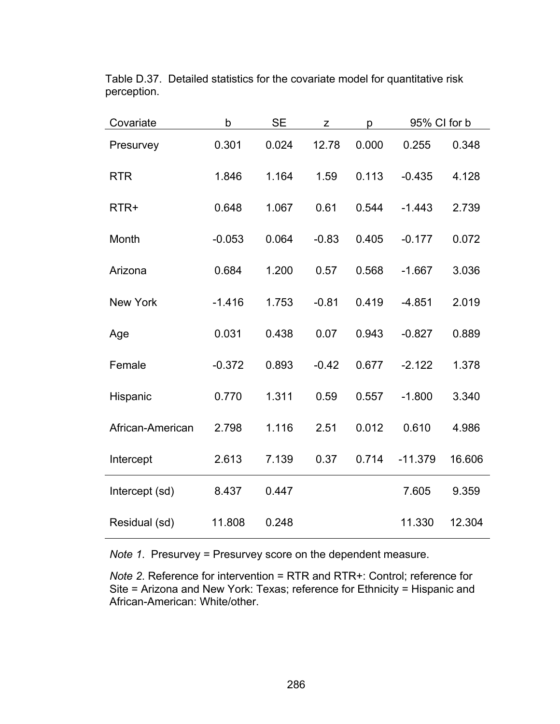| Covariate        | b        | <b>SE</b> | Z       | p     | 95% CI for b |        |
|------------------|----------|-----------|---------|-------|--------------|--------|
| Presurvey        | 0.301    | 0.024     | 12.78   | 0.000 | 0.255        | 0.348  |
| <b>RTR</b>       | 1.846    | 1.164     | 1.59    | 0.113 | $-0.435$     | 4.128  |
| RTR+             | 0.648    | 1.067     | 0.61    | 0.544 | $-1.443$     | 2.739  |
| Month            | $-0.053$ | 0.064     | $-0.83$ | 0.405 | $-0.177$     | 0.072  |
| Arizona          | 0.684    | 1.200     | 0.57    | 0.568 | $-1.667$     | 3.036  |
| <b>New York</b>  | $-1.416$ | 1.753     | $-0.81$ | 0.419 | $-4.851$     | 2.019  |
| Age              | 0.031    | 0.438     | 0.07    | 0.943 | $-0.827$     | 0.889  |
| Female           | $-0.372$ | 0.893     | $-0.42$ | 0.677 | $-2.122$     | 1.378  |
| Hispanic         | 0.770    | 1.311     | 0.59    | 0.557 | $-1.800$     | 3.340  |
| African-American | 2.798    | 1.116     | 2.51    | 0.012 | 0.610        | 4.986  |
| Intercept        | 2.613    | 7.139     | 0.37    | 0.714 | $-11.379$    | 16.606 |
| Intercept (sd)   | 8.437    | 0.447     |         |       | 7.605        | 9.359  |
| Residual (sd)    | 11.808   | 0.248     |         |       | 11.330       | 12.304 |

Table D.37. Detailed statistics for the covariate model for quantitative risk perception.

*Note 1*. Presurvey = Presurvey score on the dependent measure.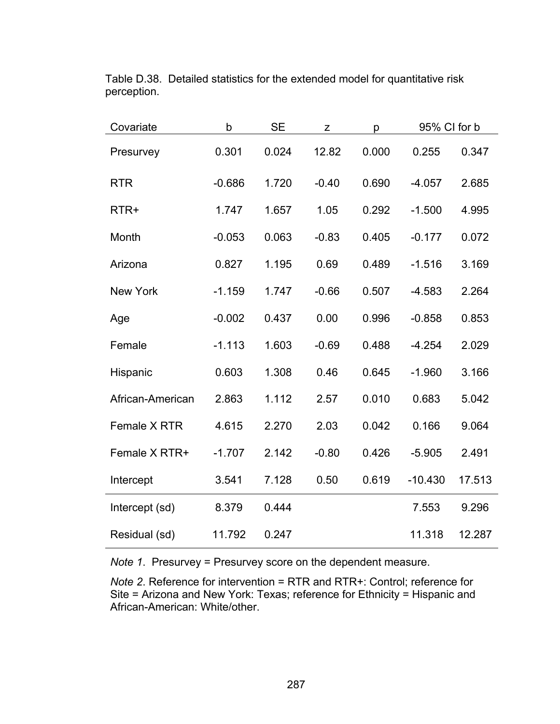| Covariate        | b        | <b>SE</b> | Z       | p     | 95% CI for b |        |
|------------------|----------|-----------|---------|-------|--------------|--------|
| Presurvey        | 0.301    | 0.024     | 12.82   | 0.000 | 0.255        | 0.347  |
| <b>RTR</b>       | $-0.686$ | 1.720     | $-0.40$ | 0.690 | $-4.057$     | 2.685  |
| RTR+             | 1.747    | 1.657     | 1.05    | 0.292 | $-1.500$     | 4.995  |
| Month            | $-0.053$ | 0.063     | $-0.83$ | 0.405 | $-0.177$     | 0.072  |
| Arizona          | 0.827    | 1.195     | 0.69    | 0.489 | $-1.516$     | 3.169  |
| <b>New York</b>  | $-1.159$ | 1.747     | $-0.66$ | 0.507 | $-4.583$     | 2.264  |
| Age              | $-0.002$ | 0.437     | 0.00    | 0.996 | $-0.858$     | 0.853  |
| Female           | $-1.113$ | 1.603     | $-0.69$ | 0.488 | $-4.254$     | 2.029  |
| Hispanic         | 0.603    | 1.308     | 0.46    | 0.645 | $-1.960$     | 3.166  |
| African-American | 2.863    | 1.112     | 2.57    | 0.010 | 0.683        | 5.042  |
| Female X RTR     | 4.615    | 2.270     | 2.03    | 0.042 | 0.166        | 9.064  |
| Female X RTR+    | $-1.707$ | 2.142     | $-0.80$ | 0.426 | $-5.905$     | 2.491  |
| Intercept        | 3.541    | 7.128     | 0.50    | 0.619 | $-10.430$    | 17.513 |
| Intercept (sd)   | 8.379    | 0.444     |         |       | 7.553        | 9.296  |
| Residual (sd)    | 11.792   | 0.247     |         |       | 11.318       | 12.287 |

Table D.38. Detailed statistics for the extended model for quantitative risk perception.

*Note 1*. Presurvey = Presurvey score on the dependent measure.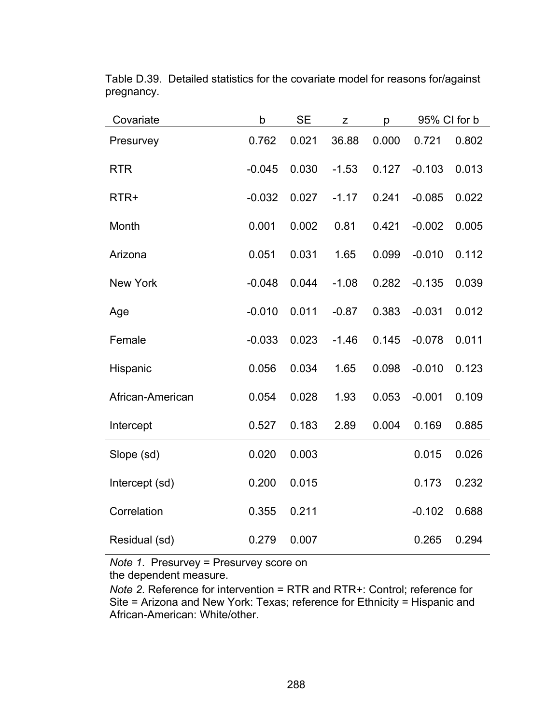| Covariate        | b        | <b>SE</b> | Z       | p     | 95% CI for b |       |
|------------------|----------|-----------|---------|-------|--------------|-------|
| Presurvey        | 0.762    | 0.021     | 36.88   | 0.000 | 0.721        | 0.802 |
| <b>RTR</b>       | $-0.045$ | 0.030     | $-1.53$ | 0.127 | $-0.103$     | 0.013 |
| RTR+             | $-0.032$ | 0.027     | $-1.17$ | 0.241 | $-0.085$     | 0.022 |
| Month            | 0.001    | 0.002     | 0.81    | 0.421 | $-0.002$     | 0.005 |
| Arizona          | 0.051    | 0.031     | 1.65    | 0.099 | $-0.010$     | 0.112 |
| New York         | $-0.048$ | 0.044     | $-1.08$ | 0.282 | $-0.135$     | 0.039 |
| Age              | $-0.010$ | 0.011     | $-0.87$ | 0.383 | $-0.031$     | 0.012 |
| Female           | $-0.033$ | 0.023     | $-1.46$ | 0.145 | $-0.078$     | 0.011 |
| Hispanic         | 0.056    | 0.034     | 1.65    | 0.098 | $-0.010$     | 0.123 |
| African-American | 0.054    | 0.028     | 1.93    | 0.053 | $-0.001$     | 0.109 |
| Intercept        | 0.527    | 0.183     | 2.89    | 0.004 | 0.169        | 0.885 |
| Slope (sd)       | 0.020    | 0.003     |         |       | 0.015        | 0.026 |
| Intercept (sd)   | 0.200    | 0.015     |         |       | 0.173        | 0.232 |
| Correlation      | 0.355    | 0.211     |         |       | $-0.102$     | 0.688 |
| Residual (sd)    | 0.279    | 0.007     |         |       | 0.265        | 0.294 |

Table D.39. Detailed statistics for the covariate model for reasons for/against pregnancy.

*Note 1*. Presurvey = Presurvey score on

the dependent measure.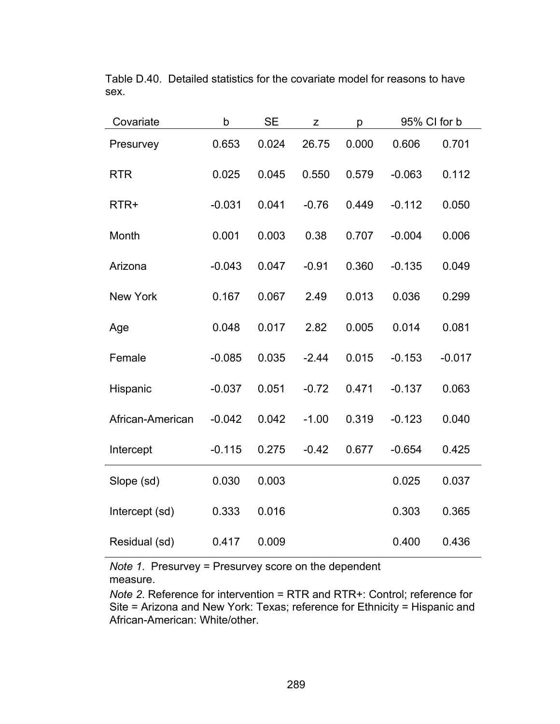| Covariate        | b        | <b>SE</b> | Z       | р     | 95% CI for b |          |
|------------------|----------|-----------|---------|-------|--------------|----------|
| Presurvey        | 0.653    | 0.024     | 26.75   | 0.000 | 0.606        | 0.701    |
| <b>RTR</b>       | 0.025    | 0.045     | 0.550   | 0.579 | $-0.063$     | 0.112    |
| RTR+             | $-0.031$ | 0.041     | $-0.76$ | 0.449 | $-0.112$     | 0.050    |
| Month            | 0.001    | 0.003     | 0.38    | 0.707 | $-0.004$     | 0.006    |
| Arizona          | $-0.043$ | 0.047     | $-0.91$ | 0.360 | $-0.135$     | 0.049    |
| <b>New York</b>  | 0.167    | 0.067     | 2.49    | 0.013 | 0.036        | 0.299    |
| Age              | 0.048    | 0.017     | 2.82    | 0.005 | 0.014        | 0.081    |
| Female           | $-0.085$ | 0.035     | $-2.44$ | 0.015 | $-0.153$     | $-0.017$ |
| Hispanic         | $-0.037$ | 0.051     | $-0.72$ | 0.471 | $-0.137$     | 0.063    |
| African-American | $-0.042$ | 0.042     | $-1.00$ | 0.319 | $-0.123$     | 0.040    |
| Intercept        | $-0.115$ | 0.275     | $-0.42$ | 0.677 | $-0.654$     | 0.425    |
| Slope (sd)       | 0.030    | 0.003     |         |       | 0.025        | 0.037    |
| Intercept (sd)   | 0.333    | 0.016     |         |       | 0.303        | 0.365    |
| Residual (sd)    | 0.417    | 0.009     |         |       | 0.400        | 0.436    |

Table D.40. Detailed statistics for the covariate model for reasons to have sex.

*Note 1*. Presurvey = Presurvey score on the dependent measure.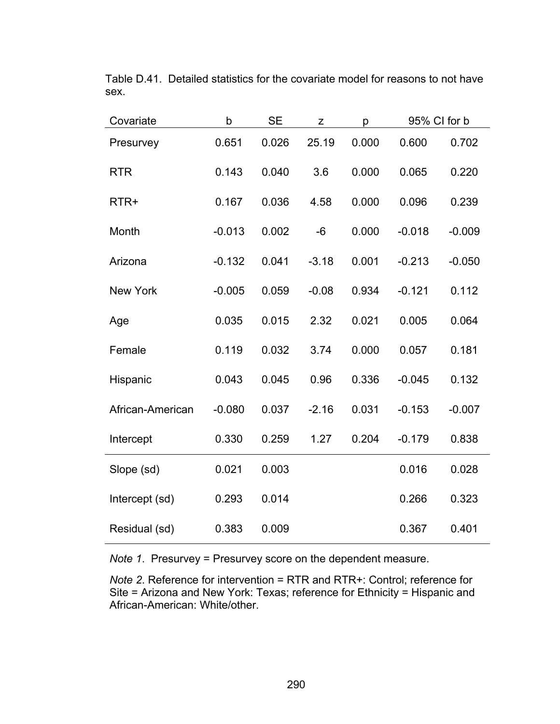| Covariate        | b        | <b>SE</b> | Z       | p     | 95% CI for b |          |
|------------------|----------|-----------|---------|-------|--------------|----------|
| Presurvey        | 0.651    | 0.026     | 25.19   | 0.000 | 0.600        | 0.702    |
| <b>RTR</b>       | 0.143    | 0.040     | 3.6     | 0.000 | 0.065        | 0.220    |
| RTR+             | 0.167    | 0.036     | 4.58    | 0.000 | 0.096        | 0.239    |
| Month            | $-0.013$ | 0.002     | $-6$    | 0.000 | $-0.018$     | $-0.009$ |
| Arizona          | $-0.132$ | 0.041     | $-3.18$ | 0.001 | $-0.213$     | $-0.050$ |
| <b>New York</b>  | $-0.005$ | 0.059     | $-0.08$ | 0.934 | $-0.121$     | 0.112    |
| Age              | 0.035    | 0.015     | 2.32    | 0.021 | 0.005        | 0.064    |
| Female           | 0.119    | 0.032     | 3.74    | 0.000 | 0.057        | 0.181    |
| Hispanic         | 0.043    | 0.045     | 0.96    | 0.336 | $-0.045$     | 0.132    |
| African-American | $-0.080$ | 0.037     | $-2.16$ | 0.031 | $-0.153$     | $-0.007$ |
| Intercept        | 0.330    | 0.259     | 1.27    | 0.204 | $-0.179$     | 0.838    |
| Slope (sd)       | 0.021    | 0.003     |         |       | 0.016        | 0.028    |
| Intercept (sd)   | 0.293    | 0.014     |         |       | 0.266        | 0.323    |
| Residual (sd)    | 0.383    | 0.009     |         |       | 0.367        | 0.401    |

Table D.41. Detailed statistics for the covariate model for reasons to not have sex.

*Note 1*. Presurvey = Presurvey score on the dependent measure.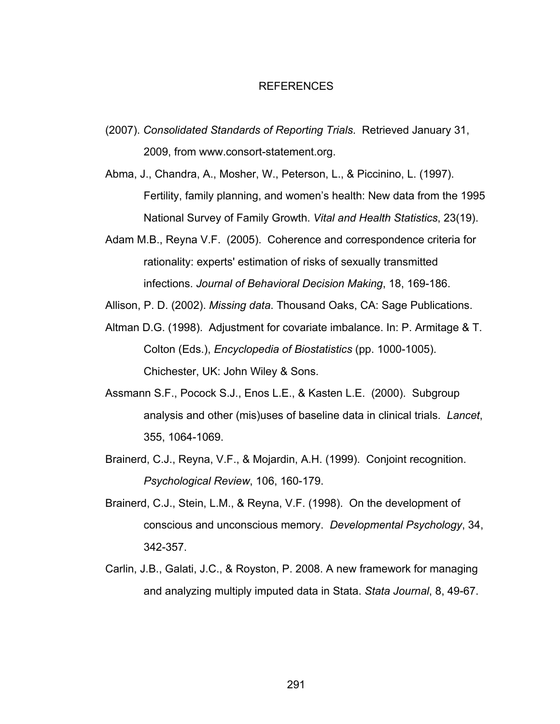## REFERENCES

- (2007). *Consolidated Standards of Reporting Trials*. Retrieved January 31, 2009, from www.consort-statement.org.
- Abma, J., Chandra, A., Mosher, W., Peterson, L., & Piccinino, L. (1997). Fertility, family planning, and women's health: New data from the 1995 National Survey of Family Growth. *Vital and Health Statistics*, 23(19).
- Adam M.B., Reyna V.F. (2005). Coherence and correspondence criteria for rationality: experts' estimation of risks of sexually transmitted infections. *Journal of Behavioral Decision Making*, 18, 169-186.

Allison, P. D. (2002). *Missing data*. Thousand Oaks, CA: Sage Publications.

- Altman D.G. (1998). Adjustment for covariate imbalance. In: P. Armitage & T. Colton (Eds.), *Encyclopedia of Biostatistics* (pp. 1000-1005). Chichester, UK: John Wiley & Sons.
- Assmann S.F., Pocock S.J., Enos L.E., & Kasten L.E. (2000). Subgroup analysis and other (mis)uses of baseline data in clinical trials. *Lancet*, 355, 1064-1069.
- Brainerd, C.J., Reyna, V.F., & Mojardin, A.H. (1999). Conjoint recognition. *Psychological Review*, 106, 160-179.
- Brainerd, C.J., Stein, L.M., & Reyna, V.F. (1998). On the development of conscious and unconscious memory. *Developmental Psychology*, 34, 342-357.
- Carlin, J.B., Galati, J.C., & Royston, P. 2008. A new framework for managing and analyzing multiply imputed data in Stata. *Stata Journal*, 8, 49-67.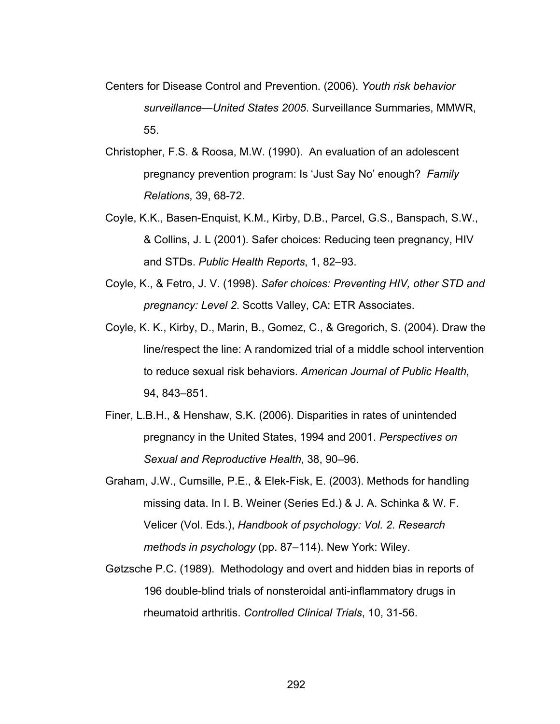- Centers for Disease Control and Prevention. (2006). *Youth risk behavior surveillance—United States 2005*. Surveillance Summaries, MMWR, 55.
- Christopher, F.S. & Roosa, M.W. (1990). An evaluation of an adolescent pregnancy prevention program: Is 'Just Say No' enough? *Family Relations*, 39, 68-72.
- Coyle, K.K., Basen-Enquist, K.M., Kirby, D.B., Parcel, G.S., Banspach, S.W., & Collins, J. L (2001). Safer choices: Reducing teen pregnancy, HIV and STDs. *Public Health Reports*, 1, 82–93.
- Coyle, K., & Fetro, J. V. (1998). *Safer choices: Preventing HIV, other STD and pregnancy: Level 2*. Scotts Valley, CA: ETR Associates.
- Coyle, K. K., Kirby, D., Marin, B., Gomez, C., & Gregorich, S. (2004). Draw the line/respect the line: A randomized trial of a middle school intervention to reduce sexual risk behaviors. *American Journal of Public Health*, 94, 843–851.
- Finer, L.B.H., & Henshaw, S.K. (2006). Disparities in rates of unintended pregnancy in the United States, 1994 and 2001. *Perspectives on Sexual and Reproductive Health*, 38, 90–96.
- Graham, J.W., Cumsille, P.E., & Elek-Fisk, E. (2003). Methods for handling missing data. In I. B. Weiner (Series Ed.) & J. A. Schinka & W. F. Velicer (Vol. Eds.), *Handbook of psychology: Vol. 2*. *Research methods in psychology* (pp. 87–114). New York: Wiley.
- Gøtzsche P.C. (1989). Methodology and overt and hidden bias in reports of 196 double-blind trials of nonsteroidal anti-inflammatory drugs in rheumatoid arthritis. *Controlled Clinical Trials*, 10, 31-56.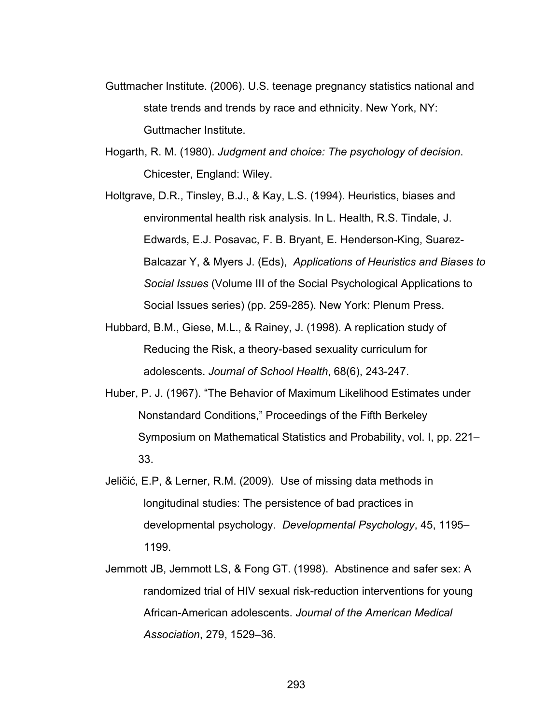- Guttmacher Institute. (2006). U.S. teenage pregnancy statistics national and state trends and trends by race and ethnicity. New York, NY: Guttmacher Institute.
- Hogarth, R. M. (1980). *Judgment and choice: The psychology of decision*. Chicester, England: Wiley.
- Holtgrave, D.R., Tinsley, B.J., & Kay, L.S. (1994). Heuristics, biases and environmental health risk analysis. In L. Health, R.S. Tindale, J. Edwards, E.J. Posavac, F. B. Bryant, E. Henderson-King, Suarez-Balcazar Y, & Myers J. (Eds), *Applications of Heuristics and Biases to Social Issues* (Volume III of the Social Psychological Applications to Social Issues series) (pp. 259-285). New York: Plenum Press.
- Hubbard, B.M., Giese, M.L., & Rainey, J. (1998). A replication study of Reducing the Risk, a theory-based sexuality curriculum for adolescents. *Journal of School Health*, 68(6), 243-247.
- Huber, P. J. (1967). "The Behavior of Maximum Likelihood Estimates under Nonstandard Conditions," Proceedings of the Fifth Berkeley Symposium on Mathematical Statistics and Probability, vol. I, pp. 221– 33.
- Jeličić, E.P, & Lerner, R.M. (2009). Use of missing data methods in longitudinal studies: The persistence of bad practices in developmental psychology. *Developmental Psychology*, 45, 1195– 1199.
- Jemmott JB, Jemmott LS, & Fong GT. (1998). Abstinence and safer sex: A randomized trial of HIV sexual risk-reduction interventions for young African-American adolescents. *Journal of the American Medical Association*, 279, 1529–36.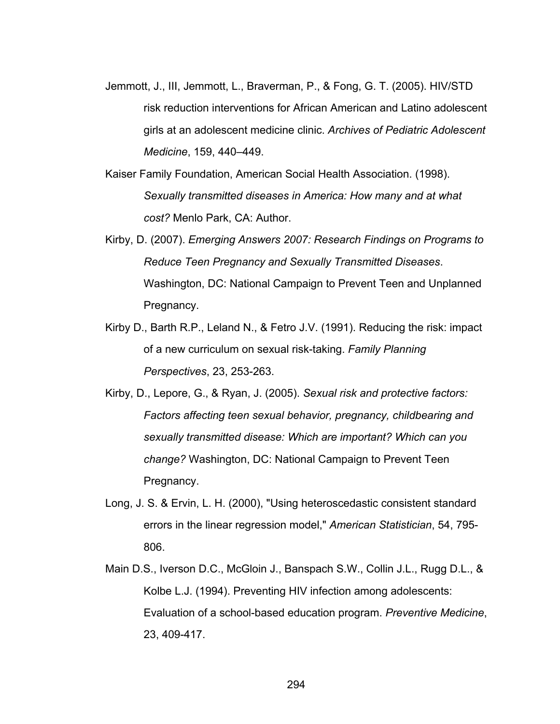- Jemmott, J., III, Jemmott, L., Braverman, P., & Fong, G. T. (2005). HIV/STD risk reduction interventions for African American and Latino adolescent girls at an adolescent medicine clinic. *Archives of Pediatric Adolescent Medicine*, 159, 440–449.
- Kaiser Family Foundation, American Social Health Association. (1998). *Sexually transmitted diseases in America: How many and at what cost?* Menlo Park, CA: Author.
- Kirby, D. (2007). *Emerging Answers 2007: Research Findings on Programs to Reduce Teen Pregnancy and Sexually Transmitted Diseases*. Washington, DC: National Campaign to Prevent Teen and Unplanned Pregnancy.
- Kirby D., Barth R.P., Leland N., & Fetro J.V. (1991). Reducing the risk: impact of a new curriculum on sexual risk-taking. *Family Planning Perspectives*, 23, 253-263.
- Kirby, D., Lepore, G., & Ryan, J. (2005). *Sexual risk and protective factors: Factors affecting teen sexual behavior, pregnancy, childbearing and sexually transmitted disease: Which are important? Which can you change?* Washington, DC: National Campaign to Prevent Teen Pregnancy.
- Long, J. S. & Ervin, L. H. (2000), "Using heteroscedastic consistent standard errors in the linear regression model," *American Statistician*, 54, 795- 806.
- Main D.S., Iverson D.C., McGloin J., Banspach S.W., Collin J.L., Rugg D.L., & Kolbe L.J. (1994). Preventing HIV infection among adolescents: Evaluation of a school-based education program. *Preventive Medicine*, 23, 409-417.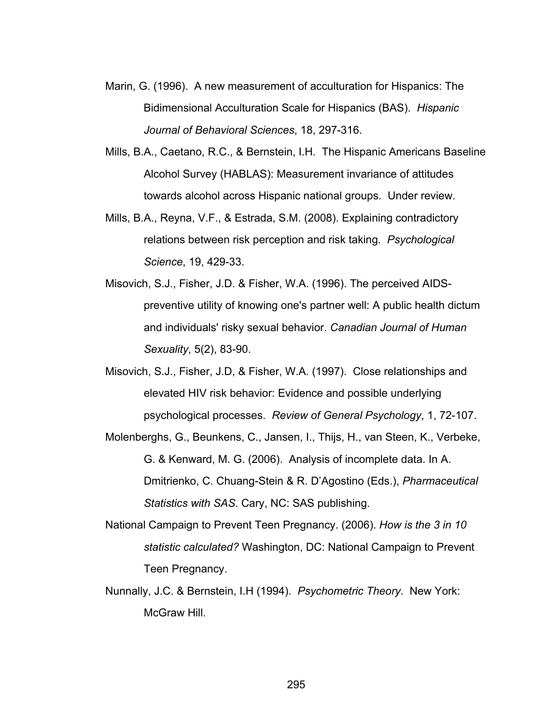- Marin, G. (1996). A new measurement of acculturation for Hispanics: The Bidimensional Acculturation Scale for Hispanics (BAS). *Hispanic Journal of Behavioral Sciences*, 18, 297-316.
- Mills, B.A., Caetano, R.C., & Bernstein, I.H. The Hispanic Americans Baseline Alcohol Survey (HABLAS): Measurement invariance of attitudes towards alcohol across Hispanic national groups. Under review.
- Mills, B.A., Reyna, V.F., & Estrada, S.M. (2008). Explaining contradictory relations between risk perception and risk taking. *Psychological Science*, 19, 429-33.
- Misovich, S.J., Fisher, J.D. & Fisher, W.A. (1996). The perceived AIDSpreventive utility of knowing one's partner well: A public health dictum and individuals' risky sexual behavior. *Canadian Journal of Human Sexuality*, 5(2), 83-90.
- Misovich, S.J., Fisher, J.D, & Fisher, W.A. (1997). Close relationships and elevated HIV risk behavior: Evidence and possible underlying psychological processes. *Review of General Psychology*, 1, 72-107.
- Molenberghs, G., Beunkens, C., Jansen, I., Thijs, H., van Steen, K., Verbeke, G. & Kenward, M. G. (2006). Analysis of incomplete data. In A. Dmitrienko, C. Chuang-Stein & R. D'Agostino (Eds.), *Pharmaceutical Statistics with SAS*. Cary, NC: SAS publishing.
- National Campaign to Prevent Teen Pregnancy. (2006). *How is the 3 in 10 statistic calculated?* Washington, DC: National Campaign to Prevent Teen Pregnancy.
- Nunnally, J.C. & Bernstein, I.H (1994). *Psychometric Theory*. New York: McGraw Hill.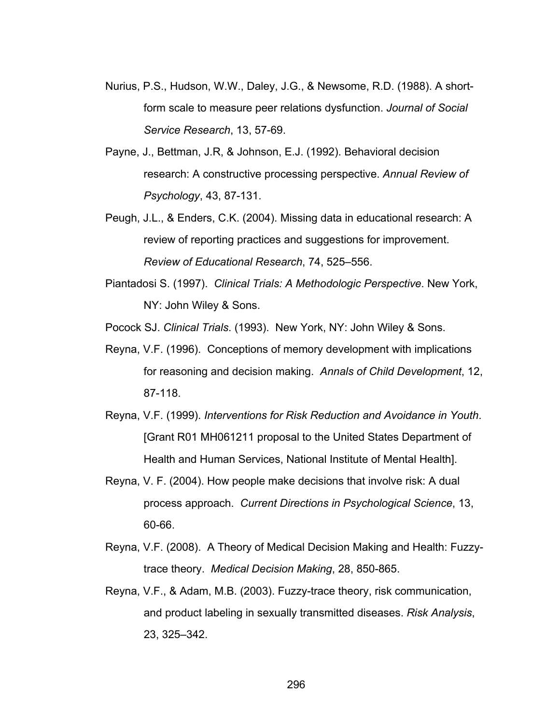- Nurius, P.S., Hudson, W.W., Daley, J.G., & Newsome, R.D. (1988). A shortform scale to measure peer relations dysfunction. *Journal of Social Service Research*, 13, 57-69.
- Payne, J., Bettman, J.R, & Johnson, E.J. (1992). Behavioral decision research: A constructive processing perspective. *Annual Review of Psychology*, 43, 87-131.
- Peugh, J.L., & Enders, C.K. (2004). Missing data in educational research: A review of reporting practices and suggestions for improvement. *Review of Educational Research*, 74, 525–556.
- Piantadosi S. (1997). *Clinical Trials: A Methodologic Perspective*. New York, NY: John Wiley & Sons.
- Pocock SJ. *Clinical Trials*. (1993). New York, NY: John Wiley & Sons.
- Reyna, V.F. (1996). Conceptions of memory development with implications for reasoning and decision making. *Annals of Child Development*, 12, 87-118.
- Reyna, V.F. (1999). *Interventions for Risk Reduction and Avoidance in Youth*. [Grant R01 MH061211 proposal to the United States Department of Health and Human Services, National Institute of Mental Health].
- Reyna, V. F. (2004). How people make decisions that involve risk: A dual process approach. *Current Directions in Psychological Science*, 13, 60-66.
- Reyna, V.F. (2008). A Theory of Medical Decision Making and Health: Fuzzytrace theory. *Medical Decision Making*, 28, 850-865.
- Reyna, V.F., & Adam, M.B. (2003). Fuzzy-trace theory, risk communication, and product labeling in sexually transmitted diseases. *Risk Analysis*, 23, 325–342.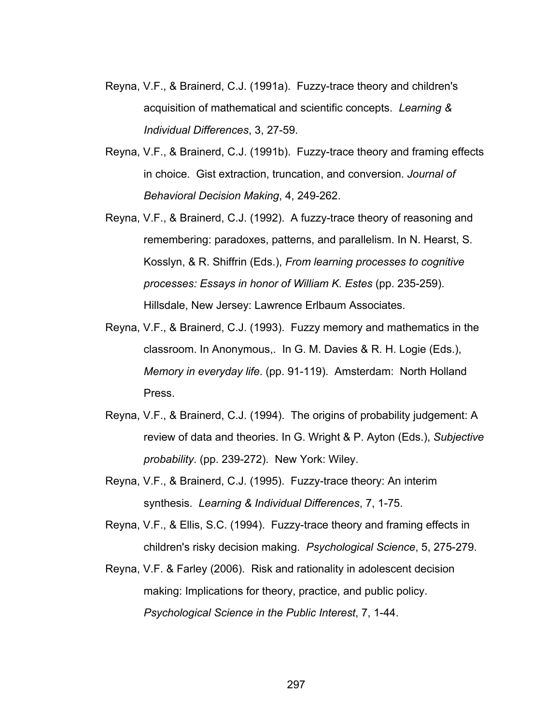- Reyna, V.F., & Brainerd, C.J. (1991a). Fuzzy-trace theory and children's acquisition of mathematical and scientific concepts. *Learning & Individual Differences*, 3, 27-59.
- Reyna, V.F., & Brainerd, C.J. (1991b). Fuzzy-trace theory and framing effects in choice. Gist extraction, truncation, and conversion. *Journal of Behavioral Decision Making*, 4, 249-262.
- Reyna, V.F., & Brainerd, C.J. (1992). A fuzzy-trace theory of reasoning and remembering: paradoxes, patterns, and parallelism. In N. Hearst, S. Kosslyn, & R. Shiffrin (Eds.), *From learning processes to cognitive processes: Essays in honor of William K. Estes* (pp. 235-259). Hillsdale, New Jersey: Lawrence Erlbaum Associates.
- Reyna, V.F., & Brainerd, C.J. (1993). Fuzzy memory and mathematics in the classroom. In Anonymous,. In G. M. Davies & R. H. Logie (Eds.), *Memory in everyday life*. (pp. 91-119). Amsterdam: North Holland Press.
- Reyna, V.F., & Brainerd, C.J. (1994). The origins of probability judgement: A review of data and theories. In G. Wright & P. Ayton (Eds.), *Subjective probability*. (pp. 239-272). New York: Wiley.
- Reyna, V.F., & Brainerd, C.J. (1995). Fuzzy-trace theory: An interim synthesis. *Learning & Individual Differences*, 7, 1-75.
- Reyna, V.F., & Ellis, S.C. (1994). Fuzzy-trace theory and framing effects in children's risky decision making. *Psychological Science*, 5, 275-279.
- Reyna, V.F. & Farley (2006). Risk and rationality in adolescent decision making: Implications for theory, practice, and public policy. *Psychological Science in the Public Interest*, 7, 1-44.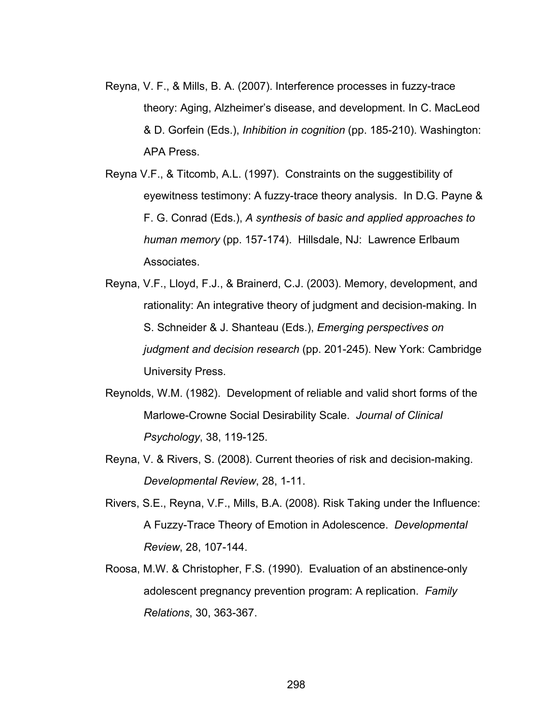- Reyna, V. F., & Mills, B. A. (2007). Interference processes in fuzzy-trace theory: Aging, Alzheimer's disease, and development. In C. MacLeod & D. Gorfein (Eds.), *Inhibition in cognition* (pp. 185-210). Washington: APA Press.
- Reyna V.F., & Titcomb, A.L. (1997). Constraints on the suggestibility of eyewitness testimony: A fuzzy-trace theory analysis. In D.G. Payne & F. G. Conrad (Eds.), *A synthesis of basic and applied approaches to human memory* (pp. 157-174). Hillsdale, NJ: Lawrence Erlbaum Associates.
- Reyna, V.F., Lloyd, F.J., & Brainerd, C.J. (2003). Memory, development, and rationality: An integrative theory of judgment and decision-making. In S. Schneider & J. Shanteau (Eds.), *Emerging perspectives on judgment and decision research* (pp. 201-245). New York: Cambridge University Press.
- Reynolds, W.M. (1982). Development of reliable and valid short forms of the Marlowe-Crowne Social Desirability Scale. *Journal of Clinical Psychology*, 38, 119-125.
- Reyna, V. & Rivers, S. (2008). Current theories of risk and decision-making. *Developmental Review*, 28, 1-11.
- Rivers, S.E., Reyna, V.F., Mills, B.A. (2008). Risk Taking under the Influence: A Fuzzy-Trace Theory of Emotion in Adolescence. *Developmental Review*, 28, 107-144.
- Roosa, M.W. & Christopher, F.S. (1990). Evaluation of an abstinence-only adolescent pregnancy prevention program: A replication. *Family Relations*, 30, 363-367.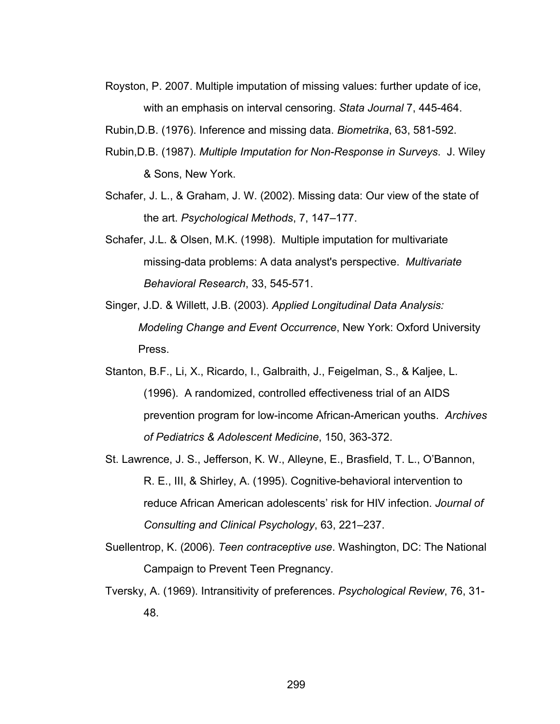- Royston, P. 2007. Multiple imputation of missing values: further update of ice, with an emphasis on interval censoring. *Stata Journal* 7, 445-464.
- Rubin,D.B. (1976). Inference and missing data. *Biometrika*, 63, 581-592.
- Rubin,D.B. (1987). *Multiple Imputation for Non-Response in Surveys*. J. Wiley & Sons, New York.
- Schafer, J. L., & Graham, J. W. (2002). Missing data: Our view of the state of the art. *Psychological Methods*, 7, 147–177.
- Schafer, J.L. & Olsen, M.K. (1998). Multiple imputation for multivariate missing-data problems: A data analyst's perspective. *Multivariate Behavioral Research*, 33, 545-571.
- Singer, J.D. & Willett, J.B. (2003). *Applied Longitudinal Data Analysis: Modeling Change and Event Occurrence*, New York: Oxford University Press.
- Stanton, B.F., Li, X., Ricardo, I., Galbraith, J., Feigelman, S., & Kaljee, L. (1996). A randomized, controlled effectiveness trial of an AIDS prevention program for low-income African-American youths. *Archives of Pediatrics & Adolescent Medicine*, 150, 363-372.
- St. Lawrence, J. S., Jefferson, K. W., Alleyne, E., Brasfield, T. L., O'Bannon, R. E., III, & Shirley, A. (1995). Cognitive-behavioral intervention to reduce African American adolescents' risk for HIV infection. *Journal of Consulting and Clinical Psychology*, 63, 221–237.
- Suellentrop, K. (2006). *Teen contraceptive use*. Washington, DC: The National Campaign to Prevent Teen Pregnancy.
- Tversky, A. (1969). Intransitivity of preferences. *Psychological Review*, 76, 31- 48.